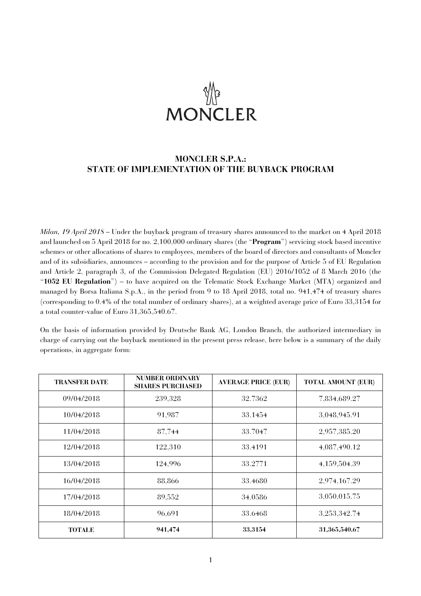# **MONCLER**

# **MONCLER S.P.A.: STATE OF IMPLEMENTATION OF THE BUYBACK PROGRAM**

*Milan, 19 April 2018* – Under the buyback program of treasury shares announced to the market on 4 April 2018 and launched on 5 April 2018 for no. 2,100,000 ordinary shares (the "**Program**") servicing stock based incentive schemes or other allocations of shares to employees, members of the board of directors and consultants of Moncler and of its subsidiaries, announces – according to the provision and for the purpose of Article 5 of EU Regulation and Article 2, paragraph 3, of the Commission Delegated Regulation (EU) 2016/1052 of 8 March 2016 (the "**1052 EU Regulation**") – to have acquired on the Telematic Stock Exchange Market (MTA) organized and managed by Borsa Italiana S.p.A., in the period from 9 to 18 April 2018, total no. 941,474 of treasury shares (corresponding to 0.4% of the total number of ordinary shares), at a weighted average price of Euro 33,3154 for a total counter-value of Euro 31,365,540.67.

On the basis of information provided by Deutsche Bank AG, London Branch, the authorized intermediary in charge of carrying out the buyback mentioned in the present press release, here below is a summary of the daily operations, in aggregate form:

| <b>TRANSFER DATE</b> | <b>NUMBER ORDINARY</b><br><b>SHARES PURCHASED</b> | <b>AVERAGE PRICE (EUR)</b> | <b>TOTAL AMOUNT (EUR)</b> |
|----------------------|---------------------------------------------------|----------------------------|---------------------------|
| 09/04/2018           | 239,328                                           | 32.7362                    | 7,834,689.27              |
| 10/04/2018           | 91,987                                            | 33.1454                    | 3,048,945.91              |
| 11/04/2018           | 87,744                                            | 33.7047                    | 2,957,385.20              |
| 12/04/2018           | 122,310                                           | 33.4191                    | 4,087,490.12              |
| 13/04/2018           | 124,996                                           | 33.2771                    | 4,159,504.39              |
| 16/04/2018           | 88,866                                            | 33.4680                    | 2,974,167.29              |
| 17/04/2018           | 89,552                                            | 34.0586                    | 3,050,015.75              |
| 18/04/2018           | 96,691                                            | 33.6468                    | 3,253,342.74              |
| <b>TOTALE</b>        | 941,474                                           | 33.3154                    | 31,365,540.67             |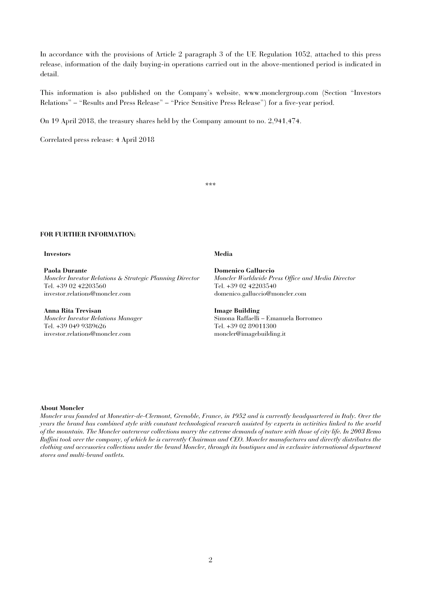In accordance with the provisions of Article 2 paragraph 3 of the UE Regulation 1052, attached to this press release, information of the daily buying-in operations carried out in the above-mentioned period is indicated in detail.

This information is also published on the Company's website, www.monclergroup.com (Section "Investors Relations" – "Results and Press Release" – "Price Sensitive Press Release") for a five-year period.

On 19 April 2018, the treasury shares held by the Company amount to no. 2,941,474.

Correlated press release: 4 April 2018

\*\*\*

### **FOR FURTHER INFORMATION:**

### **Investors Media**

**Paola Durante**  *Moncler Investor Relations & Strategic Planning Director*  Tel. +39 02 42203560 investor.relations@moncler.com

## **Anna Rita Trevisan**

*Moncler Investor Relations Manager*  Tel. +39 049 9389626 investor.relations@moncler.com

**Domenico Galluccio**  *Moncler Worldwide Press Office and Media Director*  Tel. +39 02 42203540 domenico.galluccio@moncler.com

**Image Building**  Simona Raffaelli – Emanuela Borromeo Tel. +39 02 89011300 moncler@imagebuilding.it

### **About Moncler**

*Moncler was founded at Monestier-de-Clermont, Grenoble, France, in 1952 and is currently headquartered in Italy. Over the years the brand has combined style with constant technological research assisted by experts in activities linked to the world of the mountain. The Moncler outerwear collections marry the extreme demands of nature with those of city life. In 2003 Remo Ruffini took over the company, of which he is currently Chairman and CEO. Moncler manufactures and directly distributes the clothing and accessories collections under the brand Moncler, through its boutiques and in exclusive international department stores and multi-brand outlets.*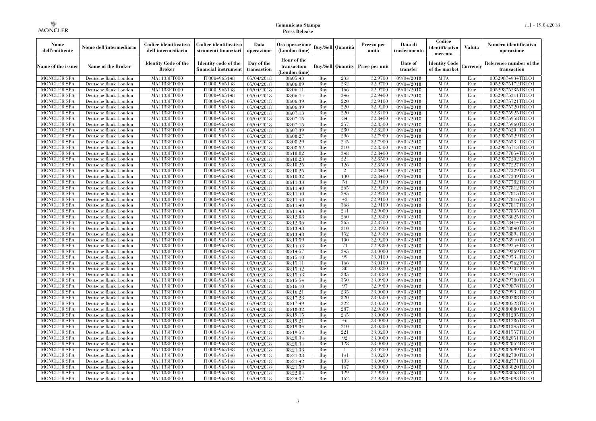| Nome<br>dell'emittente                   | Nome dell'intermediario                      | Codice identificativo<br>dell'intermediario | Codice identificativo<br>strumenti finanziari | Data<br>operazione        | Ora operazione<br>(London time)             |            | Buy/Sell   Quantità      | Prezzo per<br>unità | Data di<br>trasferimento          | Codice<br>identificativo<br>mercato   | <b>Valuta</b> | Numero identificativo<br>operazione    |
|------------------------------------------|----------------------------------------------|---------------------------------------------|-----------------------------------------------|---------------------------|---------------------------------------------|------------|--------------------------|---------------------|-----------------------------------|---------------------------------------|---------------|----------------------------------------|
| Name of the issuer                       | Name of the Broker                           | <b>Identity Code of the</b><br>Broker       | Identity code of the<br>financial instrument  | Day of the<br>transaction | Hour of the<br>transaction<br>(London time) |            | <b>Buy/Sell Quantity</b> | Price per unit      | Date of<br>transfer               | <b>Identity Code</b><br>of the market | Currencv      | Reference number of the<br>transaction |
| <b>MONCLER SPA</b>                       | Deutsche Bank London                         | MA1133FT000                                 | IT0004965148                                  | $\overline{05}/04/2018$   | 08:05:43                                    | Buy        | 233                      | 32,9700             | 09/04/2018                        | <b>MTA</b>                            | Eur           | 00529874934TRLO1                       |
| <b>MONCLER SPA</b>                       | Deutsche Bank London                         | <b>MA1133FT000</b>                          | IT0004965148                                  | $\overline{05}/04/2018$   | 08:06:09                                    | Buy        | 232                      | 32,9700             | 09/04/2018                        | <b>MTA</b>                            | Eur           | 00529875172TRLO1                       |
| <b>MONCLER SPA</b>                       | Deutsche Bank London                         | MA1133FT000                                 | IT0004965148                                  | 05/04/2018                | 08:06:11                                    | Buv        | 166                      | 32.9700             | 09/04/2018                        | <b>MTA</b>                            | Eur           | 00529875235TRLO1                       |
| <b>MONCLER SPA</b>                       | Deutsche Bank London                         | MA1133FT000                                 | IT0004965148                                  | 05/04/2018                | 08:06:14                                    | Buy        | 346<br>220               | 32,9400             | 09/04/2018                        | <b>MTA</b>                            | Eur           | 00529875311TRLO1                       |
| <b>MONCLER SPA</b>                       | Deutsche Bank London                         | MA1133FT000                                 | IT0004965148                                  | $\overline{05}/04/2018$   | 08:06:39                                    | Buy        | 220                      | 32,9100<br>32,9200  | $\sqrt{09}/04/2018$               | <b>MTA</b><br><b>MTA</b>              | Eur<br>Eur    | 00529875721TRLO1                       |
| <b>MONCLER SPA</b><br><b>MONCLER SPA</b> | Deutsche Bank London<br>Deutsche Bank London | <b>MA1133FT000</b><br>MA1133FT000           | IT0004965148<br>IT0004965148                  | 05/04/2018<br>05/04/2018  | 08:06:39<br>08:07:13                        | Buy<br>Buy | 220                      | 32,8400             | 09/04/2018<br>09/04/2018          | <b>MTA</b>                            | Eur           | 00529875720TRLO1<br>00529875925TRLO1   |
| <b>MONCLER SPA</b>                       | Deutsche Bank London                         | MA1133FT000                                 | IT0004965148                                  | 05/04/2018                | 08:07:15                                    | Buy        | 34                       | 32.8400             | 09/04/2018                        | <b>MTA</b>                            | Eur           | 00529875958TRLO1                       |
| <b>MONCLER SPA</b>                       | Deutsche Bank London                         | MA1133FT000                                 | IT0004965148                                  | $\overline{05}/04/2018$   | 08:07:15                                    | Buy        | 257                      | 32,8300             | 09/04/2018                        | <b>MTA</b>                            | Eur           | 00529875960TRLO1                       |
| <b>MONCLER SPA</b>                       | Deutsche Bank London                         | MA1133FT000                                 | IT0004965148                                  | 05/04/2018                | 08:07:39                                    | Buy        | 280                      | 32,8200             | $\sqrt{09}/04/2018$               | <b>MTA</b>                            | Eur           | 00529876204TRLO1                       |
| <b>MONCLER SPA</b>                       | Deutsche Bank London                         | MA1133FT000                                 | IT0004965148                                  | 05/04/2018                | 08:08:27                                    | Buy        | 296                      | 32,7900             | 09/04/2018                        | <b>MTA</b>                            | Eur           | 00529876529TRLO1                       |
| <b>MONCLER SPA</b>                       | Deutsche Bank London                         | MA1133FT000                                 | IT0004965148                                  | 05/04/2018                | 08:08:29                                    | Buy        | 245                      | 32,7900             | 09/04/2018                        | <b>MTA</b>                            | Eur           | 00529876534TRLO1                       |
| <b>MONCLER SPA</b>                       | Deutsche Bank London                         | MA1133FT000                                 | IT0004965148                                  | $\overline{05}/04/2018$   | 08:08:52                                    | Buy        | 310                      | 32,8300             | 09/04/2018                        | <b>MTA</b>                            | Eur           | 00529876713TRLO1                       |
| <b>MONCLER SPA</b>                       | Deutsche Bank London                         | MA1133FT000                                 | IT0004965148                                  | 05/04/2018                | 08:10:02                                    | Buy        | 348                      | 32,8400             | $\sqrt{09}/04/2018$               | <b>MTA</b>                            | Eur           | 00529877054TRLO1                       |
| <b>MONCLER SPA</b>                       | Deutsche Bank London                         | MA1133FT000                                 | IT0004965148                                  | 05/04/2018                | 08:10:23                                    | Buy        | 224                      | 32,8500             | 09/04/2018                        | <b>MTA</b>                            | Eur           | 00529877202TRLO1                       |
| <b>MONCLER SPA</b>                       | Deutsche Bank London                         | MA1133FT000                                 | IT0004965148                                  | 05/04/2018                | 08:10:25                                    | Buy        | 126                      | 32,8500             | 09/04/2018                        | <b>MTA</b>                            | Eur           | 00529877227TRLO1                       |
| <b>MONCLER SPA</b>                       | Deutsche Bank London                         | MA1133FT000                                 | IT0004965148                                  | $\overline{05/04/2018}$   | 08:10:25                                    | Buy        | $\overline{2}$           | 32.8400             | 09/04/2018                        | <b>MTA</b>                            | Eur           | 00529877229TRLO1                       |
| <b>MONCLER SPA</b>                       | Deutsche Bank London                         | MA1133FT000                                 | IT0004965148                                  | 05/04/2018                | 08:10:32                                    | Buy        | 130                      | 32,8400             | 09/04/2018                        | <b>MTA</b>                            | Eur           | 00529877339TRLO1                       |
| <b>MONCLER SPA</b>                       | Deutsche Bank London                         | MA1133FT000                                 | IT0004965148                                  | 05/04/2018                | 08:11:33                                    | Buy        | 54                       | 32,9100             | 09/04/2018                        | <b>MTA</b>                            | Eur           | 00529877782TRLO1                       |
| <b>MONCLER SPA</b>                       | Deutsche Bank London                         | MA1133FT000                                 | IT0004965148                                  | 05/04/2018                | 08:11:40                                    | Buy        | 265                      | 32,9200             | 09/04/2018                        | <b>MTA</b>                            | Eur           | 00529877812TRLO1                       |
| <b>MONCLER SPA</b>                       | Deutsche Bank London                         | MA1133FT000                                 | IT0004965148                                  | 05/04/2018                | 08:11:40                                    | Buy        | 245                      | 32,9200             | 09/04/2018                        | <b>MTA</b>                            | Eur           | 00529877815TRLO1                       |
| <b>MONCLER SPA</b>                       | Deutsche Bank London                         | MA1133FT000                                 | IT0004965148                                  | 05/04/2018                | 08:11:40                                    | Buy        | 42                       | 32,9100             | 09/04/2018                        | <b>MTA</b>                            | Eur           | 00529877816TRLO1                       |
| <b>MONCLER SPA</b>                       | Deutsche Bank London                         | MA1133FT000                                 | IT0004965148                                  | 05/04/2018                | 08:11:40                                    | Buy        | 368                      | 32,9100             | 09/04/2018                        | <b>MTA</b>                            | Eur           | 00529877817TRLO1                       |
| <b>MONCLER SPA</b>                       | Deutsche Bank London                         | MA1133FT000                                 | IT0004965148<br>IT0004965148                  | 05/04/2018                | 08:11:43                                    | Buy        | 241                      | 32,9000<br>32,9300  | 09/04/2018<br>09/04/2018          | <b>MTA</b><br><b>MTA</b>              | Eur           | 00529877855TRLO1                       |
| <b>MONCLER SPA</b><br><b>MONCLER SPA</b> | Deutsche Bank London<br>Deutsche Bank London | MA1133FT000<br>MA1133FT000                  | IT0004965148                                  | 05/04/2018<br>05/04/2018  | 08:12:08<br>08:12:36                        | Buy<br>Buy | 260<br>265               | 32,8700             | 09/04/2018                        | <b>MTA</b>                            | Eur<br>Eur    | 00529878025TRLO1<br>00529878414TRLO1   |
| <b>MONCLER SPA</b>                       | Deutsche Bank London                         | MA1133FT000                                 | IT0004965148                                  | 05/04/2018                | 08:13:43                                    | Buy        | 310                      | 32,8900             | 09/04/2018                        | <b>MTA</b>                            | Eur           | 00529878840TRLO1                       |
| <b>MONCLER SPA</b>                       | Deutsche Bank London                         | MA1133FT000                                 | IT0004965148                                  | 05/04/2018                | 08:13:48                                    | Buy        | 152                      | 32,9300             | 09/04/2018                        | <b>MTA</b>                            | Eur           | 00529878894TRLO1                       |
| <b>MONCLER SPA</b>                       | Deutsche Bank London                         | MA1133FT000                                 | IT0004965148                                  | 05/04/2018                | 08:13:59                                    | Buy        | 100                      | 32,9200             | 09/04/2018                        | <b>MTA</b>                            | Eur           | 00529878940TRLO1                       |
| <b>MONCLER SPA</b>                       | Deutsche Bank London                         | <b>MA1133FT000</b>                          | IT0004965148                                  | 05/04/2018                | 08:14:43                                    | Buy        | 71                       | 32,9800             | 09/04/2018                        | <b>MTA</b>                            | Eur           | 00529879254TRLO1                       |
| <b>MONCLER SPA</b>                       | Deutsche Bank London                         | MA1133FT000                                 | IT0004965148                                  | 05/04/2018                | 08:14:57                                    | Buy        | 245                      | 33,0000             | 09/04/2018                        | <b>MTA</b>                            | Eur           | 00529879369TRLO1                       |
| <b>MONCLER SPA</b>                       | Deutsche Bank London                         | MA1133FT000                                 | IT0004965148                                  | 05/04/2018                | 08:15:10                                    | Buy        | 99                       | 33,0100             | 09/04/2018                        | <b>MTA</b>                            | Eur           | 00529879534TRLO1                       |
| <b>MONCLER SPA</b>                       | Deutsche Bank London                         | MA1133FT000                                 | IT0004965148                                  | 05/04/2018                | 08:15:11                                    | Buy        | 166                      | 33,0100             | 09/04/2018                        | <b>MTA</b>                            | Eur           | 00529879562TRLO1                       |
| <b>MONCLER SPA</b>                       | Deutsche Bank London                         | <b>MA1133FT000</b>                          | IT0004965148                                  | 05/04/2018                | 08:15:42                                    | Buy        | 30                       | 33,0800             | 09/04/2018                        | <b>MTA</b>                            | Eur           | 00529879707TRLO1                       |
| <b>MONCLER SPA</b>                       | Deutsche Bank London                         | MA1133FT000                                 | IT0004965148                                  | 05/04/2018                | 08:15:43                                    | Buy        | 235                      | 33,0800             | 09/04/2018                        | <b>MTA</b>                            | Eur           | 00529879716TRLO1                       |
| <b>MONCLER SPA</b>                       | Deutsche Bank London                         | MA1133FT000                                 | IT0004965148                                  | 05/04/2018                | 08:15:54                                    | Buy        | 350                      | 33,0900             | 09/04/2018                        | <b>MTA</b>                            | Eur           | 00529879780TRLO1                       |
| <b>MONCLER SPA</b>                       | Deutsche Bank London                         | MA1133FT000                                 | IT0004965148                                  | 05/04/2018                | 08:16:10                                    | Buy        | 97                       | 32.9900             | 09/04/2018                        | <b>MTA</b>                            | Eur           | 00529879878TRLO1                       |
| <b>MONCLER SPA</b>                       | Deutsche Bank London                         | <b>MA1133FT000</b>                          | IT0004965148                                  | 05/04/2018                | 08:16:21                                    | Buy        | 235                      | 33,0000             | 09/04/2018                        | <b>MTA</b>                            | Eur           | 00529879934TRLO1                       |
| <b>MONCLER SPA</b>                       | Deutsche Bank London                         | MA1133FT000                                 | IT0004965148                                  | 05/04/2018                | 08:17:23                                    | Buy        | 320                      | 33,0500             | 09/04/2018                        | <b>MTA</b>                            | Eur           | 00529880288TRLO1                       |
| <b>MONCLER SPA</b>                       | Deutsche Bank London                         | <b>MA1133FT000</b>                          | IT0004965148                                  | 05/04/2018                | 08:17:49                                    | Buy        | 222                      | 33,0500             | 09/04/2018                        | <b>MTA</b>                            | Eur           | 00529880528TRLO1                       |
| <b>MONCLER SPA</b>                       | Deutsche Bank London                         | MA1133FT000                                 | IT0004965148                                  | 05/04/2018                | 08:18:32                                    | Buy        | 287                      | 32,9800             | 09/04/2018                        | <b>MTA</b>                            | Eur           | 00529880880TRLO1                       |
| <b>MONCLER SPA</b>                       | Deutsche Bank London                         | MA1133FT000                                 | IT0004965148                                  | 05/04/2018                | 08:19:15                                    | Buy        | 245                      | 33,0000             | 09/04/2018                        | <b>MTA</b>                            | Eur           | 00529881205TRLO1                       |
| <b>MONCLER SPA</b>                       | Deutsche Bank London                         | MA1133FT000                                 | IT0004965148                                  | 05/04/2018                | 08:19:21                                    | Buy        | 46                       | 33,0000             | 09/04/2018                        | <b>MTA</b>                            | Eur           | 00529881286TRLO1                       |
| <b>MONCLER SPA</b><br><b>MONCLER SPA</b> | Deutsche Bank London<br>Deutsche Bank London | MA1133FT000<br>MA1133FT000                  | IT0004965148<br>IT0004965148                  | 05/04/2018                | 08:19:34<br>08:19:52                        | Buy<br>Buy | 210<br>221               | 33,0300<br>33,0200  | $\sqrt{09}/04/2018$<br>09/04/2018 | <b>MTA</b><br><b>MTA</b>              | Eur<br>Eur    | 00529881345TRLO1<br>00529881557TRLO1   |
| <b>MONCLER SPA</b>                       | Deutsche Bank London                         | MA1133FT000                                 | IT0004965148                                  | 05/04/2018<br>05/04/2018  | 08:20:34                                    | Buy        | 92                       | 33,0000             | 09/04/2018                        | <b>MTA</b>                            | Eur           | 00529882051TRLO1                       |
| <b>MONCLER SPA</b>                       | Deutsche Bank London                         | MA1133FT000                                 | IT0004965148                                  | 05/04/2018                | 08:20:34                                    | Buy        | 128                      | 33,0000             | 09/04/2018                        | <b>MTA</b>                            | Eur           | 00529882052TRLO1                       |
| <b>MONCLER SPA</b>                       | Deutsche Bank London                         | MA1133FT000                                 | IT0004965148                                  | 05/04/2018                | 08:21:33                                    | Buy        | -1                       | 33,0200             | $\sqrt{09}/04/2018$               | <b>MTA</b>                            | Eur           | 00529882699TRLO1                       |
| <b>MONCLER SPA</b>                       | Deutsche Bank London                         | MA1133FT000                                 | IT0004965148                                  | 05/04/2018                | 08:21:33                                    | Buy        | 141                      | 33,0200             | 09/04/2018                        | <b>MTA</b>                            | Eur           | 00529882700TRLO1                       |
| <b>MONCLER SPA</b>                       | Deutsche Bank London                         | MA1133FT000                                 | IT0004965148                                  | 05/04/2018                | 08:21:42                                    | Buy        | 103                      | 33,0000             | 09/04/2018                        | <b>MTA</b>                            | Eur           | 00529882771TRLO1                       |
| <b>MONCLER SPA</b>                       | Deutsche Bank London                         | MA1133FT000                                 | IT0004965148                                  | 05/04/2018                | 08:21:59                                    | Buy        | 167                      | 33,0000             | 09/04/2018                        | <b>MTA</b>                            | Eur           | 00529883020TRLO1                       |
| <b>MONCLER SPA</b>                       | Deutsche Bank London                         | MA1133FT000                                 | IT0004965148                                  | 05/04/2018                | 08:22:04                                    | Buy        | 129                      | 32,9900             | 09/04/2018                        | <b>MTA</b>                            | Eur           | 00529883063TRLO1                       |
| <b>MONCLER SPA</b>                       | Deutsche Bank London                         | MA1133FT000                                 | IT0004965148                                  | 05/04/2018                | 08:24:37                                    | Buy        | 162                      | 32,9800             | 09/04/2018                        | <b>MTA</b>                            | Eur           | 00529884093TRLO1                       |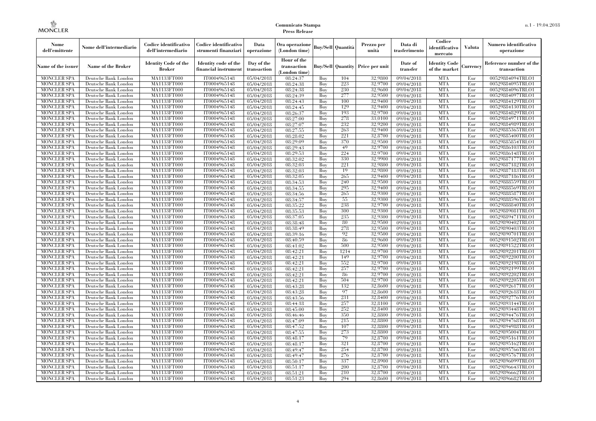| Nome<br>dell'emittente                   | Nome dell'intermediario                      | Codice identificativo<br>dell'intermediario  | Codice identificativo<br>strumenti finanziari | Data<br>operazione                    | Ora operazione<br>(London time)            |            | <b>Buy/Sell Quantità</b> | Prezzo per<br>unità                     | Data di<br>trasferimento           | Codice<br>identificativo<br>mercato   | Valuta          | Numero identificativo<br>operazione    |
|------------------------------------------|----------------------------------------------|----------------------------------------------|-----------------------------------------------|---------------------------------------|--------------------------------------------|------------|--------------------------|-----------------------------------------|------------------------------------|---------------------------------------|-----------------|----------------------------------------|
| Name of the issuer                       | Name of the Broker                           | <b>Identity Code of the</b><br><b>Broker</b> | Identity code of the<br>financial instrument  | Day of the<br>transaction             | Hour of the<br>transaction<br>(London time |            |                          | <b>Buy/Sell Quantity Price per unit</b> | Date of<br>transfer                | <b>Identity Code</b><br>of the market | <b>lurrencv</b> | Reference number of the<br>transaction |
| <b>MONCLER SPA</b>                       | Deutsche Bank London                         | MA1133FT000                                  | IT0004965148                                  | 05/04/2018                            | 08:24:37                                   | Buy        | 104                      | 32,9800                                 | 09/04/2018                         | <b>MTA</b>                            | Eur             | 00529884094TRLO1                       |
| <b>MONCLER SPA</b>                       | Deutsche Bank London                         | <b>MA1133FT000</b>                           | IT0004965148                                  | 05/04/2018                            | 08:24:38                                   | Buy        | 223                      | 32,9700                                 | 09/04/2018                         | <b>MTA</b>                            | Eur             | 00529884095TRLO1                       |
| <b>MONCLER SPA</b>                       | Deutsche Bank London                         | MA1133FT000                                  | IT0004965148                                  | 05/04/2018                            | 08:24:38                                   | Buy        | 230                      | 32,9600                                 | 09/04/2018                         | <b>MTA</b>                            | Eur             | 00529884096TRLO1                       |
| <b>MONCLER SPA</b>                       | Deutsche Bank London                         | MA1133FT000                                  | IT0004965148                                  | 05/04/2018                            | 08:24:39                                   | Buv        | 277                      | 32,9500                                 | 09/04/2018                         | <b>MTA</b>                            | Eur             | 00529884097TRLO1                       |
| <b>MONCLER SPA</b>                       | Deutsche Bank London                         | MA1133FT000                                  | IT0004965148                                  | 05/04/2018                            | 08:24:43                                   | Buv        | 100                      | 32.9400                                 | 09/04/2018                         | <b>MTA</b>                            | Eur             | 00529884129TRLO1                       |
| <b>MONCLER SPA</b>                       | Deutsche Bank London                         | MA1133FT000                                  | IT0004965148                                  | 05/04/2018                            | 08:24:45                                   | Buy        | 129                      | 32,9400                                 | 09/04/2018                         | <b>MTA</b>                            | Eur             | 00529884130TRLO1                       |
| <b>MONCLER SPA</b><br><b>MONCLER SPA</b> | Deutsche Bank London<br>Deutsche Bank London | <b>MA1133FT000</b><br>MA1133FT000            | IT0004965148                                  | 05/04/2018                            | 08:26:37<br>08:27:00                       | Buy<br>Buv | 193<br>278               | 32,9700<br>33,0100                      | 09/04/2018<br>09/04/2018           | <b>MTA</b><br><b>MTA</b>              | Eur<br>Eur      | 00529884829TRLO1<br>00529884971TRLO1   |
| <b>MONCLER SPA</b>                       | Deutsche Bank London                         | MA1133FT000                                  | IT0004965148<br>IT0004965148                  | 05/04/2018<br>$\overline{05}/04/2018$ | 08:27:07                                   | Buv        | 232                      | 32.9200                                 | 09/04/2018                         | <b>MTA</b>                            | Eur             | 00529884989TRLO1                       |
| <b>MONCLER SPA</b>                       | Deutsche Bank London                         | MA1133FT000                                  | IT0004965148                                  | 05/04/2018                            | 08:27:55                                   | Buy        | 263                      | 32,9400                                 | 09/04/2018                         | <b>MTA</b>                            | Eur             | 00529885365TRLO1                       |
| <b>MONCLER SPA</b>                       | Deutsche Bank London                         | MA1133FT000                                  | IT0004965148                                  | 05/04/2018                            | 08:28:02                                   | Buy        | 221                      | 32,8700                                 | 09/04/2018                         | <b>MTA</b>                            | Eur             | 00529885400TRLO1                       |
| <b>MONCLER SPA</b>                       | Deutsche Bank London                         | MA1133FT000                                  | IT0004965148                                  | 05/04/2018                            | 08:29:09                                   | Buv        | 370                      | 32,9500                                 | 09/04/2018                         | <b>MTA</b>                            | Eur             | 00529885854TRLO1                       |
| <b>MONCLER SPA</b>                       | Deutsche Bank London                         | MA1133FT000                                  | IT0004965148                                  | 05/04/2018                            | 08:29:43                                   | Buy        | 49                       | 32,9700                                 | 09/04/2018                         | <b>MTA</b>                            | Eur             | 00529886103TRLO1                       |
| <b>MONCLER SPA</b>                       | Deutsche Bank London                         | MA1133FT000                                  | IT0004965148                                  | 05/04/2018                            | 08:29:53                                   | Buv        | 224                      | 32,9700                                 | 09/04/2018                         | <b>MTA</b>                            | Eur             | 00529886148TRLO1                       |
| <b>MONCLER SPA</b>                       | Deutsche Bank London                         | MA1133FT000                                  | IT0004965148                                  | 05/04/2018                            | 08:32:02                                   | Buv        | 330                      | 32,9900                                 | 09/04/2018                         | <b>MTA</b>                            | Eur             | 00529887177TRLO1                       |
| <b>MONCLER SPA</b>                       | Deutsche Bank London                         | MA1133FT000                                  | IT0004965148                                  | 05/04/2018                            | 08:32:03                                   | Buv        | 221                      | 32,9800                                 | 09/04/2018                         | <b>MTA</b>                            | Eur             | 00529887182TRLO1                       |
| <b>MONCLER SPA</b>                       | Deutsche Bank London                         | MA1133FT000                                  | IT0004965148                                  | 05/04/2018                            | 08:32:03                                   | Buy        | 19                       | 32,9800                                 | 09/04/2018                         | <b>MTA</b>                            | Eur             | 00529887183TRLO1                       |
| <b>MONCLER SPA</b>                       | Deutsche Bank London                         | <b>MA1133FT000</b>                           | IT0004965148                                  | 05/04/2018                            | 08:32:05                                   | Buy        | 265                      | 32,9400                                 | 09/04/2018                         | <b>MTA</b>                            | Eur             | 00529887186TRLO1                       |
| <b>MONCLER SPA</b>                       | Deutsche Bank London                         | MA1133FT000                                  | IT0004965148                                  | 05/04/2018                            | 08:34:53                                   | Buy        | 240                      | 32,9500                                 | 09/04/2018                         | <b>MTA</b>                            | Eur             | 00529888559TRLO1                       |
| <b>MONCLER SPA</b>                       | Deutsche Bank London                         | MA1133FT000                                  | IT0004965148                                  | 05/04/2018                            | 08:34:55                                   | Buv        | 295                      | 32.9400                                 | 09/04/2018                         | <b>MTA</b>                            | Eur             | 00529888569TRLO1                       |
| <b>MONCLER SPA</b>                       | Deutsche Bank London                         | MA1133FT000                                  | IT0004965148                                  | 05/04/2018                            | 08:34:56                                   | Buy        | 265                      | 32,9300                                 | 09/04/2018                         | <b>MTA</b>                            | Eur             | 00529888587TRLO1                       |
| <b>MONCLER SPA</b>                       | Deutsche Bank London                         | <b>MA1133FT000</b>                           | IT0004965148                                  | 05/04/2018                            | 08:34:57                                   | Buy        | 55                       | 32,9300                                 | 09/04/2018                         | <b>MTA</b>                            | Eur             | 00529888596TRLO1                       |
| <b>MONCLER SPA</b>                       | Deutsche Bank London                         | MA1133FT000                                  | IT0004965148                                  | 05/04/2018                            | 08:35:22                                   | Buy        | 238                      | 32,9700                                 | 09/04/2018                         | <b>MTA</b>                            | Eur             | 00529888840TRLO1                       |
| <b>MONCLER SPA</b>                       | Deutsche Bank London                         | MA1133FT000                                  | IT0004965148                                  | 05/04/2018                            | 08:35:53                                   | Buy        | 300                      | 32,9300                                 | 09/04/2018                         | <b>MTA</b>                            | Eur             | 00529889081TRLO1                       |
| <b>MONCLER SPA</b>                       | Deutsche Bank London                         | MA1133FT000                                  | IT0004965148                                  | 05/04/2018                            | 08:37:05                                   | Buv        | 235                      | 32.9300                                 | 09/04/2018                         | <b>MTA</b>                            | Eur             | 00529889471TRLO1                       |
| <b>MONCLER SPA</b>                       | Deutsche Bank London                         | MA1133FT000                                  | IT0004965148                                  | 05/04/2018                            | 08:38:48                                   | Buy        | 80                       | 32,9500                                 | 09/04/2018                         | <b>MTA</b>                            | Eur             | 00529890402TRLO1                       |
| <b>MONCLER SPA</b>                       | Deutsche Bank London                         | MA1133FT000                                  | IT0004965148                                  | 05/04/2018                            | 08:38:49                                   | Buy        | 278                      | 32,9500                                 | 09/04/2018                         | <b>MTA</b>                            | Eur             | 00529890403TRLO1                       |
| <b>MONCLER SPA</b>                       | Deutsche Bank London                         | MA1133FT000                                  | IT0004965148                                  | 05/04/2018                            | 08:39:16                                   | Buy        | 92                       | 32,9500                                 | 09/04/2018                         | <b>MTA</b>                            | Eur             | 00529890701TRLO1                       |
| <b>MONCLER SPA</b>                       | Deutsche Bank London                         | MA1133FT000                                  | IT0004965148                                  | 05/04/2018                            | 08:40:59                                   | Buy        | 86                       | 32,9600                                 | 09/04/2018                         | <b>MTA</b>                            | Eur             | 00529891502TRLO1                       |
| <b>MONCLER SPA</b>                       | Deutsche Bank London                         | MA1133FT000                                  | IT0004965148                                  | 05/04/2018                            | 08:41:02                                   | Buy        | 500                      | 32,9500                                 | 09/04/2018                         | <b>MTA</b>                            | Eur             | 00529891522TRLO1                       |
| <b>MONCLER SPA</b>                       | Deutsche Bank London                         | MA1133FT000                                  | IT0004965148                                  | 05/04/2018                            | 08:42:21                                   | Buy        | 1214                     | 32,9700                                 | 09/04/2018                         | <b>MTA</b>                            | Eur             | 00529892201TRLO1                       |
| <b>MONCLER SPA</b>                       | Deutsche Bank London                         | MA1133FT000                                  | IT0004965148                                  | 05/04/2018                            | 08:42:21                                   | Buy        | 149                      | 32,9700                                 | 09/04/2018                         | <b>MTA</b>                            | Eur             | 00529892200TRLO1                       |
| <b>MONCLER SPA</b>                       | Deutsche Bank London                         | MA1133FT000                                  | IT0004965148                                  | 05/04/2018                            | 08:42:21                                   | Buy        | 552                      | 32,9700                                 | 09/04/2018                         | <b>MTA</b>                            | Eur             | 00529892198TRLO1                       |
| <b>MONCLER SPA</b>                       | Deutsche Bank London                         | <b>MA1133FT000</b>                           | IT0004965148                                  | 05/04/2018                            | 08:42:21                                   | Buy        | 257                      | 32,9700                                 | 09/04/2018                         | <b>MTA</b>                            | Eur             | 00529892199TRLO1                       |
| <b>MONCLER SPA</b>                       | Deutsche Bank London                         | <b>MA1133FT000</b>                           | IT0004965148                                  | 05/04/2018                            | 08:42:21                                   | Buy        | 86                       | 32,9700                                 | 09/04/2018                         | <b>MTA</b>                            | Eur             | 00529892202TRLO1                       |
| <b>MONCLER SPA</b>                       | Deutsche Bank London                         | MA1133FT000                                  | IT0004965148                                  | 05/04/2018                            | 08:42:21                                   | Buy        | 504                      | 32,9700                                 | 09/04/2018                         | <b>MTA</b>                            | Eur             | 00529892205TRLO1                       |
| <b>MONCLER SPA</b>                       | Deutsche Bank London                         | MA1133FT000                                  | IT0004965148                                  | 05/04/2018                            | 08:43:28                                   | Buy        | 132                      | 32,8600                                 | 09/04/2018                         | <b>MTA</b>                            | Eur             | 00529892617TRLO1                       |
| <b>MONCLER SPA</b>                       | Deutsche Bank London                         | <b>MA1133FT000</b>                           | IT0004965148                                  | 05/04/2018                            | 08:43:28                                   | Buy        | 97                       | 32,8600                                 | 09/04/2018                         | <b>MTA</b>                            | Eur             | 00529892618TRLO1                       |
| <b>MONCLER SPA</b>                       | Deutsche Bank London                         | MA1133FT000                                  | IT0004965148                                  | 05/04/2018                            | 08:43:56                                   | Buy        | 231                      | 32,8400                                 | 09/04/2018                         | <b>MTA</b>                            | Eur             | 00529892776TRLO1                       |
| <b>MONCLER SPA</b>                       | Deutsche Bank London                         | MA1133FT000                                  | IT0004965148                                  | 05/04/2018                            | 08:44:18                                   | Buy<br>Buv | 257                      | 32,8100                                 | 09/04/2018                         | <b>MTA</b>                            | Eur<br>Eur      | 00529893144TRLO1                       |
| <b>MONCLER SPA</b>                       | Deutsche Bank London                         | MA1133FT000                                  | IT0004965148                                  | 05/04/2018                            | 08:45:00                                   |            | 252<br>350               | 32,8400<br>32,8800                      | 09/04/2018<br>09/04/2018           | <b>MTA</b><br><b>MTA</b>              |                 | 00529893448TRLO1                       |
| <b>MONCLER SPA</b><br><b>MONCLER SPA</b> | Deutsche Bank London                         | MA1133FT000<br>MA1133FT000                   | IT0004965148<br>IT0004965148                  | 05/04/2018                            | 08:46:46<br>08:47:09                       | Buy<br>Buy | 215                      | 32,8800                                 | 09/04/2018                         | <b>MTA</b>                            | Eur<br>Eur      | 00529894476TRLO1<br>00529894768TRLO1   |
| <b>MONCLER SPA</b>                       | Deutsche Bank London                         | MA1133FT000                                  | IT0004965148                                  | 05/04/2018                            |                                            |            | 107                      | 32,8800                                 |                                    | <b>MTA</b>                            |                 |                                        |
| <b>MONCLER SPA</b>                       | Deutsche Bank London                         | MA1133FT000                                  | IT0004965148                                  | 05/04/2018                            | 08:47:52                                   | Buy<br>Buy | 273                      | 32,8800                                 | $\frac{09}{04/2018}$<br>09/04/2018 | <b>MTA</b>                            | Eur<br>Eur      | 00529894988TRLO1<br>00529895004TRLO1   |
| <b>MONCLER SPA</b>                       | Deutsche Bank London<br>Deutsche Bank London | MA1133FT000                                  | IT0004965148                                  | 05/04/2018<br>05/04/2018              | 08:47:55<br>08:48:17                       | Buy        | 79                       | 32,8700                                 | 09/04/2018                         | <b>MTA</b>                            | Eur             | 00529895161TRLO1                       |
| <b>MONCLER SPA</b>                       | Deutsche Bank London                         | MA1133FT000                                  | IT0004965148                                  | 05/04/2018                            | 08:48:17                                   | Buy        | 321                      | 32,8700                                 | 09/04/2018                         | <b>MTA</b>                            | Eur             | 00529895162TRLO1                       |
| <b>MONCLER SPA</b>                       | Deutsche Bank London                         | MA1133FT000                                  | IT0004965148                                  | 05/04/2018                            | 08:49:47                                   | Buy        | 254                      | 32,8700                                 | 09/04/2018                         | <b>MTA</b>                            | Eur             | 00529895766TRLO1                       |
| <b>MONCLER SPA</b>                       | Deutsche Bank London                         | MA1133FT000                                  | IT0004965148                                  | 05/04/2018                            | 08:49:47                                   | Buy        | 276                      | 32,8700                                 | 09/04/2018                         | <b>MTA</b>                            | Eur             | 00529895767TRLO1                       |
| <b>MONCLER SPA</b>                       | Deutsche Bank London                         | MA1133FT000                                  | IT0004965148                                  | 05/04/2018                            | 08:50:17                                   | Buy        | 337                      | 32,8900                                 | 09/04/2018                         | <b>MTA</b>                            | Eur             | 00529896099TRLO1                       |
| <b>MONCLER SPA</b>                       | Deutsche Bank London                         | MA1133FT000                                  | IT0004965148                                  | 05/04/2018                            | 08:51:17                                   | Buy        | 200                      | 32,8700                                 | 09/04/2018                         | <b>MTA</b>                            | Eur             | 00529896643TRLO1                       |
| <b>MONCLER SPA</b>                       | Deutsche Bank London                         | MA1133FT000                                  | IT0004965148                                  | 05/04/2018                            | 08:51:21                                   | Buy        | 210                      | 32,8700                                 | 09/04/2018                         | <b>MTA</b>                            | Eur             | 00529896662TRLO1                       |
| <b>MONCLER SPA</b>                       | Deutsche Bank London                         | MA1133FT000                                  | IT0004965148                                  | 05/04/2018                            | 08:51:23                                   | Buy        | 294                      | 32,8600                                 | 09/04/2018                         | <b>MTA</b>                            | Eur             | 00529896682TRLO1                       |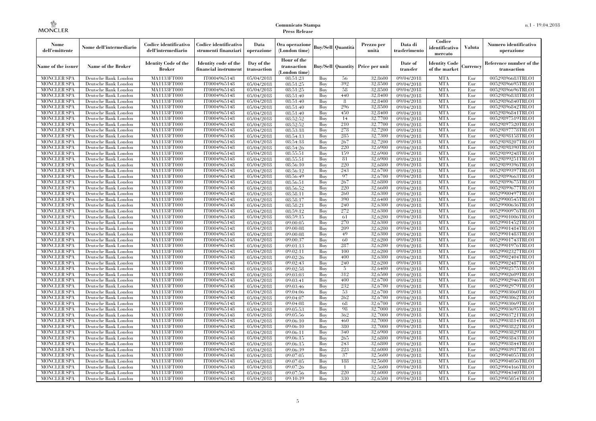| Nome<br>dell'emittente                   | Nome dell'intermediario                      | Codice identificativo<br>dell'intermediario  | Codice identificativo<br>strumenti finanziari | Data<br>operazione        | Ora operazione<br>(London time)             |            | <b>Buy/Sell Quantità</b> | Prezzo per<br>unità                     | Data di<br>trasferimento | Codice<br>identificativo<br>mercato   | <b>Valuta</b> | Numero identificativo<br>operazione    |
|------------------------------------------|----------------------------------------------|----------------------------------------------|-----------------------------------------------|---------------------------|---------------------------------------------|------------|--------------------------|-----------------------------------------|--------------------------|---------------------------------------|---------------|----------------------------------------|
| Name of the issuer                       | Name of the Broker                           | <b>Identity Code of the</b><br><b>Broker</b> | Identity code of the<br>financial instrument  | Day of the<br>transaction | Hour of the<br>transaction<br>(London time) |            |                          | <b>Buy/Sell Quantity Price per unit</b> | Date of<br>transfer      | <b>Identity Code</b><br>of the market | Currency      | Reference number of the<br>transaction |
| <b>MONCLER SPA</b>                       | Deutsche Bank London                         | MA1133FT000                                  | IT0004965148                                  | 05/04/2018                | 08:51:23                                    | Buy        | 56                       | 32,8600                                 | 09/04/2018               | <b>MTA</b>                            | Eur           | 00529896683TRLO1                       |
| <b>MONCLER SPA</b>                       | Deutsche Bank London                         | MA1133FT000                                  | IT0004965148                                  | 05/04/2018                | 08:51:25                                    | Buy        | 392                      | 32,8500                                 | 09/04/2018               | <b>MTA</b>                            | Eur           | 00529896695TRLO1                       |
| <b>MONCLER SPA</b>                       | Deutsche Bank London                         | MA1133FT000                                  | IT0004965148                                  | 05/04/2018                | 08:51:25                                    | Buy        | 58                       | 32,8500                                 | 09/04/2018               | <b>MTA</b>                            | Eur           | 00529896696TRLO1                       |
| <b>MONCLER SPA</b>                       | Deutsche Bank London                         | MA1133FT000                                  | IT0004965148                                  | 05/04/2018                | 08:51:40                                    | Buy        | 440                      | 32.8400                                 | 09/04/2018               | <b>MTA</b>                            | Eur           | 00529896838TRLO1                       |
| <b>MONCLER SPA</b>                       | Deutsche Bank London                         | MA1133FT000<br><b>MA1133FT000</b>            | IT0004965148                                  | 05/04/2018                | 08:51:40                                    | Buy        | -8                       | 32,8400                                 | 09/04/2018               | <b>MTA</b>                            | Eur           | 00529896840TRLO1                       |
| <b>MONCLER SPA</b>                       | Deutsche Bank London                         |                                              | IT0004965148                                  | 05/04/2018                | 08:51:40                                    | Buy        | 296                      | 32,8500                                 | 09/04/2018               | <b>MTA</b>                            | Eur           | 00529896842TRLO1                       |
| <b>MONCLER SPA</b>                       | Deutsche Bank London                         | MA1133FT000                                  | IT0004965148<br>IT0004965148                  | 05/04/2018                | 08:51:40                                    | Buy        | 450                      | 32,8400                                 | 09/04/2018               | <b>MTA</b>                            | Eur           | 00529896841TRLO1<br>00529897519TRLO1   |
| <b>MONCLER SPA</b><br><b>MONCLER SPA</b> | Deutsche Bank London<br>Deutsche Bank London | MA1133FT000<br><b>MA1133FT000</b>            | IT0004965148                                  | 05/04/2018<br>05/04/2018  | 08:52:52                                    | Buy<br>Buy | 14<br>210                | 32,7700<br>32,7700                      | 09/04/2018               | <b>MTA</b><br><b>MTA</b>              | Eur<br>Eur    | 00529897520TRLO1                       |
| <b>MONCLER SPA</b>                       | Deutsche Bank London                         | <b>MA1133FT000</b>                           | IT0004965148                                  | 05/04/2018                | 08:52:52<br>08:53:18                        | Buy        | 278                      | 32,7200                                 | 09/04/2018<br>09/04/2018 | <b>MTA</b>                            | Eur           | 00529897778TRLO1                       |
| <b>MONCLER SPA</b>                       | Deutsche Bank London                         | MA1133FT000                                  | IT0004965148                                  | 05/04/2018                | 08:54:13                                    | Buy        | 285                      | 32,7300                                 | 09/04/2018               | <b>MTA</b>                            | Eur           | 00529898158TRLO1                       |
| <b>MONCLER SPA</b>                       | Deutsche Bank London                         | MA1133FT000                                  | IT0004965148                                  | 05/04/2018                | 08:54:18                                    | Buy        | 267                      | 32,7200                                 | 09/04/2018               | <b>MTA</b>                            | Eur           | 00529898207TRLO1                       |
| <b>MONCLER SPA</b>                       | Deutsche Bank London                         | MA1133FT000                                  | IT0004965148                                  | 05/04/2018                | 08:54:26                                    | Buy        | 220                      | 32,6900                                 | 09/04/2018               | <b>MTA</b>                            | Eur           | 00529898390TRLO1                       |
| <b>MONCLER SPA</b>                       | Deutsche Bank London                         | MA1133FT000                                  | IT0004965148                                  | 05/04/2018                | 08:55:51                                    | Buy        | 159                      | 32,6900                                 | 09/04/2018               | <b>MTA</b>                            | Eur           | 00529899248TRLO1                       |
| MONCLER SPA                              | Deutsche Bank London                         | MA1133FT000                                  | IT0004965148                                  | 05/04/2018                | 08:55:51                                    | Buy        | 81                       | 32,6900                                 | 09/04/2018               | <b>MTA</b>                            | Eur           | 00529899251TRLO1                       |
| <b>MONCLER SPA</b>                       | Deutsche Bank London                         | <b>MA1133FT000</b>                           | IT0004965148                                  | 05/04/2018                | 08:56:10                                    | Buy        | 220                      | 32.6800                                 | 09/04/2018               | <b>MTA</b>                            | Eur           | 00529899396TRLO1                       |
| <b>MONCLER SPA</b>                       | Deutsche Bank London                         | MA1133FT000                                  | IT0004965148                                  | 05/04/2018                | 08:56:12                                    | Buy        | 243                      | 32,6700                                 | 09/04/2018               | <b>MTA</b>                            | Eur           | 00529899397TRLO1                       |
| <b>MONCLER SPA</b>                       | Deutsche Bank London                         | MA1133FT000                                  | IT0004965148                                  | 05/04/2018                | 08:56:49                                    | Buy        | 97                       | 32,6700                                 | $\frac{09}{04/2018}$     | <b>MTA</b>                            | Eur           | 00529899663TRLO1                       |
| <b>MONCLER SPA</b>                       | Deutsche Bank London                         | MA1133FT000                                  | IT0004965148                                  | 05/04/2018                | 08:56:51                                    | Buy        | 267                      | 32,6800                                 | 09/04/2018               | <b>MTA</b>                            | Eur           | 00529899675TRLO1                       |
| <b>MONCLER SPA</b>                       | Deutsche Bank London                         | MA1133FT000                                  | IT0004965148                                  | 05/04/2018                | 08:56:52                                    | Buy        | 220                      | 32,6600                                 | 09/04/2018               | <b>MTA</b>                            | Eur           | 00529899677TRLO1                       |
| <b>MONCLER SPA</b>                       | Deutsche Bank London                         | <b>MA1133FT000</b>                           | IT0004965148                                  | 05/04/2018                | 08:58:11                                    | Buy        | 260                      | 32,6300                                 | 09/04/2018               | <b>MTA</b>                            | Eur           | 00529900497TRLO1                       |
| <b>MONCLER SPA</b>                       | Deutsche Bank London                         | MA1133FT000                                  | IT0004965148                                  | 05/04/2018                | 08:58:17                                    | Buy        | 390                      | 32,6400                                 | 09/04/2018               | <b>MTA</b>                            | Eur           | 00529900545TRLO1                       |
| <b>MONCLER SPA</b>                       | Deutsche Bank London                         | <b>MA1133FT000</b>                           | IT0004965148                                  | 05/04/2018                | 08:58:21                                    | Buy        | 240                      | 32,6300                                 | 09/04/2018               | <b>MTA</b>                            | Eur           | 00529900636TRLO1                       |
| MONCLER SPA                              | Deutsche Bank London                         | MA1133FT000                                  | IT0004965148                                  | 05/04/2018                | 08:59:12                                    | Buy        | 272                      | 32,6300                                 | 09/04/2018               | <b>MTA</b>                            | Eur           | 00529900976TRLO1                       |
| <b>MONCLER SPA</b>                       | Deutsche Bank London                         | MA1133FT000                                  | IT0004965148                                  | 05/04/2018                | 08:59:15                                    | Buy        | 61                       | 32,6200                                 | 09/04/2018               | <b>MTA</b>                            | Eur           | 00529901006TRLO1                       |
| <b>MONCLER SPA</b>                       | Deutsche Bank London                         | MA1133FT000                                  | IT0004965148                                  | 05/04/2018                | 09:00:05                                    | Buy        | 270                      | 32,6300                                 | 09/04/2018               | <b>MTA</b>                            | Eur           | 00529901452TRLO1                       |
| <b>MONCLER SPA</b>                       | Deutsche Bank London                         | MA1133FT000                                  | IT0004965148                                  | 05/04/2018                | 09:00:08                                    | Buy        | 209                      | 32,6200                                 | 09/04/2018               | <b>MTA</b>                            | Eur           | 00529901484TRLO1                       |
| <b>MONCLER SPA</b>                       | Deutsche Bank London                         | MA1133FT000                                  | IT0004965148                                  | 05/04/2018                | 09:00:08                                    | Buy        | 49                       | 32,6300                                 | 09/04/2018               | <b>MTA</b>                            | Eur           | 00529901483TRLO1                       |
| <b>MONCLER SPA</b>                       | Deutsche Bank London                         | <b>MA1133FT000</b>                           | IT0004965148                                  | 05/04/2018                | 09:00:37                                    | Buy        | 60                       | 32,6200                                 | 09/04/2018               | <b>MTA</b>                            | Eur           | 00529901743TRLO1                       |
| <b>MONCLER SPA</b>                       | Deutsche Bank London                         | MA1133FT000                                  | IT0004965148                                  | 05/04/2018                | 09:01:13                                    | Buy        | 287                      | 32,6200                                 | 09/04/2018               | <b>MTA</b>                            | Eur           | 00529901976TRLO1                       |
| <b>MONCLER SPA</b>                       | Deutsche Bank London                         | MA1133FT000                                  | IT0004965148                                  | 05/04/2018                | 09:02:11                                    | Buy        | 100                      | 32,6200                                 | 09/04/2018               | <b>MTA</b>                            | Eur           | 00529902327TRLO1                       |
| <b>MONCLER SPA</b>                       | Deutsche Bank London                         | MA1133FT000                                  | IT0004965148                                  | 05/04/2018                | 09:02:26                                    | Buy        | 400                      | 32,6300                                 | 09/04/2018               | <b>MTA</b>                            | Eur           | 00529902404TRLO1                       |
| <b>MONCLER SPA</b>                       | Deutsche Bank London                         | MA1133FT000                                  | IT0004965148                                  | 05/04/2018                | 09:02:43                                    | Buy        | 240                      | 32,6200                                 | 09/04/2018               | <b>MTA</b>                            | Eur           | 00529902487TRLO1                       |
| <b>MONCLER SPA</b>                       | Deutsche Bank London                         | <b>MA1133FT000</b>                           | IT0004965148                                  | 05/04/2018                | 09:02:58                                    | Buy        | -5                       | 32,6400                                 | 09/04/2018               | <b>MTA</b>                            | Eur           | 00529902575TRLO1                       |
| <b>MONCLER SPA</b>                       | Deutsche Bank London                         | <b>MA1133FT000</b>                           | IT0004965148                                  | 05/04/2018                | 09:03:03                                    | Buy        | 312                      | 32,6500                                 | 09/04/2018               | <b>MTA</b>                            | Eur           | 00529902609TRLO1                       |
| <b>MONCLER SPA</b>                       | Deutsche Bank London                         | <b>MA1133FT000</b>                           | IT0004965148                                  | 05/04/2018                | 09:03:41                                    | Buy        | 400                      | 32,6700                                 | 09/04/2018               | <b>MTA</b>                            | Eur           | 00529902946TRLO1                       |
| <b>MONCLER SPA</b>                       | Deutsche Bank London                         | MA1133FT000                                  | IT0004965148                                  | 05/04/2018                | 09:03:46                                    | Buy        | 232                      | 32,6700                                 | 09/04/2018               | <b>MTA</b>                            | Eur           | 00529902979TRLO1                       |
| <b>MONCLER SPA</b>                       | Deutsche Bank London                         | MA1133FT000                                  | IT0004965148                                  | 05/04/2018                | 09:04:06                                    | Buy        | 53                       | 32,6700                                 | 09/04/2018               | <b>MTA</b>                            | Eur           | 00529903060TRLO1                       |
| <b>MONCLER SPA</b>                       | Deutsche Bank London                         | MA1133FT000                                  | IT0004965148                                  | 05/04/2018                | 09:04:07                                    | Buy        | 262                      | 32.6700                                 | 09/04/2018               | <b>MTA</b>                            | Eur           | 00529903062TRLO1                       |
| MONCLER SPA                              | Deutsche Bank London                         | MA1133FT000                                  | IT0004965148                                  | 05/04/2018                | 09:04:08                                    | Buy        | 68                       | 32,6700                                 | 09/04/2018               | <b>MTA</b>                            | Eur           | 00529903069TRLO1                       |
| <b>MONCLER SPA</b>                       | Deutsche Bank London                         | MA1133FT000                                  | IT0004965148                                  | 05/04/2018                | 09:05:53                                    | Buy        | 98                       | 32.7000                                 | 09/04/2018               | <b>MTA</b>                            | Eur           | 00529903695TRLO1                       |
| <b>MONCLER SPA</b>                       | Deutsche Bank London                         | MA1133FT000                                  | IT0004965148                                  | 05/04/2018                | 09:05:56                                    | Buy        | 362                      | 32,7000                                 | 09/04/2018               | <b>MTA</b>                            | Eur           | 00529903721TRLO1                       |
| <b>MONCLER SPA</b>                       | Deutsche Bank London                         | MA1133FT000                                  | IT0004965148                                  | 05/04/2018                | 09:06:10                                    | Buy        | 460                      | 32,7000                                 | $\frac{09}{04/2018}$     | <b>MTA</b>                            | Eur           | 00529903814TRLO1                       |
| <b>MONCLER SPA</b>                       | Deutsche Bank London                         | MA1133FT000                                  | IT0004965148                                  | 05/04/2018                | $\overline{09:06:10}$                       | Buy        | 380                      | 32,7000                                 | 09/04/2018               | <b>MTA</b>                            | Eur           | 00529903822TRLO1                       |
| <b>MONCLER SPA</b>                       | Deutsche Bank London                         | MA1133FT000                                  | IT0004965148                                  | 05/04/2018                | 09:06:11                                    | Buy        | 340                      | 32,6900                                 | $\overline{09}/04/2018$  | <b>MTA</b>                            | Eur           | 00529903829TRLO1                       |
| <b>MONCLER SPA</b>                       | Deutsche Bank London                         | MA1133FT000                                  | IT0004965148                                  | 05/04/2018                | 09:06:15                                    | Buy        | 265                      | 32,6800                                 | 09/04/2018               | <b>MTA</b>                            | Eur           | 00529903843TRLO1                       |
| MONCLER SPA                              | Deutsche Bank London                         | <b>MA1133FT000</b>                           | IT0004965148                                  | 05/04/2018                | 09:06:15                                    | Buy        | 243                      | 32,6800                                 | 09/04/2018               | <b>MTA</b>                            | Eur           | 00529903844TRLO1                       |
| MONCLER SPA                              | Deutsche Bank London                         | <b>MA1133FT000</b>                           | IT0004965148                                  | 05/04/2018                | 09:06:39                                    | Buy        | 223                      | 32,6000                                 | 09/04/2018               | <b>MTA</b>                            | Eur           | 00529903937TRLO1                       |
| <b>MONCLER SPA</b>                       | Deutsche Bank London                         | MA1133FT000                                  | IT0004965148                                  | 05/04/2018                | 09:07:05                                    | Buy        | 37                       | 32,5600                                 | 09/04/2018               | <b>MTA</b>                            | Eur           | 00529904055TRLO1                       |
| <b>MONCLER SPA</b>                       | Deutsche Bank London                         | MA1133FT000                                  | IT0004965148                                  | 05/04/2018                | 09:07:05                                    | Buy        | 188                      | 32,5600                                 | 09/04/2018               | <b>MTA</b>                            | Eur           | 00529904056TRLO1                       |
| <b>MONCLER SPA</b>                       | Deutsche Bank London                         | MA1133FT000                                  | IT0004965148                                  | 05/04/2018                | 09:07:26                                    | Buy        | $\overline{1}$           | 32,5600                                 | 09/04/2018               | <b>MTA</b>                            | Eur           | 00529904166TRLO1                       |
| <b>MONCLER SPA</b>                       | Deutsche Bank London                         | <b>MA1133FT000</b>                           | IT0004965148                                  | 05/04/2018                | 09:07:56                                    | Buy        | 220                      | 32,6000                                 | 09/04/2018               | <b>MTA</b>                            | Eur           | 00529904340TRLO1                       |
| <b>MONCLER SPA</b>                       | Deutsche Bank London                         | MA1133FT000                                  | IT0004965148                                  | 05/04/2018                | 09:10:39                                    | Buy        | 330                      | 32,6500                                 | 09/04/2018               | <b>MTA</b>                            | Eur           | 00529905054TRLO1                       |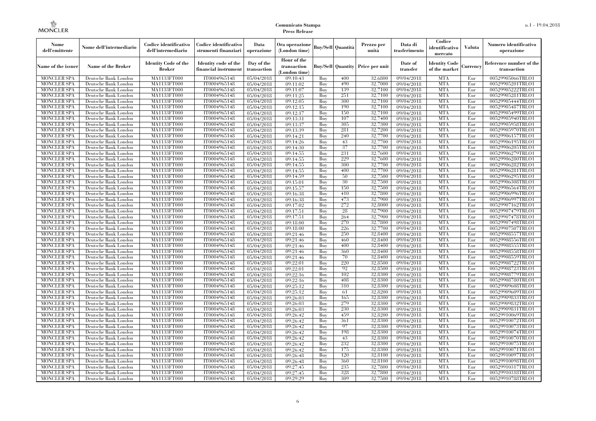| Nome<br>dell'emittente                   | Nome dell'intermediario                      | Codice identificativo<br>dell'intermediario  | Codice identificativo<br>strumenti finanziari | Data<br>operazione        | Ora operazione<br>(London time)             |            | <b>Buy/Sell Quantità</b> | Prezzo per<br>unità                     | Data di<br>trasferimento | Codice<br>identificativo<br>mercato   | Valuta          | Numero identificativo<br>operazione    |
|------------------------------------------|----------------------------------------------|----------------------------------------------|-----------------------------------------------|---------------------------|---------------------------------------------|------------|--------------------------|-----------------------------------------|--------------------------|---------------------------------------|-----------------|----------------------------------------|
| Name of the issuer                       | Name of the Broker                           | <b>Identity Code of the</b><br><b>Broker</b> | Identity code of the<br>financial instrument  | Day of the<br>transaction | Hour of the<br>transaction<br>(London time) |            |                          | <b>Buy/Sell Quantity Price per unit</b> | Date of<br>transfer      | <b>Identity Code</b><br>of the market | <b>lurrencv</b> | Reference number of the<br>transaction |
| <b>MONCLER SPA</b>                       | Deutsche Bank London                         | MA1133FT000                                  | IT0004965148                                  | 05/04/2018                | 09:10:43                                    | Buy        | 400                      | 32,6800                                 | 09/04/2018               | <b>MTA</b>                            | Eur             | 00529905066TRLO1                       |
| <b>MONCLER SPA</b>                       | Deutsche Bank London                         | <b>MA1133FT000</b>                           | IT0004965148                                  | 05/04/2018                | 09:11:02                                    | Buy        | 490                      | 32,7000                                 | $\frac{09}{04/2018}$     | <b>MTA</b>                            | Eur             | 00529905201TRLO1                       |
| <b>MONCLER SPA</b>                       | Deutsche Bank London                         | MA1133FT000                                  | IT0004965148                                  | 05/04/2018                | 09:11:07                                    | Buy        | 139                      | 32,7100                                 | 09/04/2018               | <b>MTA</b>                            | Eur             | 00529905222TRLO1                       |
| <b>MONCLER SPA</b>                       | Deutsche Bank London                         | MA1133FT000                                  | IT0004965148                                  | 05/04/2018                | 09:11:25                                    | Buy        | 251                      | 32,7100                                 | 09/04/2018               | <b>MTA</b>                            | Eur             | 00529905281TRLO1                       |
| <b>MONCLER SPA</b>                       | Deutsche Bank London                         | MA1133FT000<br><b>MA1133FT000</b>            | IT0004965148<br>IT0004965148                  | 05/04/2018                | 09:12:05                                    | Buy        | 300<br>190               | 32,7100<br>32,7100                      | 09/04/2018               | <b>MTA</b><br><b>MTA</b>              | Eur<br>Eur      | 00529905444TRLO1<br>00529905487TRLO1   |
| MONCLER SPA<br><b>MONCLER SPA</b>        | Deutsche Bank London<br>Deutsche Bank London | MA1133FT000                                  | IT0004965148                                  | 05/04/2018<br>05/04/2018  | 09:12:15<br>09:12:17                        | Buy<br>Buy | 150                      | 32,7100                                 | 09/04/2018<br>09/04/2018 | <b>MTA</b>                            | Eur             | 00529905499TRLO1                       |
| <b>MONCLER SPA</b>                       | Deutsche Bank London                         | MA1133FT000                                  | IT0004965148                                  | 05/04/2018                | 09:13:31                                    | Buv        | 107                      | 32,7400                                 | 09/04/2018               | <b>MTA</b>                            | Eur             | 00529905940TRLO1                       |
| <b>MONCLER SPA</b>                       | Deutsche Bank London                         | MA1133FT000                                  | IT0004965148                                  | 05/04/2018                | 09:13:37                                    | Buy        | 305                      | 32,7300                                 | 09/04/2018               | <b>MTA</b>                            | Eur             | 00529905958TRLO1                       |
| <b>MONCLER SPA</b>                       | Deutsche Bank London                         | <b>MA1133FT000</b>                           | IT0004965148                                  | 05/04/2018                | 09:13:39                                    | Buy        | 281                      | 32,7200                                 | $\sqrt{09}/04/2018$      | <b>MTA</b>                            | Eur             | 00529905970TRLO1                       |
| <b>MONCLER SPA</b>                       | Deutsche Bank London                         | MA1133FT000                                  | IT0004965148                                  | 05/04/2018                | 09:14:21                                    | Buy        | 240                      | 32,7700                                 | 09/04/2018               | <b>MTA</b>                            | Eur             | 00529906157TRLO1                       |
| <b>MONCLER SPA</b>                       | Deutsche Bank London                         | MA1133FT000                                  | IT0004965148                                  | 05/04/2018                | 09:14:26                                    | Buy        | 43                       | 32,7700                                 | 09/04/2018               | <b>MTA</b>                            | Eur             | 00529906195TRLO1                       |
| <b>MONCLER SPA</b>                       | Deutsche Bank London                         | MA1133FT000                                  | IT0004965148                                  | 05/04/2018                | 09:14:30                                    | Buy        | 37                       | 32,7700                                 | 09/04/2018               | <b>MTA</b>                            | Eur             | 00529906205TRLO1                       |
| <b>MONCLER SPA</b>                       | Deutsche Bank London                         | MA1133FT000                                  | IT0004965148                                  | 05/04/2018                | 09:14:55                                    | Buy        | 231                      | 32,7600                                 | $\sqrt{09}/04/2018$      | <b>MTA</b>                            | Eur             | 00529906279TRLO1                       |
| <b>MONCLER SPA</b>                       | Deutsche Bank London                         | MA1133FT000                                  | IT0004965148                                  | 05/04/2018                | 09:14:55                                    | Buy        | 229                      | 32,7600                                 | 09/04/2018               | <b>MTA</b>                            | Eur             | 00529906280TRLO1                       |
| <b>MONCLER SPA</b>                       | Deutsche Bank London                         | MA1133FT000                                  | IT0004965148                                  | 05/04/2018                | 09:14:55                                    | Buy        | 300                      | 32,7700                                 | 09/04/2018               | <b>MTA</b>                            | Eur             | 00529906282TRLO1                       |
| <b>MONCLER SPA</b>                       | Deutsche Bank London                         | MA1133FT000                                  | IT0004965148                                  | 05/04/2018                | 09:14:55                                    | Buy        | 400                      | 32,7700                                 | 09/04/2018               | <b>MTA</b>                            | Eur             | 00529906281TRLO1                       |
| <b>MONCLER SPA</b>                       | Deutsche Bank London                         | MA1133FT000                                  | IT0004965148                                  | 05/04/2018                | 09:14:59                                    | Buy        | 50                       | 32,7500                                 | 09/04/2018               | <b>MTA</b>                            | Eur             | 00529906295TRLO1                       |
| <b>MONCLER SPA</b>                       | Deutsche Bank London                         | MA1133FT000                                  | IT0004965148                                  | 05/04/2018                | 09:15:01                                    | Buy        | 30                       | 32,7500                                 | 09/04/2018               | <b>MTA</b>                            | Eur             | 00529906308TRLO1                       |
| <b>MONCLER SPA</b>                       | Deutsche Bank London                         | MA1133FT000                                  | IT0004965148                                  | 05/04/2018                | 09:15:57                                    | Buy        | 150                      | 32,7500                                 | 09/04/2018               | <b>MTA</b>                            | Eur             | 00529906564TRLO1                       |
| <b>MONCLER SPA</b>                       | Deutsche Bank London                         | MA1133FT000                                  | IT0004965148                                  | 05/04/2018                | 09:16:38                                    | Buy        | 410                      | 32,7800                                 | 09/04/2018               | <b>MTA</b>                            | Eur             | 00529906996TRLO1                       |
| <b>MONCLER SPA</b><br><b>MONCLER SPA</b> | Deutsche Bank London<br>Deutsche Bank London | MA1133FT000                                  | IT0004965148<br>IT0004965148                  | 05/04/2018                | 09:16:38<br>09:17:02                        | Buy<br>Buy | 473<br>272               | 32,7900                                 | 09/04/2018<br>09/04/2018 | <b>MTA</b><br><b>MTA</b>              | Eur<br>Eur      | 00529906997TRLO1<br>00529907162TRLO1   |
| <b>MONCLER SPA</b>                       | Deutsche Bank London                         | MA1133FT000<br>MA1133FT000                   | IT0004965148                                  | 05/04/2018<br>05/04/2018  | 09:17:51                                    | Buy        | 28                       | 32,8000<br>32,7900                      | 09/04/2018               | <b>MTA</b>                            | Eur             | 00529907479TRLO1                       |
| <b>MONCLER SPA</b>                       | Deutsche Bank London                         | MA1133FT000                                  | IT0004965148                                  | 05/04/2018                | 09:17:51                                    | Buy        | 264                      | 32,7900                                 | 09/04/2018               | <b>MTA</b>                            | Eur             | 00529907478TRLO1                       |
| <b>MONCLER SPA</b>                       | Deutsche Bank London                         | MA1133FT000                                  | IT0004965148                                  | 05/04/2018                | 09:18:00                                    | Buy        | 270                      | 32,7800                                 | 09/04/2018               | <b>MTA</b>                            | Eur             | 00529907498TRLO1                       |
| <b>MONCLER SPA</b>                       | Deutsche Bank London                         | MA1133FT000                                  | IT0004965148                                  | 05/04/2018                | 09:18:00                                    | Buy        | 226                      | 32,7700                                 | 09/04/2018               | <b>MTA</b>                            | Eur             | 00529907507TRLO1                       |
| <b>MONCLER SPA</b>                       | Deutsche Bank London                         | MA1133FT000                                  | IT0004965148                                  | 05/04/2018                | 09:21:46                                    | Buy        | 250                      | 32,8400                                 | 09/04/2018               | <b>MTA</b>                            | Eur             | 00529908557TRLO1                       |
| <b>MONCLER SPA</b>                       | Deutsche Bank London                         | MA1133FT000                                  | IT0004965148                                  | 05/04/2018                | 09:21:46                                    | Buy        | 460                      | 32,8400                                 | 09/04/2018               | <b>MTA</b>                            | Eur             | 00529908556TRLO1                       |
| <b>MONCLER SPA</b>                       | Deutsche Bank London                         | <b>MA1133FT000</b>                           | IT0004965148                                  | 05/04/2018                | 09:21:46                                    | Buy        | 400                      | 32,8400                                 | 09/04/2018               | <b>MTA</b>                            | Eur             | 00529908555TRLO1                       |
| MONCLER SPA                              | Deutsche Bank London                         | MA1133FT000                                  | IT0004965148                                  | 05/04/2018                | 09:21:46                                    | Buy        | 360                      | 32,8400                                 | 09/04/2018               | <b>MTA</b>                            | Eur             | 00529908558TRLO1                       |
| <b>MONCLER SPA</b>                       | Deutsche Bank London                         | MA1133FT000                                  | IT0004965148                                  | 05/04/2018                | 09:21:46                                    | Buy        | 70                       | 32,8400                                 | 09/04/2018               | <b>MTA</b>                            | Eur             | 00529908559TRLO1                       |
| <b>MONCLER SPA</b>                       | Deutsche Bank London                         | MA1133FT000                                  | IT0004965148                                  | 05/04/2018                | 09:22:01                                    | Buy        | 220                      | 32,8500                                 | 09/04/2018               | <b>MTA</b>                            | Eur             | 00529908722TRLO1                       |
| <b>MONCLER SPA</b>                       | Deutsche Bank London                         | <b>MA1133FT000</b>                           | IT0004965148                                  | 05/04/2018                | 09:22:01                                    | Buy        | 92                       | 32,8500                                 | 09/04/2018               | <b>MTA</b>                            | Eur             | 00529908723TRLO1                       |
| <b>MONCLER SPA</b>                       | Deutsche Bank London                         | MA1133FT000                                  | IT0004965148                                  | 05/04/2018                | 09:22:16                                    | Buy        | 102                      | 32,8300                                 | $\sqrt{09}/04/2018$      | <b>MTA</b>                            | Eur             | 00529908779TRLO1                       |
| <b>MONCLER SPA</b>                       | Deutsche Bank London                         | MA1133FT000                                  | IT0004965148                                  | 05/04/2018                | 09:22:16                                    | Buy        | 408                      | 32,8300                                 | 09/04/2018               | <b>MTA</b>                            | Eur             | 00529908780TRLO1                       |
| <b>MONCLER SPA</b>                       | Deutsche Bank London                         | MA1133FT000                                  | IT0004965148                                  | 05/04/2018                | 09:25:12                                    | Buy        | 310                      | 32,8300                                 | 09/04/2018               | <b>MTA</b>                            | Eur             | 00529909608TRLO1                       |
| <b>MONCLER SPA</b>                       | Deutsche Bank London                         | <b>MA1133FT000</b>                           | IT0004965148                                  | 05/04/2018                | 09:25:12                                    | Buy        | 61                       | 32,8200                                 | 09/04/2018               | <b>MTA</b>                            | Eur             | 00529909609TRLO1                       |
| <b>MONCLER SPA</b>                       | Deutsche Bank London                         | MA1133FT000                                  | IT0004965148                                  | 05/04/2018                | 09:26:03                                    | Buy        | 165                      | 32,8300                                 | 09/04/2018               | <b>MTA</b>                            | Eur             | 00529909833TRLO1                       |
| <b>MONCLER SPA</b>                       | Deutsche Bank London                         | <b>MA1133FT000</b>                           | IT0004965148                                  | 05/04/2018                | 09:26:03                                    | Buy        | 279                      | 32,8300                                 | 09/04/2018               | <b>MTA</b>                            | Eur             | 00529909832TRLO1                       |
| <b>MONCLER SPA</b>                       | Deutsche Bank London                         | MA1133FT000                                  | IT0004965148<br>IT0004965148                  | 05/04/2018                | 09:26:03<br>09:26:42                        | Buy        | 230<br>459               | 32,8300<br>32,8200                      | 09/04/2018<br>09/04/2018 | <b>MTA</b><br><b>MTA</b>              | Eur             | 00529909831TRLO1<br>00529910069TRLO1   |
| <b>MONCLER SPA</b><br><b>MONCLER SPA</b> | Deutsche Bank London<br>Deutsche Bank London | MA1133FT000<br>MA1133FT000                   | IT0004965148                                  | 05/04/2018<br>05/04/2018  | 09:26:42                                    | Buy<br>Buy | 361                      | 32,8300                                 | 09/04/2018               | <b>MTA</b>                            | Eur<br>Eur      | 00529910072TRLO1                       |
| <b>MONCLER SPA</b>                       | Deutsche Bank London                         | MA1133FT000                                  | IT0004965148                                  | 05/04/2018                | 09:26:42                                    | Buy        | 97                       | 32,8300                                 | $\sqrt{09}/04/2018$      | <b>MTA</b>                            | Eur             | 00529910073TRLO1                       |
| <b>MONCLER SPA</b>                       | Deutsche Bank London                         | MA1133FT000                                  | IT0004965148                                  | 05/04/2018                | 09:26:42                                    | Buy        | 198                      | 32,8300                                 | 09/04/2018               | <b>MTA</b>                            | Eur             | 00529910074TRLO1                       |
| <b>MONCLER SPA</b>                       | Deutsche Bank London                         | MA1133FT000                                  | IT0004965148                                  | 05/04/2018                | 09:26:42                                    | Buy        | 43                       | 32,8300                                 | 09/04/2018               | <b>MTA</b>                            | Eur             | 00529910070TRLO1                       |
| <b>MONCLER SPA</b>                       | Deutsche Bank London                         | MA1133FT000                                  | IT0004965148                                  | 05/04/2018                | 09:26:42                                    | Buy        | 232                      | 32,8300                                 | 09/04/2018               | <b>MTA</b>                            | Eur             | 00529910075TRLO1                       |
| <b>MONCLER SPA</b>                       | Deutsche Bank London                         | MA1133FT000                                  | IT0004965148                                  | 05/04/2018                | 09:26:42                                    | Buy        | 175                      | 32,8300                                 | $\sqrt{09}/04/2018$      | <b>MTA</b>                            | Eur             | 00529910071TRLO1                       |
| <b>MONCLER SPA</b>                       | Deutsche Bank London                         | MA1133FT000                                  | IT0004965148                                  | 05/04/2018                | 09:26:48                                    | Buy        | 120                      | 32,8100                                 | 09/04/2018               | <b>MTA</b>                            | Eur             | 00529910097TRLO1                       |
| <b>MONCLER SPA</b>                       | Deutsche Bank London                         | MA1133FT000                                  | IT0004965148                                  | 05/04/2018                | 09:26:48                                    | Buy        | 360                      | 32,8100                                 | 09/04/2018               | <b>MTA</b>                            | Eur             | 00529910098TRLO1                       |
| <b>MONCLER SPA</b>                       | Deutsche Bank London                         | MA1133FT000                                  | IT0004965148                                  | 05/04/2018                | 09:27:45                                    | Buy        | 235                      | 32,7800                                 | 09/04/2018               | <b>MTA</b>                            | Eur             | 00529910317TRLO1                       |
| <b>MONCLER SPA</b>                       | Deutsche Bank London                         | <b>MA1133FT000</b>                           | IT0004965148                                  | 05/04/2018                | 09:27:45                                    | Buy        | 328                      | 32,7800                                 | 09/04/2018               | <b>MTA</b>                            | Eur             | 00529910318TRLO1                       |
| <b>MONCLER SPA</b>                       | Deutsche Bank London                         | MA1133FT000                                  | IT0004965148                                  | 05/04/2018                | 09:29:29                                    | Buy        | 309                      | 32,7500                                 | 09/04/2018               | <b>MTA</b>                            | Eur             | 00529910788TRLO1                       |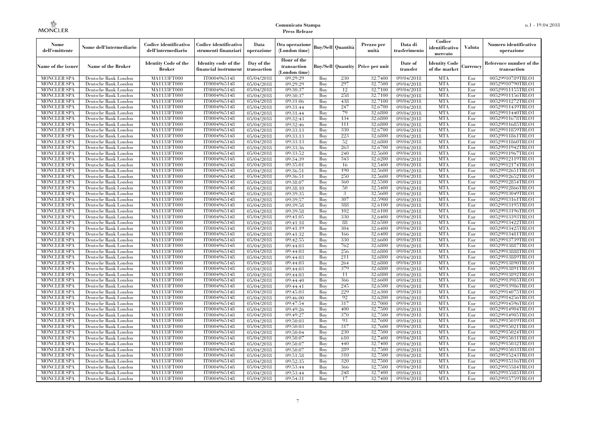| Nome<br>dell'emittente                   | Nome dell'intermediario                      | Codice identificativo<br>dell'intermediario  | Codice identificativo<br>strumenti finanziari | Data<br>operazione        | Ora operazione<br>(London time)             |            | Buy/Sell   Quantità      | Prezzo per<br>unità | Data di<br>trasferimento | Codice<br>identificativo<br>mercato   | <b>Valuta</b> | Numero identificativo<br>operazione    |
|------------------------------------------|----------------------------------------------|----------------------------------------------|-----------------------------------------------|---------------------------|---------------------------------------------|------------|--------------------------|---------------------|--------------------------|---------------------------------------|---------------|----------------------------------------|
| Name of the issuer                       | Name of the Broker                           | <b>Identity Code of the</b><br><b>Broker</b> | Identity code of the<br>financial instrument  | Day of the<br>transaction | Hour of the<br>transaction<br>(London time) |            | <b>Buy/Sell Quantity</b> | Price per unit      | Date of<br>transfer      | <b>Identity Code</b><br>of the market | Currencv      | Reference number of the<br>transaction |
| <b>MONCLER SPA</b>                       | Deutsche Bank London                         | MA1133FT000                                  | IT0004965148                                  | 05/04/2018                | 09:29:29                                    | Buy        | 230                      | 32,7400             | 09/04/2018               | <b>MTA</b>                            | Eur           | 00529910789TRLO1                       |
| <b>MONCLER SPA</b>                       | Deutsche Bank London                         | <b>MA1133FT000</b>                           | IT0004965148                                  | 05/04/2018                | 09:29:29                                    | Buy        | 297                      | 32,7500             | 09/04/2018               | <b>MTA</b>                            | Eur           | 00529910790TRLO1                       |
| <b>MONCLER SPA</b>                       | Deutsche Bank London                         | MA1133FT000                                  | IT0004965148                                  | 05/04/2018                | 09:30:37                                    | Buv        | 12                       | 32,7100             | 09/04/2018               | <b>MTA</b>                            | Eur           | 00529911155TRLO1                       |
| <b>MONCLER SPA</b>                       | Deutsche Bank London                         | MA1133FT000                                  | IT0004965148                                  | 05/04/2018                | 09:30:37                                    | Buy        | 258                      | 32,7100             | 09/04/2018               | <b>MTA</b>                            | Eur           | 00529911156TRLO1                       |
| <b>MONCLER SPA</b>                       | Deutsche Bank London                         | MA1133FT000                                  | IT0004965148                                  | 05/04/2018                | 09:31:06                                    | Buy        | 438                      | 32,7100             | 09/04/2018               | <b>MTA</b>                            | Eur           | 00529911272TRLO1                       |
| MONCLER SPA<br><b>MONCLER SPA</b>        | Deutsche Bank London                         | <b>MA1133FT000</b><br>MA1133FT000            | IT0004965148<br>IT0004965148                  | 05/04/2018                | 09:31:44<br>09:31:44                        | Buy<br>Buy | 247<br>79                | 32,6700<br>32,6800  | 09/04/2018               | <b>MTA</b><br><b>MTA</b>              | Eur<br>Eur    | 00529911439TRLO1                       |
| <b>MONCLER SPA</b>                       | Deutsche Bank London<br>Deutsche Bank London | MA1133FT000                                  | IT0004965148                                  | 05/04/2018<br>05/04/2018  | 09:32:43                                    | Buv        | 134                      | 32,6800             | 09/04/2018<br>09/04/2018 | <b>MTA</b>                            | Eur           | 00529911440TRLO1<br>00529911678TRLO1   |
| <b>MONCLER SPA</b>                       | Deutsche Bank London                         | MA1133FT000                                  | IT0004965148                                  | 05/04/2018                | 09:32:46                                    | Buy        | 111                      | 32,6800             | 09/04/2018               | <b>MTA</b>                            | Eur           | 00529911685TRLO1                       |
| <b>MONCLER SPA</b>                       | Deutsche Bank London                         | <b>MA1133FT000</b>                           | IT0004965148                                  | 05/04/2018                | 09:33:13                                    | Buy        | 330                      | 32,6700             | $\sqrt{09/04/2018}$      | <b>MTA</b>                            | Eur           | 00529911859TRLO1                       |
| <b>MONCLER SPA</b>                       | Deutsche Bank London                         | MA1133FT000                                  | IT0004965148                                  | 05/04/2018                | 09:33:13                                    | Buy        | 223                      | 32,6800             | 09/04/2018               | <b>MTA</b>                            | Eur           | 00529911861TRLO1                       |
| <b>MONCLER SPA</b>                       | Deutsche Bank London                         | MA1133FT000                                  | IT0004965148                                  | 05/04/2018                | 09:33:13                                    | Buy        | 52                       | 32,6800             | 09/04/2018               | <b>MTA</b>                            | Eur           | 00529911860TRLO1                       |
| <b>MONCLER SPA</b>                       | Deutsche Bank London                         | MA1133FT000                                  | IT0004965148                                  | 05/04/2018                | 09:33:36                                    | Buy        | 263                      | 32,6700             | 09/04/2018               | <b>MTA</b>                            | Eur           | 00529911942TRLO1                       |
| <b>MONCLER SPA</b>                       | Deutsche Bank London                         | MA1133FT000                                  | IT0004965148                                  | 05/04/2018                | 09:33:52                                    | Buy        | 240                      | 32,5600             | $\sqrt{09}/04/2018$      | <b>MTA</b>                            | Eur           | 00529911967TRLO1                       |
| <b>MONCLER SPA</b>                       | Deutsche Bank London                         | MA1133FT000                                  | IT0004965148                                  | 05/04/2018                | 09:34:39                                    | Buy        | 343                      | 32,6200             | 09/04/2018               | <b>MTA</b>                            | Eur           | 00529912119TRLO1                       |
| <b>MONCLER SPA</b>                       | Deutsche Bank London                         | MA1133FT000                                  | IT0004965148                                  | 05/04/2018                | 09:35:01                                    | Buy        | 16                       | 32,5400             | 09/04/2018               | <b>MTA</b>                            | Eur           | 00529912174TRLO1                       |
| <b>MONCLER SPA</b>                       | Deutsche Bank London                         | MA1133FT000                                  | IT0004965148                                  | 05/04/2018                | 09:36:51                                    | Buy        | 190                      | 32.5600             | 09/04/2018               | <b>MTA</b>                            | Eur           | 00529912651TRLO1                       |
| <b>MONCLER SPA</b>                       | Deutsche Bank London                         | MA1133FT000                                  | IT0004965148                                  | 05/04/2018                | 09:36:51                                    | Buy        | 250                      | 32,5600             | 09/04/2018               | <b>MTA</b>                            | Eur           | 00529912652TRLO1                       |
| <b>MONCLER SPA</b>                       | Deutsche Bank London                         | MA1133FT000                                  | IT0004965148                                  | 05/04/2018                | 09:38:07                                    | Buy        | 360                      | 32,5500             | 09/04/2018               | <b>MTA</b>                            | Eur           | 00529912854TRLO1                       |
| <b>MONCLER SPA</b>                       | Deutsche Bank London                         | MA1133FT000                                  | IT0004965148                                  | 05/04/2018                | 09:38:10                                    | Buy        | 50                       | 32,5400             | 09/04/2018               | <b>MTA</b>                            | Eur           | 00529912866TRLO1                       |
| MONCLER SPA                              | Deutsche Bank London                         | MA1133FT000                                  | IT0004965148                                  | 05/04/2018                | 09:39:35                                    | Buy        | 3                        | 32,5600             | 09/04/2018               | <b>MTA</b>                            | Eur           | 00529913049TRLO1                       |
| <b>MONCLER SPA</b>                       | Deutsche Bank London                         | MA1133FT000                                  | IT0004965148                                  | 05/04/2018                | 09:39:57                                    | Buy        | 307                      | 32,5900             | 09/04/2018               | <b>MTA</b>                            | Eur           | 00529913161TRLO1                       |
| <b>MONCLER SPA</b>                       | Deutsche Bank London                         | MA1133FT000                                  | IT0004965148                                  | 05/04/2018                | 09:39:58                                    | Buy        | 388<br>102               | 32,6100<br>32,6100  | 09/04/2018               | <b>MTA</b><br><b>MTA</b>              | Eur           | 00529913195TRLO1                       |
| <b>MONCLER SPA</b><br><b>MONCLER SPA</b> | Deutsche Bank London<br>Deutsche Bank London | MA1133FT000<br>MA1133FT000                   | IT0004965148<br>IT0004965148                  | 05/04/2018<br>05/04/2018  | 09:39:58<br>09:41:05                        | Buy<br>Buy | 330                      | 32,6400             | 09/04/2018<br>09/04/2018 | <b>MTA</b>                            | Eur<br>Eur    | 00529913196TRLO1<br>00529913393TRLO1   |
| <b>MONCLER SPA</b>                       | Deutsche Bank London                         | MA1133FT000                                  | IT0004965148                                  | 05/04/2018                | 09:41:18                                    | Buy        | 88                       | 32,6500             | 09/04/2018               | <b>MTA</b>                            | Eur           | 00529913422TRLO1                       |
| <b>MONCLER SPA</b>                       | Deutsche Bank London                         | MA1133FT000                                  | IT0004965148                                  | 05/04/2018                | 09:41:19                                    | Buy        | 304                      | 32,6400             | 09/04/2018               | <b>MTA</b>                            | Eur           | 00529913425TRLO1                       |
| <b>MONCLER SPA</b>                       | Deutsche Bank London                         | MA1133FT000                                  | IT0004965148                                  | 05/04/2018                | 09:41:32                                    | Buy        | 166                      | 32,6400             | 09/04/2018               | <b>MTA</b>                            | Eur           | 00529913481TRLO1                       |
| <b>MONCLER SPA</b>                       | Deutsche Bank London                         | MA1133FT000                                  | IT0004965148                                  | 05/04/2018                | 09:42:55                                    | Buy        | 330                      | 32,6600             | 09/04/2018               | <b>MTA</b>                            | Eur           | 00529913739TRLO1                       |
| <b>MONCLER SPA</b>                       | Deutsche Bank London                         | <b>MA1133FT000</b>                           | IT0004965148                                  | 05/04/2018                | 09:44:03                                    | Buy        | 762                      | 32,6800             | 09/04/2018               | <b>MTA</b>                            | Eur           | 00529913887TRLO1                       |
| MONCLER SPA                              | Deutsche Bank London                         | MA1133FT000                                  | IT0004965148                                  | 05/04/2018                | 09:44:03                                    | Buy        | 256                      | 32,6800             | 09/04/2018               | <b>MTA</b>                            | Eur           | 00529913888TRLO1                       |
| <b>MONCLER SPA</b>                       | Deutsche Bank London                         | MA1133FT000                                  | IT0004965148                                  | 05/04/2018                | 09:44:03                                    | Buy        | 211                      | 32,6800             | 09/04/2018               | <b>MTA</b>                            | Eur           | 00529913889TRLO1                       |
| <b>MONCLER SPA</b>                       | Deutsche Bank London                         | MA1133FT000                                  | IT0004965148                                  | 05/04/2018                | 09:44:03                                    | Buy        | 264                      | 32,6800             | 09/04/2018               | <b>MTA</b>                            | Eur           | 00529913890TRLO1                       |
| <b>MONCLER SPA</b>                       | Deutsche Bank London                         | <b>MA1133FT000</b>                           | IT0004965148                                  | 05/04/2018                | 09:44:03                                    | Buy        | 379                      | 32,6800             | 09/04/2018               | <b>MTA</b>                            | Eur           | 00529913891TRLO1                       |
| <b>MONCLER SPA</b>                       | Deutsche Bank London                         | MA1133FT000                                  | IT0004965148                                  | 05/04/2018                | 09:44:03                                    | Buy        | 11                       | 32,6800             | 09/04/2018               | <b>MTA</b>                            | Eur           | 00529913892TRLO1                       |
| <b>MONCLER SPA</b>                       | Deutsche Bank London                         | MA1133FT000                                  | IT0004965148                                  | 05/04/2018                | 09:44:40                                    | Buy        | 366                      | 32,6600             | 09/04/2018               | <b>MTA</b>                            | Eur           | 00529913985TRLO1                       |
| <b>MONCLER SPA</b>                       | Deutsche Bank London                         | MA1133FT000                                  | IT0004965148                                  | 05/04/2018                | 09:44:41                                    | Buy        | 245                      | 32,6500             | 09/04/2018               | <b>MTA</b>                            | Eur           | 00529913986TRLO1                       |
| <b>MONCLER SPA</b>                       | Deutsche Bank London                         | <b>MA1133FT000</b>                           | IT0004965148                                  | 05/04/2018                | 09:45:03                                    | Buy        | 229                      | 32,6300             | 09/04/2018               | <b>MTA</b>                            | Eur           | 00529914075TRLO1                       |
| <b>MONCLER SPA</b>                       | Deutsche Bank London                         | MA1133FT000                                  | IT0004965148                                  | 05/04/2018                | 09:46:00                                    | Buy        | 92                       | 32,6200             | $\sqrt{09}/04/2018$      | <b>MTA</b>                            | Eur           | 00529914256TRLO1                       |
| <b>MONCLER SPA</b>                       | Deutsche Bank London                         | <b>MA1133FT000</b>                           | IT0004965148                                  | 05/04/2018                | 09:47:54                                    | Buy        | 317                      | 32,7000             | 09/04/2018               | <b>MTA</b>                            | Eur           | 00529914596TRLO1                       |
| <b>MONCLER SPA</b>                       | Deutsche Bank London                         | MA1133FT000                                  | IT0004965148                                  | 05/04/2018                | 09:49:26                                    | Buy        | 400                      | 32,7500             | 09/04/2018               | <b>MTA</b>                            | Eur           | 00529914904TRLO1                       |
| <b>MONCLER SPA</b><br><b>MONCLER SPA</b> | Deutsche Bank London<br>Deutsche Bank London | MA1133FT000<br>MA1133FT000                   | IT0004965148<br>IT0004965148                  | 05/04/2018                | 09:49:27<br>09:50:03                        | Buy<br>Buy | 370<br>93                | 32.7500<br>32,7600  | 09/04/2018<br>09/04/2018 | <b>MTA</b><br><b>MTA</b>              | Eur<br>Eur    | 00529914905TRLO1<br>00529915019TRLO1   |
| <b>MONCLER SPA</b>                       | Deutsche Bank London                         | MA1133FT000                                  | IT0004965148                                  | 05/04/2018<br>05/04/2018  | 09:50:03                                    | Buy        | 317                      | 32,7600             | $\sqrt{09}/04/2018$      | <b>MTA</b>                            | Eur           | 00529915021TRLO1                       |
| <b>MONCLER SPA</b>                       | Deutsche Bank London                         | MA1133FT000                                  | IT0004965148                                  | 05/04/2018                | 09:50:04                                    | Buy        | 230                      | 32,7500             | 09/04/2018               | <b>MTA</b>                            | Eur           | 00529915024TRLO1                       |
| <b>MONCLER SPA</b>                       | Deutsche Bank London                         | MA1133FT000                                  | IT0004965148                                  | 05/04/2018                | 09:50:07                                    | Buy        | 610                      | 32,7400             | 09/04/2018               | <b>MTA</b>                            | Eur           | 00529915031TRLO1                       |
| <b>MONCLER SPA</b>                       | Deutsche Bank London                         | MA1133FT000                                  | IT0004965148                                  | 05/04/2018                | 09:50:07                                    | Buy        | 440                      | 32,7400             | 09/04/2018               | <b>MTA</b>                            | Eur           | 00529915032TRLO1                       |
| <b>MONCLER SPA</b>                       | Deutsche Bank London                         | MA1133FT000                                  | IT0004965148                                  | 05/04/2018                | 09:50:07                                    | Buy        | 289                      | 32,7500             | $\sqrt{09}/04/2018$      | <b>MTA</b>                            | Eur           | 00529915033TRLO1                       |
| <b>MONCLER SPA</b>                       | Deutsche Bank London                         | MA1133FT000                                  | IT0004965148                                  | 05/04/2018                | 09:51:58                                    | Buy        | 310                      | 32,7500             | 09/04/2018               | <b>MTA</b>                            | Eur           | 00529915243TRLO1                       |
| <b>MONCLER SPA</b>                       | Deutsche Bank London                         | MA1133FT000                                  | IT0004965148                                  | 05/04/2018                | 09:52:35                                    | Buy        | 320                      | 32,7500             | 09/04/2018               | <b>MTA</b>                            | Eur           | 00529915316TRLO1                       |
| <b>MONCLER SPA</b>                       | Deutsche Bank London                         | MA1133FT000                                  | IT0004965148                                  | 05/04/2018                | 09:53:44                                    | Buy        | 366                      | 32,7500             | 09/04/2018               | <b>MTA</b>                            | Eur           | 00529915584TRLO1                       |
| <b>MONCLER SPA</b>                       | Deutsche Bank London                         | MA1133FT000                                  | IT0004965148                                  | 05/04/2018                | 09:53:44                                    | Buy        | 248                      | 32,7400             | 09/04/2018               | <b>MTA</b>                            | Eur           | 00529915585TRLO1                       |
| <b>MONCLER SPA</b>                       | Deutsche Bank London                         | MA1133FT000                                  | IT0004965148                                  | 05/04/2018                | 09:54:31                                    | Buy        | 17                       | 32,7400             | 09/04/2018               | <b>MTA</b>                            | Eur           | 00529915759TRLO1                       |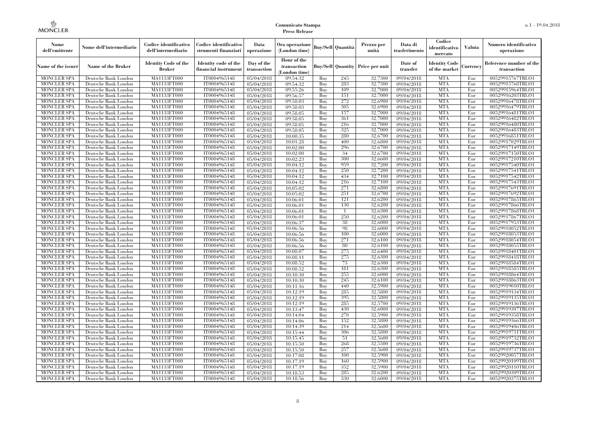| Nome<br>dell'emittente                   | Nome dell'intermediario                      | Codice identificativo<br>dell'intermediario  | Codice identificativo<br>strumenti finanziari | Data<br>operazione        | Ora operazione<br>(London time)             |            | Buy/Sell   Quantità      | Prezzo per<br>unità | Data di<br>trasferimento | Codice<br>identificativo<br>mercato   | <b>Valuta</b> | Numero identificativo<br>operazione    |
|------------------------------------------|----------------------------------------------|----------------------------------------------|-----------------------------------------------|---------------------------|---------------------------------------------|------------|--------------------------|---------------------|--------------------------|---------------------------------------|---------------|----------------------------------------|
| Name of the issuer                       | Name of the Broker                           | <b>Identity Code of the</b><br><b>Broker</b> | Identity code of the<br>financial instrument  | Day of the<br>transaction | Hour of the<br>transaction<br>(London time) |            | <b>Buy/Sell Quantity</b> | Price per unit      | Date of<br>transfer      | <b>Identity Code</b><br>of the market | Currencv      | Reference number of the<br>transaction |
| <b>MONCLER SPA</b>                       | Deutsche Bank London                         | MA1133FT000                                  | IT0004965148                                  | 05/04/2018                | 09:54:32                                    | Buy        | 245                      | 32,7300             | 09/04/2018               | <b>MTA</b>                            | Eur           | 00529915767TRLO1                       |
| <b>MONCLER SPA</b>                       | Deutsche Bank London                         | <b>MA1133FT000</b>                           | IT0004965148                                  | 05/04/2018                | 09:54:32                                    | Buy        | 283                      | 32,7300             | 09/04/2018               | <b>MTA</b>                            | Eur           | 00529915768TRLO1                       |
| <b>MONCLER SPA</b>                       | Deutsche Bank London                         | MA1133FT000                                  | IT0004965148                                  | 05/04/2018                | 09:55:26                                    | Buy        | 109                      | 32,7000             | 09/04/2018               | <b>MTA</b>                            | Eur           | 00529915964TRLO1                       |
| <b>MONCLER SPA</b>                       | Deutsche Bank London                         | <b>MA1133FT000</b>                           | IT0004965148                                  | 05/04/2018                | 09:56:57                                    | Buy        | 151                      | 32,7000             | 09/04/2018               | <b>MTA</b>                            | Eur           | 00529916203TRLO1                       |
| <b>MONCLER SPA</b>                       | Deutsche Bank London                         | <b>MA1133FT000</b>                           | IT0004965148                                  | 05/04/2018                | 09:58:03                                    | Buy        | 272<br>305               | 32,6900             | 09/04/2018               | <b>MTA</b>                            | Eur           | 00529916478TRLO1                       |
| <b>MONCLER SPA</b><br><b>MONCLER SPA</b> | Deutsche Bank London<br>Deutsche Bank London | MA1133FT000<br>MA1133FT000                   | IT0004965148<br>IT0004965148                  | 05/04/2018<br>05/04/2018  | 09:58:03<br>09:58:05                        | Buy<br>Buy | 157                      | 32,6900<br>32,7000  | 09/04/2018<br>09/04/2018 | <b>MTA</b><br><b>MTA</b>              | Eur<br>Eur    | 00529916479TRLO1<br>00529916481TRLO1   |
| <b>MONCLER SPA</b>                       | Deutsche Bank London                         | MA1133FT000                                  | IT0004965148                                  | 05/04/2018                | 09:58:05                                    | Buy        | 361                      | 32,7000             | 09/04/2018               | <b>MTA</b>                            | Eur           | 00529916482TRLO1                       |
| <b>MONCLER SPA</b>                       | Deutsche Bank London                         | <b>MA1133FT000</b>                           | IT0004965148                                  | 05/04/2018                | 09:58:05                                    | Buy        | 216                      | 32,7000             | 09/04/2018               | <b>MTA</b>                            | Eur           | 00529916480TRLO1                       |
| <b>MONCLER SPA</b>                       | Deutsche Bank London                         | MA1133FT000                                  | IT0004965148                                  | 05/04/2018                | 09:58:05                                    | Buy        | 325                      | 32,7000             | 09/04/2018               | <b>MTA</b>                            | Eur           | 00529916483TRLO1                       |
| <b>MONCLER SPA</b>                       | Deutsche Bank London                         | MA1133FT000                                  | IT0004965148                                  | 05/04/2018                | 10:00:35                                    | Buy        | 280                      | 32,6700             | 09/04/2018               | <b>MTA</b>                            | Eur           | 00529916851TRLO1                       |
| <b>MONCLER SPA</b>                       | Deutsche Bank London                         | MA1133FT000                                  | IT0004965148                                  | 05/04/2018                | 10:01:28                                    | Buy        | 400                      | 32,6800             | 09/04/2018               | <b>MTA</b>                            | Eur           | 00529917029TRLO1                       |
| <b>MONCLER SPA</b>                       | Deutsche Bank London                         | MA1133FT000                                  | IT0004965148                                  | 05/04/2018                | 10:02:00                                    | Buy        | 296                      | 32,6700             | 09/04/2018               | <b>MTA</b>                            | Eur           | 00529917149TRLO1                       |
| <b>MONCLER SPA</b>                       | Deutsche Bank London                         | <b>MA1133FT000</b>                           | IT0004965148                                  | 05/04/2018                | 10:02:00                                    | Buy        | 34                       | 32,6700             | 09/04/2018               | <b>MTA</b>                            | Eur           | 00529917150TRLO1                       |
| <b>MONCLER SPA</b>                       | Deutsche Bank London                         | MA1133FT000                                  | IT0004965148                                  | 05/04/2018                | 10:02:23                                    | Buy        | 300                      | 32,6600             | 09/04/2018               | <b>MTA</b>                            | Eur           | 00529917210TRLO1                       |
| <b>MONCLER SPA</b>                       | Deutsche Bank London                         | MA1133FT000                                  | IT0004965148                                  | 05/04/2018                | 10:04:12                                    | Buy        | 959                      | 32,7200             | 09/04/2018               | <b>MTA</b>                            | Eur           | 00529917540TRLO1                       |
| <b>MONCLER SPA</b>                       | Deutsche Bank London                         | MA1133FT000                                  | IT0004965148                                  | $\overline{05}/04/2018$   | 10:04:12                                    | Buy        | 250                      | 32,7200             | 09/04/2018               | <b>MTA</b>                            | Eur           | 00529917541TRLO1                       |
| <b>MONCLER SPA</b>                       | Deutsche Bank London                         | <b>MA1133FT000</b>                           | IT0004965148                                  | 05/04/2018                | 10:04:12                                    | Buy        | 434                      | 32,7100             | 09/04/2018               | <b>MTA</b>                            | Eur           | 00529917542TRLO1                       |
| <b>MONCLER SPA</b>                       | Deutsche Bank London                         | MA1133FT000                                  | IT0004965148                                  | 05/04/2018                | 10:04:12                                    | Buy        | 216                      | 32,7100             | 09/04/2018               | <b>MTA</b>                            | Eur           | 00529917543TRLO1                       |
| <b>MONCLER SPA</b>                       | Deutsche Bank London                         | MA1133FT000                                  | IT0004965148                                  | 05/04/2018                | 10:05:02                                    | Buy        | 271                      | 32,6800             | 09/04/2018               | <b>MTA</b>                            | Eur           | 00529917691TRLO1                       |
| <b>MONCLER SPA</b>                       | Deutsche Bank London                         | MA1133FT000                                  | IT0004965148                                  | 05/04/2018                | 10:05:02                                    | Buy        | 251                      | 32,6700             | 09/04/2018               | <b>MTA</b>                            | Eur           | 00529917692TRLO1                       |
| <b>MONCLER SPA</b>                       | Deutsche Bank London                         | MA1133FT000                                  | IT0004965148                                  | 05/04/2018                | 10:06:01                                    | <b>Buy</b> | 121                      | 32,6200             | 09/04/2018               | <b>MTA</b>                            | Eur           | 00529917865TRLO1                       |
| <b>MONCLER SPA</b>                       | Deutsche Bank London                         | <b>MA1133FT000</b>                           | IT0004965148                                  | 05/04/2018                | 10:06:01                                    | Buy        | 130                      | 32,6200             | 09/04/2018               | <b>MTA</b>                            | Eur           | 00529917866TRLO1                       |
| <b>MONCLER SPA</b>                       | Deutsche Bank London                         | MA1133FT000                                  | IT0004965148                                  | 05/04/2018                | 10:06:01                                    | Buy        | $\overline{1}$           | 32,6300             | 09/04/2018               | <b>MTA</b>                            | Eur           | 00529917868TRLO1                       |
| <b>MONCLER SPA</b>                       | Deutsche Bank London                         | MA1133FT000                                  | IT0004965148                                  | 05/04/2018                | 10:06:01                                    | Buy        | 250                      | 32,6200             | 09/04/2018               | <b>MTA</b>                            | Eur           | 00529917867TRLO1                       |
| <b>MONCLER SPA</b>                       | Deutsche Bank London                         | <b>MA1133FT000</b>                           | IT0004965148                                  | 05/04/2018                | 10:06:37                                    | Buy        | 38                       | 32,6000             | 09/04/2018               | <b>MTA</b>                            | Eur           | 00529917953TRLO1                       |
| <b>MONCLER SPA</b>                       | Deutsche Bank London                         | MA1133FT000                                  | IT0004965148                                  | 05/04/2018                | 10:06:56                                    | Buy        | 98                       | 32,6000             | 09/04/2018               | <b>MTA</b>                            | Eur           | 00529918052TRLO1                       |
| <b>MONCLER SPA</b>                       | Deutsche Bank London                         | MA1133FT000                                  | IT0004965148                                  | 05/04/2018                | 10:06:56                                    | Buy        | 100                      | 32,6000             | 09/04/2018               | <b>MTA</b>                            | Eur           | 00529918053TRLO1                       |
| <b>MONCLER SPA</b>                       | Deutsche Bank London                         | MA1133FT000                                  | IT0004965148                                  | 05/04/2018                | 10:06:56                                    | Buy        | 271                      | 32.6100             | 09/04/2018               | <b>MTA</b>                            | Eur           | 00529918054TRLO1                       |
| <b>MONCLER SPA</b>                       | Deutsche Bank London                         | MA1133FT000                                  | IT0004965148                                  | 05/04/2018                | 10:06:56                                    | Buy        | 80                       | 32,6100             | 09/04/2018               | <b>MTA</b>                            | Eur           | 00529918055TRLO1                       |
| <b>MONCLER SPA</b>                       | Deutsche Bank London                         | MA1133FT000                                  | IT0004965148                                  | 05/04/2018                | 10:08:07                                    | Buy        | 275                      | 32,6400             | 09/04/2018               | <b>MTA</b>                            | Eur           | 00529918401TRLO1                       |
| <b>MONCLER SPA</b>                       | Deutsche Bank London                         | MA1133FT000                                  | IT0004965148                                  | 05/04/2018                | 10:08:11                                    | Buy        | 275                      | 32,6300             | 09/04/2018               | <b>MTA</b>                            | Eur           | 00529918418TRLO1                       |
| <b>MONCLER SPA</b>                       | Deutsche Bank London                         | MA1133FT000                                  | IT0004965148                                  | 05/04/2018                | 10:08:52                                    | Buy        | 73                       | 32.6300             | 09/04/2018               | <b>MTA</b>                            | Eur           | 00529918584TRLO1                       |
| <b>MONCLER SPA</b>                       | Deutsche Bank London                         | MA1133FT000                                  | IT0004965148                                  | 05/04/2018                | 10:08:52                                    | Buy        | 181                      | 32,6300             | 09/04/2018               | <b>MTA</b>                            | Eur           | 00529918585TRLO1                       |
| <b>MONCLER SPA</b>                       | Deutsche Bank London                         | MA1133FT000                                  | IT0004965148<br>IT0004965148                  | 05/04/2018                | 10:10:30                                    | Buy        | 255<br>245               | 32,6000<br>32,6100  | 09/04/2018               | <b>MTA</b><br><b>MTA</b>              | Eur           | 00529918864TRLO1<br>00529918863TRLO1   |
| <b>MONCLER SPA</b><br><b>MONCLER SPA</b> | Deutsche Bank London                         | <b>MA1133FT000</b><br>MA1133FT000            |                                               | 05/04/2018                | 10:10:30                                    | Buy<br>Buy | 440                      | 32,5900             | 09/04/2018               | <b>MTA</b>                            | Eur<br>Eur    | 00529919010TRLO1                       |
| <b>MONCLER SPA</b>                       | Deutsche Bank London<br>Deutsche Bank London | MA1133FT000                                  | IT0004965148<br>IT0004965148                  | 05/04/2018<br>05/04/2018  | 10:11:16<br>10:12:19                        | Buy        | 285                      | 32,5800             | 09/04/2018<br>09/04/2018 | <b>MTA</b>                            | Eur           | 00529919134TRLO1                       |
| <b>MONCLER SPA</b>                       | Deutsche Bank London                         | MA1133FT000                                  | IT0004965148                                  | 05/04/2018                | 10:12:19                                    | Buy        | 395                      | 32,5800             | 09/04/2018               | <b>MTA</b>                            | Eur           | 00529919135TRLO1                       |
| <b>MONCLER SPA</b>                       | Deutsche Bank London                         | MA1133FT000                                  | IT0004965148                                  | 05/04/2018                | 10:12:19                                    | Buy        | 285                      | 32,5700             | 09/04/2018               | <b>MTA</b>                            | Eur           | 00529919136TRLO1                       |
| <b>MONCLER SPA</b>                       | Deutsche Bank London                         | MA1133FT000                                  | IT0004965148                                  | 05/04/2018                | 10:13:47                                    | Buy        | 430                      | 32,6000             | 09/04/2018               | <b>MTA</b>                            | Eur           | 00529919307TRLO1                       |
| <b>MONCLER SPA</b>                       | Deutsche Bank London                         | MA1133FT000                                  | IT0004965148                                  | 05/04/2018                | 10:14:04                                    | Buy        | 270                      | 32,5900             | 09/04/2018               | <b>MTA</b>                            | Eur           | 00529919358TRLO1                       |
| <b>MONCLER SPA</b>                       | Deutsche Bank London                         | MA1133FT000                                  | IT0004965148                                  | 05/04/2018                | 10:14:06                                    | Buy        | 152                      | 32,5800             | 09/04/2018               | <b>MTA</b>                            | Eur           | 00529919366TRLO1                       |
| <b>MONCLER SPA</b>                       | Deutsche Bank London                         | MA1133FT000                                  | IT0004965148                                  | 05/04/2018                | 10:14:39                                    | Buy        | 214                      | 32,5600             | 09/04/2018               | <b>MTA</b>                            | Eur           | 00529919406TRLO1                       |
| <b>MONCLER SPA</b>                       | Deutsche Bank London                         | MA1133FT000                                  | IT0004965148                                  | 05/04/2018                | 10:15:44                                    | Buy        | 306                      | 32,5800             | 09/04/2018               | <b>MTA</b>                            | Eur           | 00529919731TRLO1                       |
| <b>MONCLER SPA</b>                       | Deutsche Bank London                         | MA1133FT000                                  | IT0004965148                                  | 05/04/2018                | 10:15:45                                    | Buy        | 51                       | 32,5600             | 09/04/2018               | <b>MTA</b>                            | Eur           | 00529919732TRLO1                       |
| <b>MONCLER SPA</b>                       | Deutsche Bank London                         | MA1133FT000                                  | IT0004965148                                  | 05/04/2018                | 10:15:50                                    | Buy        | 268                      | 32,5500             | 09/04/2018               | <b>MTA</b>                            | Eur           | 00529919736TRLO1                       |
| <b>MONCLER SPA</b>                       | Deutsche Bank London                         | MA1133FT000                                  | IT0004965148                                  | 05/04/2018                | 10:15:50                                    | Buy        | 257                      | 32,5600             | 09/04/2018               | <b>MTA</b>                            | Eur           | 00529919737TRLO1                       |
| <b>MONCLER SPA</b>                       | Deutsche Bank London                         | MA1133FT000                                  | IT0004965148                                  | 05/04/2018                | 10:17:08                                    | Buy        | 100                      | 32,5900             | 09/04/2018               | <b>MTA</b>                            | Eur           | 00529920057TRLO1                       |
| <b>MONCLER SPA</b>                       | Deutsche Bank London                         | MA1133FT000                                  | IT0004965148                                  | 05/04/2018                | 10:17:19                                    | Buy        | 160                      | 32,5900             | 09/04/2018               | <b>MTA</b>                            | Eur           | 00529920109TRLO1                       |
| <b>MONCLER SPA</b>                       | Deutsche Bank London                         | MA1133FT000                                  | IT0004965148                                  | 05/04/2018                | 10:17:19                                    | Buy        | 352                      | 32,5900             | 09/04/2018               | <b>MTA</b>                            | Eur           | 00529920110TRLO1                       |
| <b>MONCLER SPA</b>                       | Deutsche Bank London                         | MA1133FT000                                  | IT0004965148                                  | 05/04/2018                | 10:18:53                                    | Buy        | 285                      | 32,6200             | 09/04/2018               | <b>MTA</b>                            | Eur           | 00529920309TRLO1                       |
| <b>MONCLER SPA</b>                       | Deutsche Bank London                         | MA1133FT000                                  | IT0004965148                                  | 05/04/2018                | 10:18:56                                    | Buy        | 330                      | 32,6000             | 09/04/2018               | <b>MTA</b>                            | Eur           | 00529920375TRLO1                       |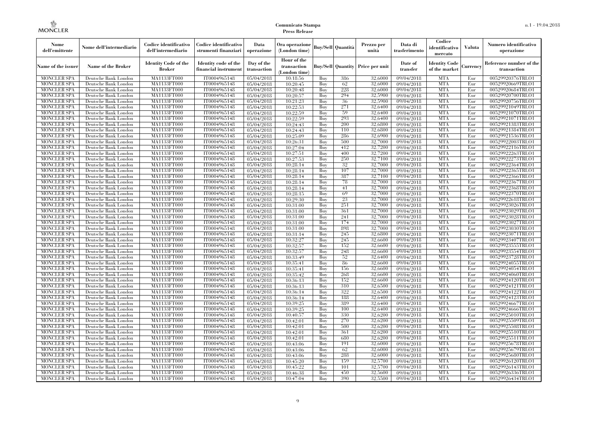| Nome<br>dell'emittente                   | Nome dell'intermediario                      | Codice identificativo<br>dell'intermediario | Codice identificativo<br>strumenti finanziari | Data<br>operazione        | Ora operazione<br>(London time)             |            | Buy/Sell   Quantità      | Prezzo per<br>unità | Data di<br>trasferimento | Codice<br>identificativo<br>mercato   | <b>Valuta</b> | Numero identificativo<br>operazione    |
|------------------------------------------|----------------------------------------------|---------------------------------------------|-----------------------------------------------|---------------------------|---------------------------------------------|------------|--------------------------|---------------------|--------------------------|---------------------------------------|---------------|----------------------------------------|
| Name of the issuer                       | Name of the Broker                           | <b>Identity Code of the</b><br>Broker       | Identity code of the<br>financial instrument  | Day of the<br>transaction | Hour of the<br>transaction<br>(London time) |            | <b>Buy/Sell Quantity</b> | Price per unit      | Date of<br>transfer      | <b>Identity Code</b><br>of the market | Currencv      | Reference number of the<br>transaction |
| <b>MONCLER SPA</b>                       | Deutsche Bank London                         | MA1133FT000                                 | IT0004965148                                  | $\overline{05}/04/2018$   | 10:18:56                                    | Buy        | 386                      | 32,6000             | 09/04/2018               | <b>MTA</b>                            | Eur           | 00529920376TRLO1                       |
| <b>MONCLER SPA</b>                       | Deutsche Bank London                         | <b>MA1133FT000</b>                          | IT0004965148                                  | 05/04/2018                | 10:20:45                                    | Buy        | 62                       | 32,6000             | 09/04/2018               | <b>MTA</b>                            | Eur           | 00529920669TRLO1                       |
| <b>MONCLER SPA</b>                       | Deutsche Bank London                         | MA1133FT000                                 | IT0004965148                                  | 05/04/2018                | 10:20:48                                    | Buv        | 228                      | 32.6000             | 09/04/2018               | <b>MTA</b>                            | Eur           | 00529920684TRLO1                       |
| <b>MONCLER SPA</b>                       | Deutsche Bank London                         | MA1133FT000                                 | IT0004965148                                  | 05/04/2018                | 10:20:57                                    | Buy        | 294                      | 32,5900             | 09/04/2018               | <b>MTA</b>                            | Eur           | 00529920700TRLO1                       |
| <b>MONCLER SPA</b>                       | Deutsche Bank London                         | MA1133FT000                                 | IT0004965148                                  | $\overline{05}/04/2018$   | 10:21:23                                    | Buy        | 36<br>271                | 32,5900<br>32,6400  | $\sqrt{09}/04/2018$      | <b>MTA</b><br><b>MTA</b>              | Eur<br>Eur    | 00529920756TRLO1                       |
| <b>MONCLER SPA</b><br><b>MONCLER SPA</b> | Deutsche Bank London<br>Deutsche Bank London | <b>MA1133FT000</b><br>MA1133FT000           | IT0004965148<br>IT0004965148                  | 05/04/2018<br>05/04/2018  | 10:22:53<br>10:22:59                        | Buy<br>Buy | 59                       | 32,6400             | 09/04/2018<br>09/04/2018 | <b>MTA</b>                            | Eur           | 00529921049TRLO1<br>00529921070TRLO1   |
| <b>MONCLER SPA</b>                       | Deutsche Bank London                         | MA1133FT000                                 | IT0004965148                                  | 05/04/2018                | 10:22:59                                    | Buy        | 293                      | 32.6400             | 09/04/2018               | <b>MTA</b>                            | Eur           | 00529921071TRLO1                       |
| <b>MONCLER SPA</b>                       | Deutsche Bank London                         | MA1133FT000                                 | IT0004965148                                  | $\overline{05}/04/2018$   | 10:24:43                                    | Buy        | 200                      | 32,6800             | 09/04/2018               | <b>MTA</b>                            | Eur           | 00529921383TRLO1                       |
| <b>MONCLER SPA</b>                       | Deutsche Bank London                         | MA1133FT000                                 | IT0004965148                                  | 05/04/2018                | 10:24:43                                    | Buy        | 110                      | 32,6800             | $\sqrt{09}/04/2018$      | <b>MTA</b>                            | Eur           | 00529921384TRLO1                       |
| <b>MONCLER SPA</b>                       | Deutsche Bank London                         | MA1133FT000                                 | IT0004965148                                  | 05/04/2018                | 10:25:09                                    | Buy        | 286                      | 32,6900             | 09/04/2018               | <b>MTA</b>                            | Eur           | 00529921536TRLO1                       |
| <b>MONCLER SPA</b>                       | Deutsche Bank London                         | MA1133FT000                                 | IT0004965148                                  | 05/04/2018                | 10:26:31                                    | Buy        | 500                      | 32,7000             | 09/04/2018               | <b>MTA</b>                            | Eur           | 00529922003TRLO1                       |
| <b>MONCLER SPA</b>                       | Deutsche Bank London                         | MA1133FT000                                 | IT0004965148                                  | 05/04/2018                | 10:27:04                                    | Buy        | 412                      | 32,7200             | 09/04/2018               | <b>MTA</b>                            | Eur           | 00529922116TRLO1                       |
| <b>MONCLER SPA</b>                       | Deutsche Bank London                         | MA1133FT000                                 | IT0004965148                                  | 05/04/2018                | 10:27:51                                    | Buy        | 400                      | 32,7200             | $\sqrt{09}/04/2018$      | <b>MTA</b>                            | Eur           | 00529922263TRLO1                       |
| <b>MONCLER SPA</b>                       | Deutsche Bank London                         | MA1133FT000                                 | IT0004965148                                  | 05/04/2018                | 10:27:53                                    | Buy        | 250                      | 32,7100             | 09/04/2018               | <b>MTA</b>                            | Eur           | 00529922273TRLO1                       |
| <b>MONCLER SPA</b>                       | Deutsche Bank London                         | MA1133FT000                                 | IT0004965148                                  | 05/04/2018                | 10:28:14                                    | Buy        | 32                       | 32,7000             | 09/04/2018               | <b>MTA</b>                            | Eur           | 00529922364TRLO1                       |
| <b>MONCLER SPA</b>                       | Deutsche Bank London                         | MA1133FT000                                 | IT0004965148                                  | $\overline{05/04/2018}$   | 10:28:14                                    | Buy        | 107                      | 32,7000             | 09/04/2018               | <b>MTA</b>                            | Eur           | 00529922365TRLO1                       |
| <b>MONCLER SPA</b>                       | Deutsche Bank London                         | MA1133FT000                                 | IT0004965148                                  | 05/04/2018                | 10:28:14                                    | Buy        | 387                      | 32,7100             | 09/04/2018               | <b>MTA</b>                            | Eur           | 00529922366TRLO1                       |
| <b>MONCLER SPA</b>                       | Deutsche Bank London                         | MA1133FT000                                 | IT0004965148                                  | 05/04/2018                | 10:28:14                                    | Buy        | 78                       | 32,7000             | 09/04/2018               | <b>MTA</b>                            | Eur           | 00529922367TRLO1                       |
| <b>MONCLER SPA</b>                       | Deutsche Bank London                         | MA1133FT000                                 | IT0004965148                                  | 05/04/2018                | 10:28:14                                    | Buy        | 41                       | 32,7000             | 09/04/2018               | <b>MTA</b>                            | Eur           | 00529922368TRLO1                       |
| <b>MONCLER SPA</b>                       | Deutsche Bank London                         | MA1133FT000                                 | IT0004965148                                  | 05/04/2018                | 10:28:15                                    | Buy        | 69                       | 32,7000             | 09/04/2018               | <b>MTA</b>                            | Eur           | 00529922370TRLO1                       |
| <b>MONCLER SPA</b>                       | Deutsche Bank London                         | MA1133FT000                                 | IT0004965148                                  | 05/04/2018                | 10:29:30                                    | Buy        | 23                       | 32,7000             | 09/04/2018               | <b>MTA</b>                            | Eur           | 00529922618TRLO1                       |
| <b>MONCLER SPA</b>                       | Deutsche Bank London                         | MA1133FT000                                 | IT0004965148                                  | 05/04/2018                | 10:31:00                                    | Buy        | 251                      | 32,7000             | 09/04/2018               | <b>MTA</b>                            | Eur           | 00529923026TRLO1                       |
| <b>MONCLER SPA</b>                       | Deutsche Bank London                         | MA1133FT000                                 | IT0004965148<br>IT0004965148                  | 05/04/2018                | 10:31:00                                    | Buy        | 361<br>241               | 32,7000<br>32,7000  | 09/04/2018<br>09/04/2018 | <b>MTA</b><br><b>MTA</b>              | Eur           | 00529923029TRLO1                       |
| <b>MONCLER SPA</b><br><b>MONCLER SPA</b> | Deutsche Bank London<br>Deutsche Bank London | MA1133FT000<br>MA1133FT000                  | IT0004965148                                  | 05/04/2018<br>05/04/2018  | 10:31:00<br>10:31:00                        | Buy<br>Buy | 174                      | 32,7000             | 09/04/2018               | <b>MTA</b>                            | Eur<br>Eur    | 00529923028TRLO1<br>00529923027TRLO1   |
| <b>MONCLER SPA</b>                       | Deutsche Bank London                         | MA1133FT000                                 | IT0004965148                                  | 05/04/2018                | 10:31:00                                    | Buy        | 898                      | 32,7000             | 09/04/2018               | <b>MTA</b>                            | Eur           | 00529923030TRLO1                       |
| <b>MONCLER SPA</b>                       | Deutsche Bank London                         | MA1133FT000                                 | IT0004965148                                  | 05/04/2018                | 10:31:14                                    | Buy        | 245                      | 32,6800             | 09/04/2018               | <b>MTA</b>                            | Eur           | 00529923071TRLO1                       |
| <b>MONCLER SPA</b>                       | Deutsche Bank London                         | MA1133FT000                                 | IT0004965148                                  | 05/04/2018                | 10:32:27                                    | Buy        | 245                      | 32,6600             | 09/04/2018               | <b>MTA</b>                            | Eur           | 00529923407TRLO1                       |
| <b>MONCLER SPA</b>                       | Deutsche Bank London                         | <b>MA1133FT000</b>                          | IT0004965148                                  | 05/04/2018                | 10:32:57                                    | Buy        | 152                      | 32,6600             | 09/04/2018               | <b>MTA</b>                            | Eur           | 00529923555TRLO1                       |
| <b>MONCLER SPA</b>                       | Deutsche Bank London                         | MA1133FT000                                 | IT0004965148                                  | 05/04/2018                | 10:32:57                                    | Buy        | 248                      | 32,6600             | 09/04/2018               | <b>MTA</b>                            | Eur           | 00529923554TRLO1                       |
| <b>MONCLER SPA</b>                       | Deutsche Bank London                         | MA1133FT000                                 | IT0004965148                                  | 05/04/2018                | 10:33:49                                    | Buy        | 52                       | 32,6400             | 09/04/2018               | <b>MTA</b>                            | Eur           | 00529923728TRLO1                       |
| <b>MONCLER SPA</b>                       | Deutsche Bank London                         | MA1133FT000                                 | IT0004965148                                  | 05/04/2018                | 10:35:41                                    | Buy        | 86                       | 32,6600             | 09/04/2018               | <b>MTA</b>                            | Eur           | 00529924055TRLO1                       |
| <b>MONCLER SPA</b>                       | Deutsche Bank London                         | <b>MA1133FT000</b>                          | IT0004965148                                  | 05/04/2018                | 10:35:41                                    | Buy        | 156                      | 32,6600             | 09/04/2018               | <b>MTA</b>                            | Eur           | 00529924054TRLO1                       |
| <b>MONCLER SPA</b>                       | Deutsche Bank London                         | MA1133FT000                                 | IT0004965148                                  | 05/04/2018                | 10:35:42                                    | Buy        | 268                      | 32,6600             | 09/04/2018               | <b>MTA</b>                            | Eur           | 00529924060TRLO1                       |
| <b>MONCLER SPA</b>                       | Deutsche Bank London                         | MA1133FT000                                 | IT0004965148                                  | 05/04/2018                | 10:36:13                                    | Buy        | 152                      | 32,6600             | 09/04/2018               | <b>MTA</b>                            | Eur           | 00529924120TRLO1                       |
| <b>MONCLER SPA</b>                       | Deutsche Bank London                         | MA1133FT000                                 | IT0004965148                                  | 05/04/2018                | 10:36:13                                    | Buv        | 310                      | 32,6500             | 09/04/2018               | <b>MTA</b>                            | Eur           | 00529924121TRLO1                       |
| <b>MONCLER SPA</b>                       | Deutsche Bank London                         | <b>MA1133FT000</b>                          | IT0004965148                                  | 05/04/2018                | 10:36:14                                    | Buy        | 322                      | 32,6500             | 09/04/2018               | <b>MTA</b>                            | Eur           | 00529924122TRLO1                       |
| <b>MONCLER SPA</b>                       | Deutsche Bank London                         | MA1133FT000                                 | IT0004965148                                  | 05/04/2018                | 10:36:14                                    | Buy        | 188                      | 32,6400             | 09/04/2018               | <b>MTA</b>                            | Eur           | 00529924123TRLO1                       |
| <b>MONCLER SPA</b>                       | Deutsche Bank London                         | <b>MA1133FT000</b>                          | IT0004965148                                  | 05/04/2018                | 10:39:25                                    | Buy        | 389                      | 32,6400             | 09/04/2018               | <b>MTA</b>                            | Eur           | 00529924667TRLO1                       |
| <b>MONCLER SPA</b>                       | Deutsche Bank London                         | MA1133FT000                                 | IT0004965148                                  | 05/04/2018                | 10:39:25                                    | Buy        | 100                      | 32,6400             | 09/04/2018               | <b>MTA</b>                            | Eur           | 00529924666TRLO1                       |
| <b>MONCLER SPA</b>                       | Deutsche Bank London                         | MA1133FT000                                 | IT0004965148                                  | 05/04/2018                | 10:40:57                                    | Buy        | 330                      | 32,6200             | 09/04/2018               | <b>MTA</b>                            | Eur           | 00529925010TRLO1                       |
| <b>MONCLER SPA</b>                       | Deutsche Bank London                         | MA1133FT000                                 | IT0004965148                                  | 05/04/2018                | 10:42:01                                    | Buy        | 270                      | 32,6200             | 09/04/2018               | <b>MTA</b>                            | Eur           | 00529925509TRLO1                       |
| <b>MONCLER SPA</b>                       | Deutsche Bank London                         | MA1133FT000                                 | IT0004965148                                  | 05/04/2018                | 10:42:01                                    | Buy        | 500                      | 32,6200             | $\sqrt{09}/04/2018$      | <b>MTA</b>                            | Eur           | 00529925508TRLO1                       |
| <b>MONCLER SPA</b><br><b>MONCLER SPA</b> | Deutsche Bank London<br>Deutsche Bank London | MA1133FT000<br>MA1133FT000                  | IT0004965148<br>IT0004965148                  | 05/04/2018<br>05/04/2018  | 10:42:01<br>10:42:01                        | Buy<br>Buy | 361<br>680               | 32,6200<br>32,6200  | 09/04/2018<br>09/04/2018 | <b>MTA</b><br><b>MTA</b>              | Eur<br>Eur    | 00529925510TRLO1<br>00529925511TRLO1   |
| <b>MONCLER SPA</b>                       | Deutsche Bank London                         | MA1133FT000                                 | IT0004965148                                  | 05/04/2018                | 10:43:06                                    | Buy        | 191                      | 32,6000             | 09/04/2018               | <b>MTA</b>                            | Eur           | 00529925678TRLO1                       |
| <b>MONCLER SPA</b>                       | Deutsche Bank London                         | MA1133FT000                                 | IT0004965148                                  | 05/04/2018                | 10:43:06                                    | Buy        | 62                       | 32,6000             | $\sqrt{09}/04/2018$      | <b>MTA</b>                            | Eur           | 00529925679TRLO1                       |
| <b>MONCLER SPA</b>                       | Deutsche Bank London                         | MA1133FT000                                 | IT0004965148                                  | 05/04/2018                | 10:43:06                                    | Buy        | 288                      | 32,6000             | 09/04/2018               | <b>MTA</b>                            | Eur           | 00529925680TRLO1                       |
| <b>MONCLER SPA</b>                       | Deutsche Bank London                         | MA1133FT000                                 | IT0004965148                                  | 05/04/2018                | 10:45:20                                    | Buy        | 159                      | 32,5700             | 09/04/2018               | <b>MTA</b>                            | Eur           | 00529926120TRLO1                       |
| <b>MONCLER SPA</b>                       | Deutsche Bank London                         | MA1133FT000                                 | IT0004965148                                  | 05/04/2018                | 10:45:22                                    | Buy        | 101                      | 32,5700             | 09/04/2018               | <b>MTA</b>                            | Eur           | 00529926143TRLO1                       |
| <b>MONCLER SPA</b>                       | Deutsche Bank London                         | MA1133FT000                                 | IT0004965148                                  | 05/04/2018                | 10:46:38                                    | Buy        | 450                      | 32,5600             | 09/04/2018               | <b>MTA</b>                            | Eur           | 00529926336TRLO1                       |
| <b>MONCLER SPA</b>                       | Deutsche Bank London                         | MA1133FT000                                 | IT0004965148                                  | 05/04/2018                | 10:47:04                                    | Buy        | 390                      | 32,5500             | 09/04/2018               | <b>MTA</b>                            | Eur           | 00529926434TRLO1                       |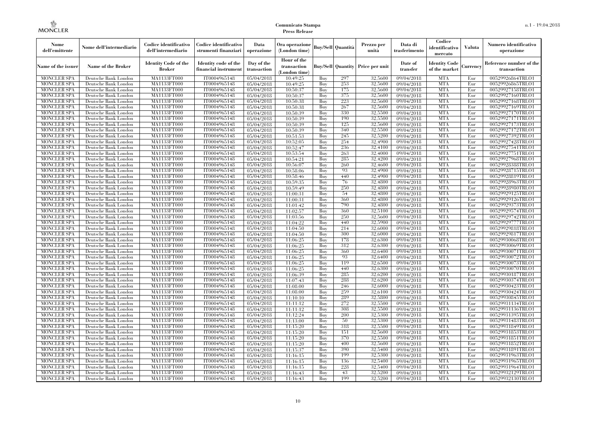| Nome<br>dell'emittente                   | Nome dell'intermediario                      | Codice identificativo<br>dell'intermediario  | Codice identificativo<br>strumenti finanziari | Data<br>operazione        | Ora operazione<br>(London time)             |            | Buy/Sell   Quantità      | Prezzo per<br>unità | Data di<br>trasferimento | Codice<br>identificativo<br>mercato   | <b>Valuta</b> | Numero identificativo<br>operazione    |
|------------------------------------------|----------------------------------------------|----------------------------------------------|-----------------------------------------------|---------------------------|---------------------------------------------|------------|--------------------------|---------------------|--------------------------|---------------------------------------|---------------|----------------------------------------|
| Name of the issuer                       | Name of the Broker                           | <b>Identity Code of the</b><br><b>Broker</b> | Identity code of the<br>financial instrument  | Day of the<br>transaction | Hour of the<br>transaction<br>(London time) |            | <b>Buy/Sell Quantity</b> | Price per unit      | Date of<br>transfer      | <b>Identity Code</b><br>of the market | Currencv      | Reference number of the<br>transaction |
| <b>MONCLER SPA</b>                       | Deutsche Bank London                         | MA1133FT000                                  | IT0004965148                                  | 05/04/2018                | 10:49:25                                    | Buy        | 297                      | 32,5600             | 09/04/2018               | <b>MTA</b>                            | Eur           | 00529926864TRLO1                       |
| <b>MONCLER SPA</b>                       | Deutsche Bank London                         | <b>MA1133FT000</b>                           | IT0004965148                                  | 05/04/2018                | 10:49:25                                    | Buy        | 253                      | 32,5600             | 09/04/2018               | <b>MTA</b>                            | Eur           | 00529926865TRLO1                       |
| <b>MONCLER SPA</b>                       | Deutsche Bank London                         | MA1133FT000                                  | IT0004965148                                  | 05/04/2018                | 10:50:37                                    | Buv        | 175                      | 32.5600             | 09/04/2018               | <b>MTA</b>                            | Eur           | 00529927158TRLO1                       |
| <b>MONCLER SPA</b>                       | Deutsche Bank London                         | MA1133FT000                                  | IT0004965148                                  | 05/04/2018                | 10:50:37                                    | Buy        | 375                      | 32,5600             | 09/04/2018               | <b>MTA</b>                            | Eur           | 00529927160TRLO1                       |
| <b>MONCLER SPA</b>                       | Deutsche Bank London                         | MA1133FT000                                  | IT0004965148                                  | 05/04/2018                | 10:50:38                                    | Buy        | 223                      | 32,5600             | 09/04/2018               | <b>MTA</b>                            | Eur           | 00529927168TRLO1                       |
| MONCLER SPA<br><b>MONCLER SPA</b>        | Deutsche Bank London                         | <b>MA1133FT000</b><br>MA1133FT000            | IT0004965148                                  | 05/04/2018                | 10:50:38                                    | Buy        | 267<br>330               | 32,5600<br>32,5500  | 09/04/2018               | <b>MTA</b><br><b>MTA</b>              | Eur           | 00529927169TRLO1                       |
| <b>MONCLER SPA</b>                       | Deutsche Bank London<br>Deutsche Bank London | MA1133FT000                                  | IT0004965148<br>IT0004965148                  | 05/04/2018<br>05/04/2018  | 10:50:39<br>10:50:39                        | Buy<br>Buv | 190                      | 32.5500             | 09/04/2018<br>09/04/2018 | <b>MTA</b>                            | Eur<br>Eur    | 00529927170TRLO1<br>00529927171TRLO1   |
| <b>MONCLER SPA</b>                       | Deutsche Bank London                         | MA1133FT000                                  | IT0004965148                                  | 05/04/2018                | 10:50:39                                    | Buy        | 125                      | 32,5600             | 09/04/2018               | <b>MTA</b>                            | Eur           | 00529927173TRLO1                       |
| <b>MONCLER SPA</b>                       | Deutsche Bank London                         | <b>MA1133FT000</b>                           | IT0004965148                                  | 05/04/2018                | 10:50:39                                    | Buy        | 340                      | 32,5500             | $\sqrt{09/04/2018}$      | <b>MTA</b>                            | Eur           | 00529927172TRLO1                       |
| <b>MONCLER SPA</b>                       | Deutsche Bank London                         | MA1133FT000                                  | IT0004965148                                  | 05/04/2018                | 10:51:53                                    | Buy        | 245                      | 32,5200             | 09/04/2018               | <b>MTA</b>                            | Eur           | 00529927392TRLO1                       |
| <b>MONCLER SPA</b>                       | Deutsche Bank London                         | MA1133FT000                                  | IT0004965148                                  | 05/04/2018                | 10:52:05                                    | Buy        | 254                      | 32,4900             | 09/04/2018               | <b>MTA</b>                            | Eur           | 00529927428TRLO1                       |
| <b>MONCLER SPA</b>                       | Deutsche Bank London                         | MA1133FT000                                  | IT0004965148                                  | 05/04/2018                | 10:52:47                                    | Buy        | 236                      | 32,4100             | 09/04/2018               | <b>MTA</b>                            | Eur           | 00529927541TRLO1                       |
| <b>MONCLER SPA</b>                       | Deutsche Bank London                         | MA1133FT000                                  | IT0004965148                                  | 05/04/2018                | 10:53:54                                    | Buy        | 263                      | 32,4000             | $\sqrt{09}/04/2018$      | <b>MTA</b>                            | Eur           | 00529927751TRLO1                       |
| <b>MONCLER SPA</b>                       | Deutsche Bank London                         | MA1133FT000                                  | IT0004965148                                  | 05/04/2018                | 10:54:21                                    | Buy        | 285                      | 32,4200             | 09/04/2018               | <b>MTA</b>                            | Eur           | 00529927968TRLO1                       |
| <b>MONCLER SPA</b>                       | Deutsche Bank London                         | MA1133FT000                                  | IT0004965148                                  | 05/04/2018                | 10:56:07                                    | Buy        | 260                      | 32,4600             | 09/04/2018               | <b>MTA</b>                            | Eur           | 00529928388TRLO1                       |
| <b>MONCLER SPA</b>                       | Deutsche Bank London                         | MA1133FT000                                  | IT0004965148                                  | 05/04/2018                | 10:58:06                                    | Buy        | 93                       | 32.4900             | 09/04/2018               | <b>MTA</b>                            | Eur           | 00529928715TRLO1                       |
| <b>MONCLER SPA</b>                       | Deutsche Bank London                         | MA1133FT000                                  | IT0004965148                                  | 05/04/2018                | 10:58:46                                    | Buy        | 440                      | 32,4900             | 09/04/2018               | <b>MTA</b>                            | Eur           | 00529928819TRLO1                       |
| <b>MONCLER SPA</b>                       | Deutsche Bank London                         | MA1133FT000                                  | IT0004965148                                  | 05/04/2018                | 10:59:35                                    | Buy        | 76                       | 32,4800             | 09/04/2018               | <b>MTA</b>                            | Eur           | 00529928963TRLO1                       |
| <b>MONCLER SPA</b>                       | Deutsche Bank London                         | MA1133FT000                                  | IT0004965148                                  | 05/04/2018                | 10:59:49                                    | Buy        | 250                      | 32,4800             | 09/04/2018               | <b>MTA</b>                            | Eur           | 00529928980TRLO1                       |
| MONCLER SPA                              | Deutsche Bank London                         | MA1133FT000                                  | IT0004965148                                  | 05/04/2018                | 11:00:31                                    | Buy        | 54                       | 32,4800             | 09/04/2018               | <b>MTA</b>                            | Eur           | 00529929125TRLO1                       |
| <b>MONCLER SPA</b>                       | Deutsche Bank London                         | MA1133FT000                                  | IT0004965148                                  | 05/04/2018                | 11:00:31                                    | Buy        | 360                      | 32,4800             | 09/04/2018               | <b>MTA</b>                            | Eur           | 00529929126TRLO1                       |
| <b>MONCLER SPA</b>                       | Deutsche Bank London                         | MA1133FT000                                  | IT0004965148                                  | 05/04/2018                | 11:01:42                                    | Buy        | 790                      | 32,4800             | 09/04/2018               | <b>MTA</b>                            | Eur           | 00529929373TRLO1                       |
| <b>MONCLER SPA</b>                       | Deutsche Bank London                         | MA1133FT000                                  | IT0004965148                                  | 05/04/2018                | 11:02:57                                    | Buy        | 360                      | 32,5100             | 09/04/2018               | <b>MTA</b>                            | Eur           | 00529929574TRLO1                       |
| <b>MONCLER SPA</b>                       | Deutsche Bank London                         | MA1133FT000                                  | IT0004965148                                  | 05/04/2018                | 11:03:56                                    | Buy        | 250<br>440               | 32,5600<br>32,5900  | 09/04/2018               | <b>MTA</b><br><b>MTA</b>              | Eur<br>Eur    | 00529929742TRLO1                       |
| <b>MONCLER SPA</b><br><b>MONCLER SPA</b> | Deutsche Bank London<br>Deutsche Bank London | MA1133FT000<br>MA1133FT000                   | IT0004965148<br>IT0004965148                  | 05/04/2018<br>05/04/2018  | 11:04:22<br>11:04:50                        | Buy<br>Buy | 214                      | 32,6000             | 09/04/2018<br>09/04/2018 | <b>MTA</b>                            | Eur           | 00529929777TRLO1<br>00529929818TRLO1   |
| <b>MONCLER SPA</b>                       | Deutsche Bank London                         | MA1133FT000                                  | IT0004965148                                  | 05/04/2018                | 11:04:50                                    | Buy        | 300                      | 32,6000             | 09/04/2018               | <b>MTA</b>                            | Eur           | 00529929817TRLO1                       |
| <b>MONCLER SPA</b>                       | Deutsche Bank London                         | MA1133FT000                                  | IT0004965148                                  | 05/04/2018                | 11:06:25                                    | Buy        | 178                      | 32,6300             | 09/04/2018               | <b>MTA</b>                            | Eur           | 00529930068TRLO1                       |
| MONCLER SPA                              | Deutsche Bank London                         | <b>MA1133FT000</b>                           | IT0004965148                                  | 05/04/2018                | 11:06:25                                    | Buy        | 312                      | 32,6300             | 09/04/2018               | <b>MTA</b>                            | Eur           | 00529930069TRLO1                       |
| MONCLER SPA                              | Deutsche Bank London                         | MA1133FT000                                  | IT0004965148                                  | 05/04/2018                | 11:06:25                                    | Buy        | 360                      | 32,6400             | 09/04/2018               | <b>MTA</b>                            | Eur           | 00529930071TRLO1                       |
| <b>MONCLER SPA</b>                       | Deutsche Bank London                         | MA1133FT000                                  | IT0004965148                                  | 05/04/2018                | 11:06:25                                    | Buy        | 93                       | 32,6400             | 09/04/2018               | <b>MTA</b>                            | Eur           | 00529930072TRLO1                       |
| <b>MONCLER SPA</b>                       | Deutsche Bank London                         | MA1133FT000                                  | IT0004965148                                  | 05/04/2018                | 11:06:25                                    | Buy        | 119                      | 32,6500             | 09/04/2018               | <b>MTA</b>                            | Eur           | 00529930073TRLO1                       |
| <b>MONCLER SPA</b>                       | Deutsche Bank London                         | <b>MA1133FT000</b>                           | IT0004965148                                  | 05/04/2018                | 11:06:25                                    | Buy        | 440                      | 32,6300             | 09/04/2018               | <b>MTA</b>                            | Eur           | 00529930070TRLO1                       |
| <b>MONCLER SPA</b>                       | Deutsche Bank London                         | MA1133FT000                                  | IT0004965148                                  | 05/04/2018                | 11:06:39                                    | Buy        | 285                      | 32,6200             | 09/04/2018               | <b>MTA</b>                            | Eur           | 00529930187TRLO1                       |
| <b>MONCLER SPA</b>                       | Deutsche Bank London                         | MA1133FT000                                  | IT0004965148                                  | 05/04/2018                | 11:07:43                                    | Buy        | 288                      | 32,6200             | 09/04/2018               | <b>MTA</b>                            | Eur           | 00529930374TRLO1                       |
| <b>MONCLER SPA</b>                       | Deutsche Bank London                         | MA1133FT000                                  | IT0004965148                                  | 05/04/2018                | 11:08:00                                    | Buy        | 246                      | 32,6000             | 09/04/2018               | <b>MTA</b>                            | Eur           | 00529930423TRLO1                       |
| <b>MONCLER SPA</b>                       | Deutsche Bank London                         | <b>MA1133FT000</b>                           | IT0004965148                                  | 05/04/2018                | 11:08:00                                    | Buy        | 259                      | 32,6100             | 09/04/2018               | <b>MTA</b>                            | Eur           | 00529930424TRLO1                       |
| <b>MONCLER SPA</b>                       | Deutsche Bank London                         | MA1133FT000                                  | IT0004965148                                  | 05/04/2018                | 11:10:10                                    | Buy        | 289                      | 32,5800             | $\sqrt{09}/04/2018$      | <b>MTA</b>                            | Eur           | 00529930845TRLO1                       |
| <b>MONCLER SPA</b>                       | Deutsche Bank London                         | <b>MA1133FT000</b>                           | IT0004965148                                  | 05/04/2018                | 11:11:12                                    | Buy        | 272                      | 32,5500             | 09/04/2018               | <b>MTA</b>                            | Eur           | 00529931134TRLO1                       |
| <b>MONCLER SPA</b>                       | Deutsche Bank London                         | MA1133FT000                                  | IT0004965148                                  | 05/04/2018                | 11:11:12                                    | Buy        | 308                      | 32,5500             | 09/04/2018               | <b>MTA</b>                            | Eur           | 00529931136TRLO1                       |
| <b>MONCLER SPA</b>                       | Deutsche Bank London                         | MA1133FT000                                  | IT0004965148                                  | 05/04/2018                | 11:12:24                                    | Buy        | 200                      | 32.5300             | 09/04/2018               | <b>MTA</b>                            | Eur           | 00529931395TRLO1                       |
| <b>MONCLER SPA</b>                       | Deutsche Bank London                         | MA1133FT000                                  | IT0004965148                                  | 05/04/2018                | 11:13:00                                    | Buy        | 50                       | 32,5300             | 09/04/2018               | <b>MTA</b>                            | Eur           | 00529931483TRLO1                       |
| <b>MONCLER SPA</b>                       | Deutsche Bank London                         | MA1133FT000                                  | IT0004965148                                  | 05/04/2018                | 11:15:20                                    | Buy        | 318                      | 32,5500             | $\sqrt{09}/04/2018$      | <b>MTA</b>                            | Eur           | 00529931849TRLO1                       |
| <b>MONCLER SPA</b><br><b>MONCLER SPA</b> | Deutsche Bank London<br>Deutsche Bank London | MA1133FT000<br>MA1133FT000                   | IT0004965148<br>IT0004965148                  | 05/04/2018<br>05/04/2018  | 11:15:20<br>11:15:20                        | Buy<br>Buy | 151<br>370               | 32,5600<br>32,5500  | 09/04/2018<br>09/04/2018 | <b>MTA</b><br><b>MTA</b>              | Eur<br>Eur    | 00529931853TRLO1<br>00529931851TRLO1   |
| <b>MONCLER SPA</b>                       | Deutsche Bank London                         | MA1133FT000                                  | IT0004965148                                  | 05/04/2018                | 11:15:20                                    | Buy        | 400                      | 32,5600             | 09/04/2018               | <b>MTA</b>                            | Eur           | 00529931852TRLO1                       |
| <b>MONCLER SPA</b>                       | Deutsche Bank London                         | MA1133FT000                                  | IT0004965148                                  | 05/04/2018                | 11:15:37                                    | Buy        | 390                      | 32,5400             | $\sqrt{09}/04/2018$      | <b>MTA</b>                            | Eur           | 00529931891TRLO1                       |
| <b>MONCLER SPA</b>                       | Deutsche Bank London                         | MA1133FT000                                  | IT0004965148                                  | 05/04/2018                | 11:16:15                                    | Buy        | 199                      | 32,5300             | 09/04/2018               | <b>MTA</b>                            | Eur           | 00529931963TRLO1                       |
| <b>MONCLER SPA</b>                       | Deutsche Bank London                         | MA1133FT000                                  | IT0004965148                                  | 05/04/2018                | 11:16:15                                    | Buy        | 136                      | 32,5400             | 09/04/2018               | <b>MTA</b>                            | Eur           | 00529931965TRLO1                       |
| <b>MONCLER SPA</b>                       | Deutsche Bank London                         | MA1133FT000                                  | IT0004965148                                  | 05/04/2018                | 11:16:15                                    | Buy        | 228                      | 32,5400             | 09/04/2018               | <b>MTA</b>                            | Eur           | 00529931964TRLO1                       |
| <b>MONCLER SPA</b>                       | Deutsche Bank London                         | MA1133FT000                                  | IT0004965148                                  | 05/04/2018                | 11:16:43                                    | Buy        | 43                       | 32,5200             | 09/04/2018               | <b>MTA</b>                            | Eur           | 00529932129TRLO1                       |
| <b>MONCLER SPA</b>                       | Deutsche Bank London                         | MA1133FT000                                  | IT0004965148                                  | 05/04/2018                | 11:16:43                                    | Buy        | 199                      | 32,5200             | 09/04/2018               | <b>MTA</b>                            | Eur           | 00529932130TRLO1                       |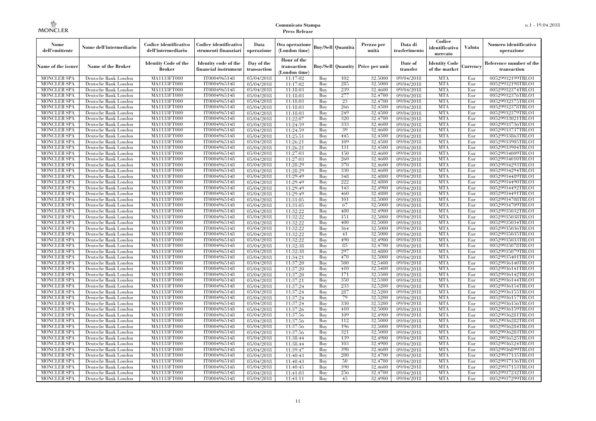| Nome<br>dell'emittente                   | Nome dell'intermediario                      | Codice identificativo<br>dell'intermediario  | Codice identificativo<br>strumenti finanziari | Data<br>operazione        | Ora operazione<br>(London time)             |            | Buy/Sell Quantità        | Prezzo per<br>unità | Data di<br>trasferimento | Codice<br>identificativo<br>mercato   | <b>Valuta</b> | Numero identificativo<br>operazione    |
|------------------------------------------|----------------------------------------------|----------------------------------------------|-----------------------------------------------|---------------------------|---------------------------------------------|------------|--------------------------|---------------------|--------------------------|---------------------------------------|---------------|----------------------------------------|
| Name of the issuer                       | Name of the Broker                           | <b>Identity Code of the</b><br><b>Broker</b> | Identity code of the<br>financial instrument  | Day of the<br>transaction | Hour of the<br>transaction<br>(London time) |            | <b>Buy/Sell Quantity</b> | Price per unit      | Date of<br>transfer      | <b>Identity Code</b><br>of the market | Currencv      | Reference number of the<br>transaction |
| <b>MONCLER SPA</b>                       | Deutsche Bank London                         | MA1133FT000                                  | IT0004965148                                  | 05/04/2018                | 11:17:02                                    | Buv        | 102                      | 32,5000             | 09/04/2018               | <b>MTA</b>                            | Eur           | 00529932199TRLO1                       |
| <b>MONCLER SPA</b>                       | Deutsche Bank London                         | MA1133FT000                                  | IT0004965148                                  | $\overline{05}/04/2018$   | 11:17:02                                    | Buy        | 285                      | 32,5000             | 09/04/2018               | <b>MTA</b>                            | Eur           | 00529932198TRLO1                       |
| <b>MONCLER SPA</b>                       | Deutsche Bank London                         | MA1133FT000                                  | IT0004965148                                  | 05/04/2018                | 11:18:03                                    | Buy        | 239                      | 32,4600             | 09/04/2018               | <b>MTA</b>                            | Eur           | 00529932374TRLO1                       |
| <b>MONCLER SPA</b>                       | Deutsche Bank London                         | <b>MA1133FT000</b>                           | IT0004965148                                  | 05/04/2018                | 11:18:03                                    | Buy        | 277                      | 32,4700             | 09/04/2018               | <b>MTA</b>                            | Eur           | 00529932376TRLO1                       |
| <b>MONCLER SPA</b>                       | Deutsche Bank London                         | <b>MA1133FT000</b>                           | IT0004965148                                  | $\overline{05}/04/2018$   | 11:18:03                                    | Buy        | 23                       | 32,4700             | 09/04/2018               | <b>MTA</b><br><b>MTA</b>              | Eur           | 00529932375TRLO1                       |
| <b>MONCLER SPA</b><br><b>MONCLER SPA</b> | Deutsche Bank London<br>Deutsche Bank London | MA1133FT000<br>MA1133FT000                   | IT0004965148<br>IT0004965148                  | 05/04/2018<br>05/04/2018  | 11:18:03<br>11:18:03                        | Buy<br>Buy | 266<br>249               | 32,4500<br>32,4500  | 09/04/2018<br>09/04/2018 | <b>MTA</b>                            | Eur<br>Eur    | 00529932378TRLO1<br>00529932379TRLO1   |
| <b>MONCLER SPA</b>                       | Deutsche Bank London                         | MA1133FT000                                  | IT0004965148                                  | 05/04/2018                | 11:22:07                                    | Buy        | 320                      | 32,4700             | 09/04/2018               | <b>MTA</b>                            | Eur           | 00529933021TRLO1                       |
| <b>MONCLER SPA</b>                       | Deutsche Bank London                         | <b>MA1133FT000</b>                           | IT0004965148                                  | $\overline{05}/04/2018$   | 11:24:59                                    | Buy        | 333                      | 32,4600             | 09/04/2018               | <b>MTA</b>                            | Eur           | 00529933736TRLO1                       |
| <b>MONCLER SPA</b>                       | Deutsche Bank London                         | MA1133FT000                                  | IT0004965148                                  | 05/04/2018                | 11:24:59                                    | Buy        | 39                       | 32,4600             | 09/04/2018               | <b>MTA</b>                            | Eur           | 00529933737TRLO1                       |
| <b>MONCLER SPA</b>                       | Deutsche Bank London                         | MA1133FT000                                  | IT0004965148                                  | 05/04/2018                | 11:25:51                                    | Buy        | 445                      | 32,4500             | 09/04/2018               | <b>MTA</b>                            | Eur           | 00529933863TRLO1                       |
| <b>MONCLER SPA</b>                       | Deutsche Bank London                         | MA1133FT000                                  | IT0004965148                                  | 05/04/2018                | 11:26:21                                    | Buy        | 109                      | 32,4500             | 09/04/2018               | <b>MTA</b>                            | Eur           | 00529933905TRLO1                       |
| <b>MONCLER SPA</b>                       | Deutsche Bank London                         | MA1133FT000                                  | IT0004965148                                  | 05/04/2018                | 11:26:21                                    | Buy        | 131                      | 32,4500             | 09/04/2018               | <b>MTA</b>                            | Eur           | 00529933904TRLO1                       |
| <b>MONCLER SPA</b>                       | Deutsche Bank London                         | <b>MA1133FT000</b>                           | IT0004965148                                  | 05/04/2018                | 11:27:03                                    | Buy        | 150                      | 32,4600             | 09/04/2018               | <b>MTA</b>                            | Eur           | 00529934009TRLO1                       |
| <b>MONCLER SPA</b>                       | Deutsche Bank London                         | MA1133FT000                                  | IT0004965148                                  | 05/04/2018                | 11:27:03                                    | Buy        | 260                      | 32,4600             | 09/04/2018               | <b>MTA</b>                            | Eur           | 00529934010TRLO1                       |
| <b>MONCLER SPA</b>                       | Deutsche Bank London                         | MA1133FT000                                  | IT0004965148                                  | 05/04/2018                | 11:28:29                                    | Buy        | 370                      | 32,4600             | 09/04/2018               | <b>MTA</b>                            | Eur           | 00529934293TRLO1                       |
| <b>MONCLER SPA</b>                       | Deutsche Bank London                         | MA1133FT000                                  | IT0004965148                                  | 05/04/2018                | 11:28:29                                    | Buy        | 330                      | 32,4600             | 09/04/2018               | <b>MTA</b>                            | Eur           | 00529934294TRLO1                       |
| <b>MONCLER SPA</b>                       | Deutsche Bank London                         | <b>MA1133FT000</b>                           | IT0004965148                                  | 05/04/2018                | 11:29:49                                    | Buy        | 348                      | 32,4800             | 09/04/2018               | <b>MTA</b>                            | Eur           | 00529934489TRLO1                       |
| MONCLER SPA                              | Deutsche Bank London                         | <b>MA1133FT000</b>                           | IT0004965148                                  | 05/04/2018                | 11:29:49                                    | Buy        | 222                      | 32,4800             | 09/04/2018               | <b>MTA</b>                            | Eur           | 00529934490TRLO1                       |
| <b>MONCLER SPA</b>                       | Deutsche Bank London                         | <b>MA1133FT000</b>                           | IT0004965148                                  | 05/04/2018                | 11:29:49                                    | Buy        | 143                      | 32,4900             | 09/04/2018               | <b>MTA</b>                            | Eur           | 00529934492TRLO1                       |
| <b>MONCLER SPA</b>                       | Deutsche Bank London                         | MA1133FT000                                  | IT0004965148                                  | 05/04/2018                | 11:29:49                                    | Buy        | 460                      | 32,4800             | 09/04/2018               | <b>MTA</b>                            | Eur           | 00529934491TRLO1                       |
| <b>MONCLER SPA</b>                       | Deutsche Bank London                         | MA1133FT000                                  | IT0004965148                                  | 05/04/2018                | 11:31:05                                    | Buy        | 101                      | 32,5000             | 09/04/2018               | <b>MTA</b>                            | Eur           | 00529934708TRLO1                       |
| MONCLER SPA<br><b>MONCLER SPA</b>        | Deutsche Bank London                         | <b>MA1133FT000</b><br>MA1133FT000            | IT0004965148<br>IT0004965148                  | 05/04/2018                | 11:31:05<br>11:32:22                        | Buy        | 67<br>480                | 32,5000<br>32,4900  | 09/04/2018               | <b>MTA</b><br><b>MTA</b>              | Eur<br>Eur    | 00529934709TRLO1<br>00529935032TRLO1   |
| <b>MONCLER SPA</b>                       | Deutsche Bank London<br>Deutsche Bank London | MA1133FT000                                  | IT0004965148                                  | 05/04/2018<br>05/04/2018  | 11:32:22                                    | Buy<br>Buy | 151                      | 32.5000             | 09/04/2018<br>09/04/2018 | <b>MTA</b>                            | Eur           | 00529935038TRLO1                       |
| <b>MONCLER SPA</b>                       | Deutsche Bank London                         | <b>MA1133FT000</b>                           | IT0004965148                                  | 05/04/2018                | 11:32:22                                    | Buy        | 400                      | 32,5000             | 09/04/2018               | <b>MTA</b>                            | Eur           | 00529935034TRLO1                       |
| <b>MONCLER SPA</b>                       | Deutsche Bank London                         | MA1133FT000                                  | IT0004965148                                  | 05/04/2018                | 11:32:22                                    | Buy        | 364                      | 32,5000             | 09/04/2018               | <b>MTA</b>                            | Eur           | 00529935036TRLO1                       |
| <b>MONCLER SPA</b>                       | Deutsche Bank London                         | MA1133FT000                                  | IT0004965148                                  | 05/04/2018                | 11:32:22                                    | Buy        | 41                       | 32,5000             | 09/04/2018               | <b>MTA</b>                            | Eur           | 00529935035TRLO1                       |
| <b>MONCLER SPA</b>                       | Deutsche Bank London                         | MA1133FT000                                  | IT0004965148                                  | 05/04/2018                | 11:32:22                                    | Buv        | 490                      | 32.4900             | 09/04/2018               | <b>MTA</b>                            | Eur           | 00529935033TRLO1                       |
| <b>MONCLER SPA</b>                       | Deutsche Bank London                         | MA1133FT000                                  | IT0004965148                                  | 05/04/2018                | 11:32:38                                    | Buy        | 85                       | 32,4700             | 09/04/2018               | <b>MTA</b>                            | Eur           | 00529935078TRLO1                       |
| <b>MONCLER SPA</b>                       | Deutsche Bank London                         | MA1133FT000                                  | IT0004965148                                  | 05/04/2018                | 11:32:38                                    | Buy        | 297                      | 32,4800             | 09/04/2018               | <b>MTA</b>                            | Eur           | 00529935079TRLO1                       |
| <b>MONCLER SPA</b>                       | Deutsche Bank London                         | MA1133FT000                                  | IT0004965148                                  | 05/04/2018                | 11:34:21                                    | Buy        | 470                      | 32,5000             | 09/04/2018               | <b>MTA</b>                            | Eur           | 00529935401TRLO1                       |
| <b>MONCLER SPA</b>                       | Deutsche Bank London                         | <b>MA1133FT000</b>                           | IT0004965148                                  | 05/04/2018                | 11:37:20                                    | Buy        | 500                      | 32,5400             | 09/04/2018               | <b>MTA</b>                            | Eur           | 00529936140TRLO1                       |
| <b>MONCLER SPA</b>                       | Deutsche Bank London                         | MA1133FT000                                  | IT0004965148                                  | 05/04/2018                | 11:37:20                                    | Buy        | 410                      | 32,5400             | 09/04/2018               | <b>MTA</b>                            | Eur           | 00529936141TRLO1                       |
| <b>MONCLER SPA</b>                       | Deutsche Bank London                         | MA1133FT000                                  | IT0004965148                                  | 05/04/2018                | 11:37:20                                    | Buy        | 171                      | 32,5500             | 09/04/2018               | <b>MTA</b>                            | Eur           | 00529936142TRLO1                       |
| <b>MONCLER SPA</b>                       | Deutsche Bank London                         | MA1133FT000                                  | IT0004965148                                  | 05/04/2018                | 11:37:21                                    | Buy        | 350                      | 32,5300             | 09/04/2018               | <b>MTA</b>                            | Eur           | 00529936144TRLO1                       |
| <b>MONCLER SPA</b>                       | Deutsche Bank London                         | <b>MA1133FT000</b>                           | IT0004965148                                  | 05/04/2018                | 11:37:24                                    | Buy        | 233                      | 32,5200             | 09/04/2018               | <b>MTA</b>                            | Eur           | 00529936154TRLO1                       |
| <b>MONCLER SPA</b>                       | Deutsche Bank London                         | MA1133FT000                                  | IT0004965148                                  | 05/04/2018                | 11:37:24                                    | Buy        | 287                      | 32,5200             | 09/04/2018               | <b>MTA</b>                            | Eur           | 00529936155TRLO1                       |
| <b>MONCLER SPA</b>                       | Deutsche Bank London                         | MA1133FT000                                  | IT0004965148                                  | 05/04/2018                | 11:37:24                                    | Buy        | 79                       | 32,5200             | 09/04/2018               | <b>MTA</b>                            | Eur           | 00529936157TRLO1                       |
| <b>MONCLER SPA</b>                       | Deutsche Bank London                         | MA1133FT000                                  | IT0004965148                                  | 05/04/2018                | 11:37:24                                    | Buy        | 330                      | 32,5200             | $\sqrt{09}/04/2018$      | <b>MTA</b>                            | Eur           | 00529936156TRLO1                       |
| <b>MONCLER SPA</b>                       | Deutsche Bank London                         | MA1133FT000                                  | IT0004965148                                  | 05/04/2018                | 11:37:26                                    | Buy        | 410                      | 32,5000             | 09/04/2018               | <b>MTA</b>                            | Eur           | 00529936159TRLO1                       |
| <b>MONCLER SPA</b><br><b>MONCLER SPA</b> | Deutsche Bank London<br>Deutsche Bank London | MA1133FT000<br>MA1133FT000                   | IT0004965148<br>IT0004965148                  | 05/04/2018<br>05/04/2018  | 11:37:56<br>11:37:56                        | Buy<br>Buy | 109<br>112               | 32,4900<br>32,5000  | 09/04/2018<br>09/04/2018 | <b>MTA</b><br><b>MTA</b>              | Eur<br>Eur    | 00529936281TRLO1<br>00529936282TRLO1   |
| <b>MONCLER SPA</b>                       | Deutsche Bank London                         | MA1133FT000                                  | IT0004965148                                  | 05/04/2018                | 11:37:56                                    | Buy        | 196                      | 32,5000             | 09/04/2018               | <b>MTA</b>                            | Eur           | 00529936284TRLO1                       |
| <b>MONCLER SPA</b>                       | Deutsche Bank London                         | MA1133FT000                                  | IT0004965148                                  | 05/04/2018                | 11:37:56                                    | Buy        | 321                      | 32,5000             | 09/04/2018               | <b>MTA</b>                            | Eur           | 00529936283TRLO1                       |
| <b>MONCLER SPA</b>                       | Deutsche Bank London                         | MA1133FT000                                  | IT0004965148                                  | 05/04/2018                | 11:38:44                                    | Buy        | 139                      | 32,4900             | 09/04/2018               | <b>MTA</b>                            | Eur           | 00529936525TRLO1                       |
| <b>MONCLER SPA</b>                       | Deutsche Bank London                         | MA1133FT000                                  | IT0004965148                                  | 05/04/2018                | 11:38:44                                    | Buy        | 103                      | 32,4900             | 09/04/2018               | <b>MTA</b>                            | Eur           | 00529936524TRLO1                       |
| <b>MONCLER SPA</b>                       | Deutsche Bank London                         | MA1133FT000                                  | IT0004965148                                  | 05/04/2018                | 11:39:47                                    | Buy        | 390                      | 32,4600             | $\sqrt{09}/04/2018$      | <b>MTA</b>                            | Eur           | 00529936899TRLO1                       |
| <b>MONCLER SPA</b>                       | Deutsche Bank London                         | MA1133FT000                                  | IT0004965148                                  | 05/04/2018                | 11:40:43                                    | Buy        | 200                      | 32,4700             | 09/04/2018               | <b>MTA</b>                            | Eur           | 00529937135TRLO1                       |
| <b>MONCLER SPA</b>                       | Deutsche Bank London                         | MA1133FT000                                  | IT0004965148                                  | 05/04/2018                | 11:40:43                                    | Buy        | 50                       | 32,4700             | 09/04/2018               | <b>MTA</b>                            | Eur           | 00529937136TRLO1                       |
| <b>MONCLER SPA</b>                       | Deutsche Bank London                         | MA1133FT000                                  | IT0004965148                                  | 05/04/2018                | 11:40:45                                    | Buy        | 390                      | 32,4600             | 09/04/2018               | <b>MTA</b>                            | Eur           | 00529937153TRLO1                       |
| <b>MONCLER SPA</b>                       | Deutsche Bank London                         | MA1133FT000                                  | IT0004965148                                  | 05/04/2018                | 11:41:03                                    | Buy        | 256                      | 32,4700             | 09/04/2018               | <b>MTA</b>                            | Eur           | 00529937232TRLO1                       |
| <b>MONCLER SPA</b>                       | Deutsche Bank London                         | MA1133FT000                                  | IT0004965148                                  | 05/04/2018                | 11:41:11                                    | Buy        | 45                       | 32,4900             | 09/04/2018               | <b>MTA</b>                            | Eur           | 00529937299TRLO1                       |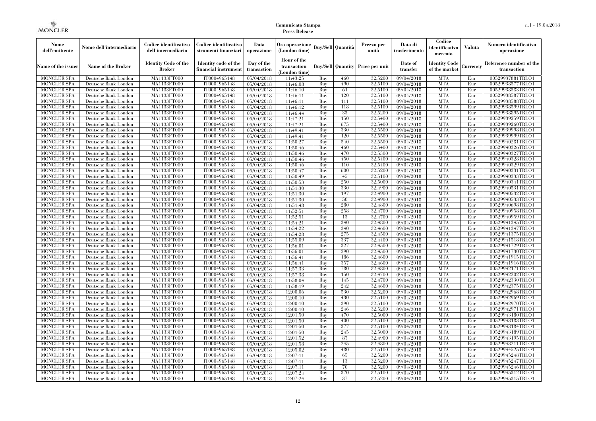| Nome<br>dell'emittente                   | Nome dell'intermediario                      | Codice identificativo<br>dell'intermediario  | Codice identificativo<br>strumenti finanziari | Data<br>operazione        | Ora operazione<br>(London time)             |            | Buy/Sell Quantità        | Prezzo per<br>unità | Data di<br>trasferimento | Codice<br>identificativo<br>mercato   | <b>Valuta</b> | Numero identificativo<br>operazione    |
|------------------------------------------|----------------------------------------------|----------------------------------------------|-----------------------------------------------|---------------------------|---------------------------------------------|------------|--------------------------|---------------------|--------------------------|---------------------------------------|---------------|----------------------------------------|
| Name of the issuer                       | Name of the Broker                           | <b>Identity Code of the</b><br><b>Broker</b> | Identity code of the<br>financial instrument  | Day of the<br>transaction | Hour of the<br>transaction<br>(London time) |            | <b>Buy/Sell Quantity</b> | Price per unit      | Date of<br>transfer      | <b>Identity Code</b><br>of the market | Currencv      | Reference number of the<br>transaction |
| <b>MONCLER SPA</b>                       | Deutsche Bank London                         | MA1133FT000                                  | IT0004965148                                  | 05/04/2018                | 11:43:25                                    | Buv        | 460                      | 32.5200             | 09/04/2018               | <b>MTA</b>                            | Eur           | 00529937881TRLO1                       |
| <b>MONCLER SPA</b>                       | Deutsche Bank London                         | MA1133FT000                                  | IT0004965148                                  | $\overline{05}/04/2018$   | 11:46:08                                    | Buy        | 490                      | 32,5100             | 09/04/2018               | <b>MTA</b>                            | Eur           | 00529938577TRLO1                       |
| <b>MONCLER SPA</b>                       | Deutsche Bank London                         | MA1133FT000                                  | IT0004965148                                  | 05/04/2018                | 11:46:10                                    | Buy        | 61                       | 32,5100             | 09/04/2018               | <b>MTA</b>                            | Eur           | 00529938583TRLO1                       |
| <b>MONCLER SPA</b>                       | Deutsche Bank London                         | <b>MA1133FT000</b>                           | IT0004965148                                  | 05/04/2018                | 11:46:11                                    | Buy        | 120                      | 32,5100             | 09/04/2018               | <b>MTA</b>                            | Eur           | 00529938587TRLO1                       |
| <b>MONCLER SPA</b>                       | Deutsche Bank London                         | <b>MA1133FT000</b>                           | IT0004965148                                  | $\overline{05}/04/2018$   | 11:46:11                                    | Buy        | 111<br>118               | 32,5100             | 09/04/2018               | <b>MTA</b><br><b>MTA</b>              | Eur           | 00529938588TRLO1                       |
| <b>MONCLER SPA</b><br><b>MONCLER SPA</b> | Deutsche Bank London<br>Deutsche Bank London | MA1133FT000<br>MA1133FT000                   | IT0004965148<br>IT0004965148                  | 05/04/2018<br>05/04/2018  | 11:46:12<br>11:46:44                        | Buy<br>Buy | 33                       | 32,5100<br>32,5200  | 09/04/2018<br>09/04/2018 | <b>MTA</b>                            | Eur<br>Eur    | 00529938599TRLO1<br>00529938895TRLO1   |
| <b>MONCLER SPA</b>                       | Deutsche Bank London                         | MA1133FT000                                  | IT0004965148                                  | 05/04/2018                | 11:47:21                                    | Buy        | 150                      | 32,5400             | 09/04/2018               | <b>MTA</b>                            | Eur           | 00529939259TRLO1                       |
| <b>MONCLER SPA</b>                       | Deutsche Bank London                         | <b>MA1133FT000</b>                           | IT0004965148                                  | $\overline{05}/04/2018$   | 11:47:21                                    | Buy        | 675                      | 32,5400             | 09/04/2018               | <b>MTA</b>                            | Eur           | 00529939260TRLO1                       |
| <b>MONCLER SPA</b>                       | Deutsche Bank London                         | MA1133FT000                                  | IT0004965148                                  | 05/04/2018                | 11:49:41                                    | Buy        | 330                      | 32,5500             | 09/04/2018               | <b>MTA</b>                            | Eur           | 00529939998TRLO1                       |
| <b>MONCLER SPA</b>                       | Deutsche Bank London                         | MA1133FT000                                  | IT0004965148                                  | 05/04/2018                | 11:49:41                                    | Buy        | 120                      | 32,5500             | 09/04/2018               | <b>MTA</b>                            | Eur           | 00529939999TRLO1                       |
| <b>MONCLER SPA</b>                       | Deutsche Bank London                         | MA1133FT000                                  | IT0004965148                                  | 05/04/2018                | 11:50:27                                    | Buy        | 540                      | 32,5500             | 09/04/2018               | <b>MTA</b>                            | Eur           | 00529940281TRLO1                       |
| <b>MONCLER SPA</b>                       | Deutsche Bank London                         | MA1133FT000                                  | IT0004965148                                  | 05/04/2018                | 11:50:46                                    | Buy        | 460                      | 32,5400             | 09/04/2018               | <b>MTA</b>                            | Eur           | 00529940326TRLO1                       |
| <b>MONCLER SPA</b>                       | Deutsche Bank London                         | <b>MA1133FT000</b>                           | IT0004965148                                  | 05/04/2018                | 11:50:46                                    | Buy        | 470                      | 32,5300             | 09/04/2018               | <b>MTA</b>                            | Eur           | 00529940327TRLO1                       |
| <b>MONCLER SPA</b>                       | Deutsche Bank London                         | MA1133FT000                                  | IT0004965148                                  | 05/04/2018                | 11:50:46                                    | Buy        | 450                      | 32,5400             | 09/04/2018               | <b>MTA</b>                            | Eur           | 00529940328TRLO1                       |
| <b>MONCLER SPA</b>                       | Deutsche Bank London                         | MA1133FT000                                  | IT0004965148                                  | 05/04/2018                | 11:50:46                                    | Buy        | 110                      | 32,5400             | 09/04/2018               | <b>MTA</b>                            | Eur           | 00529940329TRLO1                       |
| <b>MONCLER SPA</b>                       | Deutsche Bank London                         | MA1133FT000                                  | IT0004965148                                  | $\overline{05}/04/2018$   | 11:50:47                                    | Buy        | 600                      | 32,5200             | 09/04/2018               | <b>MTA</b>                            | Eur           | 00529940331TRLO1                       |
| <b>MONCLER SPA</b>                       | Deutsche Bank London                         | <b>MA1133FT000</b>                           | IT0004965148                                  | 05/04/2018                | 11:50:49                                    | Buy        | 45                       | 32,5100             | 09/04/2018               | <b>MTA</b>                            | Eur           | 00529940333TRLO1                       |
| MONCLER SPA                              | Deutsche Bank London                         | <b>MA1133FT000</b>                           | IT0004965148                                  | 05/04/2018                | 11:50:53                                    | Buy        | 250                      | 32,5000             | 09/04/2018               | <b>MTA</b>                            | Eur           | 00529940341TRLO1                       |
| <b>MONCLER SPA</b>                       | Deutsche Bank London                         | <b>MA1133FT000</b>                           | IT0004965148                                  | 05/04/2018                | 11:51:30                                    | Buy        | 330                      | 32,4900             | 09/04/2018               | <b>MTA</b>                            | Eur           | 00529940531TRLO1                       |
| <b>MONCLER SPA</b>                       | Deutsche Bank London                         | MA1133FT000                                  | IT0004965148                                  | 05/04/2018                | 11:51:30                                    | Buy        | 197                      | 32,4900             | 09/04/2018               | <b>MTA</b>                            | Eur           | 00529940532TRLO1                       |
| <b>MONCLER SPA</b>                       | Deutsche Bank London                         | MA1133FT000                                  | IT0004965148                                  | 05/04/2018                | 11:51:30                                    | Buy        | 50                       | 32,4900             | 09/04/2018               | <b>MTA</b>                            | Eur           | 00529940533TRLO1                       |
| MONCLER SPA<br><b>MONCLER SPA</b>        | Deutsche Bank London                         | <b>MA1133FT000</b><br>MA1133FT000            | IT0004965148<br>IT0004965148                  | 05/04/2018                | 11:51:48<br>11:52:51                        | Buy        | 280<br>258               | 32,4800<br>32,4700  | 09/04/2018               | <b>MTA</b><br><b>MTA</b>              | Eur<br>Eur    | 00529940698TRLO1                       |
| <b>MONCLER SPA</b>                       | Deutsche Bank London<br>Deutsche Bank London | MA1133FT000                                  | IT0004965148                                  | 05/04/2018<br>05/04/2018  | 11:52:51                                    | Buy<br>Buy | 13                       | 32,4700             | 09/04/2018<br>09/04/2018 | <b>MTA</b>                            | Eur           | 00529940958TRLO1<br>00529940959TRLO1   |
| MONCLER SPA                              | Deutsche Bank London                         | <b>MA1133FT000</b>                           | IT0004965148                                  | 05/04/2018                | 11:54:21                                    | Buy        | 340                      | 32,4800             | 09/04/2018               | <b>MTA</b>                            | Eur           | 00529941345TRLO1                       |
| <b>MONCLER SPA</b>                       | Deutsche Bank London                         | MA1133FT000                                  | IT0004965148                                  | 05/04/2018                | 11:54:22                                    | Buy        | 340                      | 32,4600             | 09/04/2018               | <b>MTA</b>                            | Eur           | 00529941347TRLO1                       |
| <b>MONCLER SPA</b>                       | Deutsche Bank London                         | MA1133FT000                                  | IT0004965148                                  | 05/04/2018                | 11:54:28                                    | Buy        | 275                      | 32,4500             | 09/04/2018               | <b>MTA</b>                            | Eur           | 00529941375TRLO1                       |
| <b>MONCLER SPA</b>                       | Deutsche Bank London                         | MA1133FT000                                  | IT0004965148                                  | 05/04/2018                | 11:55:09                                    | Buv        | 337                      | 32.4400             | 09/04/2018               | <b>MTA</b>                            | Eur           | 00529941518TRLO1                       |
| <b>MONCLER SPA</b>                       | Deutsche Bank London                         | MA1133FT000                                  | IT0004965148                                  | 05/04/2018                | 11:56:01                                    | Buy        | 327                      | 32,4500             | 09/04/2018               | <b>MTA</b>                            | Eur           | 00529941729TRLO1                       |
| <b>MONCLER SPA</b>                       | Deutsche Bank London                         | MA1133FT000                                  | IT0004965148                                  | 05/04/2018                | 11:56:01                                    | Buy        | 290                      | 32,4500             | 09/04/2018               | <b>MTA</b>                            | Eur           | 00529941730TRLO1                       |
| <b>MONCLER SPA</b>                       | Deutsche Bank London                         | MA1133FT000                                  | IT0004965148                                  | 05/04/2018                | 11:56:41                                    | Buy        | 186                      | 32,4600             | 09/04/2018               | <b>MTA</b>                            | Eur           | 00529941915TRLO1                       |
| <b>MONCLER SPA</b>                       | Deutsche Bank London                         | <b>MA1133FT000</b>                           | IT0004965148                                  | 05/04/2018                | 11:56:41                                    | Buy        | 357                      | 32,4600             | 09/04/2018               | <b>MTA</b>                            | Eur           | 00529941916TRLO1                       |
| <b>MONCLER SPA</b>                       | Deutsche Bank London                         | MA1133FT000                                  | IT0004965148                                  | 05/04/2018                | 11:57:33                                    | Buy        | 780                      | 32,4800             | 09/04/2018               | <b>MTA</b>                            | Eur           | 00529942171TRLO1                       |
| <b>MONCLER SPA</b>                       | Deutsche Bank London                         | MA1133FT000                                  | IT0004965148                                  | 05/04/2018                | 11:57:38                                    | Buy        | 150                      | 32,4700             | 09/04/2018               | <b>MTA</b>                            | Eur           | 00529942202TRLO1                       |
| <b>MONCLER SPA</b>                       | Deutsche Bank London                         | MA1133FT000                                  | IT0004965148                                  | 05/04/2018                | 11:58:04                                    | Buy        | 145                      | 32,4700             | 09/04/2018               | <b>MTA</b>                            | Eur           | 00529942330TRLO1                       |
| <b>MONCLER SPA</b>                       | Deutsche Bank London                         | <b>MA1133FT000</b>                           | IT0004965148                                  | 05/04/2018                | 11:58:19                                    | Buy        | 242                      | 32,4600             | 09/04/2018               | <b>MTA</b>                            | Eur           | 00529942375TRLO1                       |
| <b>MONCLER SPA</b>                       | Deutsche Bank London                         | MA1133FT000                                  | IT0004965148                                  | 05/04/2018                | 12:00:06                                    | Buy        | 530                      | 32,5200             | 09/04/2018               | <b>MTA</b>                            | Eur           | 00529942968TRLO1                       |
| <b>MONCLER SPA</b>                       | Deutsche Bank London                         | MA1133FT000                                  | IT0004965148                                  | 05/04/2018                | 12:00:10                                    | Buy        | 430                      | 32,5100             | 09/04/2018               | <b>MTA</b>                            | Eur           | 00529942969TRLO1                       |
| <b>MONCLER SPA</b>                       | Deutsche Bank London                         | MA1133FT000                                  | IT0004965148                                  | 05/04/2018                | 12:00:10                                    | Buy        | 390                      | 32,5100             | 09/04/2018               | <b>MTA</b>                            | Eur           | 00529942970TRLO1                       |
| <b>MONCLER SPA</b>                       | Deutsche Bank London                         | MA1133FT000                                  | IT0004965148                                  | 05/04/2018                | 12:00:10                                    | Buy        | 246                      | 32,5200             | 09/04/2018               | <b>MTA</b>                            | Eur           | 00529942971TRLO1                       |
| <b>MONCLER SPA</b><br><b>MONCLER SPA</b> | Deutsche Bank London<br>Deutsche Bank London | MA1133FT000<br>MA1133FT000                   | IT0004965148<br>IT0004965148                  | 05/04/2018                | 12:01:50<br>12:01:50                        | Buy<br>Buy | 470<br>400               | 32,5000<br>32,5100  | 09/04/2018<br>09/04/2018 | <b>MTA</b><br><b>MTA</b>              | Eur<br>Eur    | 00529943180TRLO1<br>00529943183TRLO1   |
| <b>MONCLER SPA</b>                       | Deutsche Bank London                         | MA1133FT000                                  | IT0004965148                                  | 05/04/2018<br>05/04/2018  | 12:01:50                                    | Buy        | 377                      | 32,5100             | 09/04/2018               | <b>MTA</b>                            | Eur           | 00529943184TRLO1                       |
| <b>MONCLER SPA</b>                       | Deutsche Bank London                         | MA1133FT000                                  | IT0004965148                                  | 05/04/2018                | 12:01:50                                    | Buy        | 245                      | 32,5000             | 09/04/2018               | <b>MTA</b>                            | Eur           | 00529943189TRLO1                       |
| <b>MONCLER SPA</b>                       | Deutsche Bank London                         | MA1133FT000                                  | IT0004965148                                  | 05/04/2018                | 12:01:52                                    | Buy        | 87                       | 32,4900             | 09/04/2018               | <b>MTA</b>                            | Eur           | 00529943195TRLO1                       |
| <b>MONCLER SPA</b>                       | Deutsche Bank London                         | MA1133FT000                                  | IT0004965148                                  | 05/04/2018                | 12:01:58                                    | Buy        | 245                      | 32,4800             | 09/04/2018               | <b>MTA</b>                            | Eur           | 00529943211TRLO1                       |
| <b>MONCLER SPA</b>                       | Deutsche Bank London                         | MA1133FT000                                  | IT0004965148                                  | 05/04/2018                | 12:05:02                                    | Buy        | 480                      | 32,5100             | $\sqrt{09}/04/2018$      | <b>MTA</b>                            | Eur           | 00529944525TRLO1                       |
| <b>MONCLER SPA</b>                       | Deutsche Bank London                         | MA1133FT000                                  | IT0004965148                                  | 05/04/2018                | 12:07:11                                    | Buy        | 65                       | 32,5200             | 09/04/2018               | <b>MTA</b>                            | Eur           | 00529945248TRLO1                       |
| <b>MONCLER SPA</b>                       | Deutsche Bank London                         | MA1133FT000                                  | IT0004965148                                  | 05/04/2018                | 12:07:11                                    | Buy        | 13                       | 32,5200             | 09/04/2018               | <b>MTA</b>                            | Eur           | 00529945247TRLO1                       |
| <b>MONCLER SPA</b>                       | Deutsche Bank London                         | MA1133FT000                                  | IT0004965148                                  | 05/04/2018                | 12:07:11                                    | Buy        | 70                       | 32,5200             | 09/04/2018               | <b>MTA</b>                            | Eur           | 00529945246TRLO1                       |
| <b>MONCLER SPA</b>                       | Deutsche Bank London                         | MA1133FT000                                  | IT0004965148                                  | 05/04/2018                | 12:07:24                                    | Buy        | 370                      | 32,5100             | 09/04/2018               | <b>MTA</b>                            | Eur           | 00529945312TRLO1                       |
| <b>MONCLER SPA</b>                       | Deutsche Bank London                         | MA1133FT000                                  | IT0004965148                                  | 05/04/2018                | 12:07:24                                    | Buy        | 37                       | 32,5200             | 09/04/2018               | <b>MTA</b>                            | Eur           | 00529945315TRLO1                       |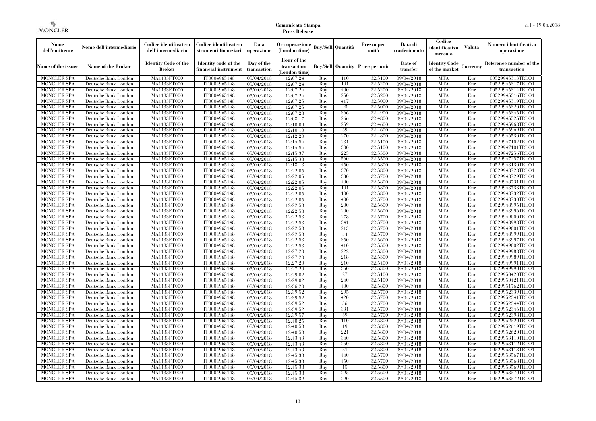| Nome<br>dell'emittente                   | Nome dell'intermediario                      | Codice identificativo<br>dell'intermediario  | Codice identificativo<br>strumenti finanziari | Data<br>operazione        | Ora operazione<br>(London time)           |            | Buy/Sell   Quantità      | Prezzo per<br>unità | Data di<br>trasferimento | Codice<br>identificativo<br>mercato   | <b>Valuta</b> | Numero identificativo<br>operazione    |
|------------------------------------------|----------------------------------------------|----------------------------------------------|-----------------------------------------------|---------------------------|-------------------------------------------|------------|--------------------------|---------------------|--------------------------|---------------------------------------|---------------|----------------------------------------|
| Name of the issuer                       | Name of the Broker                           | <b>Identity Code of the</b><br><b>Broker</b> | Identity code of the<br>financial instrument  | Day of the<br>transaction | Hour of the<br>transaction<br>London time |            | <b>Buy/Sell Quantity</b> | Price per unit      | Date of<br>transfer      | <b>Identity Code</b><br>of the market | Currencv      | Reference number of the<br>transaction |
| <b>MONCLER SPA</b>                       | Deutsche Bank London                         | MA1133FT000                                  | IT0004965148                                  | 05/04/2018                | 12:07:24                                  | Buy        | 110                      | 32,5100             | 09/04/2018               | <b>MTA</b>                            | Eur           | 00529945313TRLO1                       |
| <b>MONCLER SPA</b>                       | Deutsche Bank London                         | <b>MA1133FT000</b>                           | IT0004965148                                  | 05/04/2018                | 12:07:24                                  | Buy        | 101                      | 32,5200             | 09/04/2018               | <b>MTA</b>                            | Eur           | 00529945317TRLO1                       |
| <b>MONCLER SPA</b>                       | Deutsche Bank London                         | MA1133FT000                                  | IT0004965148                                  | 05/04/2018                | 12:07:24                                  | Buy        | 400                      | 32,5200             | 09/04/2018               | <b>MTA</b>                            | Eur           | 00529945314TRLO1                       |
| <b>MONCLER SPA</b>                       | Deutsche Bank London                         | MA1133FT000                                  | IT0004965148                                  | 05/04/2018                | 12:07:24                                  | Buv        | 250                      | 32,5200             | 09/04/2018               | <b>MTA</b>                            | Eur           | 00529945316TRLO1                       |
| <b>MONCLER SPA</b>                       | Deutsche Bank London                         | <b>MA1133FT000</b>                           | IT0004965148                                  | 05/04/2018                | 12:07:25                                  | Buv        | 417                      | 32,5000             | 09/04/2018               | <b>MTA</b>                            | Eur           | 00529945319TRLO1                       |
| <b>MONCLER SPA</b>                       | Deutsche Bank London                         | MA1133FT000                                  | IT0004965148                                  | 05/04/2018                | 12:07:25                                  | Buy        | 93                       | 32,5000             | 09/04/2018               | <b>MTA</b>                            | Eur           | 00529945320TRLO1                       |
| <b>MONCLER SPA</b><br><b>MONCLER SPA</b> | Deutsche Bank London                         | MA1133FT000<br>MA1133FT000                   | IT0004965148<br>IT0004965148                  | 05/04/2018                | 12:07:28<br>12:08:17                      | Buy<br>Buy | 366<br>266               | 32,4900<br>32,4800  | 09/04/2018<br>09/04/2018 | <b>MTA</b><br><b>MTA</b>              | Eur<br>Eur    | 00529945345TRLO1<br>00529945525TRLO1   |
| <b>MONCLER SPA</b>                       | Deutsche Bank London<br>Deutsche Bank London | MA1133FT000                                  | IT0004965148                                  | 05/04/2018<br>05/04/2018  | 12:10:09                                  | Buv        | 259                      | 32.4600             | 09/04/2018               | <b>MTA</b>                            | Eur           | 00529945968TRLO1                       |
| <b>MONCLER SPA</b>                       | Deutsche Bank London                         | MA1133FT000                                  | IT0004965148                                  | 05/04/2018                | 12:10:10                                  | Buy        | 69                       | 32,4600             | 09/04/2018               | <b>MTA</b>                            | Eur           | 00529945969TRLO1                       |
| <b>MONCLER SPA</b>                       | Deutsche Bank London                         | MA1133FT000                                  | IT0004965148                                  | 05/04/2018                | 12:12:20                                  | Buy        | 270                      | 32,4800             | 09/04/2018               | <b>MTA</b>                            | Eur           | 00529946530TRLO1                       |
| <b>MONCLER SPA</b>                       | Deutsche Bank London                         | MA1133FT000                                  | IT0004965148                                  | 05/04/2018                | 12:14:54                                  | Buv        | 281                      | 32,5100             | 09/04/2018               | <b>MTA</b>                            | Eur           | 00529947102TRLO1                       |
| <b>MONCLER SPA</b>                       | Deutsche Bank London                         | <b>MA1133FT000</b>                           | IT0004965148                                  | 05/04/2018                | 12:14:54                                  | Buy        | 300                      | 32,5100             | 09/04/2018               | <b>MTA</b>                            | Eur           | 00529947101TRLO1                       |
| MONCLER SPA                              | Deutsche Bank London                         | MA1133FT000                                  | IT0004965148                                  | 05/04/2018                | 12:15:37                                  | Buy        | 225                      | 32,5500             | 09/04/2018               | <b>MTA</b>                            | Eur           | 00529947256TRLO1                       |
| <b>MONCLER SPA</b>                       | Deutsche Bank London                         | MA1133FT000                                  | IT0004965148                                  | 05/04/2018                | 12:15:38                                  | Buv        | 560                      | 32.5500             | 09/04/2018               | <b>MTA</b>                            | Eur           | 00529947257TRLO1                       |
| <b>MONCLER SPA</b>                       | Deutsche Bank London                         | MA1133FT000                                  | IT0004965148                                  | 05/04/2018                | 12:18:18                                  | Buy        | 450                      | 32,5800             | 09/04/2018               | <b>MTA</b>                            | Eur           | 00529948130TRLO1                       |
| <b>MONCLER SPA</b>                       | Deutsche Bank London                         | <b>MA1133FT000</b>                           | IT0004965148                                  | 05/04/2018                | 12:22:05                                  | Buy        | 370                      | 32,5800             | 09/04/2018               | <b>MTA</b>                            | Eur           | 00529948728TRLO1                       |
| <b>MONCLER SPA</b>                       | Deutsche Bank London                         | <b>MA1133FT000</b>                           | IT0004965148                                  | 05/04/2018                | 12:22:05                                  | Buy        | 330                      | 32,5700             | 09/04/2018               | <b>MTA</b>                            | Eur           | 00529948729TRLO1                       |
| <b>MONCLER SPA</b>                       | Deutsche Bank London                         | MA1133FT000                                  | IT0004965148                                  | 05/04/2018                | 12:22:05                                  | Buy        | 400                      | 32,5800             | 09/04/2018               | <b>MTA</b>                            | Eur           | 00529948731TRLO1                       |
| <b>MONCLER SPA</b>                       | Deutsche Bank London                         | MA1133FT000                                  | IT0004965148                                  | 05/04/2018                | 12:22:05                                  | Buv        | 101                      | 32.5800             | 09/04/2018               | <b>MTA</b>                            | Eur           | 00529948733TRLO1                       |
| <b>MONCLER SPA</b>                       | Deutsche Bank London                         | MA1133FT000                                  | IT0004965148                                  | 05/04/2018                | 12:22:05                                  | Buy        | 100                      | 32,5800             | 09/04/2018               | <b>MTA</b>                            | Eur           | 00529948732TRLO1                       |
| <b>MONCLER SPA</b>                       | Deutsche Bank London                         | <b>MA1133FT000</b>                           | IT0004965148                                  | 05/04/2018                | 12:22:05                                  | Buy        | 400                      | 32,5700             | 09/04/2018               | <b>MTA</b>                            | Eur           | 00529948730TRLO1                       |
| <b>MONCLER SPA</b>                       | Deutsche Bank London                         | MA1133FT000                                  | IT0004965148                                  | 05/04/2018                | 12:22:58                                  | Buy        | 200                      | 32,5600             | 09/04/2018               | <b>MTA</b>                            | Eur           | 00529948995TRLO1                       |
| <b>MONCLER SPA</b>                       | Deutsche Bank London                         | MA1133FT000                                  | IT0004965148                                  | 05/04/2018                | 12:22:58                                  | Buy        | 200                      | 32,5600             | 09/04/2018               | <b>MTA</b>                            | Eur           | 00529948996TRLO1                       |
| <b>MONCLER SPA</b>                       | Deutsche Bank London                         | MA1133FT000                                  | IT0004965148                                  | 05/04/2018                | 12:22:58                                  | Buv        | 278                      | 32.5700             | 09/04/2018               | <b>MTA</b>                            | Eur           | 00529949000TRLO1                       |
| <b>MONCLER SPA</b>                       | Deutsche Bank London                         | MA1133FT000                                  | IT0004965148                                  | $\overline{05}/04/2018$   | 12:22:58                                  | Buy        | 341                      | 32,5700             | 09/04/2018               | <b>MTA</b>                            | Eur           | 00529948998TRLO1                       |
| <b>MONCLER SPA</b>                       | Deutsche Bank London                         | MA1133FT000                                  | IT0004965148                                  | 05/04/2018                | 12:22:58                                  | Buy        | 213                      | 32,5700             | 09/04/2018               | <b>MTA</b>                            | Eur           | 00529949001TRLO1                       |
| <b>MONCLER SPA</b>                       | Deutsche Bank London                         | MA1133FT000                                  | IT0004965148                                  | 05/04/2018                | 12:22:58                                  | Buy        | 34                       | 32,5700             | 09/04/2018               | <b>MTA</b>                            | Eur           | 00529948999TRLO1                       |
| <b>MONCLER SPA</b>                       | Deutsche Bank London                         | MA1133FT000                                  | IT0004965148                                  | 05/04/2018                | 12:22:58                                  | Buy        | 350                      | 32,5600             | 09/04/2018               | <b>MTA</b>                            | Eur           | 00529948997TRLO1                       |
| MONCLER SPA                              | Deutsche Bank London                         | MA1133FT000                                  | IT0004965148                                  | 05/04/2018                | 12:22:58                                  | Buy        | 410                      | 32,5500             | 09/04/2018               | <b>MTA</b>                            | Eur           | 00529949002TRLO1                       |
| <b>MONCLER SPA</b>                       | Deutsche Bank London                         | MA1133FT000                                  | IT0004965148                                  | 05/04/2018                | 12:27:20                                  | Buy        | 222                      | 32,5300             | 09/04/2018               | <b>MTA</b>                            | Eur           | 00529949988TRLO1                       |
| <b>MONCLER SPA</b>                       | Deutsche Bank London                         | MA1133FT000                                  | IT0004965148                                  | 05/04/2018                | 12:27:20                                  | Buy        | 218                      | 32,5300             | 09/04/2018               | <b>MTA</b>                            | Eur           | 00529949989TRLO1                       |
| <b>MONCLER SPA</b>                       | Deutsche Bank London                         | MA1133FT000                                  | IT0004965148                                  | 05/04/2018                | 12:27:20                                  | Buy        | 210                      | 32,5400             | 09/04/2018               | <b>MTA</b>                            | Eur           | 00529949991TRLO1                       |
| <b>MONCLER SPA</b>                       | Deutsche Bank London                         | <b>MA1133FT000</b>                           | IT0004965148                                  | 05/04/2018                | 12:27:20                                  | Buy        | 350                      | 32,5300             | 09/04/2018               | <b>MTA</b>                            | Eur           | 00529949990TRLO1                       |
| <b>MONCLER SPA</b>                       | Deutsche Bank London                         | <b>MA1133FT000</b>                           | IT0004965148                                  | 05/04/2018                | 12:29:02                                  | Buy        | 27                       | 32,5100             | 09/04/2018               | <b>MTA</b>                            | Eur           | 00529950420TRLO1                       |
| <b>MONCLER SPA</b>                       | Deutsche Bank London                         | MA1133FT000                                  | IT0004965148                                  | 05/04/2018                | 12:29:02                                  | Buy        | 240                      | 32,5100             | 09/04/2018               | <b>MTA</b>                            | Eur           | 00529950421TRLO1                       |
| <b>MONCLER SPA</b>                       | Deutsche Bank London                         | MA1133FT000                                  | IT0004965148                                  | 05/04/2018                | 12:36:20                                  | Buy        | 400                      | 32,5800             | 09/04/2018               | <b>MTA</b>                            | Eur           | 00529951762TRLO1                       |
| <b>MONCLER SPA</b>                       | Deutsche Bank London                         | <b>MA1133FT000</b>                           | IT0004965148                                  | 05/04/2018                | 12:39:52                                  | Buy        | 295<br>420               | 32,5700<br>32,5700  | 09/04/2018               | <b>MTA</b><br><b>MTA</b>              | Eur<br>Eur    | 00529952339TRLO1                       |
| <b>MONCLER SPA</b><br><b>MONCLER SPA</b> | Deutsche Bank London<br>Deutsche Bank London | <b>MA1133FT000</b><br>MA1133FT000            | IT0004965148<br>IT0004965148                  | 05/04/2018<br>05/04/2018  | 12:39:52<br>12:39:52                      | Buy<br>Buy | 36                       | 32,5700             | 09/04/2018<br>09/04/2018 | <b>MTA</b>                            | Eur           | 00529952341TRLO1<br>00529952344TRLO1   |
| <b>MONCLER SPA</b>                       | Deutsche Bank London                         | MA1133FT000                                  | IT0004965148                                  | 05/04/2018                | 12:39:52                                  | Buv        | 331                      | 32,5700             | 09/04/2018               | <b>MTA</b>                            | Eur           | 00529952346TRLO1                       |
| <b>MONCLER SPA</b>                       | Deutsche Bank London                         | MA1133FT000                                  | IT0004965148                                  | 05/04/2018                | 12:39:57                                  | Buy        | 69                       | 32,5700             | 09/04/2018               | <b>MTA</b>                            | Eur           | 00529952398TRLO1                       |
| <b>MONCLER SPA</b>                       | Deutsche Bank London                         | MA1133FT000                                  | IT0004965148                                  | 05/04/2018                | 12:40:25                                  | Buy        | 110                      | 32,5800             | 09/04/2018               | <b>MTA</b>                            | Eur           | 00529952520TRLO1                       |
| <b>MONCLER SPA</b>                       | Deutsche Bank London                         | MA1133FT000                                  | IT0004965148                                  | 05/04/2018                | 12:40:58                                  | Buy        | 19                       | 32,5800             | 09/04/2018               | <b>MTA</b>                            | Eur           | 00529952619TRLO1                       |
| <b>MONCLER SPA</b>                       | Deutsche Bank London                         | MA1133FT000                                  | IT0004965148                                  | 05/04/2018                | 12:40:58                                  | Buy        | 221                      | 32,5800             | 09/04/2018               | <b>MTA</b>                            | Eur           | 00529952620TRLO1                       |
| <b>MONCLER SPA</b>                       | Deutsche Bank London                         | MA1133FT000                                  | IT0004965148                                  | 05/04/2018                | 12:43:43                                  | Buy        | 340                      | 32,5800             | 09/04/2018               | <b>MTA</b>                            | Eur           | 00529953110TRLO1                       |
| <b>MONCLER SPA</b>                       | Deutsche Bank London                         | MA1133FT000                                  | IT0004965148                                  | 05/04/2018                | 12:43:43                                  | Buy        | 250                      | 32,5800             | 09/04/2018               | <b>MTA</b>                            | Eur           | 00529953112TRLO1                       |
| <b>MONCLER SPA</b>                       | Deutsche Bank London                         | MA1133FT000                                  | IT0004965148                                  | 05/04/2018                | 12:43:43                                  | Buy        | 81                       | 32,5800             | 09/04/2018               | <b>MTA</b>                            | Eur           | 00529953113TRLO1                       |
| <b>MONCLER SPA</b>                       | Deutsche Bank London                         | MA1133FT000                                  | IT0004965148                                  | 05/04/2018                | 12:45:38                                  | Buy        | 440                      | 32,5700             | 09/04/2018               | <b>MTA</b>                            | Eur           | 00529953567TRLO1                       |
| <b>MONCLER SPA</b>                       | Deutsche Bank London                         | MA1133FT000                                  | IT0004965148                                  | 05/04/2018                | 12:45:38                                  | Buy        | 450                      | 32,5700             | 09/04/2018               | <b>MTA</b>                            | Eur           | 00529953568TRLO1                       |
| <b>MONCLER SPA</b>                       | Deutsche Bank London                         | MA1133FT000                                  | IT0004965148                                  | 05/04/2018                | 12:45:38                                  | Buy        | 15                       | 32,5800             | 09/04/2018               | <b>MTA</b>                            | Eur           | 00529953569TRLO1                       |
| <b>MONCLER SPA</b>                       | Deutsche Bank London                         | MA1133FT000                                  | IT0004965148                                  | 05/04/2018                | 12:45:38                                  | Buy        | 295                      | 32,5600             | 09/04/2018               | <b>MTA</b>                            | Eur           | 00529953570TRLO1                       |
| <b>MONCLER SPA</b>                       | Deutsche Bank London                         | MA1133FT000                                  | IT0004965148                                  | 05/04/2018                | 12:45:39                                  | Buy        | 290                      | 32,5500             | 09/04/2018               | <b>MTA</b>                            | Eur           | 00529953572TRLO1                       |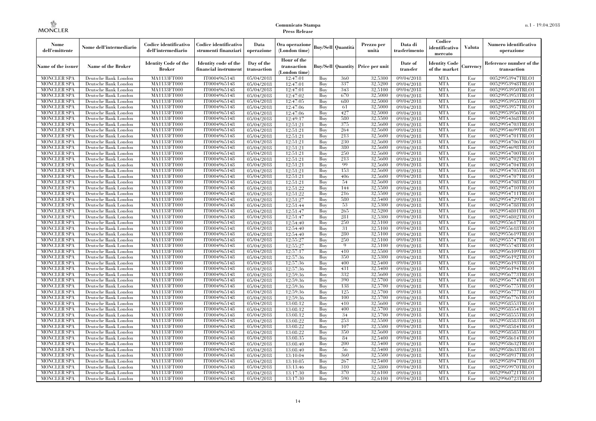| Nome<br>dell'emittente                   | Nome dell'intermediario                      | Codice identificativo<br>dell'intermediario  | Codice identificativo<br>strumenti finanziari | Data<br>operazione        | Ora operazione<br>(London time)             |            | Buy/Sell   Quantità      | Prezzo per<br>unità | Data di<br>trasferimento | Codice<br>identificativo<br>mercato   | <b>Valuta</b> | Numero identificativo<br>operazione    |
|------------------------------------------|----------------------------------------------|----------------------------------------------|-----------------------------------------------|---------------------------|---------------------------------------------|------------|--------------------------|---------------------|--------------------------|---------------------------------------|---------------|----------------------------------------|
| Name of the issuer                       | Name of the Broker                           | <b>Identity Code of the</b><br><b>Broker</b> | Identity code of the<br>financial instrument  | Day of the<br>transaction | Hour of the<br>transaction<br>(London time) |            | <b>Buy/Sell Quantity</b> | Price per unit      | Date of<br>transfer      | <b>Identity Code</b><br>of the market | Currencv      | Reference number of the<br>transaction |
| <b>MONCLER SPA</b>                       | Deutsche Bank London                         | MA1133FT000                                  | IT0004965148                                  | 05/04/2018                | 12:47:01                                    | Buy        | 360                      | 32,5300             | 09/04/2018               | <b>MTA</b>                            | Eur           | 00529953947TRLO1                       |
| <b>MONCLER SPA</b>                       | Deutsche Bank London                         | <b>MA1133FT000</b>                           | IT0004965148                                  | 05/04/2018                | 12:47:01                                    | Buy        | 337                      | 32,5200             | 09/04/2018               | <b>MTA</b>                            | Eur           | 00529953948TRLO1                       |
| <b>MONCLER SPA</b>                       | Deutsche Bank London                         | MA1133FT000                                  | IT0004965148                                  | 05/04/2018                | 12:47:01                                    | Buy        | 343                      | 32,5100             | 09/04/2018               | <b>MTA</b>                            | Eur           | 00529953950TRLO1                       |
| <b>MONCLER SPA</b>                       | Deutsche Bank London                         | <b>MA1133FT000</b>                           | IT0004965148                                  | 05/04/2018                | 12:47:02                                    | Buy        | 670                      | 32,5000             | 09/04/2018               | <b>MTA</b>                            | Eur           | 00529953953TRLO1                       |
| <b>MONCLER SPA</b>                       | Deutsche Bank London                         | <b>MA1133FT000</b>                           | IT0004965148                                  | 05/04/2018                | 12:47:05                                    | Buy        | 680<br>61                | 32,5000             | 09/04/2018               | <b>MTA</b>                            | Eur           | 00529953955TRLO1                       |
| <b>MONCLER SPA</b><br><b>MONCLER SPA</b> | Deutsche Bank London<br>Deutsche Bank London | MA1133FT000<br>MA1133FT000                   | IT0004965148<br>IT0004965148                  | 05/04/2018                | 12:47:06<br>12:47:06                        | Buy<br>Buy | 427                      | 32,5000<br>32,5000  | 09/04/2018<br>09/04/2018 | <b>MTA</b><br><b>MTA</b>              | Eur<br>Eur    | 00529953957TRLO1<br>00529953956TRLO1   |
| <b>MONCLER SPA</b>                       | Deutsche Bank London                         | MA1133FT000                                  | IT0004965148                                  | 05/04/2018<br>05/04/2018  | 12:49:17                                    | Buy        | 580                      | 32,5500             | 09/04/2018               | <b>MTA</b>                            | Eur           | 00529954368TRLO1                       |
| <b>MONCLER SPA</b>                       | Deutsche Bank London                         | <b>MA1133FT000</b>                           | IT0004965148                                  | 05/04/2018                | 12:51:21                                    | Buy        | 375                      | 32,5600             | 09/04/2018               | <b>MTA</b>                            | Eur           | 00529954703TRLO1                       |
| <b>MONCLER SPA</b>                       | Deutsche Bank London                         | MA1133FT000                                  | IT0004965148                                  | 05/04/2018                | 12:51:21                                    | Buy        | 264                      | 32,5600             | 09/04/2018               | <b>MTA</b>                            | Eur           | 00529954699TRLO1                       |
| <b>MONCLER SPA</b>                       | Deutsche Bank London                         | MA1133FT000                                  | IT0004965148                                  | 05/04/2018                | 12:51:21                                    | Buy        | 213                      | 32,5600             | 09/04/2018               | <b>MTA</b>                            | Eur           | 00529954701TRLO1                       |
| <b>MONCLER SPA</b>                       | Deutsche Bank London                         | MA1133FT000                                  | IT0004965148                                  | 05/04/2018                | 12:51:21                                    | Buy        | 230                      | 32,5600             | 09/04/2018               | <b>MTA</b>                            | Eur           | 00529954706TRLO1                       |
| <b>MONCLER SPA</b>                       | Deutsche Bank London                         | MA1133FT000                                  | IT0004965148                                  | 05/04/2018                | 12:51:21                                    | Buy        | 380                      | 32,5600             | 09/04/2018               | <b>MTA</b>                            | Eur           | 00529954698TRLO1                       |
| <b>MONCLER SPA</b>                       | Deutsche Bank London                         | <b>MA1133FT000</b>                           | IT0004965148                                  | 05/04/2018                | 12:51:21                                    | Buy        | 250                      | 32,5600             | 09/04/2018               | <b>MTA</b>                            | Eur           | 00529954700TRLO1                       |
| <b>MONCLER SPA</b>                       | Deutsche Bank London                         | MA1133FT000                                  | IT0004965148                                  | 05/04/2018                | 12:51:21                                    | Buy        | 213                      | 32,5600             | 09/04/2018               | <b>MTA</b>                            | Eur           | 00529954702TRLO1                       |
| <b>MONCLER SPA</b>                       | Deutsche Bank London                         | MA1133FT000                                  | IT0004965148                                  | 05/04/2018                | 12:51:21                                    | Buy        | 99                       | 32,5600             | 09/04/2018               | <b>MTA</b>                            | Eur           | 00529954704TRLO1                       |
| <b>MONCLER SPA</b>                       | Deutsche Bank London                         | MA1133FT000                                  | IT0004965148                                  | $\overline{05}/04/2018$   | 12:51:21                                    | Buy        | 153                      | 32,5600             | 09/04/2018               | <b>MTA</b>                            | Eur           | 00529954705TRLO1                       |
| <b>MONCLER SPA</b>                       | Deutsche Bank London                         | MA1133FT000                                  | IT0004965148                                  | 05/04/2018                | 12:51:21                                    | Buy        | 406                      | 32,5600             | 09/04/2018               | <b>MTA</b>                            | Eur           | 00529954707TRLO1                       |
| <b>MONCLER SPA</b>                       | Deutsche Bank London                         | MA1133FT000                                  | IT0004965148                                  | 05/04/2018                | 12:51:21                                    | Buy        | 54                       | 32,5600             | 09/04/2018               | <b>MTA</b>                            | Eur           | 00529954708TRLO1                       |
| <b>MONCLER SPA</b>                       | Deutsche Bank London                         | MA1133FT000                                  | IT0004965148                                  | 05/04/2018                | 12:51:22                                    | Buy        | 144                      | 32,5500             | 09/04/2018               | <b>MTA</b>                            | Eur           | 00529954710TRLO1                       |
| <b>MONCLER SPA</b>                       | Deutsche Bank London                         | MA1133FT000                                  | IT0004965148                                  | 05/04/2018                | 12:51:22                                    | Buy        | 216                      | 32,5500             | 09/04/2018               | <b>MTA</b>                            | Eur           | 00529954711TRLO1                       |
| <b>MONCLER SPA</b>                       | Deutsche Bank London                         | MA1133FT000                                  | IT0004965148                                  | 05/04/2018                | 12:51:27                                    | Buy        | 580                      | 32,5400             | 09/04/2018               | <b>MTA</b>                            | Eur           | 00529954729TRLO1                       |
| <b>MONCLER SPA</b>                       | Deutsche Bank London                         | <b>MA1133FT000</b>                           | IT0004965148                                  | 05/04/2018                | 12:51:44                                    | Buy        | 53                       | 32,5300             | 09/04/2018               | <b>MTA</b>                            | Eur           | 00529954788TRLO1                       |
| <b>MONCLER SPA</b>                       | Deutsche Bank London                         | MA1133FT000                                  | IT0004965148                                  | 05/04/2018                | 12:51:47                                    | Buy        | 265                      | 32,5200             | 09/04/2018               | <b>MTA</b>                            | Eur           | 00529954801TRLO1                       |
| <b>MONCLER SPA</b>                       | Deutsche Bank London                         | MA1133FT000                                  | IT0004965148                                  | 05/04/2018                | 12:51:47                                    | Buv        | 281                      | 32.5300             | 09/04/2018               | <b>MTA</b>                            | Eur           | 00529954802TRLO1                       |
| <b>MONCLER SPA</b>                       | Deutsche Bank London                         | <b>MA1133FT000</b>                           | IT0004965148                                  | 05/04/2018                | 12:54:40                                    | Buy        | 250                      | 32,5100             | 09/04/2018               | <b>MTA</b>                            | Eur           | 00529955617TRLO1                       |
| <b>MONCLER SPA</b>                       | Deutsche Bank London                         | MA1133FT000                                  | IT0004965148                                  | 05/04/2018                | 12:54:40                                    | Buy        | 31                       | 32,5100             | 09/04/2018               | <b>MTA</b>                            | Eur           | 00529955618TRLO1                       |
| <b>MONCLER SPA</b>                       | Deutsche Bank London                         | MA1133FT000                                  | IT0004965148                                  | 05/04/2018                | 12:54:40                                    | Buy        | 280                      | 32,5100             | 09/04/2018               | <b>MTA</b>                            | Eur           | 00529955619TRLO1                       |
| <b>MONCLER SPA</b>                       | Deutsche Bank London                         | MA1133FT000                                  | IT0004965148                                  | 05/04/2018                | 12:55:27                                    | Buy        | 250                      | 32.5100             | 09/04/2018               | <b>MTA</b>                            | Eur           | 00529955747TRLO1                       |
| <b>MONCLER SPA</b>                       | Deutsche Bank London                         | MA1133FT000                                  | IT0004965148                                  | 05/04/2018                | 12:55:27                                    | Buy        | $\mathbf Q$              | 32,5100             | 09/04/2018               | <b>MTA</b>                            | Eur           | 00529955748TRLO1                       |
| <b>MONCLER SPA</b>                       | Deutsche Bank London                         | MA1133FT000                                  | IT0004965148                                  | 05/04/2018                | 12:57:17                                    | Buy        | 410                      | 32,5500             | 09/04/2018               | <b>MTA</b>                            | Eur           | 00529956109TRLO1                       |
| <b>MONCLER SPA</b>                       | Deutsche Bank London                         | MA1133FT000                                  | IT0004965148                                  | 05/04/2018                | 12:57:36                                    | Buy        | 350                      | 32,5300             | 09/04/2018               | <b>MTA</b>                            | Eur           | 00529956192TRLO1                       |
| <b>MONCLER SPA</b>                       | Deutsche Bank London                         | MA1133FT000                                  | IT0004965148                                  | 05/04/2018                | 12:57:36                                    | Buy        | 400                      | 32,5400             | 09/04/2018               | <b>MTA</b>                            | Eur           | 00529956193TRLO1                       |
| <b>MONCLER SPA</b>                       | Deutsche Bank London                         | MA1133FT000                                  | IT0004965148                                  | 05/04/2018                | 12:57:36                                    | Buy        | 431                      | 32,5400             | 09/04/2018               | <b>MTA</b>                            | Eur           | 00529956194TRLO1                       |
| <b>MONCLER SPA</b>                       | Deutsche Bank London                         | MA1133FT000                                  | IT0004965148                                  | 05/04/2018                | 12:59:36                                    | Buy        | 332                      | 32,5600             | 09/04/2018               | <b>MTA</b>                            | Eur           | 00529956773TRLO1                       |
| <b>MONCLER SPA</b>                       | Deutsche Bank London                         | <b>MA1133FT000</b>                           | IT0004965148                                  | 05/04/2018                | 12:59:36                                    | Buy        | 390                      | 32,5700             | 09/04/2018               | <b>MTA</b>                            | Eur           | 00529956774TRLO1                       |
| <b>MONCLER SPA</b>                       | Deutsche Bank London                         | MA1133FT000                                  | IT0004965148                                  | 05/04/2018                | 12:59:36                                    | Buy        | 138                      | 32,5700             | 09/04/2018               | <b>MTA</b>                            | Eur           | 00529956775TRLO1                       |
| <b>MONCLER SPA</b>                       | Deutsche Bank London                         | MA1133FT000                                  | IT0004965148                                  | 05/04/2018                | 12:59:36                                    | Buy        | 125<br>100               | 32,5700             | 09/04/2018               | <b>MTA</b>                            | Eur           | 00529956777TRLO1                       |
| <b>MONCLER SPA</b>                       | Deutsche Bank London                         | MA1133FT000                                  | IT0004965148                                  | 05/04/2018                | 12:59:36                                    | Buy        |                          | 32,5700             | 09/04/2018               | <b>MTA</b><br><b>MTA</b>              | Eur           | 00529956776TRLO1                       |
| <b>MONCLER SPA</b>                       | Deutsche Bank London                         | MA1133FT000                                  | IT0004965148                                  | 05/04/2018                | 13:08:12                                    | Buy<br>Buy | 410<br>400               | 32,5600<br>32,5700  | 09/04/2018               | <b>MTA</b>                            | Eur<br>Eur    | 00529958553TRLO1                       |
| <b>MONCLER SPA</b><br><b>MONCLER SPA</b> | Deutsche Bank London<br>Deutsche Bank London | MA1133FT000<br>MA1133FT000                   | IT0004965148<br>IT0004965148                  | 05/04/2018<br>05/04/2018  | 13:08:12<br>13:08:12                        | Buy        | 34                       | 32,5700             | 09/04/2018<br>09/04/2018 | <b>MTA</b>                            | Eur           | 00529958554TRLO1<br>00529958555TRLO1   |
| <b>MONCLER SPA</b>                       | Deutsche Bank London                         | MA1133FT000                                  | IT0004965148                                  | 05/04/2018                | 13:08:22                                    | Buy        | 253                      | 32,5500             | 09/04/2018               | <b>MTA</b>                            | Eur           | 00529958583TRLO1                       |
| <b>MONCLER SPA</b>                       | Deutsche Bank London                         | MA1133FT000                                  | IT0004965148                                  | 05/04/2018                | 13:08:22                                    | Buy        | 107                      | 32,5500             | 09/04/2018               | <b>MTA</b>                            | Eur           | 00529958584TRLO1                       |
| <b>MONCLER SPA</b>                       | Deutsche Bank London                         | MA1133FT000                                  | IT0004965148                                  | 05/04/2018                | 13:08:22                                    | Buy        | 350                      | 32,5600             | 09/04/2018               | <b>MTA</b>                            | Eur           | 00529958585TRLO1                       |
| <b>MONCLER SPA</b>                       | Deutsche Bank London                         | MA1133FT000                                  | IT0004965148                                  | 05/04/2018                | 13:08:35                                    | Buy        | 84                       | 32,5400             | 09/04/2018               | <b>MTA</b>                            | Eur           | 00529958614TRLO1                       |
| <b>MONCLER SPA</b>                       | Deutsche Bank London                         | MA1133FT000                                  | IT0004965148                                  | 05/04/2018                | 13:08:40                                    | Buy        | 200                      | 32,5400             | 09/04/2018               | <b>MTA</b>                            | Eur           | 00529958632TRLO1                       |
| <b>MONCLER SPA</b>                       | Deutsche Bank London                         | MA1133FT000                                  | IT0004965148                                  | 05/04/2018                | 13:08:40                                    | Buy        | 56                       | 32,5400             | 09/04/2018               | <b>MTA</b>                            | Eur           | 00529958633TRLO1                       |
| <b>MONCLER SPA</b>                       | Deutsche Bank London                         | MA1133FT000                                  | IT0004965148                                  | 05/04/2018                | 13:10:04                                    | Buy        | 360                      | 32,5500             | 09/04/2018               | <b>MTA</b>                            | Eur           | 00529958937TRLO1                       |
| <b>MONCLER SPA</b>                       | Deutsche Bank London                         | MA1133FT000                                  | IT0004965148                                  | 05/04/2018                | 13:10:05                                    | Buy        | 267                      | 32,5400             | 09/04/2018               | <b>MTA</b>                            | Eur           | 00529958947TRLO1                       |
| <b>MONCLER SPA</b>                       | Deutsche Bank London                         | MA1133FT000                                  | IT0004965148                                  | 05/04/2018                | 13:13:46                                    | Buy        | 310                      | 32,5800             | 09/04/2018               | <b>MTA</b>                            | Eur           | 00529959970TRLO1                       |
| <b>MONCLER SPA</b>                       | Deutsche Bank London                         | MA1133FT000                                  | IT0004965148                                  | 05/04/2018                | 13:17:30                                    | Buy        | 370                      | 32,6100             | 09/04/2018               | <b>MTA</b>                            | Eur           | 00529960721TRLO1                       |
| <b>MONCLER SPA</b>                       | Deutsche Bank London                         | MA1133FT000                                  | IT0004965148                                  | 05/04/2018                | 13:17:30                                    | Buy        | 590                      | 32,6100             | 09/04/2018               | <b>MTA</b>                            | Eur           | 00529960723TRLO1                       |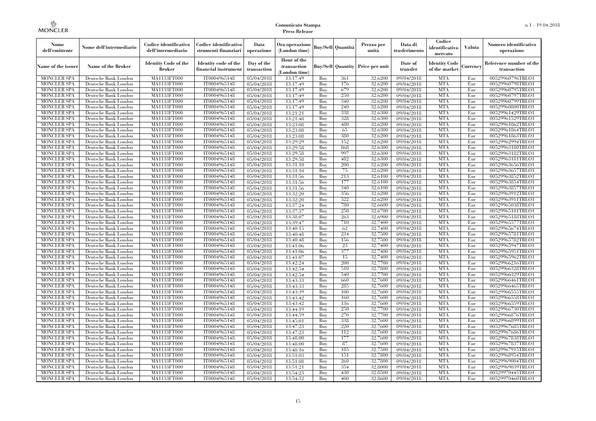| Nome<br>dell'emittente                   | Nome dell'intermediario                      | Codice identificativo<br>dell'intermediario  | Codice identificativo<br>strumenti finanziari | Data<br>operazione        | Ora operazione<br>(London time)             |            | Buy/Sell   Quantità      | Prezzo per<br>unità | Data di<br>trasferimento | Codice<br>identificativo<br>mercato   | <b>Valuta</b> | Numero identificativo<br>operazione    |
|------------------------------------------|----------------------------------------------|----------------------------------------------|-----------------------------------------------|---------------------------|---------------------------------------------|------------|--------------------------|---------------------|--------------------------|---------------------------------------|---------------|----------------------------------------|
| Name of the issuer                       | Name of the Broker                           | <b>Identity Code of the</b><br><b>Broker</b> | Identity code of the<br>financial instrument  | Day of the<br>transaction | Hour of the<br>transaction<br>(London time) |            | <b>Buy/Sell Quantity</b> | Price per unit      | Date of<br>transfer      | <b>Identity Code</b><br>of the market | Currencv      | Reference number of the<br>transaction |
| <b>MONCLER SPA</b>                       | Deutsche Bank London                         | MA1133FT000                                  | IT0004965148                                  | 05/04/2018                | 13:17:49                                    | Buy        | 361                      | 32,6200             | 09/04/2018               | <b>MTA</b>                            | Eur           | 00529960796TRLO1                       |
| <b>MONCLER SPA</b>                       | Deutsche Bank London                         | <b>MA1133FT000</b>                           | IT0004965148                                  | 05/04/2018                | 13:17:49                                    | Buy        | 176                      | 32,6200             | 09/04/2018               | <b>MTA</b>                            | Eur           | 00529960798TRLO1                       |
| <b>MONCLER SPA</b>                       | Deutsche Bank London                         | MA1133FT000                                  | IT0004965148                                  | 05/04/2018                | 13:17:49                                    | Buv        | 679                      | 32.6200             | 09/04/2018               | <b>MTA</b>                            | Eur           | 00529960795TRLO1                       |
| <b>MONCLER SPA</b>                       | Deutsche Bank London                         | MA1133FT000                                  | IT0004965148                                  | 05/04/2018                | 13:17:49                                    | Buy        | 250                      | 32,6200             | 09/04/2018               | <b>MTA</b>                            | Eur           | 00529960797TRLO1                       |
| <b>MONCLER SPA</b>                       | Deutsche Bank London                         | MA1133FT000                                  | IT0004965148                                  | 05/04/2018                | 13:17:49                                    | Buy        | 340                      | 32,6200             | 09/04/2018               | <b>MTA</b>                            | Eur           | 00529960799TRLO1                       |
| MONCLER SPA<br><b>MONCLER SPA</b>        | Deutsche Bank London                         | <b>MA1133FT000</b><br>MA1133FT000            | IT0004965148                                  | 05/04/2018                | 13:17:49                                    | Buy        | 240<br>338               | 32,6200<br>32,6300  | 09/04/2018               | <b>MTA</b><br><b>MTA</b>              | Eur           | 00529960800TRLO1                       |
| <b>MONCLER SPA</b>                       | Deutsche Bank London<br>Deutsche Bank London | MA1133FT000                                  | IT0004965148<br>IT0004965148                  | 05/04/2018<br>05/04/2018  | 13:21:21<br>13:21:48                        | Buy<br>Buy | 328                      | 32.6300             | 09/04/2018<br>09/04/2018 | <b>MTA</b>                            | Eur<br>Eur    | 00529961429TRLO1<br>00529961529TRLO1   |
| <b>MONCLER SPA</b>                       | Deutsche Bank London                         | MA1133FT000                                  | IT0004965148                                  | 05/04/2018                | 13:23:08                                    | Buy        | 480                      | 32,6200             | 09/04/2018               | <b>MTA</b>                            | Eur           | 00529961862TRLO1                       |
| <b>MONCLER SPA</b>                       | Deutsche Bank London                         | <b>MA1133FT000</b>                           | IT0004965148                                  | 05/04/2018                | 13:23:08                                    | Buy        | 65                       | 32,6300             | $\sqrt{09/04/2018}$      | <b>MTA</b>                            | Eur           | 00529961864TRLO1                       |
| <b>MONCLER SPA</b>                       | Deutsche Bank London                         | MA1133FT000                                  | IT0004965148                                  | 05/04/2018                | 13:23:08                                    | Buy        | 380                      | 32,6200             | 09/04/2018               | <b>MTA</b>                            | Eur           | 00529961863TRLO1                       |
| <b>MONCLER SPA</b>                       | Deutsche Bank London                         | MA1133FT000                                  | IT0004965148                                  | 05/04/2018                | 13:29:29                                    | Buy        | 152                      | 32,6200             | 09/04/2018               | <b>MTA</b>                            | Eur           | 00529962994TRLO1                       |
| <b>MONCLER SPA</b>                       | Deutsche Bank London                         | MA1133FT000                                  | IT0004965148                                  | 05/04/2018                | 13:29:58                                    | Buy        | 868                      | 32,6300             | 09/04/2018               | <b>MTA</b>                            | Eur           | 00529963180TRLO1                       |
| <b>MONCLER SPA</b>                       | Deutsche Bank London                         | MA1133FT000                                  | IT0004965148                                  | 05/04/2018                | 13:29:58                                    | Buy        | 997                      | 32,6300             | $\sqrt{09}/04/2018$      | <b>MTA</b>                            | Eur           | 00529963182TRLO1                       |
| <b>MONCLER SPA</b>                       | Deutsche Bank London                         | MA1133FT000                                  | IT0004965148                                  | 05/04/2018                | 13:29:58                                    | Buy        | 482                      | 32,6300             | 09/04/2018               | <b>MTA</b>                            | Eur           | 00529963181TRLO1                       |
| <b>MONCLER SPA</b>                       | Deutsche Bank London                         | MA1133FT000                                  | IT0004965148                                  | 05/04/2018                | 13:31:10                                    | Buy        | 200                      | 32,6200             | 09/04/2018               | <b>MTA</b>                            | Eur           | 00529963656TRLO1                       |
| <b>MONCLER SPA</b>                       | Deutsche Bank London                         | MA1133FT000                                  | IT0004965148                                  | 05/04/2018                | 13:31:10                                    | Buy        | 75                       | 32,6200             | 09/04/2018               | <b>MTA</b>                            | Eur           | 00529963657TRLO1                       |
| <b>MONCLER SPA</b>                       | Deutsche Bank London                         | MA1133FT000                                  | IT0004965148                                  | 05/04/2018                | 13:31:56                                    | Buy        | 213                      | 32,6100             | 09/04/2018               | <b>MTA</b>                            | Eur           | 00529963852TRLO1                       |
| <b>MONCLER SPA</b>                       | Deutsche Bank London                         | MA1133FT000                                  | IT0004965148                                  | 05/04/2018                | 13:31:56                                    | Buy        | 177                      | 32,6100             | 09/04/2018               | <b>MTA</b>                            | Eur           | 00529963854TRLO1                       |
| <b>MONCLER SPA</b>                       | Deutsche Bank London                         | MA1133FT000                                  | IT0004965148                                  | 05/04/2018                | 13:31:56                                    | Buy        | 340                      | 32,6100             | 09/04/2018               | <b>MTA</b>                            | Eur           | 00529963857TRLO1                       |
| <b>MONCLER SPA</b>                       | Deutsche Bank London                         | MA1133FT000                                  | IT0004965148                                  | 05/04/2018                | 13:32:20                                    | Buy        | 356                      | 32,6200             | 09/04/2018               | <b>MTA</b>                            | Eur           | 00529963912TRLO1                       |
| <b>MONCLER SPA</b>                       | Deutsche Bank London                         | MA1133FT000                                  | IT0004965148                                  | 05/04/2018                | 13:32:20                                    | Buy        | 522                      | 32,6200             | 09/04/2018               | <b>MTA</b>                            | Eur           | 00529963911TRLO1                       |
| <b>MONCLER SPA</b>                       | Deutsche Bank London                         | MA1133FT000                                  | IT0004965148                                  | 05/04/2018                | 13:37:24                                    | Buy        | 780                      | 32,6600             | 09/04/2018               | <b>MTA</b>                            | Eur           | 00529965038TRLO1                       |
| <b>MONCLER SPA</b>                       | Deutsche Bank London                         | MA1133FT000                                  | IT0004965148                                  | 05/04/2018                | 13:37:37                                    | Buy        | 250                      | 32,6700             | 09/04/2018               | <b>MTA</b>                            | Eur           | 00529965101TRLO1                       |
| <b>MONCLER SPA</b>                       | Deutsche Bank London                         | MA1133FT000                                  | IT0004965148                                  | 05/04/2018                | 13:38:07                                    | Buy        | 263                      | 32,6900             | 09/04/2018               | <b>MTA</b>                            | Eur           | 00529965188TRLO1                       |
| <b>MONCLER SPA</b>                       | Deutsche Bank London                         | MA1133FT000                                  | IT0004965148                                  | 05/04/2018                | 13:39:47                                    | Buy        | 710                      | 32,7400             | 09/04/2018               | <b>MTA</b>                            | Eur           | 00529965577TRLO1                       |
| <b>MONCLER SPA</b>                       | Deutsche Bank London                         | MA1133FT000                                  | IT0004965148                                  | 05/04/2018                | 13:40:15                                    | Buy        | 62                       | 32,7400             | 09/04/2018               | <b>MTA</b>                            | Eur           | 00529965674TRLO1                       |
| <b>MONCLER SPA</b>                       | Deutsche Bank London                         | MA1133FT000                                  | IT0004965148                                  | 05/04/2018                | 13:40:48                                    | Buy        | 234                      | 32,7500             | 09/04/2018               | <b>MTA</b>                            | Eur           | 00529965781TRLO1                       |
| <b>MONCLER SPA</b>                       | Deutsche Bank London                         | MA1133FT000                                  | IT0004965148                                  | 05/04/2018                | 13:40:48                                    | Buy        | 156                      | 32,7500             | 09/04/2018               | <b>MTA</b>                            | Eur           | 00529965782TRLO1                       |
| <b>MONCLER SPA</b>                       | Deutsche Bank London                         | <b>MA1133FT000</b>                           | IT0004965148                                  | 05/04/2018                | 13:41:06                                    | Buy        | 23                       | 32,7400             | 09/04/2018               | <b>MTA</b>                            | Eur           | 00529965947TRLO1                       |
| MONCLER SPA                              | Deutsche Bank London                         | MA1133FT000                                  | IT0004965148                                  | 05/04/2018                | 13:41:06                                    | Buy        | 377                      | 32,7400             | 09/04/2018               | <b>MTA</b>                            | Eur           | 00529965951TRLO1                       |
| <b>MONCLER SPA</b>                       | Deutsche Bank London                         | MA1133FT000                                  | IT0004965148                                  | 05/04/2018                | 13:41:07                                    | Buy        | 15                       | 32,7400             | 09/04/2018               | <b>MTA</b>                            | Eur           | 00529965962TRLO1                       |
| <b>MONCLER SPA</b>                       | Deutsche Bank London                         | MA1133FT000                                  | IT0004965148                                  | 05/04/2018                | 13:42:24                                    | Buy        | 200                      | 32,7700             | 09/04/2018               | <b>MTA</b>                            | Eur           | 00529966216TRLO1                       |
| <b>MONCLER SPA</b>                       | Deutsche Bank London                         | <b>MA1133FT000</b>                           | IT0004965148                                  | 05/04/2018                | 13:42:54                                    | Buy        | 510                      | 32,7800             | 09/04/2018               | <b>MTA</b>                            | Eur           | 00529966328TRLO1                       |
| <b>MONCLER SPA</b>                       | Deutsche Bank London                         | MA1133FT000                                  | IT0004965148                                  | 05/04/2018                | 13:42:54                                    | Buy        | 540                      | 32,7700             | 09/04/2018               | <b>MTA</b><br><b>MTA</b>              | Eur           | 00529966329TRLO1                       |
| <b>MONCLER SPA</b><br><b>MONCLER SPA</b> | Deutsche Bank London                         | MA1133FT000                                  | IT0004965148                                  | 05/04/2018                | 13:43:33                                    | Buy<br>Buy | -660<br>285              | 32,7600<br>32,7600  | 09/04/2018               | <b>MTA</b>                            | Eur<br>Eur    | 00529966461TRLO1<br>00529966465TRLO1   |
| <b>MONCLER SPA</b>                       | Deutsche Bank London<br>Deutsche Bank London | MA1133FT000<br><b>MA1133FT000</b>            | IT0004965148<br>IT0004965148                  | 05/04/2018<br>05/04/2018  | 13:43:33<br>13:43:39                        | Buy        | 100                      | 32,7600             | 09/04/2018<br>09/04/2018 | <b>MTA</b>                            | Eur           | 00529966555TRLO1                       |
| <b>MONCLER SPA</b>                       | Deutsche Bank London                         | MA1133FT000                                  | IT0004965148                                  | 05/04/2018                | 13:43:42                                    | Buy        | 160                      | 32,7600             | $\sqrt{09}/04/2018$      | <b>MTA</b>                            | Eur           | 00529966558TRLO1                       |
| <b>MONCLER SPA</b>                       | Deutsche Bank London                         | <b>MA1133FT000</b>                           | IT0004965148                                  | 05/04/2018                | 13:43:42                                    | Buy        | 136                      | 32,7600             | 09/04/2018               | <b>MTA</b>                            | Eur           | 00529966559TRLO1                       |
| <b>MONCLER SPA</b>                       | Deutsche Bank London                         | MA1133FT000                                  | IT0004965148                                  | 05/04/2018                | 13:44:19                                    | Buy        | 250                      | 32,7700             | 09/04/2018               | <b>MTA</b>                            | Eur           | 00529966730TRLO1                       |
| <b>MONCLER SPA</b>                       | Deutsche Bank London                         | MA1133FT000                                  | IT0004965148                                  | 05/04/2018                | 13:44:59                                    | Buy        | 270                      | 32.7700             | 09/04/2018               | <b>MTA</b>                            | Eur           | 00529966876TRLO1                       |
| <b>MONCLER SPA</b>                       | Deutsche Bank London                         | MA1133FT000                                  | IT0004965148                                  | 05/04/2018                | 13:45:01                                    | Buy        | 338                      | 32,7600             | 09/04/2018               | <b>MTA</b>                            | Eur           | 00529966899TRLO1                       |
| <b>MONCLER SPA</b>                       | Deutsche Bank London                         | MA1133FT000                                  | IT0004965148                                  | 05/04/2018                | 13:47:23                                    | Buy        | 220                      | 32,7600             | $\sqrt{09}/04/2018$      | <b>MTA</b>                            | Eur           | 00529967685TRLO1                       |
| <b>MONCLER SPA</b>                       | Deutsche Bank London                         | MA1133FT000                                  | IT0004965148                                  | 05/04/2018                | 13:47:23                                    | Buy        | 112                      | 32,7600             | 09/04/2018               | <b>MTA</b>                            | Eur           | 00529967686TRLO1                       |
| <b>MONCLER SPA</b>                       | Deutsche Bank London                         | MA1133FT000                                  | IT0004965148                                  | 05/04/2018                | 13:48:00                                    | Buy        | 177                      | 32,7600             | 09/04/2018               | <b>MTA</b>                            | Eur           | 00529967838TRLO1                       |
| <b>MONCLER SPA</b>                       | Deutsche Bank London                         | MA1133FT000                                  | IT0004965148                                  | 05/04/2018                | 13:48:00                                    | Buy        | 87                       | 32,7600             | 09/04/2018               | <b>MTA</b>                            | Eur           | 00529967837TRLO1                       |
| <b>MONCLER SPA</b>                       | Deutsche Bank London                         | MA1133FT000                                  | IT0004965148                                  | 05/04/2018                | 13:48:16                                    | Buy        | 185                      | 32,7500             | $\sqrt{09}/04/2018$      | <b>MTA</b>                            | Eur           | 00529967915TRLO1                       |
| <b>MONCLER SPA</b>                       | Deutsche Bank London                         | MA1133FT000                                  | IT0004965148                                  | 05/04/2018                | 13:51:03                                    | Buy        | 151                      | 32,7800             | 09/04/2018               | <b>MTA</b>                            | Eur           | 00529968954TRLO1                       |
| <b>MONCLER SPA</b>                       | Deutsche Bank London                         | MA1133FT000                                  | IT0004965148                                  | 05/04/2018                | 13:51:08                                    | Buy        | 260                      | 32,7800             | 09/04/2018               | <b>MTA</b>                            | Eur           | 00529969004TRLO1                       |
| <b>MONCLER SPA</b>                       | Deutsche Bank London                         | MA1133FT000                                  | IT0004965148                                  | 05/04/2018                | 13:51:21                                    | Buy        | 354                      | 32,8000             | 09/04/2018               | <b>MTA</b>                            | Eur           | 00529969039TRLO1                       |
| <b>MONCLER SPA</b>                       | Deutsche Bank London                         | MA1133FT000                                  | IT0004965148                                  | 05/04/2018                | 13:54:23                                    | Buy        | 430                      | 32,8500             | 09/04/2018               | <b>MTA</b>                            | Eur           | 00529970445TRLO1                       |
| <b>MONCLER SPA</b>                       | Deutsche Bank London                         | MA1133FT000                                  | IT0004965148                                  | 05/04/2018                | 13:54:32                                    | Buy        | 400                      | 32,8600             | 09/04/2018               | <b>MTA</b>                            | Eur           | 00529970460TRLO1                       |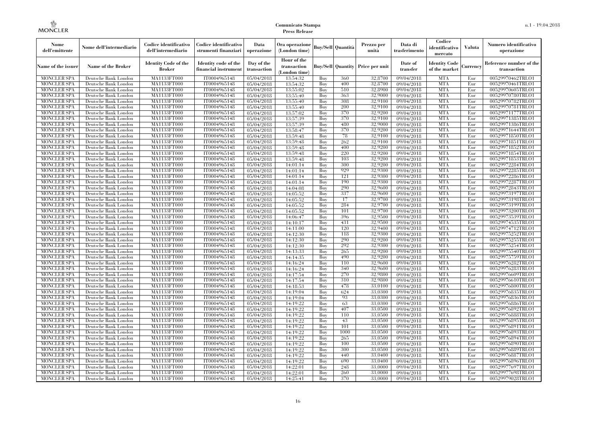| Nome<br>dell'emittente                   | Nome dell'intermediario                      | Codice identificativo<br>dell'intermediario  | Codice identificativo<br>strumenti finanziari | Data<br>operazione        | Ora operazione<br>(London time)             |            | Buy/Sell   Quantità      | Prezzo per<br>unità | Data di<br>trasferimento | Codice<br>identificativo<br>mercato   | <b>Valuta</b> | Numero identificativo<br>operazione    |
|------------------------------------------|----------------------------------------------|----------------------------------------------|-----------------------------------------------|---------------------------|---------------------------------------------|------------|--------------------------|---------------------|--------------------------|---------------------------------------|---------------|----------------------------------------|
| Name of the issuer                       | Name of the Broker                           | <b>Identity Code of the</b><br><b>Broker</b> | Identity code of the<br>financial instrument  | Day of the<br>transaction | Hour of the<br>transaction<br>(London time) |            | <b>Buy/Sell Quantity</b> | Price per unit      | Date of<br>transfer      | <b>Identity Code</b><br>of the market | Currencv      | Reference number of the<br>transaction |
| <b>MONCLER SPA</b>                       | Deutsche Bank London                         | MA1133FT000                                  | IT0004965148                                  | 05/04/2018                | 13:54:32                                    | Buy        | 360                      | 32.8700             | 09/04/2018               | <b>MTA</b>                            | Eur           | 00529970462TRLO1                       |
| <b>MONCLER SPA</b>                       | Deutsche Bank London                         | <b>MA1133FT000</b>                           | IT0004965148                                  | 05/04/2018                | 13:54:32                                    | Buy        | 400                      | 32,8700             | 09/04/2018               | <b>MTA</b>                            | Eur           | 00529970461TRLO1                       |
| <b>MONCLER SPA</b>                       | Deutsche Bank London                         | MA1133FT000                                  | IT0004965148                                  | 05/04/2018                | 13:55:02                                    | Buy        | 510                      | 32,8900             | 09/04/2018               | <b>MTA</b>                            | Eur           | 00529970605TRLO1                       |
| <b>MONCLER SPA</b>                       | Deutsche Bank London                         | <b>MA1133FT000</b>                           | IT0004965148                                  | 05/04/2018                | 13:55:40                                    | Buy        | 363                      | 32,9000             | 09/04/2018               | <b>MTA</b>                            | Eur           | 00529970780TRLO1                       |
| <b>MONCLER SPA</b>                       | Deutsche Bank London                         | <b>MA1133FT000</b>                           | IT0004965148                                  | 05/04/2018                | 13:55:40                                    | Buy        | 308<br>200               | 32,9100<br>32,9100  | 09/04/2018               | <b>MTA</b>                            | Eur           | 00529970782TRLO1                       |
| <b>MONCLER SPA</b><br><b>MONCLER SPA</b> | Deutsche Bank London<br>Deutsche Bank London | MA1133FT000<br>MA1133FT000                   | IT0004965148<br>IT0004965148                  | 05/04/2018<br>05/04/2018  | 13:55:40<br>13:57:02                        | Buy<br>Buy | 370                      | 32,9200             | 09/04/2018<br>09/04/2018 | <b>MTA</b><br><b>MTA</b>              | Eur<br>Eur    | 00529970781TRLO1<br>00529971177TRLO1   |
| <b>MONCLER SPA</b>                       | Deutsche Bank London                         | MA1133FT000                                  | IT0004965148                                  | 05/04/2018                | 13:57:39                                    | Buy        | 370                      | 32,9100             | 09/04/2018               | <b>MTA</b>                            | Eur           | 00529971385TRLO1                       |
| <b>MONCLER SPA</b>                       | Deutsche Bank London                         | <b>MA1133FT000</b>                           | IT0004965148                                  | 05/04/2018                | 13:57:39                                    | Buy        | 480                      | 32,9000             | 09/04/2018               | <b>MTA</b>                            | Eur           | 00529971386TRLO1                       |
| <b>MONCLER SPA</b>                       | Deutsche Bank London                         | MA1133FT000                                  | IT0004965148                                  | 05/04/2018                | 13:58:47                                    | Buy        | 370                      | 32,9200             | 09/04/2018               | <b>MTA</b>                            | Eur           | 00529971644TRLO1                       |
| <b>MONCLER SPA</b>                       | Deutsche Bank London                         | MA1133FT000                                  | IT0004965148                                  | 05/04/2018                | 13:59:48                                    | Buy        | 78                       | 32,9100             | 09/04/2018               | <b>MTA</b>                            | Eur           | 00529971850TRLO1                       |
| <b>MONCLER SPA</b>                       | Deutsche Bank London                         | MA1133FT000                                  | IT0004965148                                  | 05/04/2018                | 13:59:48                                    | Buy        | 262                      | 32,9100             | 09/04/2018               | <b>MTA</b>                            | Eur           | 00529971851TRLO1                       |
| <b>MONCLER SPA</b>                       | Deutsche Bank London                         | MA1133FT000                                  | IT0004965148                                  | 05/04/2018                | 13:59:48                                    | Buy        | 400                      | 32,9200             | 09/04/2018               | <b>MTA</b>                            | Eur           | 00529971852TRLO1                       |
| <b>MONCLER SPA</b>                       | Deutsche Bank London                         | <b>MA1133FT000</b>                           | IT0004965148                                  | 05/04/2018                | 13:59:48                                    | Buy        | 220                      | 32,9200             | 09/04/2018               | <b>MTA</b>                            | Eur           | 00529971854TRLO1                       |
| <b>MONCLER SPA</b>                       | Deutsche Bank London                         | MA1133FT000                                  | IT0004965148                                  | 05/04/2018                | 13:59:48                                    | Buy        | 103                      | 32,9200             | 09/04/2018               | <b>MTA</b>                            | Eur           | 00529971853TRLO1                       |
| <b>MONCLER SPA</b>                       | Deutsche Bank London                         | MA1133FT000                                  | IT0004965148                                  | 05/04/2018                | 14:01:14                                    | Buy        | 300                      | 32,9200             | 09/04/2018               | <b>MTA</b>                            | Eur           | 00529972284TRLO1                       |
| <b>MONCLER SPA</b>                       | Deutsche Bank London                         | MA1133FT000                                  | IT0004965148                                  | $\overline{05}/04/2018$   | 14:01:14                                    | Buy        | 929                      | 32,9300             | 09/04/2018               | <b>MTA</b>                            | Eur           | 00529972285TRLO1                       |
| <b>MONCLER SPA</b>                       | Deutsche Bank London                         | MA1133FT000                                  | IT0004965148                                  | 05/04/2018                | 14:01:14                                    | Buy        | 121                      | 32,9300             | 09/04/2018               | <b>MTA</b>                            | Eur           | 00529972286TRLO1                       |
| <b>MONCLER SPA</b>                       | Deutsche Bank London                         | MA1133FT000                                  | IT0004965148                                  | 05/04/2018                | 14:01:14                                    | Buy        | 190                      | 32,9300             | 09/04/2018               | <b>MTA</b>                            | Eur           | 00529972287TRLO1                       |
| <b>MONCLER SPA</b>                       | Deutsche Bank London                         | MA1133FT000                                  | IT0004965148                                  | 05/04/2018                | 14:04:08                                    | Buy        | 290                      | 32,9600             | 09/04/2018               | <b>MTA</b>                            | Eur           | 00529972843TRLO1                       |
| <b>MONCLER SPA</b>                       | Deutsche Bank London                         | MA1133FT000                                  | IT0004965148                                  | 05/04/2018                | 14:05:52                                    | Buy        | 337                      | 32,9600             | 09/04/2018               | <b>MTA</b>                            | Eur           | 00529973197TRLO1                       |
| <b>MONCLER SPA</b>                       | Deutsche Bank London                         | MA1133FT000                                  | IT0004965148                                  | 05/04/2018                | 14:05:52                                    | Buy        | 17                       | 32,9700             | 09/04/2018               | <b>MTA</b>                            | Eur           | 00529973198TRLO1                       |
| <b>MONCLER SPA</b><br><b>MONCLER SPA</b> | Deutsche Bank London                         | <b>MA1133FT000</b><br>MA1133FT000            | IT0004965148                                  | 05/04/2018                | 14:05:52                                    | Buy<br>Buy | 284<br>101               | 32,9700<br>32,9700  | 09/04/2018               | <b>MTA</b><br><b>MTA</b>              | Eur<br>Eur    | 00529973199TRLO1<br>00529973200TRLO1   |
| <b>MONCLER SPA</b>                       | Deutsche Bank London<br>Deutsche Bank London | MA1133FT000                                  | IT0004965148<br>IT0004965148                  | 05/04/2018<br>05/04/2018  | 14:05:52<br>14:06:47                        | Buv        | 396                      | 32,9500             | 09/04/2018<br>09/04/2018 | <b>MTA</b>                            | Eur           | 00529973539TRLO1                       |
| <b>MONCLER SPA</b>                       | Deutsche Bank London                         | <b>MA1133FT000</b>                           | IT0004965148                                  | 05/04/2018                | 14:10:17                                    | Buy        | 431                      | 32,9500             | 09/04/2018               | <b>MTA</b>                            | Eur           | 00529974535TRLO1                       |
| <b>MONCLER SPA</b>                       | Deutsche Bank London                         | MA1133FT000                                  | IT0004965148                                  | 05/04/2018                | 14:11:00                                    | Buy        | 120                      | 32,9400             | 09/04/2018               | <b>MTA</b>                            | Eur           | 00529974712TRLO1                       |
| <b>MONCLER SPA</b>                       | Deutsche Bank London                         | MA1133FT000                                  | IT0004965148                                  | 05/04/2018                | 14:12:30                                    | Buy        | 118                      | 32,9300             | 09/04/2018               | <b>MTA</b>                            | Eur           | 00529975252TRLO1                       |
| <b>MONCLER SPA</b>                       | Deutsche Bank London                         | MA1133FT000                                  | IT0004965148                                  | 05/04/2018                | 14:12:30                                    | Buy        | 290                      | 32.9200             | 09/04/2018               | <b>MTA</b>                            | Eur           | 00529975255TRLO1                       |
| <b>MONCLER SPA</b>                       | Deutsche Bank London                         | MA1133FT000                                  | IT0004965148                                  | 05/04/2018                | 14:12:30                                    | Buy        | 292                      | 32,9300             | 09/04/2018               | <b>MTA</b>                            | Eur           | 00529975254TRLO1                       |
| <b>MONCLER SPA</b>                       | Deutsche Bank London                         | MA1133FT000                                  | IT0004965148                                  | 05/04/2018                | 14:13:33                                    | Buy        | 265                      | 32,9200             | 09/04/2018               | <b>MTA</b>                            | Eur           | 00529975540TRLO1                       |
| <b>MONCLER SPA</b>                       | Deutsche Bank London                         | MA1133FT000                                  | IT0004965148                                  | 05/04/2018                | 14:14:35                                    | Buy        | 490                      | 32,9200             | 09/04/2018               | <b>MTA</b>                            | Eur           | 00529975759TRLO1                       |
| <b>MONCLER SPA</b>                       | Deutsche Bank London                         | MA1133FT000                                  | IT0004965148                                  | 05/04/2018                | 14:16:24                                    | Buy        | 110                      | 32,9600             | 09/04/2018               | <b>MTA</b>                            | Eur           | 00529976282TRLO1                       |
| <b>MONCLER SPA</b>                       | Deutsche Bank London                         | MA1133FT000                                  | IT0004965148                                  | 05/04/2018                | 14:16:24                                    | Buy        | 340                      | 32,9600             | 09/04/2018               | <b>MTA</b>                            | Eur           | 00529976283TRLO1                       |
| <b>MONCLER SPA</b>                       | Deutsche Bank London                         | MA1133FT000                                  | IT0004965148                                  | 05/04/2018                | 14:17:54                                    | Buy        | 270                      | 32,9800             | 09/04/2018               | <b>MTA</b>                            | Eur           | 00529976609TRLO1                       |
| <b>MONCLER SPA</b>                       | Deutsche Bank London                         | <b>MA1133FT000</b>                           | IT0004965148                                  | 05/04/2018                | 14:17:54                                    | Buy        | 310                      | 32,9800             | 09/04/2018               | <b>MTA</b>                            | Eur           | 00529976610TRLO1                       |
| <b>MONCLER SPA</b>                       | Deutsche Bank London                         | MA1133FT000                                  | IT0004965148                                  | 05/04/2018                | 14:18:53                                    | Buy        | 478                      | 33,0100             | 09/04/2018               | <b>MTA</b>                            | Eur           | 00529976800TRLO1                       |
| <b>MONCLER SPA</b>                       | Deutsche Bank London                         | MA1133FT000                                  | IT0004965148                                  | 05/04/2018                | 14:19:04                                    | Buy        | 624                      | 33,0300             | 09/04/2018               | <b>MTA</b>                            | Eur           | 00529976835TRLO1                       |
| <b>MONCLER SPA</b>                       | Deutsche Bank London                         | MA1133FT000                                  | IT0004965148                                  | 05/04/2018                | 14:19:04                                    | Buy        | 93                       | 33,0300             | 09/04/2018               | <b>MTA</b>                            | Eur           | 00529976836TRLO1                       |
| <b>MONCLER SPA</b>                       | Deutsche Bank London                         | MA1133FT000                                  | IT0004965148                                  | 05/04/2018                | 14:19:22                                    | Buy        | 63                       | 33,0300             | 09/04/2018               | <b>MTA</b>                            | Eur           | 00529976886TRLO1                       |
| <b>MONCLER SPA</b>                       | Deutsche Bank London                         | MA1133FT000                                  | IT0004965148                                  | 05/04/2018                | 14:19:22                                    | Buy        | 407                      | 33,0500             | 09/04/2018               | <b>MTA</b>                            | Eur           | 00529976892TRLO1                       |
| <b>MONCLER SPA</b><br><b>MONCLER SPA</b> | Deutsche Bank London<br>Deutsche Bank London | MA1133FT000<br>MA1133FT000                   | IT0004965148<br>IT0004965148                  | 05/04/2018<br>05/04/2018  | 14:19:22<br>14:19:22                        | Buy<br>Buy | 110<br>43                | 33,0500<br>33,0500  | 09/04/2018<br>09/04/2018 | <b>MTA</b><br><b>MTA</b>              | Eur<br>Eur    | 00529976888TRLO1<br>00529976895TRLO1   |
| <b>MONCLER SPA</b>                       | Deutsche Bank London                         | MA1133FT000                                  | IT0004965148                                  | 05/04/2018                | 14:19:22                                    | Buy        | 101                      | 33,0500             | 09/04/2018               | <b>MTA</b>                            | Eur           | 00529976891TRLO1                       |
| <b>MONCLER SPA</b>                       | Deutsche Bank London                         | MA1133FT000                                  | IT0004965148                                  | 05/04/2018                | 14:19:22                                    | Buy        | 1000                     | 33,0500             | 09/04/2018               | <b>MTA</b>                            | Eur           | 00529976893TRLO1                       |
| <b>MONCLER SPA</b>                       | Deutsche Bank London                         | MA1133FT000                                  | IT0004965148                                  | 05/04/2018                | 14:19:22                                    | Buy        | 265                      | 33,0500             | 09/04/2018               | <b>MTA</b>                            | Eur           | 00529976894TRLO1                       |
| <b>MONCLER SPA</b>                       | Deutsche Bank London                         | MA1133FT000                                  | IT0004965148                                  | 05/04/2018                | 14:19:22                                    | Buy        | 100                      | 33,0500             | 09/04/2018               | <b>MTA</b>                            | Eur           | 00529976890TRLO1                       |
| <b>MONCLER SPA</b>                       | Deutsche Bank London                         | MA1133FT000                                  | IT0004965148                                  | 05/04/2018                | 14:19:22                                    | Buy        | 300                      | 33,0500             | 09/04/2018               | <b>MTA</b>                            | Eur           | 00529976889TRLO1                       |
| <b>MONCLER SPA</b>                       | Deutsche Bank London                         | MA1133FT000                                  | IT0004965148                                  | 05/04/2018                | 14:19:22                                    | Buy        | 440                      | 33,0400             | 09/04/2018               | <b>MTA</b>                            | Eur           | 00529976887TRLO1                       |
| <b>MONCLER SPA</b>                       | Deutsche Bank London                         | MA1133FT000                                  | IT0004965148                                  | 05/04/2018                | 14:19:22                                    | Buy        | 690                      | 33,0400             | 09/04/2018               | <b>MTA</b>                            | Eur           | 00529976896TRLO1                       |
| <b>MONCLER SPA</b>                       | Deutsche Bank London                         | MA1133FT000                                  | IT0004965148                                  | 05/04/2018                | 14:22:01                                    | Buy        | 248                      | 33,0000             | 09/04/2018               | <b>MTA</b>                            | Eur           | 00529977697TRLO1                       |
| <b>MONCLER SPA</b>                       | Deutsche Bank London                         | MA1133FT000                                  | IT0004965148                                  | 05/04/2018                | 14:22:01                                    | Buy        | 260                      | 33,0000             | 09/04/2018               | <b>MTA</b>                            | Eur           | 00529977698TRLO1                       |
| <b>MONCLER SPA</b>                       | Deutsche Bank London                         | MA1133FT000                                  | IT0004965148                                  | 05/04/2018                | 14:25:41                                    | Buy        | 370                      | 33,0000             | 09/04/2018               | <b>MTA</b>                            | Eur           | 00529979028TRLO1                       |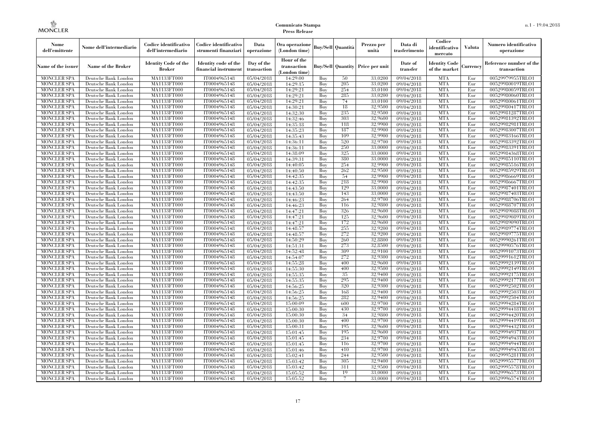| Nome<br>dell'emittente                   | Nome dell'intermediario                      | Codice identificativo<br>dell'intermediario  | Codice identificativo<br>strumenti finanziari | Data<br>operazione        | Ora operazione<br>(London time)             |            | Buy/Sell   Quantità      | Prezzo per<br>unità | Data di<br>trasferimento | Codice<br>identificativo<br>mercato   | <b>Valuta</b> | Numero identificativo<br>operazione    |
|------------------------------------------|----------------------------------------------|----------------------------------------------|-----------------------------------------------|---------------------------|---------------------------------------------|------------|--------------------------|---------------------|--------------------------|---------------------------------------|---------------|----------------------------------------|
| Name of the issuer                       | Name of the Broker                           | <b>Identity Code of the</b><br><b>Broker</b> | Identity code of the<br>financial instrument  | Day of the<br>transaction | Hour of the<br>transaction<br>(London time) |            | <b>Buy/Sell Quantity</b> | Price per unit      | Date of<br>transfer      | <b>Identity Code</b><br>of the market | Currencv      | Reference number of the<br>transaction |
| <b>MONCLER SPA</b>                       | Deutsche Bank London                         | MA1133FT000                                  | IT0004965148                                  | 05/04/2018                | 14:29:00                                    | Buy        | 50                       | 33,0200             | 09/04/2018               | <b>MTA</b>                            | Eur           | 00529979955TRLO1                       |
| <b>MONCLER SPA</b>                       | Deutsche Bank London                         | <b>MA1133FT000</b>                           | IT0004965148                                  | 05/04/2018                | 14:29:15                                    | Buy        | 205                      | 33,0200             | 09/04/2018               | <b>MTA</b>                            | Eur           | 00529980019TRLO1                       |
| <b>MONCLER SPA</b>                       | Deutsche Bank London                         | MA1133FT000                                  | IT0004965148                                  | 05/04/2018                | 14:29:21                                    | Buv        | 254                      | 33,0100             | 09/04/2018               | <b>MTA</b>                            | Eur           | 00529980059TRLO1                       |
| <b>MONCLER SPA</b>                       | Deutsche Bank London                         | MA1133FT000                                  | IT0004965148                                  | 05/04/2018                | 14:29:21                                    | Buy        | 285                      | 33,0200             | 09/04/2018               | <b>MTA</b>                            | Eur           | 00529980060TRLO1                       |
| <b>MONCLER SPA</b>                       | Deutsche Bank London                         | MA1133FT000<br><b>MA1133FT000</b>            | IT0004965148<br>IT0004965148                  | 05/04/2018                | 14:29:21                                    | Buy        | 74<br>18                 | 33,0100<br>32,9500  | 09/04/2018               | <b>MTA</b><br><b>MTA</b>              | Eur<br>Eur    | 00529980061TRLO1                       |
| MONCLER SPA<br><b>MONCLER SPA</b>        | Deutsche Bank London<br>Deutsche Bank London | MA1133FT000                                  | IT0004965148                                  | 05/04/2018<br>05/04/2018  | 14:30:21<br>14:32:30                        | Buy<br>Buy | 235                      | 32,9500             | 09/04/2018<br>09/04/2018 | <b>MTA</b>                            | Eur           | 00529980417TRLO1<br>00529981287TRLO1   |
| <b>MONCLER SPA</b>                       | Deutsche Bank London                         | MA1133FT000                                  | IT0004965148                                  | 05/04/2018                | 14:32:46                                    | Buy        | 303                      | 32.9600             | 09/04/2018               | <b>MTA</b>                            | Eur           | 00529981392TRLO1                       |
| <b>MONCLER SPA</b>                       | Deutsche Bank London                         | MA1133FT000                                  | IT0004965148                                  | 05/04/2018                | 14:35:18                                    | Buy        | 118                      | 32,9900             | 09/04/2018               | <b>MTA</b>                            | Eur           | 00529982981TRLO1                       |
| <b>MONCLER SPA</b>                       | Deutsche Bank London                         | <b>MA1133FT000</b>                           | IT0004965148                                  | 05/04/2018                | 14:35:23                                    | Buy        | 187                      | 32,9900             | $\sqrt{09/04/2018}$      | <b>MTA</b>                            | Eur           | 00529983007TRLO1                       |
| <b>MONCLER SPA</b>                       | Deutsche Bank London                         | MA1133FT000                                  | IT0004965148                                  | 05/04/2018                | 14:35:43                                    | Buy        | 109                      | 32,9900             | 09/04/2018               | <b>MTA</b>                            | Eur           | 00529983166TRLO1                       |
| <b>MONCLER SPA</b>                       | Deutsche Bank London                         | MA1133FT000                                  | IT0004965148                                  | 05/04/2018                | 14:36:11                                    | Buy        | 520                      | 32,9700             | 09/04/2018               | <b>MTA</b>                            | Eur           | 00529983392TRLO1                       |
| <b>MONCLER SPA</b>                       | Deutsche Bank London                         | MA1133FT000                                  | IT0004965148                                  | 05/04/2018                | 14:36:11                                    | Buy        | 250                      | 33,0000             | 09/04/2018               | <b>MTA</b>                            | Eur           | 00529983391TRLO1                       |
| <b>MONCLER SPA</b>                       | Deutsche Bank London                         | MA1133FT000                                  | IT0004965148                                  | 05/04/2018                | 14:38:09                                    | Buy        | 325                      | 33,0000             | $\sqrt{09}/04/2018$      | <b>MTA</b>                            | Eur           | 00529984368TRLO1                       |
| <b>MONCLER SPA</b>                       | Deutsche Bank London                         | MA1133FT000                                  | IT0004965148                                  | 05/04/2018                | 14:39:31                                    | Buy        | 380                      | 33,0000             | 09/04/2018               | <b>MTA</b>                            | Eur           | 00529985110TRLO1                       |
| <b>MONCLER SPA</b>                       | Deutsche Bank London                         | MA1133FT000                                  | IT0004965148                                  | 05/04/2018                | 14:40:05                                    | Buy        | 254                      | 32,9900             | 09/04/2018               | <b>MTA</b>                            | Eur           | 00529985516TRLO1                       |
| <b>MONCLER SPA</b>                       | Deutsche Bank London                         | MA1133FT000                                  | IT0004965148                                  | 05/04/2018                | 14:40:50                                    | Buy        | 262                      | 32,9500             | 09/04/2018               | <b>MTA</b>                            | Eur           | 00529985929TRLO1                       |
| <b>MONCLER SPA</b>                       | Deutsche Bank London                         | MA1133FT000                                  | IT0004965148                                  | 05/04/2018                | 14:42:35                                    | Buy        | 54                       | 32,9900             | 09/04/2018               | <b>MTA</b>                            | Eur           | 00529986669TRLO1                       |
| <b>MONCLER SPA</b>                       | Deutsche Bank London                         | MA1133FT000                                  | IT0004965148                                  | 05/04/2018                | 14:42:35                                    | Buy        | 218                      | 32,9900             | 09/04/2018               | <b>MTA</b>                            | Eur           | 00529986667TRLO1                       |
| <b>MONCLER SPA</b>                       | Deutsche Bank London                         | MA1133FT000                                  | IT0004965148                                  | 05/04/2018                | 14:43:50                                    | Buy        | 129                      | 33,0000             | 09/04/2018               | <b>MTA</b>                            | Eur           | 00529987401TRLO1                       |
| MONCLER SPA                              | Deutsche Bank London                         | MA1133FT000                                  | IT0004965148                                  | 05/04/2018                | 14:43:50                                    | Buy        | 143                      | 33,0000             | 09/04/2018               | <b>MTA</b>                            | Eur           | 00529987403TRLO1                       |
| <b>MONCLER SPA</b><br><b>MONCLER SPA</b> | Deutsche Bank London                         | MA1133FT000                                  | IT0004965148<br>IT0004965148                  | 05/04/2018                | 14:46:23                                    | Buy<br>Buy | 264<br>116               | 32,9700             | 09/04/2018<br>09/04/2018 | <b>MTA</b><br><b>MTA</b>              | Eur<br>Eur    | 00529988706TRLO1<br>00529988707TRLO1   |
| <b>MONCLER SPA</b>                       | Deutsche Bank London<br>Deutsche Bank London | MA1133FT000<br>MA1133FT000                   | IT0004965148                                  | 05/04/2018<br>05/04/2018  | 14:46:23                                    | Buy        | 326                      | 32,9800<br>32,9600  | 09/04/2018               | <b>MTA</b>                            | Eur           | 00529989088TRLO1                       |
| <b>MONCLER SPA</b>                       | Deutsche Bank London                         | MA1133FT000                                  | IT0004965148                                  | 05/04/2018                | 14:47:21<br>14:47:21                        | Buy        | 125                      | 32,9600             | 09/04/2018               | <b>MTA</b>                            | Eur           | 00529989089TRLO1                       |
| <b>MONCLER SPA</b>                       | Deutsche Bank London                         | MA1133FT000                                  | IT0004965148                                  | 05/04/2018                | 14:47:21                                    | Buy        | 172                      | 32,9600             | 09/04/2018               | <b>MTA</b>                            | Eur           | 00529989090TRLO1                       |
| <b>MONCLER SPA</b>                       | Deutsche Bank London                         | MA1133FT000                                  | IT0004965148                                  | 05/04/2018                | 14:48:57                                    | Buy        | 255                      | 32,9200             | 09/04/2018               | <b>MTA</b>                            | Eur           | 00529989774TRLO1                       |
| <b>MONCLER SPA</b>                       | Deutsche Bank London                         | MA1133FT000                                  | IT0004965148                                  | 05/04/2018                | 14:48:57                                    | Buy        | 272                      | 32,9200             | 09/04/2018               | <b>MTA</b>                            | Eur           | 00529989775TRLO1                       |
| <b>MONCLER SPA</b>                       | Deutsche Bank London                         | MA1133FT000                                  | IT0004965148                                  | 05/04/2018                | 14:50:29                                    | Buy        | 260                      | 32,8800             | 09/04/2018               | <b>MTA</b>                            | Eur           | 00529990261TRLO1                       |
| MONCLER SPA                              | Deutsche Bank London                         | <b>MA1133FT000</b>                           | IT0004965148                                  | 05/04/2018                | 14:51:31                                    | Buy        | 273                      | 32,8500             | 09/04/2018               | <b>MTA</b>                            | Eur           | 00529990576TRLO1                       |
| MONCLER SPA                              | Deutsche Bank London                         | MA1133FT000                                  | IT0004965148                                  | 05/04/2018                | 14:52:48                                    | Buy        | 309                      | 32,9100             | 09/04/2018               | <b>MTA</b>                            | Eur           | 00529991073TRLO1                       |
| <b>MONCLER SPA</b>                       | Deutsche Bank London                         | MA1133FT000                                  | IT0004965148                                  | 05/04/2018                | 14:54:07                                    | Buy        | 272                      | 32,9300             | 09/04/2018               | <b>MTA</b>                            | Eur           | 00529991612TRLO1                       |
| <b>MONCLER SPA</b>                       | Deutsche Bank London                         | MA1133FT000                                  | IT0004965148                                  | 05/04/2018                | 14:55:28                                    | Buy        | 400                      | 32,9600             | 09/04/2018               | <b>MTA</b>                            | Eur           | 00529992139TRLO1                       |
| <b>MONCLER SPA</b>                       | Deutsche Bank London                         | <b>MA1133FT000</b>                           | IT0004965148                                  | 05/04/2018                | 14:55:30                                    | Buy        | 400                      | 32,9500             | 09/04/2018               | <b>MTA</b>                            | Eur           | 00529992149TRLO1                       |
| <b>MONCLER SPA</b>                       | Deutsche Bank London                         | MA1133FT000                                  | IT0004965148                                  | 05/04/2018                | 14:55:35                                    | Buy        | 35                       | 32,9400             | 09/04/2018               | <b>MTA</b>                            | Eur           | 00529992175TRLO1                       |
| <b>MONCLER SPA</b>                       | Deutsche Bank London                         | MA1133FT000                                  | IT0004965148                                  | 05/04/2018                | 14:55:35                                    | Buy        | 295                      | 32,9400             | 09/04/2018               | <b>MTA</b>                            | Eur           | 00529992177TRLO1                       |
| <b>MONCLER SPA</b>                       | Deutsche Bank London                         | MA1133FT000                                  | IT0004965148                                  | 05/04/2018                | 14:56:25                                    | Buy        | 320                      | 32.9300             | 09/04/2018               | <b>MTA</b>                            | Eur           | 00529992502TRLO1                       |
| <b>MONCLER SPA</b>                       | Deutsche Bank London                         | <b>MA1133FT000</b>                           | IT0004965148                                  | 05/04/2018                | 14:56:25                                    | Buy        | 168                      | 32,9400             | 09/04/2018               | <b>MTA</b>                            | Eur           | 00529992503TRLO1                       |
| <b>MONCLER SPA</b>                       | Deutsche Bank London                         | MA1133FT000                                  | IT0004965148                                  | 05/04/2018                | 14:56:25                                    | Buy        | 282                      | 32,9400             | $\sqrt{09}/04/2018$      | <b>MTA</b>                            | Eur           | 00529992504TRLO1                       |
| <b>MONCLER SPA</b>                       | Deutsche Bank London                         | <b>MA1133FT000</b>                           | IT0004965148                                  | 05/04/2018                | 15:00:09                                    | Buy        | 600                      | 32,9700             | 09/04/2018               | <b>MTA</b>                            | Eur           | 00529994284TRLO1                       |
| <b>MONCLER SPA</b>                       | Deutsche Bank London                         | MA1133FT000                                  | IT0004965148<br>IT0004965148                  | 05/04/2018                | 15:00:30<br>15:00:30                        | Buy        | 430<br>34                | 32,9700<br>32,9800  | 09/04/2018               | <b>MTA</b><br><b>MTA</b>              | Eur           | 00529994418TRLO1<br>00529994420TRLO1   |
| <b>MONCLER SPA</b><br><b>MONCLER SPA</b> | Deutsche Bank London<br>Deutsche Bank London | MA1133FT000<br>MA1133FT000                   | IT0004965148                                  | 05/04/2018<br>05/04/2018  | 15:00:30                                    | Buy<br>Buy | 400                      | 32,9700             | 09/04/2018<br>09/04/2018 | <b>MTA</b>                            | Eur<br>Eur    | 00529994419TRLO1                       |
| <b>MONCLER SPA</b>                       | Deutsche Bank London                         | MA1133FT000                                  | IT0004965148                                  | 05/04/2018                | 15:00:31                                    | Buy        | 195                      | 32,9600             | $\sqrt{09}/04/2018$      | <b>MTA</b>                            | Eur           | 00529994432TRLO1                       |
| <b>MONCLER SPA</b>                       | Deutsche Bank London                         | MA1133FT000                                  | IT0004965148                                  | 05/04/2018                | 15:01:45                                    | Buy        | 195                      | 32,9600             | 09/04/2018               | <b>MTA</b>                            | Eur           | 00529994937TRLO1                       |
| <b>MONCLER SPA</b>                       | Deutsche Bank London                         | MA1133FT000                                  | IT0004965148                                  | 05/04/2018                | 15:01:45                                    | Buy        | 234                      | 32,9700             | 09/04/2018               | <b>MTA</b>                            | Eur           | 00529994943TRLO1                       |
| <b>MONCLER SPA</b>                       | Deutsche Bank London                         | MA1133FT000                                  | IT0004965148                                  | 05/04/2018                | 15:01:45                                    | Buy        | 116                      | 32,9700             | 09/04/2018               | <b>MTA</b>                            | Eur           | 00529994944TRLO1                       |
| <b>MONCLER SPA</b>                       | Deutsche Bank London                         | MA1133FT000                                  | IT0004965148                                  | 05/04/2018                | 15:01:46                                    | Buy        | 410                      | 32,9700             | $\sqrt{09}/04/2018$      | <b>MTA</b>                            | Eur           | 00529994945TRLO1                       |
| <b>MONCLER SPA</b>                       | Deutsche Bank London                         | MA1133FT000                                  | IT0004965148                                  | 05/04/2018                | 15:02:41                                    | Buy        | 244                      | 32,9500             | 09/04/2018               | <b>MTA</b>                            | Eur           | 00529995281TRLO1                       |
| <b>MONCLER SPA</b>                       | Deutsche Bank London                         | MA1133FT000                                  | IT0004965148                                  | 05/04/2018                | 15:03:42                                    | Buy        | 305                      | 32,9400             | 09/04/2018               | <b>MTA</b>                            | Eur           | 00529995577TRLO1                       |
| <b>MONCLER SPA</b>                       | Deutsche Bank London                         | MA1133FT000                                  | IT0004965148                                  | 05/04/2018                | 15:03:42                                    | Buy        | 311                      | 32,9500             | 09/04/2018               | <b>MTA</b>                            | Eur           | 00529995578TRLO1                       |
| <b>MONCLER SPA</b>                       | Deutsche Bank London                         | MA1133FT000                                  | IT0004965148                                  | 05/04/2018                | 15:05:52                                    | Buy        | 19                       | 33,0000             | 09/04/2018               | <b>MTA</b>                            | Eur           | 00529996573TRLO1                       |
| <b>MONCLER SPA</b>                       | Deutsche Bank London                         | MA1133FT000                                  | IT0004965148                                  | 05/04/2018                | 15:05:52                                    | Buy        |                          | 33,0000             | 09/04/2018               | <b>MTA</b>                            | Eur           | 00529996574TRLO1                       |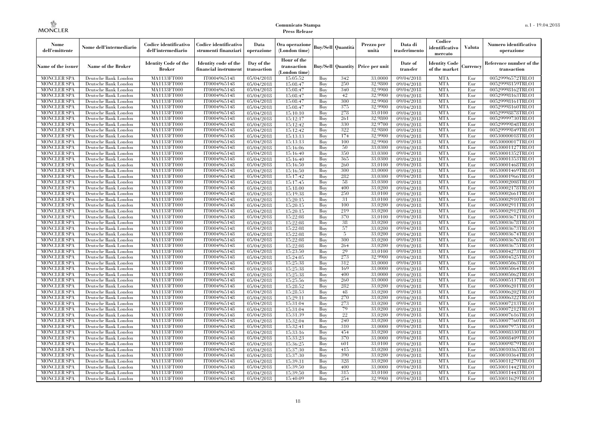| Nome<br>dell'emittente                   | Nome dell'intermediario                      | Codice identificativo<br>dell'intermediario  | Codice identificativo<br>strumenti finanziari | Data<br>operazione        | Ora operazione<br>(London time)             |            | Buv/Sell   Quantità      | Prezzo per<br>unità | Data di<br>trasferimento | Codice<br>identificativo<br>mercato   | <b>Valuta</b> | Numero identificativo<br>operazione    |
|------------------------------------------|----------------------------------------------|----------------------------------------------|-----------------------------------------------|---------------------------|---------------------------------------------|------------|--------------------------|---------------------|--------------------------|---------------------------------------|---------------|----------------------------------------|
| Name of the issuer                       | Name of the Broker                           | <b>Identity Code of the</b><br><b>Broker</b> | Identity code of the<br>financial instrument  | Day of the<br>transaction | Hour of the<br>transaction<br>(London time) |            | <b>Buy/Sell Quantity</b> | Price per unit      | Date of<br>transfer      | <b>Identity Code</b><br>of the market | Currencv      | Reference number of the<br>transaction |
| <b>MONCLER SPA</b>                       | Deutsche Bank London                         | MA1133FT000                                  | IT0004965148                                  | 05/04/2018                | 15:05:52                                    | Buy        | 342                      | 33,0000             | 09/04/2018               | <b>MTA</b>                            | Eur           | 00529996572TRLO1                       |
| <b>MONCLER SPA</b>                       | Deutsche Bank London                         | <b>MA1133FT000</b>                           | IT0004965148                                  | 05/04/2018                | 15:08:47                                    | Buy        | 250                      | 32,9800             | 09/04/2018               | <b>MTA</b>                            | Eur           | 00529998159TRLO1                       |
| <b>MONCLER SPA</b>                       | Deutsche Bank London                         | MA1133FT000                                  | IT0004965148                                  | 05/04/2018                | 15:08:47                                    | Buv        | 340                      | 32,9900             | 09/04/2018               | <b>MTA</b>                            | Eur           | 00529998162TRLO1                       |
| <b>MONCLER SPA</b>                       | Deutsche Bank London                         | MA1133FT000                                  | IT0004965148                                  | 05/04/2018                | 15:08:47                                    | Buy        | 42                       | 32,9900             | 09/04/2018               | <b>MTA</b>                            | Eur           | 00529998163TRLO1                       |
| <b>MONCLER SPA</b>                       | Deutsche Bank London                         | MA1133FT000                                  | IT0004965148                                  | 05/04/2018                | 15:08:47                                    | Buy        | 300                      | 32,9900             | 09/04/2018               | <b>MTA</b>                            | Eur           | 00529998161TRLO1                       |
| MONCLER SPA<br><b>MONCLER SPA</b>        | Deutsche Bank London                         | <b>MA1133FT000</b><br>MA1133FT000            | IT0004965148                                  | 05/04/2018                | 15:08:47                                    | Buy        | 375<br>278               | 32,9900<br>33,0100  | 09/04/2018               | <b>MTA</b><br><b>MTA</b>              | Eur           | 00529998160TRLO1                       |
| <b>MONCLER SPA</b>                       | Deutsche Bank London<br>Deutsche Bank London | MA1133FT000                                  | IT0004965148<br>IT0004965148                  | 05/04/2018<br>05/04/2018  | 15:10:10<br>15:12:17                        | Buy<br>Buy | 261                      | 32.9800             | 09/04/2018<br>09/04/2018 | <b>MTA</b>                            | Eur<br>Eur    | 00529998878TRLO1<br>00529999730TRLO1   |
| <b>MONCLER SPA</b>                       | Deutsche Bank London                         | MA1133FT000                                  | IT0004965148                                  | 05/04/2018                | 15:12:42                                    | Buy        | 330                      | 32,9700             | 09/04/2018               | <b>MTA</b>                            | Eur           | 00529999848TRLO1                       |
| <b>MONCLER SPA</b>                       | Deutsche Bank London                         | <b>MA1133FT000</b>                           | IT0004965148                                  | 05/04/2018                | 15:12:42                                    | Buy        | 322                      | 32,9800             | $\sqrt{09/04/2018}$      | <b>MTA</b>                            | Eur           | 00529999849TRLO1                       |
| <b>MONCLER SPA</b>                       | Deutsche Bank London                         | MA1133FT000                                  | IT0004965148                                  | 05/04/2018                | 15:13:13                                    | Buy        | 174                      | 32,9900             | 09/04/2018               | <b>MTA</b>                            | Eur           | 00530000018TRLO1                       |
| <b>MONCLER SPA</b>                       | Deutsche Bank London                         | MA1133FT000                                  | IT0004965148                                  | 05/04/2018                | 15:13:13                                    | Buy        | 100                      | 32,9900             | 09/04/2018               | <b>MTA</b>                            | Eur           | 00530000017TRLO1                       |
| <b>MONCLER SPA</b>                       | Deutsche Bank London                         | MA1133FT000                                  | IT0004965148                                  | 05/04/2018                | 15:16:06                                    | Buy        | 50                       | 33,0300             | 09/04/2018               | <b>MTA</b>                            | Eur           | 00530001127TRLO1                       |
| <b>MONCLER SPA</b>                       | Deutsche Bank London                         | MA1133FT000                                  | IT0004965148                                  | 05/04/2018                | 15:16:40                                    | Buy        | 350                      | 33,0300             | $\sqrt{09}/04/2018$      | <b>MTA</b>                            | Eur           | 00530001352TRLO1                       |
| <b>MONCLER SPA</b>                       | Deutsche Bank London                         | MA1133FT000                                  | IT0004965148                                  | 05/04/2018                | 15:16:40                                    | Buy        | 365                      | 33,0300             | 09/04/2018               | <b>MTA</b>                            | Eur           | 00530001353TRLO1                       |
| <b>MONCLER SPA</b>                       | Deutsche Bank London                         | MA1133FT000                                  | IT0004965148                                  | 05/04/2018                | 15:16:50                                    | Buy        | 260                      | 33,0100             | 09/04/2018               | <b>MTA</b>                            | Eur           | 00530001468TRLO1                       |
| <b>MONCLER SPA</b>                       | Deutsche Bank London                         | MA1133FT000                                  | IT0004965148                                  | 05/04/2018                | 15:16:50                                    | Buy        | 300                      | 33,0000             | 09/04/2018               | <b>MTA</b>                            | Eur           | 00530001469TRLO1                       |
| <b>MONCLER SPA</b>                       | Deutsche Bank London                         | MA1133FT000                                  | IT0004965148                                  | 05/04/2018                | 15:17:42                                    | Buy        | 282                      | 33,0300             | 09/04/2018               | <b>MTA</b>                            | Eur           | 00530001966TRLO1                       |
| <b>MONCLER SPA</b>                       | Deutsche Bank London                         | MA1133FT000                                  | IT0004965148                                  | 05/04/2018                | 15:17:45                                    | Buy        | 58                       | 33,0300             | 09/04/2018               | <b>MTA</b>                            | Eur           | 00530002008TRLO1                       |
| <b>MONCLER SPA</b>                       | Deutsche Bank London                         | MA1133FT000                                  | IT0004965148                                  | 05/04/2018                | 15:18:00                                    | Buy        | 400                      | 33,0200             | 09/04/2018               | <b>MTA</b>                            | Eur           | 00530002178TRLO1                       |
| MONCLER SPA                              | Deutsche Bank London                         | MA1133FT000                                  | IT0004965148                                  | 05/04/2018                | 15:19:38                                    | Buy        | 250                      | 33,0100             | 09/04/2018               | <b>MTA</b>                            | Eur           | 00530002661TRLO1                       |
| <b>MONCLER SPA</b>                       | Deutsche Bank London                         | MA1133FT000                                  | IT0004965148                                  | 05/04/2018                | 15:20:15                                    | Buy        | 31                       | 33,0100             | 09/04/2018               | <b>MTA</b>                            | Eur           | 00530002910TRLO1                       |
| <b>MONCLER SPA</b>                       | Deutsche Bank London                         | MA1133FT000                                  | IT0004965148                                  | 05/04/2018                | 15:20:15                                    | Buy        | 100<br>219               | 33,0200<br>33,0200  | 09/04/2018               | <b>MTA</b><br><b>MTA</b>              | Eur           | 00530002911TRLO1                       |
| <b>MONCLER SPA</b><br><b>MONCLER SPA</b> | Deutsche Bank London<br>Deutsche Bank London | MA1133FT000<br>MA1133FT000                   | IT0004965148<br>IT0004965148                  | 05/04/2018<br>05/04/2018  | 15:20:15<br>15:22:08                        | Buy<br>Buy | 370                      | 33,0100             | 09/04/2018<br>09/04/2018 | <b>MTA</b>                            | Eur<br>Eur    | 00530002912TRLO1<br>00530003671TRLO1   |
| <b>MONCLER SPA</b>                       | Deutsche Bank London                         | MA1133FT000                                  | IT0004965148                                  | 05/04/2018                | 15:22:08                                    | Buy        | 38                       | 33,0200             | 09/04/2018               | <b>MTA</b>                            | Eur           | 00530003678TRLO1                       |
| <b>MONCLER SPA</b>                       | Deutsche Bank London                         | MA1133FT000                                  | IT0004965148                                  | 05/04/2018                | 15:22:08                                    | Buy        | 57                       | 33,0200             | 09/04/2018               | <b>MTA</b>                            | Eur           | 00530003673TRLO1                       |
| <b>MONCLER SPA</b>                       | Deutsche Bank London                         | MA1133FT000                                  | IT0004965148                                  | 05/04/2018                | 15:22:08                                    | Buy        | 5                        | 33,0200             | 09/04/2018               | <b>MTA</b>                            | Eur           | 00530003674TRLO1                       |
| <b>MONCLER SPA</b>                       | Deutsche Bank London                         | MA1133FT000                                  | IT0004965148                                  | 05/04/2018                | 15:22:08                                    | Buy        | 300                      | 33,0200             | 09/04/2018               | <b>MTA</b>                            | Eur           | 00530003676TRLO1                       |
| MONCLER SPA                              | Deutsche Bank London                         | <b>MA1133FT000</b>                           | IT0004965148                                  | 05/04/2018                | 15:22:08                                    | Buy        | 264                      | 33,0200             | 09/04/2018               | <b>MTA</b>                            | Eur           | 00530003675TRLO1                       |
| MONCLER SPA                              | Deutsche Bank London                         | MA1133FT000                                  | IT0004965148                                  | 05/04/2018                | 15:23:50                                    | Buy        | 29                       | 33,0100             | 09/04/2018               | <b>MTA</b>                            | Eur           | 00530004273TRLO1                       |
| <b>MONCLER SPA</b>                       | Deutsche Bank London                         | MA1133FT000                                  | IT0004965148                                  | 05/04/2018                | 15:24:05                                    | Buy        | 273                      | 32,9900             | 09/04/2018               | <b>MTA</b>                            | Eur           | 00530004525TRLO1                       |
| <b>MONCLER SPA</b>                       | Deutsche Bank London                         | MA1133FT000                                  | IT0004965148                                  | 05/04/2018                | 15:25:38                                    | Buy        | 312                      | 33,0000             | 09/04/2018               | <b>MTA</b>                            | Eur           | 00530005063TRLO1                       |
| <b>MONCLER SPA</b>                       | Deutsche Bank London                         | MA1133FT000                                  | IT0004965148                                  | 05/04/2018                | 15:25:38                                    | Buy        | 169                      | 33,0000             | 09/04/2018               | <b>MTA</b>                            | Eur           | 00530005064TRLO1                       |
| <b>MONCLER SPA</b>                       | Deutsche Bank London                         | MA1133FT000                                  | IT0004965148                                  | 05/04/2018                | 15:25:38                                    | Buy        | 400                      | 33,0000             | 09/04/2018               | <b>MTA</b>                            | Eur           | 00530005062TRLO1                       |
| <b>MONCLER SPA</b>                       | Deutsche Bank London                         | MA1133FT000                                  | IT0004965148                                  | 05/04/2018                | 15:25:56                                    | Buy        | 260                      | 33,0000             | 09/04/2018               | <b>MTA</b>                            | Eur           | 00530005137TRLO1                       |
| <b>MONCLER SPA</b>                       | Deutsche Bank London                         | MA1133FT000                                  | IT0004965148                                  | 05/04/2018                | 15:28:52                                    | Buy        | 282                      | 33,0200             | 09/04/2018               | <b>MTA</b>                            | Eur           | 00530006201TRLO1                       |
| <b>MONCLER SPA</b>                       | Deutsche Bank London                         | <b>MA1133FT000</b>                           | IT0004965148                                  | 05/04/2018                | 15:28:53                                    | Buy        | 48                       | 33,0200             | 09/04/2018               | <b>MTA</b>                            | Eur           | 00530006202TRLO1                       |
| <b>MONCLER SPA</b>                       | Deutsche Bank London                         | MA1133FT000                                  | IT0004965148                                  | 05/04/2018                | 15:29:11                                    | Buy        | 270                      | 33,0200             | $\sqrt{09}/04/2018$      | <b>MTA</b>                            | Eur           | 00530006322TRLO1                       |
| <b>MONCLER SPA</b>                       | Deutsche Bank London                         | MA1133FT000                                  | IT0004965148                                  | 05/04/2018                | 15:31:04                                    | Buy        | 273                      | 33,0200             | 09/04/2018               | <b>MTA</b>                            | Eur           | 00530007213TRLO1                       |
| <b>MONCLER SPA</b>                       | Deutsche Bank London                         | MA1133FT000                                  | IT0004965148                                  | 05/04/2018                | 15:31:04                                    | Buy        | 79                       | 33,0200             | 09/04/2018               | <b>MTA</b>                            | Eur           | 00530007212TRLO1                       |
| <b>MONCLER SPA</b><br><b>MONCLER SPA</b> | Deutsche Bank London<br>Deutsche Bank London | MA1133FT000<br>MA1133FT000                   | IT0004965148<br>IT0004965148                  | 05/04/2018                | 15:31:39<br>15:32:04                        | Buy<br>Buy | 22<br>240                | 33.0200<br>33,0200  | 09/04/2018<br>09/04/2018 | <b>MTA</b><br><b>MTA</b>              | Eur<br>Eur    | 00530007616TRLO1<br>00530007760TRLO1   |
| <b>MONCLER SPA</b>                       | Deutsche Bank London                         | MA1133FT000                                  | IT0004965148                                  | 05/04/2018<br>05/04/2018  | 15:32:41                                    | Buy        | 310                      | 33,0000             | $\sqrt{09}/04/2018$      | <b>MTA</b>                            | Eur           | 00530007975TRLO1                       |
| <b>MONCLER SPA</b>                       | Deutsche Bank London                         | MA1133FT000                                  | IT0004965148                                  | 05/04/2018                | 15:33:16                                    | Buy        | 454                      | 33,0200             | 09/04/2018               | <b>MTA</b>                            | Eur           | 00530008330TRLO1                       |
| <b>MONCLER SPA</b>                       | Deutsche Bank London                         | MA1133FT000                                  | IT0004965148                                  | 05/04/2018                | 15:33:23                                    | Buy        | 370                      | 33,0000             | 09/04/2018               | <b>MTA</b>                            | Eur           | 00530008409TRLO1                       |
| <b>MONCLER SPA</b>                       | Deutsche Bank London                         | MA1133FT000                                  | IT0004965148                                  | 05/04/2018                | 15:36:25                                    | Buy        | 601                      | 33,0100             | 09/04/2018               | <b>MTA</b>                            | Eur           | 00530009879TRLO1                       |
| <b>MONCLER SPA</b>                       | Deutsche Bank London                         | MA1133FT000                                  | IT0004965148                                  | 05/04/2018                | 15:37:30                                    | Buy        | 415                      | 33,0200             | $\sqrt{09}/04/2018$      | <b>MTA</b>                            | Eur           | 00530010365TRLO1                       |
| <b>MONCLER SPA</b>                       | Deutsche Bank London                         | MA1133FT000                                  | IT0004965148                                  | 05/04/2018                | 15:37:30                                    | Buy        | 390                      | 33,0200             | 09/04/2018               | <b>MTA</b>                            | Eur           | 00530010364TRLO1                       |
| <b>MONCLER SPA</b>                       | Deutsche Bank London                         | MA1133FT000                                  | IT0004965148                                  | 05/04/2018                | 15:39:31                                    | Buy        | 328                      | 33,0200             | 09/04/2018               | <b>MTA</b>                            | Eur           | 00530011279TRLO1                       |
| <b>MONCLER SPA</b>                       | Deutsche Bank London                         | MA1133FT000                                  | IT0004965148                                  | 05/04/2018                | 15:39:50                                    | Buy        | 400                      | 33,0000             | 09/04/2018               | <b>MTA</b>                            | Eur           | 00530011442TRLO1                       |
| <b>MONCLER SPA</b>                       | Deutsche Bank London                         | <b>MA1133FT000</b>                           | IT0004965148                                  | 05/04/2018                | 15:39:50                                    | Buy        | 315                      | 33.0100             | 09/04/2018               | <b>MTA</b>                            | Eur           | 00530011443TRLO1                       |
| <b>MONCLER SPA</b>                       | Deutsche Bank London                         | MA1133FT000                                  | IT0004965148                                  | 05/04/2018                | 15:40:09                                    | Buy        | 254                      | 32,9900             | 09/04/2018               | <b>MTA</b>                            | Eur           | 00530011629TRLO1                       |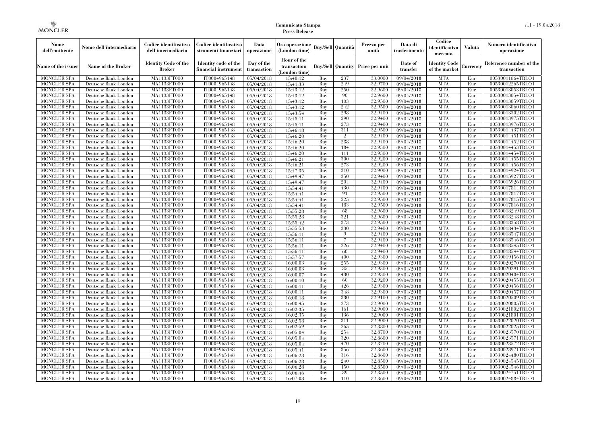| Nome<br>dell'emittente                   | Nome dell'intermediario                      | Codice identificativo<br>dell'intermediario  | Codice identificativo<br>strumenti finanziari | Data<br>operazione        | Ora operazione<br>(London time)             |            | Buv/Sell   Quantità      | Prezzo per<br>unità | Data di<br>trasferimento | Codice<br>identificativo<br>mercato   | <b>Valuta</b> | Numero identificativo<br>operazione    |
|------------------------------------------|----------------------------------------------|----------------------------------------------|-----------------------------------------------|---------------------------|---------------------------------------------|------------|--------------------------|---------------------|--------------------------|---------------------------------------|---------------|----------------------------------------|
| Name of the issuer                       | Name of the Broker                           | <b>Identity Code of the</b><br><b>Broker</b> | Identity code of the<br>financial instrument  | Day of the<br>transaction | Hour of the<br>transaction<br>(London time) |            | <b>Buy/Sell Quantity</b> | Price per unit      | Date of<br>transfer      | <b>Identity Code</b><br>of the market | Currencv      | Reference number of the<br>transaction |
| <b>MONCLER SPA</b>                       | Deutsche Bank London                         | MA1133FT000                                  | IT0004965148                                  | 05/04/2018                | 15:40:12                                    | Buy        | 237                      | 33,0000             | 09/04/2018               | <b>MTA</b>                            | Eur           | 00530011664TRLO1                       |
| <b>MONCLER SPA</b>                       | Deutsche Bank London                         | <b>MA1133FT000</b>                           | IT0004965148                                  | 05/04/2018                | 15:41:33                                    | Buy        | 249                      | 32,9700             | 09/04/2018               | <b>MTA</b>                            | Eur           | 00530012265TRLO1                       |
| <b>MONCLER SPA</b>                       | Deutsche Bank London                         | MA1133FT000                                  | IT0004965148                                  | 05/04/2018                | 15:43:12                                    | Buv        | 250                      | 32.9600             | 09/04/2018               | <b>MTA</b>                            | Eur           | 00530013053TRLO1                       |
| <b>MONCLER SPA</b>                       | Deutsche Bank London                         | MA1133FT000                                  | IT0004965148                                  | 05/04/2018                | 15:43:12                                    | Buy        | 90                       | 32,9600             | 09/04/2018               | <b>MTA</b>                            | Eur           | 00530013054TRLO1                       |
| <b>MONCLER SPA</b>                       | Deutsche Bank London                         | MA1133FT000                                  | IT0004965148                                  | 05/04/2018                | 15:43:12                                    | Buy        | 103                      | 32,9500             | 09/04/2018               | <b>MTA</b>                            | Eur           | 00530013059TRLO1                       |
| <b>MONCLER SPA</b><br><b>MONCLER SPA</b> | Deutsche Bank London                         | <b>MA1133FT000</b><br>MA1133FT000            | IT0004965148                                  | 05/04/2018                | 15:43:12                                    | Buy        | 242<br>298               | 32,9500<br>32,9400  | 09/04/2018               | <b>MTA</b><br><b>MTA</b>              | Eur           | 00530013060TRLO1                       |
| <b>MONCLER SPA</b>                       | Deutsche Bank London<br>Deutsche Bank London | MA1133FT000                                  | IT0004965148<br>IT0004965148                  | 05/04/2018<br>05/04/2018  | 15:43:54<br>15:45:11                        | Buy<br>Buy | 290                      | 32.9400             | 09/04/2018<br>09/04/2018 | <b>MTA</b>                            | Eur<br>Eur    | 00530013302TRLO1<br>00530013975TRLO1   |
| <b>MONCLER SPA</b>                       | Deutsche Bank London                         | MA1133FT000                                  | IT0004965148                                  | 05/04/2018                | 15:45:11                                    | Buy        | 273                      | 32,9400             | 09/04/2018               | <b>MTA</b>                            | Eur           | 00530013976TRLO1                       |
| <b>MONCLER SPA</b>                       | Deutsche Bank London                         | <b>MA1133FT000</b>                           | IT0004965148                                  | 05/04/2018                | 15:46:18                                    | Buy        | 311                      | 32,9500             | $\sqrt{09/04/2018}$      | <b>MTA</b>                            | Eur           | 00530014437TRLO1                       |
| <b>MONCLER SPA</b>                       | Deutsche Bank London                         | MA1133FT000                                  | IT0004965148                                  | 05/04/2018                | 15:46:20                                    | Buy        | $\overline{2}$           | 32,9400             | 09/04/2018               | <b>MTA</b>                            | Eur           | 00530014451TRLO1                       |
| <b>MONCLER SPA</b>                       | Deutsche Bank London                         | MA1133FT000                                  | IT0004965148                                  | 05/04/2018                | 15:46:20                                    | Buy        | 288                      | 32,9400             | 09/04/2018               | <b>MTA</b>                            | Eur           | 00530014452TRLO1                       |
| <b>MONCLER SPA</b>                       | Deutsche Bank London                         | MA1133FT000                                  | IT0004965148                                  | 05/04/2018                | 15:46:20                                    | Buy        | 184                      | 32,9300             | 09/04/2018               | <b>MTA</b>                            | Eur           | 00530014453TRLO1                       |
| <b>MONCLER SPA</b>                       | Deutsche Bank London                         | MA1133FT000                                  | IT0004965148                                  | 05/04/2018                | 15:46:20                                    | Buy        | 111                      | 32,9300             | $\sqrt{09}/04/2018$      | <b>MTA</b>                            | Eur           | 00530014454TRLO1                       |
| <b>MONCLER SPA</b>                       | Deutsche Bank London                         | MA1133FT000                                  | IT0004965148                                  | 05/04/2018                | 15:46:21                                    | Buy        | 300                      | 32,9200             | 09/04/2018               | <b>MTA</b>                            | Eur           | 00530014455TRLO1                       |
| <b>MONCLER SPA</b>                       | Deutsche Bank London                         | MA1133FT000                                  | IT0004965148                                  | 05/04/2018                | 15:46:21                                    | Buy        | 273                      | 32,9200             | 09/04/2018               | <b>MTA</b>                            | Eur           | 00530014456TRLO1                       |
| <b>MONCLER SPA</b>                       | Deutsche Bank London                         | MA1133FT000                                  | IT0004965148                                  | 05/04/2018                | 15:47:35                                    | Buy        | 310                      | 32,9000             | 09/04/2018               | <b>MTA</b>                            | Eur           | 00530014924TRLO1                       |
| <b>MONCLER SPA</b>                       | Deutsche Bank London                         | MA1133FT000                                  | IT0004965148                                  | 05/04/2018                | 15:49:47                                    | Buy        | 350                      | 32,9400             | 09/04/2018               | <b>MTA</b>                            | Eur           | 00530015927TRLO1                       |
| <b>MONCLER SPA</b>                       | Deutsche Bank London                         | MA1133FT000                                  | IT0004965148                                  | 05/04/2018                | 15:49:47                                    | Buy        | 204                      | 32,9400             | 09/04/2018               | <b>MTA</b>                            | Eur           | 00530015926TRLO1                       |
| <b>MONCLER SPA</b>                       | Deutsche Bank London                         | MA1133FT000                                  | IT0004965148                                  | 05/04/2018                | 15:54:41                                    | Buy        | 430                      | 32,9400             | 09/04/2018               | <b>MTA</b>                            | Eur           | 00530017814TRLO1                       |
| <b>MONCLER SPA</b>                       | Deutsche Bank London                         | MA1133FT000                                  | IT0004965148                                  | 05/04/2018                | 15:54:41                                    | Buy        | 91                       | 32,9500             | 09/04/2018               | <b>MTA</b>                            | Eur           | 00530017817TRLO1                       |
| <b>MONCLER SPA</b>                       | Deutsche Bank London                         | MA1133FT000                                  | IT0004965148                                  | 05/04/2018                | 15:54:41                                    | Buy        | 225                      | 32,9500             | 09/04/2018               | <b>MTA</b>                            | Eur           | 00530017815TRLO1                       |
| <b>MONCLER SPA</b>                       | Deutsche Bank London                         | MA1133FT000                                  | IT0004965148                                  | 05/04/2018                | 15:54:41                                    | Buy        | 183                      | 32,9500             | 09/04/2018               | <b>MTA</b>                            | Eur           | 00530017816TRLO1                       |
| <b>MONCLER SPA</b>                       | Deutsche Bank London                         | MA1133FT000                                  | IT0004965148                                  | 05/04/2018                | 15:55:28                                    | Buy        | 68                       | 32,9600             | 09/04/2018               | <b>MTA</b>                            | Eur           | 00530018249TRLO1                       |
| <b>MONCLER SPA</b>                       | Deutsche Bank London                         | MA1133FT000                                  | IT0004965148                                  | 05/04/2018                | 15:55:28                                    | Buy        | 321<br>373               | 32,9600<br>32,9500  | 09/04/2018               | <b>MTA</b><br><b>MTA</b>              | Eur           | 00530018248TRLO1                       |
| <b>MONCLER SPA</b><br><b>MONCLER SPA</b> | Deutsche Bank London<br>Deutsche Bank London | MA1133FT000<br>MA1133FT000                   | IT0004965148<br>IT0004965148                  | 05/04/2018<br>05/04/2018  | 15:55:42<br>15:55:53                        | Buy<br>Buy | 330                      | 32,9400             | 09/04/2018<br>09/04/2018 | <b>MTA</b>                            | Eur<br>Eur    | 00530018358TRLO1<br>00530018434TRLO1   |
| <b>MONCLER SPA</b>                       | Deutsche Bank London                         | MA1133FT000                                  | IT0004965148                                  | 05/04/2018                | 15:56:11                                    | Buy        | 9                        | 32,9400             | 09/04/2018               | <b>MTA</b>                            | Eur           | 00530018547TRLO1                       |
| <b>MONCLER SPA</b>                       | Deutsche Bank London                         | MA1133FT000                                  | IT0004965148                                  | 05/04/2018                | 15:56:11                                    | Buy        | $\overline{7}$           | 32,9400             | 09/04/2018               | <b>MTA</b>                            | Eur           | 00530018546TRLO1                       |
| <b>MONCLER SPA</b>                       | Deutsche Bank London                         | <b>MA1133FT000</b>                           | IT0004965148                                  | 05/04/2018                | 15:56:11                                    | Buy        | 226                      | 32,9400             | 09/04/2018               | <b>MTA</b>                            | Eur           | 00530018545TRLO1                       |
| MONCLER SPA                              | Deutsche Bank London                         | MA1133FT000                                  | IT0004965148                                  | 05/04/2018                | 15:56:11                                    | Buy        | 60                       | 32,9400             | 09/04/2018               | <b>MTA</b>                            | Eur           | 00530018544TRLO1                       |
| <b>MONCLER SPA</b>                       | Deutsche Bank London                         | MA1133FT000                                  | IT0004965148                                  | 05/04/2018                | 15:57:57                                    | Buy        | 400                      | 32,9300             | 09/04/2018               | <b>MTA</b>                            | Eur           | 00530019156TRLO1                       |
| <b>MONCLER SPA</b>                       | Deutsche Bank London                         | MA1133FT000                                  | IT0004965148                                  | 05/04/2018                | 16:00:03                                    | Buy        | 255                      | 32.9300             | 09/04/2018               | <b>MTA</b>                            | Eur           | 00530020270TRLO1                       |
| <b>MONCLER SPA</b>                       | Deutsche Bank London                         | <b>MA1133FT000</b>                           | IT0004965148                                  | 05/04/2018                | 16:00:03                                    | Buy        | 35                       | 32,9300             | 09/04/2018               | <b>MTA</b>                            | Eur           | 00530020291TRLO1                       |
| <b>MONCLER SPA</b>                       | Deutsche Bank London                         | MA1133FT000                                  | IT0004965148                                  | 05/04/2018                | 16:00:07                                    | Buy        | 430                      | 32,9300             | 09/04/2018               | <b>MTA</b>                            | Eur           | 00530020404TRLO1                       |
| <b>MONCLER SPA</b>                       | Deutsche Bank London                         | MA1133FT000                                  | IT0004965148                                  | 05/04/2018                | 16:00:10                                    | Buy        | 60                       | 32,9200             | 09/04/2018               | <b>MTA</b>                            | Eur           | 00530020455TRLO1                       |
| <b>MONCLER SPA</b>                       | Deutsche Bank London                         | MA1133FT000                                  | IT0004965148                                  | 05/04/2018                | 16:00:11                                    | Buy        | 426                      | 32.9300             | 09/04/2018               | <b>MTA</b>                            | Eur           | 00530020456TRLO1                       |
| <b>MONCLER SPA</b>                       | Deutsche Bank London                         | <b>MA1133FT000</b>                           | IT0004965148                                  | 05/04/2018                | 16:00:11                                    | Buy        | 348                      | 32,9300             | 09/04/2018               | <b>MTA</b>                            | Eur           | 00530020457TRLO1                       |
| <b>MONCLER SPA</b>                       | Deutsche Bank London                         | MA1133FT000                                  | IT0004965148                                  | 05/04/2018                | 16:00:18                                    | Buy        | 330                      | 32,9100             | $\sqrt{09}/04/2018$      | <b>MTA</b>                            | Eur           | 00530020509TRLO1                       |
| <b>MONCLER SPA</b>                       | Deutsche Bank London                         | <b>MA1133FT000</b>                           | IT0004965148                                  | 05/04/2018                | 16:00:45                                    | Buy        | 273                      | 32,9000             | 09/04/2018               | <b>MTA</b>                            | Eur           | 00530020805TRLO1                       |
| <b>MONCLER SPA</b>                       | Deutsche Bank London                         | MA1133FT000                                  | IT0004965148                                  | 05/04/2018                | 16:02:35                                    | Buy        | 161                      | 32,9000             | 09/04/2018               | <b>MTA</b>                            | Eur           | 00530021802TRLO1                       |
| <b>MONCLER SPA</b>                       | Deutsche Bank London                         | MA1133FT000                                  | IT0004965148                                  | 05/04/2018                | 16:02:35                                    | Buy        | 136                      | 32,9000             | 09/04/2018               | <b>MTA</b>                            | Eur           | 00530021801TRLO1                       |
| <b>MONCLER SPA</b>                       | Deutsche Bank London                         | MA1133FT000                                  | IT0004965148                                  | 05/04/2018                | 16:02:58                                    | Buy        | 311                      | 32,9000             | 09/04/2018               | <b>MTA</b>                            | Eur           | 00530022020TRLO1                       |
| <b>MONCLER SPA</b>                       | Deutsche Bank London                         | MA1133FT000                                  | IT0004965148                                  | 05/04/2018                | 16:02:59                                    | Buy        | 265                      | 32,8800             | $\sqrt{09}/04/2018$      | <b>MTA</b>                            | Eur           | 00530022025TRLO1                       |
| <b>MONCLER SPA</b>                       | Deutsche Bank London                         | MA1133FT000<br>MA1133FT000                   | IT0004965148<br>IT0004965148                  | 05/04/2018                | 16:05:04                                    | Buy        | 254<br>320               | 32,8700<br>32,8600  | 09/04/2018               | <b>MTA</b><br><b>MTA</b>              | Eur<br>Eur    | 00530023570TRLO1                       |
| <b>MONCLER SPA</b><br><b>MONCLER SPA</b> | Deutsche Bank London<br>Deutsche Bank London | MA1133FT000                                  | IT0004965148                                  | 05/04/2018<br>05/04/2018  | 16:05:04<br>16:05:04                        | Buy<br>Buy | 470                      | 32,8700             | 09/04/2018<br>09/04/2018 | <b>MTA</b>                            | Eur           | 00530023571TRLO1<br>00530023572TRLO1   |
| <b>MONCLER SPA</b>                       | Deutsche Bank London                         | MA1133FT000                                  | IT0004965148                                  | 05/04/2018                | 16:05:41                                    | Buy        | 356                      | 32,8600             | $\sqrt{09}/04/2018$      | <b>MTA</b>                            | Eur           | 00530023971TRLO1                       |
| <b>MONCLER SPA</b>                       | Deutsche Bank London                         | MA1133FT000                                  | IT0004965148                                  | 05/04/2018                | 16:06:23                                    | Buy        | 316                      | 32,8600             | 09/04/2018               | <b>MTA</b>                            | Eur           | 00530024480TRLO1                       |
| <b>MONCLER SPA</b>                       | Deutsche Bank London                         | MA1133FT000                                  | IT0004965148                                  | 05/04/2018                | 16:06:28                                    | Buy        | 240                      | 32,8500             | 09/04/2018               | <b>MTA</b>                            | Eur           | 00530024545TRLO1                       |
| <b>MONCLER SPA</b>                       | Deutsche Bank London                         | MA1133FT000                                  | IT0004965148                                  | 05/04/2018                | 16:06:28                                    | Buy        | 150                      | 32,8500             | 09/04/2018               | <b>MTA</b>                            | Eur           | 00530024546TRLO1                       |
| <b>MONCLER SPA</b>                       | Deutsche Bank London                         | MA1133FT000                                  | IT0004965148                                  | 05/04/2018                | 16:06:46                                    | Buy        | 39                       | 32,8500             | 09/04/2018               | <b>MTA</b>                            | Eur           | 00530024751TRLO1                       |
| <b>MONCLER SPA</b>                       | Deutsche Bank London                         | MA1133FT000                                  | IT0004965148                                  | 05/04/2018                | 16:07:03                                    | Buy        | 110                      | 32,8600             | 09/04/2018               | <b>MTA</b>                            | Eur           | 00530024884TRLO1                       |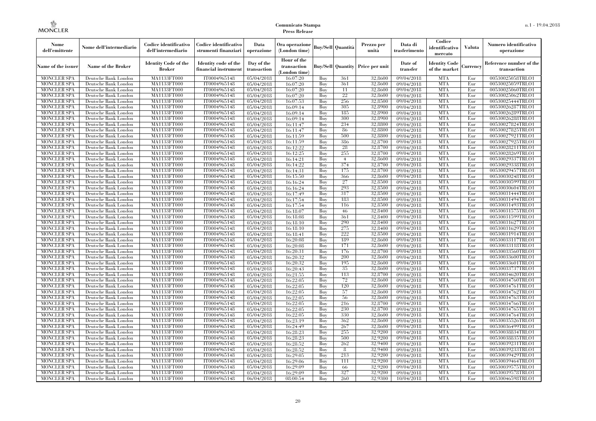| Nome<br>dell'emittente                   | Nome dell'intermediario                      | Codice identificativo<br>dell'intermediario  | Codice identificativo<br>strumenti finanziari | Data<br>operazione        | Ora operazione<br>(London time)             |            | <b>Buy/Sell Quantità</b> | Prezzo per<br>unità | Data di<br>trasferimento | Codice<br>identificativo<br>mercato   | Valuta     | Numero identificativo<br>operazione    |
|------------------------------------------|----------------------------------------------|----------------------------------------------|-----------------------------------------------|---------------------------|---------------------------------------------|------------|--------------------------|---------------------|--------------------------|---------------------------------------|------------|----------------------------------------|
| Name of the issuer                       | Name of the Broker                           | <b>Identity Code of the</b><br><b>Broker</b> | Identity code of the<br>financial instrument  | Day of the<br>transaction | Hour of the<br>transaction<br>(London time) |            | <b>Buy/Sell Quantity</b> | Price per unit      | Date of<br>transfer      | <b>Identity Code</b><br>of the market | Currencv   | Reference number of the<br>transaction |
| <b>MONCLER SPA</b>                       | Deutsche Bank London                         | MA1133FT000                                  | IT0004965148                                  | $\overline{05}/04/2018$   | 16:07:20                                    | Buy        | 361                      | 32,8600             | 09/04/2018               | <b>MTA</b>                            | Eur        | 00530025058TRLO1                       |
| <b>MONCLER SPA</b>                       | Deutsche Bank London                         | MA1133FT000                                  | IT0004965148                                  | 05/04/2018                | 16:07:20                                    | Buy        | 361                      | 32,8600             | 09/04/2018               | <b>MTA</b>                            | Eur        | 00530025059TRLO1                       |
| <b>MONCLER SPA</b>                       | Deutsche Bank London                         | MA1133FT000                                  | IT0004965148                                  | 05/04/2018                | 16:07:20                                    | Buv        | 11                       | 32.8600             | 09/04/2018               | <b>MTA</b>                            | Eur        | 00530025060TRLO1                       |
| <b>MONCLER SPA</b>                       | Deutsche Bank London                         | MA1133FT000                                  | IT0004965148                                  | 05/04/2018                | 16:07:20                                    | Buy        | 22                       | 32,8600             | 09/04/2018               | <b>MTA</b>                            | Eur        | 00530025062TRLO1                       |
| <b>MONCLER SPA</b>                       | Deutsche Bank London                         | MA1133FT000                                  | IT0004965148                                  | 05/04/2018                | 16:07:53                                    | Buy        | 256                      | 32,8500             | $\sqrt{09}/04/2018$      | <b>MTA</b>                            | Eur        | 00530025444TRLO1                       |
| <b>MONCLER SPA</b>                       | Deutsche Bank London<br>Deutsche Bank London | MA1133FT000<br>MA1133FT000                   | IT0004965148<br>IT0004965148                  | 05/04/2018                | 16:09:14                                    | Buy        | 305<br>185               | 32,8900<br>32,8900  | 09/04/2018               | <b>MTA</b><br><b>MTA</b>              | Eur<br>Eur | 00530026287TRLO1                       |
| <b>MONCLER SPA</b><br><b>MONCLER SPA</b> | Deutsche Bank London                         | MA1133FT000                                  | IT0004965148                                  | 05/04/2018<br>05/04/2018  | 16:09:14<br>16:09:14                        | Buy<br>Buy | 300                      | 32,8900             | 09/04/2018<br>09/04/2018 | <b>MTA</b>                            | Eur        | 00530026289TRLO1<br>00530026288TRLO1   |
| <b>MONCLER SPA</b>                       | Deutsche Bank London                         | MA1133FT000                                  | IT0004965148                                  | $\overline{05}/04/2018$   | 16:11:47                                    | Buv        | 234                      | 32,8800             | 09/04/2018               | <b>MTA</b>                            | Eur        | 00530027824TRLO1                       |
| MONCLER SPA                              | Deutsche Bank London                         | MA1133FT000                                  | IT0004965148                                  | 05/04/2018                | 16:11:47                                    | Buy        | -86                      | 32,8800             | 09/04/2018               | <b>MTA</b>                            | Eur        | 00530027825TRLO1                       |
| <b>MONCLER SPA</b>                       | Deutsche Bank London                         | MA1133FT000                                  | IT0004965148                                  | 05/04/2018                | 16:11:59                                    | Buy        | 500                      | 32,8800             | 09/04/2018               | <b>MTA</b>                            | Eur        | 00530027921TRLO1                       |
| <b>MONCLER SPA</b>                       | Deutsche Bank London                         | MA1133FT000                                  | IT0004965148                                  | 05/04/2018                | 16:11:59                                    | Buy        | 386                      | 32,8700             | 09/04/2018               | <b>MTA</b>                            | Eur        | 00530027925TRLO1                       |
| <b>MONCLER SPA</b>                       | Deutsche Bank London                         | MA1133FT000                                  | IT0004965148                                  | 05/04/2018                | 16:12:22                                    | Buy        | 28                       | 32,8700             | 09/04/2018               | <b>MTA</b>                            | Eur        | 00530028211TRLO1                       |
| <b>MONCLER SPA</b>                       | Deutsche Bank London                         | MA1133FT000                                  | IT0004965148                                  | 05/04/2018                | 16:12:25                                    | Buy        | 255                      | 32,8700             | $\sqrt{09}/04/2018$      | <b>MTA</b>                            | Eur        | 00530028269TRLO1                       |
| <b>MONCLER SPA</b>                       | Deutsche Bank London                         | MA1133FT000                                  | IT0004965148                                  | 05/04/2018                | 16:14:21                                    | Buy        | $\overline{4}$           | 32,8600             | 09/04/2018               | <b>MTA</b>                            | Eur        | 00530029337TRLO1                       |
| <b>MONCLER SPA</b>                       | Deutsche Bank London                         | MA1133FT000                                  | IT0004965148                                  | 05/04/2018                | 16:14:22                                    | Buy        | 374                      | 32,8700             | 09/04/2018               | <b>MTA</b>                            | Eur        | 00530029338TRLO1                       |
| <b>MONCLER SPA</b>                       | Deutsche Bank London                         | MA1133FT000                                  | IT0004965148                                  | 05/04/2018                | 16:14:31                                    | Buy        | 175                      | 32,8700             | 09/04/2018               | <b>MTA</b>                            | Eur        | 00530029457TRLO1                       |
| <b>MONCLER SPA</b>                       | Deutsche Bank London                         | MA1133FT000                                  | IT0004965148                                  | 05/04/2018                | 16:15:50                                    | Buy        | 366                      | 32,8600             | 09/04/2018               | <b>MTA</b>                            | Eur        | 00530030248TRLO1                       |
| <b>MONCLER SPA</b>                       | Deutsche Bank London                         | MA1133FT000                                  | IT0004965148                                  | 05/04/2018                | 16:16:24                                    | Buy        | 27                       | 32,8500             | 09/04/2018               | <b>MTA</b>                            | Eur        | 00530030599TRLO1                       |
| <b>MONCLER SPA</b>                       | Deutsche Bank London                         | MA1133FT000                                  | IT0004965148                                  | 05/04/2018                | 16:16:24                                    | Buy        | 293                      | 32,8500             | 09/04/2018               | <b>MTA</b>                            | Eur        | 00530030604TRLO1                       |
| MONCLER SPA                              | Deutsche Bank London                         | MA1133FT000                                  | IT0004965148                                  | 05/04/2018                | 16:17:49                                    | Buy        | 317                      | 32,8500             | 09/04/2018               | <b>MTA</b>                            | Eur        | 00530031444TRLO1                       |
| <b>MONCLER SPA</b>                       | Deutsche Bank London                         | MA1133FT000                                  | IT0004965148                                  | 05/04/2018                | 16:17:54                                    | Buy        | 183                      | 32,8500             | $\sqrt{09/04/2018}$      | <b>MTA</b>                            | Eur        | 00530031494TRLO1                       |
| <b>MONCLER SPA</b>                       | Deutsche Bank London                         | MA1133FT000                                  | IT0004965148                                  | 05/04/2018                | 16:17:54                                    | Buy        | 116                      | 32,8500             | 09/04/2018               | <b>MTA</b>                            | Eur        | 00530031493TRLO1                       |
| <b>MONCLER SPA</b>                       | Deutsche Bank London                         | MA1133FT000                                  | IT0004965148<br>IT0004965148                  | 05/04/2018                | 16:18:07                                    | Buy        | 46<br>361                | 32,8400<br>32,8400  | 09/04/2018<br>09/04/2018 | <b>MTA</b><br><b>MTA</b>              | Eur        | 00530031575TRLO1                       |
| <b>MONCLER SPA</b><br><b>MONCLER SPA</b> | Deutsche Bank London<br>Deutsche Bank London | MA1133FT000<br>MA1133FT000                   | IT0004965148                                  | 05/04/2018<br>05/04/2018  | 16:18:08<br>16:18:10                        | Buy<br>Buy | 290                      | 32,8400             | 09/04/2018               | <b>MTA</b>                            | Eur<br>Eur | 00530031599TRLO1<br>00530031627TRLO1   |
| <b>MONCLER SPA</b>                       | Deutsche Bank London                         | MA1133FT000                                  | IT0004965148                                  | 05/04/2018                | 16:18:10                                    | Buy        | 275                      | 32,8400             | 09/04/2018               | <b>MTA</b>                            | Eur        | 00530031629TRLO1                       |
| <b>MONCLER SPA</b>                       | Deutsche Bank London                         | MA1133FT000                                  | IT0004965148                                  | 05/04/2018                | 16:18:41                                    | Buy        | 222                      | 32,8500             | 09/04/2018               | <b>MTA</b>                            | Eur        | 00530031914TRLO1                       |
| <b>MONCLER SPA</b>                       | Deutsche Bank London                         | MA1133FT000                                  | IT0004965148                                  | 05/04/2018                | 16:20:08                                    | Buy        | 189                      | 32,8600             | 09/04/2018               | <b>MTA</b>                            | Eur        | 00530033117TRLO1                       |
| MONCLER SPA                              | Deutsche Bank London                         | <b>MA1133FT000</b>                           | IT0004965148                                  | 05/04/2018                | 16:20:08                                    | Buy        | 171                      | 32,8600             | 09/04/2018               | <b>MTA</b>                            | Eur        | 00530033118TRLO1                       |
| MONCLER SPA                              | Deutsche Bank London                         | MA1133FT000                                  | IT0004965148                                  | 05/04/2018                | 16:20:31                                    | Buy        | 176                      | 32,8700             | 09/04/2018               | <b>MTA</b>                            | Eur        | 00530033560TRLO1                       |
| <b>MONCLER SPA</b>                       | Deutsche Bank London                         | MA1133FT000                                  | IT0004965148                                  | 05/04/2018                | 16:20:32                                    | Buv        | 200                      | 32,8600             | 09/04/2018               | <b>MTA</b>                            | Eur        | 00530033600TRLO1                       |
| <b>MONCLER SPA</b>                       | Deutsche Bank London                         | MA1133FT000                                  | IT0004965148                                  | 05/04/2018                | 16:20:32                                    | Buv        | 195                      | 32.8600             | 09/04/2018               | <b>MTA</b>                            | Eur        | 00530033601TRLO1                       |
| <b>MONCLER SPA</b>                       | Deutsche Bank London                         | MA1133FT000                                  | IT0004965148                                  | 05/04/2018                | 16:20:43                                    | Buy        | 35                       | 32,8600             | 09/04/2018               | <b>MTA</b>                            | Eur        | 00530033737TRLO1                       |
| <b>MONCLER SPA</b>                       | Deutsche Bank London                         | MA1133FT000                                  | IT0004965148                                  | 05/04/2018                | 16:21:55                                    | Buy        | 113                      | 32,8700             | 09/04/2018               | <b>MTA</b>                            | Eur        | 00530034620TRLO1                       |
| <b>MONCLER SPA</b>                       | Deutsche Bank London                         | MA1133FT000                                  | IT0004965148                                  | 05/04/2018                | 16:22:05                                    | Buy        | 72                       | 32,8600             | 09/04/2018               | <b>MTA</b>                            | Eur        | 00530034760TRLO1                       |
| <b>MONCLER SPA</b>                       | Deutsche Bank London                         | MA1133FT000                                  | IT0004965148                                  | 05/04/2018                | 16:22:05                                    | Buv        | 120                      | 32.8600             | 09/04/2018               | <b>MTA</b>                            | Eur        | 00530034761TRLO1                       |
| <b>MONCLER SPA</b>                       | Deutsche Bank London                         | MA1133FT000                                  | IT0004965148                                  | 05/04/2018                | 16:22:05                                    | Buy        | 57                       | 32,8600             | 09/04/2018               | <b>MTA</b>                            | Eur        | 00530034762TRLO1                       |
| <b>MONCLER SPA</b>                       | Deutsche Bank London                         | MA1133FT000                                  | IT0004965148                                  | 05/04/2018                | 16:22:05                                    | Buy        | -56                      | 32,8600             | 09/04/2018               | <b>MTA</b>                            | Eur        | 00530034763TRLO1                       |
| <b>MONCLER SPA</b>                       | Deutsche Bank London                         | MA1133FT000                                  | IT0004965148                                  | 05/04/2018                | 16:22:05                                    | Buy        | 216                      | 32,8700             | $\sqrt{09}/04/2018$      | <b>MTA</b>                            | Eur        | 00530034766TRLO1                       |
| MONCLER SPA                              | Deutsche Bank London                         | MA1133FT000                                  | IT0004965148                                  | 05/04/2018                | 16:22:05                                    | Buy        | 230                      | 32,8700             | 09/04/2018               | <b>MTA</b>                            | Eur        | 00530034765TRLO1                       |
| <b>MONCLER SPA</b><br><b>MONCLER SPA</b> | Deutsche Bank London<br>Deutsche Bank London | MA1133FT000<br>MA1133FT000                   | IT0004965148<br>IT0004965148                  | 05/04/2018                | 16:22:05<br>16:23:19                        | Buy<br>Buy | 330<br>362               | 32.8600<br>32,8600  | 09/04/2018<br>09/04/2018 | <b>MTA</b><br><b>MTA</b>              | Eur<br>Eur | 00530034764TRLO1<br>00530035526TRLO1   |
| <b>MONCLER SPA</b>                       | Deutsche Bank London                         | MA1133FT000                                  | IT0004965148                                  | 05/04/2018<br>05/04/2018  | 16:24:49                                    | Buy        | 267                      | 32,8600             | $\sqrt{09}/04/2018$      | <b>MTA</b>                            | Eur        | 00530036499TRLO1                       |
| <b>MONCLER SPA</b>                       | Deutsche Bank London                         | MA1133FT000                                  | IT0004965148                                  | 05/04/2018                | 16:28:23                                    | Buy        | 255                      | 32,9200             | 09/04/2018               | <b>MTA</b>                            | Eur        | 00530038834TRLO1                       |
| <b>MONCLER SPA</b>                       | Deutsche Bank London                         | MA1133FT000                                  | IT0004965148                                  | 05/04/2018                | 16:28:23                                    | Buy        | 500                      | 32,9200             | 09/04/2018               | <b>MTA</b>                            | Eur        | 00530038835TRLO1                       |
| <b>MONCLER SPA</b>                       | Deutsche Bank London                         | MA1133FT000                                  | IT0004965148                                  | 05/04/2018                | 16:28:52                                    | Buy        | 262                      | 32,9400             | 09/04/2018               | <b>MTA</b>                            | Eur        | 00530039231TRLO1                       |
| <b>MONCLER SPA</b>                       | Deutsche Bank London                         | MA1133FT000                                  | IT0004965148                                  | 05/04/2018                | 16:28:52                                    | Buy        | 8                        | 32,9400             | 09/04/2018               | <b>MTA</b>                            | Eur        | 00530039233TRLO1                       |
| <b>MONCLER SPA</b>                       | Deutsche Bank London                         | MA1133FT000                                  | IT0004965148                                  | 05/04/2018                | 16:29:05                                    | Buy        | 213                      | 32,9200             | 09/04/2018               | <b>MTA</b>                            | Eur        | 00530039429TRLO1                       |
| <b>MONCLER SPA</b>                       | Deutsche Bank London                         | MA1133FT000                                  | IT0004965148                                  | 05/04/2018                | 16:29:06                                    | Buy        | 111                      | 32,9200             | 09/04/2018               | <b>MTA</b>                            | Eur        | 00530039464TRLO1                       |
| <b>MONCLER SPA</b>                       | Deutsche Bank London                         | MA1133FT000                                  | IT0004965148                                  | 05/04/2018                | 16:29:09                                    | Buy        | 66                       | 32,9200             | 09/04/2018               | <b>MTA</b>                            | Eur        | 00530039575TRLO1                       |
| <b>MONCLER SPA</b>                       | Deutsche Bank London                         | MA1133FT000                                  | IT0004965148                                  | 05/04/2018                | 16:29:09                                    | Buy        | 327                      | 32,9200             | 09/04/2018               | <b>MTA</b>                            | Eur        | 00530039578TRLO1                       |
| MONCLER SPA                              | Deutsche Bank London                         | MA1133FT000                                  | IT0004965148                                  | 06/04/2018                | 08:00:54                                    | Buy        | 260                      | 32,9300             | 10/04/2018               | <b>MTA</b>                            | Eur        | 00530046598TRLO1                       |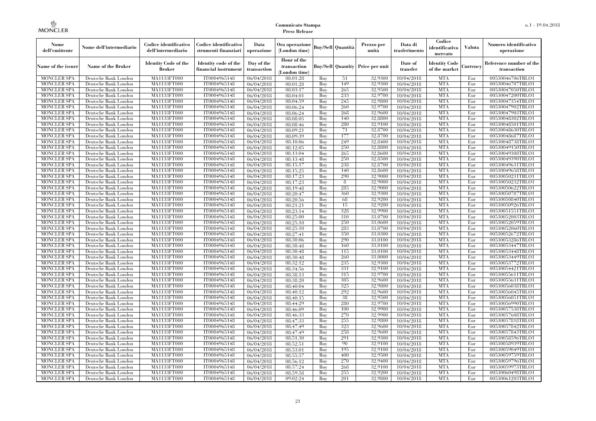| Nome<br>dell'emittente                   | Nome dell'intermediario                      | Codice identificativo<br>dell'intermediario  | Codice identificativo<br>strumenti finanziari | Data<br>operazione        | Ora operazione<br>(London time)           |            | Buv/Sell   Quantità      | Prezzo per<br>unità | Data di<br>trasferimento | Codice<br>identificativo<br>mercato   | <b>Valuta</b> | Numero identificativo<br>operazione    |
|------------------------------------------|----------------------------------------------|----------------------------------------------|-----------------------------------------------|---------------------------|-------------------------------------------|------------|--------------------------|---------------------|--------------------------|---------------------------------------|---------------|----------------------------------------|
| Name of the issuer                       | Name of the Broker                           | <b>Identity Code of the</b><br><b>Broker</b> | Identity code of the<br>financial instrument  | Day of the<br>transaction | Hour of the<br>transaction<br>London time |            | <b>Buy/Sell Quantity</b> | Price per unit      | Date of<br>transfer      | <b>Identity Code</b><br>of the market | Currencv      | Reference number of the<br>transaction |
| <b>MONCLER SPA</b>                       | Deutsche Bank London                         | MA1133FT000                                  | IT0004965148                                  | 06/04/2018                | 08:01:28                                  | Buy        | 51                       | 32,9300             | 10/04/2018               | <b>MTA</b>                            | Eur           | 00530046706TRLO1                       |
| <b>MONCLER SPA</b>                       | Deutsche Bank London                         | <b>MA1133FT000</b>                           | IT0004965148                                  | 06/04/2018                | 08:01:28                                  | Buy        | 149                      | 32,9300             | 10/04/2018               | <b>MTA</b>                            | Eur           | 00530046707TRLO1                       |
| <b>MONCLER SPA</b>                       | Deutsche Bank London                         | MA1133FT000                                  | IT0004965148                                  | 06/04/2018                | 08:03:17                                  | Buy        | 265                      | 32,9500             | 10/04/2018               | <b>MTA</b>                            | Eur           | 00530047050TRLO1                       |
| <b>MONCLER SPA</b>                       | Deutsche Bank London                         | MA1133FT000                                  | IT0004965148                                  | 06/04/2018                | 08:04:01                                  | Buy        | 233                      | 32,9700             | 10/04/2018               | <b>MTA</b>                            | Eur           | 00530047200TRLO1                       |
| <b>MONCLER SPA</b>                       | Deutsche Bank London                         | MA1133FT000                                  | IT0004965148                                  | 06/04/2018                | 08:04:59                                  | Buv        | 245                      | 32,9800             | 10/04/2018               | <b>MTA</b>                            | Eur           | 00530047354TRLO1                       |
| <b>MONCLER SPA</b><br><b>MONCLER SPA</b> | Deutsche Bank London                         | MA1133FT000                                  | IT0004965148<br>IT0004965148                  | 06/04/2018                | 08:06:24                                  | Buy        | 260                      | 32,9700<br>32,9600  | 10/04/2018               | <b>MTA</b><br><b>MTA</b>              | Eur           | 00530047902TRLO1                       |
| <b>MONCLER SPA</b>                       | Deutsche Bank London<br>Deutsche Bank London | <b>MA1133FT000</b><br>MA1133FT000            | IT0004965148                                  | 06/04/2018<br>06/04/2018  | 08:06:24<br>08:08:05                      | Buy<br>Buy | 268<br>140               | 32,8800             | 10/04/2018<br>10/04/2018 | <b>MTA</b>                            | Eur<br>Eur    | 00530047903TRLO1<br>00530048302TRLO1   |
| <b>MONCLER SPA</b>                       | Deutsche Bank London                         | MA1133FT000                                  | IT0004965148                                  | 06/04/2018                | 08:08:46                                  | Buv        | 280                      | 32,9100             | 10/04/2018               | <b>MTA</b>                            | Eur           | 00530048501TRLO1                       |
| <b>MONCLER SPA</b>                       | Deutsche Bank London                         | MA1133FT000                                  | IT0004965148                                  | 06/04/2018                | 08:09:21                                  | Buy        | 71                       | 32,8700             | 10/04/2018               | <b>MTA</b>                            | Eur           | 00530048630TRLO1                       |
| <b>MONCLER SPA</b>                       | Deutsche Bank London                         | MA1133FT000                                  | IT0004965148                                  | 06/04/2018                | 08:09:39                                  | Buy        | 177                      | 32,8700             | 10/04/2018               | <b>MTA</b>                            | Eur           | 00530048687TRLO1                       |
| MONCLER SPA                              | Deutsche Bank London                         | MA1133FT000                                  | IT0004965148                                  | 06/04/2018                | 08:10:06                                  | Buy        | 249                      | 32,8400             | 10/04/2018               | <b>MTA</b>                            | Eur           | 00530048738TRLO1                       |
| <b>MONCLER SPA</b>                       | Deutsche Bank London                         | MA1133FT000                                  | IT0004965148                                  | 06/04/2018                | 08:12:05                                  | Buy        | 250                      | 32,8800             | 10/04/2018               | <b>MTA</b>                            | Eur           | 00530049150TRLO1                       |
| <b>MONCLER SPA</b>                       | Deutsche Bank London                         | MA1133FT000                                  | IT0004965148                                  | 06/04/2018                | 08:13:04                                  | Buy        | 265                      | 32,8600             | 10/04/2018               | <b>MTA</b>                            | Eur           | 00530049308TRLO1                       |
| <b>MONCLER SPA</b>                       | Deutsche Bank London                         | MA1133FT000                                  | IT0004965148                                  | 06/04/2018                | 08:13:48                                  | Buy        | 250                      | 32.8500             | 10/04/2018               | <b>MTA</b>                            | Eur           | 00530049390TRLO1                       |
| <b>MONCLER SPA</b>                       | Deutsche Bank London                         | MA1133FT000                                  | IT0004965148                                  | 06/04/2018                | 08:15:17                                  | Buy        | 238                      | 32.8700             | 10/04/2018               | <b>MTA</b>                            | Eur           | 00530049631TRLO1                       |
| <b>MONCLER SPA</b>                       | Deutsche Bank London                         | <b>MA1133FT000</b>                           | IT0004965148                                  | 06/04/2018                | 08:15:25                                  | Buy        | 140                      | 32,8600             | 10/04/2018               | <b>MTA</b>                            | Eur           | 00530049658TRLO1                       |
| <b>MONCLER SPA</b>                       | Deutsche Bank London                         | <b>MA1133FT000</b>                           | IT0004965148                                  | 06/04/2018                | 08:17:23                                  | Buy        | 290                      | 32,9000             | 10/04/2018               | <b>MTA</b>                            | Eur           | 00530050231TRLO1                       |
| <b>MONCLER SPA</b>                       | Deutsche Bank London                         | MA1133FT000                                  | IT0004965148                                  | 06/04/2018                | 08:17:23                                  | Buy        | $\frac{8}{3}$            | 32,9000             | 10/04/2018               | <b>MTA</b>                            | Eur           | 00530050232TRLO1                       |
| <b>MONCLER SPA</b>                       | Deutsche Bank London                         | MA1133FT000                                  | IT0004965148                                  | 06/04/2018                | 08:19:48                                  | Buy        | 285                      | 32,9000             | 10/04/2018               | <b>MTA</b>                            | Eur           | 00530050622TRLO1                       |
| <b>MONCLER SPA</b>                       | Deutsche Bank London                         | MA1133FT000                                  | IT0004965148                                  | 06/04/2018                | 08:20:47                                  | Buy        | 360                      | 32,9300             | 10/04/2018               | <b>MTA</b>                            | Eur           | 00530050787TRLO1                       |
| <b>MONCLER SPA</b>                       | Deutsche Bank London                         | <b>MA1133FT000</b>                           | IT0004965148                                  | 06/04/2018                | 08:20:56                                  | Buy        | 68                       | 32,9200             | 10/04/2018               | <b>MTA</b>                            | Eur           | 00530050840TRLO1                       |
| <b>MONCLER SPA</b>                       | Deutsche Bank London                         | MA1133FT000                                  | IT0004965148                                  | 06/04/2018                | 08:21:21                                  | Buy        | 15                       | 32,9200             | 10/04/2018               | <b>MTA</b>                            | Eur           | 00530050926TRLO1                       |
| <b>MONCLER SPA</b>                       | Deutsche Bank London                         | MA1133FT000<br>MA1133FT000                   | IT0004965148<br>IT0004965148                  | 06/04/2018                | 08:23:14                                  | Buy        | 328<br>310               | 32,9900<br>33,0700  | 10/04/2018               | <b>MTA</b><br><b>MTA</b>              | Eur           | 00530051551TRLO1                       |
| <b>MONCLER SPA</b><br><b>MONCLER SPA</b> | Deutsche Bank London<br>Deutsche Bank London | MA1133FT000                                  | IT0004965148                                  | 06/04/2018<br>06/04/2018  | 08:25:00<br>08:25:10                      | Buy<br>Buy | 250                      | 33,0600             | 10/04/2018               | <b>MTA</b>                            | Eur<br>Eur    | 00530052003TRLO1<br>00530052059TRLO1   |
| <b>MONCLER SPA</b>                       | Deutsche Bank London                         | MA1133FT000                                  | IT0004965148                                  | 06/04/2018                | 08:25:10                                  | Buy        | 283                      | 33,0700             | 10/04/2018<br>10/04/2018 | <b>MTA</b>                            | Eur           | 00530052060TRLO1                       |
| <b>MONCLER SPA</b>                       | Deutsche Bank London                         | MA1133FT000                                  | IT0004965148                                  | 06/04/2018                | 08:27:41                                  | Buy        | 350                      | 33,0300             | 10/04/2018               | <b>MTA</b>                            | Eur           | 00530052672TRLO1                       |
| <b>MONCLER SPA</b>                       | Deutsche Bank London                         | MA1133FT000                                  | IT0004965148                                  | 06/04/2018                | 08:30:06                                  | Buy        | 290                      | 33,0100             | 10/04/2018               | <b>MTA</b>                            | Eur           | 00530053286TRLO1                       |
| <b>MONCLER SPA</b>                       | Deutsche Bank London                         | MA1133FT000                                  | IT0004965148                                  | 06/04/2018                | 08:30:48                                  | Buy        | 160                      | 33,0100             | 10/04/2018               | <b>MTA</b>                            | Eur           | 00530053447TRLO1                       |
| <b>MONCLER SPA</b>                       | Deutsche Bank London                         | MA1133FT000                                  | IT0004965148                                  | 06/04/2018                | 08:30:48                                  | Buy        | 115                      | 33,0100             | 10/04/2018               | <b>MTA</b>                            | Eur           | 00530053448TRLO1                       |
| <b>MONCLER SPA</b>                       | Deutsche Bank London                         | MA1133FT000                                  | IT0004965148                                  | 06/04/2018                | 08:30:48                                  | Buy        | 260                      | 33,0000             | 10/04/2018               | <b>MTA</b>                            | Eur           | 00530053449TRLO1                       |
| <b>MONCLER SPA</b>                       | Deutsche Bank London                         | MA1133FT000                                  | IT0004965148                                  | 06/04/2018                | 08:32:12                                  | Buy        | 235                      | 32,9300             | 10/04/2018               | <b>MTA</b>                            | Eur           | 00530053772TRLO1                       |
| <b>MONCLER SPA</b>                       | Deutsche Bank London                         | <b>MA1133FT000</b>                           | IT0004965148                                  | 06/04/2018                | 08:34:56                                  | Buy        | 331                      | 32,9100             | 10/04/2018               | <b>MTA</b>                            | Eur           | 00530054421TRLO1                       |
| <b>MONCLER SPA</b>                       | Deutsche Bank London                         | MA1133FT000                                  | IT0004965148                                  | 06/04/2018                | 08:38:13                                  | Buy        | 315                      | 32,9700             | 10/04/2018               | <b>MTA</b>                            | Eur           | 00530055611TRLO1                       |
| <b>MONCLER SPA</b>                       | Deutsche Bank London                         | MA1133FT000                                  | IT0004965148                                  | 06/04/2018                | 08:38:20                                  | Buy        | 305                      | 32,9600             | 10/04/2018               | <b>MTA</b>                            | Eur           | 00530055631TRLO1                       |
| <b>MONCLER SPA</b>                       | Deutsche Bank London                         | MA1133FT000                                  | IT0004965148                                  | 06/04/2018                | 08:40:04                                  | Buy        | 325                      | 32,9800             | 10/04/2018               | <b>MTA</b>                            | Eur           | 00530056038TRLO1                       |
| <b>MONCLER SPA</b>                       | Deutsche Bank London                         | <b>MA1133FT000</b>                           | IT0004965148                                  | 06/04/2018                | 08:40:12                                  | Buy        | 292                      | 32,9600             | 10/04/2018               | <b>MTA</b>                            | Eur           | 00530056045TRLO1                       |
| <b>MONCLER SPA</b>                       | Deutsche Bank London                         | <b>MA1133FT000</b>                           | IT0004965148                                  | 06/04/2018                | 08:40:15                                  | Buy        | 38                       | 32,9500             | 10/04/2018               | <b>MTA</b>                            | Eur           | 00530056051TRLO1                       |
| <b>MONCLER SPA</b>                       | Deutsche Bank London                         | MA1133FT000                                  | IT0004965148                                  | 06/04/2018                | 08:44:29                                  | Buy        | 280                      | 32,9700             | 10/04/2018               | <b>MTA</b>                            | Eur           | 00530056990TRLO1                       |
| <b>MONCLER SPA</b>                       | Deutsche Bank London                         | MA1133FT000                                  | IT0004965148                                  | 06/04/2018                | 08:46:09                                  | Buy        | 100                      | 32,9900             | 10/04/2018               | <b>MTA</b>                            | Eur           | 00530057538TRLO1                       |
| <b>MONCLER SPA</b>                       | Deutsche Bank London                         | MA1133FT000                                  | IT0004965148                                  | 06/04/2018                | 08:46:33                                  | Buy        | 270                      | 32,9900             | 10/04/2018               | <b>MTA</b>                            | Eur           | 00530057608TRLO1                       |
| <b>MONCLER SPA</b>                       | Deutsche Bank London                         | MA1133FT000                                  | IT0004965148                                  | 06/04/2018                | 08:47:33                                  | Buy        | 255                      | 32,9800             | 10/04/2018               | <b>MTA</b>                            | Eur           | 00530057818TRLO1                       |
| <b>MONCLER SPA</b>                       | Deutsche Bank London                         | <b>MA1133FT000</b>                           | IT0004965148                                  | 06/04/2018                | 08:47:49                                  | Buy<br>Buy | 323<br>258               | 32,9600<br>32,9600  | 10/04/2018               | <b>MTA</b><br><b>MTA</b>              | Eur<br>Eur    | 00530057842TRLO1                       |
| <b>MONCLER SPA</b><br><b>MONCLER SPA</b> | Deutsche Bank London<br>Deutsche Bank London | MA1133FT000<br>MA1133FT000                   | IT0004965148<br>IT0004965148                  | 06/04/2018<br>06/04/2018  | 08:47:49<br>08:51:30                      | Buy        | 291                      | 32,9300             | 10/04/2018<br>10/04/2018 | <b>MTA</b>                            | Eur           | 00530057843TRLO1<br>00530058596TRLO1   |
| <b>MONCLER SPA</b>                       | Deutsche Bank London                         | MA1133FT000                                  | IT0004965148                                  | 06/04/2018                | 08:52:51                                  | Buy        | 90                       | 32,9100             | 10/04/2018               | <b>MTA</b>                            | Eur           | 00530058939TRLO1                       |
| <b>MONCLER SPA</b>                       | Deutsche Bank London                         | MA1133FT000                                  | IT0004965148                                  | 06/04/2018                | 08:53:01                                  | Buy        | 195                      | 32,9100             | 10/04/2018               | <b>MTA</b>                            | Eur           | 00530059049TRLO1                       |
| <b>MONCLER SPA</b>                       | Deutsche Bank London                         | MA1133FT000                                  | IT0004965148                                  | 06/04/2018                | 08:55:57                                  | Buy        | 400                      | 32,9500             | 10/04/2018               | <b>MTA</b>                            | Eur           | 00530059759TRLO1                       |
| <b>MONCLER SPA</b>                       | Deutsche Bank London                         | MA1133FT000                                  | IT0004965148                                  | 06/04/2018                | 08:56:12                                  | Buy        | 270                      | 32,9400             | 10/04/2018               | <b>MTA</b>                            | Eur           | 00530059796TRLO1                       |
| <b>MONCLER SPA</b>                       | Deutsche Bank London                         | MA1133FT000                                  | IT0004965148                                  | 06/04/2018                | 08:57:24                                  | Buy        | 268                      | 32,9100             | 10/04/2018               | <b>MTA</b>                            | Eur           | 00530059973TRLO1                       |
| <b>MONCLER SPA</b>                       | Deutsche Bank London                         | MA1133FT000                                  | IT0004965148                                  | 06/04/2018                | 08:59:58                                  | Buy        | 255                      | 32,9200             | 10/04/2018               | <b>MTA</b>                            | Eur           | 00530060498TRLO1                       |
| <b>MONCLER SPA</b>                       | Deutsche Bank London                         | MA1133FT000                                  | IT0004965148                                  | 06/04/2018                | 09:02:24                                  | Buy        | 201                      | 32,9800             | 10/04/2018               | <b>MTA</b>                            | Eur           | 00530061203TRLO1                       |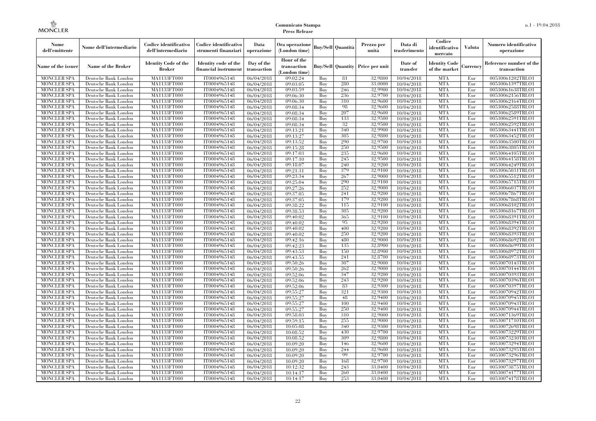| Nome<br>dell'emittente                   | Nome dell'intermediario                      | Codice identificativo<br>dell'intermediario  | Codice identificativo<br>strumenti finanziari | Data<br>operazione        | Ora operazione<br>(London time)             |            | <b>Buy/Sell Quantità</b> | Prezzo per<br>unità | Data di<br>trasferimento | Codice<br>identificativo<br>mercato   | Valuta     | Numero identificativo<br>operazione    |
|------------------------------------------|----------------------------------------------|----------------------------------------------|-----------------------------------------------|---------------------------|---------------------------------------------|------------|--------------------------|---------------------|--------------------------|---------------------------------------|------------|----------------------------------------|
| Name of the issuer                       | Name of the Broker                           | <b>Identity Code of the</b><br><b>Broker</b> | Identity code of the<br>financial instrument  | Day of the<br>transaction | Hour of the<br>transaction<br>(London time) |            | <b>Buy/Sell Quantity</b> | Price per unit      | Date of<br>transfer      | <b>Identity Code</b><br>of the market | Currencv   | Reference number of the<br>transaction |
| <b>MONCLER SPA</b>                       | Deutsche Bank London                         | MA1133FT000                                  | IT0004965148                                  | 06/04/2018                | 09:02:24                                    | Buy        | 81                       | 32,9800             | 10/04/2018               | <b>MTA</b>                            | Eur        | 00530061202TRLO1                       |
| <b>MONCLER SPA</b>                       | Deutsche Bank London                         | MA1133FT000                                  | IT0004965148                                  | 06/04/2018                | 09:03:05                                    | Buy        | 280                      | 33,0000             | 10/04/2018               | <b>MTA</b>                            | Eur        | 00530061397TRLO1                       |
| <b>MONCLER SPA</b>                       | Deutsche Bank London                         | MA1133FT000                                  | IT0004965148                                  | 06/04/2018                | 09:03:59                                    | Buv        | 246                      | 32,9900             | 10/04/2018               | <b>MTA</b>                            | Eur        | 00530061638TRLO1                       |
| <b>MONCLER SPA</b>                       | Deutsche Bank London                         | MA1133FT000                                  | IT0004965148                                  | 06/04/2018                | 09:06:30                                    | Buy        | 236                      | 32,9700             | 10/04/2018               | <b>MTA</b>                            | Eur        | 00530062156TRLO1                       |
| <b>MONCLER SPA</b>                       | Deutsche Bank London                         | MA1133FT000<br>MA1133FT000                   | IT0004965148<br>IT0004965148                  | 06/04/2018                | 09:06:30                                    | Buy        | 310<br>98                | 32,9600<br>32,9600  | 10/04/2018               | <b>MTA</b><br><b>MTA</b>              | Eur        | 00530062164TRLO1                       |
| <b>MONCLER SPA</b><br><b>MONCLER SPA</b> | Deutsche Bank London<br>Deutsche Bank London | MA1133FT000                                  | IT0004965148                                  | 06/04/2018                | 09:08:34<br>09:08:34                        | Buy<br>Buy | 207                      | 32,9600             | 10/04/2018<br>10/04/2018 | <b>MTA</b>                            | Eur<br>Eur | 00530062588TRLO1<br>00530062589TRLO1   |
| <b>MONCLER SPA</b>                       | Deutsche Bank London                         | MA1133FT000                                  | IT0004965148                                  | 06/04/2018<br>06/04/2018  | 09:08:34                                    | Buy        | 133                      | 32,9500             | 10/04/2018               | <b>MTA</b>                            | Eur        | 00530062591TRLO1                       |
| <b>MONCLER SPA</b>                       | Deutsche Bank London                         | MA1133FT000                                  | IT0004965148                                  | 06/04/2018                | 09:08:34                                    | Buy        | 32                       | 32,9500             | 10/04/2018               | <b>MTA</b>                            | Eur        | 00530062592TRLO1                       |
| MONCLER SPA                              | Deutsche Bank London                         | MA1133FT000                                  | IT0004965148                                  | 06/04/2018                | 09:13:21                                    | Buy        | 340                      | 32,9900             | 10/04/2018               | <b>MTA</b>                            | Eur        | 00530063441TRLO1                       |
| MONCLER SPA                              | Deutsche Bank London                         | MA1133FT000                                  | IT0004965148                                  | 06/04/2018                | 09:13:27                                    | Buy        | 305                      | 32,9800             | 10/04/2018               | <b>MTA</b>                            | Eur        | 00530063452TRLO1                       |
| <b>MONCLER SPA</b>                       | Deutsche Bank London                         | MA1133FT000                                  | IT0004965148                                  | 06/04/2018                | 09:13:52                                    | Buy        | 290                      | 32,9700             | 10/04/2018               | <b>MTA</b>                            | Eur        | 00530063500TRLO1                       |
| <b>MONCLER SPA</b>                       | Deutsche Bank London                         | MA1133FT000                                  | IT0004965148                                  | 06/04/2018                | 09:15:28                                    | Buy        | 250                      | 32,9500             | 10/04/2018               | <b>MTA</b>                            | Eur        | 00530063805TRLO1                       |
| <b>MONCLER SPA</b>                       | Deutsche Bank London                         | MA1133FT000                                  | IT0004965148                                  | 06/04/2018                | 09:17:03                                    | Buy        | 235                      | 32,9600             | 10/04/2018               | <b>MTA</b>                            | Eur        | 00530064105TRLO1                       |
| <b>MONCLER SPA</b>                       | Deutsche Bank London                         | MA1133FT000                                  | IT0004965148                                  | 06/04/2018                | 09:17:10                                    | Buy        | 245                      | 32,9500             | 10/04/2018               | <b>MTA</b>                            | Eur        | 00530064158TRLO1                       |
| <b>MONCLER SPA</b>                       | Deutsche Bank London                         | MA1133FT000                                  | IT0004965148                                  | 06/04/2018                | 09:18:07                                    | Buy        | 240                      | 32,9200             | 10/04/2018               | <b>MTA</b>                            | Eur        | 00530064249TRLO1                       |
| <b>MONCLER SPA</b>                       | Deutsche Bank London                         | MA1133FT000                                  | IT0004965148                                  | 06/04/2018                | 09:21:31                                    | Buy        | 379                      | 32,9100             | 10/04/2018               | <b>MTA</b>                            | Eur        | 00530065031TRLO1                       |
| <b>MONCLER SPA</b>                       | Deutsche Bank London                         | MA1133FT000                                  | IT0004965148                                  | 06/04/2018                | 09:23:34                                    | Buy        | 267                      | 32,9000             | 10/04/2018               | <b>MTA</b>                            | Eur        | 00530065512TRLO1                       |
| <b>MONCLER SPA</b>                       | Deutsche Bank London                         | MA1133FT000                                  | IT0004965148                                  | 06/04/2018                | 09:25:04                                    | Buy        | 290                      | 32,9100             | 10/04/2018               | <b>MTA</b>                            | Eur        | 00530065715TRLO1                       |
| <b>MONCLER SPA</b>                       | Deutsche Bank London                         | MA1133FT000                                  | IT0004965148                                  | 06/04/2018                | 09:27:26                                    | Buy        | 252                      | 32,9000             | 10/04/2018               | <b>MTA</b>                            | Eur        | 00530066037TRLO1                       |
| MONCLER SPA                              | Deutsche Bank London                         | MA1133FT000                                  | IT0004965148                                  | 06/04/2018                | 09:37:05                                    | Buy        | 241                      | 32,9200             | 10/04/2018               | <b>MTA</b>                            | Eur        | 00530067867TRLO1                       |
| <b>MONCLER SPA</b>                       | Deutsche Bank London                         | MA1133FT000                                  | IT0004965148                                  | 06/04/2018                | 09:37:05                                    | Buy        | 179                      | 32,9200             | 10/04/2018               | <b>MTA</b>                            | Eur        | 00530067868TRLO1                       |
| <b>MONCLER SPA</b>                       | Deutsche Bank London                         | MA1133FT000                                  | IT0004965148                                  | 06/04/2018                | 09:38:22                                    | Buy        | 115                      | 32,9100             | 10/04/2018               | <b>MTA</b>                            | Eur        | 00530068102TRLO1                       |
| <b>MONCLER SPA</b>                       | Deutsche Bank London                         | MA1133FT000                                  | IT0004965148                                  | 06/04/2018                | 09:38:53                                    | Buy        | 305                      | 32,9200             | 10/04/2018               | <b>MTA</b>                            | Eur        | 00530068167TRLO1                       |
| <b>MONCLER SPA</b>                       | Deutsche Bank London                         | MA1133FT000                                  | IT0004965148                                  | 06/04/2018                | 09:40:02                                    | Buy        | 365                      | 32,9100             | 10/04/2018               | <b>MTA</b>                            | Eur        | 00530068391TRLO1                       |
| <b>MONCLER SPA</b>                       | Deutsche Bank London                         | MA1133FT000                                  | IT0004965148                                  | 06/04/2018                | 09:40:02                                    | Buy        | 95                       | 32,9200             | 10/04/2018               | <b>MTA</b>                            | Eur        | 00530068394TRLO1                       |
| <b>MONCLER SPA</b>                       | Deutsche Bank London                         | MA1133FT000                                  | IT0004965148                                  | 06/04/2018                | 09:40:02                                    | Buy        | 400                      | 32,9200             | 10/04/2018               | <b>MTA</b>                            | Eur        | 00530068392TRLO1                       |
| <b>MONCLER SPA</b>                       | Deutsche Bank London                         | MA1133FT000                                  | IT0004965148                                  | 06/04/2018                | 09:40:02                                    | Buy        | 250                      | 32,9200             | 10/04/2018               | <b>MTA</b>                            | Eur        | 00530068393TRLO1                       |
| <b>MONCLER SPA</b>                       | Deutsche Bank London                         | MA1133FT000                                  | IT0004965148                                  | 06/04/2018                | 09:42:16                                    | Buy        | 480                      | 32,9000             | 10/04/2018               | <b>MTA</b>                            | Eur        | 00530068692TRLO1                       |
| <b>MONCLER SPA</b><br><b>MONCLER SPA</b> | Deutsche Bank London<br>Deutsche Bank London | <b>MA1133FT000</b><br>MA1133FT000            | IT0004965148<br>IT0004965148                  | 06/04/2018<br>06/04/2018  | 09:42:23<br>09:43:53                        | Buy<br>Buy | 135<br>150               | 32,8900<br>32,8900  | 10/04/2018<br>10/04/2018 | <b>MTA</b><br><b>MTA</b>              | Eur<br>Eur | 00530068699TRLO1<br>00530068972TRLO1   |
| <b>MONCLER SPA</b>                       | Deutsche Bank London                         | MA1133FT000                                  | IT0004965148                                  | 06/04/2018                | 09:43:55                                    | Buv        | 241                      | 32,8700             | 10/04/2018               | <b>MTA</b>                            | Eur        | 00530068973TRLO1                       |
| <b>MONCLER SPA</b>                       | Deutsche Bank London                         | MA1133FT000                                  | IT0004965148                                  | 06/04/2018                | 09:50:26                                    | Buv        | 307                      | 32,9000             | 10/04/2018               | <b>MTA</b>                            | Eur        | 00530070143TRLO1                       |
| <b>MONCLER SPA</b>                       | Deutsche Bank London                         | MA1133FT000                                  | IT0004965148                                  | 06/04/2018                | 09:50:26                                    | Buy        | 262                      | 32,9000             | 10/04/2018               | <b>MTA</b>                            | Eur        | 00530070144TRLO1                       |
| <b>MONCLER SPA</b>                       | Deutsche Bank London                         | MA1133FT000                                  | IT0004965148                                  | 06/04/2018                | 09:52:06                                    | Buy        | 347                      | 32,9200             | 10/04/2018               | <b>MTA</b>                            | Eur        | 00530070393TRLO1                       |
| <b>MONCLER SPA</b>                       | Deutsche Bank London                         | MA1133FT000                                  | IT0004965148                                  | 06/04/2018                | 09:52:06                                    | Buy        | 243                      | 32,9200             | 10/04/2018               | <b>MTA</b>                            | Eur        | 00530070396TRLO1                       |
| <b>MONCLER SPA</b>                       | Deutsche Bank London                         | MA1133FT000                                  | IT0004965148                                  | 06/04/2018                | 09:52:06                                    | Buv        | 83                       | 32,9300             | 10/04/2018               | <b>MTA</b>                            | Eur        | 00530070397TRLO1                       |
| <b>MONCLER SPA</b>                       | Deutsche Bank London                         | MA1133FT000                                  | IT0004965148                                  | 06/04/2018                | 09:55:27                                    | Buy        | 321                      | 32,9300             | 10/04/2018               | <b>MTA</b>                            | Eur        | 00530070942TRLO1                       |
| <b>MONCLER SPA</b>                       | Deutsche Bank London                         | MA1133FT000                                  | IT0004965148                                  | 06/04/2018                | 09:55:27                                    | Buy        | 48                       | 32,9400             | 10/04/2018               | <b>MTA</b>                            | Eur        | 00530070945TRLO1                       |
| <b>MONCLER SPA</b>                       | Deutsche Bank London                         | MA1133FT000                                  | IT0004965148                                  | 06/04/2018                | 09:55:27                                    | Buy        | 100                      | 32,9400             | 10/04/2018               | <b>MTA</b>                            | Eur        | 00530070943TRLO1                       |
| MONCLER SPA                              | Deutsche Bank London                         | MA1133FT000                                  | IT0004965148                                  | 06/04/2018                | 09:55:27                                    | Buy        | 250                      | 32,9400             | 10/04/2018               | <b>MTA</b>                            | Eur        | 00530070944TRLO1                       |
| <b>MONCLER SPA</b>                       | Deutsche Bank London                         | MA1133FT000                                  | IT0004965148                                  | 06/04/2018                | 09:58:03                                    | Buy        | 310                      | 32,9000             | 10/04/2018               | <b>MTA</b>                            | Eur        | 00530071369TRLO1                       |
| <b>MONCLER SPA</b>                       | Deutsche Bank London                         | MA1133FT000                                  | IT0004965148                                  | 06/04/2018                | 09:59:15                                    | Buy        | 255                      | 32,9000             | 10/04/2018               | <b>MTA</b>                            | Eur        | 00530071710TRLO1                       |
| <b>MONCLER SPA</b>                       | Deutsche Bank London                         | MA1133FT000                                  | IT0004965148                                  | 06/04/2018                | 10:05:08                                    | Buy        | 340                      | 32,9300             | 10/04/2018               | <b>MTA</b>                            | Eur        | 00530072698TRLO1                       |
| <b>MONCLER SPA</b>                       | Deutsche Bank London                         | MA1133FT000                                  | IT0004965148                                  | 06/04/2018                | 10:08:52                                    | Buy        | 430                      | 32,9700             | 10/04/2018               | <b>MTA</b>                            | Eur        | 00530073229TRLO1                       |
| <b>MONCLER SPA</b>                       | Deutsche Bank London                         | MA1133FT000                                  | IT0004965148                                  | 06/04/2018                | 10:08:52                                    | Buy        | 309                      | 32,9800             | 10/04/2018               | <b>MTA</b>                            | Eur        | 00530073230TRLO1                       |
| <b>MONCLER SPA</b>                       | Deutsche Bank London                         | MA1133FT000                                  | IT0004965148                                  | 06/04/2018                | 10:09:20                                    | Buy        | 146                      | 32,9600             | 10/04/2018               | <b>MTA</b>                            | Eur        | 00530073294TRLO1                       |
| <b>MONCLER SPA</b>                       | Deutsche Bank London                         | MA1133FT000                                  | IT0004965148                                  | 06/04/2018                | 10:09:20                                    | Buy        | 244                      | 32,9600             | 10/04/2018               | <b>MTA</b>                            | Eur        | 00530073295TRLO1                       |
| <b>MONCLER SPA</b>                       | Deutsche Bank London                         | MA1133FT000                                  | IT0004965148                                  | 06/04/2018                | 10:09:20                                    | Buy        | -99                      | 32,9700             | 10/04/2018               | <b>MTA</b>                            | Eur        | 00530073296TRLO1                       |
| <b>MONCLER SPA</b>                       | Deutsche Bank London                         | MA1133FT000                                  | IT0004965148                                  | 06/04/2018                | 10:09:20                                    | Buy        | 168                      | 32,9700             | 10/04/2018               | <b>MTA</b>                            | Eur        | 00530073297TRLO1                       |
| <b>MONCLER SPA</b>                       | Deutsche Bank London                         | MA1133FT000                                  | IT0004965148                                  | 06/04/2018                | 10:12:32                                    | Buy        | 243                      | 33,0400             | 10/04/2018               | <b>MTA</b>                            | Eur        | 00530073875TRLO1                       |
| <b>MONCLER SPA</b>                       | Deutsche Bank London                         | MA1133FT000                                  | IT0004965148                                  | 06/04/2018                | 10:14:17                                    | Buy        | 260                      | 33,0400             | 10/04/2018               | <b>MTA</b>                            | Eur        | 00530074177TRLO1                       |
| MONCLER SPA                              | Deutsche Bank London                         | MA1133FT000                                  | IT0004965148                                  | 06/04/2018                | 10:14:17                                    | Buy        | 253                      | 33,0400             | 10/04/2018               | <b>MTA</b>                            | Eur        | 00530074178TRLO1                       |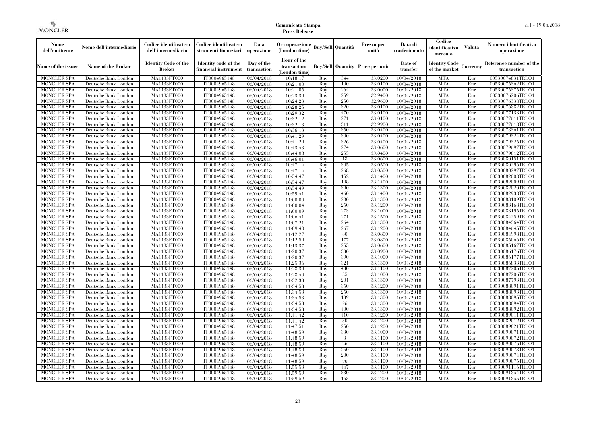| Nome<br>dell'emittente                   | Nome dell'intermediario                      | Codice identificativo<br>dell'intermediario  | Codice identificativo<br>strumenti finanziari | Data<br>operazione        | Ora operazione<br>(London time)             |            | Buy/Sell   Quantità      | Prezzo per<br>unità | Data di<br>trasferimento | Codice<br>identificativo<br>mercato   | <b>Valuta</b> | Numero identificativo<br>operazione    |
|------------------------------------------|----------------------------------------------|----------------------------------------------|-----------------------------------------------|---------------------------|---------------------------------------------|------------|--------------------------|---------------------|--------------------------|---------------------------------------|---------------|----------------------------------------|
| Name of the issuer                       | Name of the Broker                           | <b>Identity Code of the</b><br><b>Broker</b> | Identity code of the<br>financial instrument  | Day of the<br>transaction | Hour of the<br>transaction<br>(London time) |            | <b>Buy/Sell Quantity</b> | Price per unit      | Date of<br>transfer      | <b>Identity Code</b><br>of the market | Currencv      | Reference number of the<br>transaction |
| <b>MONCLER SPA</b>                       | Deutsche Bank London                         | MA1133FT000                                  | IT0004965148                                  | $\frac{06}{04/2018}$      | 10:18:17                                    | Buy        | 344                      | 33,0200             | 10/04/2018               | <b>MTA</b>                            | Eur           | 00530074831TRLO1                       |
| <b>MONCLER SPA</b>                       | Deutsche Bank London                         | <b>MA1133FT000</b>                           | IT0004965148                                  | 06/04/2018                | 10:21:00                                    | Buy        | 100                      | 33,0100             | 10/04/2018               | <b>MTA</b>                            | Eur           | 00530075362TRLO1                       |
| <b>MONCLER SPA</b>                       | Deutsche Bank London                         | MA1133FT000                                  | IT0004965148                                  | 06/04/2018                | 10:21:05                                    | Buv        | 264                      | 33,0000             | 10/04/2018               | <b>MTA</b>                            | Eur           | 00530075375TRLO1                       |
| <b>MONCLER SPA</b>                       | Deutsche Bank London                         | MA1133FT000                                  | IT0004965148                                  | 06/04/2018                | 10:23:39                                    | Buy        | 259<br>250               | 32,9400             | 10/04/2018               | <b>MTA</b>                            | Eur           | 00530076206TRLO1                       |
| <b>MONCLER SPA</b>                       | Deutsche Bank London                         | MA1133FT000<br><b>MA1133FT000</b>            | IT0004965148                                  | 06/04/2018                | 10:24:23                                    | Buy        | 320                      | 32,9600<br>33,0100  | 10/04/2018               | <b>MTA</b><br><b>MTA</b>              | Eur<br>Eur    | 00530076338TRLO1                       |
| <b>MONCLER SPA</b><br><b>MONCLER SPA</b> | Deutsche Bank London<br>Deutsche Bank London | MA1133FT000                                  | IT0004965148<br>IT0004965148                  | 06/04/2018<br>06/04/2018  | 10:28:25<br>10:29:32                        | Buy<br>Buy | 470                      | 33,0100             | 10/04/2018<br>10/04/2018 | <b>MTA</b>                            | Eur           | 00530076882TRLO1<br>00530077133TRLO1   |
| <b>MONCLER SPA</b>                       | Deutsche Bank London                         | MA1133FT000                                  | IT0004965148                                  | 06/04/2018                | 10:32:12                                    | Buy        | 271                      | 33,0100             | 10/04/2018               | <b>MTA</b>                            | Eur           | 00530077611TRLO1                       |
| <b>MONCLER SPA</b>                       | Deutsche Bank London                         | MA1133FT000                                  | IT0004965148                                  | 06/04/2018                | 10:32:13                                    | Buy        | 311                      | 32,9900             | 10/04/2018               | <b>MTA</b>                            | Eur           | 00530077618TRLO1                       |
| <b>MONCLER SPA</b>                       | Deutsche Bank London                         | MA1133FT000                                  | IT0004965148                                  | 06/04/2018                | 10:36:13                                    | Buy        | 350                      | 33,0400             | 10/04/2018               | <b>MTA</b>                            | Eur           | 00530078361TRLO1                       |
| <b>MONCLER SPA</b>                       | Deutsche Bank London                         | MA1133FT000                                  | IT0004965148                                  | 06/04/2018                | 10:41:29                                    | Buy        | 300                      | 33,0400             | 10/04/2018               | <b>MTA</b>                            | Eur           | 00530079324TRLO1                       |
| <b>MONCLER SPA</b>                       | Deutsche Bank London                         | MA1133FT000                                  | IT0004965148                                  | 06/04/2018                | 10:41:29                                    | Buy        | 326                      | 33,0400             | 10/04/2018               | <b>MTA</b>                            | Eur           | 00530079325TRLO1                       |
| <b>MONCLER SPA</b>                       | Deutsche Bank London                         | MA1133FT000                                  | IT0004965148                                  | 06/04/2018                | 10:43:43                                    | Buy        | 274                      | 33,0600             | 10/04/2018               | <b>MTA</b>                            | Eur           | 00530079697TRLO1                       |
| <b>MONCLER SPA</b>                       | Deutsche Bank London                         | MA1133FT000                                  | IT0004965148                                  | 06/04/2018                | 10:44:08                                    | Buy        | 255                      | 33,0400             | 10/04/2018               | <b>MTA</b>                            | Eur           | 00530079812TRLO1                       |
| <b>MONCLER SPA</b>                       | Deutsche Bank London                         | MA1133FT000                                  | IT0004965148                                  | 06/04/2018                | 10:46:01                                    | Buy        | 18                       | 33,0600             | 10/04/2018               | <b>MTA</b>                            | Eur           | 00530080151TRLO1                       |
| <b>MONCLER SPA</b>                       | Deutsche Bank London                         | MA1133FT000                                  | IT0004965148                                  | 06/04/2018                | 10:47:14                                    | Buy        | 305                      | 33,0500             | 10/04/2018               | <b>MTA</b>                            | Eur           | 00530080296TRLO1                       |
| <b>MONCLER SPA</b>                       | Deutsche Bank London                         | MA1133FT000                                  | IT0004965148                                  | 06/04/2018                | 10:47:14                                    | Buy        | 268                      | 33,0500             | 10/04/2018               | <b>MTA</b>                            | Eur           | 00530080297TRLO1                       |
| <b>MONCLER SPA</b>                       | Deutsche Bank London                         | MA1133FT000                                  | IT0004965148                                  | 06/04/2018                | 10:54:47                                    | Buy        | 152                      | 33,1400             | 10/04/2018               | <b>MTA</b>                            | Eur           | 00530082008TRLO1                       |
| <b>MONCLER SPA</b>                       | Deutsche Bank London                         | MA1133FT000                                  | IT0004965148                                  | 06/04/2018                | 10:54:47                                    | Buy        | 198                      | 33,1400             | 10/04/2018               | <b>MTA</b>                            | Eur           | 00530082009TRLO1                       |
| <b>MONCLER SPA</b>                       | Deutsche Bank London                         | MA1133FT000                                  | IT0004965148                                  | 06/04/2018                | 10:54:49                                    | Buy        | 390                      | 33.1300             | 10/04/2018               | <b>MTA</b>                            | Eur           | 00530082020TRLO1                       |
| <b>MONCLER SPA</b>                       | Deutsche Bank London                         | <b>MA1133FT000</b>                           | IT0004965148                                  | 06/04/2018                | 10:59:41                                    | Buy        | 460<br>280               | 33,1400<br>33.1300  | 10/04/2018               | <b>MTA</b>                            | Eur           | 00530082938TRLO1                       |
| <b>MONCLER SPA</b><br><b>MONCLER SPA</b> | Deutsche Bank London                         | MA1133FT000<br>MA1133FT000                   | IT0004965148<br>IT0004965148                  | 06/04/2018                | 11:00:00<br>11:00:04                        | Buy<br>Buy | 250                      | 33.1200             | 10/04/2018               | <b>MTA</b><br><b>MTA</b>              | Eur<br>Eur    | 00530083109TRLO1<br>00530083168TRLO1   |
| <b>MONCLER SPA</b>                       | Deutsche Bank London<br>Deutsche Bank London | MA1133FT000                                  | IT0004965148                                  | 06/04/2018<br>06/04/2018  | 11:00:09                                    | Buy        | 273                      | 33,1000             | 10/04/2018<br>10/04/2018 | <b>MTA</b>                            | Eur           | 00530083195TRLO1                       |
| <b>MONCLER SPA</b>                       | Deutsche Bank London                         | MA1133FT000                                  | IT0004965148                                  | 06/04/2018                | 11:06:41                                    | Buy        | 271                      | 33,1500             | 10/04/2018               | <b>MTA</b>                            | Eur           | 00530084259TRLO1                       |
| <b>MONCLER SPA</b>                       | Deutsche Bank London                         | MA1133FT000                                  | IT0004965148                                  | 06/04/2018                | 11:07:21                                    | Buy        | 264                      | 33,1300             | 10/04/2018               | <b>MTA</b>                            | Eur           | 00530084364TRLO1                       |
| <b>MONCLER SPA</b>                       | Deutsche Bank London                         | MA1133FT000                                  | IT0004965148                                  | 06/04/2018                | 11:09:40                                    | Buy        | 267                      | 33,1200             | 10/04/2018               | <b>MTA</b>                            | Eur           | 00530084645TRLO1                       |
| <b>MONCLER SPA</b>                       | Deutsche Bank London                         | MA1133FT000                                  | IT0004965148                                  | 06/04/2018                | 11:12:27                                    | Buy        | 80                       | 33,0800             | 10/04/2018               | <b>MTA</b>                            | Eur           | 00530084998TRLO1                       |
| <b>MONCLER SPA</b>                       | Deutsche Bank London                         | MA1133FT000                                  | IT0004965148                                  | 06/04/2018                | 11:12:59                                    | Buy        | 177                      | 33,0800             | 10/04/2018               | <b>MTA</b>                            | Eur           | 00530085066TRLO1                       |
| <b>MONCLER SPA</b>                       | Deutsche Bank London                         | <b>MA1133FT000</b>                           | IT0004965148                                  | 06/04/2018                | 11:13:37                                    | Buy        | 255                      | 33,0600             | 10/04/2018               | <b>MTA</b>                            | Eur           | 00530085167TRLO1                       |
| <b>MONCLER SPA</b>                       | Deutsche Bank London                         | MA1133FT000                                  | IT0004965148                                  | 06/04/2018                | 11:20:37                                    | Buy        | 330                      | 33,0900             | 10/04/2018               | <b>MTA</b>                            | Eur           | 00530086176TRLO1                       |
| <b>MONCLER SPA</b>                       | Deutsche Bank London                         | MA1133FT000                                  | IT0004965148                                  | 06/04/2018                | 11:20:37                                    | Buy        | 390                      | 33,1000             | 10/04/2018               | <b>MTA</b>                            | Eur           | 00530086177TRLO1                       |
| <b>MONCLER SPA</b>                       | Deutsche Bank London                         | MA1133FT000                                  | IT0004965148                                  | 06/04/2018                | 11:25:36                                    | Buv        | 321                      | 33.1300             | 10/04/2018               | <b>MTA</b>                            | Eur           | 00530086833TRLO1                       |
| <b>MONCLER SPA</b>                       | Deutsche Bank London                         | MA1133FT000                                  | IT0004965148                                  | 06/04/2018                | 11:28:39                                    | Buy        | 430                      | 33,1100             | 10/04/2018               | <b>MTA</b>                            | Eur           | 00530087205TRLO1                       |
| <b>MONCLER SPA</b>                       | Deutsche Bank London                         | MA1133FT000                                  | IT0004965148                                  | 06/04/2018                | 11:28:40                                    | Buy        | 85                       | 33,1000             | 10/04/2018               | <b>MTA</b>                            | Eur           | 00530087206TRLO1                       |
| <b>MONCLER SPA</b>                       | Deutsche Bank London                         | MA1133FT000                                  | IT0004965148                                  | 06/04/2018                | 11:32:33                                    | Buy        | 201                      | 33,1300             | 10/04/2018               | <b>MTA</b>                            | Eur           | 00530087793TRLO1                       |
| <b>MONCLER SPA</b>                       | Deutsche Bank London                         | MA1133FT000                                  | IT0004965148                                  | 06/04/2018                | 11:34:53                                    | Buy        | 350                      | 33,1200             | 10/04/2018               | <b>MTA</b>                            | Eur           | 00530088091TRLO1                       |
| <b>MONCLER SPA</b>                       | Deutsche Bank London                         | <b>MA1133FT000</b>                           | IT0004965148                                  | 06/04/2018                | 11:34:53                                    | Buy        | 250                      | 33,1300             | 10/04/2018               | <b>MTA</b>                            | Eur           | 00530088093TRLO1                       |
| <b>MONCLER SPA</b>                       | Deutsche Bank London                         | MA1133FT000                                  | IT0004965148                                  | 06/04/2018                | 11:34:53                                    | Buy        | 139                      | 33,1300             | 10/04/2018               | <b>MTA</b>                            | Eur           | 00530088095TRLO1                       |
| <b>MONCLER SPA</b>                       | Deutsche Bank London                         | <b>MA1133FT000</b>                           | IT0004965148                                  | 06/04/2018                | 11:34:53                                    | Buy        | 96                       | 33,1300             | 10/04/2018               | <b>MTA</b>                            | Eur           | 00530088094TRLO1                       |
| <b>MONCLER SPA</b>                       | Deutsche Bank London                         | MA1133FT000                                  | IT0004965148                                  | 06/04/2018                | 11:34:53<br>11:41:42                        | Buy        | 400<br>410               | 33.1300<br>33.1200  | 10/04/2018               | <b>MTA</b><br><b>MTA</b>              | Eur           | 00530088092TRLO1                       |
| <b>MONCLER SPA</b><br><b>MONCLER SPA</b> | Deutsche Bank London<br>Deutsche Bank London | MA1133FT000<br>MA1133FT000                   | IT0004965148<br>IT0004965148                  | 06/04/2018<br>06/04/2018  | 11:41:42                                    | Buy<br>Buy | 30                       | 33,1200             | 10/04/2018<br>10/04/2018 | <b>MTA</b>                            | Eur<br>Eur    | 00530089011TRLO1<br>00530089012TRLO1   |
| <b>MONCLER SPA</b>                       | Deutsche Bank London                         | MA1133FT000                                  | IT0004965148                                  | 06/04/2018                | 11:47:51                                    | Buy        | 250                      | 33,1200             | 10/04/2018               | <b>MTA</b>                            | Eur           | 00530089821TRLO1                       |
| <b>MONCLER SPA</b>                       | Deutsche Bank London                         | MA1133FT000                                  | IT0004965148                                  | 06/04/2018                | 11:48:59                                    | Buy        | 330                      | 33,1000             | 10/04/2018               | <b>MTA</b>                            | Eur           | 00530090071TRLO1                       |
| <b>MONCLER SPA</b>                       | Deutsche Bank London                         | MA1133FT000                                  | IT0004965148                                  | 06/04/2018                | 11:48:59                                    | Buy        | 3                        | 33,1100             | 10/04/2018               | <b>MTA</b>                            | Eur           | 00530090072TRLO1                       |
| <b>MONCLER SPA</b>                       | Deutsche Bank London                         | MA1133FT000                                  | IT0004965148                                  | 06/04/2018                | 11:48:59                                    | Buy        | 26                       | 33,1100             | 10/04/2018               | <b>MTA</b>                            | Eur           | 00530090076TRLO1                       |
| <b>MONCLER SPA</b>                       | Deutsche Bank London                         | MA1133FT000                                  | IT0004965148                                  | 06/04/2018                | 11:48:59                                    | Buy        | 250                      | 33,1100             | 10/04/2018               | <b>MTA</b>                            | Eur           | 00530090073TRLO1                       |
| <b>MONCLER SPA</b>                       | Deutsche Bank London                         | MA1133FT000                                  | IT0004965148                                  | 06/04/2018                | 11:48:59                                    | Buy        | 200                      | 33,1100             | 10/04/2018               | <b>MTA</b>                            | Eur           | 00530090074TRLO1                       |
| <b>MONCLER SPA</b>                       | Deutsche Bank London                         | MA1133FT000                                  | IT0004965148                                  | 06/04/2018                | 11:48:59                                    | Buy        | 96                       | 33,1100             | 10/04/2018               | <b>MTA</b>                            | Eur           | 00530090075TRLO1                       |
| <b>MONCLER SPA</b>                       | Deutsche Bank London                         | MA1133FT000                                  | IT0004965148                                  | 06/04/2018                | 11:55:53                                    | Buy        | 447                      | 33,1100             | 10/04/2018               | <b>MTA</b>                            | Eur           | 00530091116TRLO1                       |
| <b>MONCLER SPA</b>                       | Deutsche Bank London                         | MA1133FT000                                  | IT0004965148                                  | 06/04/2018                | 11:59:59                                    | Buy        | 330                      | 33.1200             | 10/04/2018               | <b>MTA</b>                            | Eur           | 00530091854TRLO1                       |
| <b>MONCLER SPA</b>                       | Deutsche Bank London                         | MA1133FT000                                  | IT0004965148                                  | 06/04/2018                | 11:59:59                                    | Buy        | 163                      | 33,1200             | 10/04/2018               | <b>MTA</b>                            | Eur           | 00530091855TRLO1                       |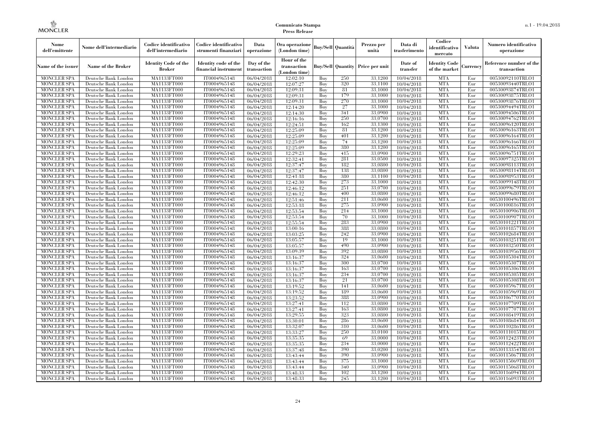| Nome<br>dell'emittente                   | Nome dell'intermediario                      | Codice identificativo<br>dell'intermediario  | Codice identificativo<br>strumenti finanziari | Data<br>operazione        | Ora operazione<br>(London time)           |            | Buy/Sell   Quantità      | Prezzo per<br>unità | Data di<br>trasferimento | Codice<br>identificativo<br>mercato   | <b>Valuta</b> | Numero identificativo<br>operazione    |
|------------------------------------------|----------------------------------------------|----------------------------------------------|-----------------------------------------------|---------------------------|-------------------------------------------|------------|--------------------------|---------------------|--------------------------|---------------------------------------|---------------|----------------------------------------|
| Name of the issuer                       | Name of the Broker                           | <b>Identity Code of the</b><br><b>Broker</b> | Identity code of the<br>financial instrument  | Day of the<br>transaction | Hour of the<br>transaction<br>London time |            | <b>Buy/Sell Quantity</b> | Price per unit      | Date of<br>transfer      | <b>Identity Code</b><br>of the market | Currencv      | Reference number of the<br>transaction |
| <b>MONCLER SPA</b>                       | Deutsche Bank London                         | MA1133FT000                                  | IT0004965148                                  | 06/04/2018                | 12:02:10                                  | Buy        | 250                      | 33,1200             | 10/04/2018               | <b>MTA</b>                            | Eur           | 00530092110TRLO1                       |
| <b>MONCLER SPA</b>                       | Deutsche Bank London                         | <b>MA1133FT000</b>                           | IT0004965148                                  | 06/04/2018                | 12:07:27                                  | Buy        | 320                      | 33,1100             | 10/04/2018               | <b>MTA</b>                            | Eur           | 00530093440TRLO1                       |
| <b>MONCLER SPA</b>                       | Deutsche Bank London                         | MA1133FT000                                  | IT0004965148                                  | 06/04/2018                | 12:09:31                                  | Buy        | 81                       | 33,1000             | 10/04/2018               | <b>MTA</b>                            | Eur           | 00530093874TRLO1                       |
| <b>MONCLER SPA</b>                       | Deutsche Bank London                         | MA1133FT000                                  | IT0004965148                                  | 06/04/2018                | 12:09:31                                  | Buv        | 179                      | 33.1000             | 10/04/2018               | <b>MTA</b>                            | Eur           | 00530093875TRLO1                       |
| <b>MONCLER SPA</b>                       | Deutsche Bank London                         | <b>MA1133FT000</b>                           | IT0004965148                                  | 06/04/2018                | 12:09:31                                  | Buv        | 270                      | 33.1000             | 10/04/2018               | <b>MTA</b>                            | Eur           | 00530093876TRLO1                       |
| <b>MONCLER SPA</b>                       | Deutsche Bank London                         | MA1133FT000                                  | IT0004965148                                  | 06/04/2018                | 12:14:20                                  | Buy        | 27                       | 33,1000             | 10/04/2018               | <b>MTA</b>                            | Eur           | 00530094494TRLO1                       |
| <b>MONCLER SPA</b><br><b>MONCLER SPA</b> | Deutsche Bank London                         | MA1133FT000<br>MA1133FT000                   | IT0004965148<br>IT0004965148                  | 06/04/2018                | 12:14:30<br>12:16:16                      | Buy<br>Buy | 341<br>250               | 33,0900<br>33,0700  | 10/04/2018<br>10/04/2018 | <b>MTA</b><br><b>MTA</b>              | Eur<br>Eur    | 00530094506TRLO1                       |
| <b>MONCLER SPA</b>                       | Deutsche Bank London<br>Deutsche Bank London | MA1133FT000                                  | IT0004965148                                  | 06/04/2018<br>06/04/2018  | 12:24:51                                  | Buv        | 162                      | 33.1300             | 10/04/2018               | <b>MTA</b>                            | Eur           | 00530094762TRLO1<br>00530096120TRLO1   |
| <b>MONCLER SPA</b>                       | Deutsche Bank London                         | MA1133FT000                                  | IT0004965148                                  | 06/04/2018                | 12:25:09                                  | Buv        | 81                       | 33,1200             | 10/04/2018               | <b>MTA</b>                            | Eur           | 00530096163TRLO1                       |
| <b>MONCLER SPA</b>                       | Deutsche Bank London                         | MA1133FT000                                  | IT0004965148                                  | 06/04/2018                | 12:25:09                                  | Buy        | 401                      | 33.1200             | 10/04/2018               | <b>MTA</b>                            | Eur           | 00530096164TRLO1                       |
| <b>MONCLER SPA</b>                       | Deutsche Bank London                         | MA1133FT000                                  | IT0004965148                                  | 06/04/2018                | 12:25:09                                  | Buv        | 74                       | 33,1200             | 10/04/2018               | <b>MTA</b>                            | Eur           | 00530096166TRLO1                       |
| <b>MONCLER SPA</b>                       | Deutsche Bank London                         | MA1133FT000                                  | IT0004965148                                  | 06/04/2018                | 12:25:09                                  | Buy        | 380                      | 33,1200             | 10/04/2018               | <b>MTA</b>                            | Eur           | 00530096165TRLO1                       |
| MONCLER SPA                              | Deutsche Bank London                         | MA1133FT000                                  | IT0004965148                                  | 06/04/2018                | 12:29:23                                  | Buv        | 415                      | 33,0900             | 10/04/2018               | <b>MTA</b>                            | Eur           | 00530096751TRLO1                       |
| <b>MONCLER SPA</b>                       | Deutsche Bank London                         | MA1133FT000                                  | IT0004965148                                  | 06/04/2018                | 12:32:41                                  | Buv        | 281                      | 33,0500             | 10/04/2018               | <b>MTA</b>                            | Eur           | 00530097325TRLO1                       |
| <b>MONCLER SPA</b>                       | Deutsche Bank London                         | MA1133FT000                                  | IT0004965148                                  | 06/04/2018                | 12:37:47                                  | Buy        | 182                      | 33,0800             | 10/04/2018               | <b>MTA</b>                            | Eur           | 00530098113TRLO1                       |
| <b>MONCLER SPA</b>                       | Deutsche Bank London                         | <b>MA1133FT000</b>                           | IT0004965148                                  | 06/04/2018                | 12:37:47                                  | Buy        | 138                      | 33,0800             | 10/04/2018               | <b>MTA</b>                            | Eur           | 00530098114TRLO1                       |
| <b>MONCLER SPA</b>                       | Deutsche Bank London                         | <b>MA1133FT000</b>                           | IT0004965148                                  | 06/04/2018                | 12:41:18                                  | Buy        | 380                      | 33,1100             | 10/04/2018               | <b>MTA</b>                            | Eur           | 00530098953TRLO1                       |
| <b>MONCLER SPA</b>                       | Deutsche Bank London                         | MA1133FT000                                  | IT0004965148                                  | 06/04/2018                | 12:42:30                                  | Buy        | 273                      | 33,1000             | 10/04/2018               | <b>MTA</b>                            | Eur           | 00530099148TRLO1                       |
| <b>MONCLER SPA</b>                       | Deutsche Bank London                         | MA1133FT000                                  | IT0004965148                                  | 06/04/2018                | 12:46:12                                  | Buv        | 251                      | 33,0700             | 10/04/2018               | <b>MTA</b>                            | Eur           | 00530099679TRLO1                       |
| <b>MONCLER SPA</b>                       | Deutsche Bank London                         | MA1133FT000                                  | IT0004965148                                  | 06/04/2018                | 12:46:12                                  | Buy        | 400                      | 33,0800             | 10/04/2018               | <b>MTA</b>                            | Eur           | 00530099680TRLO1                       |
| <b>MONCLER SPA</b>                       | Deutsche Bank London                         | MA1133FT000                                  | IT0004965148                                  | 06/04/2018                | 12:51:46                                  | Buy        | 211                      | 33,0600             | 10/04/2018               | <b>MTA</b>                            | Eur           | 00530100496TRLO1                       |
| <b>MONCLER SPA</b>                       | Deutsche Bank London                         | MA1133FT000                                  | IT0004965148                                  | 06/04/2018                | 12:53:18                                  | Buy        | 275                      | 33,0900             | 10/04/2018               | <b>MTA</b>                            | Eur           | 00530100816TRLO1                       |
| <b>MONCLER SPA</b>                       | Deutsche Bank London                         | MA1133FT000                                  | IT0004965148                                  | 06/04/2018                | 12:53:54                                  | Buy        | 214                      | 33,1000             | 10/04/2018               | <b>MTA</b>                            | Eur           | 00530100906TRLO1                       |
| <b>MONCLER SPA</b>                       | Deutsche Bank London                         | MA1133FT000                                  | IT0004965148                                  | 06/04/2018                | 12:53:54                                  | Buv        | 70                       | 33,1000             | 10/04/2018               | <b>MTA</b>                            | Eur           | 00530100907TRLO1                       |
| <b>MONCLER SPA</b>                       | Deutsche Bank London                         | MA1133FT000                                  | IT0004965148                                  | 06/04/2018                | 12:55:54                                  | Buy        | 283                      | 33,0900             | 10/04/2018               | <b>MTA</b>                            | Eur           | 00530101221TRLO1                       |
| <b>MONCLER SPA</b>                       | Deutsche Bank London                         | MA1133FT000                                  | IT0004965148                                  | 06/04/2018                | 13:00:16                                  | Buy        | 388                      | 33,0800             | 10/04/2018               | <b>MTA</b>                            | Eur           | 00530101857TRLO1                       |
| <b>MONCLER SPA</b>                       | Deutsche Bank London                         | MA1133FT000                                  | IT0004965148                                  | 06/04/2018                | 13:03:25                                  | Buy        | 242                      | 33,0900             | 10/04/2018               | <b>MTA</b>                            | Eur           | 00530102684TRLO1                       |
| <b>MONCLER SPA</b>                       | Deutsche Bank London                         | MA1133FT000                                  | IT0004965148                                  | 06/04/2018                | 13:05:57                                  | Buy        | 19                       | 33,1000             | 10/04/2018               | <b>MTA</b>                            | Eur           | 00530103251TRLO1                       |
| MONCLER SPA                              | Deutsche Bank London                         | MA1133FT000                                  | IT0004965148                                  | 06/04/2018                | 13:05:57                                  | Buy        | 490                      | 33,0900             | 10/04/2018               | <b>MTA</b>                            | Eur           | 00530103250TRLO1                       |
| <b>MONCLER SPA</b>                       | Deutsche Bank London                         | MA1133FT000                                  | IT0004965148                                  | 06/04/2018                | 13:09:39                                  | Buy        | 392                      | 33,0800             | 10/04/2018               | <b>MTA</b>                            | Eur           | 00530103956TRLO1                       |
| <b>MONCLER SPA</b>                       | Deutsche Bank London                         | MA1133FT000                                  | IT0004965148                                  | 06/04/2018                | 13:16:37                                  | Buy        | 324                      | 33,0600             | 10/04/2018               | <b>MTA</b>                            | Eur           | 00530105304TRLO1                       |
| <b>MONCLER SPA</b>                       | Deutsche Bank London                         | MA1133FT000                                  | IT0004965148                                  | 06/04/2018                | 13:16:37                                  | Buy        | 300                      | 33,0700             | 10/04/2018               | <b>MTA</b>                            | Eur           | 00530105307TRLO1                       |
| <b>MONCLER SPA</b>                       | Deutsche Bank London                         | <b>MA1133FT000</b>                           | IT0004965148                                  | 06/04/2018                | 13:16:37                                  | Buy        | 163                      | 33,0700             | 10/04/2018               | <b>MTA</b>                            | Eur           | 00530105306TRLO1                       |
| <b>MONCLER SPA</b>                       | Deutsche Bank London                         | <b>MA1133FT000</b>                           | IT0004965148                                  | 06/04/2018                | 13:16:37                                  | Buy        | 234                      | 33,0700             | 10/04/2018               | <b>MTA</b>                            | Eur           | 00530105305TRLO1                       |
| <b>MONCLER SPA</b><br><b>MONCLER SPA</b> | Deutsche Bank London                         | MA1133FT000                                  | IT0004965148                                  | 06/04/2018                | 13:16:37                                  | Buy<br>Buy | 21<br>141                | 33,0700<br>33,0600  | 10/04/2018               | <b>MTA</b><br><b>MTA</b>              | Eur<br>Eur    | 00530105308TRLO1                       |
| <b>MONCLER SPA</b>                       | Deutsche Bank London<br>Deutsche Bank London | MA1133FT000<br><b>MA1133FT000</b>            | IT0004965148<br>IT0004965148                  | 06/04/2018                | 13:19:52<br>13:19:52                      | Buy        | 189                      | 33,0600             | 10/04/2018<br>10/04/2018 | <b>MTA</b>                            | Eur           | 00530105967TRLO1<br>00530105969TRLO1   |
| <b>MONCLER SPA</b>                       | Deutsche Bank London                         | <b>MA1133FT000</b>                           | IT0004965148                                  | 06/04/2018<br>06/04/2018  | 13:23:52                                  | Buy        | 388                      | 33,0900             | 10/04/2018               | <b>MTA</b>                            | Eur           | 00530106770TRLO1                       |
| <b>MONCLER SPA</b>                       | Deutsche Bank London                         | MA1133FT000                                  | IT0004965148                                  | 06/04/2018                | 13:27:41                                  | Buy        | 112                      | 33,0800             | 10/04/2018               | <b>MTA</b>                            | Eur           | 00530107709TRLO1                       |
| <b>MONCLER SPA</b>                       | Deutsche Bank London                         | MA1133FT000                                  | IT0004965148                                  | 06/04/2018                | 13:27:41                                  | Buv        | 163                      | 33,0800             | 10/04/2018               | <b>MTA</b>                            | Eur           | 00530107707TRLO1                       |
| <b>MONCLER SPA</b>                       | Deutsche Bank London                         | MA1133FT000                                  | IT0004965148                                  | 06/04/2018                | 13:29:55                                  | Buy        | 323                      | 33,0800             | 10/04/2018               | <b>MTA</b>                            | Eur           | 00530108419TRLO1                       |
| <b>MONCLER SPA</b>                       | Deutsche Bank London                         | MA1133FT000                                  | IT0004965148                                  | 06/04/2018                | 13:30:01                                  | Buy        | 286                      | 33,0600             | 10/04/2018               | <b>MTA</b>                            | Eur           | 00530108684TRLO1                       |
| <b>MONCLER SPA</b>                       | Deutsche Bank London                         | MA1133FT000                                  | IT0004965148                                  | 06/04/2018                | 13:32:07                                  | Buy        | 310                      | 33,0600             | 10/04/2018               | <b>MTA</b>                            | Eur           | 00530110286TRLO1                       |
| MONCLER SPA                              | Deutsche Bank London                         | MA1133FT000                                  | IT0004965148                                  | 06/04/2018                | 13:33:27                                  | Buy        | 250                      | 33,0100             | 10/04/2018               | <b>MTA</b>                            | Eur           | 00530111015TRLO1                       |
| <b>MONCLER SPA</b>                       | Deutsche Bank London                         | MA1133FT000                                  | IT0004965148                                  | 06/04/2018                | 13:35:35                                  | Buy        | 69                       | 33,0000             | 10/04/2018               | <b>MTA</b>                            | Eur           | 00530112423TRLO1                       |
| <b>MONCLER SPA</b>                       | Deutsche Bank London                         | MA1133FT000                                  | IT0004965148                                  | 06/04/2018                | 13:35:35                                  | Buy        | 234                      | 33,0000             | 10/04/2018               | <b>MTA</b>                            | Eur           | 00530112422TRLO1                       |
| <b>MONCLER SPA</b>                       | Deutsche Bank London                         | MA1133FT000                                  | IT0004965148                                  | 06/04/2018                | 13:37:48                                  | Buy        | 390                      | 33,0200             | 10/04/2018               | <b>MTA</b>                            | Eur           | 00530113354TRLO1                       |
| <b>MONCLER SPA</b>                       | Deutsche Bank London                         | MA1133FT000                                  | IT0004965148                                  | 06/04/2018                | 13:43:44                                  | Buy        | 390                      | 33,0900             | 10/04/2018               | <b>MTA</b>                            | Eur           | 00530115067TRLO1                       |
| <b>MONCLER SPA</b>                       | Deutsche Bank London                         | MA1133FT000                                  | IT0004965148                                  | 06/04/2018                | 13:43:44                                  | Buy        | 375                      | 33,1000             | 10/04/2018               | <b>MTA</b>                            | Eur           | 00530115069TRLO1                       |
| <b>MONCLER SPA</b>                       | Deutsche Bank London                         | MA1133FT000                                  | IT0004965148                                  | 06/04/2018                | 13:43:44                                  | Buy        | 340                      | 33,0900             | 10/04/2018               | <b>MTA</b>                            | Eur           | 00530115068TRLO1                       |
| <b>MONCLER SPA</b>                       | Deutsche Bank London                         | MA1133FT000                                  | IT0004965148                                  | 06/04/2018                | 13:48:33                                  | Buy        | 102                      | 33,1200             | 10/04/2018               | <b>MTA</b>                            | Eur           | 00530116094TRLO1                       |
| <b>MONCLER SPA</b>                       | Deutsche Bank London                         | MA1133FT000                                  | IT0004965148                                  | 06/04/2018                | 13:48:33                                  | Buy        | 245                      | 33,1200             | 10/04/2018               | <b>MTA</b>                            | Eur           | 00530116093TRLO1                       |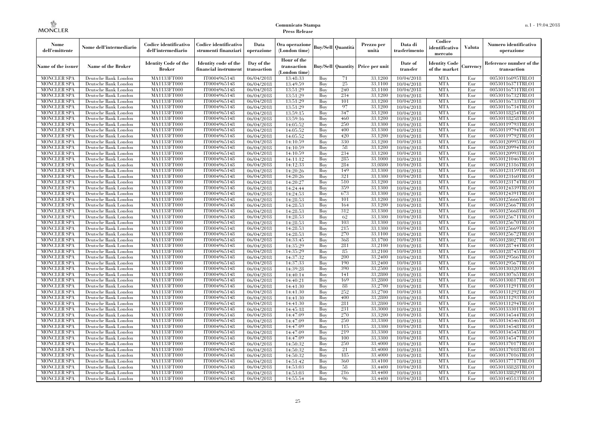| Nome<br>dell'emittente                   | Nome dell'intermediario                      | Codice identificativo<br>dell'intermediario  | Codice identificativo<br>strumenti finanziari | Data<br>operazione        | Ora operazione<br>(London time)             |            | Buv/Sell   Quantità      | Prezzo per<br>unità | Data di<br>trasferimento | Codice<br>identificativo<br>mercato   | <b>Valuta</b> | Numero identificativo<br>operazione    |
|------------------------------------------|----------------------------------------------|----------------------------------------------|-----------------------------------------------|---------------------------|---------------------------------------------|------------|--------------------------|---------------------|--------------------------|---------------------------------------|---------------|----------------------------------------|
| Name of the issuer                       | Name of the Broker                           | <b>Identity Code of the</b><br><b>Broker</b> | Identity code of the<br>financial instrument  | Day of the<br>transaction | Hour of the<br>transaction<br>(London time) |            | <b>Buy/Sell Quantity</b> | Price per unit      | Date of<br>transfer      | <b>Identity Code</b><br>of the market | Currencv      | Reference number of the<br>transaction |
| <b>MONCLER SPA</b>                       | Deutsche Bank London                         | MA1133FT000                                  | IT0004965148                                  | 06/04/2018                | 13:48:33                                    | Buy        | 71                       | 33,1200             | 10/04/2018               | <b>MTA</b>                            | Eur           | 00530116095TRLO1                       |
| <b>MONCLER SPA</b>                       | Deutsche Bank London                         | <b>MA1133FT000</b>                           | IT0004965148                                  | 06/04/2018                | 13:49:59                                    | Buy        | 25                       | 33,1100             | 10/04/2018               | <b>MTA</b>                            | Eur           | 00530116371TRLO1                       |
| <b>MONCLER SPA</b>                       | Deutsche Bank London                         | MA1133FT000                                  | IT0004965148                                  | 06/04/2018                | 13:51:29                                    | Buv        | 240                      | 33.1100             | 10/04/2018               | <b>MTA</b>                            | Eur           | 00530116731TRLO1                       |
| <b>MONCLER SPA</b>                       | Deutsche Bank London                         | MA1133FT000                                  | IT0004965148                                  | 06/04/2018                | 13:51:29                                    | Buy        | 234                      | 33,1200             | 10/04/2018               | <b>MTA</b>                            | Eur           | 00530116732TRLO1                       |
| <b>MONCLER SPA</b>                       | Deutsche Bank London                         | MA1133FT000                                  | IT0004965148                                  | 06/04/2018                | 13:51:29                                    | Buy        | 101<br>97                | 33,1200             | 10/04/2018               | <b>MTA</b>                            | Eur           | 00530116733TRLO1                       |
| MONCLER SPA<br><b>MONCLER SPA</b>        | Deutsche Bank London                         | <b>MA1133FT000</b><br>MA1133FT000            | IT0004965148                                  | 06/04/2018                | 13:51:29                                    | Buy        | 347                      | 33,1200<br>33,1200  | 10/04/2018               | <b>MTA</b><br><b>MTA</b>              | Eur           | 00530116734TRLO1                       |
| <b>MONCLER SPA</b>                       | Deutsche Bank London<br>Deutsche Bank London | MA1133FT000                                  | IT0004965148<br>IT0004965148                  | 06/04/2018<br>06/04/2018  | 13:59:15<br>13:59:16                        | Buy<br>Buv | 460                      | 33.1200             | 10/04/2018<br>10/04/2018 | <b>MTA</b>                            | Eur<br>Eur    | 00530118254TRLO1<br>00530118258TRLO1   |
| <b>MONCLER SPA</b>                       | Deutsche Bank London                         | MA1133FT000                                  | IT0004965148                                  | 06/04/2018                | 14:05:52                                    | Buy        | 250                      | 33,1300             | 10/04/2018               | <b>MTA</b>                            | Eur           | 00530119793TRLO1                       |
| <b>MONCLER SPA</b>                       | Deutsche Bank London                         | <b>MA1133FT000</b>                           | IT0004965148                                  | 06/04/2018                | 14:05:52                                    | Buy        | 400                      | 33,1300             | 10/04/2018               | <b>MTA</b>                            | Eur           | 00530119794TRLO1                       |
| <b>MONCLER SPA</b>                       | Deutsche Bank London                         | MA1133FT000                                  | IT0004965148                                  | 06/04/2018                | 14:05:52                                    | Buy        | 420                      | 33,1200             | 10/04/2018               | <b>MTA</b>                            | Eur           | 00530119792TRLO1                       |
| <b>MONCLER SPA</b>                       | Deutsche Bank London                         | MA1133FT000                                  | IT0004965148                                  | 06/04/2018                | 14:10:59                                    | Buy        | 330                      | 33,1200             | 10/04/2018               | <b>MTA</b>                            | Eur           | 00530120995TRLO1                       |
| <b>MONCLER SPA</b>                       | Deutsche Bank London                         | MA1133FT000                                  | IT0004965148                                  | 06/04/2018                | 14:10:59                                    | Buy        | 58                       | 33,1200             | 10/04/2018               | <b>MTA</b>                            | Eur           | 00530120994TRLO1                       |
| <b>MONCLER SPA</b>                       | Deutsche Bank London                         | MA1133FT000                                  | IT0004965148                                  | 06/04/2018                | 14:10:59                                    | Buy        | 234                      | 33,1200             | 10/04/2018               | <b>MTA</b>                            | Eur           | 00530120993TRLO1                       |
| <b>MONCLER SPA</b>                       | Deutsche Bank London                         | MA1133FT000                                  | IT0004965148                                  | 06/04/2018                | 14:11:12                                    | Buy        | 285                      | 33,1000             | 10/04/2018               | <b>MTA</b>                            | Eur           | 00530121046TRLO1                       |
| <b>MONCLER SPA</b>                       | Deutsche Bank London                         | MA1133FT000                                  | IT0004965148                                  | 06/04/2018                | 14:12:33                                    | Buy        | 284                      | 33,0800             | 10/04/2018               | <b>MTA</b>                            | Eur           | 00530121316TRLO1                       |
| <b>MONCLER SPA</b>                       | Deutsche Bank London                         | MA1133FT000                                  | IT0004965148                                  | 06/04/2018                | 14:20:26                                    | Buy        | 149                      | 33,1300             | 10/04/2018               | <b>MTA</b>                            | Eur           | 00530123159TRLO1                       |
| <b>MONCLER SPA</b>                       | Deutsche Bank London                         | MA1133FT000                                  | IT0004965148                                  | 06/04/2018                | 14:20:26                                    | Buy        | 321                      | 33,1300             | 10/04/2018               | <b>MTA</b>                            | Eur           | 00530123160TRLO1                       |
| <b>MONCLER SPA</b>                       | Deutsche Bank London                         | MA1133FT000                                  | IT0004965148                                  | 06/04/2018                | 14:20:27                                    | Buy        | 510                      | 33,1200             | 10/04/2018               | <b>MTA</b>                            | Eur           | 00530123174TRLO1                       |
| <b>MONCLER SPA</b>                       | Deutsche Bank London                         | MA1133FT000                                  | IT0004965148                                  | 06/04/2018                | 14:24:44                                    | Buy        | 359                      | 33,1300             | 10/04/2018               | <b>MTA</b>                            | Eur           | 00530124339TRLO1                       |
| MONCLER SPA                              | Deutsche Bank London                         | MA1133FT000                                  | IT0004965148                                  | 06/04/2018                | 14:24:53                                    | Buy        | 673                      | 33,1300             | 10/04/2018               | <b>MTA</b>                            | Eur           | 00530124391TRLO1                       |
| <b>MONCLER SPA</b>                       | Deutsche Bank London                         | MA1133FT000                                  | IT0004965148                                  | 06/04/2018                | 14:28:53                                    | Buy        | 101                      | 33,1200             | 10/04/2018               | <b>MTA</b>                            | Eur           | 00530125666TRLO1                       |
| <b>MONCLER SPA</b>                       | Deutsche Bank London                         | MA1133FT000                                  | IT0004965148                                  | 06/04/2018                | 14:28:53                                    | Buy        | 164                      | 33,1200             | 10/04/2018               | <b>MTA</b>                            | Eur           | 00530125667TRLO1                       |
| <b>MONCLER SPA</b>                       | Deutsche Bank London                         | MA1133FT000                                  | IT0004965148                                  | 06/04/2018                | 14:28:53                                    | Buy        | 312                      | 33,1300             | 10/04/2018               | <b>MTA</b>                            | Eur           | 00530125668TRLO1                       |
| <b>MONCLER SPA</b>                       | Deutsche Bank London                         | MA1133FT000                                  | IT0004965148                                  | 06/04/2018                | 14:28:53                                    | Buy        | 62                       | 33,1300             | 10/04/2018               | <b>MTA</b>                            | Eur           | 00530125671TRLO1                       |
| <b>MONCLER SPA</b>                       | Deutsche Bank London                         | MA1133FT000                                  | IT0004965148                                  | 06/04/2018                | 14:28:53                                    | Buy        | 103                      | 33,1300             | 10/04/2018               | <b>MTA</b>                            | Eur           | 00530125670TRLO1                       |
| <b>MONCLER SPA</b>                       | Deutsche Bank London                         | MA1133FT000                                  | IT0004965148                                  | 06/04/2018                | 14:28:53                                    | Buy        | 215                      | 33,1300             | 10/04/2018               | <b>MTA</b>                            | Eur           | 00530125669TRLO1                       |
| <b>MONCLER SPA</b>                       | Deutsche Bank London                         | MA1133FT000                                  | IT0004965148                                  | 06/04/2018                | 14:28:53                                    | Buy        | 270                      | 33,1100             | 10/04/2018               | <b>MTA</b>                            | Eur           | 00530125672TRLO1                       |
| <b>MONCLER SPA</b>                       | Deutsche Bank London                         | MA1133FT000                                  | IT0004965148                                  | 06/04/2018                | 14:33:45                                    | Buy        | 368                      | 33.1700             | 10/04/2018               | <b>MTA</b>                            | Eur           | 00530128027TRLO1                       |
| MONCLER SPA                              | Deutsche Bank London                         | <b>MA1133FT000</b>                           | IT0004965148                                  | 06/04/2018                | 14:35:29                                    | Buy        | 281                      | 33,2100             | 10/04/2018               | <b>MTA</b>                            | Eur           | 00530128744TRLO1                       |
| MONCLER SPA                              | Deutsche Bank London                         | MA1133FT000                                  | IT0004965148                                  | 06/04/2018                | 14:35:29                                    | Buy        | 85                       | 33,2100             | 10/04/2018               | <b>MTA</b>                            | Eur           | 00530128745TRLO1                       |
| <b>MONCLER SPA</b>                       | Deutsche Bank London                         | MA1133FT000                                  | IT0004965148                                  | 06/04/2018                | 14:37:32                                    | Buy        | 200                      | 33,2400             | 10/04/2018               | <b>MTA</b>                            | Eur           | 00530129566TRLO1                       |
| <b>MONCLER SPA</b>                       | Deutsche Bank London                         | MA1133FT000                                  | IT0004965148                                  | 06/04/2018                | 14:37:33                                    | Buv        | 190                      | 33,2400             | 10/04/2018               | <b>MTA</b>                            | Eur           | 00530129567TRLO1                       |
| <b>MONCLER SPA</b>                       | Deutsche Bank London                         | MA1133FT000                                  | IT0004965148                                  | 06/04/2018                | 14:39:28                                    | Buy        | 390                      | 33,2500             | 10/04/2018               | <b>MTA</b>                            | Eur           | 00530130320TRLO1                       |
| <b>MONCLER SPA</b>                       | Deutsche Bank London                         | MA1133FT000                                  | IT0004965148                                  | 06/04/2018                | 14:40:14                                    | Buy        | 141<br>169               | 33,2800             | 10/04/2018               | <b>MTA</b><br><b>MTA</b>              | Eur           | 00530130765TRLO1                       |
| <b>MONCLER SPA</b><br><b>MONCLER SPA</b> | Deutsche Bank London                         | MA1133FT000                                  | IT0004965148                                  | 06/04/2018                | 14:40:21                                    | Buy<br>Buy | 88                       | 33,2800<br>33,2700  | 10/04/2018<br>10/04/2018 | <b>MTA</b>                            | Eur<br>Eur    | 00530130817TRLO1                       |
| <b>MONCLER SPA</b>                       | Deutsche Bank London<br>Deutsche Bank London | MA1133FT000<br><b>MA1133FT000</b>            | IT0004965148<br>IT0004965148                  | 06/04/2018<br>06/04/2018  | 14:41:30<br>14:41:30                        | Buy        | 252                      | 33,2700             | 10/04/2018               | <b>MTA</b>                            | Eur           | 00530131291TRLO1<br>00530131292TRLO1   |
| <b>MONCLER SPA</b>                       | Deutsche Bank London                         | MA1133FT000                                  | IT0004965148                                  | 06/04/2018                | 14:41:30                                    | Buy        | 400                      | 33,2800             | 10/04/2018               | <b>MTA</b>                            | Eur           | 00530131293TRLO1                       |
| <b>MONCLER SPA</b>                       | Deutsche Bank London                         | <b>MA1133FT000</b>                           | IT0004965148                                  | 06/04/2018                | 14:41:30                                    | Buy        | 281                      | 33,2800             | 10/04/2018               | <b>MTA</b>                            | Eur           | 00530131294TRLO1                       |
| <b>MONCLER SPA</b>                       | Deutsche Bank London                         | MA1133FT000                                  | IT0004965148                                  | 06/04/2018                | 14:45:18                                    | Buy        | 231                      | 33,3000             | 10/04/2018               | <b>MTA</b>                            | Eur           | 00530133301TRLO1                       |
| <b>MONCLER SPA</b>                       | Deutsche Bank London                         | MA1133FT000                                  | IT0004965148                                  | 06/04/2018                | 14:47:09                                    | Buy        | 270                      | 33.3200             | 10/04/2018               | <b>MTA</b>                            | Eur           | 00530134544TRLO1                       |
| <b>MONCLER SPA</b>                       | Deutsche Bank London                         | MA1133FT000                                  | IT0004965148                                  | 06/04/2018                | 14:47:09                                    | Buy        | 250                      | 33,3300             | 10/04/2018               | <b>MTA</b>                            | Eur           | 00530134546TRLO1                       |
| <b>MONCLER SPA</b>                       | Deutsche Bank London                         | MA1133FT000                                  | IT0004965148                                  | 06/04/2018                | 14:47:09                                    | Buy        | 115                      | 33,3300             | 10/04/2018               | <b>MTA</b>                            | Eur           | 00530134548TRLO1                       |
| <b>MONCLER SPA</b>                       | Deutsche Bank London                         | MA1133FT000                                  | IT0004965148                                  | 06/04/2018                | 14:47:09                                    | Buy        | 219                      | 33,3300             | 10/04/2018               | <b>MTA</b>                            | Eur           | 00530134545TRLO1                       |
| <b>MONCLER SPA</b>                       | Deutsche Bank London                         | MA1133FT000                                  | IT0004965148                                  | 06/04/2018                | 14:47:09                                    | Buy        | 100                      | 33,3300             | 10/04/2018               | <b>MTA</b>                            | Eur           | 00530134547TRLO1                       |
| <b>MONCLER SPA</b>                       | Deutsche Bank London                         | MA1133FT000                                  | IT0004965148                                  | 06/04/2018                | 14:50:32                                    | Buy        | 250                      | 33,4000             | 10/04/2018               | <b>MTA</b>                            | Eur           | 00530137017TRLO1                       |
| <b>MONCLER SPA</b>                       | Deutsche Bank London                         | MA1133FT000                                  | IT0004965148                                  | 06/04/2018                | 14:50:32                                    | Buy        | 21                       | 33,4000             | 10/04/2018               | <b>MTA</b>                            | Eur           | 00530137018TRLO1                       |
| <b>MONCLER SPA</b>                       | Deutsche Bank London                         | MA1133FT000                                  | IT0004965148                                  | 06/04/2018                | 14:50:32                                    | Buy        | 185                      | 33,4000             | 10/04/2018               | <b>MTA</b>                            | Eur           | 00530137016TRLO1                       |
| <b>MONCLER SPA</b>                       | Deutsche Bank London                         | MA1133FT000                                  | IT0004965148                                  | 06/04/2018                | 14:51:42                                    | Buy        | 360                      | 33,4100             | 10/04/2018               | <b>MTA</b>                            | Eur           | 00530137717TRLO1                       |
| <b>MONCLER SPA</b>                       | Deutsche Bank London                         | MA1133FT000                                  | IT0004965148                                  | 06/04/2018                | 14:53:03                                    | Buy        | 58                       | 33,4400             | 10/04/2018               | <b>MTA</b>                            | Eur           | 00530138828TRLO1                       |
| <b>MONCLER SPA</b>                       | Deutsche Bank London                         | <b>MA1133FT000</b>                           | IT0004965148                                  | 06/04/2018                | 14:53:03                                    | Buy        | 216                      | 33,4400             | 10/04/2018               | <b>MTA</b>                            | Eur           | 00530138829TRLO1                       |
| <b>MONCLER SPA</b>                       | Deutsche Bank London                         | MA1133FT000                                  | IT0004965148                                  | 06/04/2018                | 14:55:54                                    | Buy        | 96                       | 33,4400             | 10/04/2018               | <b>MTA</b>                            | Eur           | 00530140513TRLO1                       |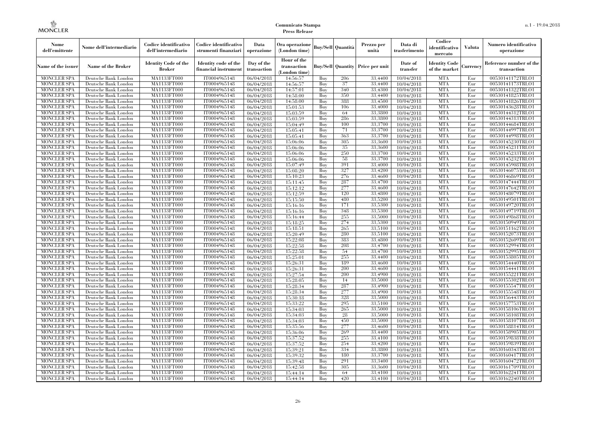| Nome<br>dell'emittente                   | Nome dell'intermediario                      | Codice identificativo<br>dell'intermediario  | Codice identificativo<br>strumenti finanziari | Data<br>operazione        | Ora operazione<br>(London time)             |            | Buy/Sell   Quantità      | Prezzo per<br>unità | Data di<br>trasferimento | Codice<br>identificativo<br>mercato   | <b>Valuta</b> | Numero identificativo<br>operazione    |
|------------------------------------------|----------------------------------------------|----------------------------------------------|-----------------------------------------------|---------------------------|---------------------------------------------|------------|--------------------------|---------------------|--------------------------|---------------------------------------|---------------|----------------------------------------|
| Name of the issuer                       | Name of the Broker                           | <b>Identity Code of the</b><br><b>Broker</b> | Identity code of the<br>financial instrument  | Day of the<br>transaction | Hour of the<br>transaction<br>(London time) |            | <b>Buy/Sell Quantity</b> | Price per unit      | Date of<br>transfer      | <b>Identity Code</b><br>of the market | Currencv      | Reference number of the<br>transaction |
| <b>MONCLER SPA</b>                       | Deutsche Bank London                         | MA1133FT000                                  | IT0004965148                                  | 06/04/2018                | 14:56:57                                    | Buy        | 206                      | 33,4400             | 10/04/2018               | <b>MTA</b>                            | Eur           | 00530141172TRLO1                       |
| <b>MONCLER SPA</b>                       | Deutsche Bank London                         | <b>MA1133FT000</b>                           | IT0004965148                                  | 06/04/2018                | 14:56:57                                    | Buy        | 37                       | 33,4400             | 10/04/2018               | <b>MTA</b>                            | Eur           | 00530141173TRLO1                       |
| <b>MONCLER SPA</b>                       | Deutsche Bank London                         | MA1133FT000                                  | IT0004965148                                  | 06/04/2018                | 14:57:01                                    | Buv        | 340                      | 33.4300             | 10/04/2018               | <b>MTA</b>                            | Eur           | 00530141322TRLO1                       |
| <b>MONCLER SPA</b>                       | Deutsche Bank London                         | MA1133FT000                                  | IT0004965148                                  | 06/04/2018                | 14:58:00                                    | Buy        | 350<br>388               | 33,4400             | 10/04/2018               | <b>MTA</b>                            | Eur           | 00530141825TRLO1                       |
| <b>MONCLER SPA</b>                       | Deutsche Bank London                         | MA1133FT000                                  | IT0004965148                                  | 06/04/2018                | 14:58:00                                    | Buy        | 106                      | 33,4500<br>33,4000  | 10/04/2018               | <b>MTA</b><br><b>MTA</b>              | Eur<br>Eur    | 00530141826TRLO1                       |
| MONCLER SPA<br><b>MONCLER SPA</b>        | Deutsche Bank London<br>Deutsche Bank London | <b>MA1133FT000</b><br>MA1133FT000            | IT0004965148<br>IT0004965148                  | 06/04/2018<br>06/04/2018  | 15:01:53<br>15:03:59                        | Buy<br>Buy | 64                       | 33.3800             | 10/04/2018<br>10/04/2018 | <b>MTA</b>                            | Eur           | 00530143628TRLO1<br>00530144312TRLO1   |
| <b>MONCLER SPA</b>                       | Deutsche Bank London                         | MA1133FT000                                  | IT0004965148                                  | 06/04/2018                | 15:03:59                                    | Buy        | 286                      | 33,3800             | 10/04/2018               | <b>MTA</b>                            | Eur           | 00530144313TRLO1                       |
| <b>MONCLER SPA</b>                       | Deutsche Bank London                         | MA1133FT000                                  | IT0004965148                                  | 06/04/2018                | 15:04:49                                    | Buy        | 100                      | 33,3700             | 10/04/2018               | <b>MTA</b>                            | Eur           | 00530144684TRLO1                       |
| <b>MONCLER SPA</b>                       | Deutsche Bank London                         | MA1133FT000                                  | IT0004965148                                  | 06/04/2018                | 15:05:41                                    | Buy        | 71                       | 33,3700             | 10/04/2018               | <b>MTA</b>                            | Eur           | 00530144997TRLO1                       |
| <b>MONCLER SPA</b>                       | Deutsche Bank London                         | MA1133FT000                                  | IT0004965148                                  | 06/04/2018                | 15:05:41                                    | Buy        | 363                      | 33,3700             | 10/04/2018               | <b>MTA</b>                            | Eur           | 00530144998TRLO1                       |
| <b>MONCLER SPA</b>                       | Deutsche Bank London                         | MA1133FT000                                  | IT0004965148                                  | 06/04/2018                | 15:06:06                                    | Buy        | 305                      | 33.3600             | 10/04/2018               | <b>MTA</b>                            | Eur           | 00530145230TRLO1                       |
| <b>MONCLER SPA</b>                       | Deutsche Bank London                         | MA1133FT000                                  | IT0004965148                                  | 06/04/2018                | 15:06:06                                    | Buy        | 35                       | 33,3600             | 10/04/2018               | <b>MTA</b>                            | Eur           | 00530145231TRLO1                       |
| <b>MONCLER SPA</b>                       | Deutsche Bank London                         | MA1133FT000                                  | IT0004965148                                  | 06/04/2018                | 15:06:06                                    | Buy        | 250                      | 33,3700             | 10/04/2018               | <b>MTA</b>                            | Eur           | 00530145233TRLO1                       |
| <b>MONCLER SPA</b>                       | Deutsche Bank London                         | MA1133FT000                                  | IT0004965148                                  | 06/04/2018                | 15:06:06                                    | Buy        | 58                       | 33,3700             | 10/04/2018               | <b>MTA</b>                            | Eur           | 00530145232TRLO1                       |
| <b>MONCLER SPA</b>                       | Deutsche Bank London                         | MA1133FT000                                  | IT0004965148                                  | 06/04/2018                | 15:07:49                                    | Buy        | 391                      | 33,4000             | 10/04/2018               | <b>MTA</b>                            | Eur           | 00530145908TRLO1                       |
| <b>MONCLER SPA</b>                       | Deutsche Bank London                         | MA1133FT000                                  | IT0004965148                                  | 06/04/2018                | 15:08:20                                    | Buy        | 327                      | 33,4200             | 10/04/2018               | <b>MTA</b>                            | Eur           | 00530146075TRLO1                       |
| <b>MONCLER SPA</b>                       | Deutsche Bank London                         | MA1133FT000                                  | IT0004965148                                  | 06/04/2018                | 15:10:23                                    | Buy        | 276                      | 33,4600             | 10/04/2018               | <b>MTA</b>                            | Eur           | 00530146869TRLO1                       |
| <b>MONCLER SPA</b>                       | Deutsche Bank London                         | MA1133FT000                                  | IT0004965148                                  | 06/04/2018                | 15:11:45                                    | Buy        | 287                      | 33,4700             | 10/04/2018               | <b>MTA</b>                            | Eur           | 00530147444TRLO1                       |
| <b>MONCLER SPA</b>                       | Deutsche Bank London                         | MA1133FT000                                  | IT0004965148                                  | 06/04/2018                | 15:12:12                                    | Buy        | 277                      | 33,4600             | 10/04/2018               | <b>MTA</b>                            | Eur           | 00530147642TRLO1                       |
| <b>MONCLER SPA</b>                       | Deutsche Bank London                         | MA1133FT000                                  | IT0004965148                                  | 06/04/2018                | 15:12:59                                    | Buy        | 120<br>480               | 33,4800             | 10/04/2018               | <b>MTA</b>                            | Eur           | 00530148079TRLO1                       |
| <b>MONCLER SPA</b><br><b>MONCLER SPA</b> | Deutsche Bank London                         | MA1133FT000<br>MA1133FT000                   | IT0004965148<br>IT0004965148                  | 06/04/2018                | 15:15:50                                    | Buy<br>Buy | 171                      | 33,5200<br>33,5300  | 10/04/2018               | <b>MTA</b><br><b>MTA</b>              | Eur<br>Eur    | 00530149501TRLO1<br>00530149720TRLO1   |
| <b>MONCLER SPA</b>                       | Deutsche Bank London<br>Deutsche Bank London | MA1133FT000                                  | IT0004965148                                  | 06/04/2018<br>06/04/2018  | 15:16:16<br>15:16:16                        | Buy        | 348                      | 33,5300             | 10/04/2018<br>10/04/2018 | <b>MTA</b>                            | Eur           | 00530149719TRLO1                       |
| <b>MONCLER SPA</b>                       | Deutsche Bank London                         | MA1133FT000                                  | IT0004965148                                  | 06/04/2018                | 15:16:44                                    | Buy        | 255                      | 33,5000             | 10/04/2018               | <b>MTA</b>                            | Eur           | 00530149868TRLO1                       |
| <b>MONCLER SPA</b>                       | Deutsche Bank London                         | MA1133FT000                                  | IT0004965148                                  | 06/04/2018                | 15:18:25                                    | Buy        | 274                      | 33,5300             | 10/04/2018               | <b>MTA</b>                            | Eur           | 00530150949TRLO1                       |
| <b>MONCLER SPA</b>                       | Deutsche Bank London                         | MA1133FT000                                  | IT0004965148                                  | 06/04/2018                | 15:18:51                                    | Buy        | 265                      | 33,5100             | 10/04/2018               | <b>MTA</b>                            | Eur           | 00530151162TRLO1                       |
| <b>MONCLER SPA</b>                       | Deutsche Bank London                         | MA1133FT000                                  | IT0004965148                                  | 06/04/2018                | 15:20:49                                    | Buy        | 280                      | 33,5100             | 10/04/2018               | <b>MTA</b>                            | Eur           | 00530152073TRLO1                       |
| <b>MONCLER SPA</b>                       | Deutsche Bank London                         | MA1133FT000                                  | IT0004965148                                  | 06/04/2018                | 15:22:08                                    | Buy        | 383                      | 33,4800             | 10/04/2018               | <b>MTA</b>                            | Eur           | 00530152609TRLO1                       |
| <b>MONCLER SPA</b>                       | Deutsche Bank London                         | <b>MA1133FT000</b>                           | IT0004965148                                  | 06/04/2018                | 15:22:58                                    | Buy        | 208                      | 33,4700             | 10/04/2018               | <b>MTA</b>                            | Eur           | 00530152994TRLO1                       |
| <b>MONCLER SPA</b>                       | Deutsche Bank London                         | MA1133FT000                                  | IT0004965148                                  | 06/04/2018                | 15:22:58                                    | Buy        | 54                       | 33,4700             | 10/04/2018               | <b>MTA</b>                            | Eur           | 00530152995TRLO1                       |
| <b>MONCLER SPA</b>                       | Deutsche Bank London                         | MA1133FT000                                  | IT0004965148                                  | 06/04/2018                | 15:25:01                                    | Buy        | 255                      | 33,4400             | 10/04/2018               | <b>MTA</b>                            | Eur           | 00530153805TRLO1                       |
| <b>MONCLER SPA</b>                       | Deutsche Bank London                         | MA1133FT000                                  | IT0004965148                                  | 06/04/2018                | 15:26:31                                    | Buv        | 189                      | 33,4600             | 10/04/2018               | <b>MTA</b>                            | Eur           | 00530154440TRLO1                       |
| <b>MONCLER SPA</b>                       | Deutsche Bank London                         | MA1133FT000                                  | IT0004965148                                  | 06/04/2018                | 15:26:31                                    | Buy        | 200                      | 33,4600             | 10/04/2018               | <b>MTA</b>                            | Eur           | 00530154441TRLO1                       |
| <b>MONCLER SPA</b>                       | Deutsche Bank London                         | MA1133FT000                                  | IT0004965148                                  | 06/04/2018                | 15:27:54                                    | Buy        | 200                      | 33,4900             | 10/04/2018               | <b>MTA</b>                            | Eur           | 00530155221TRLO1                       |
| <b>MONCLER SPA</b>                       | Deutsche Bank London                         | MA1133FT000                                  | IT0004965148                                  | 06/04/2018                | 15:28:05                                    | Buy        | 14                       | 33,5000             | 10/04/2018               | <b>MTA</b>                            | Eur           | 00530155302TRLO1                       |
| <b>MONCLER SPA</b>                       | Deutsche Bank London                         | MA1133FT000                                  | IT0004965148                                  | 06/04/2018                | 15:28:34                                    | Buy        | 287                      | 33,4900             | 10/04/2018               | <b>MTA</b>                            | Eur           | 00530155547TRLO1                       |
| <b>MONCLER SPA</b>                       | Deutsche Bank London                         | <b>MA1133FT000</b>                           | IT0004965148                                  | 06/04/2018                | 15:28:34                                    | Buy        | 277                      | 33,4900             | 10/04/2018               | <b>MTA</b>                            | Eur           | 00530155548TRLO1                       |
| <b>MONCLER SPA</b>                       | Deutsche Bank London                         | MA1133FT000                                  | IT0004965148                                  | 06/04/2018                | 15:30:18                                    | Buy        | 328                      | 33,5000             | 10/04/2018               | <b>MTA</b>                            | Eur           | 00530156443TRLO1                       |
| <b>MONCLER SPA</b>                       | Deutsche Bank London                         | <b>MA1133FT000</b>                           | IT0004965148                                  | 06/04/2018                | 15:33:22                                    | Buy        | 295                      | 33,5100             | 10/04/2018               | <b>MTA</b>                            | Eur           | 00530157753TRLO1                       |
| <b>MONCLER SPA</b>                       | Deutsche Bank London                         | MA1133FT000                                  | IT0004965148                                  | 06/04/2018                | 15:34:03<br>15:34:03                        | Buy        | 265<br>28                | 33,5000<br>33,5000  | 10/04/2018               | <b>MTA</b><br><b>MTA</b>              | Eur           | 00530158106TRLO1                       |
| <b>MONCLER SPA</b><br><b>MONCLER SPA</b> | Deutsche Bank London<br>Deutsche Bank London | MA1133FT000<br>MA1133FT000                   | IT0004965148<br>IT0004965148                  | 06/04/2018<br>06/04/2018  | 15:34:03                                    | Buy<br>Buy | 450                      | 33,5000             | 10/04/2018<br>10/04/2018 | <b>MTA</b>                            | Eur<br>Eur    | 00530158108TRLO1<br>00530158107TRLO1   |
| <b>MONCLER SPA</b>                       | Deutsche Bank London                         | MA1133FT000                                  | IT0004965148                                  | 06/04/2018                | 15:35:56                                    | Buy        | 277                      | 33,4600             | 10/04/2018               | <b>MTA</b>                            | Eur           | 00530158814TRLO1                       |
| <b>MONCLER SPA</b>                       | Deutsche Bank London                         | MA1133FT000                                  | IT0004965148                                  | 06/04/2018                | 15:36:06                                    | Buy        | 269                      | 33,4400             | 10/04/2018               | <b>MTA</b>                            | Eur           | 00530158905TRLO1                       |
| <b>MONCLER SPA</b>                       | Deutsche Bank London                         | MA1133FT000                                  | IT0004965148                                  | 06/04/2018                | 15:37:52                                    | Buy        | 255                      | 33,4100             | 10/04/2018               | <b>MTA</b>                            | Eur           | 00530159838TRLO1                       |
| <b>MONCLER SPA</b>                       | Deutsche Bank London                         | MA1133FT000                                  | IT0004965148                                  | 06/04/2018                | 15:37:52                                    | Buy        | 254                      | 33,4200             | 10/04/2018               | <b>MTA</b>                            | Eur           | 00530159839TRLO1                       |
| <b>MONCLER SPA</b>                       | Deutsche Bank London                         | MA1133FT000                                  | IT0004965148                                  | 06/04/2018                | 15:39:21                                    | Buy        | 334                      | 33,3800             | 10/04/2018               | <b>MTA</b>                            | Eur           | 00530160343TRLO1                       |
| <b>MONCLER SPA</b>                       | Deutsche Bank London                         | MA1133FT000                                  | IT0004965148                                  | 06/04/2018                | 15:39:32                                    | Buy        | 180                      | 33,3700             | 10/04/2018               | <b>MTA</b>                            | Eur           | 00530160417TRLO1                       |
| <b>MONCLER SPA</b>                       | Deutsche Bank London                         | MA1133FT000                                  | IT0004965148                                  | 06/04/2018                | 15:39:48                                    | Buy        | 291                      | 33,3400             | 10/04/2018               | <b>MTA</b>                            | Eur           | 00530160472TRLO1                       |
| <b>MONCLER SPA</b>                       | Deutsche Bank London                         | MA1133FT000                                  | IT0004965148                                  | 06/04/2018                | 15:42:58                                    | Buy        | 305                      | 33,3600             | 10/04/2018               | <b>MTA</b>                            | Eur           | 00530161709TRLO1                       |
| <b>MONCLER SPA</b>                       | Deutsche Bank London                         | MA1133FT000                                  | IT0004965148                                  | 06/04/2018                | 15:44:14                                    | Buy        | 64                       | 33,4100             | 10/04/2018               | <b>MTA</b>                            | Eur           | 00530162241TRLO1                       |
| <b>MONCLER SPA</b>                       | Deutsche Bank London                         | MA1133FT000                                  | IT0004965148                                  | 06/04/2018                | 15:44:14                                    | Buy        | 420                      | 33,4100             | 10/04/2018               | <b>MTA</b>                            | Eur           | 00530162240TRLO1                       |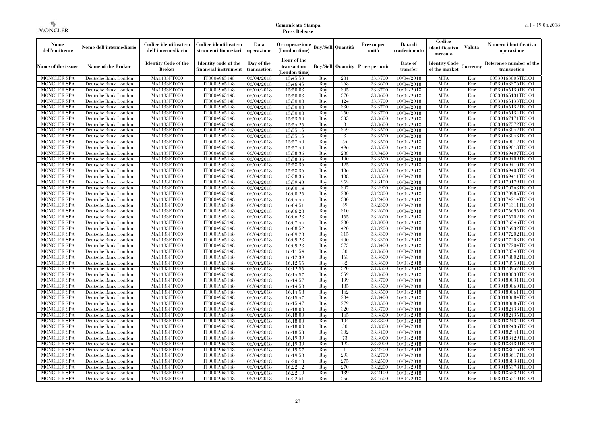| Nome<br>dell'emittente                   | Nome dell'intermediario                      | Codice identificativo<br>dell'intermediario  | Codice identificativo<br>strumenti finanziari | Data<br>operazione        | Ora operazione<br>(London time)             |            | Buv/Sell   Quantità      | Prezzo per<br>unità | Data di<br>trasferimento | Codice<br>identificativo<br>mercato   | <b>Valuta</b> | Numero identificativo<br>operazione    |
|------------------------------------------|----------------------------------------------|----------------------------------------------|-----------------------------------------------|---------------------------|---------------------------------------------|------------|--------------------------|---------------------|--------------------------|---------------------------------------|---------------|----------------------------------------|
| Name of the issuer                       | Name of the Broker                           | <b>Identity Code of the</b><br><b>Broker</b> | Identity code of the<br>financial instrument  | Day of the<br>transaction | Hour of the<br>transaction<br>(London time) |            | <b>Buy/Sell Quantity</b> | Price per unit      | Date of<br>transfer      | <b>Identity Code</b><br>of the market | Currencv      | Reference number of the<br>transaction |
| <b>MONCLER SPA</b>                       | Deutsche Bank London                         | MA1133FT000                                  | IT0004965148                                  | 06/04/2018                | 15:45:53                                    | Buy        | 281                      | 33,3700             | 10/04/2018               | <b>MTA</b>                            | Eur           | 00530163005TRLO1                       |
| <b>MONCLER SPA</b>                       | Deutsche Bank London                         | <b>MA1133FT000</b>                           | IT0004965148                                  | 06/04/2018                | 15:46:45                                    | Buy        | 268                      | 33,3600             | 10/04/2018               | <b>MTA</b>                            | Eur           | 00530163376TRLO1                       |
| <b>MONCLER SPA</b>                       | Deutsche Bank London                         | MA1133FT000                                  | IT0004965148                                  | 06/04/2018                | 15:50:08                                    | Buv        | 305                      | 33,3700             | 10/04/2018               | <b>MTA</b>                            | Eur           | 00530165130TRLO1                       |
| <b>MONCLER SPA</b>                       | Deutsche Bank London                         | MA1133FT000                                  | IT0004965148                                  | 06/04/2018                | 15:50:08                                    | Buy        | 370                      | 33,3600             | 10/04/2018               | <b>MTA</b>                            | Eur           | 00530165131TRLO1                       |
| <b>MONCLER SPA</b>                       | Deutsche Bank London                         | MA1133FT000                                  | IT0004965148                                  | 06/04/2018                | 15:50:08                                    | Buy        | 124                      | 33,3700             | 10/04/2018               | <b>MTA</b>                            | Eur           | 00530165133TRLO1                       |
| MONCLER SPA<br><b>MONCLER SPA</b>        | Deutsche Bank London                         | <b>MA1133FT000</b><br>MA1133FT000            | IT0004965148                                  | 06/04/2018                | 15:50:08                                    | Buy        | 380<br>250               | 33,3700<br>33,3700  | 10/04/2018               | <b>MTA</b><br><b>MTA</b>              | Eur           | 00530165132TRLO1                       |
| <b>MONCLER SPA</b>                       | Deutsche Bank London<br>Deutsche Bank London | MA1133FT000                                  | IT0004965148<br>IT0004965148                  | 06/04/2018<br>06/04/2018  | 15:50:08<br>15:53:50                        | Buy<br>Buv | 335                      | 33,3600             | 10/04/2018<br>10/04/2018 | <b>MTA</b>                            | Eur<br>Eur    | 00530165134TRLO1<br>00530167171TRLO1   |
| <b>MONCLER SPA</b>                       | Deutsche Bank London                         | MA1133FT000                                  | IT0004965148                                  | 06/04/2018                | 15:54:25                                    | Buy        | 8                        | 33,3600             | 10/04/2018               | <b>MTA</b>                            | Eur           | 00530167572TRLO1                       |
| <b>MONCLER SPA</b>                       | Deutsche Bank London                         | <b>MA1133FT000</b>                           | IT0004965148                                  | 06/04/2018                | 15:55:15                                    | Buy        | 349                      | 33,3500             | 10/04/2018               | <b>MTA</b>                            | Eur           | 00530168042TRLO1                       |
| <b>MONCLER SPA</b>                       | Deutsche Bank London                         | MA1133FT000                                  | IT0004965148                                  | 06/04/2018                | 15:55:15                                    | Buy        | 8                        | 33,3500             | 10/04/2018               | <b>MTA</b>                            | Eur           | 00530168043TRLO1                       |
| <b>MONCLER SPA</b>                       | Deutsche Bank London                         | MA1133FT000                                  | IT0004965148                                  | 06/04/2018                | 15:57:40                                    | Buy        | 64                       | 33,3500             | 10/04/2018               | <b>MTA</b>                            | Eur           | 00530169012TRLO1                       |
| <b>MONCLER SPA</b>                       | Deutsche Bank London                         | MA1133FT000                                  | IT0004965148                                  | 06/04/2018                | 15:57:40                                    | Buy        | 496                      | 33,3500             | 10/04/2018               | <b>MTA</b>                            | Eur           | 00530169013TRLO1                       |
| <b>MONCLER SPA</b>                       | Deutsche Bank London                         | MA1133FT000                                  | IT0004965148                                  | 06/04/2018                | 15:58:36                                    | Buy        | 288                      | 33,3400             | 10/04/2018               | <b>MTA</b>                            | Eur           | 00530169407TRLO1                       |
| <b>MONCLER SPA</b>                       | Deutsche Bank London                         | MA1133FT000                                  | IT0004965148                                  | 06/04/2018                | 15:58:36                                    | Buy        | 100                      | 33,3500             | 10/04/2018               | <b>MTA</b>                            | Eur           | 00530169409TRLO1                       |
| <b>MONCLER SPA</b>                       | Deutsche Bank London                         | MA1133FT000                                  | IT0004965148                                  | 06/04/2018                | 15:58:36                                    | Buy        | 125                      | 33,3500             | 10/04/2018               | <b>MTA</b>                            | Eur           | 00530169410TRLO1                       |
| <b>MONCLER SPA</b>                       | Deutsche Bank London                         | MA1133FT000                                  | IT0004965148                                  | 06/04/2018                | 15:58:36                                    | Buy        | 186                      | 33,3500             | 10/04/2018               | <b>MTA</b>                            | Eur           | 00530169408TRLO1                       |
| <b>MONCLER SPA</b>                       | Deutsche Bank London                         | MA1133FT000                                  | IT0004965148                                  | 06/04/2018                | 15:58:36                                    | Buy        | 188                      | 33,3500             | 10/04/2018               | <b>MTA</b>                            | Eur           | 00530169411TRLO1                       |
| <b>MONCLER SPA</b>                       | Deutsche Bank London                         | MA1133FT000                                  | IT0004965148                                  | 06/04/2018                | 15:59:43                                    | Buy        | 252                      | 33,3100             | 10/04/2018               | <b>MTA</b>                            | Eur           | 00530170179TRLO1                       |
| <b>MONCLER SPA</b>                       | Deutsche Bank London                         | MA1133FT000                                  | IT0004965148                                  | 06/04/2018                | 16:00:14                                    | Buy        | 307                      | 33,2900             | 10/04/2018               | <b>MTA</b>                            | Eur           | 00530170768TRLO1                       |
| MONCLER SPA                              | Deutsche Bank London                         | MA1133FT000                                  | IT0004965148                                  | 06/04/2018                | 16:00:25                                    | Buy        | 280                      | 33,2800             | 10/04/2018               | <b>MTA</b>                            | Eur           | 00530170985TRLO1                       |
| <b>MONCLER SPA</b>                       | Deutsche Bank London                         | MA1133FT000                                  | IT0004965148                                  | 06/04/2018                | 16:04:44                                    | Buy        | 330                      | 33,2400             | 10/04/2018               | <b>MTA</b>                            | Eur           | 00530174214TRLO1                       |
| <b>MONCLER SPA</b>                       | Deutsche Bank London                         | MA1133FT000                                  | IT0004965148                                  | 06/04/2018                | 16:04:51                                    | Buy        | 69                       | 33,2300             | 10/04/2018               | <b>MTA</b>                            | Eur           | 00530174311TRLO1                       |
| <b>MONCLER SPA</b>                       | Deutsche Bank London                         | MA1133FT000                                  | IT0004965148                                  | 06/04/2018                | 16:06:28                                    | Buy        | 310                      | 33,2600             | 10/04/2018               | <b>MTA</b>                            | Eur           | 00530175695TRLO1                       |
| <b>MONCLER SPA</b>                       | Deutsche Bank London                         | MA1133FT000                                  | IT0004965148                                  | 06/04/2018                | 16:06:28                                    | Buy        | 155<br>280               | 33,2600<br>33,3000  | 10/04/2018               | <b>MTA</b><br><b>MTA</b>              | Eur           | 00530175702TRLO1                       |
| <b>MONCLER SPA</b><br><b>MONCLER SPA</b> | Deutsche Bank London<br>Deutsche Bank London | <b>MA1133FT000</b><br>MA1133FT000            | IT0004965148<br>IT0004965148                  | 06/04/2018                | 16:07:44<br>16:08:52                        | Buy<br>Buy | 420                      | 33,3200             | 10/04/2018<br>10/04/2018 | <b>MTA</b>                            | Eur<br>Eur    | 00530176346TRLO1<br>00530176932TRLO1   |
| <b>MONCLER SPA</b>                       | Deutsche Bank London                         | MA1133FT000                                  | IT0004965148                                  | 06/04/2018<br>06/04/2018  | 16:09:28                                    | Buy        | 315                      | 33,3300             | 10/04/2018               | <b>MTA</b>                            | Eur           | 00530177202TRLO1                       |
| <b>MONCLER SPA</b>                       | Deutsche Bank London                         | MA1133FT000                                  | IT0004965148                                  | 06/04/2018                | 16:09:28                                    | Buy        | 400                      | 33,3300             | 10/04/2018               | <b>MTA</b>                            | Eur           | 00530177203TRLO1                       |
| MONCLER SPA                              | Deutsche Bank London                         | <b>MA1133FT000</b>                           | IT0004965148                                  | 06/04/2018                | 16:09:28                                    | Buy        | 373                      | 33,3400             | 10/04/2018               | <b>MTA</b>                            | Eur           | 00530177204TRLO1                       |
| MONCLER SPA                              | Deutsche Bank London                         | MA1133FT000                                  | IT0004965148                                  | 06/04/2018                | 16:11:54                                    | Buy        | 50                       | 33,3600             | 10/04/2018               | <b>MTA</b>                            | Eur           | 00530178540TRLO1                       |
| <b>MONCLER SPA</b>                       | Deutsche Bank London                         | MA1133FT000                                  | IT0004965148                                  | 06/04/2018                | 16:12:39                                    | Buy        | 163                      | 33,3600             | 10/04/2018               | <b>MTA</b>                            | Eur           | 00530178802TRLO1                       |
| <b>MONCLER SPA</b>                       | Deutsche Bank London                         | MA1133FT000                                  | IT0004965148                                  | 06/04/2018                | 16:12:55                                    | Buy        | 82                       | 33,3600             | 10/04/2018               | <b>MTA</b>                            | Eur           | 00530178950TRLO1                       |
| <b>MONCLER SPA</b>                       | Deutsche Bank London                         | MA1133FT000                                  | IT0004965148                                  | 06/04/2018                | 16:12:55                                    | Buy        | 320                      | 33,3500             | 10/04/2018               | <b>MTA</b>                            | Eur           | 00530178957TRLO1                       |
| <b>MONCLER SPA</b>                       | Deutsche Bank London                         | MA1133FT000                                  | IT0004965148                                  | 06/04/2018                | 16:14:57                                    | Buy        | 359                      | 33,3600             | 10/04/2018               | <b>MTA</b>                            | Eur           | 00530180030TRLO1                       |
| <b>MONCLER SPA</b>                       | Deutsche Bank London                         | MA1133FT000                                  | IT0004965148                                  | 06/04/2018                | 16:14:57                                    | Buy        | 139                      | 33,3700             | 10/04/2018               | <b>MTA</b>                            | Eur           | 00530180031TRLO1                       |
| <b>MONCLER SPA</b>                       | Deutsche Bank London                         | MA1133FT000                                  | IT0004965148                                  | 06/04/2018                | 16:14:58                                    | Buy        | 185                      | 33,3500             | 10/04/2018               | <b>MTA</b>                            | Eur           | 00530180060TRLO1                       |
| <b>MONCLER SPA</b>                       | Deutsche Bank London                         | <b>MA1133FT000</b>                           | IT0004965148                                  | 06/04/2018                | 16:14:58                                    | Buy        | 142                      | 33,3500             | 10/04/2018               | <b>MTA</b>                            | Eur           | 00530180061TRLO1                       |
| <b>MONCLER SPA</b>                       | Deutsche Bank London                         | MA1133FT000                                  | IT0004965148                                  | 06/04/2018                | 16:15:47                                    | Buy        | 284                      | 33,3400             | 10/04/2018               | <b>MTA</b>                            | Eur           | 00530180684TRLO1                       |
| <b>MONCLER SPA</b>                       | Deutsche Bank London                         | MA1133FT000                                  | IT0004965148                                  | 06/04/2018                | 16:15:47                                    | Buy        | 279                      | 33,3500             | 10/04/2018               | <b>MTA</b>                            | Eur           | 00530180686TRLO1                       |
| <b>MONCLER SPA</b>                       | Deutsche Bank London                         | MA1133FT000                                  | IT0004965148                                  | 06/04/2018                | 16:18:00                                    | Buy        | 320                      | 33,3700             | 10/04/2018               | <b>MTA</b>                            | Eur           | 00530182433TRLO1                       |
| <b>MONCLER SPA</b>                       | Deutsche Bank London                         | MA1133FT000                                  | IT0004965148                                  | 06/04/2018                | 16:18:00                                    | Buy        | 145                      | 33,3800             | 10/04/2018               | <b>MTA</b>                            | Eur           | 00530182435TRLO1                       |
| <b>MONCLER SPA</b>                       | Deutsche Bank London                         | MA1133FT000                                  | IT0004965148                                  | 06/04/2018                | 16:18:00                                    | Buy        | 104                      | 33,3800             | 10/04/2018               | <b>MTA</b>                            | Eur           | 00530182434TRLO1                       |
| <b>MONCLER SPA</b>                       | Deutsche Bank London                         | MA1133FT000                                  | IT0004965148                                  | 06/04/2018                | 16:18:00                                    | Buy        | 30                       | 33,3800             | 10/04/2018               | <b>MTA</b>                            | Eur           | 00530182436TRLO1                       |
| <b>MONCLER SPA</b>                       | Deutsche Bank London                         | MA1133FT000<br>MA1133FT000                   | IT0004965148<br>IT0004965148                  | 06/04/2018                | 16:18:53                                    | Buy<br>Buy | 302<br>73                | 33,3400<br>33,3000  | 10/04/2018               | <b>MTA</b><br><b>MTA</b>              | Eur<br>Eur    | 00530182941TRLO1                       |
| <b>MONCLER SPA</b><br><b>MONCLER SPA</b> | Deutsche Bank London<br>Deutsche Bank London | MA1133FT000                                  | IT0004965148                                  | 06/04/2018<br>06/04/2018  | 16:19:39<br>16:19:39                        | Buy        | 192                      | 33,3000             | 10/04/2018<br>10/04/2018 | <b>MTA</b>                            | Eur           | 00530183429TRLO1<br>00530183430TRLO1   |
| <b>MONCLER SPA</b>                       | Deutsche Bank London                         | MA1133FT000                                  | IT0004965148                                  | 06/04/2018                | 16:19:57                                    | Buy        | $\mathbf{1}$             | 33,2700             | 10/04/2018               | <b>MTA</b>                            | Eur           | 00530183616TRLO1                       |
| <b>MONCLER SPA</b>                       | Deutsche Bank London                         | MA1133FT000                                  | IT0004965148                                  | 06/04/2018                | 16:19:58                                    | Buy        | 293                      | 33,2700             | 10/04/2018               | <b>MTA</b>                            | Eur           | 00530183617TRLO1                       |
| <b>MONCLER SPA</b>                       | Deutsche Bank London                         | MA1133FT000                                  | IT0004965148                                  | 06/04/2018                | 16:20:10                                    | Buy        | 275                      | 33,2500             | 10/04/2018               | <b>MTA</b>                            | Eur           | 00530183838TRLO1                       |
| <b>MONCLER SPA</b>                       | Deutsche Bank London                         | MA1133FT000                                  | IT0004965148                                  | 06/04/2018                | 16:22:12                                    | Buy        | 270                      | 33,2200             | 10/04/2018               | <b>MTA</b>                            | Eur           | 00530185378TRLO1                       |
| <b>MONCLER SPA</b>                       | Deutsche Bank London                         | MA1133FT000                                  | IT0004965148                                  | 06/04/2018                | 16:22:19                                    | Buy        | 139                      | 33,2100             | 10/04/2018               | <b>MTA</b>                            | Eur           | 00530185532TRLO1                       |
| <b>MONCLER SPA</b>                       | Deutsche Bank London                         | MA1133FT000                                  | IT0004965148                                  | 06/04/2018                | 16:22:51                                    | Buy        | 256                      | 33,1600             | 10/04/2018               | <b>MTA</b>                            | Eur           | 00530186210TRLO1                       |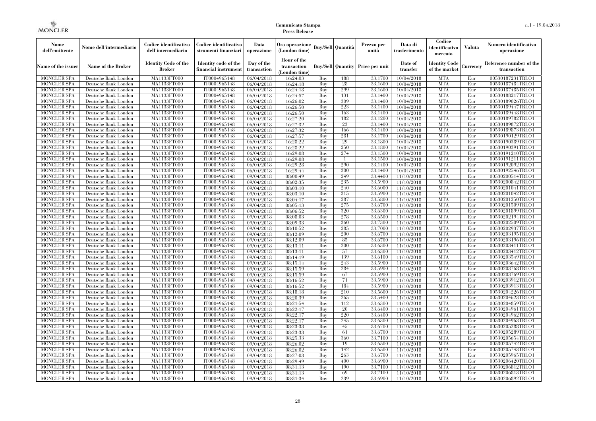| Nome<br>dell'emittente                   | Nome dell'intermediario                      | Codice identificativo<br>dell'intermediario  | Codice identificativo<br>strumenti finanziari | Data<br>operazione        | Ora operazione<br>(London time)             |            | Buy/Sell   Quantità      | Prezzo per<br>unità | Data di<br>trasferimento | Codice<br>identificativo<br>mercato   | <b>Valuta</b> | Numero identificativo<br>operazione    |
|------------------------------------------|----------------------------------------------|----------------------------------------------|-----------------------------------------------|---------------------------|---------------------------------------------|------------|--------------------------|---------------------|--------------------------|---------------------------------------|---------------|----------------------------------------|
| Name of the issuer                       | Name of the Broker                           | <b>Identity Code of the</b><br><b>Broker</b> | Identity code of the<br>financial instrument  | Day of the<br>transaction | Hour of the<br>transaction<br>(London time) |            | <b>Buy/Sell Quantity</b> | Price per unit      | Date of<br>transfer      | <b>Identity Code</b><br>of the market | Currencv      | Reference number of the<br>transaction |
| <b>MONCLER SPA</b>                       | Deutsche Bank London                         | MA1133FT000                                  | IT0004965148                                  | 06/04/2018                | 16:24:03                                    | Buy        | 188                      | 33,1700             | 10/04/2018               | <b>MTA</b>                            | Eur           | 00530187231TRLO1                       |
| <b>MONCLER SPA</b>                       | Deutsche Bank London                         | <b>MA1133FT000</b>                           | IT0004965148                                  | 06/04/2018                | 16:24:18                                    | Buy        | 28                       | 33,1600             | 10/04/2018               | <b>MTA</b>                            | Eur           | 00530187484TRLO1                       |
| <b>MONCLER SPA</b>                       | Deutsche Bank London                         | MA1133FT000                                  | IT0004965148                                  | 06/04/2018                | 16:24:18                                    | Buv        | 299                      | 33.1600             | 10/04/2018               | <b>MTA</b>                            | Eur           | 00530187485TRLO1                       |
| <b>MONCLER SPA</b>                       | Deutsche Bank London                         | MA1133FT000                                  | IT0004965148                                  | 06/04/2018                | 16:24:57                                    | Buy        | 131                      | 33,1400             | 10/04/2018               | <b>MTA</b>                            | Eur           | 00530188217TRLO1                       |
| <b>MONCLER SPA</b>                       | Deutsche Bank London                         | MA1133FT000                                  | IT0004965148                                  | 06/04/2018                | 16:26:02                                    | Buy        | 309                      | 33,1400             | 10/04/2018               | <b>MTA</b>                            | Eur           | 00530189026TRLO1                       |
| MONCLER SPA<br><b>MONCLER SPA</b>        | Deutsche Bank London                         | <b>MA1133FT000</b><br>MA1133FT000            | IT0004965148                                  | 06/04/2018                | 16:26:50                                    | Buy        | 223<br>163               | 33,1400<br>33,1400  | 10/04/2018               | <b>MTA</b><br><b>MTA</b>              | Eur           | 00530189447TRLO1                       |
| <b>MONCLER SPA</b>                       | Deutsche Bank London<br>Deutsche Bank London | MA1133FT000                                  | IT0004965148<br>IT0004965148                  | 06/04/2018<br>06/04/2018  | 16:26:50<br>16:27:20                        | Buy<br>Buy | 182                      | 33.1200             | 10/04/2018<br>10/04/2018 | <b>MTA</b>                            | Eur<br>Eur    | 00530189448TRLO1<br>00530189782TRLO1   |
| <b>MONCLER SPA</b>                       | Deutsche Bank London                         | MA1133FT000                                  | IT0004965148                                  | 06/04/2018                | 16:27:32                                    | Buy        | 23                       | 33,1400             | 10/04/2018               | <b>MTA</b>                            | Eur           | 00530189872TRLO1                       |
| <b>MONCLER SPA</b>                       | Deutsche Bank London                         | <b>MA1133FT000</b>                           | IT0004965148                                  | 06/04/2018                | 16:27:32                                    | Buy        | 166                      | 33,1400             | 10/04/2018               | <b>MTA</b>                            | Eur           | 00530189873TRLO1                       |
| <b>MONCLER SPA</b>                       | Deutsche Bank London                         | MA1133FT000                                  | IT0004965148                                  | 06/04/2018                | 16:27:57                                    | Buy        | 281                      | 33,1700             | 10/04/2018               | <b>MTA</b>                            | Eur           | 00530190129TRLO1                       |
| <b>MONCLER SPA</b>                       | Deutsche Bank London                         | MA1133FT000                                  | IT0004965148                                  | 06/04/2018                | 16:28:22                                    | Buy        | 29                       | 33,1800             | 10/04/2018               | <b>MTA</b>                            | Eur           | 00530190389TRLO1                       |
| <b>MONCLER SPA</b>                       | Deutsche Bank London                         | MA1133FT000                                  | IT0004965148                                  | 06/04/2018                | 16:28:22                                    | Buy        | 250                      | 33,1800             | 10/04/2018               | <b>MTA</b>                            | Eur           | 00530190391TRLO1                       |
| <b>MONCLER SPA</b>                       | Deutsche Bank London                         | MA1133FT000                                  | IT0004965148                                  | 06/04/2018                | 16:29:08                                    | Buy        | 274                      | 33,1500             | 10/04/2018               | <b>MTA</b>                            | Eur           | 00530191210TRLO1                       |
| <b>MONCLER SPA</b>                       | Deutsche Bank London                         | MA1133FT000                                  | IT0004965148                                  | 06/04/2018                | 16:29:08                                    | Buy        |                          | 33,1500             | 10/04/2018               | <b>MTA</b>                            | Eur           | 00530191211TRLO1                       |
| <b>MONCLER SPA</b>                       | Deutsche Bank London                         | MA1133FT000                                  | IT0004965148                                  | 06/04/2018                | 16:29:28                                    | Buy        | 290                      | 33,1400             | 10/04/2018               | <b>MTA</b>                            | Eur           | 00530192092TRLO1                       |
| <b>MONCLER SPA</b>                       | Deutsche Bank London                         | MA1133FT000                                  | IT0004965148                                  | 06/04/2018                | 16:29:44                                    | Buy        | 300                      | 33.1400             | 10/04/2018               | <b>MTA</b>                            | Eur           | 00530192546TRLO1                       |
| <b>MONCLER SPA</b>                       | Deutsche Bank London                         | MA1133FT000                                  | IT0004965148                                  | 09/04/2018                | 08:00:49                                    | Buy        | 249                      | 33,4400             | 11/10/2018               | <b>MTA</b>                            | Eur           | 00530200514TRLO1                       |
| <b>MONCLER SPA</b>                       | Deutsche Bank London                         | MA1133FT000                                  | IT0004965148                                  | 09/04/2018                | 08:02:35                                    | Buy        | 235                      | 33,5900             | 11/10/2018               | <b>MTA</b>                            | Eur           | 00530200842TRLO1                       |
| <b>MONCLER SPA</b>                       | Deutsche Bank London                         | MA1133FT000                                  | IT0004965148                                  | 09/04/2018                | 08:03:10                                    | Buy        | 240                      | 33,6000             | 11/10/2018               | <b>MTA</b>                            | Eur           | 00530201041TRLO1                       |
| MONCLER SPA                              | Deutsche Bank London                         | MA1133FT000                                  | IT0004965148                                  | 09/04/2018                | 08:03:10                                    | Buy        | 315                      | 33,5900             | 11/10/2018               | <b>MTA</b>                            | Eur           | 00530201042TRLO1                       |
| <b>MONCLER SPA</b>                       | Deutsche Bank London                         | MA1133FT000                                  | IT0004965148                                  | 09/04/2018                | 08:04:17                                    | Buy        | 287                      | 33,5800             | 11/10/2018               | <b>MTA</b>                            | Eur           | 00530201250TRLO1                       |
| <b>MONCLER SPA</b>                       | Deutsche Bank London                         | MA1133FT000                                  | IT0004965148                                  | 09/04/2018                | 08:05:13                                    | Buy        | 275                      | 33,6700             | 11/10/2018               | <b>MTA</b>                            | Eur           | 00530201509TRLO1                       |
| <b>MONCLER SPA</b>                       | Deutsche Bank London                         | MA1133FT000                                  | IT0004965148                                  | 09/04/2018                | 08:06:52                                    | Buy        | 320                      | 33,6300             | 11/10/2018               | <b>MTA</b>                            | Eur           | 00530201899TRLO1                       |
| <b>MONCLER SPA</b>                       | Deutsche Bank London                         | MA1133FT000                                  | IT0004965148                                  | 09/04/2018                | 08:08:03                                    | Buy        | 278                      | 33,6500             | 11/10/2018               | <b>MTA</b>                            | Eur           | 00530202194TRLO1                       |
| <b>MONCLER SPA</b>                       | Deutsche Bank London                         | <b>MA1133FT000</b>                           | IT0004965148                                  | 09/04/2018                | 08:09:33                                    | Buy        | 360                      | 33,7300             | 11/10/2018               | <b>MTA</b>                            | Eur           | 00530202509TRLO1                       |
| <b>MONCLER SPA</b>                       | Deutsche Bank London                         | MA1133FT000                                  | IT0004965148                                  | 09/04/2018                | 08:10:52                                    | Buy        | 285                      | 33,7000             | 11/10/2018               | <b>MTA</b>                            | Eur           | 00530202937TRLO1                       |
| <b>MONCLER SPA</b>                       | Deutsche Bank London                         | MA1133FT000                                  | IT0004965148                                  | 09/04/2018                | 08:12:09                                    | Buy        | 200                      | 33,6700             | 11/10/2018               | <b>MTA</b>                            | Eur           | 00530203195TRLO1                       |
| <b>MONCLER SPA</b>                       | Deutsche Bank London                         | MA1133FT000                                  | IT0004965148                                  | 09/04/2018                | 08:12:09                                    | Buy        | 85                       | 33,6700             | 11/10/2018               | <b>MTA</b>                            | Eur           | 00530203196TRLO1                       |
| <b>MONCLER SPA</b>                       | Deutsche Bank London                         | <b>MA1133FT000</b>                           | IT0004965148                                  | 09/04/2018                | 08:13:11                                    | Buy        | 200                      | 33,6300             | 11/10/2018               | <b>MTA</b>                            | Eur           | 00530203411TRLO1                       |
| MONCLER SPA                              | Deutsche Bank London                         | MA1133FT000                                  | IT0004965148                                  | 09/04/2018                | 08:13:11                                    | Buy        | 57                       | 33,6300             | 11/10/2018               | <b>MTA</b>                            | Eur           | 00530203412TRLO1                       |
| <b>MONCLER SPA</b>                       | Deutsche Bank London                         | MA1133FT000                                  | IT0004965148                                  | 09/04/2018                | 08:14:19                                    | Buy        | 139                      | 33,6100             | 11/10/2018               | <b>MTA</b>                            | Eur           | 00530203549TRLO1                       |
| <b>MONCLER SPA</b>                       | Deutsche Bank London                         | MA1133FT000                                  | IT0004965148                                  | 09/04/2018                | 08:15:14                                    | Buy        | 243                      | 33,5900             | 11/10/2018               | <b>MTA</b>                            | Eur           | 00530203642TRLO1                       |
| <b>MONCLER SPA</b>                       | Deutsche Bank London                         | <b>MA1133FT000</b>                           | IT0004965148                                  | 09/04/2018                | 08:15:59                                    | Buy        | 284                      | 33,5900             | 11/10/2018               | <b>MTA</b>                            | Eur           | 00530203768TRLO1                       |
| <b>MONCLER SPA</b>                       | Deutsche Bank London                         | MA1133FT000                                  | IT0004965148                                  | 09/04/2018                | 08:15:59                                    | Buy        | 67<br>71                 | 33,5900<br>33,5900  | 11/10/2018               | <b>MTA</b><br><b>MTA</b>              | Eur           | 00530203769TRLO1                       |
| <b>MONCLER SPA</b><br><b>MONCLER SPA</b> | Deutsche Bank London                         | MA1133FT000                                  | IT0004965148                                  | 09/04/2018                | 08:16:52                                    | Buy<br>Buy | 184                      | 33,5900             | 11/10/2018               | <b>MTA</b>                            | Eur<br>Eur    | 00530203912TRLO1                       |
| <b>MONCLER SPA</b>                       | Deutsche Bank London<br>Deutsche Bank London | MA1133FT000<br><b>MA1133FT000</b>            | IT0004965148<br>IT0004965148                  | 09/04/2018<br>09/04/2018  | 08:16:52<br>08:18:18                        | Buy        | 210                      | 33,5600             | 11/10/2018<br>11/10/2018 | <b>MTA</b>                            | Eur           | 00530203913TRLO1<br>00530204226TRLO1   |
| <b>MONCLER SPA</b>                       | Deutsche Bank London                         | MA1133FT000                                  | IT0004965148                                  | 09/04/2018                | 08:20:39                                    | Buy        | 265                      | 33,5400             | 11/10/2018               | <b>MTA</b>                            | Eur           | 00530204623TRLO1                       |
| <b>MONCLER SPA</b>                       | Deutsche Bank London                         | <b>MA1133FT000</b>                           | IT0004965148                                  | 09/04/2018                | 08:21:54                                    | Buy        | 112                      | 33,6300             | 11/10/2018               | <b>MTA</b>                            | Eur           | 00530204859TRLO1                       |
| <b>MONCLER SPA</b>                       | Deutsche Bank London                         | MA1133FT000                                  | IT0004965148                                  | 09/04/2018                | 08:22:17                                    | Buy        | 20                       | 33,6400             | 11/10/2018               | <b>MTA</b>                            | Eur           | 00530204961TRLO1                       |
| <b>MONCLER SPA</b>                       | Deutsche Bank London                         | MA1133FT000                                  | IT0004965148                                  | 09/04/2018                | 08:22:17                                    | Buy        | 220                      | 33.6400             | 11/10/2018               | <b>MTA</b>                            | Eur           | 00530204962TRLO1                       |
| <b>MONCLER SPA</b>                       | Deutsche Bank London                         | MA1133FT000                                  | IT0004965148                                  | 09/04/2018                | 08:22:17                                    | Buy        | 245                      | 33,6300             | 11/10/2018               | <b>MTA</b>                            | Eur           | 00530204963TRLO1                       |
| <b>MONCLER SPA</b>                       | Deutsche Bank London                         | MA1133FT000                                  | IT0004965148                                  | 09/04/2018                | 08:23:33                                    | Buy        | 45                       | 33,6700             | 11/10/2018               | <b>MTA</b>                            | Eur           | 00530205288TRLO1                       |
| <b>MONCLER SPA</b>                       | Deutsche Bank London                         | MA1133FT000                                  | IT0004965148                                  | 09/04/2018                | 08:23:33                                    | Buy        | 61                       | 33,6700             | 11/10/2018               | <b>MTA</b>                            | Eur           | 00530205289TRLO1                       |
| <b>MONCLER SPA</b>                       | Deutsche Bank London                         | MA1133FT000                                  | IT0004965148                                  | 09/04/2018                | 08:25:33                                    | Buy        | 360                      | 33,7100             | 11/10/2018               | <b>MTA</b>                            | Eur           | 00530205654TRLO1                       |
| <b>MONCLER SPA</b>                       | Deutsche Bank London                         | MA1133FT000                                  | IT0004965148                                  | 09/04/2018                | 08:26:02                                    | Buy        | 19                       | 33,6500             | 11/10/2018               | <b>MTA</b>                            | Eur           | 00530205742TRLO1                       |
| <b>MONCLER SPA</b>                       | Deutsche Bank London                         | MA1133FT000                                  | IT0004965148                                  | 09/04/2018                | 08:26:02                                    | Buy        | 142                      | 33,6500             | 11/10/2018               | <b>MTA</b>                            | Eur           | 00530205743TRLO1                       |
| <b>MONCLER SPA</b>                       | Deutsche Bank London                         | MA1133FT000                                  | IT0004965148                                  | 09/04/2018                | 08:27:03                                    | Buy        | 263                      | 33,6700             | 11/10/2018               | <b>MTA</b>                            | Eur           | 00530205965TRLO1                       |
| <b>MONCLER SPA</b>                       | Deutsche Bank London                         | MA1133FT000                                  | IT0004965148                                  | 09/04/2018                | 08:29:49                                    | Buy        | 400                      | 33,6900             | 11/10/2018               | <b>MTA</b>                            | Eur           | 00530206420TRLO1                       |
| <b>MONCLER SPA</b>                       | Deutsche Bank London                         | MA1133FT000                                  | IT0004965148                                  | 09/04/2018                | 08:31:13                                    | Buy        | 190                      | 33,7100             | 11/10/2018               | <b>MTA</b>                            | Eur           | 00530206812TRLO1                       |
| <b>MONCLER SPA</b>                       | Deutsche Bank London                         | MA1133FT000                                  | IT0004965148                                  | 09/04/2018                | 08:31:13                                    | Buy        | 69                       | 33,7100             | 11/10/2018               | <b>MTA</b>                            | Eur           | 00530206813TRLO1                       |
| <b>MONCLER SPA</b>                       | Deutsche Bank London                         | MA1133FT000                                  | IT0004965148                                  | 09/04/2018                | 08:31:34                                    | Buy        | 239                      | 33,6900             | 11/10/2018               | <b>MTA</b>                            | Eur           | 00530206892TRLO1                       |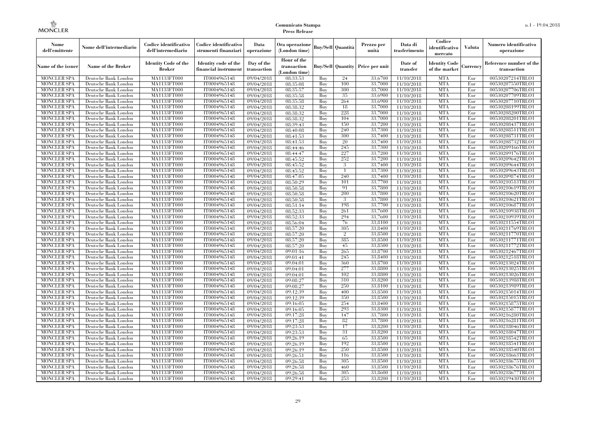| Nome<br>dell'emittente                   | Nome dell'intermediario                      | Codice identificativo<br>dell'intermediario  | Codice identificativo<br>strumenti finanziari | Data<br>operazione        | Ora operazione<br>(London time)             |            | Buy/Sell   Quantità | Prezzo per<br>unità                     | Data di<br>trasferimento | Codice<br>identificativo<br>mercato   | <b>Valuta</b> | Numero identificativo<br>operazione    |
|------------------------------------------|----------------------------------------------|----------------------------------------------|-----------------------------------------------|---------------------------|---------------------------------------------|------------|---------------------|-----------------------------------------|--------------------------|---------------------------------------|---------------|----------------------------------------|
| Name of the issuer                       | <b>Name of the Broker</b>                    | <b>Identity Code of the</b><br><b>Broker</b> | Identity code of the<br>financial instrument  | Day of the<br>transaction | Hour of the<br>transaction<br>(London time) |            |                     | <b>Buy/Sell Quantity Price per unit</b> | Date of<br>transfer      | <b>Identity Code</b><br>of the market | Currency      | Reference number of the<br>transaction |
| <b>MONCLER SPA</b>                       | Deutsche Bank London                         | MA1133FT000                                  | IT0004965148                                  | 09/04/2018                | 08:33:53                                    | Buy        | 24                  | 33,6700                                 | 11/10/2018               | <b>MTA</b>                            | Eur           | 00530207214TRLO1                       |
| <b>MONCLER SPA</b>                       | Deutsche Bank London                         | MA1133FT000                                  | IT0004965148                                  | 09/04/2018                | 08:35:08                                    | Buy        | 100                 | 33,7000                                 | 11/10/2018               | <b>MTA</b>                            | Eur           | 00530207550TRLO1                       |
| <b>MONCLER SPA</b>                       | Deutsche Bank London                         | <b>MA1133FT000</b>                           | IT0004965148                                  | 09/04/2018                | 08:35:57                                    | Buy        | 300                 | 33,7000                                 | 11/10/2018               | <b>MTA</b>                            | Eur           | 00530207706TRLO1                       |
| <b>MONCLER SPA</b>                       | Deutsche Bank London                         | MA1133FT000                                  | IT0004965148                                  | 09/04/2018                | 08:35:58                                    | Buy<br>Buy | 35<br>264           | 33,6900<br>33,6900                      | 11/10/2018               | <b>MTA</b><br><b>MTA</b>              | Eur<br>Eur    | 00530207709TRLO1                       |
| <b>MONCLER SPA</b><br><b>MONCLER SPA</b> | Deutsche Bank London<br>Deutsche Bank London | MA1133FT000<br><b>MA1133FT000</b>            | IT0004965148<br>IT0004965148                  | 09/04/2018<br>09/04/2018  | 08:35:58<br>08:38:32                        | Buy        | 18                  | 33,7000                                 | 11/10/2018<br>11/10/2018 | <b>MTA</b>                            | Eur           | 00530207710TRLO1<br>00530208199TRLO1   |
| <b>MONCLER SPA</b>                       | Deutsche Bank London                         | <b>MA1133FT000</b>                           | IT0004965148                                  | 09/04/2018                | 08:38:32                                    | Buy        | 228                 | 33,7000                                 | 11/10/2018               | <b>MTA</b>                            | Eur           | 00530208200TRLO1                       |
| <b>MONCLER SPA</b>                       | Deutsche Bank London                         | MA1133FT000                                  | IT0004965148                                  | 09/04/2018                | 08:38:32                                    | Buy        | 104                 | 33.7000                                 | 11/10/2018               | <b>MTA</b>                            | Eur           | 00530208201TRLO1                       |
| <b>MONCLER SPA</b>                       | Deutsche Bank London                         | MA1133FT000                                  | IT0004965148                                  | 09/04/2018                | 08:39:43                                    | Buy        | 150                 | 33,7200                                 | 11/10/2018               | <b>MTA</b>                            | Eur           | 00530208437TRLO1                       |
| <b>MONCLER SPA</b>                       | Deutsche Bank London                         | <b>MA1133FT000</b>                           | IT0004965148                                  | 09/04/2018                | 08:40:08                                    | Buy        | 240                 | 33,7300                                 | 11/10/2018               | <b>MTA</b>                            | Eur           | 00530208511TRLO1                       |
| <b>MONCLER SPA</b>                       | Deutsche Bank London                         | <b>MA1133FT000</b>                           | IT0004965148                                  | 09/04/2018                | 08:41:53                                    | Buy        | 300                 | 33,7400                                 | 11/10/2018               | <b>MTA</b>                            | Eur           | 00530208731TRLO1                       |
| <b>MONCLER SPA</b>                       | Deutsche Bank London                         | <b>MA1133FT000</b>                           | IT0004965148                                  | 09/04/2018                | 08:41:53                                    | Buy        | 20                  | 33,7400                                 | 11/10/2018               | <b>MTA</b>                            | Eur           | 00530208732TRLO1                       |
| <b>MONCLER SPA</b>                       | Deutsche Bank London                         | MA1133FT000                                  | IT0004965148                                  | 09/04/2018                | 08:44:46                                    | Buy        | 245                 | 33,7300                                 | 11/10/2018               | <b>MTA</b>                            | Eur           | 00530209166TRLO1                       |
| <b>MONCLER SPA</b>                       | Deutsche Bank London                         | <b>MA1133FT000</b>                           | IT0004965148                                  | 09/04/2018                | 08:44:47                                    | Buy        | 227                 | 33,7200                                 | 11/10/2018               | <b>MTA</b>                            | Eur           | 00530209176TRLO1                       |
| <b>MONCLER SPA</b>                       | Deutsche Bank London                         | <b>MA1133FT000</b>                           | IT0004965148                                  | 09/04/2018                | 08:45:52                                    | Buy        | 252                 | 33,7200                                 | 11/10/2018               | <b>MTA</b>                            | Eur           | 00530209642TRLO1                       |
| <b>MONCLER SPA</b>                       | Deutsche Bank London                         | <b>MA1133FT000</b>                           | IT0004965148                                  | 09/04/2018                | 08:45:52                                    | Buy        | 3                   | 33,7400                                 | 11/10/2018               | <b>MTA</b>                            | Eur           | 00530209644TRLO1                       |
| <b>MONCLER SPA</b>                       | Deutsche Bank London                         | MA1133FT000                                  | IT0004965148                                  | 09/04/2018                | 08:45:52                                    | Buy        | $\mathbf{1}$        | 33,7300                                 | 11/10/2018               | <b>MTA</b>                            | Eur           | 00530209643TRLO1                       |
| <b>MONCLER SPA</b>                       | Deutsche Bank London                         | MA1133FT000                                  | IT0004965148                                  | 09/04/2018                | 08:47:05                                    | Buy        | 240                 | 33,7400                                 | 11/10/2018               | <b>MTA</b>                            | Eur           | 00530209874TRLO1                       |
| MONCLER SPA                              | Deutsche Bank London                         | <b>MA1133FT000</b>                           | IT0004965148                                  | 09/04/2018                | 08:50:29                                    | Buy        | 101                 | 33,7700                                 | 11/10/2018               | <b>MTA</b>                            | Eur           | 00530210513TRLO1                       |
| <b>MONCLER SPA</b>                       | Deutsche Bank London                         | MA1133FT000                                  | IT0004965148                                  | 09/04/2018                | 08:50:58                                    | Buy        | 91                  | 33,7800                                 | 11/10/2018               | <b>MTA</b>                            | Eur           | 00530210619TRLO1                       |
| <b>MONCLER SPA</b>                       | Deutsche Bank London                         | MA1133FT000                                  | IT0004965148                                  | 09/04/2018                | 08:50:58                                    | Buy        | 200                 | 33,7800                                 | 11/10/2018               | <b>MTA</b>                            | Eur           | 00530210620TRLO1                       |
| MONCLER SPA                              | Deutsche Bank London                         | MA1133FT000                                  | IT0004965148                                  | 09/04/2018                | 08:50:58                                    | Buy        | 3                   | 33,7800                                 | 11/10/2018               | <b>MTA</b>                            | Eur           | 00530210621TRLO1                       |
| <b>MONCLER SPA</b>                       | Deutsche Bank London                         | <b>MA1133FT000</b><br>MA1133FT000            | IT0004965148                                  | 09/04/2018                | 08:51:14                                    | Buy        | 198                 | 33,7700                                 | 11/10/2018               | MTA                                   | Eur           | 00530210687TRLO1                       |
| <b>MONCLER SPA</b><br><b>MONCLER SPA</b> | Deutsche Bank London<br>Deutsche Bank London | MA1133FT000                                  | IT0004965148<br>IT0004965148                  | 09/04/2018<br>09/04/2018  | 08:52:33<br>08:52:33                        | Buy<br>Buy | 261<br>294          | 33,7600<br>33,7600                      | 11/10/2018<br>11/10/2018 | <b>MTA</b><br><b>MTA</b>              | Eur<br>Eur    | 00530210938TRLO1<br>00530210939TRLO1   |
| <b>MONCLER SPA</b>                       | Deutsche Bank London                         | <b>MA1133FT000</b>                           | IT0004965148                                  | 09/04/2018                | 08:56:04                                    | Buy        | 76                  | 33,8100                                 | 11/10/2018               | <b>MTA</b>                            | Eur           | 00530211554TRLO1                       |
| <b>MONCLER SPA</b>                       | Deutsche Bank London                         | <b>MA1133FT000</b>                           | IT0004965148                                  | 09/04/2018                | 08:57:20                                    | Buy        | 305                 | 33,8400                                 | 11/10/2018               | MTA                                   | Eur           | 00530211769TRLO1                       |
| <b>MONCLER SPA</b>                       | Deutsche Bank London                         | MA1133FT000                                  | IT0004965148                                  | 09/04/2018                | 08:57:20                                    | Buy        | $\overline{2}$      | 33,8500                                 | 11/10/2018               | <b>MTA</b>                            | Eur           | 00530211770TRLO1                       |
| <b>MONCLER SPA</b>                       | Deutsche Bank London                         | MA1133FT000                                  | IT0004965148                                  | 09/04/2018                | 08:57:20                                    | Buy        | 385                 | 33,8500                                 | 11/10/2018               | <b>MTA</b>                            | Eur           | 00530211771TRLO1                       |
| <b>MONCLER SPA</b>                       | Deutsche Bank London                         | <b>MA1133FT000</b>                           | IT0004965148                                  | 09/04/2018                | 08:57:20                                    | Buy        | 45                  | 33,8500                                 | 11/10/2018               | <b>MTA</b>                            | Eur           | 00530211772TRLO1                       |
| MONCLER SPA                              | Deutsche Bank London                         | <b>MA1133FT000</b>                           | IT0004965148                                  | 09/04/2018                | 09:01:16                                    | Buy        | 265                 | 33,8700                                 | 11/10/2018               | <b>MTA</b>                            | Eur           | 00530212467TRLO1                       |
| <b>MONCLER SPA</b>                       | Deutsche Bank London                         | MA1133FT000                                  | IT0004965148                                  | 09/04/2018                | 09:01:41                                    | Buy        | 245                 | 33,8400                                 | 11/10/2018               | <b>MTA</b>                            | Eur           | 00530212518TRLO1                       |
| <b>MONCLER SPA</b>                       | Deutsche Bank London                         | MA1133FT000                                  | IT0004965148                                  | 09/04/2018                | 09:04:01                                    | Buy        | 360                 | 33,8700                                 | 11/10/2018               | <b>MTA</b>                            | Eur           | 00530213024TRLO1                       |
| <b>MONCLER SPA</b>                       | Deutsche Bank London                         | <b>MA1133FT000</b>                           | IT0004965148                                  | 09/04/2018                | 09:04:01                                    | Buy        | 277                 | 33,8800                                 | 11/10/2018               | MTA                                   | Eur           | 00530213025TRLO1                       |
| <b>MONCLER SPA</b>                       | Deutsche Bank London                         | <b>MA1133FT000</b>                           | IT0004965148                                  | 09/04/2018                | 09:04:01                                    | Buy        | 102                 | 33,8800                                 | 11/10/2018               | <b>MTA</b>                            | Eur           | 00530213026TRLO1                       |
| <b>MONCLER SPA</b>                       | Deutsche Bank London                         | MA1133FT000                                  | IT0004965148                                  | 09/04/2018                | 09:08:27                                    | Buy        | 310                 | 33,8200                                 | 11/10/2018               | <b>MTA</b>                            | Eur           | 00530213988TRLO1                       |
| <b>MONCLER SPA</b>                       | Deutsche Bank London                         | MA1133FT000                                  | IT0004965148                                  | 09/04/2018                | 09:08:27                                    | Buy        | 250                 | 33,8100                                 | 11/10/2018               | <b>MTA</b>                            | Eur           | 00530213989TRLO1                       |
| <b>MONCLER SPA</b>                       | Deutsche Bank London                         | <b>MA1133FT000</b>                           | IT0004965148                                  | 09/04/2018                | 09:12:39                                    | Buy        | 400                 | 33,8500                                 | 11/10/2018               | <b>MTA</b>                            | Eur           | 00530215014TRLO1                       |
| <b>MONCLER SPA</b>                       | Deutsche Bank London                         | <b>MA1133FT000</b>                           | IT0004965148                                  | 09/04/2018                | 09:12:39                                    | Buy        | 350                 | 33,8500                                 | 11/10/2018               | MTA                                   | Eur           | 00530215015TRLO1                       |
| <b>MONCLER SPA</b>                       | Deutsche Bank London                         | MA1133FT000                                  | IT0004965148                                  | 09/04/2018                | 09:16:05                                    | Buy        | 254                 | 33,8400                                 | 11/10/2018               | <b>MTA</b>                            | Eur           | 00530215875TRLO1                       |
| <b>MONCLER SPA</b>                       | Deutsche Bank London                         | MA1133FT000                                  | IT0004965148                                  | 09/04/2018                | 09:16:05                                    | Buy        | 293                 | 33,8300                                 | 11/10/2018               | <b>MTA</b>                            | Eur           | 00530215877TRLO1                       |
| <b>MONCLER SPA</b><br><b>MONCLER SPA</b> | Deutsche Bank London<br>Deutsche Bank London | MA1133FT000<br><b>MA1133FT000</b>            | IT0004965148<br>IT0004965148                  | 09/04/2018                | 09:17:28                                    | Buy<br>Buy | 147<br>82           | 33,7800<br>33,7800                      | 11/10/2018               | <b>MTA</b><br>MTA                     | Eur<br>Eur    | 00530216280TRLO1<br>00530216281TRLO1   |
| <b>MONCLER SPA</b>                       | Deutsche Bank London                         | MA1133FT000                                  | IT0004965148                                  | 09/04/2018<br>09/04/2018  | 09:17:28<br>09:23:53                        | Buy        | 17                  | 33,8200                                 | 11/10/2018<br>11/10/2018 | <b>MTA</b>                            | Eur           | 00530218046TRLO1                       |
| <b>MONCLER SPA</b>                       | Deutsche Bank London                         | MA1133FT000                                  | IT0004965148                                  | 09/04/2018                | 09:23:53                                    | Buy        | 31                  | 33,8200                                 | 11/10/2018               | <b>MTA</b>                            | Eur           | 00530218047TRLO1                       |
| <b>MONCLER SPA</b>                       | Deutsche Bank London                         | MA1133FT000                                  | IT0004965148                                  | 09/04/2018                | 09:26:19                                    | Buy        | 65                  | 33,8500                                 | 11/10/2018               | <b>MTA</b>                            | Eur           | 00530218542TRLO1                       |
| <b>MONCLER SPA</b>                       | Deutsche Bank London                         | <b>MA1133FT000</b>                           | IT0004965148                                  | 09/04/2018                | 09:26:19                                    | Buy        | 192                 | 33,8500                                 | 11/10/2018               | MTA                                   | Eur           | 00530218541TRLO1                       |
| <b>MONCLER SPA</b>                       | Deutsche Bank London                         | <b>MA1133FT000</b>                           | IT0004965148                                  | 09/04/2018                | 09:26:19                                    | Buy        | 250                 | 33,8500                                 | 11/10/2018               | <b>MTA</b>                            | Eur           | 00530218540TRLO1                       |
| <b>MONCLER SPA</b>                       | Deutsche Bank London                         | MA1133FT000                                  | IT0004965148                                  | 09/04/2018                | 09:26:51                                    | Buy        | 116                 | 33,8500                                 | 11/10/2018               | <b>MTA</b>                            | Eur           | 00530218663TRLO1                       |
| <b>MONCLER SPA</b>                       | Deutsche Bank London                         | <b>MA1133FT000</b>                           | IT0004965148                                  | 09/04/2018                | 09:26:58                                    | Buy        | 305                 | 33,8500                                 | 11/10/2018               | <b>MTA</b>                            | Eur           | 00530218675TRLO1                       |
| MONCLER SPA                              | Deutsche Bank London                         | <b>MA1133FT000</b>                           | IT0004965148                                  | 09/04/2018                | 09:26:58                                    | Buy        | 460                 | 33,8500                                 | 11/10/2018               | MTA                                   | Eur           | 00530218676TRLO1                       |
| <b>MONCLER SPA</b>                       | Deutsche Bank London                         | MA1133FT000                                  | IT0004965148                                  | 09/04/2018                | 09:26:58                                    | Buy        | 305                 | 33,8600                                 | 11/10/2018               | <b>MTA</b>                            | Eur           | 00530218677TRLO1                       |
| <b>MONCLER SPA</b>                       | Deutsche Bank London                         | MA1133FT000                                  | IT0004965148                                  | 09/04/2018                | 09:29:41                                    | Buy        | 253                 | 33,8200                                 | 11/10/2018               | <b>MTA</b>                            | Eur           | 00530219430TRLO1                       |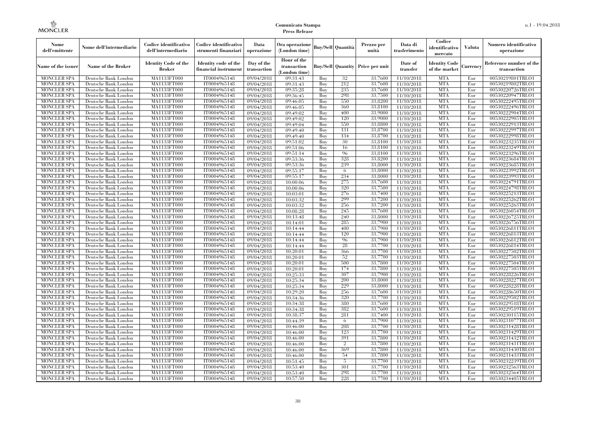| Nome<br>dell'emittente                   | Nome dell'intermediario                      | Codice identificativo<br>dell'intermediario  | Codice identificativo<br>strumenti finanziari | Data<br>operazione        | Ora operazione<br>(London time)             |            | Buv/Sell   Quantità      | Prezzo per<br>unità | Data di<br>trasferimento | Codice<br>identificativo<br>mercato   | <b>Valuta</b> | Numero identificativo<br>operazione    |
|------------------------------------------|----------------------------------------------|----------------------------------------------|-----------------------------------------------|---------------------------|---------------------------------------------|------------|--------------------------|---------------------|--------------------------|---------------------------------------|---------------|----------------------------------------|
| Name of the issuer                       | Name of the Broker                           | <b>Identity Code of the</b><br><b>Broker</b> | Identity code of the<br>financial instrument  | Day of the<br>transaction | Hour of the<br>transaction<br>(London time) |            | <b>Buy/Sell Quantity</b> | Price per unit      | Date of<br>transfer      | <b>Identity Code</b><br>of the market | Currencv      | Reference number of the<br>transaction |
| <b>MONCLER SPA</b>                       | Deutsche Bank London                         | MA1133FT000                                  | IT0004965148                                  | 09/04/2018                | 09:31:43                                    | Buy        | 32                       | 33,7600             | 11/10/2018               | <b>MTA</b>                            | Eur           | 00530219801TRLO1                       |
| <b>MONCLER SPA</b>                       | Deutsche Bank London                         | <b>MA1133FT000</b>                           | IT0004965148                                  | 09/04/2018                | 09:31:43                                    | Buy        | 212                      | 33,7600             | 11/10/2018               | <b>MTA</b>                            | Eur           | 00530219802TRLO1                       |
| <b>MONCLER SPA</b>                       | Deutsche Bank London                         | MA1133FT000                                  | IT0004965148                                  | 09/04/2018                | 09:35:28                                    | Buv        | 235                      | 33.7600             | 11/10/2018               | <b>MTA</b>                            | Eur           | 00530220726TRLO1                       |
| <b>MONCLER SPA</b>                       | Deutsche Bank London                         | MA1133FT000                                  | IT0004965148                                  | 09/04/2018                | 09:36:45                                    | Buy        | 298<br>550               | 33,7500             | 11/10/2018               | <b>MTA</b>                            | Eur           | 00530220947TRLO1                       |
| <b>MONCLER SPA</b>                       | Deutsche Bank London                         | MA1133FT000<br><b>MA1133FT000</b>            | IT0004965148<br>IT0004965148                  | 09/04/2018                | 09:46:05                                    | Buy        | 360                      | 33,8200<br>33,8100  | 11/10/2018               | <b>MTA</b><br><b>MTA</b>              | Eur<br>Eur    | 00530222495TRLO1                       |
| <b>MONCLER SPA</b><br><b>MONCLER SPA</b> | Deutsche Bank London<br>Deutsche Bank London | MA1133FT000                                  | IT0004965148                                  | 09/04/2018<br>09/04/2018  | 09:46:05<br>09:49:02                        | Buy<br>Buy | 400                      | 33,9000             | 11/10/2018<br>11/10/2018 | <b>MTA</b>                            | Eur           | 00530222496TRLO1<br>00530222904TRLO1   |
| <b>MONCLER SPA</b>                       | Deutsche Bank London                         | MA1133FT000                                  | IT0004965148                                  | 09/04/2018                | 09:49:02                                    | Buy        | 120                      | 33,9000             | 11/10/2018               | <b>MTA</b>                            | Eur           | 00530222905TRLO1                       |
| <b>MONCLER SPA</b>                       | Deutsche Bank London                         | MA1133FT000                                  | IT0004965148                                  | 09/04/2018                | 09:49:04                                    | Buy        | 550                      | 33,8800             | 11/10/2018               | <b>MTA</b>                            | Eur           | 00530222913TRLO1                       |
| <b>MONCLER SPA</b>                       | Deutsche Bank London                         | <b>MA1133FT000</b>                           | IT0004965148                                  | 09/04/2018                | 09:49:40                                    | Buy        | 131                      | 33,8700             | 11/10/2018               | <b>MTA</b>                            | Eur           | 00530222997TRLO1                       |
| <b>MONCLER SPA</b>                       | Deutsche Bank London                         | MA1133FT000                                  | IT0004965148                                  | 09/04/2018                | 09:49:40                                    | Buy        | 134                      | 33,8700             | 11/10/2018               | <b>MTA</b>                            | Eur           | 00530222998TRLO1                       |
| <b>MONCLER SPA</b>                       | Deutsche Bank London                         | MA1133FT000                                  | IT0004965148                                  | 09/04/2018                | 09:51:02                                    | Buy        | 30                       | 33,8100             | 11/10/2018               | <b>MTA</b>                            | Eur           | 00530223235TRLO1                       |
| <b>MONCLER SPA</b>                       | Deutsche Bank London                         | MA1133FT000                                  | IT0004965148                                  | 09/04/2018                | 09:51:06                                    | Buy        | 16                       | 33,8100             | 11/10/2018               | <b>MTA</b>                            | Eur           | 00530223249TRLO1                       |
| <b>MONCLER SPA</b>                       | Deutsche Bank London                         | MA1133FT000                                  | IT0004965148                                  | 09/04/2018                | 09:51:14                                    | Buy        | 96                       | 33,8100             | 11/10/2018               | <b>MTA</b>                            | Eur           | 00530223296TRLO1                       |
| <b>MONCLER SPA</b>                       | Deutsche Bank London                         | MA1133FT000                                  | IT0004965148                                  | 09/04/2018                | 09:53:36                                    | Buy        | 328                      | 33,8200             | 11/10/2018               | <b>MTA</b>                            | Eur           | 00530223684TRLO1                       |
| <b>MONCLER SPA</b>                       | Deutsche Bank London                         | MA1133FT000                                  | IT0004965148                                  | 09/04/2018                | 09:53:36                                    | Buy        | 239                      | 33,8000             | 11/10/2018               | <b>MTA</b>                            | Eur           | 00530223685TRLO1                       |
| <b>MONCLER SPA</b>                       | Deutsche Bank London                         | MA1133FT000                                  | IT0004965148                                  | 09/04/2018                | 09:55:17                                    | Buy        | -6                       | 33,8000             | 11/10/2018               | <b>MTA</b>                            | Eur           | 00530223992TRLO1                       |
| <b>MONCLER SPA</b>                       | Deutsche Bank London                         | MA1133FT000                                  | IT0004965148                                  | 09/04/2018                | 09:55:17                                    | Buy        | 234                      | 33,8000             | 11/10/2018               | <b>MTA</b>                            | Eur           | 00530223993TRLO1                       |
| <b>MONCLER SPA</b>                       | Deutsche Bank London                         | MA1133FT000                                  | IT0004965148                                  | 09/04/2018                | 10:00:06                                    | Buy        | 275                      | 33,7600             | 11/10/2018               | <b>MTA</b>                            | Eur           | 00530224791TRLO1                       |
| <b>MONCLER SPA</b>                       | Deutsche Bank London                         | MA1133FT000                                  | IT0004965148                                  | 09/04/2018                | 10:00:06                                    | Buy        | 320                      | 33,7500             | 11/10/2018               | <b>MTA</b>                            | Eur           | 00530224798TRLO1                       |
| MONCLER SPA                              | Deutsche Bank London                         | MA1133FT000                                  | IT0004965148                                  | 09/04/2018                | 10:03:01                                    | Buy        | 276<br>299               | 33,7400             | 11/10/2018               | <b>MTA</b><br><b>MTA</b>              | Eur           | 00530225213TRLO1                       |
| <b>MONCLER SPA</b><br><b>MONCLER SPA</b> | Deutsche Bank London                         | MA1133FT000                                  | IT0004965148<br>IT0004965148                  | 09/04/2018                | 10:03:32                                    | Buy<br>Buy | 256                      | 33,7200<br>33,7200  | 11/10/2018               | <b>MTA</b>                            | Eur<br>Eur    | 00530225262TRLO1<br>00530225263TRLO1   |
| <b>MONCLER SPA</b>                       | Deutsche Bank London<br>Deutsche Bank London | MA1133FT000<br>MA1133FT000                   | IT0004965148                                  | 09/04/2018<br>09/04/2018  | 10:03:32<br>10:08:28                        | Buy        | 245                      | 33,7600             | 11/10/2018<br>11/10/2018 | <b>MTA</b>                            | Eur           | 00530226054TRLO1                       |
| <b>MONCLER SPA</b>                       | Deutsche Bank London                         | MA1133FT000                                  | IT0004965148                                  | 09/04/2018                | 10:13:48                                    | Buy        | 240                      | 33,8000             | 11/10/2018               | <b>MTA</b>                            | Eur           | 00530226725TRLO1                       |
| <b>MONCLER SPA</b>                       | Deutsche Bank London                         | <b>MA1133FT000</b>                           | IT0004965148                                  | 09/04/2018                | 10:14:01                                    | Buy        | 285                      | 33,7900             | 11/10/2018               | <b>MTA</b>                            | Eur           | 00530226756TRLO1                       |
| <b>MONCLER SPA</b>                       | Deutsche Bank London                         | MA1133FT000                                  | IT0004965148                                  | 09/04/2018                | 10:14:44                                    | Buy        | 400                      | 33,7900             | 11/10/2018               | <b>MTA</b>                            | Eur           | 00530226811TRLO1                       |
| <b>MONCLER SPA</b>                       | Deutsche Bank London                         | MA1133FT000                                  | IT0004965148                                  | 09/04/2018                | 10:14:44                                    | Buy        | 120                      | 33,7900             | 11/10/2018               | <b>MTA</b>                            | Eur           | 00530226813TRLO1                       |
| <b>MONCLER SPA</b>                       | Deutsche Bank London                         | MA1133FT000                                  | IT0004965148                                  | 09/04/2018                | 10:14:44                                    | Buy        | 96                       | 33,7900             | 11/10/2018               | <b>MTA</b>                            | Eur           | 00530226812TRLO1                       |
| MONCLER SPA                              | Deutsche Bank London                         | <b>MA1133FT000</b>                           | IT0004965148                                  | 09/04/2018                | 10:14:44                                    | Buy        | 28                       | 33,7700             | 11/10/2018               | <b>MTA</b>                            | Eur           | 00530226814TRLO1                       |
| MONCLER SPA                              | Deutsche Bank London                         | MA1133FT000                                  | IT0004965148                                  | 09/04/2018                | 10:20:01                                    | Buy        | 366                      | 33,7700             | 11/10/2018               | <b>MTA</b>                            | Eur           | 00530227502TRLO1                       |
| <b>MONCLER SPA</b>                       | Deutsche Bank London                         | MA1133FT000                                  | IT0004965148                                  | 09/04/2018                | 10:20:01                                    | Buy        | 52                       | 33,7700             | 11/10/2018               | <b>MTA</b>                            | Eur           | 00530227503TRLO1                       |
| <b>MONCLER SPA</b>                       | Deutsche Bank London                         | MA1133FT000                                  | IT0004965148                                  | 09/04/2018                | 10:20:01                                    | Buy        | 500                      | 33,7800             | 11/10/2018               | <b>MTA</b>                            | Eur           | 00530227504TRLO1                       |
| <b>MONCLER SPA</b>                       | Deutsche Bank London                         | <b>MA1133FT000</b>                           | IT0004965148                                  | 09/04/2018                | 10:20:01                                    | Buy        | 174                      | 33,7800             | 11/10/2018               | <b>MTA</b>                            | Eur           | 00530227505TRLO1                       |
| <b>MONCLER SPA</b>                       | Deutsche Bank London                         | MA1133FT000                                  | IT0004965148                                  | 09/04/2018                | 10:25:33                                    | Buy        | 307                      | 33,7900             | 11/10/2018               | <b>MTA</b>                            | Eur           | 00530228226TRLO1                       |
| <b>MONCLER SPA</b>                       | Deutsche Bank London                         | MA1133FT000                                  | IT0004965148                                  | 09/04/2018                | 10:25:34                                    | Buy        | 200                      | 33,8000             | 11/10/2018               | <b>MTA</b>                            | Eur           | 00530228227TRLO1                       |
| <b>MONCLER SPA</b>                       | Deutsche Bank London                         | MA1133FT000                                  | IT0004965148                                  | 09/04/2018                | 10:25:34                                    | Buy        | 229                      | 33,8000             | 11/10/2018               | <b>MTA</b>                            | Eur           | 00530228228TRLO1                       |
| <b>MONCLER SPA</b>                       | Deutsche Bank London                         | <b>MA1133FT000</b>                           | IT0004965148                                  | 09/04/2018                | 10:29:20                                    | Buy        | 256                      | 33,7600             | 11/10/2018               | <b>MTA</b>                            | Eur           | 00530228650TRLO1                       |
| <b>MONCLER SPA</b>                       | Deutsche Bank London                         | MA1133FT000                                  | IT0004965148                                  | 09/04/2018                | 10:34:36                                    | Buy        | 320                      | 33,7700             | 11/10/2018               | <b>MTA</b>                            | Eur           | 00530229502TRLO1                       |
| <b>MONCLER SPA</b>                       | Deutsche Bank London                         | <b>MA1133FT000</b>                           | IT0004965148                                  | 09/04/2018                | 10:34:38                                    | Buy        | 380                      | 33,7600             | 11/10/2018               | <b>MTA</b>                            | Eur           | 00530229518TRLO1                       |
| <b>MONCLER SPA</b>                       | Deutsche Bank London                         | MA1133FT000                                  | IT0004965148<br>IT0004965148                  | 09/04/2018                | 10:34:38<br>10:38:37                        | Buy        | 382<br>281               | 33,7600<br>33.7400  | 11/10/2018               | <b>MTA</b><br><b>MTA</b>              | Eur           | 00530229519TRLO1                       |
| <b>MONCLER SPA</b><br><b>MONCLER SPA</b> | Deutsche Bank London<br>Deutsche Bank London | MA1133FT000<br>MA1133FT000                   | IT0004965148                                  | 09/04/2018<br>09/04/2018  | 10:44:39                                    | Buy<br>Buy | 6                        | 33,7900             | 11/10/2018<br>11/10/2018 | <b>MTA</b>                            | Eur<br>Eur    | 00530230115TRLO1<br>00530231077TRLO1   |
| <b>MONCLER SPA</b>                       | Deutsche Bank London                         | MA1133FT000                                  | IT0004965148                                  | 09/04/2018                | 10:46:00                                    | Buy        | 208                      | 33,7700             | 11/10/2018               | <b>MTA</b>                            | Eur           | 00530231428TRLO1                       |
| <b>MONCLER SPA</b>                       | Deutsche Bank London                         | MA1133FT000                                  | IT0004965148                                  | 09/04/2018                | 10:46:00                                    | Buy        | 123                      | 33,7700             | 11/10/2018               | <b>MTA</b>                            | Eur           | 00530231429TRLO1                       |
| <b>MONCLER SPA</b>                       | Deutsche Bank London                         | MA1133FT000                                  | IT0004965148                                  | 09/04/2018                | 10:46:00                                    | Buy        | 391                      | 33,7800             | 11/10/2018               | <b>MTA</b>                            | Eur           | 00530231432TRLO1                       |
| <b>MONCLER SPA</b>                       | Deutsche Bank London                         | MA1133FT000                                  | IT0004965148                                  | 09/04/2018                | 10:46:00                                    | Buy        | $\overline{2}$           | 33,7800             | 11/10/2018               | <b>MTA</b>                            | Eur           | 00530231431TRLO1                       |
| <b>MONCLER SPA</b>                       | Deutsche Bank London                         | MA1133FT000                                  | IT0004965148                                  | 09/04/2018                | 10:46:00                                    | Buy        | 369                      | 33,7800             | 11/10/2018               | <b>MTA</b>                            | Eur           | 00530231430TRLO1                       |
| <b>MONCLER SPA</b>                       | Deutsche Bank London                         | MA1133FT000                                  | IT0004965148                                  | 09/04/2018                | 10:46:00                                    | Buy        | 54                       | 33,7800             | 11/10/2018               | <b>MTA</b>                            | Eur           | 00530231433TRLO1                       |
| <b>MONCLER SPA</b>                       | Deutsche Bank London                         | MA1133FT000                                  | IT0004965148                                  | 09/04/2018                | 10:51:45                                    | Buy        | 5                        | 33,7700             | 11/10/2018               | <b>MTA</b>                            | Eur           | 00530232239TRLO1                       |
| <b>MONCLER SPA</b>                       | Deutsche Bank London                         | MA1133FT000                                  | IT0004965148                                  | 09/04/2018                | 10:53:40                                    | Buy        | 301                      | 33,7700             | 11/10/2018               | <b>MTA</b>                            | Eur           | 00530232563TRLO1                       |
| <b>MONCLER SPA</b>                       | Deutsche Bank London                         | MA1133FT000                                  | IT0004965148                                  | 09/04/2018                | 10:53:40                                    | Buy        | 298                      | 33,7700             | 11/10/2018               | <b>MTA</b>                            | Eur           | 00530232564TRLO1                       |
| <b>MONCLER SPA</b>                       | Deutsche Bank London                         | MA1133FT000                                  | IT0004965148                                  | 09/04/2018                | 10:57:50                                    | Buy        | 228                      | 33,7700             | 11/10/2018               | <b>MTA</b>                            | Eur           | 00530234405TRLO1                       |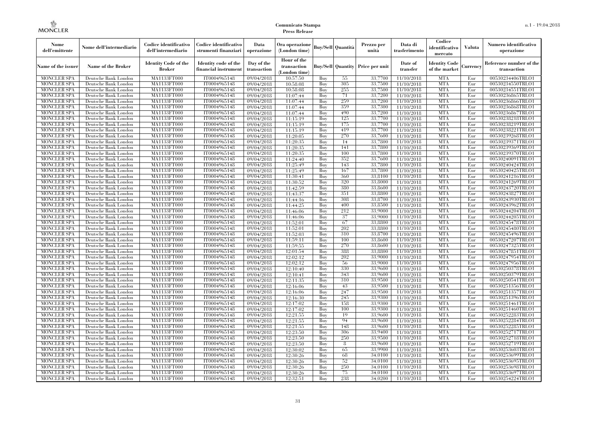| Nome<br>dell'emittente                   | Nome dell'intermediario                      | Codice identificativo<br>dell'intermediario | Codice identificativo<br>strumenti finanziari | Data<br>operazione        | Ora operazione<br>(London time)             |            | Buy/Sell   Quantità      | Prezzo per<br>unità | Data di<br>trasferimento | Codice<br>identificativo<br>mercato   | <b>Valuta</b> | Numero identificativo<br>operazione    |
|------------------------------------------|----------------------------------------------|---------------------------------------------|-----------------------------------------------|---------------------------|---------------------------------------------|------------|--------------------------|---------------------|--------------------------|---------------------------------------|---------------|----------------------------------------|
| Name of the issuer                       | Name of the Broker                           | <b>Identity Code of the</b><br>Broker       | Identity code of the<br>financial instrument  | Day of the<br>transaction | Hour of the<br>transaction<br>(London time) |            | <b>Buy/Sell Quantity</b> | Price per unit      | Date of<br>transfer      | <b>Identity Code</b><br>of the market | Currencv      | Reference number of the<br>transaction |
| <b>MONCLER SPA</b>                       | Deutsche Bank London                         | MA1133FT000                                 | IT0004965148                                  | $\overline{09}/04/2018$   | 10:57:50                                    | Buy        | 55                       | 33,7700             | 11/10/2018               | <b>MTA</b>                            | Eur           | 00530234406TRLO1                       |
| <b>MONCLER SPA</b>                       | Deutsche Bank London                         | <b>MA1133FT000</b>                          | IT0004965148                                  | 09/04/2018                | 10:58:08                                    | Buy        | 305                      | 33,7500             | 11/10/2018               | <b>MTA</b>                            | Eur           | 00530234550TRLO1                       |
| <b>MONCLER SPA</b>                       | Deutsche Bank London                         | MA1133FT000                                 | IT0004965148                                  | 09/04/2018                | 10:58:08                                    | Buv        | 255                      | 33.7500             | 11/10/2018               | <b>MTA</b>                            | Eur           | 00530234551TRLO1                       |
| <b>MONCLER SPA</b>                       | Deutsche Bank London                         | MA1133FT000                                 | IT0004965148                                  | 09/04/2018                | 11:07:44                                    | Buy        | 71<br>259                | 33,7200             | 11/10/2018               | <b>MTA</b>                            | Eur           | 00530236865TRLO1                       |
| <b>MONCLER SPA</b>                       | Deutsche Bank London                         | MA1133FT000                                 | IT0004965148                                  | 09/04/2018                | 11:07:44                                    | Buy        | 359                      | 33,7200<br>33,7300  | 11/10/2018               | <b>MTA</b><br><b>MTA</b>              | Eur<br>Eur    | 00530236866TRLO1                       |
| <b>MONCLER SPA</b><br><b>MONCLER SPA</b> | Deutsche Bank London<br>Deutsche Bank London | <b>MA1133FT000</b><br>MA1133FT000           | IT0004965148<br>IT0004965148                  | 09/04/2018<br>09/04/2018  | 11:07:44<br>11:07:44                        | Buy<br>Buy | 490                      | 33,7200             | 11/10/2018<br>11/10/2018 | <b>MTA</b>                            | Eur           | 00530236868TRLO1<br>00530236867TRLO1   |
| <b>MONCLER SPA</b>                       | Deutsche Bank London                         | MA1133FT000                                 | IT0004965148                                  | 09/04/2018                | 11:15:19                                    | Buy        | 125                      | 33.7700             | 11/10/2018               | <b>MTA</b>                            | Eur           | 00530238218TRLO1                       |
| <b>MONCLER SPA</b>                       | Deutsche Bank London                         | MA1133FT000                                 | IT0004965148                                  | 09/04/2018                | 11:15:19                                    | Buy        | 175                      | 33,7700             | 11/10/2018               | <b>MTA</b>                            | Eur           | 00530238219TRLO1                       |
| <b>MONCLER SPA</b>                       | Deutsche Bank London                         | MA1133FT000                                 | IT0004965148                                  | 09/04/2018                | 11:15:19                                    | Buy        | 419                      | 33,7700             | 11/10/2018               | <b>MTA</b>                            | Eur           | 00530238221TRLO1                       |
| <b>MONCLER SPA</b>                       | Deutsche Bank London                         | MA1133FT000                                 | IT0004965148                                  | 09/04/2018                | 11:20:05                                    | Buy        | 270                      | 33,7600             | 11/10/2018               | <b>MTA</b>                            | Eur           | 00530239268TRLO1                       |
| <b>MONCLER SPA</b>                       | Deutsche Bank London                         | MA1133FT000                                 | IT0004965148                                  | 09/04/2018                | 11:20:35                                    | Buy        | 14                       | 33,7800             | 11/10/2018               | <b>MTA</b>                            | Eur           | 00530239371TRLO1                       |
| <b>MONCLER SPA</b>                       | Deutsche Bank London                         | MA1133FT000                                 | IT0004965148                                  | 09/04/2018                | 11:20:35                                    | Buy        | 141                      | 33,7800             | 11/10/2018               | <b>MTA</b>                            | Eur           | 00530239369TRLO1                       |
| <b>MONCLER SPA</b>                       | Deutsche Bank London                         | MA1133FT000                                 | IT0004965148                                  | 09/04/2018                | 11:20:35                                    | Buy        | 100                      | 33,7800             | 11/10/2018               | <b>MTA</b>                            | Eur           | 00530239370TRLO1                       |
| <b>MONCLER SPA</b>                       | Deutsche Bank London                         | MA1133FT000                                 | IT0004965148                                  | 09/04/2018                | 11:24:40                                    | Buy        | 352                      | 33,7600             | 11/10/2018               | <b>MTA</b>                            | Eur           | 00530240091TRLO1                       |
| <b>MONCLER SPA</b>                       | Deutsche Bank London                         | MA1133FT000                                 | IT0004965148                                  | 09/04/2018                | 11:25:49                                    | Buy        | 143                      | 33,7800             | 11/10/2018               | <b>MTA</b>                            | Eur           | 00530240424TRLO1                       |
| <b>MONCLER SPA</b>                       | Deutsche Bank London                         | MA1133FT000                                 | IT0004965148                                  | 09/04/2018                | 11:25:49                                    | Buy        | 167                      | 33,7800             | 11/10/2018               | <b>MTA</b>                            | Eur           | 00530240425TRLO1                       |
| <b>MONCLER SPA</b>                       | Deutsche Bank London                         | MA1133FT000                                 | IT0004965148                                  | 09/04/2018                | 11:30:41                                    | Buy        | 360                      | 33,8100             | 11/10/2018               | <b>MTA</b>                            | Eur           | 00530241216TRLO1                       |
| <b>MONCLER SPA</b>                       | Deutsche Bank London                         | MA1133FT000                                 | IT0004965148                                  | 09/04/2018                | 11:30:52                                    | Buy        | 320                      | 33,8000             | 11/10/2018               | <b>MTA</b>                            | Eur           | 00530241269TRLO1                       |
| <b>MONCLER SPA</b>                       | Deutsche Bank London                         | MA1133FT000                                 | IT0004965148                                  | 09/04/2018                | 11:42:59                                    | Buy        | 380                      | 33,8600             | 11/10/2018               | <b>MTA</b>                            | Eur           | 00530243720TRLO1                       |
| <b>MONCLER SPA</b>                       | Deutsche Bank London                         | MA1133FT000                                 | IT0004965148                                  | 09/04/2018                | 11:43:37                                    | Buy        | 351                      | 33,8800             | 11/10/2018               | <b>MTA</b>                            | Eur           | 00530243827TRLO1                       |
| <b>MONCLER SPA</b><br><b>MONCLER SPA</b> | Deutsche Bank London                         | MA1133FT000<br>MA1133FT000                  | IT0004965148<br>IT0004965148                  | 09/04/2018                | 11:44:16                                    | Buy<br>Buy | 308<br>400               | 33,8700<br>33,8500  | 11/10/2018               | <b>MTA</b><br><b>MTA</b>              | Eur<br>Eur    | 00530243930TRLO1<br>00530243962TRLO1   |
| <b>MONCLER SPA</b>                       | Deutsche Bank London<br>Deutsche Bank London | MA1133FT000                                 | IT0004965148                                  | 09/04/2018<br>09/04/2018  | 11:44:25<br>11:46:06                        | Buy        | 212                      | 33,9000             | 11/10/2018<br>11/10/2018 | <b>MTA</b>                            | Eur           | 00530244204TRLO1                       |
| <b>MONCLER SPA</b>                       | Deutsche Bank London                         | MA1133FT000                                 | IT0004965148                                  | 09/04/2018                | 11:46:06                                    | Buy        | 37                       | 33,9000             | 11/10/2018               | <b>MTA</b>                            | Eur           | 00530244205TRLO1                       |
| <b>MONCLER SPA</b>                       | Deutsche Bank London                         | MA1133FT000                                 | IT0004965148                                  | 09/04/2018                | 11:52:01                                    | Buy        | 67                       | 33,8800             | 11/10/2018               | <b>MTA</b>                            | Eur           | 00530245478TRLO1                       |
| <b>MONCLER SPA</b>                       | Deutsche Bank London                         | MA1133FT000                                 | IT0004965148                                  | 09/04/2018                | 11:52:01                                    | Buy        | 202                      | 33,8800             | 11/10/2018               | <b>MTA</b>                            | Eur           | 00530245480TRLO1                       |
| <b>MONCLER SPA</b>                       | Deutsche Bank London                         | MA1133FT000                                 | IT0004965148                                  | 09/04/2018                | 11:52:03                                    | Buy        | 310                      | 33,8700             | 11/10/2018               | <b>MTA</b>                            | Eur           | 00530245496TRLO1                       |
| <b>MONCLER SPA</b>                       | Deutsche Bank London                         | MA1133FT000                                 | IT0004965148                                  | 09/04/2018                | 11:59:11                                    | Buy        | 100                      | 33,8600             | 11/10/2018               | <b>MTA</b>                            | Eur           | 00530247207TRLO1                       |
| <b>MONCLER SPA</b>                       | Deutsche Bank London                         | <b>MA1133FT000</b>                          | IT0004965148                                  | 09/04/2018                | 11:59:55                                    | Buy        | 270                      | 33,8600             | 11/10/2018               | <b>MTA</b>                            | Eur           | 00530247325TRLO1                       |
| <b>MONCLER SPA</b>                       | Deutsche Bank London                         | MA1133FT000                                 | IT0004965148                                  | 09/04/2018                | 12:01:54                                    | Buy        | 388                      | 33,8800             | 11/10/2018               | <b>MTA</b>                            | Eur           | 00530247851TRLO1                       |
| <b>MONCLER SPA</b>                       | Deutsche Bank London                         | MA1133FT000                                 | IT0004965148                                  | 09/04/2018                | 12:02:12                                    | Buy        | 202                      | 33,9000             | 11/10/2018               | <b>MTA</b>                            | Eur           | 00530247954TRLO1                       |
| <b>MONCLER SPA</b>                       | Deutsche Bank London                         | MA1133FT000                                 | IT0004965148                                  | 09/04/2018                | 12:02:12                                    | Buv        | 56                       | 33,9000             | 11/10/2018               | <b>MTA</b>                            | Eur           | 00530247956TRLO1                       |
| <b>MONCLER SPA</b>                       | Deutsche Bank London                         | <b>MA1133FT000</b>                          | IT0004965148                                  | 09/04/2018                | 12:10:40                                    | Buy        | 330                      | 33,9600             | 11/10/2018               | <b>MTA</b>                            | Eur           | 00530250378TRLO1                       |
| <b>MONCLER SPA</b>                       | Deutsche Bank London                         | MA1133FT000                                 | IT0004965148                                  | 09/04/2018                | 12:10:41                                    | Buy        | 343                      | 33,9600             | 11/10/2018               | <b>MTA</b>                            | Eur           | 00530250379TRLO1                       |
| <b>MONCLER SPA</b>                       | Deutsche Bank London                         | MA1133FT000                                 | IT0004965148                                  | 09/04/2018                | 12:11:35                                    | Buy        | 310                      | 33,9500             | 11/10/2018               | <b>MTA</b>                            | Eur           | 00530250541TRLO1                       |
| <b>MONCLER SPA</b>                       | Deutsche Bank London                         | MA1133FT000                                 | IT0004965148                                  | 09/04/2018                | 12:16:06                                    | Buy        | 43                       | 33,9500             | 11/10/2018               | <b>MTA</b>                            | Eur           | 00530251356TRLO1                       |
| <b>MONCLER SPA</b>                       | Deutsche Bank London                         | <b>MA1133FT000</b>                          | IT0004965148                                  | 09/04/2018                | 12:16:06                                    | Buy        | 247                      | 33,9500             | 11/10/2018               | <b>MTA</b>                            | Eur           | 00530251357TRLO1                       |
| <b>MONCLER SPA</b>                       | Deutsche Bank London                         | MA1133FT000                                 | IT0004965148                                  | 09/04/2018                | 12:16:30                                    | Buy        | 245                      | 33,9300             | 11/10/2018               | <b>MTA</b>                            | Eur           | 00530251396TRLO1                       |
| <b>MONCLER SPA</b>                       | Deutsche Bank London                         | <b>MA1133FT000</b>                          | IT0004965148                                  | 09/04/2018                | 12:17:02                                    | Buy        | 158                      | 33,9300             | 11/10/2018               | <b>MTA</b>                            | Eur           | 00530251461TRLO1                       |
| <b>MONCLER SPA</b>                       | Deutsche Bank London                         | MA1133FT000                                 | IT0004965148<br>IT0004965148                  | 09/04/2018                | 12:17:02<br>12:21:55                        | Buy        | 100<br>19                | 33.9300<br>33,9600  | 11/10/2018<br>11/10/2018 | <b>MTA</b><br><b>MTA</b>              | Eur           | 00530251460TRLO1                       |
| <b>MONCLER SPA</b><br><b>MONCLER SPA</b> | Deutsche Bank London<br>Deutsche Bank London | MA1133FT000<br>MA1133FT000                  | IT0004965148                                  | 09/04/2018<br>09/04/2018  | 12:21:55                                    | Buy<br>Buy | 94                       | 33,9600             | 11/10/2018               | <b>MTA</b>                            | Eur<br>Eur    | 00530252283TRLO1<br>00530252284TRLO1   |
| <b>MONCLER SPA</b>                       | Deutsche Bank London                         | MA1133FT000                                 | IT0004965148                                  | 09/04/2018                | 12:21:55                                    | Buy        | 148                      | 33,9600             | 11/10/2018               | <b>MTA</b>                            | Eur           | 00530252285TRLO1                       |
| <b>MONCLER SPA</b>                       | Deutsche Bank London                         | MA1133FT000                                 | IT0004965148                                  | 09/04/2018                | 12:23:50                                    | Buy        | 306                      | 33,9400             | 11/10/2018               | <b>MTA</b>                            | Eur           | 00530252717TRLO1                       |
| <b>MONCLER SPA</b>                       | Deutsche Bank London                         | MA1133FT000                                 | IT0004965148                                  | 09/04/2018                | 12:23:50                                    | Buy        | 250                      | 33,9500             | 11/10/2018               | <b>MTA</b>                            | Eur           | 00530252718TRLO1                       |
| <b>MONCLER SPA</b>                       | Deutsche Bank London                         | MA1133FT000                                 | IT0004965148                                  | 09/04/2018                | 12:23:50                                    | Buy        | 8                        | 33,9600             | 11/10/2018               | <b>MTA</b>                            | Eur           | 00530252719TRLO1                       |
| <b>MONCLER SPA</b>                       | Deutsche Bank London                         | MA1133FT000                                 | IT0004965148                                  | 09/04/2018                | 12:30:02                                    | Buy        | 65                       | 33,9900             | 11/10/2018               | <b>MTA</b>                            | Eur           | 00530253603TRLO1                       |
| <b>MONCLER SPA</b>                       | Deutsche Bank London                         | MA1133FT000                                 | IT0004965148                                  | 09/04/2018                | 12:30:26                                    | Buy        | 68                       | 34,0100             | 11/10/2018               | <b>MTA</b>                            | Eur           | 00530253699TRLO1                       |
| <b>MONCLER SPA</b>                       | Deutsche Bank London                         | MA1133FT000                                 | IT0004965148                                  | 09/04/2018                | 12:30:26                                    | Buy        | 52                       | 34,0100             | 11/10/2018               | <b>MTA</b>                            | Eur           | 00530253695TRLO1                       |
| <b>MONCLER SPA</b>                       | Deutsche Bank London                         | MA1133FT000                                 | IT0004965148                                  | 09/04/2018                | 12:30:26                                    | Buy        | 250                      | 34,0100             | 11/10/2018               | <b>MTA</b>                            | Eur           | 00530253698TRLO1                       |
| <b>MONCLER SPA</b>                       | Deutsche Bank London                         | MA1133FT000                                 | IT0004965148                                  | 09/04/2018                | 12:30:26                                    | Buy        | 75                       | 34,0100             | 11/10/2018               | <b>MTA</b>                            | Eur           | 00530253697TRLO1                       |
| <b>MONCLER SPA</b>                       | Deutsche Bank London                         | MA1133FT000                                 | IT0004965148                                  | 09/04/2018                | 12:32:51                                    | Buy        | 238                      | 34,0200             | 11/10/2018               | <b>MTA</b>                            | Eur           | 00530254224TRLO1                       |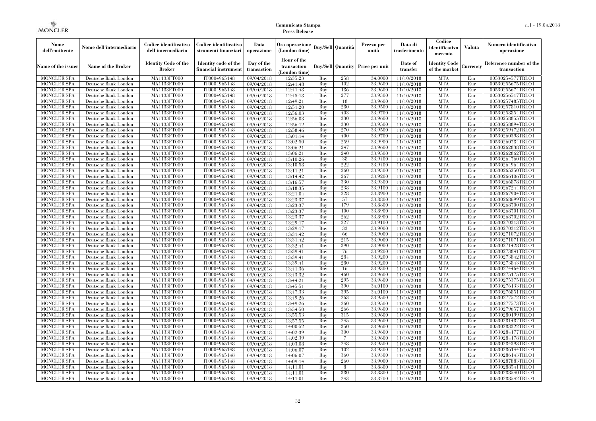| Nome<br>dell'emittente                   | Nome dell'intermediario                      | Codice identificativo<br>dell'intermediario  | Codice identificativo<br>strumenti finanziari | Data<br>operazione        | Ora operazione<br>(London time)             |            | Buy/Sell   Quantità | Prezzo per<br>unità                     | Data di<br>trasferimento | Codice<br>identificativo<br>mercato   | <b>Valuta</b> | Numero identificativo<br>operazione    |
|------------------------------------------|----------------------------------------------|----------------------------------------------|-----------------------------------------------|---------------------------|---------------------------------------------|------------|---------------------|-----------------------------------------|--------------------------|---------------------------------------|---------------|----------------------------------------|
| Name of the issuer                       | <b>Name of the Broker</b>                    | <b>Identity Code of the</b><br><b>Broker</b> | Identity code of the<br>financial instrument  | Day of the<br>transaction | Hour of the<br>transaction<br>(London time) |            |                     | <b>Buy/Sell Quantity Price per unit</b> | Date of<br>transfer      | <b>Identity Code</b><br>of the market | Currency      | Reference number of the<br>transaction |
| <b>MONCLER SPA</b>                       | Deutsche Bank London                         | MA1133FT000                                  | IT0004965148                                  | $\frac{09}{04/2018}$      | 12:35:23                                    | Buy        | 258                 | 34,0000                                 | 11/10/2018               | <b>MTA</b>                            | Eur           | 00530254577TRLO1                       |
| <b>MONCLER SPA</b>                       | Deutsche Bank London                         | MA1133FT000                                  | IT0004965148                                  | 09/04/2018                | 12:41:48                                    | Buy        | 102                 | 33,9600                                 | 11/10/2018               | <b>MTA</b>                            | Eur           | 00530255675TRLO1                       |
| <b>MONCLER SPA</b>                       | Deutsche Bank London                         | <b>MA1133FT000</b>                           | IT0004965148                                  | 09/04/2018                | 12:41:48                                    | Buy        | 186                 | 33,9600                                 | 11/10/2018               | <b>MTA</b>                            | Eur           | 00530255674TRLO1                       |
| <b>MONCLER SPA</b>                       | Deutsche Bank London                         | MA1133FT000                                  | IT0004965148                                  | 09/04/2018                | 12:45:18                                    | Buy<br>Buy | 277<br>18           | 33,9300<br>33,9600                      | 11/10/2018               | <b>MTA</b><br><b>MTA</b>              | Eur<br>Eur    | 00530256517TRLO1                       |
| <b>MONCLER SPA</b><br><b>MONCLER SPA</b> | Deutsche Bank London<br>Deutsche Bank London | MA1133FT000<br><b>MA1133FT000</b>            | IT0004965148<br>IT0004965148                  | 09/04/2018<br>09/04/2018  | 12:49:21<br>12:51:20                        | Buy        | 280                 | 33,9500                                 | 11/10/2018<br>11/10/2018 | <b>MTA</b>                            | Eur           | 00530257485TRLO1<br>00530257810TRLO1   |
| <b>MONCLER SPA</b>                       | Deutsche Bank London                         | <b>MA1133FT000</b>                           | IT0004965148                                  | 09/04/2018                | 12:56:03                                    | Buy        | 403                 | 33,9700                                 | 11/10/2018               | <b>MTA</b>                            | Eur           | 00530258854TRLO1                       |
| <b>MONCLER SPA</b>                       | Deutsche Bank London                         | MA1133FT000                                  | IT0004965148                                  | 09/04/2018                | 12:56:03                                    | Buy        | 330                 | 33,9600                                 | 11/10/2018               | <b>MTA</b>                            | Eur           | 00530258855TRLO1                       |
| <b>MONCLER SPA</b>                       | Deutsche Bank London                         | MA1133FT000                                  | IT0004965148                                  | 09/04/2018                | 12:56:12                                    | Buy        | 330                 | 33,9500                                 | 11/10/2018               | <b>MTA</b>                            | Eur           | 00530258894TRLO1                       |
| <b>MONCLER SPA</b>                       | Deutsche Bank London                         | <b>MA1133FT000</b>                           | IT0004965148                                  | 09/04/2018                | 12:58:46                                    | Buy        | 270                 | 33,9500                                 | 11/10/2018               | <b>MTA</b>                            | Eur           | 00530259472TRLO1                       |
| <b>MONCLER SPA</b>                       | Deutsche Bank London                         | <b>MA1133FT000</b>                           | IT0004965148                                  | 09/04/2018                | 13:01:14                                    | Buy        | 400                 | 33,9700                                 | 11/10/2018               | <b>MTA</b>                            | Eur           | 00530260398TRLO1                       |
| <b>MONCLER SPA</b>                       | Deutsche Bank London                         | <b>MA1133FT000</b>                           | IT0004965148                                  | 09/04/2018                | 13:02:50                                    | Buy        | 259                 | 33,9900                                 | 11/10/2018               | <b>MTA</b>                            | Eur           | 00530260784TRLO1                       |
| <b>MONCLER SPA</b>                       | Deutsche Bank London                         | MA1133FT000                                  | IT0004965148                                  | 09/04/2018                | 13:06:21                                    | Buy        | 247                 | 33,9600                                 | 11/10/2018               | <b>MTA</b>                            | Eur           | 00530262838TRLO1                       |
| <b>MONCLER SPA</b>                       | Deutsche Bank London                         | <b>MA1133FT000</b>                           | IT0004965148                                  | 09/04/2018                | 13:06:21                                    | Buy        | 240                 | 33,9500                                 | 11/10/2018               | <b>MTA</b>                            | Eur           | 00530262862TRLO1                       |
| <b>MONCLER SPA</b>                       | Deutsche Bank London                         | <b>MA1133FT000</b>                           | IT0004965148                                  | 09/04/2018                | 13:10:26                                    | Buy        | 38                  | 33,9400                                 | 11/10/2018               | <b>MTA</b>                            | Eur           | 00530264760TRLO1                       |
| <b>MONCLER SPA</b>                       | Deutsche Bank London                         | <b>MA1133FT000</b>                           | IT0004965148                                  | 09/04/2018                | 13:10:58                                    | Buy        | 222                 | 33.9400                                 | 11/10/2018               | <b>MTA</b>                            | Eur           | 00530264964TRLO1                       |
| <b>MONCLER SPA</b>                       | Deutsche Bank London                         | MA1133FT000                                  | IT0004965148                                  | 09/04/2018                | 13:11:21                                    | Buy        | 260                 | 33,9300                                 | 11/10/2018               | <b>MTA</b>                            | Eur           | 00530265250TRLO1                       |
| MONCLER SPA                              | Deutsche Bank London                         | MA1133FT000                                  | IT0004965148                                  | 09/04/2018                | 13:14:42                                    | Buy        | 267                 | 33,9200                                 | 11/10/2018               | <b>MTA</b>                            | Eur           | 00530266106TRLO1                       |
| MONCLER SPA                              | Deutsche Bank London                         | <b>MA1133FT000</b>                           | IT0004965148                                  | 09/04/2018                | 13:16:57                                    | Buy        | 330                 | 33,9300                                 | 11/10/2018               | <b>MTA</b>                            | Eur           | 00530266878TRLO1                       |
| <b>MONCLER SPA</b>                       | Deutsche Bank London                         | MA1133FT000                                  | IT0004965148                                  | 09/04/2018                | 13:18:35                                    | Buy        | 238                 | 33.9100                                 | 11/10/2018               | <b>MTA</b>                            | Eur           | 00530267244TRLO1                       |
| <b>MONCLER SPA</b>                       | Deutsche Bank London                         | MA1133FT000                                  | IT0004965148                                  | 09/04/2018                | 13:21:04                                    | Buy        | 228                 | 33,8900                                 | 11/10/2018               | <b>MTA</b>                            | Eur           | 00530267904TRLO1                       |
| MONCLER SPA                              | Deutsche Bank London                         | MA1133FT000                                  | IT0004965148                                  | 09/04/2018                | 13:23:37                                    | Buy        | 57                  | 33,8800                                 | 11/10/2018               | <b>MTA</b>                            | Eur           | 00530268699TRLO1                       |
| <b>MONCLER SPA</b>                       | Deutsche Bank London                         | <b>MA1133FT000</b><br>MA1133FT000            | IT0004965148                                  | 09/04/2018                | 13:23:37                                    | Buy        | 179<br>100          | 33,8800                                 | 11/10/2018               | MTA                                   | Eur           | 00530268700TRLO1                       |
| <b>MONCLER SPA</b><br><b>MONCLER SPA</b> | Deutsche Bank London<br>Deutsche Bank London | MA1133FT000                                  | IT0004965148<br>IT0004965148                  | 09/04/2018<br>09/04/2018  | 13:23:37<br>13:23:37                        | Buy<br>Buy | 262                 | 33,8900<br>33,8900                      | 11/10/2018<br>11/10/2018 | <b>MTA</b><br><b>MTA</b>              | Eur<br>Eur    | 00530268701TRLO1<br>00530268702TRLO1   |
| <b>MONCLER SPA</b>                       | Deutsche Bank London                         | <b>MA1133FT000</b>                           | IT0004965148                                  | 09/04/2018                | 13:29:17                                    | Buy        | 227                 | 33,9100                                 | 11/10/2018               | <b>MTA</b>                            | Eur           | 00530270313TRLO1                       |
| <b>MONCLER SPA</b>                       | Deutsche Bank London                         | <b>MA1133FT000</b>                           | IT0004965148                                  | 09/04/2018                | 13:29:17                                    | Buy        | 33                  | 33,9000                                 | 11/10/2018               | MTA                                   | Eur           | 00530270312TRLO1                       |
| <b>MONCLER SPA</b>                       | Deutsche Bank London                         | MA1133FT000                                  | IT0004965148                                  | 09/04/2018                | 13:31:42                                    | Buy        | 66                  | 33,9000                                 | 11/10/2018               | <b>MTA</b>                            | Eur           | 00530271072TRLO1                       |
| <b>MONCLER SPA</b>                       | Deutsche Bank London                         | MA1133FT000                                  | IT0004965148                                  | 09/04/2018                | 13:31:42                                    | Buy        | 215                 | 33,9000                                 | 11/10/2018               | <b>MTA</b>                            | Eur           | 00530271071TRLO1                       |
| <b>MONCLER SPA</b>                       | Deutsche Bank London                         | <b>MA1133FT000</b>                           | IT0004965148                                  | 09/04/2018                | 13:32:41                                    | Buy        | 390                 | 33,9000                                 | 11/10/2018               | <b>MTA</b>                            | Eur           | 00530271428TRLO1                       |
| MONCLER SPA                              | Deutsche Bank London                         | <b>MA1133FT000</b>                           | IT0004965148                                  | 09/04/2018                | 13:39:41                                    | Buy        | 76                  | 33,9200                                 | 11/10/2018               | <b>MTA</b>                            | Eur           | 00530273841TRLO1                       |
| <b>MONCLER SPA</b>                       | Deutsche Bank London                         | MA1133FT000                                  | IT0004965148                                  | 09/04/2018                | 13:39:41                                    | Buy        | 284                 | 33,9200                                 | 11/10/2018               | <b>MTA</b>                            | Eur           | 00530273842TRLO1                       |
| <b>MONCLER SPA</b>                       | Deutsche Bank London                         | MA1133FT000                                  | IT0004965148                                  | 09/04/2018                | 13:39:41                                    | Buy        | 280                 | 33,9200                                 | 11/10/2018               | <b>MTA</b>                            | Eur           | 00530273843TRLO1                       |
| <b>MONCLER SPA</b>                       | Deutsche Bank London                         | <b>MA1133FT000</b>                           | IT0004965148                                  | 09/04/2018                | 13:41:36                                    | Buy        | 16                  | 33,9300                                 | 11/10/2018               | MTA                                   | Eur           | 00530274464TRLO1                       |
| <b>MONCLER SPA</b>                       | Deutsche Bank London                         | <b>MA1133FT000</b>                           | IT0004965148                                  | 09/04/2018                | 13:43:32                                    | Buy        | 460                 | 33,9600                                 | 11/10/2018               | <b>MTA</b>                            | Eur           | 00530275175TRLO1                       |
| <b>MONCLER SPA</b>                       | Deutsche Bank London                         | MA1133FT000                                  | IT0004965148                                  | 09/04/2018                | 13:44:21                                    | Buy        | 295                 | 33,9800                                 | 11/10/2018               | <b>MTA</b>                            | Eur           | 00530275375TRLO1                       |
| <b>MONCLER SPA</b>                       | Deutsche Bank London                         | MA1133FT000                                  | IT0004965148                                  | 09/04/2018                | 13:45:51                                    | Buy        | 390                 | 34,0100                                 | 11/10/2018               | <b>MTA</b>                            | Eur           | 00530276133TRLO1                       |
| <b>MONCLER SPA</b>                       | Deutsche Bank London                         | <b>MA1133FT000</b>                           | IT0004965148                                  | 09/04/2018                | 13:47:33                                    | Buy        | 395                 | 34,0100                                 | 11/10/2018               | <b>MTA</b>                            | Eur           | 00530276851TRLO1                       |
| <b>MONCLER SPA</b>                       | Deutsche Bank London                         | <b>MA1133FT000</b>                           | IT0004965148                                  | 09/04/2018                | 13:49:26                                    | Buy        | 263                 | 33,9500                                 | 11/10/2018               | MTA                                   | Eur           | 00530277572TRLO1                       |
| <b>MONCLER SPA</b>                       | Deutsche Bank London                         | MA1133FT000                                  | IT0004965148                                  | 09/04/2018                | 13:49:26                                    | Buy        | 260                 | 33,9500                                 | 11/10/2018               | <b>MTA</b>                            | Eur           | 00530277573TRLO1                       |
| <b>MONCLER SPA</b>                       | Deutsche Bank London                         | MA1133FT000                                  | IT0004965148                                  | 09/04/2018                | 13:54:50                                    | Buy        | 266                 | 33,9800                                 | 11/10/2018               | <b>MTA</b>                            | Eur           | 00530279657TRLO1                       |
| <b>MONCLER SPA</b><br><b>MONCLER SPA</b> | Deutsche Bank London<br>Deutsche Bank London | MA1133FT000<br><b>MA1133FT000</b>            | IT0004965148<br>IT0004965148                  | 09/04/2018                | 13:55:53                                    | Buy<br>Buy | 315<br>245          | 33,9600<br>33,9600                      | 11/10/2018               | <b>MTA</b><br>MTA                     | Eur<br>Eur    | 00530280199TRLO1<br>00530281487TRLO1   |
| <b>MONCLER SPA</b>                       | Deutsche Bank London                         | MA1133FT000                                  | IT0004965148                                  | 09/04/2018<br>09/04/2018  | 13:57:55<br>14:00:52                        | Buy        | 350                 | 33.9600                                 | 11/10/2018<br>11/10/2018 | <b>MTA</b>                            | Eur           | 00530283322TRLO1                       |
| <b>MONCLER SPA</b>                       | Deutsche Bank London                         | MA1133FT000                                  | IT0004965148                                  | 09/04/2018                | 14:02:39                                    | Buy        | 300                 | 33,9600                                 | 11/10/2018               | <b>MTA</b>                            | Eur           | 00530284177TRLO1                       |
| <b>MONCLER SPA</b>                       | Deutsche Bank London                         | MA1133FT000                                  | IT0004965148                                  | 09/04/2018                | 14:02:39                                    | Buy        | 7                   | 33,9600                                 | 11/10/2018               | <b>MTA</b>                            | Eur           | 00530284178TRLO1                       |
| <b>MONCLER SPA</b>                       | Deutsche Bank London                         | <b>MA1133FT000</b>                           | IT0004965148                                  | 09/04/2018                | 14:03:08                                    | Buy        | 248                 | 33,9500                                 | 11/10/2018               | MTA                                   | Eur           | 00530284393TRLO1                       |
| <b>MONCLER SPA</b>                       | Deutsche Bank London                         | <b>MA1133FT000</b>                           | IT0004965148                                  | 09/04/2018                | 14:06:07                                    | Buy        | 102                 | 33,9300                                 | 11/10/2018               | <b>MTA</b>                            | Eur           | 00530286144TRLO1                       |
| <b>MONCLER SPA</b>                       | Deutsche Bank London                         | MA1133FT000                                  | IT0004965148                                  | 09/04/2018                | 14:06:07                                    | Buy        | 360                 | 33,9300                                 | 11/10/2018               | <b>MTA</b>                            | Eur           | 00530286143TRLO1                       |
| <b>MONCLER SPA</b>                       | Deutsche Bank London                         | <b>MA1133FT000</b>                           | IT0004965148                                  | 09/04/2018                | 14:09:14                                    | Buy        | 260                 | 33,9000                                 | 11/10/2018               | <b>MTA</b>                            | Eur           | 00530287883TRLO1                       |
| MONCLER SPA                              | Deutsche Bank London                         | <b>MA1133FT000</b>                           | IT0004965148                                  | 09/04/2018                | 14:11:01                                    | Buy        | 8                   | 33,8800                                 | 11/10/2018               | MTA                                   | Eur           | 00530288541TRLO1                       |
| <b>MONCLER SPA</b>                       | Deutsche Bank London                         | MA1133FT000                                  | IT0004965148                                  | 09/04/2018                | 14:11:01                                    | Buy        | 380                 | 33,8800                                 | 11/10/2018               | <b>MTA</b>                            | Eur           | 00530288540TRLO1                       |
| <b>MONCLER SPA</b>                       | Deutsche Bank London                         | MA1133FT000                                  | IT0004965148                                  | 09/04/2018                | 14:11:01                                    | Buy        | 243                 | 33,8700                                 | 11/10/2018               | <b>MTA</b>                            | Eur           | 00530288542TRLO1                       |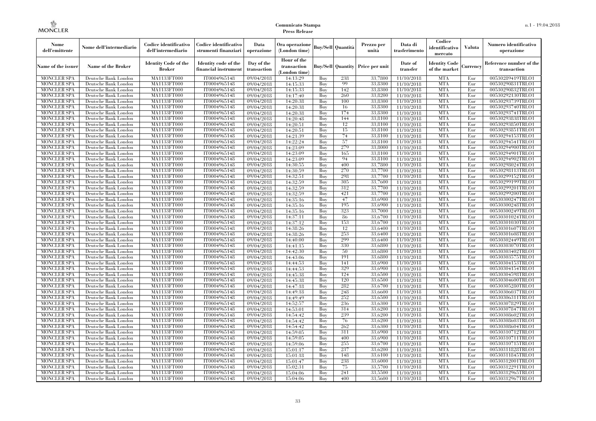| Nome<br>dell'emittente                   | Nome dell'intermediario                      | Codice identificativo<br>dell'intermediario  | Codice identificativo<br>strumenti finanziari | Data<br>operazione        | Ora operazione<br>(London time)             |            | Buv/Sell   Quantità      | Prezzo per<br>unità | Data di<br>trasferimento | Codice<br>identificativo<br>mercato   | <b>Valuta</b> | Numero identificativo<br>operazione    |
|------------------------------------------|----------------------------------------------|----------------------------------------------|-----------------------------------------------|---------------------------|---------------------------------------------|------------|--------------------------|---------------------|--------------------------|---------------------------------------|---------------|----------------------------------------|
| Name of the issuer                       | Name of the Broker                           | <b>Identity Code of the</b><br><b>Broker</b> | Identity code of the<br>financial instrument  | Day of the<br>transaction | Hour of the<br>transaction<br>(London time) |            | <b>Buy/Sell Quantity</b> | Price per unit      | Date of<br>transfer      | <b>Identity Code</b><br>of the market | Currencv      | Reference number of the<br>transaction |
| <b>MONCLER SPA</b>                       | Deutsche Bank London                         | MA1133FT000                                  | IT0004965148                                  | 09/04/2018                | 14:13:29                                    | Buy        | 238                      | 33,7800             | 11/10/2018               | <b>MTA</b>                            | Eur           | 00530289419TRLO1                       |
| <b>MONCLER SPA</b>                       | Deutsche Bank London                         | <b>MA1133FT000</b>                           | IT0004965148                                  | $\overline{09}/04/2018$   | 14:15:33                                    | Buy        | 99                       | 33,8300             | 11/10/2018               | <b>MTA</b>                            | Eur           | 00530290831TRLO1                       |
| <b>MONCLER SPA</b>                       | Deutsche Bank London                         | MA1133FT000                                  | IT0004965148                                  | 09/04/2018                | 14:15:33                                    | Buv        | 142                      | 33,8300             | 11/10/2018               | <b>MTA</b>                            | Eur           | 00530290832TRLO1                       |
| <b>MONCLER SPA</b>                       | Deutsche Bank London                         | MA1133FT000                                  | IT0004965148                                  | 09/04/2018                | 14:17:40                                    | Buy        | 260                      | 33,8200             | 11/10/2018               | <b>MTA</b>                            | Eur           | 00530292130TRLO1                       |
| <b>MONCLER SPA</b>                       | Deutsche Bank London                         | MA1133FT000                                  | IT0004965148                                  | 09/04/2018                | 14:20:38                                    | Buy        | 100                      | 33,8300             | 11/10/2018               | <b>MTA</b>                            | Eur           | 00530293739TRLO1                       |
| <b>MONCLER SPA</b><br><b>MONCLER SPA</b> | Deutsche Bank London                         | <b>MA1133FT000</b><br>MA1133FT000            | IT0004965148                                  | 09/04/2018                | 14:20:38                                    | Buy        | 16<br>174                | 33,8300<br>33,8300  | 11/10/2018               | <b>MTA</b><br><b>MTA</b>              | Eur           | 00530293740TRLO1                       |
| <b>MONCLER SPA</b>                       | Deutsche Bank London<br>Deutsche Bank London | MA1133FT000                                  | IT0004965148<br>IT0004965148                  | 09/04/2018<br>09/04/2018  | 14:20:38<br>14:20:48                        | Buy<br>Buy | 144                      | 33.8100             | 11/10/2018<br>11/10/2018 | <b>MTA</b>                            | Eur<br>Eur    | 00530293741TRLO1<br>00530293838TRLO1   |
| <b>MONCLER SPA</b>                       | Deutsche Bank London                         | MA1133FT000                                  | IT0004965148                                  | 09/04/2018                | 14:20:51                                    | Buy        | 12                       | 33,8100             | 11/10/2018               | <b>MTA</b>                            | Eur           | 00530293850TRLO1                       |
| <b>MONCLER SPA</b>                       | Deutsche Bank London                         | <b>MA1133FT000</b>                           | IT0004965148                                  | 09/04/2018                | 14:20:51                                    | Buy        | 15                       | 33,8100             | 11/10/2018               | <b>MTA</b>                            | Eur           | 00530293851TRLO1                       |
| <b>MONCLER SPA</b>                       | Deutsche Bank London                         | MA1133FT000                                  | IT0004965148                                  | 09/04/2018                | 14:21:39                                    | Buy        | 74                       | 33,8100             | 11/10/2018               | <b>MTA</b>                            | Eur           | 00530294153TRLO1                       |
| <b>MONCLER SPA</b>                       | Deutsche Bank London                         | MA1133FT000                                  | IT0004965148                                  | 09/04/2018                | 14:22:24                                    | Buy        | 57                       | 33,8100             | 11/10/2018               | <b>MTA</b>                            | Eur           | 00530294541TRLO1                       |
| <b>MONCLER SPA</b>                       | Deutsche Bank London                         | MA1133FT000                                  | IT0004965148                                  | 09/04/2018                | 14:23:09                                    | Buy        | 279                      | 33,8000             | 11/10/2018               | <b>MTA</b>                            | Eur           | 00530294900TRLO1                       |
| <b>MONCLER SPA</b>                       | Deutsche Bank London                         | MA1133FT000                                  | IT0004965148                                  | 09/04/2018                | 14:23:09                                    | Buy        | 165                      | 33,8100             | 11/10/2018               | <b>MTA</b>                            | Eur           | 00530294901TRLO1                       |
| <b>MONCLER SPA</b>                       | Deutsche Bank London                         | MA1133FT000                                  | IT0004965148                                  | 09/04/2018                | 14:23:09                                    | Buy        | 94                       | 33,8100             | 11/10/2018               | <b>MTA</b>                            | Eur           | 00530294902TRLO1                       |
| <b>MONCLER SPA</b>                       | Deutsche Bank London                         | MA1133FT000                                  | IT0004965148                                  | 09/04/2018                | 14:30:55                                    | Buy        | 400                      | 33,7800             | 11/10/2018               | <b>MTA</b>                            | Eur           | 00530298024TRLO1                       |
| <b>MONCLER SPA</b>                       | Deutsche Bank London                         | MA1133FT000                                  | IT0004965148                                  | 09/04/2018                | 14:30:59                                    | Buy        | 270                      | 33,7700             | 11/10/2018               | <b>MTA</b>                            | Eur           | 00530298113TRLO1                       |
| <b>MONCLER SPA</b>                       | Deutsche Bank London                         | MA1133FT000                                  | IT0004965148                                  | 09/04/2018                | 14:32:51                                    | Buy        | 298                      | 33,7700             | 11/10/2018               | <b>MTA</b>                            | Eur           | 00530299152TRLO1                       |
| <b>MONCLER SPA</b>                       | Deutsche Bank London                         | MA1133FT000                                  | IT0004965148                                  | 09/04/2018                | 14:32:59                                    | Buy        | 305                      | 33,7600             | 11/10/2018               | <b>MTA</b>                            | Eur           | 00530299199TRLO1                       |
| <b>MONCLER SPA</b>                       | Deutsche Bank London                         | MA1133FT000                                  | IT0004965148                                  | 09/04/2018                | 14:32:59                                    | Buy        | 312                      | 33,7700             | 11/10/2018               | <b>MTA</b>                            | Eur           | 00530299201TRLO1                       |
| MONCLER SPA                              | Deutsche Bank London                         | MA1133FT000                                  | IT0004965148                                  | 09/04/2018                | 14:32:59                                    | Buy        | 421                      | 33,7700             | 11/10/2018               | <b>MTA</b>                            | Eur           | 00530299200TRLO1                       |
| <b>MONCLER SPA</b>                       | Deutsche Bank London                         | MA1133FT000                                  | IT0004965148                                  | $\sqrt{09}/04/2018$       | 14:35:16                                    | Buy        | 47                       | 33,6900             | 11/10/2018               | <b>MTA</b>                            | Eur           | 00530300247TRLO1                       |
| <b>MONCLER SPA</b>                       | Deutsche Bank London                         | MA1133FT000                                  | IT0004965148                                  | 09/04/2018                | 14:35:16                                    | Buy        | 195                      | 33,6900             | 11/10/2018               | <b>MTA</b>                            | Eur           | 00530300248TRLO1                       |
| <b>MONCLER SPA</b>                       | Deutsche Bank London                         | MA1133FT000                                  | IT0004965148                                  | 09/04/2018                | 14:35:16                                    | Buy        | 323                      | 33,7000             | 11/10/2018               | <b>MTA</b>                            | Eur           | 00530300249TRLO1                       |
| <b>MONCLER SPA</b>                       | Deutsche Bank London                         | MA1133FT000                                  | IT0004965148                                  | 09/04/2018                | 14:37:11                                    | Buy        | 86<br>153                | 33,6700<br>33,6700  | 11/10/2018               | <b>MTA</b><br><b>MTA</b>              | Eur           | 00530301024TRLO1<br>00530301030TRLO1   |
| <b>MONCLER SPA</b><br><b>MONCLER SPA</b> | Deutsche Bank London<br>Deutsche Bank London | MA1133FT000<br>MA1133FT000                   | IT0004965148<br>IT0004965148                  | 09/04/2018<br>09/04/2018  | 14:37:12<br>14:38:26                        | Buy<br>Buy | 12                       | 33,6400             | 11/10/2018<br>11/10/2018 | <b>MTA</b>                            | Eur<br>Eur    | 00530301607TRLO1                       |
| <b>MONCLER SPA</b>                       | Deutsche Bank London                         | MA1133FT000                                  | IT0004965148                                  | 09/04/2018                | 14:38:26                                    | Buy        | 253                      | 33,6400             | 11/10/2018               | <b>MTA</b>                            | Eur           | 00530301608TRLO1                       |
| <b>MONCLER SPA</b>                       | Deutsche Bank London                         | MA1133FT000                                  | IT0004965148                                  | 09/04/2018                | 14:40:00                                    | Buy        | 299                      | 33,6400             | 11/10/2018               | <b>MTA</b>                            | Eur           | 00530302449TRLO1                       |
| MONCLER SPA                              | Deutsche Bank London                         | <b>MA1133FT000</b>                           | IT0004965148                                  | 09/04/2018                | 14:41:15                                    | Buy        | 330                      | 33,6800             | 11/10/2018               | <b>MTA</b>                            | Eur           | 00530303070TRLO1                       |
| MONCLER SPA                              | Deutsche Bank London                         | MA1133FT000                                  | IT0004965148                                  | 09/04/2018                | 14:42:30                                    | Buy        | 50                       | 33,6800             | 11/10/2018               | <b>MTA</b>                            | Eur           | 00530303402TRLO1                       |
| <b>MONCLER SPA</b>                       | Deutsche Bank London                         | MA1133FT000                                  | IT0004965148                                  | 09/04/2018                | 14:43:06                                    | Buy        | 191                      | 33,6800             | 11/10/2018               | <b>MTA</b>                            | Eur           | 00530303575TRLO1                       |
| <b>MONCLER SPA</b>                       | Deutsche Bank London                         | MA1133FT000                                  | IT0004965148                                  | 09/04/2018                | 14:44:53                                    | Buy        | 141                      | 33,6900             | 11/10/2018               | <b>MTA</b>                            | Eur           | 00530304153TRLO1                       |
| <b>MONCLER SPA</b>                       | Deutsche Bank London                         | <b>MA1133FT000</b>                           | IT0004965148                                  | 09/04/2018                | 14:44:53                                    | Buy        | 329                      | 33,6900             | 11/10/2018               | <b>MTA</b>                            | Eur           | 00530304154TRLO1                       |
| <b>MONCLER SPA</b>                       | Deutsche Bank London                         | MA1133FT000                                  | IT0004965148                                  | 09/04/2018                | 14:45:38                                    | Buy        | 124                      | 33,6500             | 11/10/2018               | <b>MTA</b>                            | Eur           | 00530304598TRLO1                       |
| <b>MONCLER SPA</b>                       | Deutsche Bank London                         | MA1133FT000                                  | IT0004965148                                  | 09/04/2018                | 14:45:38                                    | Buy        | 120                      | 33,6500             | 11/10/2018               | <b>MTA</b>                            | Eur           | 00530304600TRLO1                       |
| <b>MONCLER SPA</b>                       | Deutsche Bank London                         | MA1133FT000                                  | IT0004965148                                  | 09/04/2018                | 14:47:18                                    | Buy        | 282                      | 33,6700             | 11/10/2018               | <b>MTA</b>                            | Eur           | 00530305280TRLO1                       |
| <b>MONCLER SPA</b>                       | Deutsche Bank London                         | <b>MA1133FT000</b>                           | IT0004965148                                  | 09/04/2018                | 14:49:18                                    | Buy        | 248                      | 33,6600             | 11/10/2018               | <b>MTA</b>                            | Eur           | 00530306037TRLO1                       |
| <b>MONCLER SPA</b>                       | Deutsche Bank London                         | MA1133FT000                                  | IT0004965148                                  | 09/04/2018                | 14:49:49                                    | Buy        | 252                      | 33,6500             | 11/10/2018               | <b>MTA</b>                            | Eur           | 00530306311TRLO1                       |
| <b>MONCLER SPA</b>                       | Deutsche Bank London                         | <b>MA1133FT000</b>                           | IT0004965148                                  | 09/04/2018                | 14:52:57                                    | Buy        | 236                      | 33,6300             | 11/10/2018               | <b>MTA</b>                            | Eur           | 00530307829TRLO1                       |
| <b>MONCLER SPA</b>                       | Deutsche Bank London                         | MA1133FT000                                  | IT0004965148                                  | 09/04/2018                | 14:53:01                                    | Buy        | 314                      | 33,6200             | 11/10/2018               | <b>MTA</b>                            | Eur           | 00530307847TRLO1                       |
| <b>MONCLER SPA</b>                       | Deutsche Bank London                         | MA1133FT000                                  | IT0004965148                                  | 09/04/2018                | 14:54:42                                    | Buy        | 239                      | 33,6200             | 11/10/2018               | <b>MTA</b>                            | Eur           | 00530308602TRLO1                       |
| <b>MONCLER SPA</b>                       | Deutsche Bank London                         | MA1133FT000                                  | IT0004965148                                  | 09/04/2018                | 14:54:42                                    | Buy        | 76                       | 33,6200             | 11/10/2018               | <b>MTA</b>                            | Eur           | 00530308603TRLO1                       |
| <b>MONCLER SPA</b>                       | Deutsche Bank London                         | MA1133FT000                                  | IT0004965148                                  | 09/04/2018                | 14:54:42                                    | Buy        | 262                      | 33,6300             | 11/10/2018               | <b>MTA</b>                            | Eur           | 00530308604TRLO1                       |
| <b>MONCLER SPA</b>                       | Deutsche Bank London                         | MA1133FT000<br>MA1133FT000                   | IT0004965148<br>IT0004965148                  | 09/04/2018                | 14:59:05                                    | Buy<br>Buy | 311<br>400               | 33,6900<br>33,6900  | 11/10/2018               | <b>MTA</b><br><b>MTA</b>              | Eur<br>Eur    | 00530310712TRLO1<br>00530310711TRLO1   |
| <b>MONCLER SPA</b><br><b>MONCLER SPA</b> | Deutsche Bank London<br>Deutsche Bank London | MA1133FT000                                  | IT0004965148                                  | 09/04/2018                | 14:59:05<br>14:59:06                        | Buy        | 255                      | 33,6700             | 11/10/2018               | <b>MTA</b>                            | Eur           | 00530310715TRLO1                       |
| <b>MONCLER SPA</b>                       | Deutsche Bank London                         | MA1133FT000                                  | IT0004965148                                  | 09/04/2018<br>09/04/2018  | 15:01:17                                    | Buy        | 237                      | 33,6200             | 11/10/2018<br>11/10/2018 | <b>MTA</b>                            | Eur           | 00530311828TRLO1                       |
| <b>MONCLER SPA</b>                       | Deutsche Bank London                         | MA1133FT000                                  | IT0004965148                                  | 09/04/2018                | 15:01:18                                    | Buy        | 148                      | 33,6100             | 11/10/2018               | <b>MTA</b>                            | Eur           | 00530311845TRLO1                       |
| <b>MONCLER SPA</b>                       | Deutsche Bank London                         | MA1133FT000                                  | IT0004965148                                  | 09/04/2018                | 15:01:47                                    | Buy        | 238                      | 33,6000             | 11/10/2018               | <b>MTA</b>                            | Eur           | 00530312001TRLO1                       |
| <b>MONCLER SPA</b>                       | Deutsche Bank London                         | MA1133FT000                                  | IT0004965148                                  | 09/04/2018                | 15:02:31                                    | Buy        | 75                       | 33,5700             | 11/10/2018               | <b>MTA</b>                            | Eur           | 00530312291TRLO1                       |
| <b>MONCLER SPA</b>                       | Deutsche Bank London                         | MA1133FT000                                  | IT0004965148                                  | 09/04/2018                | 15:04:06                                    | Buy        | 241                      | 33,5500             | 11/10/2018               | <b>MTA</b>                            | Eur           | 00530312965TRLO1                       |
| <b>MONCLER SPA</b>                       | Deutsche Bank London                         | MA1133FT000                                  | IT0004965148                                  | 09/04/2018                | 15:04:06                                    | Buy        | 400                      | 33,5600             | 11/10/2018               | <b>MTA</b>                            | Eur           | 00530312967TRLO1                       |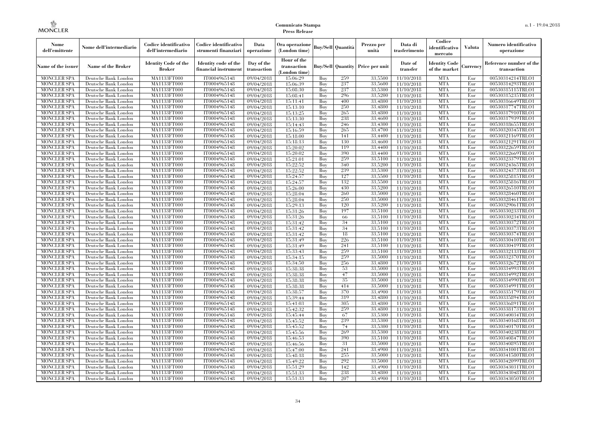| Nome<br>dell'emittente                   | Nome dell'intermediario                      | Codice identificativo<br>dell'intermediario  | Codice identificativo<br>strumenti finanziari | Data<br>operazione        | Ora operazione<br>(London time)             |            | Buv/Sell   Quantità      | Prezzo per<br>unità | Data di<br>trasferimento | Codice<br>identificativo<br>mercato   | <b>Valuta</b> | Numero identificativo<br>operazione    |
|------------------------------------------|----------------------------------------------|----------------------------------------------|-----------------------------------------------|---------------------------|---------------------------------------------|------------|--------------------------|---------------------|--------------------------|---------------------------------------|---------------|----------------------------------------|
| Name of the issuer                       | Name of the Broker                           | <b>Identity Code of the</b><br><b>Broker</b> | Identity code of the<br>financial instrument  | Day of the<br>transaction | Hour of the<br>transaction<br>(London time) |            | <b>Buy/Sell Quantity</b> | Price per unit      | Date of<br>transfer      | <b>Identity Code</b><br>of the market | Currencv      | Reference number of the<br>transaction |
| <b>MONCLER SPA</b>                       | Deutsche Bank London                         | MA1133FT000                                  | IT0004965148                                  | 09/04/2018                | 15:06:29                                    | Buy        | 259                      | 33,5500             | 11/10/2018               | <b>MTA</b>                            | Eur           | 00530314214TRLO1                       |
| <b>MONCLER SPA</b>                       | Deutsche Bank London                         | <b>MA1133FT000</b>                           | IT0004965148                                  | 09/04/2018                | 15:06:39                                    | Buy        | 237                      | 33,5600             | 11/10/2018               | <b>MTA</b>                            | Eur           | 00530314293TRLO1                       |
| <b>MONCLER SPA</b>                       | Deutsche Bank London                         | MA1133FT000                                  | IT0004965148                                  | 09/04/2018                | 15:08:30                                    | Buv        | 237                      | 33,5300             | 11/10/2018               | <b>MTA</b>                            | Eur           | 00530315115TRLO1                       |
| <b>MONCLER SPA</b>                       | Deutsche Bank London                         | MA1133FT000                                  | IT0004965148                                  | 09/04/2018                | 15:08:41                                    | Buy        | 296                      | 33,5200             | 11/10/2018               | <b>MTA</b>                            | Eur           | 00530315235TRLO1                       |
| <b>MONCLER SPA</b>                       | Deutsche Bank London                         | MA1133FT000                                  | IT0004965148                                  | 09/04/2018                | 15:11:41                                    | Buy        | 400                      | 33,4800             | 11/10/2018               | <b>MTA</b>                            | Eur           | 00530316649TRLO1                       |
| <b>MONCLER SPA</b><br><b>MONCLER SPA</b> | Deutsche Bank London<br>Deutsche Bank London | <b>MA1133FT000</b><br>MA1133FT000            | IT0004965148<br>IT0004965148                  | 09/04/2018                | 15:13:10                                    | Buy<br>Buy | 250<br>265               | 33,4800<br>33,4800  | 11/10/2018               | <b>MTA</b><br><b>MTA</b>              | Eur<br>Eur    | 00530317747TRLO1<br>00530317910TRLO1   |
| <b>MONCLER SPA</b>                       | Deutsche Bank London                         | MA1133FT000                                  | IT0004965148                                  | 09/04/2018<br>09/04/2018  | 15:13:25<br>15:13:30                        | Buy        | 238                      | 33.4600             | 11/10/2018<br>11/10/2018 | <b>MTA</b>                            | Eur           | 00530317939TRLO1                       |
| <b>MONCLER SPA</b>                       | Deutsche Bank London                         | MA1133FT000                                  | IT0004965148                                  | 09/04/2018                | 15:14:43                                    | Buy        | 246                      | 33,4300             | 11/10/2018               | <b>MTA</b>                            | Eur           | 00530318655TRLO1                       |
| <b>MONCLER SPA</b>                       | Deutsche Bank London                         | <b>MA1133FT000</b>                           | IT0004965148                                  | 09/04/2018                | 15:16:59                                    | Buy        | 265                      | 33,4700             | 11/10/2018               | <b>MTA</b>                            | Eur           | 00530320345TRLO1                       |
| <b>MONCLER SPA</b>                       | Deutsche Bank London                         | MA1133FT000                                  | IT0004965148                                  | 09/04/2018                | 15:18:00                                    | Buy        | 141                      | 33,4400             | 11/10/2018               | <b>MTA</b>                            | Eur           | 00530321169TRLO1                       |
| <b>MONCLER SPA</b>                       | Deutsche Bank London                         | MA1133FT000                                  | IT0004965148                                  | 09/04/2018                | 15:18:13                                    | Buy        | 130                      | 33,4600             | 11/10/2018               | <b>MTA</b>                            | Eur           | 00530321291TRLO1                       |
| <b>MONCLER SPA</b>                       | Deutsche Bank London                         | MA1133FT000                                  | IT0004965148                                  | 09/04/2018                | 15:20:02                                    | Buy        | 119                      | 33,4400             | 11/10/2018               | <b>MTA</b>                            | Eur           | 00530322659TRLO1                       |
| <b>MONCLER SPA</b>                       | Deutsche Bank London                         | MA1133FT000                                  | IT0004965148                                  | 09/04/2018                | 15:20:02                                    | Buy        | 390                      | 33,4400             | 11/10/2018               | <b>MTA</b>                            | Eur           | 00530322669TRLO1                       |
| <b>MONCLER SPA</b>                       | Deutsche Bank London                         | MA1133FT000                                  | IT0004965148                                  | 09/04/2018                | 15:21:01                                    | Buy        | 259                      | 33,5100             | 11/10/2018               | <b>MTA</b>                            | Eur           | 00530323379TRLO1                       |
| <b>MONCLER SPA</b>                       | Deutsche Bank London                         | MA1133FT000                                  | IT0004965148                                  | 09/04/2018                | 15:22:52                                    | Buy        | 340                      | 33,5200             | 11/10/2018               | <b>MTA</b>                            | Eur           | 00530324365TRLO1                       |
| <b>MONCLER SPA</b>                       | Deutsche Bank London                         | MA1133FT000                                  | IT0004965148                                  | 09/04/2018                | 15:22:52                                    | Buy        | 239                      | 33,5300             | 11/10/2018               | <b>MTA</b>                            | Eur           | 00530324373TRLO1                       |
| <b>MONCLER SPA</b>                       | Deutsche Bank London                         | MA1133FT000                                  | IT0004965148                                  | 09/04/2018                | 15:24:57                                    | Buy        | 127                      | 33,5500             | 11/10/2018               | <b>MTA</b>                            | Eur           | 00530325815TRLO1                       |
| <b>MONCLER SPA</b>                       | Deutsche Bank London                         | MA1133FT000                                  | IT0004965148                                  | 09/04/2018                | 15:24:57                                    | Buy        | 132                      | 33,5500             | 11/10/2018               | <b>MTA</b>                            | Eur           | 00530325816TRLO1                       |
| <b>MONCLER SPA</b>                       | Deutsche Bank London                         | MA1133FT000                                  | IT0004965148                                  | 09/04/2018                | 15:26:00                                    | Buy        | 430                      | 33,5200             | 11/10/2018               | <b>MTA</b>                            | Eur           | 00530326510TRLO1                       |
| <b>MONCLER SPA</b>                       | Deutsche Bank London                         | MA1133FT000                                  | IT0004965148                                  | 09/04/2018                | 15:28:04                                    | Buy        | 260                      | 33,5000             | 11/10/2018               | <b>MTA</b>                            | Eur           | 00530328460TRLO1                       |
| <b>MONCLER SPA</b>                       | Deutsche Bank London                         | MA1133FT000                                  | IT0004965148                                  | 09/04/2018                | 15:28:04                                    | Buy        | 250                      | 33,5000             | 11/10/2018               | <b>MTA</b>                            | Eur           | 00530328461TRLO1                       |
| <b>MONCLER SPA</b>                       | Deutsche Bank London                         | MA1133FT000                                  | IT0004965148                                  | 09/04/2018                | 15:29:13                                    | Buy        | 120<br>197               | 33,5200             | 11/10/2018               | <b>MTA</b><br><b>MTA</b>              | Eur           | 00530329061TRLO1                       |
| <b>MONCLER SPA</b><br><b>MONCLER SPA</b> | Deutsche Bank London<br>Deutsche Bank London | MA1133FT000<br>MA1133FT000                   | IT0004965148<br>IT0004965148                  | 09/04/2018<br>09/04/2018  | 15:31:26<br>15:31:26                        | Buy<br>Buy | 66                       | 33,5100<br>33,5100  | 11/10/2018<br>11/10/2018 | <b>MTA</b>                            | Eur<br>Eur    | 00530330233TRLO1<br>00530330234TRLO1   |
| <b>MONCLER SPA</b>                       | Deutsche Bank London                         | MA1133FT000                                  | IT0004965148                                  | 09/04/2018                | 15:31:42                                    | Buy        | 34                       | 33,5100             | 11/10/2018               | <b>MTA</b>                            | Eur           | 00530330372TRLO1                       |
| <b>MONCLER SPA</b>                       | Deutsche Bank London                         | MA1133FT000                                  | IT0004965148                                  | 09/04/2018                | 15:31:42                                    | Buy        | 34                       | 33,5100             | 11/10/2018               | <b>MTA</b>                            | Eur           | 00530330373TRLO1                       |
| <b>MONCLER SPA</b>                       | Deutsche Bank London                         | MA1133FT000                                  | IT0004965148                                  | 09/04/2018                | 15:31:42                                    | Buy        | 18                       | 33,5100             | 11/10/2018               | <b>MTA</b>                            | Eur           | 00530330374TRLO1                       |
| <b>MONCLER SPA</b>                       | Deutsche Bank London                         | MA1133FT000                                  | IT0004965148                                  | 09/04/2018                | 15:31:49                                    | Buy        | 226                      | 33,5100             | 11/10/2018               | <b>MTA</b>                            | Eur           | 00530330410TRLO1                       |
| MONCLER SPA                              | Deutsche Bank London                         | <b>MA1133FT000</b>                           | IT0004965148                                  | 09/04/2018                | 15:31:49                                    | Buy        | 241                      | 33,5100             | 11/10/2018               | <b>MTA</b>                            | Eur           | 00530330419TRLO1                       |
| MONCLER SPA                              | Deutsche Bank London                         | MA1133FT000                                  | IT0004965148                                  | 09/04/2018                | 15:33:43                                    | Buy        | 259                      | 33,5100             | 11/10/2018               | <b>MTA</b>                            | Eur           | 00530332133TRLO1                       |
| <b>MONCLER SPA</b>                       | Deutsche Bank London                         | MA1133FT000                                  | IT0004965148                                  | 09/04/2018                | 15:34:15                                    | Buy        | 259                      | 33,5000             | 11/10/2018               | <b>MTA</b>                            | Eur           | 00530332370TRLO1                       |
| <b>MONCLER SPA</b>                       | Deutsche Bank London                         | MA1133FT000                                  | IT0004965148                                  | 09/04/2018                | 15:34:50                                    | Buy        | 256                      | 33,4800             | 11/10/2018               | <b>MTA</b>                            | Eur           | 00530332672TRLO1                       |
| <b>MONCLER SPA</b>                       | Deutsche Bank London                         | MA1133FT000                                  | IT0004965148                                  | 09/04/2018                | 15:38:38                                    | Buy        | 53                       | 33,5000             | 11/10/2018               | <b>MTA</b>                            | Eur           | 00530334993TRLO1                       |
| <b>MONCLER SPA</b>                       | Deutsche Bank London                         | MA1133FT000                                  | IT0004965148                                  | 09/04/2018                | 15:38:38                                    | Buy        | 47                       | 33,5000             | 11/10/2018               | <b>MTA</b>                            | Eur           | 00530334992TRLO1                       |
| <b>MONCLER SPA</b>                       | Deutsche Bank London                         | MA1133FT000                                  | IT0004965148                                  | 09/04/2018                | 15:38:38                                    | Buy        | 35                       | 33,5000             | 11/10/2018               | <b>MTA</b>                            | Eur           | 00530334990TRLO1                       |
| <b>MONCLER SPA</b>                       | Deutsche Bank London                         | MA1133FT000                                  | IT0004965148                                  | 09/04/2018                | 15:38:38                                    | Buy        | 414                      | 33,5000             | 11/10/2018               | <b>MTA</b>                            | Eur           | 00530334991TRLO1                       |
| <b>MONCLER SPA</b>                       | Deutsche Bank London                         | <b>MA1133FT000</b>                           | IT0004965148                                  | 09/04/2018                | 15:38:57                                    | Buy        | 370                      | 33,4900             | 11/10/2018               | <b>MTA</b>                            | Eur           | 00530335179TRLO1                       |
| <b>MONCLER SPA</b>                       | Deutsche Bank London                         | MA1133FT000                                  | IT0004965148                                  | 09/04/2018                | 15:39:44                                    | Buy        | 319                      | 33,4800             | 11/10/2018               | <b>MTA</b>                            | Eur           | 00530335894TRLO1                       |
| <b>MONCLER SPA</b>                       | Deutsche Bank London                         | <b>MA1133FT000</b>                           | IT0004965148                                  | 09/04/2018                | 15:41:03                                    | Buy        | 305                      | 33,4800             | 11/10/2018               | <b>MTA</b>                            | Eur           | 00530336891TRLO1                       |
| <b>MONCLER SPA</b>                       | Deutsche Bank London                         | MA1133FT000                                  | IT0004965148                                  | 09/04/2018                | 15:42:32                                    | Buy        | 259                      | 33,4800             | 11/10/2018               | <b>MTA</b>                            | Eur           | 00530338173TRLO1                       |
| <b>MONCLER SPA</b><br><b>MONCLER SPA</b> | Deutsche Bank London<br>Deutsche Bank London | MA1133FT000<br>MA1133FT000                   | IT0004965148<br>IT0004965148                  | 09/04/2018                | 15:45:44<br>15:45:52                        | Buy<br>Buy | 67<br>239                | 33,5300<br>33,5300  | 11/10/2018<br>11/10/2018 | <b>MTA</b><br><b>MTA</b>              | Eur<br>Eur    | 00530340034TRLO1<br>00530340168TRLO1   |
| <b>MONCLER SPA</b>                       | Deutsche Bank London                         | MA1133FT000                                  | IT0004965148                                  | 09/04/2018<br>09/04/2018  | 15:45:52                                    | Buy        | 74                       | 33,5300             | 11/10/2018               | <b>MTA</b>                            | Eur           | 00530340170TRLO1                       |
| <b>MONCLER SPA</b>                       | Deutsche Bank London                         | MA1133FT000                                  | IT0004965148                                  | 09/04/2018                | 15:45:56                                    | Buy        | 269                      | 33,5300             | 11/10/2018               | <b>MTA</b>                            | Eur           | 00530340238TRLO1                       |
| <b>MONCLER SPA</b>                       | Deutsche Bank London                         | MA1133FT000                                  | IT0004965148                                  | 09/04/2018                | 15:46:53                                    | Buy        | 390                      | 33,5100             | 11/10/2018               | <b>MTA</b>                            | Eur           | 00530340847TRLO1                       |
| <b>MONCLER SPA</b>                       | Deutsche Bank London                         | MA1133FT000                                  | IT0004965148                                  | 09/04/2018                | 15:46:56                                    | Buy        | 31                       | 33,5000             | 11/10/2018               | <b>MTA</b>                            | Eur           | 00530340895TRLO1                       |
| <b>MONCLER SPA</b>                       | Deutsche Bank London                         | MA1133FT000                                  | IT0004965148                                  | 09/04/2018                | 15:47:00                                    | Buy        | 241                      | 33,4900             | 11/10/2018               | <b>MTA</b>                            | Eur           | 00530341001TRLO1                       |
| <b>MONCLER SPA</b>                       | Deutsche Bank London                         | MA1133FT000                                  | IT0004965148                                  | 09/04/2018                | 15:48:18                                    | Buy        | 255                      | 33,5000             | 11/10/2018               | <b>MTA</b>                            | Eur           | 00530341580TRLO1                       |
| <b>MONCLER SPA</b>                       | Deutsche Bank London                         | MA1133FT000                                  | IT0004965148                                  | 09/04/2018                | 15:49:22                                    | Buy        | 292                      | 33,5000             | 11/10/2018               | <b>MTA</b>                            | Eur           | 00530342099TRLO1                       |
| <b>MONCLER SPA</b>                       | Deutsche Bank London                         | MA1133FT000                                  | IT0004965148                                  | 09/04/2018                | 15:51:29                                    | Buy        | 142                      | 33,4900             | 11/10/2018               | <b>MTA</b>                            | Eur           | 00530343031TRLO1                       |
| <b>MONCLER SPA</b>                       | Deutsche Bank London                         | MA1133FT000                                  | IT0004965148                                  | 09/04/2018                | 15:51:33                                    | Buy        | 238                      | 33,4800             | 11/10/2018               | <b>MTA</b>                            | Eur           | 00530343048TRLO1                       |
| <b>MONCLER SPA</b>                       | Deutsche Bank London                         | MA1133FT000                                  | IT0004965148                                  | 09/04/2018                | 15:51:33                                    | Buy        | 207                      | 33,4900             | 11/10/2018               | <b>MTA</b>                            | Eur           | 00530343050TRLO1                       |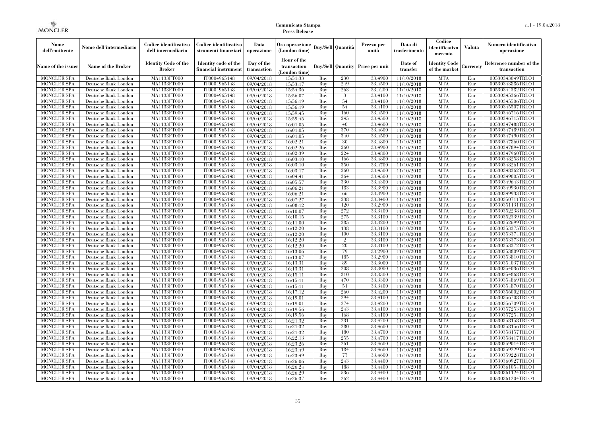| Nome<br>dell'emittente                   | Nome dell'intermediario                      | Codice identificativo<br>dell'intermediario  | Codice identificativo<br>strumenti finanziari | Data<br>operazione        | Ora operazione<br>(London time)             |            | Buv/Sell   Quantità      | Prezzo per<br>unità | Data di<br>trasferimento | Codice<br>identificativo<br>mercato   | <b>Valuta</b> | Numero identificativo<br>operazione    |
|------------------------------------------|----------------------------------------------|----------------------------------------------|-----------------------------------------------|---------------------------|---------------------------------------------|------------|--------------------------|---------------------|--------------------------|---------------------------------------|---------------|----------------------------------------|
| Name of the issuer                       | Name of the Broker                           | <b>Identity Code of the</b><br><b>Broker</b> | Identity code of the<br>financial instrument  | Day of the<br>transaction | Hour of the<br>transaction<br>(London time) |            | <b>Buy/Sell Quantity</b> | Price per unit      | Date of<br>transfer      | <b>Identity Code</b><br>of the market | Currencv      | Reference number of the<br>transaction |
| <b>MONCLER SPA</b>                       | Deutsche Bank London                         | MA1133FT000                                  | IT0004965148                                  | 09/04/2018                | 15:51:33                                    | Buy        | 230                      | 33,4900             | 11/10/2018               | <b>MTA</b>                            | Eur           | 00530343049TRLO1                       |
| <b>MONCLER SPA</b>                       | Deutsche Bank London                         | <b>MA1133FT000</b>                           | IT0004965148                                  | 09/04/2018                | 15:53:17                                    | Buy        | 249                      | 33,4500             | 11/10/2018               | <b>MTA</b>                            | Eur           | 00530343886TRLO1                       |
| <b>MONCLER SPA</b>                       | Deutsche Bank London                         | MA1133FT000                                  | IT0004965148                                  | 09/04/2018                | 15:54:36                                    | Buv        | 263                      | 33.4200             | 11/10/2018               | <b>MTA</b>                            | Eur           | 00530344382TRLO1                       |
| <b>MONCLER SPA</b>                       | Deutsche Bank London                         | MA1133FT000                                  | IT0004965148                                  | 09/04/2018                | 15:56:07                                    | Buy        | 3                        | 33,4100             | 11/10/2018               | <b>MTA</b>                            | Eur           | 00530345366TRLO1                       |
| <b>MONCLER SPA</b>                       | Deutsche Bank London                         | MA1133FT000                                  | IT0004965148                                  | 09/04/2018                | 15:56:19                                    | Buy        | 54                       | 33,4100             | 11/10/2018               | <b>MTA</b>                            | Eur           | 00530345506TRLO1                       |
| MONCLER SPA<br><b>MONCLER SPA</b>        | Deutsche Bank London                         | <b>MA1133FT000</b><br>MA1133FT000            | IT0004965148                                  | 09/04/2018                | 15:56:19                                    | Buy        | 54<br>160                | 33,4100<br>33,4500  | 11/10/2018               | <b>MTA</b><br><b>MTA</b>              | Eur           | 00530345507TRLO1                       |
| <b>MONCLER SPA</b>                       | Deutsche Bank London<br>Deutsche Bank London | MA1133FT000                                  | IT0004965148<br>IT0004965148                  | 09/04/2018<br>09/04/2018  | 15:59:45<br>15:59:45                        | Buy<br>Buy | 245                      | 33.4500             | 11/10/2018<br>11/10/2018 | <b>MTA</b>                            | Eur<br>Eur    | 00530346716TRLO1<br>00530346715TRLO1   |
| <b>MONCLER SPA</b>                       | Deutsche Bank London                         | MA1133FT000                                  | IT0004965148                                  | 09/04/2018                | 16:01:05                                    | Buy        | 40                       | 33,4600             | 11/10/2018               | <b>MTA</b>                            | Eur           | 00530347488TRLO1                       |
| <b>MONCLER SPA</b>                       | Deutsche Bank London                         | <b>MA1133FT000</b>                           | IT0004965148                                  | 09/04/2018                | 16:01:05                                    | Buy        | 370                      | 33,4600             | 11/10/2018               | <b>MTA</b>                            | Eur           | 00530347489TRLO1                       |
| <b>MONCLER SPA</b>                       | Deutsche Bank London                         | MA1133FT000                                  | IT0004965148                                  | 09/04/2018                | 16:01:05                                    | Buy        | 340                      | 33,4500             | 11/10/2018               | <b>MTA</b>                            | Eur           | 00530347490TRLO1                       |
| <b>MONCLER SPA</b>                       | Deutsche Bank London                         | MA1133FT000                                  | IT0004965148                                  | 09/04/2018                | 16:02:21                                    | Buy        | 30                       | 33,4800             | 11/10/2018               | <b>MTA</b>                            | Eur           | 00530347860TRLO1                       |
| <b>MONCLER SPA</b>                       | Deutsche Bank London                         | MA1133FT000                                  | IT0004965148                                  | 09/04/2018                | 16:02:26                                    | Buy        | 260                      | 33,4900             | 11/10/2018               | <b>MTA</b>                            | Eur           | 00530347894TRLO1                       |
| <b>MONCLER SPA</b>                       | Deutsche Bank London                         | MA1133FT000                                  | IT0004965148                                  | 09/04/2018                | 16:02:39                                    | Buy        | 224                      | 33,4800             | 11/10/2018               | <b>MTA</b>                            | Eur           | 00530347960TRLO1                       |
| <b>MONCLER SPA</b>                       | Deutsche Bank London                         | MA1133FT000                                  | IT0004965148                                  | 09/04/2018                | 16:03:10                                    | Buy        | 166                      | 33,4800             | 11/10/2018               | <b>MTA</b>                            | Eur           | 00530348258TRLO1                       |
| <b>MONCLER SPA</b>                       | Deutsche Bank London                         | MA1133FT000                                  | IT0004965148                                  | 09/04/2018                | 16:03:10                                    | Buy        | 350                      | 33,4700             | 11/10/2018               | <b>MTA</b>                            | Eur           | 00530348261TRLO1                       |
| <b>MONCLER SPA</b>                       | Deutsche Bank London                         | MA1133FT000                                  | IT0004965148                                  | 09/04/2018                | 16:03:17                                    | Buy        | 260                      | 33,4500             | 11/10/2018               | <b>MTA</b>                            | Eur           | 00530348362TRLO1                       |
| <b>MONCLER SPA</b>                       | Deutsche Bank London                         | MA1133FT000                                  | IT0004965148                                  | 09/04/2018                | 16:04:41                                    | Buy        | 364                      | 33,4500             | 11/10/2018               | <b>MTA</b>                            | Eur           | 00530349005TRLO1                       |
| <b>MONCLER SPA</b>                       | Deutsche Bank London                         | MA1133FT000                                  | IT0004965148                                  | 09/04/2018                | 16:05:57                                    | Buy        | 330                      | 33,4300             | 11/10/2018               | <b>MTA</b>                            | Eur           | 00530349643TRLO1                       |
| <b>MONCLER SPA</b>                       | Deutsche Bank London                         | MA1133FT000                                  | IT0004965148                                  | 09/04/2018                | 16:06:21                                    | Buy        | 183                      | 33,3900             | 11/10/2018               | <b>MTA</b>                            | Eur           | 00530349930TRLO1                       |
| MONCLER SPA                              | Deutsche Bank London                         | MA1133FT000                                  | IT0004965148                                  | 09/04/2018                | 16:06:21                                    | Buy        | 66                       | 33,3900             | 11/10/2018               | <b>MTA</b>                            | Eur           | 00530349933TRLO1                       |
| <b>MONCLER SPA</b>                       | Deutsche Bank London                         | MA1133FT000                                  | IT0004965148                                  | 09/04/2018                | 16:07:27                                    | Buy        | 238                      | 33,3400             | 11/10/2018               | <b>MTA</b>                            | Eur           | 00530350711TRLO1                       |
| <b>MONCLER SPA</b>                       | Deutsche Bank London                         | MA1133FT000                                  | IT0004965148                                  | 09/04/2018                | 16:08:12                                    | Buy        | 120                      | 33,2900             | 11/10/2018               | <b>MTA</b>                            | Eur           | 00530351131TRLO1                       |
| <b>MONCLER SPA</b>                       | Deutsche Bank London                         | MA1133FT000                                  | IT0004965148                                  | 09/04/2018                | 16:10:07                                    | Buy        | 272                      | 33,3400             | 11/10/2018               | <b>MTA</b>                            | Eur           | 00530352238TRLO1                       |
| <b>MONCLER SPA</b>                       | Deutsche Bank London                         | MA1133FT000                                  | IT0004965148                                  | 09/04/2018                | 16:10:15                                    | Buy        | 275                      | 33,3100             | 11/10/2018               | <b>MTA</b>                            | Eur           | 00530352339TRLO1                       |
| <b>MONCLER SPA</b>                       | Deutsche Bank London                         | MA1133FT000                                  | IT0004965148                                  | 09/04/2018                | 16:11:00                                    | Buy        | 285                      | 33,3200             | 11/10/2018               | <b>MTA</b>                            | Eur           | 00530352699TRLO1                       |
| <b>MONCLER SPA</b>                       | Deutsche Bank London                         | MA1133FT000                                  | IT0004965148                                  | 09/04/2018                | 16:12:20                                    | Buy        | 138                      | 33,3100             | 11/10/2018               | <b>MTA</b>                            | Eur           | 00530353375TRLO1                       |
| <b>MONCLER SPA</b>                       | Deutsche Bank London                         | MA1133FT000                                  | IT0004965148                                  | 09/04/2018                | 16:12:20                                    | Buy        | 100                      | 33,3100             | 11/10/2018               | <b>MTA</b>                            | Eur           | 00530353374TRLO1                       |
| <b>MONCLER SPA</b>                       | Deutsche Bank London                         | MA1133FT000                                  | IT0004965148                                  | 09/04/2018                | 16:12:20                                    | Buy        | $\overline{2}$           | 33,3100             | 11/10/2018               | <b>MTA</b>                            | Eur           | 00530353373TRLO1                       |
| MONCLER SPA                              | Deutsche Bank London                         | <b>MA1133FT000</b>                           | IT0004965148                                  | 09/04/2018                | 16:12:20                                    | Buy        | 20                       | 33,3100             | 11/10/2018               | <b>MTA</b>                            | Eur           | 00530353372TRLO1                       |
| MONCLER SPA                              | Deutsche Bank London                         | MA1133FT000                                  | IT0004965148                                  | 09/04/2018                | 16:13:06                                    | Buy        | 79                       | 33,2900             | 11/10/2018               | <b>MTA</b>                            | Eur           | 00530353809TRLO1                       |
| <b>MONCLER SPA</b>                       | Deutsche Bank London                         | MA1133FT000                                  | IT0004965148                                  | 09/04/2018                | 16:13:07                                    | Buy        | 185                      | 33,2900             | 11/10/2018               | <b>MTA</b>                            | Eur           | 00530353810TRLO1                       |
| <b>MONCLER SPA</b>                       | Deutsche Bank London                         | MA1133FT000                                  | IT0004965148                                  | 09/04/2018                | 16:13:31                                    | Buy        | 89                       | 33,3000             | 11/10/2018               | <b>MTA</b>                            | Eur           | 00530354037TRLO1                       |
| <b>MONCLER SPA</b>                       | Deutsche Bank London                         | <b>MA1133FT000</b>                           | IT0004965148                                  | 09/04/2018                | 16:13:31                                    | Buy        | 208                      | 33,3000             | 11/10/2018               | <b>MTA</b>                            | Eur           | 00530354036TRLO1                       |
| <b>MONCLER SPA</b>                       | Deutsche Bank London                         | MA1133FT000                                  | IT0004965148                                  | 09/04/2018                | 16:15:11                                    | Buy        | 310<br>470               | 33,3300<br>33,3300  | 11/10/2018               | <b>MTA</b><br><b>MTA</b>              | Eur           | 00530354868TRLO1                       |
| <b>MONCLER SPA</b><br><b>MONCLER SPA</b> | Deutsche Bank London                         | MA1133FT000                                  | IT0004965148                                  | 09/04/2018                | 16:15:11                                    | Buy<br>Buy | 51                       | 33.3400             | 11/10/2018               | <b>MTA</b>                            | Eur<br>Eur    | 00530354869TRLO1                       |
| <b>MONCLER SPA</b>                       | Deutsche Bank London<br>Deutsche Bank London | MA1133FT000<br><b>MA1133FT000</b>            | IT0004965148<br>IT0004965148                  | 09/04/2018<br>09/04/2018  | 16:15:11<br>16:17:12                        | Buy        | 260                      | 33,4200             | 11/10/2018<br>11/10/2018 | <b>MTA</b>                            | Eur           | 00530354870TRLO1<br>00530356002TRLO1   |
| <b>MONCLER SPA</b>                       | Deutsche Bank London                         | MA1133FT000                                  | IT0004965148                                  | 09/04/2018                | 16:19:01                                    | Buy        | 294                      | 33,4100             | 11/10/2018               | <b>MTA</b>                            | Eur           | 00530356708TRLO1                       |
| <b>MONCLER SPA</b>                       | Deutsche Bank London                         | <b>MA1133FT000</b>                           | IT0004965148                                  | 09/04/2018                | 16:19:01                                    | Buy        | 274                      | 33,4200             | 11/10/2018               | <b>MTA</b>                            | Eur           | 00530356709TRLO1                       |
| <b>MONCLER SPA</b>                       | Deutsche Bank London                         | MA1133FT000                                  | IT0004965148                                  | 09/04/2018                | 16:19:56                                    | Buy        | 243                      | 33,4100             | 11/10/2018               | <b>MTA</b>                            | Eur           | 00530357253TRLO1                       |
| <b>MONCLER SPA</b>                       | Deutsche Bank London                         | MA1133FT000                                  | IT0004965148                                  | 09/04/2018                | 16:19:56                                    | Buy        | 168                      | 33,4100             | 11/10/2018               | <b>MTA</b>                            | Eur           | 00530357254TRLO1                       |
| <b>MONCLER SPA</b>                       | Deutsche Bank London                         | MA1133FT000                                  | IT0004965148                                  | 09/04/2018                | 16:21:32                                    | Buy        | 231                      | 33,4700             | 11/10/2018               | <b>MTA</b>                            | Eur           | 00530358158TRLO1                       |
| <b>MONCLER SPA</b>                       | Deutsche Bank London                         | MA1133FT000                                  | IT0004965148                                  | 09/04/2018                | 16:21:32                                    | Buy        | 280                      | 33,4600             | 11/10/2018               | <b>MTA</b>                            | Eur           | 00530358156TRLO1                       |
| <b>MONCLER SPA</b>                       | Deutsche Bank London                         | MA1133FT000                                  | IT0004965148                                  | 09/04/2018                | 16:21:32                                    | Buy        | 180                      | 33,4700             | 11/10/2018               | <b>MTA</b>                            | Eur           | 00530358157TRLO1                       |
| <b>MONCLER SPA</b>                       | Deutsche Bank London                         | MA1133FT000                                  | IT0004965148                                  | 09/04/2018                | 16:22:13                                    | Buy        | 255                      | 33,4700             | 11/10/2018               | <b>MTA</b>                            | Eur           | 00530358417TRLO1                       |
| <b>MONCLER SPA</b>                       | Deutsche Bank London                         | MA1133FT000                                  | IT0004965148                                  | 09/04/2018                | 16:23:26                                    | Buy        | 261                      | 33,4600             | 11/10/2018               | <b>MTA</b>                            | Eur           | 00530359014TRLO1                       |
| <b>MONCLER SPA</b>                       | Deutsche Bank London                         | MA1133FT000                                  | IT0004965148                                  | 09/04/2018                | 16:23:49                                    | Buy        | 184                      | 33,4600             | 11/10/2018               | <b>MTA</b>                            | Eur           | 00530359229TRLO1                       |
| <b>MONCLER SPA</b>                       | Deutsche Bank London                         | MA1133FT000                                  | IT0004965148                                  | 09/04/2018                | 16:23:49                                    | Buy        | 77                       | 33,4600             | 11/10/2018               | <b>MTA</b>                            | Eur           | 00530359228TRLO1                       |
| <b>MONCLER SPA</b>                       | Deutsche Bank London                         | MA1133FT000                                  | IT0004965148                                  | 09/04/2018                | 16:26:06                                    | Buy        | 243                      | 33,4400             | 11/10/2018               | <b>MTA</b>                            | Eur           | 00530360927TRLO1                       |
| <b>MONCLER SPA</b>                       | Deutsche Bank London                         | MA1133FT000                                  | IT0004965148                                  | 09/04/2018                | 16:26:24                                    | Buy        | 188                      | 33,4400             | 11/10/2018               | <b>MTA</b>                            | Eur           | 00530361054TRLO1                       |
| <b>MONCLER SPA</b>                       | Deutsche Bank London                         | MA1133FT000                                  | IT0004965148                                  | 09/04/2018                | 16:26:29                                    | Buy        | 536                      | 33,4400             | 11/10/2018               | <b>MTA</b>                            | Eur           | 00530361124TRLO1                       |
| <b>MONCLER SPA</b>                       | Deutsche Bank London                         | MA1133FT000                                  | IT0004965148                                  | 09/04/2018                | 16:26:37                                    | Buy        | 262                      | 33,4400             | 11/10/2018               | <b>MTA</b>                            | Eur           | 00530361204TRLO1                       |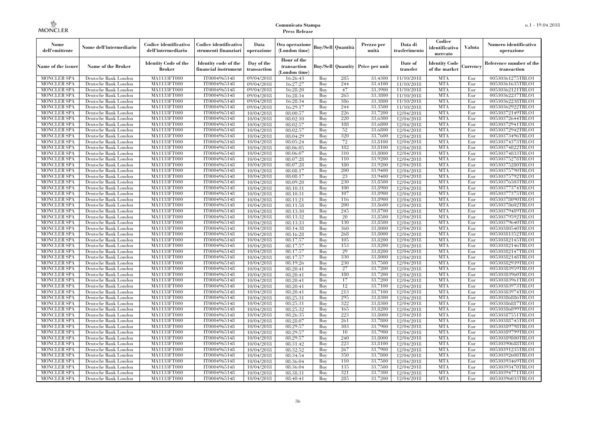| Nome<br>dell'emittente                   | Nome dell'intermediario                      | Codice identificativo<br>dell'intermediario  | Codice identificativo<br>strumenti finanziari | Data<br>operazione        | Ora operazione<br>(London time)             |            | <b>Buy/Sell Quantità</b> | Prezzo per<br>unità                     | Data di<br>trasferimento | Codice<br>identificativo<br>mercato   | Valuta     | Numero identificativo<br>operazione    |
|------------------------------------------|----------------------------------------------|----------------------------------------------|-----------------------------------------------|---------------------------|---------------------------------------------|------------|--------------------------|-----------------------------------------|--------------------------|---------------------------------------|------------|----------------------------------------|
| Name of the issuer                       | Name of the Broker                           | <b>Identity Code of the</b><br><b>Broker</b> | Identity code of the<br>financial instrument  | Day of the<br>transaction | Hour of the<br>transaction<br>(London time) |            |                          | <b>Buy/Sell Quantity Price per unit</b> | Date of<br>transfer      | <b>Identity Code</b><br>of the market | Currencv   | Reference number of the<br>transaction |
| <b>MONCLER SPA</b>                       | Deutsche Bank London                         | MA1133FT000                                  | IT0004965148                                  | 09/04/2018                | 16:26:43                                    | Buy        | 285                      | 33,4300                                 | 11/10/2018               | <b>MTA</b>                            | Eur        | 00530361275TRLO1                       |
| <b>MONCLER SPA</b>                       | Deutsche Bank London                         | MA1133FT000                                  | IT0004965148                                  | 09/04/2018                | 16:27:27                                    | Buy        | 244                      | 33,4100                                 | 11/10/2018               | <b>MTA</b>                            | Eur        | 00530361635TRLO1                       |
| <b>MONCLER SPA</b>                       | Deutsche Bank London                         | MA1133FT000                                  | IT0004965148                                  | 09/04/2018                | 16:28:20                                    | Buy        | 47                       | 33,3900                                 | 11/10/2018               | <b>MTA</b>                            | Eur        | 00530362121TRLO1                       |
| <b>MONCLER SPA</b>                       | Deutsche Bank London                         | MA1133FT000                                  | IT0004965148                                  | 09/04/2018                | 16:28:34                                    | Buy        | 265                      | 33,3800                                 | 11/10/2018               | <b>MTA</b>                            | Eur        | 00530362237TRLO1                       |
| <b>MONCLER SPA</b>                       | Deutsche Bank London                         | MA1133FT000<br>MA1133FT000                   | IT0004965148                                  | 09/04/2018                | 16:28:34                                    | Buy        | 386<br>244               | 33,3800<br>33,3500                      | 11/10/2018               | <b>MTA</b><br><b>MTA</b>              | Eur        | 00530362238TRLO1                       |
| <b>MONCLER SPA</b><br><b>MONCLER SPA</b> | Deutsche Bank London<br>Deutsche Bank London | MA1133FT000                                  | IT0004965148<br>IT0004965148                  | 09/04/2018<br>10/04/2018  | 16:29:17<br>08:00:57                        | Buy<br>Buy | 226                      | 33,7200                                 | 11/10/2018<br>12/04/2018 | <b>MTA</b>                            | Eur<br>Eur | 00530362922TRLO1<br>00530372149TRLO1   |
| <b>MONCLER SPA</b>                       | Deutsche Bank London                         | MA1133FT000                                  | IT0004965148                                  | 10/04/2018                | 08:02:10                                    | Buv        | 220                      | 33.6300                                 | 12/04/2018               | <b>MTA</b>                            | Eur        | 00530372644TRLO1                       |
| <b>MONCLER SPA</b>                       | Deutsche Bank London                         | MA1133FT000                                  | IT0004965148                                  | 10/04/2018                | 08:02:57                                    | Buy        | 188                      | 33,6800                                 | 12/04/2018               | <b>MTA</b>                            | Eur        | 00530372941TRLO1                       |
| <b>MONCLER SPA</b>                       | Deutsche Bank London                         | <b>MA1133FT000</b>                           | IT0004965148                                  | 10/04/2018                | 08:02:57                                    | Buy        | 52                       | 33,6800                                 | 12/04/2018               | <b>MTA</b>                            | Eur        | 00530372942TRLO1                       |
| <b>MONCLER SPA</b>                       | Deutsche Bank London                         | MA1133FT000                                  | IT0004965148                                  | 10/04/2018                | 08:04:29                                    | Buy        | 320                      | 33,7600                                 | 12/04/2018               | <b>MTA</b>                            | Eur        | 00530373496TRLO1                       |
| <b>MONCLER SPA</b>                       | Deutsche Bank London                         | MA1133FT000                                  | IT0004965148                                  | 10/04/2018                | 08:05:24                                    | Buy        | 72                       | 33,8100                                 | 12/04/2018               | <b>MTA</b>                            | Eur        | 00530374373TRLO1                       |
| <b>MONCLER SPA</b>                       | Deutsche Bank London                         | MA1133FT000                                  | IT0004965148                                  | 10/04/2018                | 08:06:05                                    | Buy        | 182                      | 33,8100                                 | 12/04/2018               | <b>MTA</b>                            | Eur        | 00530374822TRLO1                       |
| <b>MONCLER SPA</b>                       | Deutsche Bank London                         | MA1133FT000                                  | IT0004965148                                  | 10/04/2018                | 08:06:07                                    | Buy        | 310                      | 33,8000                                 | 12/04/2018               | <b>MTA</b>                            | Eur        | 00530374833TRLO1                       |
| <b>MONCLER SPA</b>                       | Deutsche Bank London                         | MA1133FT000                                  | IT0004965148                                  | 10/04/2018                | 08:07:28                                    | Buy        | 110                      | 33,9200                                 | 12/04/2018               | <b>MTA</b>                            | Eur        | 00530375278TRLO1                       |
| <b>MONCLER SPA</b>                       | Deutsche Bank London                         | MA1133FT000                                  | IT0004965148                                  | 10/04/2018                | 08:07:28                                    | Buy        | 180                      | 33,9200                                 | 12/04/2018               | <b>MTA</b>                            | Eur        | 00530375280TRLO1                       |
| <b>MONCLER SPA</b>                       | Deutsche Bank London                         | MA1133FT000                                  | IT0004965148                                  | 10/04/2018                | 08:08:17                                    | Buy        | 200                      | 33,9400                                 | 12/04/2018               | <b>MTA</b>                            | Eur        | 00530375790TRLO1                       |
| <b>MONCLER SPA</b>                       | Deutsche Bank London                         | MA1133FT000                                  | IT0004965148                                  | 10/04/2018                | 08:08:17                                    | Buy        | 23                       | 33,9400                                 | 12/04/2018               | <b>MTA</b>                            | Eur        | 00530375792TRLO1                       |
| <b>MONCLER SPA</b>                       | Deutsche Bank London                         | MA1133FT000                                  | IT0004965148                                  | 10/04/2018                | 08:09:20                                    | Buy        | 230                      | 33,8500                                 | 12/04/2018               | <b>MTA</b>                            | Eur        | 00530376503TRLO1                       |
| <b>MONCLER SPA</b>                       | Deutsche Bank London                         | MA1133FT000                                  | IT0004965148                                  | 10/04/2018                | 08:10:31                                    | Buy        | 100                      | 33,8900                                 | 12/04/2018               | <b>MTA</b>                            | Eur        | 00530377374TRLO1                       |
| <b>MONCLER SPA</b>                       | Deutsche Bank London                         | MA1133FT000                                  | IT0004965148                                  | 10/04/2018                | 08:10:31                                    | Buy        | 107                      | 33,8900                                 | 12/04/2018               | <b>MTA</b>                            | Eur        | 00530377375TRLO1                       |
| <b>MONCLER SPA</b>                       | Deutsche Bank London                         | MA1133FT000                                  | IT0004965148                                  | 10/04/2018                | $\overline{0}8:11:21$                       | Buy        | 116                      | 33,8900                                 | 12/04/2018               | <b>MTA</b>                            | Eur        | 00530378090TRLO1                       |
| <b>MONCLER SPA</b>                       | Deutsche Bank London                         | MA1133FT000                                  | IT0004965148                                  | 10/04/2018                | 08:11:58                                    | Buy        | <b>200</b>               | 33,8600                                 | 12/04/2018               | <b>MTA</b>                            | Eur        | 00530378602TRLO1                       |
| <b>MONCLER SPA</b>                       | Deutsche Bank London                         | MA1133FT000                                  | IT0004965148                                  | 10/04/2018                | 08:13:30                                    | Buy        | 245                      | 33,8700                                 | 12/04/2018               | <b>MTA</b>                            | Eur        | 00530379489TRLO1                       |
| <b>MONCLER SPA</b>                       | Deutsche Bank London                         | MA1133FT000                                  | IT0004965148                                  | 10/04/2018                | 08:13:32                                    | Buy        | 20                       | 33,8500                                 | 12/04/2018               | <b>MTA</b>                            | Eur        | 00530379592TRLO1                       |
| <b>MONCLER SPA</b>                       | Deutsche Bank London                         | MA1133FT000                                  | IT0004965148                                  | 10/04/2018                | 08:13:33                                    | Buy        | 130                      | 33,8500                                 | 12/04/2018               | <b>MTA</b>                            | Eur        | 00530379640TRLO1                       |
| <b>MONCLER SPA</b>                       | Deutsche Bank London                         | MA1133FT000                                  | IT0004965148                                  | 10/04/2018                | 08:14:38                                    | Buy        | 360                      | 33,8000                                 | 12/04/2018               | <b>MTA</b>                            | Eur        | 00530380540TRLO1                       |
| <b>MONCLER SPA</b>                       | Deutsche Bank London                         | MA1133FT000                                  | IT0004965148                                  | 10/04/2018                | 08:16:28                                    | Buy        | 268                      | 33,8000                                 | 12/04/2018               | <b>MTA</b>                            | Eur        | 00530381352TRLO1                       |
| <b>MONCLER SPA</b>                       | Deutsche Bank London                         | MA1133FT000<br>MA1133FT000                   | IT0004965148<br>IT0004965148                  | 10/04/2018                | 08:17:57                                    | Buy        | 105<br>153               | 33,8200<br>33,8200                      | 12/04/2018               | <b>MTA</b><br><b>MTA</b>              | Eur<br>Eur | 00530382145TRLO1                       |
| <b>MONCLER SPA</b><br><b>MONCLER SPA</b> | Deutsche Bank London<br>Deutsche Bank London | MA1133FT000                                  | IT0004965148                                  | 10/04/2018<br>10/04/2018  | 08:17:57<br>08:17:57                        | Buy<br>Buy | 29                       | 33,8200                                 | 12/04/2018<br>12/04/2018 | <b>MTA</b>                            | Eur        | 00530382146TRLO1<br>00530382147TRLO1   |
| <b>MONCLER SPA</b>                       | Deutsche Bank London                         | MA1133FT000                                  | IT0004965148                                  | 10/04/2018                | 08:17:57                                    | Buy        | 330                      | 33,8000                                 | 12/04/2018               | <b>MTA</b>                            | Eur        | 00530382148TRLO1                       |
| <b>MONCLER SPA</b>                       | Deutsche Bank London                         | MA1133FT000                                  | IT0004965148                                  | 10/04/2018                | 08:19:26                                    | Buy        | 230                      | 33,7500                                 | 12/04/2018               | <b>MTA</b>                            | Eur        | 00530382939TRLO1                       |
| <b>MONCLER SPA</b>                       | Deutsche Bank London                         | MA1133FT000                                  | IT0004965148                                  | 10/04/2018                | 08:20:41                                    | Buy        | 27                       | 33,7200                                 | 12/04/2018               | <b>MTA</b>                            | Eur        | 00530383959TRLO1                       |
| <b>MONCLER SPA</b>                       | Deutsche Bank London                         | MA1133FT000                                  | IT0004965148                                  | 10/04/2018                | 08:20:41                                    | Buy        | 180                      | 33,7200                                 | 12/04/2018               | <b>MTA</b>                            | Eur        | 00530383960TRLO1                       |
| <b>MONCLER SPA</b>                       | Deutsche Bank London                         | MA1133FT000                                  | IT0004965148                                  | 10/04/2018                | 08:20:41                                    | Buy        | 17                       | 33,7200                                 | 12/04/2018               | <b>MTA</b>                            | Eur        | 00530383961TRLO1                       |
| <b>MONCLER SPA</b>                       | Deutsche Bank London                         | MA1133FT000                                  | IT0004965148                                  | 10/04/2018                | 08:20:41                                    | Buy        | 12                       | 33.7100                                 | 12/04/2018               | <b>MTA</b>                            | Eur        | 00530383973TRLO1                       |
| <b>MONCLER SPA</b>                       | Deutsche Bank London                         | MA1133FT000                                  | IT0004965148                                  | 10/04/2018                | 08:20:41                                    | Buy        | 213                      | 33,7100                                 | 12/04/2018               | <b>MTA</b>                            | Eur        | 00530383974TRLO1                       |
| <b>MONCLER SPA</b>                       | Deutsche Bank London                         | MA1133FT000                                  | IT0004965148                                  | 10/04/2018                | 08:25:31                                    | Buy        | 295                      | 33,8300                                 | 12/04/2018               | <b>MTA</b>                            | Eur        | 00530386886TRLO1                       |
| <b>MONCLER SPA</b>                       | Deutsche Bank London                         | MA1133FT000                                  | IT0004965148                                  | 10/04/2018                | 08:25:31                                    | Buy        | 322                      | 33,8300                                 | 12/04/2018               | <b>MTA</b>                            | Eur        | 00530386887TRLO1                       |
| <b>MONCLER SPA</b>                       | Deutsche Bank London                         | MA1133FT000                                  | IT0004965148                                  | 10/04/2018                | 08:25:32                                    | Buy        | 165                      | 33,8200                                 | 12/04/2018               | <b>MTA</b>                            | Eur        | 00530386899TRLO1                       |
| <b>MONCLER SPA</b>                       | Deutsche Bank London                         | MA1133FT000                                  | IT0004965148                                  | 10/04/2018                | 08:26:35                                    | Buy        | 223                      | 33,8000                                 | 12/04/2018               | <b>MTA</b>                            | Eur        | 00530387551TRLO1                       |
| <b>MONCLER SPA</b>                       | Deutsche Bank London                         | MA1133FT000                                  | IT0004965148                                  | 10/04/2018                | 08:28:07                                    | Buy        | 261                      | 33,7800                                 | 12/04/2018               | <b>MTA</b>                            | Eur        | 00530388745TRLO1                       |
| <b>MONCLER SPA</b>                       | Deutsche Bank London                         | MA1133FT000                                  | IT0004965148                                  | 10/04/2018                | 08:29:57                                    | Buy        | 303                      | 33,7900                                 | 12/04/2018               | <b>MTA</b>                            | Eur        | 00530389798TRLO1                       |
| <b>MONCLER SPA</b>                       | Deutsche Bank London                         | MA1133FT000                                  | IT0004965148                                  | 10/04/2018                | 08:29:57                                    | Buy        | 10                       | 33,7900                                 | 12/04/2018               | <b>MTA</b>                            | Eur        | 00530389799TRLO1                       |
| <b>MONCLER SPA</b>                       | Deutsche Bank London                         | MA1133FT000                                  | IT0004965148                                  | 10/04/2018                | 08:29:57                                    | Buy        | 240                      | 33,8000                                 | 12/04/2018               | <b>MTA</b>                            | Eur        | 00530389800TRLO1                       |
| <b>MONCLER SPA</b>                       | Deutsche Bank London                         | MA1133FT000                                  | IT0004965148                                  | 10/04/2018                | 08:31:42                                    | Buy        | 223                      | 33,8100                                 | 12/04/2018               | <b>MTA</b>                            | Eur        | 00530390688TRLO1                       |
| <b>MONCLER SPA</b>                       | Deutsche Bank London                         | MA1133FT000                                  | IT0004965148                                  | 10/04/2018                | 08:32:52                                    | Buy        | 267                      | 33,7900                                 | 12/04/2018               | <b>MTA</b>                            | Eur        | 00530391235TRLO1                       |
| <b>MONCLER SPA</b>                       | Deutsche Bank London                         | MA1133FT000                                  | IT0004965148                                  | 10/04/2018                | 08:34:54                                    | Buy        | 350                      | 33,7800                                 | 12/04/2018               | <b>MTA</b>                            | Eur        | 00530392608TRLO1                       |
| <b>MONCLER SPA</b>                       | Deutsche Bank London                         | MA1133FT000                                  | IT0004965148                                  | 10/04/2018                | 08:36:04                                    | Buy        | 110                      | 33,7500                                 | 12/04/2018               | <b>MTA</b>                            | Eur        | 00530393469TRLO1                       |
| <b>MONCLER SPA</b>                       | Deutsche Bank London                         | MA1133FT000                                  | IT0004965148                                  | 10/04/2018                | 08:36:04                                    | Buy        | 135                      | 33,7500                                 | 12/04/2018               | <b>MTA</b>                            | Eur        | 00530393470TRLO1                       |
| <b>MONCLER SPA</b>                       | Deutsche Bank London                         | MA1133FT000                                  | IT0004965148                                  | 10/04/2018                | 08:38:31                                    | Buy        | 321                      | 33,7300                                 | 12/04/2018               | <b>MTA</b>                            | Eur        | 00530394771TRLO1                       |
| <b>MONCLER SPA</b>                       | Deutsche Bank London                         | MA1133FT000                                  | IT0004965148                                  | 10/04/2018                | 08:40:41                                    | Buy        | 285                      | 33,7200                                 | 12/04/2018               | <b>MTA</b>                            | Eur        | 00530396033TRLO1                       |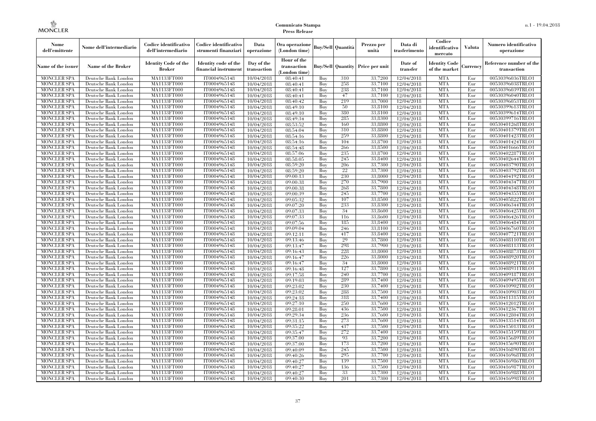| Nome<br>dell'emittente                   | Nome dell'intermediario                      | Codice identificativo<br>dell'intermediario  | Codice identificativo<br>strumenti finanziari | Data<br>operazione        | Ora operazione<br>(London time)             |            | Buy/Sell   Quantità      | Prezzo per<br>unità | Data di<br>trasferimento | Codice<br>identificativo<br>mercato   | <b>Valuta</b> | Numero identificativo<br>operazione    |
|------------------------------------------|----------------------------------------------|----------------------------------------------|-----------------------------------------------|---------------------------|---------------------------------------------|------------|--------------------------|---------------------|--------------------------|---------------------------------------|---------------|----------------------------------------|
| Name of the issuer                       | Name of the Broker                           | <b>Identity Code of the</b><br><b>Broker</b> | Identity code of the<br>financial instrument  | Day of the<br>transaction | Hour of the<br>transaction<br>(London time) |            | <b>Buy/Sell Quantity</b> | Price per unit      | Date of<br>transfer      | <b>Identity Code</b><br>of the market | Currencv      | Reference number of the<br>transaction |
| <b>MONCLER SPA</b>                       | Deutsche Bank London                         | MA1133FT000                                  | IT0004965148                                  | 10/04/2018                | 08:40:41                                    | Buy        | 310                      | 33,7200             | 12/04/2018               | <b>MTA</b>                            | Eur           | 00530396036TRLO1                       |
| <b>MONCLER SPA</b>                       | Deutsche Bank London                         | <b>MA1133FT000</b>                           | IT0004965148                                  | 10/04/2018                | 08:40:41                                    | Buy        | 258                      | 33,7100             | 12/04/2018               | <b>MTA</b>                            | Eur           | 00530396038TRLO1                       |
| <b>MONCLER SPA</b>                       | Deutsche Bank London                         | MA1133FT000                                  | IT0004965148                                  | 10/04/2018                | 08:40:41                                    | Buv        | 238                      | 33.7100             | 12/04/2018               | <b>MTA</b>                            | Eur           | 00530396039TRLO1                       |
| <b>MONCLER SPA</b>                       | Deutsche Bank London                         | MA1133FT000                                  | IT0004965148                                  | 10/04/2018                | 08:40:41                                    | Buy        | 47<br>219                | 33,7100             | 12/04/2018               | <b>MTA</b>                            | Eur           | 00530396040TRLO1                       |
| <b>MONCLER SPA</b>                       | Deutsche Bank London                         | MA1133FT000                                  | IT0004965148                                  | 10/04/2018                | 08:40:42                                    | Buy        | 50                       | 33,7000<br>33,8100  | $\overline{12}/04/2018$  | <b>MTA</b><br><b>MTA</b>              | Eur           | 00530396053TRLO1                       |
| <b>MONCLER SPA</b><br><b>MONCLER SPA</b> | Deutsche Bank London<br>Deutsche Bank London | <b>MA1133FT000</b><br>MA1133FT000            | IT0004965148<br>IT0004965148                  | 10/04/2018<br>10/04/2018  | 08:49:10<br>08:49:10                        | Buy<br>Buy | 380                      | 33,8100             | 12/04/2018<br>12/04/2018 | <b>MTA</b>                            | Eur<br>Eur    | 00530399613TRLO1<br>00530399614TRLO1   |
| <b>MONCLER SPA</b>                       | Deutsche Bank London                         | MA1133FT000                                  | IT0004965148                                  | 10/04/2018                | 08:49:34                                    | Buy        | 285                      | 33.8300             | 12/04/2018               | <b>MTA</b>                            | Eur           | 00530399716TRLO1                       |
| <b>MONCLER SPA</b>                       | Deutsche Bank London                         | MA1133FT000                                  | IT0004965148                                  | 10/04/2018                | 08:53:52                                    | Buy        | 160                      | 33,8800             | $\overline{12}/04/2018$  | <b>MTA</b>                            | Eur           | 00530401268TRLO1                       |
| <b>MONCLER SPA</b>                       | Deutsche Bank London                         | MA1133FT000                                  | IT0004965148                                  | 10/04/2018                | 08:54:04                                    | Buy        | 310                      | 33,8800             | 12/04/2018               | <b>MTA</b>                            | Eur           | 00530401379TRLO1                       |
| <b>MONCLER SPA</b>                       | Deutsche Bank London                         | MA1133FT000                                  | IT0004965148                                  | 10/04/2018                | 08:54:16                                    | Buy        | 259                      | 33,8800             | 12/04/2018               | <b>MTA</b>                            | Eur           | 00530401423TRLO1                       |
| <b>MONCLER SPA</b>                       | Deutsche Bank London                         | MA1133FT000                                  | IT0004965148                                  | 10/04/2018                | 08:54:16                                    | Buy        | 104                      | 33,8700             | 12/04/2018               | <b>MTA</b>                            | Eur           | 00530401424TRLO1                       |
| <b>MONCLER SPA</b>                       | Deutsche Bank London                         | MA1133FT000                                  | IT0004965148                                  | 10/04/2018                | 08:54:48                                    | Buy        | 266                      | 33,8500             | 12/04/2018               | <b>MTA</b>                            | Eur           | 00530401666TRLO1                       |
| <b>MONCLER SPA</b>                       | Deutsche Bank London                         | MA1133FT000                                  | IT0004965148                                  | 10/04/2018                | 08:57:06                                    | Buy        | 235                      | 33,8700             | 12/04/2018               | <b>MTA</b>                            | Eur           | 00530402287TRLO1                       |
| <b>MONCLER SPA</b>                       | Deutsche Bank London                         | MA1133FT000                                  | IT0004965148                                  | 10/04/2018                | 08:58:05                                    | Buy        | 245                      | 33,8400             | 12/04/2018               | <b>MTA</b>                            | Eur           | 00530402644TRLO1                       |
| <b>MONCLER SPA</b>                       | Deutsche Bank London                         | MA1133FT000                                  | IT0004965148                                  | 10/04/2018                | 08:59:20                                    | Buy        | 206                      | 33,7300             | 12/04/2018               | <b>MTA</b>                            | Eur           | 00530403790TRLO1                       |
| <b>MONCLER SPA</b>                       | Deutsche Bank London                         | MA1133FT000                                  | IT0004965148                                  | 10/04/2018                | 08:59:20                                    | Buy        | 22                       | 33,7300             | 12/04/2018               | <b>MTA</b>                            | Eur           | 00530403792TRLO1                       |
| <b>MONCLER SPA</b>                       | Deutsche Bank London                         | MA1133FT000                                  | IT0004965148                                  | 10/04/2018                | 09:00:13                                    | Buy        | 230                      | 33,8000             | 12/04/2018               | <b>MTA</b>                            | Eur           | 00530404192TRLO1                       |
| <b>MONCLER SPA</b>                       | Deutsche Bank London                         | MA1133FT000                                  | IT0004965148                                  | 10/04/2018                | 09:00:38                                    | Buy        | 270                      | 33,7900             | 12/04/2018               | <b>MTA</b>                            | Eur           | 00530404347TRLO1                       |
| <b>MONCLER SPA</b>                       | Deutsche Bank London                         | MA1133FT000                                  | IT0004965148                                  | 10/04/2018                | 09:00:38                                    | Buy        | 268                      | 33,7800             | 12/04/2018               | <b>MTA</b>                            | Eur           | 00530404348TRLO1                       |
| <b>MONCLER SPA</b>                       | Deutsche Bank London                         | MA1133FT000                                  | IT0004965148                                  | 10/04/2018                | 09:00:39                                    | Buy        | 245<br>107               | 33,7700<br>33,8500  | 12/04/2018               | <b>MTA</b>                            | Eur           | 00530404355TRLO1                       |
| <b>MONCLER SPA</b><br><b>MONCLER SPA</b> | Deutsche Bank London                         | MA1133FT000<br>MA1133FT000                   | IT0004965148<br>IT0004965148                  | 10/04/2018                | 09:05:32<br>09:07:20                        | Buy<br>Buy | 233                      | 33,8300             | 12/04/2018               | <b>MTA</b><br><b>MTA</b>              | Eur<br>Eur    | 00530405822TRLO1<br>00530406344TRLO1   |
| <b>MONCLER SPA</b>                       | Deutsche Bank London<br>Deutsche Bank London | MA1133FT000                                  | IT0004965148                                  | 10/04/2018<br>10/04/2018  | 09:07:33                                    | Buy        | 34                       | 33,8600             | 12/04/2018<br>12/04/2018 | <b>MTA</b>                            | Eur           | 00530406425TRLO1                       |
| <b>MONCLER SPA</b>                       | Deutsche Bank London                         | MA1133FT000                                  | IT0004965148                                  | 10/04/2018                | 09:07:33                                    | Buy        | 116                      | 33,8600             | 12/04/2018               | <b>MTA</b>                            | Eur           | 00530406426TRLO1                       |
| <b>MONCLER SPA</b>                       | Deutsche Bank London                         | MA1133FT000                                  | IT0004965148                                  | 10/04/2018                | 09:07:56                                    | Buy        | 185                      | 33,8400             | 12/04/2018               | <b>MTA</b>                            | Eur           | 00530406484TRLO1                       |
| <b>MONCLER SPA</b>                       | Deutsche Bank London                         | MA1133FT000                                  | IT0004965148                                  | 10/04/2018                | 09:09:04                                    | Buy        | 246                      | 33,8100             | 12/04/2018               | <b>MTA</b>                            | Eur           | 00530406760TRLO1                       |
| <b>MONCLER SPA</b>                       | Deutsche Bank London                         | MA1133FT000                                  | IT0004965148                                  | 10/04/2018                | 09:12:11                                    | Buy        | 417                      | 33.8400             | 12/04/2018               | <b>MTA</b>                            | Eur           | 00530407721TRLO1                       |
| <b>MONCLER SPA</b>                       | Deutsche Bank London                         | MA1133FT000                                  | IT0004965148                                  | 10/04/2018                | 09:13:46                                    | Buy        | 29                       | 33,7800             | 12/04/2018               | <b>MTA</b>                            | Eur           | 00530408110TRLO1                       |
| <b>MONCLER SPA</b>                       | Deutsche Bank London                         | <b>MA1133FT000</b>                           | IT0004965148                                  | 10/04/2018                | 09:13:47                                    | Buy        | 298                      | 33,7900             | 12/04/2018               | <b>MTA</b>                            | Eur           | 00530408113TRLO1                       |
| <b>MONCLER SPA</b>                       | Deutsche Bank London                         | MA1133FT000                                  | IT0004965148                                  | 10/04/2018                | 09:16:43                                    | Buy        | 228                      | 33,8000             | 12/04/2018               | <b>MTA</b>                            | Eur           | 00530408873TRLO1                       |
| <b>MONCLER SPA</b>                       | Deutsche Bank London                         | MA1133FT000                                  | IT0004965148                                  | 10/04/2018                | 09:16:47                                    | Buy        | 226                      | 33,8000             | 12/04/2018               | <b>MTA</b>                            | Eur           | 00530408920TRLO1                       |
| <b>MONCLER SPA</b>                       | Deutsche Bank London                         | MA1133FT000                                  | IT0004965148                                  | 10/04/2018                | 09:16:47                                    | Buy        | 34                       | 33,8000             | 12/04/2018               | <b>MTA</b>                            | Eur           | 00530408921TRLO1                       |
| <b>MONCLER SPA</b>                       | Deutsche Bank London                         | MA1133FT000                                  | IT0004965148                                  | 10/04/2018                | 09:16:48                                    | Buy        | 127                      | 33,7800             | 12/04/2018               | <b>MTA</b>                            | Eur           | 00530408931TRLO1                       |
| <b>MONCLER SPA</b>                       | Deutsche Bank London                         | MA1133FT000                                  | IT0004965148                                  | 10/04/2018                | 09:17:58                                    | Buy        | 240                      | 33,7700             | 12/04/2018               | <b>MTA</b>                            | Eur           | 00530409187TRLO1                       |
| <b>MONCLER SPA</b>                       | Deutsche Bank London                         | MA1133FT000                                  | IT0004965148                                  | 10/04/2018                | 09:19:03                                    | Buy        | 289                      | 33,7400             | 12/04/2018               | <b>MTA</b>                            | Eur           | 00530409495TRLO1                       |
| <b>MONCLER SPA</b>                       | Deutsche Bank London                         | MA1133FT000                                  | IT0004965148                                  | 10/04/2018                | 09:23:02                                    | Buy        | 230                      | 33,7400             | 12/04/2018               | <b>MTA</b>                            | Eur           | 00530410902TRLO1                       |
| <b>MONCLER SPA</b>                       | Deutsche Bank London                         | <b>MA1133FT000</b>                           | IT0004965148                                  | 10/04/2018                | 09:23:02                                    | Buy        | 288                      | 33,7500             | 12/04/2018               | <b>MTA</b>                            | Eur           | 00530410903TRLO1                       |
| <b>MONCLER SPA</b>                       | Deutsche Bank London                         | MA1133FT000                                  | IT0004965148                                  | 10/04/2018                | 09:24:18                                    | Buy        | 318                      | 33,7400             | 12/04/2018               | <b>MTA</b>                            | Eur           | 00530411315TRLO1                       |
| <b>MONCLER SPA</b>                       | Deutsche Bank London                         | <b>MA1133FT000</b>                           | IT0004965148                                  | 10/04/2018                | 09:27:10                                    | Buy        | 250                      | 33,7600             | 12/04/2018               | <b>MTA</b>                            | Eur           | 00530412012TRLO1                       |
| <b>MONCLER SPA</b>                       | Deutsche Bank London                         | MA1133FT000                                  | IT0004965148<br>IT0004965148                  | 10/04/2018                | 09:28:01<br>09:29:34                        | Buy        | 436<br>236               | 33,7500<br>33.7600  | 12/04/2018               | <b>MTA</b><br><b>MTA</b>              | Eur           | 00530412367TRLO1                       |
| <b>MONCLER SPA</b><br><b>MONCLER SPA</b> | Deutsche Bank London<br>Deutsche Bank London | MA1133FT000<br>MA1133FT000                   | IT0004965148                                  | 10/04/2018<br>10/04/2018  | 09:31:15                                    | Buy<br>Buy | 273                      | 33,7600             | 12/04/2018<br>12/04/2018 | <b>MTA</b>                            | Eur<br>Eur    | 00530412804TRLO1<br>00530413514TRLO1   |
| <b>MONCLER SPA</b>                       | Deutsche Bank London                         | MA1133FT000                                  | IT0004965148                                  | 10/04/2018                | 09:35:22                                    | Buy        | 437                      | 33,7500             | 12/04/2018               | <b>MTA</b>                            | Eur           | 00530415013TRLO1                       |
| <b>MONCLER SPA</b>                       | Deutsche Bank London                         | MA1133FT000                                  | IT0004965148                                  | 10/04/2018                | 09:35:47                                    | Buy        | 272                      | 33,7400             | 12/04/2018               | <b>MTA</b>                            | Eur           | 00530415159TRLO1                       |
| <b>MONCLER SPA</b>                       | Deutsche Bank London                         | MA1133FT000                                  | IT0004965148                                  | 10/04/2018                | 09:37:00                                    | Buy        | 93                       | 33,7200             | 12/04/2018               | <b>MTA</b>                            | Eur           | 00530415689TRLO1                       |
| <b>MONCLER SPA</b>                       | Deutsche Bank London                         | MA1133FT000                                  | IT0004965148                                  | 10/04/2018                | 09:37:00                                    | Buy        | 173                      | 33,7200             | 12/04/2018               | <b>MTA</b>                            | Eur           | 00530415690TRLO1                       |
| <b>MONCLER SPA</b>                       | Deutsche Bank London                         | MA1133FT000                                  | IT0004965148                                  | 10/04/2018                | 09:40:09                                    | Buy        | 245                      | 33,7500             | 12/04/2018               | <b>MTA</b>                            | Eur           | 00530416890TRLO1                       |
| <b>MONCLER SPA</b>                       | Deutsche Bank London                         | MA1133FT000                                  | IT0004965148                                  | 10/04/2018                | 09:40:26                                    | Buy        | 295                      | 33,7700             | 12/04/2018               | <b>MTA</b>                            | Eur           | 00530416968TRLO1                       |
| <b>MONCLER SPA</b>                       | Deutsche Bank London                         | MA1133FT000                                  | IT0004965148                                  | 10/04/2018                | 09:40:27                                    | Buy        | 139                      | 33,7500             | 12/04/2018               | <b>MTA</b>                            | Eur           | 00530416986TRLO1                       |
| <b>MONCLER SPA</b>                       | Deutsche Bank London                         | MA1133FT000                                  | IT0004965148                                  | 10/04/2018                | 09:40:27                                    | Buy        | 136                      | 33,7500             | 12/04/2018               | <b>MTA</b>                            | Eur           | 00530416987TRLO1                       |
| <b>MONCLER SPA</b>                       | Deutsche Bank London                         | MA1133FT000                                  | IT0004965148                                  | 10/04/2018                | 09:40:27                                    | Buy        | 33                       | 33,7300             | 12/04/2018               | <b>MTA</b>                            | Eur           | 00530416988TRLO1                       |
| <b>MONCLER SPA</b>                       | Deutsche Bank London                         | MA1133FT000                                  | IT0004965148                                  | 10/04/2018                | 09:40:30                                    | Buy        | 201                      | 33,7300             | 12/04/2018               | <b>MTA</b>                            | Eur           | 00530416998TRLO1                       |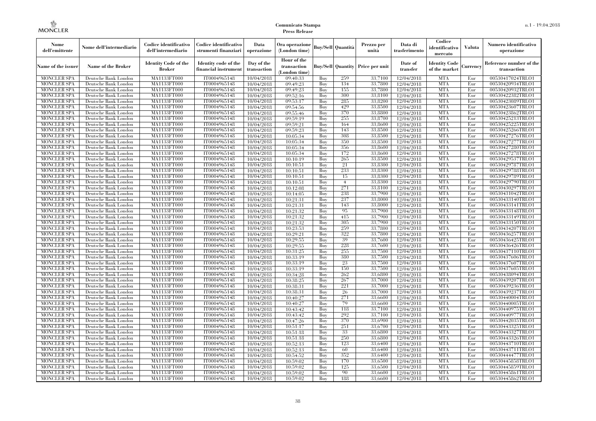| Hour of the<br><b>Identity Code of the</b><br><b>Identity Code</b><br>Identity code of the<br>Day of the<br>Date of<br>Reference number of the<br>Name of the Broker<br>Price per unit<br>Name of the issuer<br>transaction<br><b>Buy/Sell Quantity</b><br>Currencv<br><b>Broker</b><br>transfer<br>of the market<br>financial instrument<br>transaction<br>transaction<br>(London time)<br>MA1133FT000<br>259<br><b>MTA</b><br><b>MONCLER SPA</b><br>IT0004965148<br>Buy<br>33,7100<br>12/04/2018<br>Eur<br>00530417024TRLO1<br>Deutsche Bank London<br>10/04/2018<br>09:40:33<br><b>MA1133FT000</b><br>Buy<br>134<br>33,7800<br><b>MTA</b><br>Eur<br><b>MONCLER SPA</b><br>Deutsche Bank London<br>IT0004965148<br>10/04/2018<br>09:49:23<br>12/04/2018<br>00530420934TRLO1<br><b>MONCLER SPA</b><br>MA1133FT000<br>155<br>33,7800<br><b>MTA</b><br>Deutsche Bank London<br>IT0004965148<br>09:49:23<br>Buv<br>Eur<br>00530420932TRLO1<br>10/04/2018<br>12/04/2018<br>300<br><b>MTA</b><br><b>MONCLER SPA</b><br>MA1133FT000<br>IT0004965148<br>33,8100<br>00530422382TRLO1<br>Deutsche Bank London<br>10/04/2018<br>09:52:16<br>Buy<br>12/04/2018<br>Eur<br>285<br><b>MTA</b><br><b>MONCLER SPA</b><br>Deutsche Bank London<br>MA1133FT000<br>IT0004965148<br>09:53:17<br>Buy<br>33,8200<br>12/04/2018<br>Eur<br>00530423089TRLO1<br>10/04/2018<br><b>MA1133FT000</b><br>IT0004965148<br>429<br>33,8500<br><b>MTA</b><br>Eur<br>00530423607TRLO1<br><b>MONCLER SPA</b><br>Deutsche Bank London<br>10/04/2018<br>09:54:56<br>Buy<br>12/04/2018<br><b>MONCLER SPA</b><br>MA1133FT000<br>370<br>33,8800<br><b>MTA</b><br>Deutsche Bank London<br>IT0004965148<br>09:55:46<br>Buy<br>12/04/2018<br>Eur<br>00530423862TRLO1<br>10/04/2018<br>IT0004965148<br>09:59:19<br>255<br>33,8700<br>12/04/2018<br><b>MTA</b><br><b>MONCLER SPA</b><br>Deutsche Bank London<br>MA1133FT000<br>10/04/2018<br>Buy<br>Eur<br>00530425213TRLO1<br><b>MTA</b><br><b>MONCLER SPA</b><br>MA1133FT000<br>IT0004965148<br>09:59:21<br>Buy<br>164<br>33,8600<br>12/04/2018<br>Eur<br>00530425225TRLO1<br>Deutsche Bank London<br>10/04/2018<br>143<br><b>MTA</b><br><b>MONCLER SPA</b><br><b>MA1133FT000</b><br>IT0004965148<br>09:59:23<br>33,8500<br>Eur<br>00530425266TRLO1<br>Deutsche Bank London<br>10/04/2018<br>Buy<br>12/04/2018<br><b>MTA</b><br><b>MONCLER SPA</b><br>MA1133FT000<br>IT0004965148<br>308<br>33,8500<br>00530427276TRLO1<br>Deutsche Bank London<br>10/04/2018<br>10:05:34<br>Buy<br>12/04/2018<br>Eur<br><b>MTA</b><br><b>MONCLER SPA</b><br>MA1133FT000<br>IT0004965148<br>350<br>33,8500<br>Deutsche Bank London<br>10/04/2018<br>10:05:34<br>Buy<br>12/04/2018<br>Eur<br>00530427277TRLO1<br>356<br>33,8600<br><b>MTA</b><br><b>MONCLER SPA</b><br>MA1133FT000<br>IT0004965148<br>Buy<br>12/04/2018<br>Eur<br>00530427280TRLO1<br>Deutsche Bank London<br>10/04/2018<br>10:05:34<br>172<br><b>MONCLER SPA</b><br>MA1133FT000<br>IT0004965148<br>Buy<br>33,8600<br>12/04/2018<br><b>MTA</b><br>Eur<br>00530427278TRLO1<br>Deutsche Bank London<br>10/04/2018<br>10:05:34<br><b>MTA</b><br><b>MONCLER SPA</b><br>MA1133FT000<br>IT0004965148<br>Buy<br>265<br>33,8500<br>Eur<br>00530429537TRLO1<br>Deutsche Bank London<br>10/04/2018<br>10:10:19<br>12/04/2018<br><b>MTA</b><br><b>MONCLER SPA</b><br>MA1133FT000<br>IT0004965148<br>10:10:51<br>21<br>33,8300<br>00530429787TRLO1<br>Deutsche Bank London<br>10/04/2018<br>Buy<br>12/04/2018<br>Eur<br>233<br>33,8300<br><b>MTA</b><br><b>MONCLER SPA</b><br>Deutsche Bank London<br>MA1133FT000<br>IT0004965148<br>10/04/2018<br>10:10:51<br>Buy<br>12/04/2018<br>Eur<br>00530429788TRLO1<br>IT0004965148<br>33,8300<br><b>MTA</b><br><b>MONCLER SPA</b><br>Deutsche Bank London<br>MA1133FT000<br>10:10:51<br>Buy<br>15<br>12/04/2018<br>Eur<br>00530429789TRLO1<br>10/04/2018<br><b>MONCLER SPA</b><br>MA1133FT000<br>IT0004965148<br>33,8300<br><b>MTA</b><br>Deutsche Bank London<br>10/04/2018<br>10:10:51<br>Buy<br>$\overline{4}$<br>12/04/2018<br>Eur<br>00530429790TRLO1<br>271<br><b>MTA</b><br><b>MONCLER SPA</b><br>MA1133FT000<br>IT0004965148<br>10:12:08<br>33,8100<br>12/04/2018<br>00530430297TRLO1<br>Deutsche Bank London<br>10/04/2018<br>Buy<br>Eur<br><b>MONCLER SPA</b><br>Buy<br>238<br>33,7900<br>12/04/2018<br><b>MTA</b><br>Deutsche Bank London<br>MA1133FT000<br>IT0004965148<br>10/04/2018<br>10:14:05<br>Eur<br>00530431042TRLO1<br>IT0004965148<br>237<br><b>MTA</b><br><b>MONCLER SPA</b><br>Deutsche Bank London<br>MA1133FT000<br>10/04/2018<br>10:21:31<br>Buy<br>33,8000<br>12/04/2018<br>Eur<br>00530433140TRLO1<br>143<br>33,8000<br><b>MTA</b><br><b>MONCLER SPA</b><br>MA1133FT000<br>IT0004965148<br>10:21:31<br>Buy<br>12/04/2018<br>Eur<br>00530433141TRLO1<br>Deutsche Bank London<br>10/04/2018<br>95<br>33,7900<br><b>MTA</b><br><b>MONCLER SPA</b><br>Deutsche Bank London<br>MA1133FT000<br>IT0004965148<br>10/04/2018<br>10:21:32<br>Buy<br>12/04/2018<br>Eur<br>00530433148TRLO1<br>415<br>33,7900<br>12/04/2018<br><b>MTA</b><br><b>MONCLER SPA</b><br>MA1133FT000<br>IT0004965148<br>10/04/2018<br>10:21:32<br>Buy<br>Eur<br>00530433149TRLO1<br>Deutsche Bank London<br>305<br>33,7900<br><b>MTA</b><br><b>MONCLER SPA</b><br>MA1133FT000<br>IT0004965148<br>10/04/2018<br>10:21:32<br>Buy<br>12/04/2018<br>Eur<br>00530433150TRLO1<br>Deutsche Bank London<br><b>MONCLER SPA</b><br>259<br>33,7800<br><b>MTA</b><br>Deutsche Bank London<br>MA1133FT000<br>IT0004965148<br>10/04/2018<br>10:23:53<br>Buy<br>12/04/2018<br>Eur<br>00530434207TRLO1<br><b>MONCLER SPA</b><br>322<br>33,7800<br><b>MTA</b><br>Deutsche Bank London<br>MA1133FT000<br>IT0004965148<br>10/04/2018<br>10:29:21<br>Buy<br>12/04/2018<br>Eur<br>00530436257TRLO1<br><b>MONCLER SPA</b><br>Buy<br>39<br>33,7600<br><b>MTA</b><br>Deutsche Bank London<br>MA1133FT000<br>IT0004965148<br>10/04/2018<br>10:29:55<br>12/04/2018<br>Eur<br>00530436425TRLO1<br>IT0004965148<br>Buy<br>228<br>33,7600<br><b>MTA</b><br><b>MONCLER SPA</b><br>Deutsche Bank London<br><b>MA1133FT000</b><br>10/04/2018<br>10:29:55<br>12/04/2018<br>Eur<br>00530436426TRLO1<br>MONCLER SPA<br>255<br>33,7500<br><b>MTA</b><br>Deutsche Bank London<br>MA1133FT000<br>IT0004965148<br>10/04/2018<br>10:31:25<br>Buy<br>12/04/2018<br>Eur<br>00530437110TRLO1<br>380<br>33,7500<br><b>MTA</b><br><b>MONCLER SPA</b><br>Deutsche Bank London<br>MA1133FT000<br>IT0004965148<br>10:33:19<br>Buy<br>12/04/2018<br>Eur<br>00530437606TRLO1<br>10/04/2018<br><b>MONCLER SPA</b><br>MA1133FT000<br>Buy<br>23<br>33,7500<br><b>MTA</b><br>Deutsche Bank London<br>IT0004965148<br>10/04/2018<br>10:33:19<br>12/04/2018<br>Eur<br>00530437607TRLO1<br><b>MONCLER SPA</b><br>MA1133FT000<br>IT0004965148<br>Buy<br>150<br>33,7500<br><b>MTA</b><br>Eur<br>00530437605TRLO1<br>Deutsche Bank London<br>10/04/2018<br>10:33:19<br>12/04/2018<br><b>MONCLER SPA</b><br>MA1133FT000<br>IT0004965148<br>Buy<br>262<br>33,6800<br><b>MTA</b><br>Eur<br>00530438094TRLO1<br>Deutsche Bank London<br>10/04/2018<br>10:34:28<br>12/04/2018<br><b>MONCLER SPA</b><br>IT0004965148<br>33,7000<br><b>MTA</b><br>Deutsche Bank London<br>MA1133FT000<br>10/04/2018<br>10:38:25<br>Buy<br>267<br>12/04/2018<br>Eur<br>00530439207TRLO1<br><b>MONCLER SPA</b><br>IT0004965148<br>Buy<br>221<br>33,7000<br>12/04/2018<br><b>MTA</b><br>Eur<br>00530439236TRLO1<br>Deutsche Bank London<br>MA1133FT000<br>10/04/2018<br>10:38:31<br><b>MONCLER SPA</b><br>IT0004965148<br>Buy<br>26<br>33,7000<br><b>MTA</b><br>00530439237TRLO1<br>Deutsche Bank London<br><b>MA1133FT000</b><br>10/04/2018<br>10:38:31<br>12/04/2018<br>Eur<br>271<br><b>MONCLER SPA</b><br>MA1133FT000<br>IT0004965148<br>10:40:27<br>Buy<br>33,6600<br>12/04/2018<br><b>MTA</b><br>Eur<br>00530440004TRLO1<br>Deutsche Bank London<br>10/04/2018<br><b>MONCLER SPA</b><br>MA1133FT000<br>IT0004965148<br>79<br>33,6600<br><b>MTA</b><br>Deutsche Bank London<br>10/04/2018<br>10:40:27<br>Buy<br>12/04/2018<br>Eur<br>00530440005TRLO1<br><b>MONCLER SPA</b><br>MA1133FT000<br>IT0004965148<br>Buy<br>118<br>33,7100<br><b>MTA</b><br>Eur<br>Deutsche Bank London<br>10/04/2018<br>10:43:42<br>12/04/2018<br>00530440975TRLO1<br>IT0004965148<br>10:43:42<br>292<br>33,7100<br>12/04/2018<br><b>MTA</b><br><b>MONCLER SPA</b><br>Deutsche Bank London<br>MA1133FT000<br>10/04/2018<br>Buy<br>Eur<br>00530440977TRLO1<br><b>MONCLER SPA</b><br>MA1133FT000<br>IT0004965148<br>10:47:26<br>Buy<br>370<br>33,6900<br>12/04/2018<br><b>MTA</b><br>00530442035TRLO1<br>Deutsche Bank London<br>10/04/2018<br>Eur<br><b>MONCLER SPA</b><br>MA1133FT000<br>IT0004965148<br>10:51:17<br>Buy<br>251<br>33,6700<br>12/04/2018<br><b>MTA</b><br>00530443325TRLO1<br>Deutsche Bank London<br>10/04/2018<br>Eur<br><b>MONCLER SPA</b><br>MA1133FT000<br>IT0004965148<br>Buy<br>33<br>33,6800<br>12/04/2018<br><b>MTA</b><br>Eur<br>00530443327TRLO1<br>Deutsche Bank London<br>10/04/2018<br>10:51:18<br><b>MONCLER SPA</b><br>MA1133FT000<br>IT0004965148<br>Buy<br>250<br>33,6800<br><b>MTA</b><br>Eur<br>00530443326TRLO1<br>Deutsche Bank London<br>10/04/2018<br>10:51:18<br>12/04/2018<br><b>MONCLER SPA</b><br>MA1133FT000<br>IT0004965148<br>10:52:13<br>Buy<br>123<br>33,6400<br>12/04/2018<br><b>MTA</b><br>Eur<br>00530443710TRLO1<br>Deutsche Bank London<br>10/04/2018<br><b>MONCLER SPA</b><br>MA1133FT000<br>IT0004965148<br>10:52:13<br>60<br>33,6400<br>12/04/2018<br><b>MTA</b><br>00530443711TRLO1<br>Deutsche Bank London<br>10/04/2018<br>Buy<br>Eur<br>352<br><b>MONCLER SPA</b><br>Deutsche Bank London<br>MA1133FT000<br>IT0004965148<br>10/04/2018<br>10:54:52<br>Buy<br>33,6400<br>12/04/2018<br><b>MTA</b><br>Eur<br>00530444477TRLO1<br><b>MONCLER SPA</b><br>MA1133FT000<br>IT0004965148<br>170<br>33,6500<br><b>MTA</b><br>Eur<br>00530445858TRLO1<br>Deutsche Bank London<br>10/04/2018<br>10:59:02<br>Buy<br>12/04/2018<br>125<br><b>MONCLER SPA</b><br>Deutsche Bank London<br>MA1133FT000<br>IT0004965148<br>10/04/2018<br>10:59:02<br>Buy<br>33,6500<br>12/04/2018<br><b>MTA</b><br>Eur<br>00530445859TRLO1<br><b>MONCLER SPA</b><br>90<br><b>MTA</b><br>Deutsche Bank London<br>MA1133FT000<br>IT0004965148<br>10:59:02<br>Buy<br>33,6600<br>12/04/2018<br>Eur<br>00530445861TRLO1<br>10/04/2018 | Nome<br>dell'emittente | Nome dell'intermediario | Codice identificativo<br>dell'intermediario | Codice identificativo<br>strumenti finanziari | Data<br>operazione | Ora operazione<br>(London time) |     | Buv/Sell   Quantità | Prezzo per<br>unità | Data di<br>trasferimento | Codice<br>identificativo<br>mercato | <b>Valuta</b> | Numero identificativo<br>operazione |
|-----------------------------------------------------------------------------------------------------------------------------------------------------------------------------------------------------------------------------------------------------------------------------------------------------------------------------------------------------------------------------------------------------------------------------------------------------------------------------------------------------------------------------------------------------------------------------------------------------------------------------------------------------------------------------------------------------------------------------------------------------------------------------------------------------------------------------------------------------------------------------------------------------------------------------------------------------------------------------------------------------------------------------------------------------------------------------------------------------------------------------------------------------------------------------------------------------------------------------------------------------------------------------------------------------------------------------------------------------------------------------------------------------------------------------------------------------------------------------------------------------------------------------------------------------------------------------------------------------------------------------------------------------------------------------------------------------------------------------------------------------------------------------------------------------------------------------------------------------------------------------------------------------------------------------------------------------------------------------------------------------------------------------------------------------------------------------------------------------------------------------------------------------------------------------------------------------------------------------------------------------------------------------------------------------------------------------------------------------------------------------------------------------------------------------------------------------------------------------------------------------------------------------------------------------------------------------------------------------------------------------------------------------------------------------------------------------------------------------------------------------------------------------------------------------------------------------------------------------------------------------------------------------------------------------------------------------------------------------------------------------------------------------------------------------------------------------------------------------------------------------------------------------------------------------------------------------------------------------------------------------------------------------------------------------------------------------------------------------------------------------------------------------------------------------------------------------------------------------------------------------------------------------------------------------------------------------------------------------------------------------------------------------------------------------------------------------------------------------------------------------------------------------------------------------------------------------------------------------------------------------------------------------------------------------------------------------------------------------------------------------------------------------------------------------------------------------------------------------------------------------------------------------------------------------------------------------------------------------------------------------------------------------------------------------------------------------------------------------------------------------------------------------------------------------------------------------------------------------------------------------------------------------------------------------------------------------------------------------------------------------------------------------------------------------------------------------------------------------------------------------------------------------------------------------------------------------------------------------------------------------------------------------------------------------------------------------------------------------------------------------------------------------------------------------------------------------------------------------------------------------------------------------------------------------------------------------------------------------------------------------------------------------------------------------------------------------------------------------------------------------------------------------------------------------------------------------------------------------------------------------------------------------------------------------------------------------------------------------------------------------------------------------------------------------------------------------------------------------------------------------------------------------------------------------------------------------------------------------------------------------------------------------------------------------------------------------------------------------------------------------------------------------------------------------------------------------------------------------------------------------------------------------------------------------------------------------------------------------------------------------------------------------------------------------------------------------------------------------------------------------------------------------------------------------------------------------------------------------------------------------------------------------------------------------------------------------------------------------------------------------------------------------------------------------------------------------------------------------------------------------------------------------------------------------------------------------------------------------------------------------------------------------------------------------------------------------------------------------------------------------------------------------------------------------------------------------------------------------------------------------------------------------------------------------------------------------------------------------------------------------------------------------------------------------------------------------------------------------------------------------------------------------------------------------------------------------------------------------------------------------------------------------------------------------------------------------------------------------------------------------------------------------------------------------------------------------------------------------------------------------------------------------------------------------------------------------------------------------------------------------------------------------------------------------------------------------------------------------------------------------------------------------------------------------------------------------------------------------------------------------------------------------------------------------------------------------------------------------------------------------------------------------------------------------------------------------------------------------------------------------------------------------------------------------------------------------------------------------------------------------------------------------------------------------------------------------------------------------------------------------------------------------------------------------------------------------------------------------------------------------------------------------------------------------------------------------------------------------------------------------------------------------------------------------------------------------------------------------------------------------------------------------------------------------------------------------------------------------------------------------------------------------------------------------------------------------------------------------------------------------------------------------------------------------------------------------------------------------------------------------------------------------------------------------------------------------------------------------------------------------------------------------------------------------------------------------------------------------------------------------------------------------------------------------------------------------------------------------------------------------------------------------------------------------------------------------------------------------------------------------------------------------------------------------------------------------------------------------------------------------------------------------------------------------------------------------------------------------------------------------------------------------------------------------------------------------------------------------------------------------------------------------------------------------------------------------------|------------------------|-------------------------|---------------------------------------------|-----------------------------------------------|--------------------|---------------------------------|-----|---------------------|---------------------|--------------------------|-------------------------------------|---------------|-------------------------------------|
|                                                                                                                                                                                                                                                                                                                                                                                                                                                                                                                                                                                                                                                                                                                                                                                                                                                                                                                                                                                                                                                                                                                                                                                                                                                                                                                                                                                                                                                                                                                                                                                                                                                                                                                                                                                                                                                                                                                                                                                                                                                                                                                                                                                                                                                                                                                                                                                                                                                                                                                                                                                                                                                                                                                                                                                                                                                                                                                                                                                                                                                                                                                                                                                                                                                                                                                                                                                                                                                                                                                                                                                                                                                                                                                                                                                                                                                                                                                                                                                                                                                                                                                                                                                                                                                                                                                                                                                                                                                                                                                                                                                                                                                                                                                                                                                                                                                                                                                                                                                                                                                                                                                                                                                                                                                                                                                                                                                                                                                                                                                                                                                                                                                                                                                                                                                                                                                                                                                                                                                                                                                                                                                                                                                                                                                                                                                                                                                                                                                                                                                                                                                                                                                                                                                                                                                                                                                                                                                                                                                                                                                                                                                                                                                                                                                                                                                                                                                                                                                                                                                                                                                                                                                                                                                                                                                                                                                                                                                                                                                                                                                                                                                                                                                                                                                                                                                                                                                                                                                                                                                                                                                                                                                                                                                                                                                                                                                                                                                                                                                                                                                                                                                                                                                                                                                                                                                                                                                                                                                                                                                                                                                                                                                                                                                                                                                                                                                                                                                                                                                                                                                                                                                                                                                                                                                                                                                                   |                        |                         |                                             |                                               |                    |                                 |     |                     |                     |                          |                                     |               |                                     |
|                                                                                                                                                                                                                                                                                                                                                                                                                                                                                                                                                                                                                                                                                                                                                                                                                                                                                                                                                                                                                                                                                                                                                                                                                                                                                                                                                                                                                                                                                                                                                                                                                                                                                                                                                                                                                                                                                                                                                                                                                                                                                                                                                                                                                                                                                                                                                                                                                                                                                                                                                                                                                                                                                                                                                                                                                                                                                                                                                                                                                                                                                                                                                                                                                                                                                                                                                                                                                                                                                                                                                                                                                                                                                                                                                                                                                                                                                                                                                                                                                                                                                                                                                                                                                                                                                                                                                                                                                                                                                                                                                                                                                                                                                                                                                                                                                                                                                                                                                                                                                                                                                                                                                                                                                                                                                                                                                                                                                                                                                                                                                                                                                                                                                                                                                                                                                                                                                                                                                                                                                                                                                                                                                                                                                                                                                                                                                                                                                                                                                                                                                                                                                                                                                                                                                                                                                                                                                                                                                                                                                                                                                                                                                                                                                                                                                                                                                                                                                                                                                                                                                                                                                                                                                                                                                                                                                                                                                                                                                                                                                                                                                                                                                                                                                                                                                                                                                                                                                                                                                                                                                                                                                                                                                                                                                                                                                                                                                                                                                                                                                                                                                                                                                                                                                                                                                                                                                                                                                                                                                                                                                                                                                                                                                                                                                                                                                                                                                                                                                                                                                                                                                                                                                                                                                                                                                                                                   |                        |                         |                                             |                                               |                    |                                 |     |                     |                     |                          |                                     |               |                                     |
|                                                                                                                                                                                                                                                                                                                                                                                                                                                                                                                                                                                                                                                                                                                                                                                                                                                                                                                                                                                                                                                                                                                                                                                                                                                                                                                                                                                                                                                                                                                                                                                                                                                                                                                                                                                                                                                                                                                                                                                                                                                                                                                                                                                                                                                                                                                                                                                                                                                                                                                                                                                                                                                                                                                                                                                                                                                                                                                                                                                                                                                                                                                                                                                                                                                                                                                                                                                                                                                                                                                                                                                                                                                                                                                                                                                                                                                                                                                                                                                                                                                                                                                                                                                                                                                                                                                                                                                                                                                                                                                                                                                                                                                                                                                                                                                                                                                                                                                                                                                                                                                                                                                                                                                                                                                                                                                                                                                                                                                                                                                                                                                                                                                                                                                                                                                                                                                                                                                                                                                                                                                                                                                                                                                                                                                                                                                                                                                                                                                                                                                                                                                                                                                                                                                                                                                                                                                                                                                                                                                                                                                                                                                                                                                                                                                                                                                                                                                                                                                                                                                                                                                                                                                                                                                                                                                                                                                                                                                                                                                                                                                                                                                                                                                                                                                                                                                                                                                                                                                                                                                                                                                                                                                                                                                                                                                                                                                                                                                                                                                                                                                                                                                                                                                                                                                                                                                                                                                                                                                                                                                                                                                                                                                                                                                                                                                                                                                                                                                                                                                                                                                                                                                                                                                                                                                                                                                                   |                        |                         |                                             |                                               |                    |                                 |     |                     |                     |                          |                                     |               |                                     |
|                                                                                                                                                                                                                                                                                                                                                                                                                                                                                                                                                                                                                                                                                                                                                                                                                                                                                                                                                                                                                                                                                                                                                                                                                                                                                                                                                                                                                                                                                                                                                                                                                                                                                                                                                                                                                                                                                                                                                                                                                                                                                                                                                                                                                                                                                                                                                                                                                                                                                                                                                                                                                                                                                                                                                                                                                                                                                                                                                                                                                                                                                                                                                                                                                                                                                                                                                                                                                                                                                                                                                                                                                                                                                                                                                                                                                                                                                                                                                                                                                                                                                                                                                                                                                                                                                                                                                                                                                                                                                                                                                                                                                                                                                                                                                                                                                                                                                                                                                                                                                                                                                                                                                                                                                                                                                                                                                                                                                                                                                                                                                                                                                                                                                                                                                                                                                                                                                                                                                                                                                                                                                                                                                                                                                                                                                                                                                                                                                                                                                                                                                                                                                                                                                                                                                                                                                                                                                                                                                                                                                                                                                                                                                                                                                                                                                                                                                                                                                                                                                                                                                                                                                                                                                                                                                                                                                                                                                                                                                                                                                                                                                                                                                                                                                                                                                                                                                                                                                                                                                                                                                                                                                                                                                                                                                                                                                                                                                                                                                                                                                                                                                                                                                                                                                                                                                                                                                                                                                                                                                                                                                                                                                                                                                                                                                                                                                                                                                                                                                                                                                                                                                                                                                                                                                                                                                                                                   |                        |                         |                                             |                                               |                    |                                 |     |                     |                     |                          |                                     |               |                                     |
|                                                                                                                                                                                                                                                                                                                                                                                                                                                                                                                                                                                                                                                                                                                                                                                                                                                                                                                                                                                                                                                                                                                                                                                                                                                                                                                                                                                                                                                                                                                                                                                                                                                                                                                                                                                                                                                                                                                                                                                                                                                                                                                                                                                                                                                                                                                                                                                                                                                                                                                                                                                                                                                                                                                                                                                                                                                                                                                                                                                                                                                                                                                                                                                                                                                                                                                                                                                                                                                                                                                                                                                                                                                                                                                                                                                                                                                                                                                                                                                                                                                                                                                                                                                                                                                                                                                                                                                                                                                                                                                                                                                                                                                                                                                                                                                                                                                                                                                                                                                                                                                                                                                                                                                                                                                                                                                                                                                                                                                                                                                                                                                                                                                                                                                                                                                                                                                                                                                                                                                                                                                                                                                                                                                                                                                                                                                                                                                                                                                                                                                                                                                                                                                                                                                                                                                                                                                                                                                                                                                                                                                                                                                                                                                                                                                                                                                                                                                                                                                                                                                                                                                                                                                                                                                                                                                                                                                                                                                                                                                                                                                                                                                                                                                                                                                                                                                                                                                                                                                                                                                                                                                                                                                                                                                                                                                                                                                                                                                                                                                                                                                                                                                                                                                                                                                                                                                                                                                                                                                                                                                                                                                                                                                                                                                                                                                                                                                                                                                                                                                                                                                                                                                                                                                                                                                                                                                                   |                        |                         |                                             |                                               |                    |                                 |     |                     |                     |                          |                                     |               |                                     |
|                                                                                                                                                                                                                                                                                                                                                                                                                                                                                                                                                                                                                                                                                                                                                                                                                                                                                                                                                                                                                                                                                                                                                                                                                                                                                                                                                                                                                                                                                                                                                                                                                                                                                                                                                                                                                                                                                                                                                                                                                                                                                                                                                                                                                                                                                                                                                                                                                                                                                                                                                                                                                                                                                                                                                                                                                                                                                                                                                                                                                                                                                                                                                                                                                                                                                                                                                                                                                                                                                                                                                                                                                                                                                                                                                                                                                                                                                                                                                                                                                                                                                                                                                                                                                                                                                                                                                                                                                                                                                                                                                                                                                                                                                                                                                                                                                                                                                                                                                                                                                                                                                                                                                                                                                                                                                                                                                                                                                                                                                                                                                                                                                                                                                                                                                                                                                                                                                                                                                                                                                                                                                                                                                                                                                                                                                                                                                                                                                                                                                                                                                                                                                                                                                                                                                                                                                                                                                                                                                                                                                                                                                                                                                                                                                                                                                                                                                                                                                                                                                                                                                                                                                                                                                                                                                                                                                                                                                                                                                                                                                                                                                                                                                                                                                                                                                                                                                                                                                                                                                                                                                                                                                                                                                                                                                                                                                                                                                                                                                                                                                                                                                                                                                                                                                                                                                                                                                                                                                                                                                                                                                                                                                                                                                                                                                                                                                                                                                                                                                                                                                                                                                                                                                                                                                                                                                                                                   |                        |                         |                                             |                                               |                    |                                 |     |                     |                     |                          |                                     |               |                                     |
|                                                                                                                                                                                                                                                                                                                                                                                                                                                                                                                                                                                                                                                                                                                                                                                                                                                                                                                                                                                                                                                                                                                                                                                                                                                                                                                                                                                                                                                                                                                                                                                                                                                                                                                                                                                                                                                                                                                                                                                                                                                                                                                                                                                                                                                                                                                                                                                                                                                                                                                                                                                                                                                                                                                                                                                                                                                                                                                                                                                                                                                                                                                                                                                                                                                                                                                                                                                                                                                                                                                                                                                                                                                                                                                                                                                                                                                                                                                                                                                                                                                                                                                                                                                                                                                                                                                                                                                                                                                                                                                                                                                                                                                                                                                                                                                                                                                                                                                                                                                                                                                                                                                                                                                                                                                                                                                                                                                                                                                                                                                                                                                                                                                                                                                                                                                                                                                                                                                                                                                                                                                                                                                                                                                                                                                                                                                                                                                                                                                                                                                                                                                                                                                                                                                                                                                                                                                                                                                                                                                                                                                                                                                                                                                                                                                                                                                                                                                                                                                                                                                                                                                                                                                                                                                                                                                                                                                                                                                                                                                                                                                                                                                                                                                                                                                                                                                                                                                                                                                                                                                                                                                                                                                                                                                                                                                                                                                                                                                                                                                                                                                                                                                                                                                                                                                                                                                                                                                                                                                                                                                                                                                                                                                                                                                                                                                                                                                                                                                                                                                                                                                                                                                                                                                                                                                                                                                                   |                        |                         |                                             |                                               |                    |                                 |     |                     |                     |                          |                                     |               |                                     |
|                                                                                                                                                                                                                                                                                                                                                                                                                                                                                                                                                                                                                                                                                                                                                                                                                                                                                                                                                                                                                                                                                                                                                                                                                                                                                                                                                                                                                                                                                                                                                                                                                                                                                                                                                                                                                                                                                                                                                                                                                                                                                                                                                                                                                                                                                                                                                                                                                                                                                                                                                                                                                                                                                                                                                                                                                                                                                                                                                                                                                                                                                                                                                                                                                                                                                                                                                                                                                                                                                                                                                                                                                                                                                                                                                                                                                                                                                                                                                                                                                                                                                                                                                                                                                                                                                                                                                                                                                                                                                                                                                                                                                                                                                                                                                                                                                                                                                                                                                                                                                                                                                                                                                                                                                                                                                                                                                                                                                                                                                                                                                                                                                                                                                                                                                                                                                                                                                                                                                                                                                                                                                                                                                                                                                                                                                                                                                                                                                                                                                                                                                                                                                                                                                                                                                                                                                                                                                                                                                                                                                                                                                                                                                                                                                                                                                                                                                                                                                                                                                                                                                                                                                                                                                                                                                                                                                                                                                                                                                                                                                                                                                                                                                                                                                                                                                                                                                                                                                                                                                                                                                                                                                                                                                                                                                                                                                                                                                                                                                                                                                                                                                                                                                                                                                                                                                                                                                                                                                                                                                                                                                                                                                                                                                                                                                                                                                                                                                                                                                                                                                                                                                                                                                                                                                                                                                                                                   |                        |                         |                                             |                                               |                    |                                 |     |                     |                     |                          |                                     |               |                                     |
|                                                                                                                                                                                                                                                                                                                                                                                                                                                                                                                                                                                                                                                                                                                                                                                                                                                                                                                                                                                                                                                                                                                                                                                                                                                                                                                                                                                                                                                                                                                                                                                                                                                                                                                                                                                                                                                                                                                                                                                                                                                                                                                                                                                                                                                                                                                                                                                                                                                                                                                                                                                                                                                                                                                                                                                                                                                                                                                                                                                                                                                                                                                                                                                                                                                                                                                                                                                                                                                                                                                                                                                                                                                                                                                                                                                                                                                                                                                                                                                                                                                                                                                                                                                                                                                                                                                                                                                                                                                                                                                                                                                                                                                                                                                                                                                                                                                                                                                                                                                                                                                                                                                                                                                                                                                                                                                                                                                                                                                                                                                                                                                                                                                                                                                                                                                                                                                                                                                                                                                                                                                                                                                                                                                                                                                                                                                                                                                                                                                                                                                                                                                                                                                                                                                                                                                                                                                                                                                                                                                                                                                                                                                                                                                                                                                                                                                                                                                                                                                                                                                                                                                                                                                                                                                                                                                                                                                                                                                                                                                                                                                                                                                                                                                                                                                                                                                                                                                                                                                                                                                                                                                                                                                                                                                                                                                                                                                                                                                                                                                                                                                                                                                                                                                                                                                                                                                                                                                                                                                                                                                                                                                                                                                                                                                                                                                                                                                                                                                                                                                                                                                                                                                                                                                                                                                                                                                                   |                        |                         |                                             |                                               |                    |                                 |     |                     |                     |                          |                                     |               |                                     |
|                                                                                                                                                                                                                                                                                                                                                                                                                                                                                                                                                                                                                                                                                                                                                                                                                                                                                                                                                                                                                                                                                                                                                                                                                                                                                                                                                                                                                                                                                                                                                                                                                                                                                                                                                                                                                                                                                                                                                                                                                                                                                                                                                                                                                                                                                                                                                                                                                                                                                                                                                                                                                                                                                                                                                                                                                                                                                                                                                                                                                                                                                                                                                                                                                                                                                                                                                                                                                                                                                                                                                                                                                                                                                                                                                                                                                                                                                                                                                                                                                                                                                                                                                                                                                                                                                                                                                                                                                                                                                                                                                                                                                                                                                                                                                                                                                                                                                                                                                                                                                                                                                                                                                                                                                                                                                                                                                                                                                                                                                                                                                                                                                                                                                                                                                                                                                                                                                                                                                                                                                                                                                                                                                                                                                                                                                                                                                                                                                                                                                                                                                                                                                                                                                                                                                                                                                                                                                                                                                                                                                                                                                                                                                                                                                                                                                                                                                                                                                                                                                                                                                                                                                                                                                                                                                                                                                                                                                                                                                                                                                                                                                                                                                                                                                                                                                                                                                                                                                                                                                                                                                                                                                                                                                                                                                                                                                                                                                                                                                                                                                                                                                                                                                                                                                                                                                                                                                                                                                                                                                                                                                                                                                                                                                                                                                                                                                                                                                                                                                                                                                                                                                                                                                                                                                                                                                                                                   |                        |                         |                                             |                                               |                    |                                 |     |                     |                     |                          |                                     |               |                                     |
|                                                                                                                                                                                                                                                                                                                                                                                                                                                                                                                                                                                                                                                                                                                                                                                                                                                                                                                                                                                                                                                                                                                                                                                                                                                                                                                                                                                                                                                                                                                                                                                                                                                                                                                                                                                                                                                                                                                                                                                                                                                                                                                                                                                                                                                                                                                                                                                                                                                                                                                                                                                                                                                                                                                                                                                                                                                                                                                                                                                                                                                                                                                                                                                                                                                                                                                                                                                                                                                                                                                                                                                                                                                                                                                                                                                                                                                                                                                                                                                                                                                                                                                                                                                                                                                                                                                                                                                                                                                                                                                                                                                                                                                                                                                                                                                                                                                                                                                                                                                                                                                                                                                                                                                                                                                                                                                                                                                                                                                                                                                                                                                                                                                                                                                                                                                                                                                                                                                                                                                                                                                                                                                                                                                                                                                                                                                                                                                                                                                                                                                                                                                                                                                                                                                                                                                                                                                                                                                                                                                                                                                                                                                                                                                                                                                                                                                                                                                                                                                                                                                                                                                                                                                                                                                                                                                                                                                                                                                                                                                                                                                                                                                                                                                                                                                                                                                                                                                                                                                                                                                                                                                                                                                                                                                                                                                                                                                                                                                                                                                                                                                                                                                                                                                                                                                                                                                                                                                                                                                                                                                                                                                                                                                                                                                                                                                                                                                                                                                                                                                                                                                                                                                                                                                                                                                                                                                                   |                        |                         |                                             |                                               |                    |                                 |     |                     |                     |                          |                                     |               |                                     |
|                                                                                                                                                                                                                                                                                                                                                                                                                                                                                                                                                                                                                                                                                                                                                                                                                                                                                                                                                                                                                                                                                                                                                                                                                                                                                                                                                                                                                                                                                                                                                                                                                                                                                                                                                                                                                                                                                                                                                                                                                                                                                                                                                                                                                                                                                                                                                                                                                                                                                                                                                                                                                                                                                                                                                                                                                                                                                                                                                                                                                                                                                                                                                                                                                                                                                                                                                                                                                                                                                                                                                                                                                                                                                                                                                                                                                                                                                                                                                                                                                                                                                                                                                                                                                                                                                                                                                                                                                                                                                                                                                                                                                                                                                                                                                                                                                                                                                                                                                                                                                                                                                                                                                                                                                                                                                                                                                                                                                                                                                                                                                                                                                                                                                                                                                                                                                                                                                                                                                                                                                                                                                                                                                                                                                                                                                                                                                                                                                                                                                                                                                                                                                                                                                                                                                                                                                                                                                                                                                                                                                                                                                                                                                                                                                                                                                                                                                                                                                                                                                                                                                                                                                                                                                                                                                                                                                                                                                                                                                                                                                                                                                                                                                                                                                                                                                                                                                                                                                                                                                                                                                                                                                                                                                                                                                                                                                                                                                                                                                                                                                                                                                                                                                                                                                                                                                                                                                                                                                                                                                                                                                                                                                                                                                                                                                                                                                                                                                                                                                                                                                                                                                                                                                                                                                                                                                                                                   |                        |                         |                                             |                                               |                    |                                 |     |                     |                     |                          |                                     |               |                                     |
|                                                                                                                                                                                                                                                                                                                                                                                                                                                                                                                                                                                                                                                                                                                                                                                                                                                                                                                                                                                                                                                                                                                                                                                                                                                                                                                                                                                                                                                                                                                                                                                                                                                                                                                                                                                                                                                                                                                                                                                                                                                                                                                                                                                                                                                                                                                                                                                                                                                                                                                                                                                                                                                                                                                                                                                                                                                                                                                                                                                                                                                                                                                                                                                                                                                                                                                                                                                                                                                                                                                                                                                                                                                                                                                                                                                                                                                                                                                                                                                                                                                                                                                                                                                                                                                                                                                                                                                                                                                                                                                                                                                                                                                                                                                                                                                                                                                                                                                                                                                                                                                                                                                                                                                                                                                                                                                                                                                                                                                                                                                                                                                                                                                                                                                                                                                                                                                                                                                                                                                                                                                                                                                                                                                                                                                                                                                                                                                                                                                                                                                                                                                                                                                                                                                                                                                                                                                                                                                                                                                                                                                                                                                                                                                                                                                                                                                                                                                                                                                                                                                                                                                                                                                                                                                                                                                                                                                                                                                                                                                                                                                                                                                                                                                                                                                                                                                                                                                                                                                                                                                                                                                                                                                                                                                                                                                                                                                                                                                                                                                                                                                                                                                                                                                                                                                                                                                                                                                                                                                                                                                                                                                                                                                                                                                                                                                                                                                                                                                                                                                                                                                                                                                                                                                                                                                                                                                                   |                        |                         |                                             |                                               |                    |                                 |     |                     |                     |                          |                                     |               |                                     |
|                                                                                                                                                                                                                                                                                                                                                                                                                                                                                                                                                                                                                                                                                                                                                                                                                                                                                                                                                                                                                                                                                                                                                                                                                                                                                                                                                                                                                                                                                                                                                                                                                                                                                                                                                                                                                                                                                                                                                                                                                                                                                                                                                                                                                                                                                                                                                                                                                                                                                                                                                                                                                                                                                                                                                                                                                                                                                                                                                                                                                                                                                                                                                                                                                                                                                                                                                                                                                                                                                                                                                                                                                                                                                                                                                                                                                                                                                                                                                                                                                                                                                                                                                                                                                                                                                                                                                                                                                                                                                                                                                                                                                                                                                                                                                                                                                                                                                                                                                                                                                                                                                                                                                                                                                                                                                                                                                                                                                                                                                                                                                                                                                                                                                                                                                                                                                                                                                                                                                                                                                                                                                                                                                                                                                                                                                                                                                                                                                                                                                                                                                                                                                                                                                                                                                                                                                                                                                                                                                                                                                                                                                                                                                                                                                                                                                                                                                                                                                                                                                                                                                                                                                                                                                                                                                                                                                                                                                                                                                                                                                                                                                                                                                                                                                                                                                                                                                                                                                                                                                                                                                                                                                                                                                                                                                                                                                                                                                                                                                                                                                                                                                                                                                                                                                                                                                                                                                                                                                                                                                                                                                                                                                                                                                                                                                                                                                                                                                                                                                                                                                                                                                                                                                                                                                                                                                                                                   |                        |                         |                                             |                                               |                    |                                 |     |                     |                     |                          |                                     |               |                                     |
|                                                                                                                                                                                                                                                                                                                                                                                                                                                                                                                                                                                                                                                                                                                                                                                                                                                                                                                                                                                                                                                                                                                                                                                                                                                                                                                                                                                                                                                                                                                                                                                                                                                                                                                                                                                                                                                                                                                                                                                                                                                                                                                                                                                                                                                                                                                                                                                                                                                                                                                                                                                                                                                                                                                                                                                                                                                                                                                                                                                                                                                                                                                                                                                                                                                                                                                                                                                                                                                                                                                                                                                                                                                                                                                                                                                                                                                                                                                                                                                                                                                                                                                                                                                                                                                                                                                                                                                                                                                                                                                                                                                                                                                                                                                                                                                                                                                                                                                                                                                                                                                                                                                                                                                                                                                                                                                                                                                                                                                                                                                                                                                                                                                                                                                                                                                                                                                                                                                                                                                                                                                                                                                                                                                                                                                                                                                                                                                                                                                                                                                                                                                                                                                                                                                                                                                                                                                                                                                                                                                                                                                                                                                                                                                                                                                                                                                                                                                                                                                                                                                                                                                                                                                                                                                                                                                                                                                                                                                                                                                                                                                                                                                                                                                                                                                                                                                                                                                                                                                                                                                                                                                                                                                                                                                                                                                                                                                                                                                                                                                                                                                                                                                                                                                                                                                                                                                                                                                                                                                                                                                                                                                                                                                                                                                                                                                                                                                                                                                                                                                                                                                                                                                                                                                                                                                                                                                                   |                        |                         |                                             |                                               |                    |                                 |     |                     |                     |                          |                                     |               |                                     |
|                                                                                                                                                                                                                                                                                                                                                                                                                                                                                                                                                                                                                                                                                                                                                                                                                                                                                                                                                                                                                                                                                                                                                                                                                                                                                                                                                                                                                                                                                                                                                                                                                                                                                                                                                                                                                                                                                                                                                                                                                                                                                                                                                                                                                                                                                                                                                                                                                                                                                                                                                                                                                                                                                                                                                                                                                                                                                                                                                                                                                                                                                                                                                                                                                                                                                                                                                                                                                                                                                                                                                                                                                                                                                                                                                                                                                                                                                                                                                                                                                                                                                                                                                                                                                                                                                                                                                                                                                                                                                                                                                                                                                                                                                                                                                                                                                                                                                                                                                                                                                                                                                                                                                                                                                                                                                                                                                                                                                                                                                                                                                                                                                                                                                                                                                                                                                                                                                                                                                                                                                                                                                                                                                                                                                                                                                                                                                                                                                                                                                                                                                                                                                                                                                                                                                                                                                                                                                                                                                                                                                                                                                                                                                                                                                                                                                                                                                                                                                                                                                                                                                                                                                                                                                                                                                                                                                                                                                                                                                                                                                                                                                                                                                                                                                                                                                                                                                                                                                                                                                                                                                                                                                                                                                                                                                                                                                                                                                                                                                                                                                                                                                                                                                                                                                                                                                                                                                                                                                                                                                                                                                                                                                                                                                                                                                                                                                                                                                                                                                                                                                                                                                                                                                                                                                                                                                                                                   |                        |                         |                                             |                                               |                    |                                 |     |                     |                     |                          |                                     |               |                                     |
|                                                                                                                                                                                                                                                                                                                                                                                                                                                                                                                                                                                                                                                                                                                                                                                                                                                                                                                                                                                                                                                                                                                                                                                                                                                                                                                                                                                                                                                                                                                                                                                                                                                                                                                                                                                                                                                                                                                                                                                                                                                                                                                                                                                                                                                                                                                                                                                                                                                                                                                                                                                                                                                                                                                                                                                                                                                                                                                                                                                                                                                                                                                                                                                                                                                                                                                                                                                                                                                                                                                                                                                                                                                                                                                                                                                                                                                                                                                                                                                                                                                                                                                                                                                                                                                                                                                                                                                                                                                                                                                                                                                                                                                                                                                                                                                                                                                                                                                                                                                                                                                                                                                                                                                                                                                                                                                                                                                                                                                                                                                                                                                                                                                                                                                                                                                                                                                                                                                                                                                                                                                                                                                                                                                                                                                                                                                                                                                                                                                                                                                                                                                                                                                                                                                                                                                                                                                                                                                                                                                                                                                                                                                                                                                                                                                                                                                                                                                                                                                                                                                                                                                                                                                                                                                                                                                                                                                                                                                                                                                                                                                                                                                                                                                                                                                                                                                                                                                                                                                                                                                                                                                                                                                                                                                                                                                                                                                                                                                                                                                                                                                                                                                                                                                                                                                                                                                                                                                                                                                                                                                                                                                                                                                                                                                                                                                                                                                                                                                                                                                                                                                                                                                                                                                                                                                                                                                                   |                        |                         |                                             |                                               |                    |                                 |     |                     |                     |                          |                                     |               |                                     |
|                                                                                                                                                                                                                                                                                                                                                                                                                                                                                                                                                                                                                                                                                                                                                                                                                                                                                                                                                                                                                                                                                                                                                                                                                                                                                                                                                                                                                                                                                                                                                                                                                                                                                                                                                                                                                                                                                                                                                                                                                                                                                                                                                                                                                                                                                                                                                                                                                                                                                                                                                                                                                                                                                                                                                                                                                                                                                                                                                                                                                                                                                                                                                                                                                                                                                                                                                                                                                                                                                                                                                                                                                                                                                                                                                                                                                                                                                                                                                                                                                                                                                                                                                                                                                                                                                                                                                                                                                                                                                                                                                                                                                                                                                                                                                                                                                                                                                                                                                                                                                                                                                                                                                                                                                                                                                                                                                                                                                                                                                                                                                                                                                                                                                                                                                                                                                                                                                                                                                                                                                                                                                                                                                                                                                                                                                                                                                                                                                                                                                                                                                                                                                                                                                                                                                                                                                                                                                                                                                                                                                                                                                                                                                                                                                                                                                                                                                                                                                                                                                                                                                                                                                                                                                                                                                                                                                                                                                                                                                                                                                                                                                                                                                                                                                                                                                                                                                                                                                                                                                                                                                                                                                                                                                                                                                                                                                                                                                                                                                                                                                                                                                                                                                                                                                                                                                                                                                                                                                                                                                                                                                                                                                                                                                                                                                                                                                                                                                                                                                                                                                                                                                                                                                                                                                                                                                                                                   |                        |                         |                                             |                                               |                    |                                 |     |                     |                     |                          |                                     |               |                                     |
|                                                                                                                                                                                                                                                                                                                                                                                                                                                                                                                                                                                                                                                                                                                                                                                                                                                                                                                                                                                                                                                                                                                                                                                                                                                                                                                                                                                                                                                                                                                                                                                                                                                                                                                                                                                                                                                                                                                                                                                                                                                                                                                                                                                                                                                                                                                                                                                                                                                                                                                                                                                                                                                                                                                                                                                                                                                                                                                                                                                                                                                                                                                                                                                                                                                                                                                                                                                                                                                                                                                                                                                                                                                                                                                                                                                                                                                                                                                                                                                                                                                                                                                                                                                                                                                                                                                                                                                                                                                                                                                                                                                                                                                                                                                                                                                                                                                                                                                                                                                                                                                                                                                                                                                                                                                                                                                                                                                                                                                                                                                                                                                                                                                                                                                                                                                                                                                                                                                                                                                                                                                                                                                                                                                                                                                                                                                                                                                                                                                                                                                                                                                                                                                                                                                                                                                                                                                                                                                                                                                                                                                                                                                                                                                                                                                                                                                                                                                                                                                                                                                                                                                                                                                                                                                                                                                                                                                                                                                                                                                                                                                                                                                                                                                                                                                                                                                                                                                                                                                                                                                                                                                                                                                                                                                                                                                                                                                                                                                                                                                                                                                                                                                                                                                                                                                                                                                                                                                                                                                                                                                                                                                                                                                                                                                                                                                                                                                                                                                                                                                                                                                                                                                                                                                                                                                                                                                                   |                        |                         |                                             |                                               |                    |                                 |     |                     |                     |                          |                                     |               |                                     |
|                                                                                                                                                                                                                                                                                                                                                                                                                                                                                                                                                                                                                                                                                                                                                                                                                                                                                                                                                                                                                                                                                                                                                                                                                                                                                                                                                                                                                                                                                                                                                                                                                                                                                                                                                                                                                                                                                                                                                                                                                                                                                                                                                                                                                                                                                                                                                                                                                                                                                                                                                                                                                                                                                                                                                                                                                                                                                                                                                                                                                                                                                                                                                                                                                                                                                                                                                                                                                                                                                                                                                                                                                                                                                                                                                                                                                                                                                                                                                                                                                                                                                                                                                                                                                                                                                                                                                                                                                                                                                                                                                                                                                                                                                                                                                                                                                                                                                                                                                                                                                                                                                                                                                                                                                                                                                                                                                                                                                                                                                                                                                                                                                                                                                                                                                                                                                                                                                                                                                                                                                                                                                                                                                                                                                                                                                                                                                                                                                                                                                                                                                                                                                                                                                                                                                                                                                                                                                                                                                                                                                                                                                                                                                                                                                                                                                                                                                                                                                                                                                                                                                                                                                                                                                                                                                                                                                                                                                                                                                                                                                                                                                                                                                                                                                                                                                                                                                                                                                                                                                                                                                                                                                                                                                                                                                                                                                                                                                                                                                                                                                                                                                                                                                                                                                                                                                                                                                                                                                                                                                                                                                                                                                                                                                                                                                                                                                                                                                                                                                                                                                                                                                                                                                                                                                                                                                                                                   |                        |                         |                                             |                                               |                    |                                 |     |                     |                     |                          |                                     |               |                                     |
|                                                                                                                                                                                                                                                                                                                                                                                                                                                                                                                                                                                                                                                                                                                                                                                                                                                                                                                                                                                                                                                                                                                                                                                                                                                                                                                                                                                                                                                                                                                                                                                                                                                                                                                                                                                                                                                                                                                                                                                                                                                                                                                                                                                                                                                                                                                                                                                                                                                                                                                                                                                                                                                                                                                                                                                                                                                                                                                                                                                                                                                                                                                                                                                                                                                                                                                                                                                                                                                                                                                                                                                                                                                                                                                                                                                                                                                                                                                                                                                                                                                                                                                                                                                                                                                                                                                                                                                                                                                                                                                                                                                                                                                                                                                                                                                                                                                                                                                                                                                                                                                                                                                                                                                                                                                                                                                                                                                                                                                                                                                                                                                                                                                                                                                                                                                                                                                                                                                                                                                                                                                                                                                                                                                                                                                                                                                                                                                                                                                                                                                                                                                                                                                                                                                                                                                                                                                                                                                                                                                                                                                                                                                                                                                                                                                                                                                                                                                                                                                                                                                                                                                                                                                                                                                                                                                                                                                                                                                                                                                                                                                                                                                                                                                                                                                                                                                                                                                                                                                                                                                                                                                                                                                                                                                                                                                                                                                                                                                                                                                                                                                                                                                                                                                                                                                                                                                                                                                                                                                                                                                                                                                                                                                                                                                                                                                                                                                                                                                                                                                                                                                                                                                                                                                                                                                                                                                                   |                        |                         |                                             |                                               |                    |                                 |     |                     |                     |                          |                                     |               |                                     |
|                                                                                                                                                                                                                                                                                                                                                                                                                                                                                                                                                                                                                                                                                                                                                                                                                                                                                                                                                                                                                                                                                                                                                                                                                                                                                                                                                                                                                                                                                                                                                                                                                                                                                                                                                                                                                                                                                                                                                                                                                                                                                                                                                                                                                                                                                                                                                                                                                                                                                                                                                                                                                                                                                                                                                                                                                                                                                                                                                                                                                                                                                                                                                                                                                                                                                                                                                                                                                                                                                                                                                                                                                                                                                                                                                                                                                                                                                                                                                                                                                                                                                                                                                                                                                                                                                                                                                                                                                                                                                                                                                                                                                                                                                                                                                                                                                                                                                                                                                                                                                                                                                                                                                                                                                                                                                                                                                                                                                                                                                                                                                                                                                                                                                                                                                                                                                                                                                                                                                                                                                                                                                                                                                                                                                                                                                                                                                                                                                                                                                                                                                                                                                                                                                                                                                                                                                                                                                                                                                                                                                                                                                                                                                                                                                                                                                                                                                                                                                                                                                                                                                                                                                                                                                                                                                                                                                                                                                                                                                                                                                                                                                                                                                                                                                                                                                                                                                                                                                                                                                                                                                                                                                                                                                                                                                                                                                                                                                                                                                                                                                                                                                                                                                                                                                                                                                                                                                                                                                                                                                                                                                                                                                                                                                                                                                                                                                                                                                                                                                                                                                                                                                                                                                                                                                                                                                                                                   |                        |                         |                                             |                                               |                    |                                 |     |                     |                     |                          |                                     |               |                                     |
|                                                                                                                                                                                                                                                                                                                                                                                                                                                                                                                                                                                                                                                                                                                                                                                                                                                                                                                                                                                                                                                                                                                                                                                                                                                                                                                                                                                                                                                                                                                                                                                                                                                                                                                                                                                                                                                                                                                                                                                                                                                                                                                                                                                                                                                                                                                                                                                                                                                                                                                                                                                                                                                                                                                                                                                                                                                                                                                                                                                                                                                                                                                                                                                                                                                                                                                                                                                                                                                                                                                                                                                                                                                                                                                                                                                                                                                                                                                                                                                                                                                                                                                                                                                                                                                                                                                                                                                                                                                                                                                                                                                                                                                                                                                                                                                                                                                                                                                                                                                                                                                                                                                                                                                                                                                                                                                                                                                                                                                                                                                                                                                                                                                                                                                                                                                                                                                                                                                                                                                                                                                                                                                                                                                                                                                                                                                                                                                                                                                                                                                                                                                                                                                                                                                                                                                                                                                                                                                                                                                                                                                                                                                                                                                                                                                                                                                                                                                                                                                                                                                                                                                                                                                                                                                                                                                                                                                                                                                                                                                                                                                                                                                                                                                                                                                                                                                                                                                                                                                                                                                                                                                                                                                                                                                                                                                                                                                                                                                                                                                                                                                                                                                                                                                                                                                                                                                                                                                                                                                                                                                                                                                                                                                                                                                                                                                                                                                                                                                                                                                                                                                                                                                                                                                                                                                                                                                                   |                        |                         |                                             |                                               |                    |                                 |     |                     |                     |                          |                                     |               |                                     |
|                                                                                                                                                                                                                                                                                                                                                                                                                                                                                                                                                                                                                                                                                                                                                                                                                                                                                                                                                                                                                                                                                                                                                                                                                                                                                                                                                                                                                                                                                                                                                                                                                                                                                                                                                                                                                                                                                                                                                                                                                                                                                                                                                                                                                                                                                                                                                                                                                                                                                                                                                                                                                                                                                                                                                                                                                                                                                                                                                                                                                                                                                                                                                                                                                                                                                                                                                                                                                                                                                                                                                                                                                                                                                                                                                                                                                                                                                                                                                                                                                                                                                                                                                                                                                                                                                                                                                                                                                                                                                                                                                                                                                                                                                                                                                                                                                                                                                                                                                                                                                                                                                                                                                                                                                                                                                                                                                                                                                                                                                                                                                                                                                                                                                                                                                                                                                                                                                                                                                                                                                                                                                                                                                                                                                                                                                                                                                                                                                                                                                                                                                                                                                                                                                                                                                                                                                                                                                                                                                                                                                                                                                                                                                                                                                                                                                                                                                                                                                                                                                                                                                                                                                                                                                                                                                                                                                                                                                                                                                                                                                                                                                                                                                                                                                                                                                                                                                                                                                                                                                                                                                                                                                                                                                                                                                                                                                                                                                                                                                                                                                                                                                                                                                                                                                                                                                                                                                                                                                                                                                                                                                                                                                                                                                                                                                                                                                                                                                                                                                                                                                                                                                                                                                                                                                                                                                                                                   |                        |                         |                                             |                                               |                    |                                 |     |                     |                     |                          |                                     |               |                                     |
|                                                                                                                                                                                                                                                                                                                                                                                                                                                                                                                                                                                                                                                                                                                                                                                                                                                                                                                                                                                                                                                                                                                                                                                                                                                                                                                                                                                                                                                                                                                                                                                                                                                                                                                                                                                                                                                                                                                                                                                                                                                                                                                                                                                                                                                                                                                                                                                                                                                                                                                                                                                                                                                                                                                                                                                                                                                                                                                                                                                                                                                                                                                                                                                                                                                                                                                                                                                                                                                                                                                                                                                                                                                                                                                                                                                                                                                                                                                                                                                                                                                                                                                                                                                                                                                                                                                                                                                                                                                                                                                                                                                                                                                                                                                                                                                                                                                                                                                                                                                                                                                                                                                                                                                                                                                                                                                                                                                                                                                                                                                                                                                                                                                                                                                                                                                                                                                                                                                                                                                                                                                                                                                                                                                                                                                                                                                                                                                                                                                                                                                                                                                                                                                                                                                                                                                                                                                                                                                                                                                                                                                                                                                                                                                                                                                                                                                                                                                                                                                                                                                                                                                                                                                                                                                                                                                                                                                                                                                                                                                                                                                                                                                                                                                                                                                                                                                                                                                                                                                                                                                                                                                                                                                                                                                                                                                                                                                                                                                                                                                                                                                                                                                                                                                                                                                                                                                                                                                                                                                                                                                                                                                                                                                                                                                                                                                                                                                                                                                                                                                                                                                                                                                                                                                                                                                                                                                                   |                        |                         |                                             |                                               |                    |                                 |     |                     |                     |                          |                                     |               |                                     |
|                                                                                                                                                                                                                                                                                                                                                                                                                                                                                                                                                                                                                                                                                                                                                                                                                                                                                                                                                                                                                                                                                                                                                                                                                                                                                                                                                                                                                                                                                                                                                                                                                                                                                                                                                                                                                                                                                                                                                                                                                                                                                                                                                                                                                                                                                                                                                                                                                                                                                                                                                                                                                                                                                                                                                                                                                                                                                                                                                                                                                                                                                                                                                                                                                                                                                                                                                                                                                                                                                                                                                                                                                                                                                                                                                                                                                                                                                                                                                                                                                                                                                                                                                                                                                                                                                                                                                                                                                                                                                                                                                                                                                                                                                                                                                                                                                                                                                                                                                                                                                                                                                                                                                                                                                                                                                                                                                                                                                                                                                                                                                                                                                                                                                                                                                                                                                                                                                                                                                                                                                                                                                                                                                                                                                                                                                                                                                                                                                                                                                                                                                                                                                                                                                                                                                                                                                                                                                                                                                                                                                                                                                                                                                                                                                                                                                                                                                                                                                                                                                                                                                                                                                                                                                                                                                                                                                                                                                                                                                                                                                                                                                                                                                                                                                                                                                                                                                                                                                                                                                                                                                                                                                                                                                                                                                                                                                                                                                                                                                                                                                                                                                                                                                                                                                                                                                                                                                                                                                                                                                                                                                                                                                                                                                                                                                                                                                                                                                                                                                                                                                                                                                                                                                                                                                                                                                                                                   |                        |                         |                                             |                                               |                    |                                 |     |                     |                     |                          |                                     |               |                                     |
|                                                                                                                                                                                                                                                                                                                                                                                                                                                                                                                                                                                                                                                                                                                                                                                                                                                                                                                                                                                                                                                                                                                                                                                                                                                                                                                                                                                                                                                                                                                                                                                                                                                                                                                                                                                                                                                                                                                                                                                                                                                                                                                                                                                                                                                                                                                                                                                                                                                                                                                                                                                                                                                                                                                                                                                                                                                                                                                                                                                                                                                                                                                                                                                                                                                                                                                                                                                                                                                                                                                                                                                                                                                                                                                                                                                                                                                                                                                                                                                                                                                                                                                                                                                                                                                                                                                                                                                                                                                                                                                                                                                                                                                                                                                                                                                                                                                                                                                                                                                                                                                                                                                                                                                                                                                                                                                                                                                                                                                                                                                                                                                                                                                                                                                                                                                                                                                                                                                                                                                                                                                                                                                                                                                                                                                                                                                                                                                                                                                                                                                                                                                                                                                                                                                                                                                                                                                                                                                                                                                                                                                                                                                                                                                                                                                                                                                                                                                                                                                                                                                                                                                                                                                                                                                                                                                                                                                                                                                                                                                                                                                                                                                                                                                                                                                                                                                                                                                                                                                                                                                                                                                                                                                                                                                                                                                                                                                                                                                                                                                                                                                                                                                                                                                                                                                                                                                                                                                                                                                                                                                                                                                                                                                                                                                                                                                                                                                                                                                                                                                                                                                                                                                                                                                                                                                                                                                                   |                        |                         |                                             |                                               |                    |                                 |     |                     |                     |                          |                                     |               |                                     |
|                                                                                                                                                                                                                                                                                                                                                                                                                                                                                                                                                                                                                                                                                                                                                                                                                                                                                                                                                                                                                                                                                                                                                                                                                                                                                                                                                                                                                                                                                                                                                                                                                                                                                                                                                                                                                                                                                                                                                                                                                                                                                                                                                                                                                                                                                                                                                                                                                                                                                                                                                                                                                                                                                                                                                                                                                                                                                                                                                                                                                                                                                                                                                                                                                                                                                                                                                                                                                                                                                                                                                                                                                                                                                                                                                                                                                                                                                                                                                                                                                                                                                                                                                                                                                                                                                                                                                                                                                                                                                                                                                                                                                                                                                                                                                                                                                                                                                                                                                                                                                                                                                                                                                                                                                                                                                                                                                                                                                                                                                                                                                                                                                                                                                                                                                                                                                                                                                                                                                                                                                                                                                                                                                                                                                                                                                                                                                                                                                                                                                                                                                                                                                                                                                                                                                                                                                                                                                                                                                                                                                                                                                                                                                                                                                                                                                                                                                                                                                                                                                                                                                                                                                                                                                                                                                                                                                                                                                                                                                                                                                                                                                                                                                                                                                                                                                                                                                                                                                                                                                                                                                                                                                                                                                                                                                                                                                                                                                                                                                                                                                                                                                                                                                                                                                                                                                                                                                                                                                                                                                                                                                                                                                                                                                                                                                                                                                                                                                                                                                                                                                                                                                                                                                                                                                                                                                                                                   |                        |                         |                                             |                                               |                    |                                 |     |                     |                     |                          |                                     |               |                                     |
|                                                                                                                                                                                                                                                                                                                                                                                                                                                                                                                                                                                                                                                                                                                                                                                                                                                                                                                                                                                                                                                                                                                                                                                                                                                                                                                                                                                                                                                                                                                                                                                                                                                                                                                                                                                                                                                                                                                                                                                                                                                                                                                                                                                                                                                                                                                                                                                                                                                                                                                                                                                                                                                                                                                                                                                                                                                                                                                                                                                                                                                                                                                                                                                                                                                                                                                                                                                                                                                                                                                                                                                                                                                                                                                                                                                                                                                                                                                                                                                                                                                                                                                                                                                                                                                                                                                                                                                                                                                                                                                                                                                                                                                                                                                                                                                                                                                                                                                                                                                                                                                                                                                                                                                                                                                                                                                                                                                                                                                                                                                                                                                                                                                                                                                                                                                                                                                                                                                                                                                                                                                                                                                                                                                                                                                                                                                                                                                                                                                                                                                                                                                                                                                                                                                                                                                                                                                                                                                                                                                                                                                                                                                                                                                                                                                                                                                                                                                                                                                                                                                                                                                                                                                                                                                                                                                                                                                                                                                                                                                                                                                                                                                                                                                                                                                                                                                                                                                                                                                                                                                                                                                                                                                                                                                                                                                                                                                                                                                                                                                                                                                                                                                                                                                                                                                                                                                                                                                                                                                                                                                                                                                                                                                                                                                                                                                                                                                                                                                                                                                                                                                                                                                                                                                                                                                                                                                                   |                        |                         |                                             |                                               |                    |                                 |     |                     |                     |                          |                                     |               |                                     |
|                                                                                                                                                                                                                                                                                                                                                                                                                                                                                                                                                                                                                                                                                                                                                                                                                                                                                                                                                                                                                                                                                                                                                                                                                                                                                                                                                                                                                                                                                                                                                                                                                                                                                                                                                                                                                                                                                                                                                                                                                                                                                                                                                                                                                                                                                                                                                                                                                                                                                                                                                                                                                                                                                                                                                                                                                                                                                                                                                                                                                                                                                                                                                                                                                                                                                                                                                                                                                                                                                                                                                                                                                                                                                                                                                                                                                                                                                                                                                                                                                                                                                                                                                                                                                                                                                                                                                                                                                                                                                                                                                                                                                                                                                                                                                                                                                                                                                                                                                                                                                                                                                                                                                                                                                                                                                                                                                                                                                                                                                                                                                                                                                                                                                                                                                                                                                                                                                                                                                                                                                                                                                                                                                                                                                                                                                                                                                                                                                                                                                                                                                                                                                                                                                                                                                                                                                                                                                                                                                                                                                                                                                                                                                                                                                                                                                                                                                                                                                                                                                                                                                                                                                                                                                                                                                                                                                                                                                                                                                                                                                                                                                                                                                                                                                                                                                                                                                                                                                                                                                                                                                                                                                                                                                                                                                                                                                                                                                                                                                                                                                                                                                                                                                                                                                                                                                                                                                                                                                                                                                                                                                                                                                                                                                                                                                                                                                                                                                                                                                                                                                                                                                                                                                                                                                                                                                                                                   |                        |                         |                                             |                                               |                    |                                 |     |                     |                     |                          |                                     |               |                                     |
|                                                                                                                                                                                                                                                                                                                                                                                                                                                                                                                                                                                                                                                                                                                                                                                                                                                                                                                                                                                                                                                                                                                                                                                                                                                                                                                                                                                                                                                                                                                                                                                                                                                                                                                                                                                                                                                                                                                                                                                                                                                                                                                                                                                                                                                                                                                                                                                                                                                                                                                                                                                                                                                                                                                                                                                                                                                                                                                                                                                                                                                                                                                                                                                                                                                                                                                                                                                                                                                                                                                                                                                                                                                                                                                                                                                                                                                                                                                                                                                                                                                                                                                                                                                                                                                                                                                                                                                                                                                                                                                                                                                                                                                                                                                                                                                                                                                                                                                                                                                                                                                                                                                                                                                                                                                                                                                                                                                                                                                                                                                                                                                                                                                                                                                                                                                                                                                                                                                                                                                                                                                                                                                                                                                                                                                                                                                                                                                                                                                                                                                                                                                                                                                                                                                                                                                                                                                                                                                                                                                                                                                                                                                                                                                                                                                                                                                                                                                                                                                                                                                                                                                                                                                                                                                                                                                                                                                                                                                                                                                                                                                                                                                                                                                                                                                                                                                                                                                                                                                                                                                                                                                                                                                                                                                                                                                                                                                                                                                                                                                                                                                                                                                                                                                                                                                                                                                                                                                                                                                                                                                                                                                                                                                                                                                                                                                                                                                                                                                                                                                                                                                                                                                                                                                                                                                                                                                                   |                        |                         |                                             |                                               |                    |                                 |     |                     |                     |                          |                                     |               |                                     |
|                                                                                                                                                                                                                                                                                                                                                                                                                                                                                                                                                                                                                                                                                                                                                                                                                                                                                                                                                                                                                                                                                                                                                                                                                                                                                                                                                                                                                                                                                                                                                                                                                                                                                                                                                                                                                                                                                                                                                                                                                                                                                                                                                                                                                                                                                                                                                                                                                                                                                                                                                                                                                                                                                                                                                                                                                                                                                                                                                                                                                                                                                                                                                                                                                                                                                                                                                                                                                                                                                                                                                                                                                                                                                                                                                                                                                                                                                                                                                                                                                                                                                                                                                                                                                                                                                                                                                                                                                                                                                                                                                                                                                                                                                                                                                                                                                                                                                                                                                                                                                                                                                                                                                                                                                                                                                                                                                                                                                                                                                                                                                                                                                                                                                                                                                                                                                                                                                                                                                                                                                                                                                                                                                                                                                                                                                                                                                                                                                                                                                                                                                                                                                                                                                                                                                                                                                                                                                                                                                                                                                                                                                                                                                                                                                                                                                                                                                                                                                                                                                                                                                                                                                                                                                                                                                                                                                                                                                                                                                                                                                                                                                                                                                                                                                                                                                                                                                                                                                                                                                                                                                                                                                                                                                                                                                                                                                                                                                                                                                                                                                                                                                                                                                                                                                                                                                                                                                                                                                                                                                                                                                                                                                                                                                                                                                                                                                                                                                                                                                                                                                                                                                                                                                                                                                                                                                                                                   |                        |                         |                                             |                                               |                    |                                 |     |                     |                     |                          |                                     |               |                                     |
|                                                                                                                                                                                                                                                                                                                                                                                                                                                                                                                                                                                                                                                                                                                                                                                                                                                                                                                                                                                                                                                                                                                                                                                                                                                                                                                                                                                                                                                                                                                                                                                                                                                                                                                                                                                                                                                                                                                                                                                                                                                                                                                                                                                                                                                                                                                                                                                                                                                                                                                                                                                                                                                                                                                                                                                                                                                                                                                                                                                                                                                                                                                                                                                                                                                                                                                                                                                                                                                                                                                                                                                                                                                                                                                                                                                                                                                                                                                                                                                                                                                                                                                                                                                                                                                                                                                                                                                                                                                                                                                                                                                                                                                                                                                                                                                                                                                                                                                                                                                                                                                                                                                                                                                                                                                                                                                                                                                                                                                                                                                                                                                                                                                                                                                                                                                                                                                                                                                                                                                                                                                                                                                                                                                                                                                                                                                                                                                                                                                                                                                                                                                                                                                                                                                                                                                                                                                                                                                                                                                                                                                                                                                                                                                                                                                                                                                                                                                                                                                                                                                                                                                                                                                                                                                                                                                                                                                                                                                                                                                                                                                                                                                                                                                                                                                                                                                                                                                                                                                                                                                                                                                                                                                                                                                                                                                                                                                                                                                                                                                                                                                                                                                                                                                                                                                                                                                                                                                                                                                                                                                                                                                                                                                                                                                                                                                                                                                                                                                                                                                                                                                                                                                                                                                                                                                                                                                                   |                        |                         |                                             |                                               |                    |                                 |     |                     |                     |                          |                                     |               |                                     |
|                                                                                                                                                                                                                                                                                                                                                                                                                                                                                                                                                                                                                                                                                                                                                                                                                                                                                                                                                                                                                                                                                                                                                                                                                                                                                                                                                                                                                                                                                                                                                                                                                                                                                                                                                                                                                                                                                                                                                                                                                                                                                                                                                                                                                                                                                                                                                                                                                                                                                                                                                                                                                                                                                                                                                                                                                                                                                                                                                                                                                                                                                                                                                                                                                                                                                                                                                                                                                                                                                                                                                                                                                                                                                                                                                                                                                                                                                                                                                                                                                                                                                                                                                                                                                                                                                                                                                                                                                                                                                                                                                                                                                                                                                                                                                                                                                                                                                                                                                                                                                                                                                                                                                                                                                                                                                                                                                                                                                                                                                                                                                                                                                                                                                                                                                                                                                                                                                                                                                                                                                                                                                                                                                                                                                                                                                                                                                                                                                                                                                                                                                                                                                                                                                                                                                                                                                                                                                                                                                                                                                                                                                                                                                                                                                                                                                                                                                                                                                                                                                                                                                                                                                                                                                                                                                                                                                                                                                                                                                                                                                                                                                                                                                                                                                                                                                                                                                                                                                                                                                                                                                                                                                                                                                                                                                                                                                                                                                                                                                                                                                                                                                                                                                                                                                                                                                                                                                                                                                                                                                                                                                                                                                                                                                                                                                                                                                                                                                                                                                                                                                                                                                                                                                                                                                                                                                                                                   |                        |                         |                                             |                                               |                    |                                 |     |                     |                     |                          |                                     |               |                                     |
|                                                                                                                                                                                                                                                                                                                                                                                                                                                                                                                                                                                                                                                                                                                                                                                                                                                                                                                                                                                                                                                                                                                                                                                                                                                                                                                                                                                                                                                                                                                                                                                                                                                                                                                                                                                                                                                                                                                                                                                                                                                                                                                                                                                                                                                                                                                                                                                                                                                                                                                                                                                                                                                                                                                                                                                                                                                                                                                                                                                                                                                                                                                                                                                                                                                                                                                                                                                                                                                                                                                                                                                                                                                                                                                                                                                                                                                                                                                                                                                                                                                                                                                                                                                                                                                                                                                                                                                                                                                                                                                                                                                                                                                                                                                                                                                                                                                                                                                                                                                                                                                                                                                                                                                                                                                                                                                                                                                                                                                                                                                                                                                                                                                                                                                                                                                                                                                                                                                                                                                                                                                                                                                                                                                                                                                                                                                                                                                                                                                                                                                                                                                                                                                                                                                                                                                                                                                                                                                                                                                                                                                                                                                                                                                                                                                                                                                                                                                                                                                                                                                                                                                                                                                                                                                                                                                                                                                                                                                                                                                                                                                                                                                                                                                                                                                                                                                                                                                                                                                                                                                                                                                                                                                                                                                                                                                                                                                                                                                                                                                                                                                                                                                                                                                                                                                                                                                                                                                                                                                                                                                                                                                                                                                                                                                                                                                                                                                                                                                                                                                                                                                                                                                                                                                                                                                                                                                                   |                        |                         |                                             |                                               |                    |                                 |     |                     |                     |                          |                                     |               |                                     |
|                                                                                                                                                                                                                                                                                                                                                                                                                                                                                                                                                                                                                                                                                                                                                                                                                                                                                                                                                                                                                                                                                                                                                                                                                                                                                                                                                                                                                                                                                                                                                                                                                                                                                                                                                                                                                                                                                                                                                                                                                                                                                                                                                                                                                                                                                                                                                                                                                                                                                                                                                                                                                                                                                                                                                                                                                                                                                                                                                                                                                                                                                                                                                                                                                                                                                                                                                                                                                                                                                                                                                                                                                                                                                                                                                                                                                                                                                                                                                                                                                                                                                                                                                                                                                                                                                                                                                                                                                                                                                                                                                                                                                                                                                                                                                                                                                                                                                                                                                                                                                                                                                                                                                                                                                                                                                                                                                                                                                                                                                                                                                                                                                                                                                                                                                                                                                                                                                                                                                                                                                                                                                                                                                                                                                                                                                                                                                                                                                                                                                                                                                                                                                                                                                                                                                                                                                                                                                                                                                                                                                                                                                                                                                                                                                                                                                                                                                                                                                                                                                                                                                                                                                                                                                                                                                                                                                                                                                                                                                                                                                                                                                                                                                                                                                                                                                                                                                                                                                                                                                                                                                                                                                                                                                                                                                                                                                                                                                                                                                                                                                                                                                                                                                                                                                                                                                                                                                                                                                                                                                                                                                                                                                                                                                                                                                                                                                                                                                                                                                                                                                                                                                                                                                                                                                                                                                                                                   |                        |                         |                                             |                                               |                    |                                 |     |                     |                     |                          |                                     |               |                                     |
|                                                                                                                                                                                                                                                                                                                                                                                                                                                                                                                                                                                                                                                                                                                                                                                                                                                                                                                                                                                                                                                                                                                                                                                                                                                                                                                                                                                                                                                                                                                                                                                                                                                                                                                                                                                                                                                                                                                                                                                                                                                                                                                                                                                                                                                                                                                                                                                                                                                                                                                                                                                                                                                                                                                                                                                                                                                                                                                                                                                                                                                                                                                                                                                                                                                                                                                                                                                                                                                                                                                                                                                                                                                                                                                                                                                                                                                                                                                                                                                                                                                                                                                                                                                                                                                                                                                                                                                                                                                                                                                                                                                                                                                                                                                                                                                                                                                                                                                                                                                                                                                                                                                                                                                                                                                                                                                                                                                                                                                                                                                                                                                                                                                                                                                                                                                                                                                                                                                                                                                                                                                                                                                                                                                                                                                                                                                                                                                                                                                                                                                                                                                                                                                                                                                                                                                                                                                                                                                                                                                                                                                                                                                                                                                                                                                                                                                                                                                                                                                                                                                                                                                                                                                                                                                                                                                                                                                                                                                                                                                                                                                                                                                                                                                                                                                                                                                                                                                                                                                                                                                                                                                                                                                                                                                                                                                                                                                                                                                                                                                                                                                                                                                                                                                                                                                                                                                                                                                                                                                                                                                                                                                                                                                                                                                                                                                                                                                                                                                                                                                                                                                                                                                                                                                                                                                                                                                                   |                        |                         |                                             |                                               |                    |                                 |     |                     |                     |                          |                                     |               |                                     |
|                                                                                                                                                                                                                                                                                                                                                                                                                                                                                                                                                                                                                                                                                                                                                                                                                                                                                                                                                                                                                                                                                                                                                                                                                                                                                                                                                                                                                                                                                                                                                                                                                                                                                                                                                                                                                                                                                                                                                                                                                                                                                                                                                                                                                                                                                                                                                                                                                                                                                                                                                                                                                                                                                                                                                                                                                                                                                                                                                                                                                                                                                                                                                                                                                                                                                                                                                                                                                                                                                                                                                                                                                                                                                                                                                                                                                                                                                                                                                                                                                                                                                                                                                                                                                                                                                                                                                                                                                                                                                                                                                                                                                                                                                                                                                                                                                                                                                                                                                                                                                                                                                                                                                                                                                                                                                                                                                                                                                                                                                                                                                                                                                                                                                                                                                                                                                                                                                                                                                                                                                                                                                                                                                                                                                                                                                                                                                                                                                                                                                                                                                                                                                                                                                                                                                                                                                                                                                                                                                                                                                                                                                                                                                                                                                                                                                                                                                                                                                                                                                                                                                                                                                                                                                                                                                                                                                                                                                                                                                                                                                                                                                                                                                                                                                                                                                                                                                                                                                                                                                                                                                                                                                                                                                                                                                                                                                                                                                                                                                                                                                                                                                                                                                                                                                                                                                                                                                                                                                                                                                                                                                                                                                                                                                                                                                                                                                                                                                                                                                                                                                                                                                                                                                                                                                                                                                                                                   |                        |                         |                                             |                                               |                    |                                 |     |                     |                     |                          |                                     |               |                                     |
|                                                                                                                                                                                                                                                                                                                                                                                                                                                                                                                                                                                                                                                                                                                                                                                                                                                                                                                                                                                                                                                                                                                                                                                                                                                                                                                                                                                                                                                                                                                                                                                                                                                                                                                                                                                                                                                                                                                                                                                                                                                                                                                                                                                                                                                                                                                                                                                                                                                                                                                                                                                                                                                                                                                                                                                                                                                                                                                                                                                                                                                                                                                                                                                                                                                                                                                                                                                                                                                                                                                                                                                                                                                                                                                                                                                                                                                                                                                                                                                                                                                                                                                                                                                                                                                                                                                                                                                                                                                                                                                                                                                                                                                                                                                                                                                                                                                                                                                                                                                                                                                                                                                                                                                                                                                                                                                                                                                                                                                                                                                                                                                                                                                                                                                                                                                                                                                                                                                                                                                                                                                                                                                                                                                                                                                                                                                                                                                                                                                                                                                                                                                                                                                                                                                                                                                                                                                                                                                                                                                                                                                                                                                                                                                                                                                                                                                                                                                                                                                                                                                                                                                                                                                                                                                                                                                                                                                                                                                                                                                                                                                                                                                                                                                                                                                                                                                                                                                                                                                                                                                                                                                                                                                                                                                                                                                                                                                                                                                                                                                                                                                                                                                                                                                                                                                                                                                                                                                                                                                                                                                                                                                                                                                                                                                                                                                                                                                                                                                                                                                                                                                                                                                                                                                                                                                                                                                                   |                        |                         |                                             |                                               |                    |                                 |     |                     |                     |                          |                                     |               |                                     |
|                                                                                                                                                                                                                                                                                                                                                                                                                                                                                                                                                                                                                                                                                                                                                                                                                                                                                                                                                                                                                                                                                                                                                                                                                                                                                                                                                                                                                                                                                                                                                                                                                                                                                                                                                                                                                                                                                                                                                                                                                                                                                                                                                                                                                                                                                                                                                                                                                                                                                                                                                                                                                                                                                                                                                                                                                                                                                                                                                                                                                                                                                                                                                                                                                                                                                                                                                                                                                                                                                                                                                                                                                                                                                                                                                                                                                                                                                                                                                                                                                                                                                                                                                                                                                                                                                                                                                                                                                                                                                                                                                                                                                                                                                                                                                                                                                                                                                                                                                                                                                                                                                                                                                                                                                                                                                                                                                                                                                                                                                                                                                                                                                                                                                                                                                                                                                                                                                                                                                                                                                                                                                                                                                                                                                                                                                                                                                                                                                                                                                                                                                                                                                                                                                                                                                                                                                                                                                                                                                                                                                                                                                                                                                                                                                                                                                                                                                                                                                                                                                                                                                                                                                                                                                                                                                                                                                                                                                                                                                                                                                                                                                                                                                                                                                                                                                                                                                                                                                                                                                                                                                                                                                                                                                                                                                                                                                                                                                                                                                                                                                                                                                                                                                                                                                                                                                                                                                                                                                                                                                                                                                                                                                                                                                                                                                                                                                                                                                                                                                                                                                                                                                                                                                                                                                                                                                                                                   |                        |                         |                                             |                                               |                    |                                 |     |                     |                     |                          |                                     |               |                                     |
|                                                                                                                                                                                                                                                                                                                                                                                                                                                                                                                                                                                                                                                                                                                                                                                                                                                                                                                                                                                                                                                                                                                                                                                                                                                                                                                                                                                                                                                                                                                                                                                                                                                                                                                                                                                                                                                                                                                                                                                                                                                                                                                                                                                                                                                                                                                                                                                                                                                                                                                                                                                                                                                                                                                                                                                                                                                                                                                                                                                                                                                                                                                                                                                                                                                                                                                                                                                                                                                                                                                                                                                                                                                                                                                                                                                                                                                                                                                                                                                                                                                                                                                                                                                                                                                                                                                                                                                                                                                                                                                                                                                                                                                                                                                                                                                                                                                                                                                                                                                                                                                                                                                                                                                                                                                                                                                                                                                                                                                                                                                                                                                                                                                                                                                                                                                                                                                                                                                                                                                                                                                                                                                                                                                                                                                                                                                                                                                                                                                                                                                                                                                                                                                                                                                                                                                                                                                                                                                                                                                                                                                                                                                                                                                                                                                                                                                                                                                                                                                                                                                                                                                                                                                                                                                                                                                                                                                                                                                                                                                                                                                                                                                                                                                                                                                                                                                                                                                                                                                                                                                                                                                                                                                                                                                                                                                                                                                                                                                                                                                                                                                                                                                                                                                                                                                                                                                                                                                                                                                                                                                                                                                                                                                                                                                                                                                                                                                                                                                                                                                                                                                                                                                                                                                                                                                                                                                                   |                        |                         |                                             |                                               |                    |                                 |     |                     |                     |                          |                                     |               |                                     |
|                                                                                                                                                                                                                                                                                                                                                                                                                                                                                                                                                                                                                                                                                                                                                                                                                                                                                                                                                                                                                                                                                                                                                                                                                                                                                                                                                                                                                                                                                                                                                                                                                                                                                                                                                                                                                                                                                                                                                                                                                                                                                                                                                                                                                                                                                                                                                                                                                                                                                                                                                                                                                                                                                                                                                                                                                                                                                                                                                                                                                                                                                                                                                                                                                                                                                                                                                                                                                                                                                                                                                                                                                                                                                                                                                                                                                                                                                                                                                                                                                                                                                                                                                                                                                                                                                                                                                                                                                                                                                                                                                                                                                                                                                                                                                                                                                                                                                                                                                                                                                                                                                                                                                                                                                                                                                                                                                                                                                                                                                                                                                                                                                                                                                                                                                                                                                                                                                                                                                                                                                                                                                                                                                                                                                                                                                                                                                                                                                                                                                                                                                                                                                                                                                                                                                                                                                                                                                                                                                                                                                                                                                                                                                                                                                                                                                                                                                                                                                                                                                                                                                                                                                                                                                                                                                                                                                                                                                                                                                                                                                                                                                                                                                                                                                                                                                                                                                                                                                                                                                                                                                                                                                                                                                                                                                                                                                                                                                                                                                                                                                                                                                                                                                                                                                                                                                                                                                                                                                                                                                                                                                                                                                                                                                                                                                                                                                                                                                                                                                                                                                                                                                                                                                                                                                                                                                                                                   |                        |                         |                                             |                                               |                    |                                 |     |                     |                     |                          |                                     |               |                                     |
|                                                                                                                                                                                                                                                                                                                                                                                                                                                                                                                                                                                                                                                                                                                                                                                                                                                                                                                                                                                                                                                                                                                                                                                                                                                                                                                                                                                                                                                                                                                                                                                                                                                                                                                                                                                                                                                                                                                                                                                                                                                                                                                                                                                                                                                                                                                                                                                                                                                                                                                                                                                                                                                                                                                                                                                                                                                                                                                                                                                                                                                                                                                                                                                                                                                                                                                                                                                                                                                                                                                                                                                                                                                                                                                                                                                                                                                                                                                                                                                                                                                                                                                                                                                                                                                                                                                                                                                                                                                                                                                                                                                                                                                                                                                                                                                                                                                                                                                                                                                                                                                                                                                                                                                                                                                                                                                                                                                                                                                                                                                                                                                                                                                                                                                                                                                                                                                                                                                                                                                                                                                                                                                                                                                                                                                                                                                                                                                                                                                                                                                                                                                                                                                                                                                                                                                                                                                                                                                                                                                                                                                                                                                                                                                                                                                                                                                                                                                                                                                                                                                                                                                                                                                                                                                                                                                                                                                                                                                                                                                                                                                                                                                                                                                                                                                                                                                                                                                                                                                                                                                                                                                                                                                                                                                                                                                                                                                                                                                                                                                                                                                                                                                                                                                                                                                                                                                                                                                                                                                                                                                                                                                                                                                                                                                                                                                                                                                                                                                                                                                                                                                                                                                                                                                                                                                                                                                                   |                        |                         |                                             |                                               |                    |                                 |     |                     |                     |                          |                                     |               |                                     |
|                                                                                                                                                                                                                                                                                                                                                                                                                                                                                                                                                                                                                                                                                                                                                                                                                                                                                                                                                                                                                                                                                                                                                                                                                                                                                                                                                                                                                                                                                                                                                                                                                                                                                                                                                                                                                                                                                                                                                                                                                                                                                                                                                                                                                                                                                                                                                                                                                                                                                                                                                                                                                                                                                                                                                                                                                                                                                                                                                                                                                                                                                                                                                                                                                                                                                                                                                                                                                                                                                                                                                                                                                                                                                                                                                                                                                                                                                                                                                                                                                                                                                                                                                                                                                                                                                                                                                                                                                                                                                                                                                                                                                                                                                                                                                                                                                                                                                                                                                                                                                                                                                                                                                                                                                                                                                                                                                                                                                                                                                                                                                                                                                                                                                                                                                                                                                                                                                                                                                                                                                                                                                                                                                                                                                                                                                                                                                                                                                                                                                                                                                                                                                                                                                                                                                                                                                                                                                                                                                                                                                                                                                                                                                                                                                                                                                                                                                                                                                                                                                                                                                                                                                                                                                                                                                                                                                                                                                                                                                                                                                                                                                                                                                                                                                                                                                                                                                                                                                                                                                                                                                                                                                                                                                                                                                                                                                                                                                                                                                                                                                                                                                                                                                                                                                                                                                                                                                                                                                                                                                                                                                                                                                                                                                                                                                                                                                                                                                                                                                                                                                                                                                                                                                                                                                                                                                                                                   |                        |                         |                                             |                                               |                    |                                 |     |                     |                     |                          |                                     |               |                                     |
|                                                                                                                                                                                                                                                                                                                                                                                                                                                                                                                                                                                                                                                                                                                                                                                                                                                                                                                                                                                                                                                                                                                                                                                                                                                                                                                                                                                                                                                                                                                                                                                                                                                                                                                                                                                                                                                                                                                                                                                                                                                                                                                                                                                                                                                                                                                                                                                                                                                                                                                                                                                                                                                                                                                                                                                                                                                                                                                                                                                                                                                                                                                                                                                                                                                                                                                                                                                                                                                                                                                                                                                                                                                                                                                                                                                                                                                                                                                                                                                                                                                                                                                                                                                                                                                                                                                                                                                                                                                                                                                                                                                                                                                                                                                                                                                                                                                                                                                                                                                                                                                                                                                                                                                                                                                                                                                                                                                                                                                                                                                                                                                                                                                                                                                                                                                                                                                                                                                                                                                                                                                                                                                                                                                                                                                                                                                                                                                                                                                                                                                                                                                                                                                                                                                                                                                                                                                                                                                                                                                                                                                                                                                                                                                                                                                                                                                                                                                                                                                                                                                                                                                                                                                                                                                                                                                                                                                                                                                                                                                                                                                                                                                                                                                                                                                                                                                                                                                                                                                                                                                                                                                                                                                                                                                                                                                                                                                                                                                                                                                                                                                                                                                                                                                                                                                                                                                                                                                                                                                                                                                                                                                                                                                                                                                                                                                                                                                                                                                                                                                                                                                                                                                                                                                                                                                                                                                                   |                        |                         |                                             |                                               |                    |                                 |     |                     |                     |                          |                                     |               |                                     |
|                                                                                                                                                                                                                                                                                                                                                                                                                                                                                                                                                                                                                                                                                                                                                                                                                                                                                                                                                                                                                                                                                                                                                                                                                                                                                                                                                                                                                                                                                                                                                                                                                                                                                                                                                                                                                                                                                                                                                                                                                                                                                                                                                                                                                                                                                                                                                                                                                                                                                                                                                                                                                                                                                                                                                                                                                                                                                                                                                                                                                                                                                                                                                                                                                                                                                                                                                                                                                                                                                                                                                                                                                                                                                                                                                                                                                                                                                                                                                                                                                                                                                                                                                                                                                                                                                                                                                                                                                                                                                                                                                                                                                                                                                                                                                                                                                                                                                                                                                                                                                                                                                                                                                                                                                                                                                                                                                                                                                                                                                                                                                                                                                                                                                                                                                                                                                                                                                                                                                                                                                                                                                                                                                                                                                                                                                                                                                                                                                                                                                                                                                                                                                                                                                                                                                                                                                                                                                                                                                                                                                                                                                                                                                                                                                                                                                                                                                                                                                                                                                                                                                                                                                                                                                                                                                                                                                                                                                                                                                                                                                                                                                                                                                                                                                                                                                                                                                                                                                                                                                                                                                                                                                                                                                                                                                                                                                                                                                                                                                                                                                                                                                                                                                                                                                                                                                                                                                                                                                                                                                                                                                                                                                                                                                                                                                                                                                                                                                                                                                                                                                                                                                                                                                                                                                                                                                                                                   |                        |                         |                                             |                                               |                    |                                 |     |                     |                     |                          |                                     |               |                                     |
|                                                                                                                                                                                                                                                                                                                                                                                                                                                                                                                                                                                                                                                                                                                                                                                                                                                                                                                                                                                                                                                                                                                                                                                                                                                                                                                                                                                                                                                                                                                                                                                                                                                                                                                                                                                                                                                                                                                                                                                                                                                                                                                                                                                                                                                                                                                                                                                                                                                                                                                                                                                                                                                                                                                                                                                                                                                                                                                                                                                                                                                                                                                                                                                                                                                                                                                                                                                                                                                                                                                                                                                                                                                                                                                                                                                                                                                                                                                                                                                                                                                                                                                                                                                                                                                                                                                                                                                                                                                                                                                                                                                                                                                                                                                                                                                                                                                                                                                                                                                                                                                                                                                                                                                                                                                                                                                                                                                                                                                                                                                                                                                                                                                                                                                                                                                                                                                                                                                                                                                                                                                                                                                                                                                                                                                                                                                                                                                                                                                                                                                                                                                                                                                                                                                                                                                                                                                                                                                                                                                                                                                                                                                                                                                                                                                                                                                                                                                                                                                                                                                                                                                                                                                                                                                                                                                                                                                                                                                                                                                                                                                                                                                                                                                                                                                                                                                                                                                                                                                                                                                                                                                                                                                                                                                                                                                                                                                                                                                                                                                                                                                                                                                                                                                                                                                                                                                                                                                                                                                                                                                                                                                                                                                                                                                                                                                                                                                                                                                                                                                                                                                                                                                                                                                                                                                                                                                                   |                        |                         |                                             |                                               |                    |                                 |     |                     |                     |                          |                                     |               |                                     |
|                                                                                                                                                                                                                                                                                                                                                                                                                                                                                                                                                                                                                                                                                                                                                                                                                                                                                                                                                                                                                                                                                                                                                                                                                                                                                                                                                                                                                                                                                                                                                                                                                                                                                                                                                                                                                                                                                                                                                                                                                                                                                                                                                                                                                                                                                                                                                                                                                                                                                                                                                                                                                                                                                                                                                                                                                                                                                                                                                                                                                                                                                                                                                                                                                                                                                                                                                                                                                                                                                                                                                                                                                                                                                                                                                                                                                                                                                                                                                                                                                                                                                                                                                                                                                                                                                                                                                                                                                                                                                                                                                                                                                                                                                                                                                                                                                                                                                                                                                                                                                                                                                                                                                                                                                                                                                                                                                                                                                                                                                                                                                                                                                                                                                                                                                                                                                                                                                                                                                                                                                                                                                                                                                                                                                                                                                                                                                                                                                                                                                                                                                                                                                                                                                                                                                                                                                                                                                                                                                                                                                                                                                                                                                                                                                                                                                                                                                                                                                                                                                                                                                                                                                                                                                                                                                                                                                                                                                                                                                                                                                                                                                                                                                                                                                                                                                                                                                                                                                                                                                                                                                                                                                                                                                                                                                                                                                                                                                                                                                                                                                                                                                                                                                                                                                                                                                                                                                                                                                                                                                                                                                                                                                                                                                                                                                                                                                                                                                                                                                                                                                                                                                                                                                                                                                                                                                                                                   |                        |                         |                                             |                                               |                    |                                 |     |                     |                     |                          |                                     |               |                                     |
|                                                                                                                                                                                                                                                                                                                                                                                                                                                                                                                                                                                                                                                                                                                                                                                                                                                                                                                                                                                                                                                                                                                                                                                                                                                                                                                                                                                                                                                                                                                                                                                                                                                                                                                                                                                                                                                                                                                                                                                                                                                                                                                                                                                                                                                                                                                                                                                                                                                                                                                                                                                                                                                                                                                                                                                                                                                                                                                                                                                                                                                                                                                                                                                                                                                                                                                                                                                                                                                                                                                                                                                                                                                                                                                                                                                                                                                                                                                                                                                                                                                                                                                                                                                                                                                                                                                                                                                                                                                                                                                                                                                                                                                                                                                                                                                                                                                                                                                                                                                                                                                                                                                                                                                                                                                                                                                                                                                                                                                                                                                                                                                                                                                                                                                                                                                                                                                                                                                                                                                                                                                                                                                                                                                                                                                                                                                                                                                                                                                                                                                                                                                                                                                                                                                                                                                                                                                                                                                                                                                                                                                                                                                                                                                                                                                                                                                                                                                                                                                                                                                                                                                                                                                                                                                                                                                                                                                                                                                                                                                                                                                                                                                                                                                                                                                                                                                                                                                                                                                                                                                                                                                                                                                                                                                                                                                                                                                                                                                                                                                                                                                                                                                                                                                                                                                                                                                                                                                                                                                                                                                                                                                                                                                                                                                                                                                                                                                                                                                                                                                                                                                                                                                                                                                                                                                                                                                                   |                        |                         |                                             |                                               |                    |                                 |     |                     |                     |                          |                                     |               |                                     |
|                                                                                                                                                                                                                                                                                                                                                                                                                                                                                                                                                                                                                                                                                                                                                                                                                                                                                                                                                                                                                                                                                                                                                                                                                                                                                                                                                                                                                                                                                                                                                                                                                                                                                                                                                                                                                                                                                                                                                                                                                                                                                                                                                                                                                                                                                                                                                                                                                                                                                                                                                                                                                                                                                                                                                                                                                                                                                                                                                                                                                                                                                                                                                                                                                                                                                                                                                                                                                                                                                                                                                                                                                                                                                                                                                                                                                                                                                                                                                                                                                                                                                                                                                                                                                                                                                                                                                                                                                                                                                                                                                                                                                                                                                                                                                                                                                                                                                                                                                                                                                                                                                                                                                                                                                                                                                                                                                                                                                                                                                                                                                                                                                                                                                                                                                                                                                                                                                                                                                                                                                                                                                                                                                                                                                                                                                                                                                                                                                                                                                                                                                                                                                                                                                                                                                                                                                                                                                                                                                                                                                                                                                                                                                                                                                                                                                                                                                                                                                                                                                                                                                                                                                                                                                                                                                                                                                                                                                                                                                                                                                                                                                                                                                                                                                                                                                                                                                                                                                                                                                                                                                                                                                                                                                                                                                                                                                                                                                                                                                                                                                                                                                                                                                                                                                                                                                                                                                                                                                                                                                                                                                                                                                                                                                                                                                                                                                                                                                                                                                                                                                                                                                                                                                                                                                                                                                                                                   | <b>MONCLER SPA</b>     | Deutsche Bank London    | MA1133FT000                                 | IT0004965148                                  | 10/04/2018         | 10:59:02                        | Buy | 188                 | 33,6600             | 12/04/2018               | <b>MTA</b>                          | Eur           | 00530445862TRLO1                    |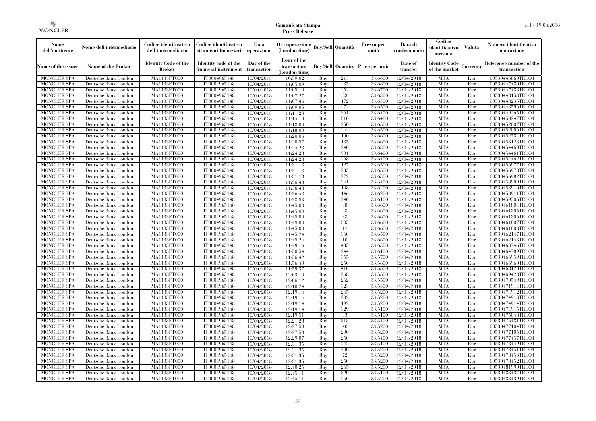| Nome<br>dell'emittente                   | Nome dell'intermediario                      | Codice identificativo<br>dell'intermediario  | Codice identificativo<br>strumenti finanziari | Data<br>operazione        | Ora operazione<br>(London time)             |            | <b>Buy/Sell Quantità</b> | Prezzo per<br>unità                     | Data di<br>trasferimento | Codice<br>identificativo<br>mercato   | Valuta     | Numero identificativo<br>operazione    |
|------------------------------------------|----------------------------------------------|----------------------------------------------|-----------------------------------------------|---------------------------|---------------------------------------------|------------|--------------------------|-----------------------------------------|--------------------------|---------------------------------------|------------|----------------------------------------|
| Name of the issuer                       | Name of the Broker                           | <b>Identity Code of the</b><br><b>Broker</b> | Identity code of the<br>financial instrument  | Day of the<br>transaction | Hour of the<br>transaction<br>(London time) |            |                          | <b>Buy/Sell Quantity Price per unit</b> | Date of<br>transfer      | <b>Identity Code</b><br>of the market | Currencv   | Reference number of the<br>transaction |
| <b>MONCLER SPA</b>                       | Deutsche Bank London                         | MA1133FT000                                  | IT0004965148                                  | 10/04/2018                | 10:59:02                                    | Buy        | 213                      | 33,6600                                 | 12/04/2018               | <b>MTA</b>                            | Eur        | 00530445860TRLO1                       |
| <b>MONCLER SPA</b>                       | Deutsche Bank London                         | MA1133FT000                                  | IT0004965148                                  | 10/04/2018                | 11:05:09                                    | Buy        | 285                      | 33,6800                                 | 12/04/2018               | <b>MTA</b>                            | Eur        | 00530447480TRLO1                       |
| <b>MONCLER SPA</b>                       | Deutsche Bank London                         | MA1133FT000                                  | IT0004965148                                  | 10/04/2018                | 11:05:10                                    | Buy        | 252                      | 33.6700                                 | 12/04/2018               | <b>MTA</b>                            | Eur        | 00530447488TRLO1                       |
| <b>MONCLER SPA</b>                       | Deutsche Bank London                         | MA1133FT000                                  | IT0004965148                                  | 10/04/2018                | 11:07:27                                    | Buy        | 83                       | 33,6300                                 | 12/04/2018               | <b>MTA</b>                            | Eur        | 00530448153TRLO1                       |
| <b>MONCLER SPA</b>                       | Deutsche Bank London                         | MA1133FT000<br>MA1133FT000                   | IT0004965148                                  | 10/04/2018                | 11:07:46                                    | Buy        | 172<br>272               | 33,6300<br>33,6500                      | 12/04/2018               | <b>MTA</b><br><b>MTA</b>              | Eur        | 00530448235TRLO1                       |
| <b>MONCLER SPA</b><br><b>MONCLER SPA</b> | Deutsche Bank London<br>Deutsche Bank London | MA1133FT000                                  | IT0004965148<br>IT0004965148                  | 10/04/2018                | 11:09:05<br>11:11:23                        | Buy<br>Buy | 361                      | 33,6400                                 | 12/04/2018<br>12/04/2018 | <b>MTA</b>                            | Eur<br>Eur | 00530448596TRLO1<br>00530449265TRLO1   |
| <b>MONCLER SPA</b>                       | Deutsche Bank London                         | MA1133FT000                                  | IT0004965148                                  | 10/04/2018<br>10/04/2018  | 11:14:19                                    | Buv        | 310                      | 33.6400                                 | 12/04/2018               | <b>MTA</b>                            | Eur        | 00530450247TRLO1                       |
| <b>MONCLER SPA</b>                       | Deutsche Bank London                         | MA1133FT000                                  | IT0004965148                                  | 10/04/2018                | 11:18:00                                    | Buy        | 250                      | 33,6500                                 | 12/04/2018               | <b>MTA</b>                            | Eur        | 00530452007TRLO1                       |
| <b>MONCLER SPA</b>                       | Deutsche Bank London                         | <b>MA1133FT000</b>                           | IT0004965148                                  | 10/04/2018                | 11:18:00                                    | Buy        | 244                      | 33,6500                                 | 12/04/2018               | <b>MTA</b>                            | Eur        | 00530452006TRLO1                       |
| <b>MONCLER SPA</b>                       | Deutsche Bank London                         | MA1133FT000                                  | IT0004965148                                  | 10/04/2018                | 11:20:06                                    | Buy        | 100                      | 33,6600                                 | 12/04/2018               | <b>MTA</b>                            | Eur        | 00530452784TRLO1                       |
| <b>MONCLER SPA</b>                       | Deutsche Bank London                         | MA1133FT000                                  | IT0004965148                                  | 10/04/2018                | 11:20:57                                    | Buy        | 185                      | 33,6600                                 | 12/04/2018               | <b>MTA</b>                            | Eur        | 00530453128TRLO1                       |
| <b>MONCLER SPA</b>                       | Deutsche Bank London                         | MA1133FT000                                  | IT0004965148                                  | 10/04/2018                | 11:24:28                                    | Buy        | 240                      | 33,6300                                 | 12/04/2018               | <b>MTA</b>                            | Eur        | 00530454460TRLO1                       |
| <b>MONCLER SPA</b>                       | Deutsche Bank London                         | MA1133FT000                                  | IT0004965148                                  | 10/04/2018                | 11:24:28                                    | Buy        | 301                      | 33,6400                                 | 12/04/2018               | <b>MTA</b>                            | Eur        | 00530454461TRLO1                       |
| <b>MONCLER SPA</b>                       | Deutsche Bank London                         | MA1133FT000                                  | IT0004965148                                  | 10/04/2018                | 11:24:28                                    | Buy        | 268                      | 33,6400                                 | 12/04/2018               | <b>MTA</b>                            | Eur        | 00530454462TRLO1                       |
| <b>MONCLER SPA</b>                       | Deutsche Bank London                         | MA1133FT000                                  | IT0004965148                                  | 10/04/2018                | 11:31:18                                    | Buy        | 127                      | 33,6500                                 | 12/04/2018               | <b>MTA</b>                            | Eur        | 00530456977TRLO1                       |
| <b>MONCLER SPA</b>                       | Deutsche Bank London                         | MA1133FT000                                  | IT0004965148                                  | 10/04/2018                | 11:31:18                                    | Buy        | 235                      | 33.6500                                 | 12/04/2018               | <b>MTA</b>                            | Eur        | 00530456978TRLO1                       |
| <b>MONCLER SPA</b>                       | Deutsche Bank London                         | MA1133FT000                                  | IT0004965148                                  | 10/04/2018                | 11:31:18                                    | Buy        | 272                      | 33,6300                                 | 12/04/2018               | <b>MTA</b>                            | Eur        | 00530456982TRLO1                       |
| <b>MONCLER SPA</b>                       | Deutsche Bank London                         | MA1133FT000                                  | IT0004965148                                  | 10/04/2018                | 11:36:48                                    | Buy        | 341                      | 33,6400                                 | 12/04/2018               | <b>MTA</b>                            | Eur        | 00530458909TRLO1                       |
| <b>MONCLER SPA</b>                       | Deutsche Bank London                         | MA1133FT000                                  | IT0004965148                                  | 10/04/2018                | 11:36:48                                    | Buy        | 108                      | 33,6200                                 | 12/04/2018               | <b>MTA</b>                            | Eur        | 00530458910TRLO1                       |
| <b>MONCLER SPA</b>                       | Deutsche Bank London                         | MA1133FT000                                  | IT0004965148                                  | 10/04/2018                | 11:36:48                                    | Buy        | 146                      | 33,6200                                 | 12/04/2018               | <b>MTA</b>                            | Eur        | 00530458911TRLO1                       |
| <b>MONCLER SPA</b>                       | Deutsche Bank London                         | MA1133FT000                                  | IT0004965148                                  | 10/04/2018                | 11:38:53                                    | Buy        | 240                      | 33,6100                                 | 12/04/2018               | <b>MTA</b>                            | Eur        | 00530459505TRLO1                       |
| <b>MONCLER SPA</b>                       | Deutsche Bank London                         | MA1133FT000                                  | IT0004965148                                  | 10/04/2018                | 11:45:00                                    | Buy        | 38                       | 33,6600                                 | 12/04/2018               | <b>MTA</b>                            | Eur        | 00530461804TRLO1                       |
| <b>MONCLER SPA</b>                       | Deutsche Bank London                         | MA1133FT000                                  | IT0004965148                                  | 10/04/2018                | 11:45:00                                    | Buy        | 48                       | 33,6600                                 | 12/04/2018               | <b>MTA</b>                            | Eur        | 00530461805TRLO1                       |
| <b>MONCLER SPA</b>                       | Deutsche Bank London                         | MA1133FT000                                  | IT0004965148                                  | 10/04/2018                | 11:45:00                                    | Buy        | 38                       | 33,6600                                 | 12/04/2018               | <b>MTA</b>                            | Eur        | 00530461806TRLO1                       |
| <b>MONCLER SPA</b>                       | Deutsche Bank London                         | MA1133FT000                                  | IT0004965148                                  | 10/04/2018                | 11:45:00                                    | Buy        | 305                      | 33,6600                                 | 12/04/2018               | <b>MTA</b>                            | Eur        | 00530461807TRLO1                       |
| <b>MONCLER SPA</b>                       | Deutsche Bank London                         | MA1133FT000                                  | IT0004965148                                  | 10/04/2018                | 11:45:00                                    | Buy        | 11                       | 33,6600                                 | 12/04/2018               | <b>MTA</b>                            | Eur        | 00530461808TRLO1                       |
| <b>MONCLER SPA</b>                       | Deutsche Bank London                         | MA1133FT000                                  | IT0004965148                                  | 10/04/2018                | 11:45:24                                    | Buy        | 360                      | 33,6500                                 | 12/04/2018               | <b>MTA</b>                            | Eur        | 00530462147TRLO1                       |
| <b>MONCLER SPA</b>                       | Deutsche Bank London                         | MA1133FT000                                  | IT0004965148                                  | 10/04/2018                | 11:45:24                                    | Buy        | 10                       | 33,6600                                 | 12/04/2018               | <b>MTA</b>                            | Eur        | 00530462148TRLO1                       |
| <b>MONCLER SPA</b>                       | Deutsche Bank London                         | <b>MA1133FT000</b><br>MA1133FT000            | IT0004965148                                  | 10/04/2018                | 11:49:16<br>11:50:54                        | Buy<br>Buy | 435<br>244               | 33,6300<br>33,6100                      | 12/04/2018               | <b>MTA</b><br><b>MTA</b>              | Eur<br>Eur | 00530463746TRLO1                       |
| <b>MONCLER SPA</b><br><b>MONCLER SPA</b> | Deutsche Bank London<br>Deutsche Bank London | MA1133FT000                                  | IT0004965148<br>IT0004965148                  | 10/04/2018<br>10/04/2018  |                                             | Buy        | 355                      | 33,5700                                 | 12/04/2018<br>12/04/2018 | <b>MTA</b>                            | Eur        | 00530464789TRLO1<br>00530466959TRLO1   |
| <b>MONCLER SPA</b>                       | Deutsche Bank London                         | MA1133FT000                                  | IT0004965148                                  | 10/04/2018                | 11:56:42<br>11:56:43                        | Buy        | 250                      | 33,5800                                 | 12/04/2018               | <b>MTA</b>                            | Eur        | 00530466960TRLO1                       |
| <b>MONCLER SPA</b>                       | Deutsche Bank London                         | MA1133FT000                                  | IT0004965148                                  | 10/04/2018                | 11:59:37                                    | Buy        | 410                      | 33,5500                                 | 12/04/2018               | <b>MTA</b>                            | Eur        | 00530468120TRLO1                       |
| <b>MONCLER SPA</b>                       | Deutsche Bank London                         | MA1133FT000                                  | IT0004965148                                  | 10/04/2018                | 12:03:10                                    | Buy        | 268                      | 33,5500                                 | 12/04/2018               | <b>MTA</b>                            | Eur        | 00530469428TRLO1                       |
| <b>MONCLER SPA</b>                       | Deutsche Bank London                         | MA1133FT000                                  | IT0004965148                                  | 10/04/2018                | 12:06:12                                    | Buy        | 262                      | 33,5500                                 | 12/04/2018               | <b>MTA</b>                            | Eur        | 00530470549TRLO1                       |
| <b>MONCLER SPA</b>                       | Deutsche Bank London                         | MA1133FT000                                  | IT0004965148                                  | 10/04/2018                | 12:10:24                                    | Buy        | 323                      | 33,5300                                 | 12/04/2018               | <b>MTA</b>                            | Eur        | 00530471914TRLO1                       |
| <b>MONCLER SPA</b>                       | Deutsche Bank London                         | MA1133FT000                                  | IT0004965148                                  | 10/04/2018                | 12:19:14                                    | Buy        | 245                      | 33,5200                                 | 12/04/2018               | <b>MTA</b>                            | Eur        | 00530474912TRLO1                       |
| <b>MONCLER SPA</b>                       | Deutsche Bank London                         | MA1133FT000                                  | IT0004965148                                  | 10/04/2018                | 12:19:14                                    | Buy        | 202                      | 33,5200                                 | 12/04/2018               | <b>MTA</b>                            | Eur        | 00530474913TRLO1                       |
| <b>MONCLER SPA</b>                       | Deutsche Bank London                         | MA1133FT000                                  | IT0004965148                                  | 10/04/2018                | 12:19:14                                    | Buy        | 192                      | 33,5200                                 | 12/04/2018               | <b>MTA</b>                            | Eur        | 00530474914TRLO1                       |
| <b>MONCLER SPA</b>                       | Deutsche Bank London                         | MA1133FT000                                  | IT0004965148                                  | 10/04/2018                | 12:19:14                                    | Buy        | 329                      | 33,5100                                 | 12/04/2018               | <b>MTA</b>                            | Eur        | 00530474915TRLO1                       |
| <b>MONCLER SPA</b>                       | Deutsche Bank London                         | MA1133FT000                                  | IT0004965148                                  | 10/04/2018                | 12:19:51                                    | Buy        | 33                       | 33.5100                                 | 12/04/2018               | <b>MTA</b>                            | Eur        | 00530475048TRLO1                       |
| <b>MONCLER SPA</b>                       | Deutsche Bank London                         | MA1133FT000                                  | IT0004965148                                  | 10/04/2018                | 12:21:28                                    | Buy        | 315                      | 33,5400                                 | 12/04/2018               | <b>MTA</b>                            | Eur        | 00530475481TRLO1                       |
| <b>MONCLER SPA</b>                       | Deutsche Bank London                         | MA1133FT000                                  | IT0004965148                                  | 10/04/2018                | 12:27:58                                    | Buy        | 40                       | 33,5200                                 | 12/04/2018               | <b>MTA</b>                            | Eur        | 00530477104TRLO1                       |
| <b>MONCLER SPA</b>                       | Deutsche Bank London                         | MA1133FT000                                  | IT0004965148                                  | 10/04/2018                | 12:27:58                                    | Buy        | 290                      | 33,5200                                 | 12/04/2018               | <b>MTA</b>                            | Eur        | 00530477105TRLO1                       |
| <b>MONCLER SPA</b>                       | Deutsche Bank London                         | MA1133FT000                                  | IT0004965148                                  | 10/04/2018                | 12:29:07                                    | Buy        | 250                      | 33,5400                                 | 12/04/2018               | <b>MTA</b>                            | Eur        | 00530477457TRLO1                       |
| <b>MONCLER SPA</b>                       | Deutsche Bank London                         | MA1133FT000                                  | IT0004965148                                  | 10/04/2018                | 12:31:35                                    | Buy        | 242                      | 33,5100                                 | 12/04/2018               | <b>MTA</b>                            | Eur        | 00530478449TRLO1                       |
| <b>MONCLER SPA</b>                       | Deutsche Bank London                         | MA1133FT000                                  | IT0004965148                                  | 10/04/2018                | 12:31:35                                    | Buy        | 400                      | 33,5200                                 | 12/04/2018               | <b>MTA</b>                            | Eur        | 00530478451TRLO1                       |
| <b>MONCLER SPA</b>                       | Deutsche Bank London                         | MA1133FT000                                  | IT0004965148                                  | 10/04/2018                | 12:31:35                                    | Buy        | 72                       | 33,5200                                 | 12/04/2018               | <b>MTA</b>                            | Eur        | 00530478453TRLO1                       |
| <b>MONCLER SPA</b>                       | Deutsche Bank London                         | MA1133FT000                                  | IT0004965148                                  | 10/04/2018                | 12:31:35                                    | Buy        | 250                      | 33,5200                                 | 12/04/2018               | <b>MTA</b>                            | Eur        | 00530478452TRLO1                       |
| <b>MONCLER SPA</b>                       | Deutsche Bank London                         | MA1133FT000                                  | IT0004965148                                  | 10/04/2018                | 12:40:25                                    | Buy        | 265                      | 33,5200                                 | 12/04/2018               | <b>MTA</b>                            | Eur        | 00530481990TRLO1                       |
| <b>MONCLER SPA</b>                       | Deutsche Bank London                         | MA1133FT000                                  | IT0004965148                                  | 10/04/2018                | 12:45:11                                    | Buy        | 320                      | 33,5100                                 | 12/04/2018               | <b>MTA</b>                            | Eur        | 00530483437TRLO1                       |
| <b>MONCLER SPA</b>                       | Deutsche Bank London                         | MA1133FT000                                  | IT0004965148                                  | 10/04/2018                | 12:45:11                                    | Buy        | 250                      | 33,5200                                 | 12/04/2018               | <b>MTA</b>                            | Eur        | 00530483439TRLO1                       |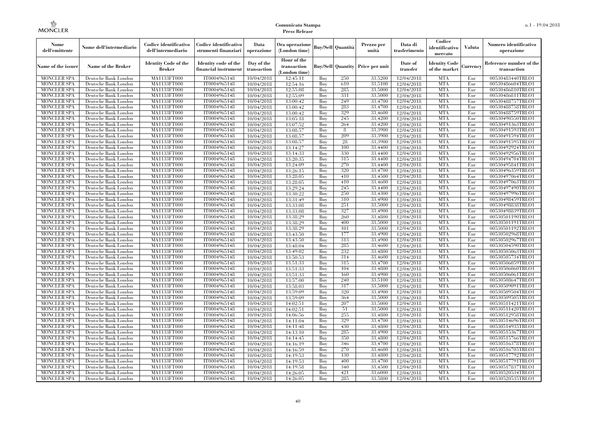| Nome<br>dell'emittente                   | Nome dell'intermediario                      | Codice identificativo<br>dell'intermediario  | Codice identificativo<br>strumenti finanziari | Data<br>operazione        | Ora operazione<br>(London time)           |            | Buy/Sell   Quantità      | Prezzo per<br>unità | Data di<br>trasferimento | Codice<br>identificativo<br>mercato   | <b>Valuta</b> | Numero identificativo<br>operazione    |
|------------------------------------------|----------------------------------------------|----------------------------------------------|-----------------------------------------------|---------------------------|-------------------------------------------|------------|--------------------------|---------------------|--------------------------|---------------------------------------|---------------|----------------------------------------|
| Name of the issuer                       | Name of the Broker                           | <b>Identity Code of the</b><br><b>Broker</b> | Identity code of the<br>financial instrument  | Day of the<br>transaction | Hour of the<br>transaction<br>London time |            | <b>Buy/Sell Quantity</b> | Price per unit      | Date of<br>transfer      | <b>Identity Code</b><br>of the market | Currencv      | Reference number of the<br>transaction |
| <b>MONCLER SPA</b>                       | Deutsche Bank London                         | MA1133FT000                                  | IT0004965148                                  | 10/04/2018                | 12:45:11                                  | Buy        | 250                      | 33,5200             | 12/04/2018               | <b>MTA</b>                            | Eur           | 00530483440TRLO1                       |
| <b>MONCLER SPA</b>                       | Deutsche Bank London                         | <b>MA1133FT000</b>                           | IT0004965148                                  | 10/04/2018                | 12:54:16                                  | Buy        | 610                      | 33,5100             | 12/04/2018               | <b>MTA</b>                            | Eur           | 00530486604TRLO1                       |
| <b>MONCLER SPA</b>                       | Deutsche Bank London                         | MA1133FT000                                  | IT0004965148                                  | 10/04/2018                | 12:55:08                                  | Buy        | 285                      | 33,5000             | 12/04/2018               | <b>MTA</b>                            | Eur           | 00530486810TRLO1                       |
| <b>MONCLER SPA</b>                       | Deutsche Bank London                         | MA1133FT000                                  | IT0004965148                                  | 10/04/2018                | 12:55:09                                  | Buv        | 331                      | 33,5000             | 12/04/2018               | <b>MTA</b>                            | Eur           | 00530486811TRLO1                       |
| <b>MONCLER SPA</b>                       | Deutsche Bank London                         | <b>MA1133FT000</b>                           | IT0004965148                                  | 10/04/2018                | 13:00:42                                  | Buv        | 249<br>283               | 33.4700             | 12/04/2018               | <b>MTA</b>                            | Eur           | 00530488757TRLO1                       |
| <b>MONCLER SPA</b><br><b>MONCLER SPA</b> | Deutsche Bank London                         | MA1133FT000                                  | IT0004965148                                  | 10/04/2018                | 13:00:42                                  | Buy        | 329                      | 33,4700             | 12/04/2018               | <b>MTA</b><br><b>MTA</b>              | Eur<br>Eur    | 00530488758TRLO1<br>00530488759TRLO1   |
| <b>MONCLER SPA</b>                       | Deutsche Bank London<br>Deutsche Bank London | <b>MA1133FT000</b><br>MA1133FT000            | IT0004965148<br>IT0004965148                  | 10/04/2018<br>10/04/2018  | 13:00:42<br>13:05:18                      | Buy<br>Buy | 245                      | 33,4600<br>33,4200  | 12/04/2018<br>12/04/2018 | <b>MTA</b>                            | Eur           | 00530490550TRLO1                       |
| <b>MONCLER SPA</b>                       | Deutsche Bank London                         | MA1133FT000                                  | IT0004965148                                  | 10/04/2018                | 13:07:52                                  | Buv        | 264                      | 33.4200             | 12/04/2018               | <b>MTA</b>                            | Eur           | 00530491363TRLO1                       |
| <b>MONCLER SPA</b>                       | Deutsche Bank London                         | MA1133FT000                                  | IT0004965148                                  | 10/04/2018                | 13:08:57                                  | Buy        | 8                        | 33,3900             | 12/04/2018               | <b>MTA</b>                            | Eur           | 00530491593TRLO1                       |
| <b>MONCLER SPA</b>                       | Deutsche Bank London                         | MA1133FT000                                  | IT0004965148                                  | 10/04/2018                | 13:08:57                                  | Buy        | 209                      | 33.3900             | 12/04/2018               | <b>MTA</b>                            | Eur           | 00530491594TRLO1                       |
| <b>MONCLER SPA</b>                       | Deutsche Bank London                         | MA1133FT000                                  | IT0004965148                                  | 10/04/2018                | 13:08:57                                  | Buv        | 28                       | 33,3900             | 12/04/2018               | <b>MTA</b>                            | Eur           | 00530491595TRLO1                       |
| <b>MONCLER SPA</b>                       | Deutsche Bank London                         | <b>MA1133FT000</b>                           | IT0004965148                                  | 10/04/2018                | 13:14:27                                  | Buy        | 100                      | 33,4400             | 12/04/2018               | <b>MTA</b>                            | Eur           | 00530492924TRLO1                       |
| MONCLER SPA                              | Deutsche Bank London                         | MA1133FT000                                  | IT0004965148                                  | 10/04/2018                | 13:14:33                                  | Buy        | 330                      | 33,4400             | 12/04/2018               | <b>MTA</b>                            | Eur           | 00530492956TRLO1                       |
| <b>MONCLER SPA</b>                       | Deutsche Bank London                         | MA1133FT000                                  | IT0004965148                                  | 10/04/2018                | 13:20:35                                  | Buv        | 315                      | 33.4400             | 12/04/2018               | <b>MTA</b>                            | Eur           | 00530494704TRLO1                       |
| <b>MONCLER SPA</b>                       | Deutsche Bank London                         | MA1133FT000                                  | IT0004965148                                  | 10/04/2018                | 13:24:09                                  | Buy        | 270                      | 33,4400             | 12/04/2018               | <b>MTA</b>                            | Eur           | 00530495841TRLO1                       |
| <b>MONCLER SPA</b>                       | Deutsche Bank London                         | <b>MA1133FT000</b>                           | IT0004965148                                  | 10/04/2018                | 13:26:15                                  | Buy        | 320                      | 33,4700             | 12/04/2018               | <b>MTA</b>                            | Eur           | 00530496359TRLO1                       |
| <b>MONCLER SPA</b>                       | Deutsche Bank London                         | <b>MA1133FT000</b>                           | IT0004965148                                  | 10/04/2018                | 13:28:05                                  | Buy        | 410                      | 33,4500             | 12/04/2018               | <b>MTA</b>                            | Eur           | 00530497064TRLO1                       |
| <b>MONCLER SPA</b>                       | Deutsche Bank London                         | MA1133FT000                                  | IT0004965148                                  | 10/04/2018                | 13:28:05                                  | Buy        | 410                      | 33,4600             | 12/04/2018               | <b>MTA</b>                            | Eur           | 00530497063TRLO1                       |
| <b>MONCLER SPA</b>                       | Deutsche Bank London                         | MA1133FT000                                  | IT0004965148                                  | 10/04/2018                | 13:29:24                                  | Buy        | 245                      | 33,4400             | 12/04/2018               | <b>MTA</b>                            | Eur           | 00530497490TRLO1                       |
| <b>MONCLER SPA</b>                       | Deutsche Bank London                         | MA1133FT000                                  | IT0004965148                                  | 10/04/2018                | 13:30:22                                  | Buy        | 250                      | 33,4300             | 12/04/2018               | <b>MTA</b>                            | Eur           | 00530497996TRLO1                       |
| <b>MONCLER SPA</b>                       | Deutsche Bank London                         | <b>MA1133FT000</b>                           | IT0004965148                                  | 10/04/2018                | 13:31:49                                  | Buy        | 310                      | 33,4900             | 12/04/2018               | <b>MTA</b>                            | Eur           | 00530498459TRLO1                       |
| <b>MONCLER SPA</b>                       | Deutsche Bank London                         | MA1133FT000                                  | IT0004965148                                  | 10/04/2018                | 13:33:08                                  | Buy        | 251                      | 33,5000             | 12/04/2018               | <b>MTA</b><br><b>MTA</b>              | Eur           | 00530498838TRLO1                       |
| <b>MONCLER SPA</b><br><b>MONCLER SPA</b> | Deutsche Bank London                         | MA1133FT000<br>MA1133FT000                   | IT0004965148<br>IT0004965148                  | 10/04/2018                | 13:33:08<br>13:38:29                      | Buy<br>Buv | 327<br>260               | 33,4900<br>33.4800  | 12/04/2018<br>12/04/2018 | <b>MTA</b>                            | Eur<br>Eur    | 00530498839TRLO1<br>00530501190TRLO1   |
| <b>MONCLER SPA</b>                       | Deutsche Bank London<br>Deutsche Bank London | MA1133FT000                                  | IT0004965148                                  | 10/04/2018<br>10/04/2018  | 13:38:29                                  | Buy        | 400                      | 33,5000             | 12/04/2018               | <b>MTA</b>                            | Eur           | 00530501191TRLO1                       |
| <b>MONCLER SPA</b>                       | Deutsche Bank London                         | MA1133FT000                                  | IT0004965148                                  | 10/04/2018                | 13:38:29                                  | Buy        | 101                      | 33,5000             | 12/04/2018               | <b>MTA</b>                            | Eur           | 00530501192TRLO1                       |
| <b>MONCLER SPA</b>                       | Deutsche Bank London                         | MA1133FT000                                  | IT0004965148                                  | 10/04/2018                | 13:43:50                                  | Buy        | 177                      | 33,4900             | 12/04/2018               | <b>MTA</b>                            | Eur           | 00530502968TRLO1                       |
| <b>MONCLER SPA</b>                       | Deutsche Bank London                         | MA1133FT000                                  | IT0004965148                                  | 10/04/2018                | 13:43:50                                  | Buy        | 313                      | 33,4900             | 12/04/2018               | <b>MTA</b>                            | Eur           | 00530502967TRLO1                       |
| MONCLER SPA                              | Deutsche Bank London                         | MA1133FT000                                  | IT0004965148                                  | 10/04/2018                | 13:48:04                                  | Buy        | 285                      | 33,4600             | 12/04/2018               | <b>MTA</b>                            | Eur           | 00530504590TRLO1                       |
| <b>MONCLER SPA</b>                       | Deutsche Bank London                         | MA1133FT000                                  | IT0004965148                                  | 10/04/2018                | 13:49:02                                  | Buy        | 232                      | 33,4800             | 12/04/2018               | <b>MTA</b>                            | Eur           | 00530505063TRLO1                       |
| <b>MONCLER SPA</b>                       | Deutsche Bank London                         | MA1133FT000                                  | IT0004965148                                  | 10/04/2018                | 13:50:53                                  | Buy        | 314                      | 33,4600             | 12/04/2018               | <b>MTA</b>                            | Eur           | 00530505734TRLO1                       |
| <b>MONCLER SPA</b>                       | Deutsche Bank London                         | MA1133FT000                                  | IT0004965148                                  | 10/04/2018                | 13:51:33                                  | Buy        | 315                      | 33,4700             | 12/04/2018               | <b>MTA</b>                            | Eur           | 00530506059TRLO1                       |
| <b>MONCLER SPA</b>                       | Deutsche Bank London                         | <b>MA1133FT000</b>                           | IT0004965148                                  | 10/04/2018                | 13:51:33                                  | Buy        | 104                      | 33,4800             | 12/04/2018               | <b>MTA</b>                            | Eur           | 00530506060TRLO1                       |
| <b>MONCLER SPA</b>                       | Deutsche Bank London                         | <b>MA1133FT000</b>                           | IT0004965148                                  | 10/04/2018                | 13:51:33                                  | Buy        | 160                      | 33,4900             | 12/04/2018               | <b>MTA</b>                            | Eur           | 00530506061TRLO1                       |
| <b>MONCLER SPA</b>                       | Deutsche Bank London                         | MA1133FT000                                  | IT0004965148                                  | 10/04/2018                | 13:57:00                                  | Buy        | 240                      | 33,5100             | 12/04/2018               | <b>MTA</b>                            | Eur           | 00530508647TRLO1                       |
| <b>MONCLER SPA</b>                       | Deutsche Bank London                         | MA1133FT000                                  | IT0004965148                                  | 10/04/2018                | 13:58:03                                  | Buy        | 317                      | 33,5000             | 12/04/2018               | <b>MTA</b>                            | Eur           | 00530509091TRLO1                       |
| <b>MONCLER SPA</b>                       | Deutsche Bank London                         | <b>MA1133FT000</b>                           | IT0004965148                                  | 10/04/2018                | 13:59:09                                  | Buy        | 320                      | 33,4900             | 12/04/2018               | <b>MTA</b>                            | Eur           | 00530509504TRLO1                       |
| <b>MONCLER SPA</b>                       | Deutsche Bank London                         | <b>MA1133FT000</b>                           | IT0004965148                                  | 10/04/2018                | 13:59:09                                  | Buy        | 364                      | 33,5000             | 12/04/2018               | <b>MTA</b>                            | Eur           | 00530509505TRLO1                       |
| <b>MONCLER SPA</b>                       | Deutsche Bank London                         | MA1133FT000                                  | IT0004965148                                  | 10/04/2018                | 14:02:51                                  | Buy        | 207                      | 33,5000             | 12/04/2018               | <b>MTA</b>                            | Eur           | 00530511421TRLO1                       |
| <b>MONCLER SPA</b>                       | Deutsche Bank London                         | MA1133FT000                                  | IT0004965148                                  | 10/04/2018                | 14:02:51                                  | Buv        | 51                       | 33,5000             | 12/04/2018               | <b>MTA</b>                            | Eur           | 00530511420TRLO1                       |
| <b>MONCLER SPA</b><br><b>MONCLER SPA</b> | Deutsche Bank London<br>Deutsche Bank London | MA1133FT000<br>MA1133FT000                   | IT0004965148<br>IT0004965148                  | 10/04/2018                | 14:06:56                                  | Buy<br>Buy | 255<br>329               | 33,4800<br>33,4700  | 12/04/2018<br>12/04/2018 | <b>MTA</b><br><b>MTA</b>              | Eur<br>Eur    | 00530512958TRLO1<br>00530514696TRLO1   |
| <b>MONCLER SPA</b>                       | Deutsche Bank London                         | MA1133FT000                                  | IT0004965148                                  | 10/04/2018<br>10/04/2018  | 14:11:04<br>14:11:48                      | Buy        | 430                      | 33,4800             | 12/04/2018               | <b>MTA</b>                            | Eur           | 00530514935TRLO1                       |
| <b>MONCLER SPA</b>                       | Deutsche Bank London                         | MA1133FT000                                  | IT0004965148                                  | 10/04/2018                | 14:13:10                                  | Buy        | 285                      | 33,4900             | 12/04/2018               | <b>MTA</b>                            | Eur           | 00530515367TRLO1                       |
| <b>MONCLER SPA</b>                       | Deutsche Bank London                         | MA1133FT000                                  | IT0004965148                                  | 10/04/2018                | 14:14:45                                  | Buy        | 350                      | 33,4800             | 12/04/2018               | <b>MTA</b>                            | Eur           | 00530515766TRLO1                       |
| <b>MONCLER SPA</b>                       | Deutsche Bank London                         | MA1133FT000                                  | IT0004965148                                  | 10/04/2018                | 14:16:19                                  | Buy        | 346                      | 33,4700             | 12/04/2018               | <b>MTA</b>                            | Eur           | 00530516378TRLO1                       |
| <b>MONCLER SPA</b>                       | Deutsche Bank London                         | MA1133FT000                                  | IT0004965148                                  | 10/04/2018                | 14:16:59                                  | Buy        | 270                      | 33,4600             | 12/04/2018               | <b>MTA</b>                            | Eur           | 00530516705TRLO1                       |
| <b>MONCLER SPA</b>                       | Deutsche Bank London                         | MA1133FT000                                  | IT0004965148                                  | 10/04/2018                | 14:19:53                                  | Buy        | 130                      | 33,4800             | 12/04/2018               | <b>MTA</b>                            | Eur           | 00530517792TRLO1                       |
| <b>MONCLER SPA</b>                       | Deutsche Bank London                         | MA1133FT000                                  | IT0004965148                                  | 10/04/2018                | 14:19:53                                  | Buy        | 400                      | 33,4700             | 12/04/2018               | <b>MTA</b>                            | Eur           | 00530517791TRLO1                       |
| <b>MONCLER SPA</b>                       | Deutsche Bank London                         | MA1133FT000                                  | IT0004965148                                  | 10/04/2018                | 14:19:58                                  | Buy        | 340                      | 33,4500             | 12/04/2018               | <b>MTA</b>                            | Eur           | 00530517837TRLO1                       |
| <b>MONCLER SPA</b>                       | Deutsche Bank London                         | MA1133FT000                                  | IT0004965148                                  | 10/04/2018                | 14:26:05                                  | Buy        | 421                      | 33,6000             | 12/04/2018               | <b>MTA</b>                            | Eur           | 00530520534TRLO1                       |
| <b>MONCLER SPA</b>                       | Deutsche Bank London                         | MA1133FT000                                  | IT0004965148                                  | 10/04/2018                | 14:26:05                                  | Buy        | 285                      | 33,5800             | 12/04/2018               | <b>MTA</b>                            | Eur           | 00530520535TRLO1                       |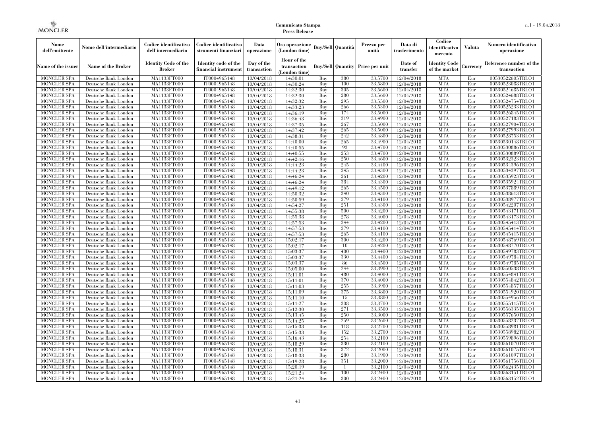| Nome<br>dell'emittente                   | Nome dell'intermediario                      | Codice identificativo<br>dell'intermediario  | Codice identificativo<br>strumenti finanziari | Data<br>operazione        | Ora operazione<br>(London time)             |            | <b>Buy/Sell Quantità</b> | Prezzo per<br>unità | Data di<br>trasferimento | Codice<br>identificativo<br>mercato   | Valuta     | Numero identificativo<br>operazione    |
|------------------------------------------|----------------------------------------------|----------------------------------------------|-----------------------------------------------|---------------------------|---------------------------------------------|------------|--------------------------|---------------------|--------------------------|---------------------------------------|------------|----------------------------------------|
| Name of the issuer                       | Name of the Broker                           | <b>Identity Code of the</b><br><b>Broker</b> | Identity code of the<br>financial instrument  | Day of the<br>transaction | Hour of the<br>transaction<br>(London time) |            | <b>Buy/Sell Quantity</b> | Price per unit      | Date of<br>transfer      | <b>Identity Code</b><br>of the market | Currencv   | Reference number of the<br>transaction |
| <b>MONCLER SPA</b>                       | Deutsche Bank London                         | MA1133FT000                                  | IT0004965148                                  | 10/04/2018                | 14:30:01                                    | Buy        | 380                      | 33,5700             | 12/04/2018               | <b>MTA</b>                            | Eur        | 00530522605TRLO1                       |
| <b>MONCLER SPA</b>                       | Deutsche Bank London                         | MA1133FT000                                  | IT0004965148                                  | 10/04/2018                | 14:30:24                                    | Buy        | 100                      | 33,5800             | 12/04/2018               | <b>MTA</b>                            | Eur        | 00530523088TRLO1                       |
| <b>MONCLER SPA</b>                       | Deutsche Bank London                         | MA1133FT000                                  | IT0004965148                                  | 10/04/2018                | 14:32:30                                    | Buv        | 305                      | 33,5600             | 12/04/2018               | <b>MTA</b>                            | Eur        | 00530524685TRLO1                       |
| <b>MONCLER SPA</b>                       | Deutsche Bank London                         | MA1133FT000                                  | IT0004965148                                  | 10/04/2018                | 14:32:30                                    | Buy        | 280                      | 33,5600             | 12/04/2018               | <b>MTA</b>                            | Eur        | 00530524688TRLO1                       |
| <b>MONCLER SPA</b>                       | Deutsche Bank London                         | MA1133FT000<br>MA1133FT000                   | IT0004965148<br>IT0004965148                  | 10/04/2018                | 14:32:32                                    | Buy        | 295<br>266               | 33,5500<br>33,5300  | 12/04/2018               | <b>MTA</b><br><b>MTA</b>              | Eur        | 00530524754TRLO1                       |
| <b>MONCLER SPA</b><br><b>MONCLER SPA</b> | Deutsche Bank London<br>Deutsche Bank London | MA1133FT000                                  | IT0004965148                                  | 10/04/2018                | 14:33:23<br>14:36:19                        | Buy<br>Buy | 174                      | 33,5000             | 12/04/2018<br>12/04/2018 | <b>MTA</b>                            | Eur<br>Eur | 00530525233TRLO1<br>00530526845TRLO1   |
| <b>MONCLER SPA</b>                       | Deutsche Bank London                         | MA1133FT000                                  | IT0004965148                                  | 10/04/2018<br>10/04/2018  | 14:36:43                                    | Buy        | 319                      | 33,4900             | 12/04/2018               | <b>MTA</b>                            | Eur        | 00530527183TRLO1                       |
| <b>MONCLER SPA</b>                       | Deutsche Bank London                         | MA1133FT000                                  | IT0004965148                                  | 10/04/2018                | 14:37:35                                    | Buv        | 267                      | 33,5000             | 12/04/2018               | <b>MTA</b>                            | Eur        | 00530527904TRLO1                       |
| MONCLER SPA                              | Deutsche Bank London                         | MA1133FT000                                  | IT0004965148                                  | 10/04/2018                | 14:37:42                                    | Buy        | 265                      | 33,5000             | 12/04/2018               | <b>MTA</b>                            | Eur        | 00530527993TRLO1                       |
| MONCLER SPA                              | Deutsche Bank London                         | MA1133FT000                                  | IT0004965148                                  | 10/04/2018                | 14:38:31                                    | Buy        | 242                      | 33,4800             | 12/04/2018               | <b>MTA</b>                            | Eur        | 00530528753TRLO1                       |
| <b>MONCLER SPA</b>                       | Deutsche Bank London                         | MA1133FT000                                  | IT0004965148                                  | 10/04/2018                | 14:40:00                                    | Buy        | 265                      | 33,4900             | 12/04/2018               | <b>MTA</b>                            | Eur        | 00530530148TRLO1                       |
| <b>MONCLER SPA</b>                       | Deutsche Bank London                         | MA1133FT000                                  | IT0004965148                                  | 10/04/2018                | 14:40:55                                    | Buy        | 93                       | 33,4700             | 12/04/2018               | <b>MTA</b>                            | Eur        | 00530530886TRLO1                       |
| <b>MONCLER SPA</b>                       | Deutsche Bank London                         | MA1133FT000                                  | IT0004965148                                  | 10/04/2018                | 14:40:55                                    | Buy        | 253                      | 33,4700             | 12/04/2018               | <b>MTA</b>                            | Eur        | 00530530889TRLO1                       |
| <b>MONCLER SPA</b>                       | Deutsche Bank London                         | MA1133FT000                                  | IT0004965148                                  | 10/04/2018                | 14:42:16                                    | Buy        | 250                      | 33,4600             | 12/04/2018               | <b>MTA</b>                            | Eur        | 00530532323TRLO1                       |
| <b>MONCLER SPA</b>                       | Deutsche Bank London                         | MA1133FT000                                  | IT0004965148                                  | 10/04/2018                | 14:44:23                                    | Buy        | 245                      | 33,4400             | 12/04/2018               | <b>MTA</b>                            | Eur        | 00530534396TRLO1                       |
| <b>MONCLER SPA</b>                       | Deutsche Bank London                         | MA1133FT000                                  | IT0004965148                                  | 10/04/2018                | 14:44:23                                    | Buy        | 245                      | 33,4300             | 12/04/2018               | <b>MTA</b>                            | Eur        | 00530534397TRLO1                       |
| <b>MONCLER SPA</b>                       | Deutsche Bank London                         | MA1133FT000                                  | IT0004965148                                  | 10/04/2018                | 14:46:24                                    | Buy        | 261                      | 33,4200             | 12/04/2018               | <b>MTA</b>                            | Eur        | 00530535923TRLO1                       |
| <b>MONCLER SPA</b>                       | Deutsche Bank London                         | MA1133FT000                                  | IT0004965148                                  | 10/04/2018                | 14:46:24                                    | Buy        | 384                      | 33,4300             | 12/04/2018               | <b>MTA</b>                            | Eur        | 00530535924TRLO1                       |
| <b>MONCLER SPA</b>                       | Deutsche Bank London                         | MA1133FT000                                  | IT0004965148                                  | 10/04/2018                | 14:49:12                                    | Buy        | 265                      | 33,4500             | 12/04/2018               | <b>MTA</b>                            | Eur        | 00530537889TRLO1                       |
| <b>MONCLER SPA</b>                       | Deutsche Bank London                         | MA1133FT000                                  | IT0004965148                                  | 10/04/2018                | 14:50:32                                    | Buy        | 340                      | 33,4300             | 12/04/2018               | <b>MTA</b>                            | Eur        | 00530538613TRLO1                       |
| <b>MONCLER SPA</b>                       | Deutsche Bank London                         | MA1133FT000                                  | IT0004965148                                  | 10/04/2018                | 14:50:59                                    | Buy        | 279                      | 33,4100             | 12/04/2018               | <b>MTA</b>                            | Eur        | 00530538977TRLO1                       |
| <b>MONCLER SPA</b>                       | Deutsche Bank London                         | MA1133FT000                                  | IT0004965148                                  | 10/04/2018                | 14:54:27                                    | Buv        | 251                      | 33,4300             | 12/04/2018               | <b>MTA</b>                            | Eur        | 00530542207TRLO1                       |
| <b>MONCLER SPA</b>                       | Deutsche Bank London                         | MA1133FT000                                  | IT0004965148                                  | 10/04/2018                | 14:55:38                                    | Buy        | 500                      | 33,4200             | 12/04/2018               | <b>MTA</b>                            | Eur        | 00530543171TRLO1                       |
| <b>MONCLER SPA</b>                       | Deutsche Bank London                         | MA1133FT000                                  | IT0004965148                                  | 10/04/2018                | 14:55:38                                    | Buy        | 278                      | 33,4000             | 12/04/2018               | <b>MTA</b>                            | Eur        | 00530543173TRLO1                       |
| <b>MONCLER SPA</b>                       | Deutsche Bank London                         | MA1133FT000                                  | IT0004965148                                  | 10/04/2018                | 14:57:53                                    | Buy        | 244                      | 33,4200             | 12/04/2018               | <b>MTA</b>                            | Eur        | 00530545413TRLO1                       |
| <b>MONCLER SPA</b>                       | Deutsche Bank London                         | MA1133FT000                                  | IT0004965148                                  | 10/04/2018                | 14:57:53                                    | Buy        | 279                      | 33,4100             | 12/04/2018               | <b>MTA</b>                            | Eur        | 00530545414TRLO1                       |
| <b>MONCLER SPA</b>                       | Deutsche Bank London                         | MA1133FT000                                  | IT0004965148                                  | 10/04/2018                | 14:57:53                                    | Buy        | 265                      | 33,4100             | 12/04/2018               | <b>MTA</b>                            | Eur        | 00530545415TRLO1                       |
| <b>MONCLER SPA</b>                       | Deutsche Bank London                         | MA1133FT000                                  | IT0004965148                                  | 10/04/2018                | 15:02:17                                    | Buy        | 300                      | 33,4200             | 12/04/2018               | <b>MTA</b>                            | Eur        | 00530548769TRLO1                       |
| <b>MONCLER SPA</b>                       | Deutsche Bank London                         | <b>MA1133FT000</b>                           | IT0004965148                                  | 10/04/2018                | 15:02:17                                    | Buy        | 10                       | 33,4200             | 12/04/2018               | <b>MTA</b>                            | Eur        | 00530548770TRLO1                       |
| MONCLER SPA                              | Deutsche Bank London                         | MA1133FT000                                  | IT0004965148                                  | 10/04/2018                | 15:03:37                                    | Buy        | 400                      | 33,4400             | 12/04/2018               | <b>MTA</b>                            | Eur        | 00530549783TRLO1                       |
| <b>MONCLER SPA</b>                       | Deutsche Bank London                         | MA1133FT000                                  | IT0004965148                                  | 10/04/2018                | 15:03:37                                    | Buy        | 330                      | 33,4400             | 12/04/2018               | <b>MTA</b>                            | Eur        | 00530549784TRLO1                       |
| <b>MONCLER SPA</b>                       | Deutsche Bank London                         | MA1133FT000                                  | IT0004965148                                  | 10/04/2018                | 15:03:37                                    | Buv        | 86                       | 33,4500             | 12/04/2018               | <b>MTA</b>                            | Eur        | 00530549785TRLO1                       |
| <b>MONCLER SPA</b>                       | Deutsche Bank London                         | MA1133FT000                                  | IT0004965148                                  | 10/04/2018                | 15:05:00                                    | Buy        | 244                      | 33,3900             | 12/04/2018               | <b>MTA</b>                            | Eur        | 00530550538TRLO1                       |
| <b>MONCLER SPA</b>                       | Deutsche Bank London                         | MA1133FT000                                  | IT0004965148                                  | 10/04/2018                | 15:11:01                                    | Buy        | 480                      | 33,4000             | 12/04/2018               | <b>MTA</b>                            | Eur        | 00530554841TRLO1                       |
| <b>MONCLER SPA</b>                       | Deutsche Bank London                         | MA1133FT000                                  | IT0004965148                                  | 10/04/2018                | 15:11:01                                    | Buy        | 370                      | 33,4000             | 12/04/2018               | <b>MTA</b>                            | Eur        | 00530554842TRLO1                       |
| <b>MONCLER SPA</b><br><b>MONCLER SPA</b> | Deutsche Bank London<br>Deutsche Bank London | MA1133FT000<br>MA1133FT000                   | IT0004965148<br>IT0004965148                  | 10/04/2018                | 15:11:03                                    | Buv<br>Buy | 255<br>375               | 33.3900<br>33,3800  | 12/04/2018               | <b>MTA</b><br><b>MTA</b>              | Eur<br>Eur | 00530554857TRLO1<br>00530554920TRLO1   |
| <b>MONCLER SPA</b>                       | Deutsche Bank London                         | MA1133FT000                                  | IT0004965148                                  | 10/04/2018<br>10/04/2018  | 15:11:09<br>15:11:10                        | Buy        | 15                       | 33,3800             | 12/04/2018<br>12/04/2018 | <b>MTA</b>                            | Eur        | 00530554956TRLO1                       |
| <b>MONCLER SPA</b>                       | Deutsche Bank London                         | MA1133FT000                                  | IT0004965148                                  | 10/04/2018                | 15:11:27                                    | Buy        | 308                      | 33,3700             | 12/04/2018               | <b>MTA</b>                            | Eur        | 00530555115TRLO1                       |
| MONCLER SPA                              | Deutsche Bank London                         | MA1133FT000                                  | IT0004965148                                  | 10/04/2018                | 15:12:30                                    | Buy        | 271                      | 33,3500             | 12/04/2018               | <b>MTA</b>                            | Eur        | 00530556335TRLO1                       |
| <b>MONCLER SPA</b>                       | Deutsche Bank London                         | MA1133FT000                                  | IT0004965148                                  | 10/04/2018                | 15:13:45                                    | Buy        | 250                      | 33,3000             | 12/04/2018               | <b>MTA</b>                            | Eur        | 00530557650TRLO1                       |
| <b>MONCLER SPA</b>                       | Deutsche Bank London                         | MA1133FT000                                  | IT0004965148                                  | 10/04/2018                | 15:14:25                                    | Buy        | 259                      | 33,2600             | 12/04/2018               | <b>MTA</b>                            | Eur        | 00530558237TRLO1                       |
| <b>MONCLER SPA</b>                       | Deutsche Bank London                         | MA1133FT000                                  | IT0004965148                                  | 10/04/2018                | 15:15:33                                    | Buy        | 118                      | 33,2700             | 12/04/2018               | <b>MTA</b>                            | Eur        | 00530558981TRLO1                       |
| <b>MONCLER SPA</b>                       | Deutsche Bank London                         | MA1133FT000                                  | IT0004965148                                  | 10/04/2018                | 15:15:33                                    | Buy        | 152                      | 33,2700             | 12/04/2018               | <b>MTA</b>                            | Eur        | 00530558982TRLO1                       |
| <b>MONCLER SPA</b>                       | Deutsche Bank London                         | MA1133FT000                                  | IT0004965148                                  | 10/04/2018                | 15:16:43                                    | Buy        | 254                      | 33,2100             | 12/04/2018               | <b>MTA</b>                            | Eur        | 00530559896TRLO1                       |
| <b>MONCLER SPA</b>                       | Deutsche Bank London                         | MA1133FT000                                  | IT0004965148                                  | 10/04/2018                | 15:18:29                                    | Buy        | 330                      | 33,2100             | 12/04/2018               | <b>MTA</b>                            | Eur        | 00530561070TRLO1                       |
| <b>MONCLER SPA</b>                       | Deutsche Bank London                         | MA1133FT000                                  | IT0004965148                                  | 10/04/2018                | 15:18:31                                    | Buy        | 372                      | 33,2000             | 12/04/2018               | <b>MTA</b>                            | Eur        | 00530561075TRLO1                       |
| <b>MONCLER SPA</b>                       | Deutsche Bank London                         | MA1133FT000                                  | IT0004965148                                  | 10/04/2018                | 15:18:33                                    | Buy        | 280                      | 33,1900             | 12/04/2018               | <b>MTA</b>                            | Eur        | 00530561097TRLO1                       |
| <b>MONCLER SPA</b>                       | Deutsche Bank London                         | MA1133FT000                                  | IT0004965148                                  | 10/04/2018                | 15:19:28                                    | Buy        | 351                      | 33,2000             | 12/04/2018               | <b>MTA</b>                            | Eur        | 00530561756TRLO1                       |
| <b>MONCLER SPA</b>                       | Deutsche Bank London                         | MA1133FT000                                  | IT0004965148                                  | 10/04/2018                | 15:20:19                                    | Buy        | $\overline{1}$           | 33,2100             | 12/04/2018               | <b>MTA</b>                            | Eur        | 00530562435TRLO1                       |
| <b>MONCLER SPA</b>                       | Deutsche Bank London                         | MA1133FT000                                  | IT0004965148                                  | 10/04/2018                | 15:21:24                                    | Buy        | 100                      | 33,2400             | 12/04/2018               | <b>MTA</b>                            | Eur        | 00530563151TRLO1                       |
| MONCLER SPA                              | Deutsche Bank London                         | MA1133FT000                                  | IT0004965148                                  | 10/04/2018                | 15:21:24                                    | Buy        | 300                      | 33,2400             | 12/04/2018               | <b>MTA</b>                            | Eur        | 00530563152TRLO1                       |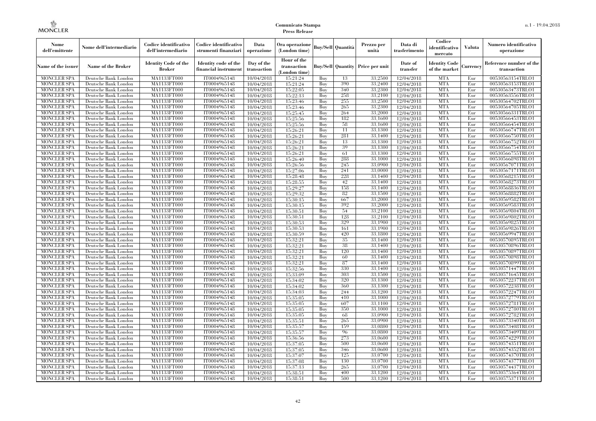| Nome<br>dell'emittente                   | Nome dell'intermediario                      | Codice identificativo<br>dell'intermediario  | Codice identificativo<br>strumenti finanziari | Data<br>operazione        | Ora operazione<br>(London time)             |            | Buy/Sell   Quantità      | Prezzo per<br>unità | Data di<br>trasferimento | Codice<br>identificativo<br>mercato   | <b>Valuta</b> | Numero identificativo<br>operazione    |
|------------------------------------------|----------------------------------------------|----------------------------------------------|-----------------------------------------------|---------------------------|---------------------------------------------|------------|--------------------------|---------------------|--------------------------|---------------------------------------|---------------|----------------------------------------|
| Name of the issuer                       | Name of the Broker                           | <b>Identity Code of the</b><br><b>Broker</b> | Identity code of the<br>financial instrument  | Day of the<br>transaction | Hour of the<br>transaction<br>(London time) |            | <b>Buy/Sell Quantity</b> | Price per unit      | Date of<br>transfer      | <b>Identity Code</b><br>of the market | Currencv      | Reference number of the<br>transaction |
| <b>MONCLER SPA</b>                       | Deutsche Bank London                         | MA1133FT000                                  | IT0004965148                                  | 10/04/2018                | 15:21:24                                    | Buy        | 13                       | 33,2500             | 12/04/2018               | <b>MTA</b>                            | Eur           | 00530563154TRLO1                       |
| <b>MONCLER SPA</b>                       | Deutsche Bank London                         | <b>MA1133FT000</b>                           | IT0004965148                                  | 10/04/2018                | 15:21:24                                    | Buy        | 390                      | 33,2400             | 12/04/2018               | <b>MTA</b>                            | Eur           | 00530563153TRLO1                       |
| <b>MONCLER SPA</b>                       | Deutsche Bank London                         | MA1133FT000                                  | IT0004965148                                  | 10/04/2018                | 15:22:05                                    | Buv        | 340                      | 33,2300             | 12/04/2018               | <b>MTA</b>                            | Eur           | 00530563473TRLO1                       |
| <b>MONCLER SPA</b>                       | Deutsche Bank London                         | MA1133FT000                                  | IT0004965148                                  | 10/04/2018                | 15:22:13                                    | Buy        | 258                      | 33,2100             | 12/04/2018               | <b>MTA</b>                            | Eur           | 00530563556TRLO1                       |
| <b>MONCLER SPA</b>                       | Deutsche Bank London                         | MA1133FT000                                  | IT0004965148                                  | 10/04/2018                | 15:23:46                                    | Buy        | 255<br>265               | 33,2500<br>33,2300  | $\overline{12}/04/2018$  | <b>MTA</b><br><b>MTA</b>              | Eur<br>Eur    | 00530564702TRLO1                       |
| <b>MONCLER SPA</b><br><b>MONCLER SPA</b> | Deutsche Bank London<br>Deutsche Bank London | <b>MA1133FT000</b><br>MA1133FT000            | IT0004965148<br>IT0004965148                  | 10/04/2018<br>10/04/2018  | 15:23:46<br>15:25:45                        | Buy<br>Buy | 264                      | 33,2000             | 12/04/2018<br>12/04/2018 | <b>MTA</b>                            | Eur           | 00530564705TRLO1<br>00530566331TRLO1   |
| <b>MONCLER SPA</b>                       | Deutsche Bank London                         | MA1133FT000                                  | IT0004965148                                  | 10/04/2018                | 15:25:56                                    | Buy        | 182                      | 33.1600             | 12/04/2018               | <b>MTA</b>                            | Eur           | 00530566453TRLO1                       |
| <b>MONCLER SPA</b>                       | Deutsche Bank London                         | MA1133FT000                                  | IT0004965148                                  | 10/04/2018                | 15:25:56                                    | Buy        | 58                       | 33,1600             | $\overline{12}/04/2018$  | <b>MTA</b>                            | Eur           | 00530566454TRLO1                       |
| <b>MONCLER SPA</b>                       | Deutsche Bank London                         | MA1133FT000                                  | IT0004965148                                  | 10/04/2018                | 15:26:21                                    | Buy        | 11                       | 33,1300             | 12/04/2018               | <b>MTA</b>                            | Eur           | 00530566747TRLO1                       |
| <b>MONCLER SPA</b>                       | Deutsche Bank London                         | MA1133FT000                                  | IT0004965148                                  | 10/04/2018                | 15:26:21                                    | Buy        | 281                      | 33,1400             | 12/04/2018               | <b>MTA</b>                            | Eur           | 00530566750TRLO1                       |
| <b>MONCLER SPA</b>                       | Deutsche Bank London                         | MA1133FT000                                  | IT0004965148                                  | 10/04/2018                | 15:26:21                                    | Buy        | 13                       | 33.1300             | 12/04/2018               | <b>MTA</b>                            | Eur           | 00530566752TRLO1                       |
| <b>MONCLER SPA</b>                       | Deutsche Bank London                         | MA1133FT000                                  | IT0004965148                                  | 10/04/2018                | 15:26:21                                    | Buy        | 39                       | 33.1300             | 12/04/2018               | <b>MTA</b>                            | Eur           | 00530566754TRLO1                       |
| <b>MONCLER SPA</b>                       | Deutsche Bank London                         | MA1133FT000                                  | IT0004965148                                  | 10/04/2018                | 15:26:21                                    | Buy        | 61                       | 33,1300             | 12/04/2018               | <b>MTA</b>                            | Eur           | 00530566755TRLO1                       |
| <b>MONCLER SPA</b>                       | Deutsche Bank London                         | MA1133FT000                                  | IT0004965148                                  | 10/04/2018                | 15:26:40                                    | Buy        | 288                      | 33,1000             | 12/04/2018               | <b>MTA</b>                            | Eur           | 00530566898TRLO1                       |
| <b>MONCLER SPA</b>                       | Deutsche Bank London                         | MA1133FT000                                  | IT0004965148                                  | 10/04/2018                | 15:26:56                                    | Buy        | 245                      | 33,0900             | 12/04/2018               | <b>MTA</b>                            | Eur           | 00530567071TRLO1                       |
| <b>MONCLER SPA</b>                       | Deutsche Bank London                         | MA1133FT000                                  | IT0004965148                                  | 10/04/2018                | 15:27:06                                    | Buy        | 241                      | 33,0000             | 12/04/2018               | <b>MTA</b>                            | Eur           | 00530567171TRLO1                       |
| <b>MONCLER SPA</b>                       | Deutsche Bank London                         | MA1133FT000                                  | IT0004965148                                  | 10/04/2018                | 15:28:48                                    | Buy        | 228                      | 33,1400             | 12/04/2018               | <b>MTA</b>                            | Eur           | 00530568215TRLO1                       |
| <b>MONCLER SPA</b>                       | Deutsche Bank London                         | MA1133FT000                                  | IT0004965148                                  | 10/04/2018                | 15:28:55                                    | Buy        | 42                       | 33,1400             | 12/04/2018               | <b>MTA</b>                            | Eur           | 00530568273TRLO1                       |
| <b>MONCLER SPA</b>                       | Deutsche Bank London                         | MA1133FT000                                  | IT0004965148                                  | 10/04/2018                | 15:29:27                                    | Buy        | 158                      | 33,1400             | 12/04/2018               | <b>MTA</b>                            | Eur           | 00530568836TRLO1                       |
| <b>MONCLER SPA</b>                       | Deutsche Bank London                         | <b>MA1133FT000</b>                           | IT0004965148                                  | 10/04/2018                | 15:29:32                                    | Buy        | 82                       | 33,1500             | 12/04/2018               | <b>MTA</b>                            | Eur           | 00530568882TRLO1                       |
| <b>MONCLER SPA</b>                       | Deutsche Bank London                         | MA1133FT000                                  | IT0004965148                                  | 10/04/2018                | 15:30:15                                    | Buy        | 667                      | 33,2000             | 12/04/2018               | <b>MTA</b>                            | Eur           | 00530569582TRLO1                       |
| <b>MONCLER SPA</b>                       | Deutsche Bank London                         | MA1133FT000                                  | IT0004965148                                  | 10/04/2018                | 15:30:15                                    | Buy        | 392                      | 33,2000             | 12/04/2018               | <b>MTA</b>                            | Eur           | 00530569583TRLO1                       |
| <b>MONCLER SPA</b>                       | Deutsche Bank London                         | MA1133FT000                                  | IT0004965148<br>IT0004965148                  | 10/04/2018                | 15:30:51                                    | Buy        | 54<br>128                | 33,2100<br>33,2100  | 12/04/2018<br>12/04/2018 | <b>MTA</b><br><b>MTA</b>              | Eur           | 00530569804TRLO1                       |
| <b>MONCLER SPA</b><br><b>MONCLER SPA</b> | Deutsche Bank London<br>Deutsche Bank London | MA1133FT000<br>MA1133FT000                   | IT0004965148                                  | 10/04/2018<br>10/04/2018  | 15:30:51<br>15:30:53                        | Buy<br>Buy | 329                      | 33,1900             | 12/04/2018               | <b>MTA</b>                            | Eur<br>Eur    | 00530569802TRLO1<br>00530569825TRLO1   |
| <b>MONCLER SPA</b>                       | Deutsche Bank London                         | MA1133FT000                                  | IT0004965148                                  | 10/04/2018                | 15:30:53                                    | Buy        | 161                      | 33,1900             | 12/04/2018               | <b>MTA</b>                            | Eur           | 00530569826TRLO1                       |
| <b>MONCLER SPA</b>                       | Deutsche Bank London                         | MA1133FT000                                  | IT0004965148                                  | 10/04/2018                | 15:30:59                                    | Buy        | 420                      | 33,1800             | 12/04/2018               | <b>MTA</b>                            | Eur           | 00530569947TRLO1                       |
| <b>MONCLER SPA</b>                       | Deutsche Bank London                         | MA1133FT000                                  | IT0004965148                                  | 10/04/2018                | 15:32:21                                    | Buy        | 35                       | 33,1400             | 12/04/2018               | <b>MTA</b>                            | Eur           | 00530570895TRLO1                       |
| <b>MONCLER SPA</b>                       | Deutsche Bank London                         | <b>MA1133FT000</b>                           | IT0004965148                                  | 10/04/2018                | 15:32:21                                    | Buy        | 38                       | 33,1400             | 12/04/2018               | <b>MTA</b>                            | Eur           | 00530570896TRLO1                       |
| <b>MONCLER SPA</b>                       | Deutsche Bank London                         | MA1133FT000                                  | IT0004965148                                  | 10/04/2018                | 15:32:21                                    | Buy        | 120                      | 33,1400             | 12/04/2018               | <b>MTA</b>                            | Eur           | 00530570897TRLO1                       |
| <b>MONCLER SPA</b>                       | Deutsche Bank London                         | MA1133FT000                                  | IT0004965148                                  | 10/04/2018                | 15:32:21                                    | Buy        | 60                       | 33,1400             | 12/04/2018               | <b>MTA</b>                            | Eur           | 00530570898TRLO1                       |
| <b>MONCLER SPA</b>                       | Deutsche Bank London                         | MA1133FT000                                  | IT0004965148                                  | 10/04/2018                | 15:32:21                                    | Buv        | 87                       | 33,1400             | 12/04/2018               | <b>MTA</b>                            | Eur           | 00530570899TRLO1                       |
| <b>MONCLER SPA</b>                       | Deutsche Bank London                         | MA1133FT000                                  | IT0004965148                                  | 10/04/2018                | 15:32:56                                    | Buy        | 330                      | 33,1400             | 12/04/2018               | <b>MTA</b>                            | Eur           | 00530571447TRLO1                       |
| <b>MONCLER SPA</b>                       | Deutsche Bank London                         | MA1133FT000                                  | IT0004965148                                  | 10/04/2018                | 15:33:09                                    | Buy        | 303                      | 33,1500             | 12/04/2018               | <b>MTA</b>                            | Eur           | 00530571645TRLO1                       |
| <b>MONCLER SPA</b>                       | Deutsche Bank London                         | MA1133FT000                                  | IT0004965148                                  | 10/04/2018                | 15:34:02                                    | Buy        | 320                      | 33,1300             | 12/04/2018               | <b>MTA</b>                            | Eur           | 00530572237TRLO1                       |
| <b>MONCLER SPA</b>                       | Deutsche Bank London                         | MA1133FT000                                  | IT0004965148                                  | 10/04/2018                | 15:34:02                                    | Buy        | 360                      | 33.1300             | 12/04/2018               | <b>MTA</b>                            | Eur           | 00530572238TRLO1                       |
| <b>MONCLER SPA</b>                       | Deutsche Bank London                         | <b>MA1133FT000</b>                           | IT0004965148                                  | 10/04/2018                | 15:34:03                                    | Buy        | 244                      | 33,1200             | 12/04/2018               | <b>MTA</b>                            | Eur           | 00530572247TRLO1                       |
| <b>MONCLER SPA</b>                       | Deutsche Bank London                         | MA1133FT000                                  | IT0004965148                                  | 10/04/2018                | 15:35:05                                    | Buy        | 410                      | 33,1000             | 12/04/2018               | <b>MTA</b>                            | Eur           | 00530572779TRLO1                       |
| <b>MONCLER SPA</b>                       | Deutsche Bank London                         | <b>MA1133FT000</b>                           | IT0004965148                                  | 10/04/2018                | 15:35:05                                    | Buy        | 607                      | 33,1100             | 12/04/2018               | <b>MTA</b>                            | Eur           | 00530572781TRLO1                       |
| <b>MONCLER SPA</b>                       | Deutsche Bank London                         | MA1133FT000                                  | IT0004965148                                  | 10/04/2018                | 15:35:05                                    | Buy        | 350                      | 33,1000             | 12/04/2018               | <b>MTA</b>                            | Eur           | 00530572780TRLO1                       |
| <b>MONCLER SPA</b>                       | Deutsche Bank London                         | MA1133FT000                                  | IT0004965148                                  | 10/04/2018                | 15:35:05                                    | Buy        | 68                       | 33,0900             | 12/04/2018               | <b>MTA</b>                            | Eur           | 00530572782TRLO1                       |
| <b>MONCLER SPA</b>                       | Deutsche Bank London                         | MA1133FT000                                  | IT0004965148                                  | 10/04/2018                | 15:35:51                                    | Buy        | 265<br>159               | 33,0900             | 12/04/2018               | <b>MTA</b>                            | Eur           | 00530573340TRLO1                       |
| <b>MONCLER SPA</b><br><b>MONCLER SPA</b> | Deutsche Bank London<br>Deutsche Bank London | MA1133FT000<br>MA1133FT000                   | IT0004965148<br>IT0004965148                  | 10/04/2018                | 15:35:57<br>15:35:57                        | Buy<br>Buy | 96                       | 33,0800<br>33,0800  | 12/04/2018<br>12/04/2018 | <b>MTA</b><br><b>MTA</b>              | Eur<br>Eur    | 00530573408TRLO1<br>00530573409TRLO1   |
| <b>MONCLER SPA</b>                       | Deutsche Bank London                         | MA1133FT000                                  | IT0004965148                                  | 10/04/2018<br>10/04/2018  | 15:36:56                                    | Buy        | 273                      | 33,0600             | 12/04/2018               | <b>MTA</b>                            | Eur           | 00530574229TRLO1                       |
| <b>MONCLER SPA</b>                       | Deutsche Bank London                         | MA1133FT000                                  | IT0004965148                                  | 10/04/2018                | 15:37:05                                    | Buy        | 500                      | 33,0600             | 12/04/2018               | <b>MTA</b>                            | Eur           | 00530574351TRLO1                       |
| <b>MONCLER SPA</b>                       | Deutsche Bank London                         | MA1133FT000                                  | IT0004965148                                  | 10/04/2018                | 15:37:05                                    | Buy        | 346                      | 33,0600             | 12/04/2018               | <b>MTA</b>                            | Eur           | 00530574352TRLO1                       |
| <b>MONCLER SPA</b>                       | Deutsche Bank London                         | MA1133FT000                                  | IT0004965148                                  | 10/04/2018                | 15:37:07                                    | Buy        | 125                      | 33,0700             | 12/04/2018               | <b>MTA</b>                            | Eur           | 00530574370TRLO1                       |
| <b>MONCLER SPA</b>                       | Deutsche Bank London                         | MA1133FT000                                  | IT0004965148                                  | 10/04/2018                | 15:37:08                                    | Buy        | 130                      | 33,0700             | 12/04/2018               | <b>MTA</b>                            | Eur           | 00530574377TRLO1                       |
| <b>MONCLER SPA</b>                       | Deutsche Bank London                         | MA1133FT000                                  | IT0004965148                                  | 10/04/2018                | 15:37:13                                    | Buy        | 265                      | 33,0700             | 12/04/2018               | <b>MTA</b>                            | Eur           | 00530574437TRLO1                       |
| <b>MONCLER SPA</b>                       | Deutsche Bank London                         | MA1133FT000                                  | IT0004965148                                  | 10/04/2018                | 15:38:51                                    | Buy        | 400                      | 33,1200             | 12/04/2018               | <b>MTA</b>                            | Eur           | 00530575364TRLO1                       |
| <b>MONCLER SPA</b>                       | Deutsche Bank London                         | MA1133FT000                                  | IT0004965148                                  | 10/04/2018                | 15:38:51                                    | Buy        | 500                      | 33,1200             | 12/04/2018               | <b>MTA</b>                            | Eur           | 00530575371TRLO1                       |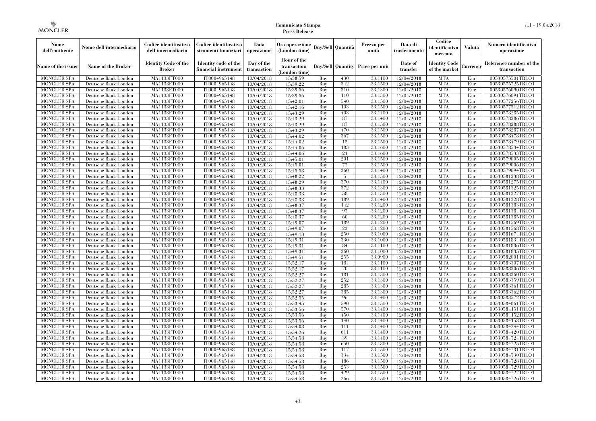| Nome<br>dell'emittente                   | Nome dell'intermediario                      | Codice identificativo<br>dell'intermediario  | Codice identificativo<br>strumenti finanziari | Data<br>operazione        | Ora operazione<br>(London time)             |            | Buv/Sell   Quantità      | Prezzo per<br>unità | Data di<br>trasferimento | Codice<br>identificativo<br>mercato   | <b>Valuta</b> | Numero identificativo<br>operazione    |
|------------------------------------------|----------------------------------------------|----------------------------------------------|-----------------------------------------------|---------------------------|---------------------------------------------|------------|--------------------------|---------------------|--------------------------|---------------------------------------|---------------|----------------------------------------|
| Name of the issuer                       | Name of the Broker                           | <b>Identity Code of the</b><br><b>Broker</b> | Identity code of the<br>financial instrument  | Day of the<br>transaction | Hour of the<br>transaction<br>(London time) |            | <b>Buy/Sell Quantity</b> | Price per unit      | Date of<br>transfer      | <b>Identity Code</b><br>of the market | Currencv      | Reference number of the<br>transaction |
| <b>MONCLER SPA</b>                       | Deutsche Bank London                         | MA1133FT000                                  | IT0004965148                                  | 10/04/2018                | 15:38:59                                    | Buy        | 430                      | 33,1100             | 12/04/2018               | <b>MTA</b>                            | Eur           | 00530575501TRLO1                       |
| <b>MONCLER SPA</b>                       | Deutsche Bank London                         | <b>MA1133FT000</b>                           | IT0004965148                                  | 10/04/2018                | 15:39:22                                    | Buy        | 342                      | 33,1500             | 12/04/2018               | <b>MTA</b>                            | Eur           | 00530575725TRLO1                       |
| <b>MONCLER SPA</b>                       | Deutsche Bank London                         | MA1133FT000                                  | IT0004965148                                  | 10/04/2018                | 15:39:56                                    | Buv        | 310                      | 33.1300             | 12/04/2018               | <b>MTA</b>                            | Eur           | 00530576090TRLO1                       |
| <b>MONCLER SPA</b>                       | Deutsche Bank London                         | MA1133FT000                                  | IT0004965148                                  | 10/04/2018                | 15:39:56                                    | Buy        | 110                      | 33,1300             | 12/04/2018               | <b>MTA</b>                            | Eur           | 00530576091TRLO1                       |
| <b>MONCLER SPA</b>                       | Deutsche Bank London                         | MA1133FT000                                  | IT0004965148                                  | 10/04/2018                | 15:42:01                                    | Buy        | 540                      | 33,1500             | 12/04/2018               | <b>MTA</b>                            | Eur           | 00530577256TRLO1                       |
| <b>MONCLER SPA</b><br><b>MONCLER SPA</b> | Deutsche Bank London<br>Deutsche Bank London | <b>MA1133FT000</b><br>MA1133FT000            | IT0004965148<br>IT0004965148                  | 10/04/2018                | 15:42:16                                    | Buy<br>Buy | 103<br>403               | 33,1500<br>33,1400  | 12/04/2018               | <b>MTA</b><br><b>MTA</b>              | Eur<br>Eur    | 00530577512TRLO1                       |
| <b>MONCLER SPA</b>                       | Deutsche Bank London                         | MA1133FT000                                  | IT0004965148                                  | 10/04/2018<br>10/04/2018  | 15:43:29<br>15:43:29                        | Buy        | 87                       | 33.1400             | 12/04/2018<br>12/04/2018 | <b>MTA</b>                            | Eur           | 00530578285TRLO1<br>00530578286TRLO1   |
| <b>MONCLER SPA</b>                       | Deutsche Bank London                         | MA1133FT000                                  | IT0004965148                                  | 10/04/2018                | 15:43:29                                    | Buy        | 87                       | 33,1500             | 12/04/2018               | <b>MTA</b>                            | Eur           | 00530578288TRLO1                       |
| <b>MONCLER SPA</b>                       | Deutsche Bank London                         | <b>MA1133FT000</b>                           | IT0004965148                                  | 10/04/2018                | 15:43:29                                    | Buy        | 470                      | 33,1500             | 12/04/2018               | <b>MTA</b>                            | Eur           | 00530578287TRLO1                       |
| <b>MONCLER SPA</b>                       | Deutsche Bank London                         | MA1133FT000                                  | IT0004965148                                  | 10/04/2018                | 15:44:02                                    | Buy        | 367                      | 33,1500             | 12/04/2018               | <b>MTA</b>                            | Eur           | 00530578478TRLO1                       |
| <b>MONCLER SPA</b>                       | Deutsche Bank London                         | MA1133FT000                                  | IT0004965148                                  | 10/04/2018                | 15:44:02                                    | Buy        | 15                       | 33,1500             | 12/04/2018               | <b>MTA</b>                            | Eur           | 00530578479TRLO1                       |
| <b>MONCLER SPA</b>                       | Deutsche Bank London                         | MA1133FT000                                  | IT0004965148                                  | 10/04/2018                | 15:44:06                                    | Buy        | 183                      | 33,1600             | 12/04/2018               | <b>MTA</b>                            | Eur           | 00530578534TRLO1                       |
| <b>MONCLER SPA</b>                       | Deutsche Bank London                         | MA1133FT000                                  | IT0004965148                                  | 10/04/2018                | 15:44:06                                    | Buy        | 21                       | 33,1600             | 12/04/2018               | <b>MTA</b>                            | Eur           | 00530578533TRLO1                       |
| <b>MONCLER SPA</b>                       | Deutsche Bank London                         | MA1133FT000                                  | IT0004965148                                  | 10/04/2018                | 15:45:01                                    | Buy        | 201                      | 33,1500             | 12/04/2018               | <b>MTA</b>                            | Eur           | 00530579005TRLO1                       |
| <b>MONCLER SPA</b>                       | Deutsche Bank London                         | MA1133FT000                                  | IT0004965148                                  | 10/04/2018                | 15:45:01                                    | Buy        | 77                       | 33,1500             | 12/04/2018               | <b>MTA</b>                            | Eur           | 00530579006TRLO1                       |
| <b>MONCLER SPA</b>                       | Deutsche Bank London                         | MA1133FT000                                  | IT0004965148                                  | 10/04/2018                | 15:45:58                                    | Buy        | 360                      | 33.1400             | 12/04/2018               | <b>MTA</b>                            | Eur           | 00530579694TRLO1                       |
| <b>MONCLER SPA</b>                       | Deutsche Bank London                         | MA1133FT000                                  | IT0004965148                                  | 10/04/2018                | 15:48:22                                    | Buy        | 5                        | 33,1500             | 12/04/2018               | <b>MTA</b>                            | Eur           | 00530581238TRLO1                       |
| <b>MONCLER SPA</b>                       | Deutsche Bank London                         | MA1133FT000                                  | IT0004965148                                  | 10/04/2018                | 15:48:29                                    | Buy        | 370                      | 33,1400             | 12/04/2018               | <b>MTA</b>                            | Eur           | 00530581275TRLO1                       |
| <b>MONCLER SPA</b>                       | Deutsche Bank London                         | MA1133FT000                                  | IT0004965148                                  | 10/04/2018                | 15:48:33                                    | Buy        | 372                      | 33,1300             | 12/04/2018               | <b>MTA</b>                            | Eur           | 00530581325TRLO1                       |
| <b>MONCLER SPA</b>                       | Deutsche Bank London                         | MA1133FT000                                  | IT0004965148                                  | 10/04/2018                | 15:48:33                                    | Buy        | 58<br>189                | 33,1300             | 12/04/2018               | <b>MTA</b><br><b>MTA</b>              | Eur           | 00530581327TRLO1                       |
| <b>MONCLER SPA</b><br><b>MONCLER SPA</b> | Deutsche Bank London                         | MA1133FT000                                  | IT0004965148<br>IT0004965148                  | 10/04/2018                | 15:48:33<br>15:48:37                        | Buy<br>Buy | 142                      | 33,1400<br>33,1200  | 12/04/2018<br>12/04/2018 | <b>MTA</b>                            | Eur<br>Eur    | 00530581328TRLO1<br>00530581383TRLO1   |
| <b>MONCLER SPA</b>                       | Deutsche Bank London<br>Deutsche Bank London | MA1133FT000<br>MA1133FT000                   | IT0004965148                                  | 10/04/2018<br>10/04/2018  | 15:48:37                                    | Buy        | 97                       | 33,1200             | 12/04/2018               | <b>MTA</b>                            | Eur           | 00530581384TRLO1                       |
| <b>MONCLER SPA</b>                       | Deutsche Bank London                         | MA1133FT000                                  | IT0004965148                                  | 10/04/2018                | 15:48:37                                    | Buy        | 60                       | 33,1200             | 12/04/2018               | <b>MTA</b>                            | Eur           | 00530581385TRLO1                       |
| <b>MONCLER SPA</b>                       | Deutsche Bank London                         | MA1133FT000                                  | IT0004965148                                  | 10/04/2018                | 15:49:07                                    | Buy        | 189                      | 33,1200             | 12/04/2018               | <b>MTA</b>                            | Eur           | 00530581569TRLO1                       |
| <b>MONCLER SPA</b>                       | Deutsche Bank London                         | MA1133FT000                                  | IT0004965148                                  | 10/04/2018                | 15:49:07                                    | Buy        | 23                       | 33,1200             | 12/04/2018               | <b>MTA</b>                            | Eur           | 00530581568TRLO1                       |
| <b>MONCLER SPA</b>                       | Deutsche Bank London                         | MA1133FT000                                  | IT0004965148                                  | 10/04/2018                | 15:49:13                                    | Buy        | 250                      | 33,1000             | 12/04/2018               | <b>MTA</b>                            | Eur           | 00530581674TRLO1                       |
| <b>MONCLER SPA</b>                       | Deutsche Bank London                         | MA1133FT000                                  | IT0004965148                                  | 10/04/2018                | 15:49:31                                    | Buy        | 330                      | 33,1000             | 12/04/2018               | <b>MTA</b>                            | Eur           | 00530581834TRLO1                       |
| <b>MONCLER SPA</b>                       | Deutsche Bank London                         | <b>MA1133FT000</b>                           | IT0004965148                                  | 10/04/2018                | 15:49:31                                    | Buy        | 84                       | 33,1100             | 12/04/2018               | <b>MTA</b>                            | Eur           | 00530581836TRLO1                       |
| MONCLER SPA                              | Deutsche Bank London                         | MA1133FT000                                  | IT0004965148                                  | 10/04/2018                | 15:49:31                                    | Buy        | 360                      | 33,1000             | 12/04/2018               | <b>MTA</b>                            | Eur           | 00530581835TRLO1                       |
| <b>MONCLER SPA</b>                       | Deutsche Bank London                         | MA1133FT000                                  | IT0004965148                                  | 10/04/2018                | 15:49:51                                    | Buy        | 255                      | 33,0900             | 12/04/2018               | <b>MTA</b>                            | Eur           | 00530582001TRLO1                       |
| <b>MONCLER SPA</b>                       | Deutsche Bank London                         | MA1133FT000                                  | IT0004965148                                  | 10/04/2018                | 15:52:17                                    | Buy        | 184                      | 33,1100             | 12/04/2018               | <b>MTA</b>                            | Eur           | 00530583307TRLO1                       |
| <b>MONCLER SPA</b>                       | Deutsche Bank London                         | MA1133FT000                                  | IT0004965148                                  | 10/04/2018                | 15:52:17                                    | Buy        | 70                       | 33,1100             | 12/04/2018               | <b>MTA</b>                            | Eur           | 00530583306TRLO1                       |
| <b>MONCLER SPA</b>                       | Deutsche Bank London                         | MA1133FT000                                  | IT0004965148                                  | 10/04/2018                | 15:52:27                                    | Buy        | 181                      | 33,1300             | 12/04/2018               | <b>MTA</b>                            | Eur           | 00530583360TRLO1                       |
| <b>MONCLER SPA</b>                       | Deutsche Bank London                         | MA1133FT000                                  | IT0004965148                                  | 10/04/2018                | 15:52:27                                    | Buy        | 252                      | 33,1300             | 12/04/2018               | <b>MTA</b>                            | Eur           | 00530583359TRLO1                       |
| <b>MONCLER SPA</b>                       | Deutsche Bank London                         | MA1133FT000                                  | IT0004965148                                  | 10/04/2018                | 15:52:27                                    | Buy        | 285                      | 33.1300             | 12/04/2018               | <b>MTA</b>                            | Eur           | 00530583361TRLO1                       |
| <b>MONCLER SPA</b>                       | Deutsche Bank London                         | <b>MA1133FT000</b>                           | IT0004965148                                  | 10/04/2018                | 15:52:27                                    | Buy        | 385                      | 33,1300             | 12/04/2018               | <b>MTA</b>                            | Eur           | 00530583362TRLO1                       |
| <b>MONCLER SPA</b>                       | Deutsche Bank London                         | MA1133FT000                                  | IT0004965148                                  | 10/04/2018                | 15:52:55                                    | Buy        | 96<br>590                | 33,1400             | 12/04/2018               | <b>MTA</b>                            | Eur           | 00530583572TRLO1                       |
| <b>MONCLER SPA</b><br><b>MONCLER SPA</b> | Deutsche Bank London                         | MA1133FT000<br>MA1133FT000                   | IT0004965148                                  | 10/04/2018                | 15:53:45<br>15:53:56                        | Buy<br>Buy | 570                      | 33,1500<br>33,1400  | 12/04/2018               | <b>MTA</b><br><b>MTA</b>              | Eur<br>Eur    | 00530584061TRLO1<br>00530584151TRLO1   |
| <b>MONCLER SPA</b>                       | Deutsche Bank London<br>Deutsche Bank London | MA1133FT000                                  | IT0004965148<br>IT0004965148                  | 10/04/2018<br>10/04/2018  | 15:53:56                                    | Buy        | 450                      | 33.1400             | 12/04/2018<br>12/04/2018 | <b>MTA</b>                            | Eur           | 00530584152TRLO1                       |
| <b>MONCLER SPA</b>                       | Deutsche Bank London                         | MA1133FT000                                  | IT0004965148                                  | 10/04/2018                | 15:53:56                                    | Buy        | 140                      | 33,1400             | 12/04/2018               | <b>MTA</b>                            | Eur           | 00530584153TRLO1                       |
| <b>MONCLER SPA</b>                       | Deutsche Bank London                         | MA1133FT000                                  | IT0004965148                                  | 10/04/2018                | 15:54:08                                    | Buy        | 111                      | 33,1400             | 12/04/2018               | <b>MTA</b>                            | Eur           | 00530584244TRLO1                       |
| <b>MONCLER SPA</b>                       | Deutsche Bank London                         | MA1133FT000                                  | IT0004965148                                  | 10/04/2018                | 15:54:26                                    | Buy        | 611                      | 33,1400             | 12/04/2018               | <b>MTA</b>                            | Eur           | 00530584420TRLO1                       |
| <b>MONCLER SPA</b>                       | Deutsche Bank London                         | MA1133FT000                                  | IT0004965148                                  | 10/04/2018                | 15:54:58                                    | Buy        | 39                       | 33,1400             | 12/04/2018               | <b>MTA</b>                            | Eur           | 00530584724TRLO1                       |
| <b>MONCLER SPA</b>                       | Deutsche Bank London                         | MA1133FT000                                  | IT0004965148                                  | 10/04/2018                | 15:54:58                                    | Buy        | 650                      | 33,1300             | 12/04/2018               | <b>MTA</b>                            | Eur           | 00530584725TRLO1                       |
| <b>MONCLER SPA</b>                       | Deutsche Bank London                         | MA1133FT000                                  | IT0004965148                                  | 10/04/2018                | 15:54:58                                    | Buy        | 117                      | 33,1500             | 12/04/2018               | <b>MTA</b>                            | Eur           | 00530584731TRLO1                       |
| <b>MONCLER SPA</b>                       | Deutsche Bank London                         | MA1133FT000                                  | IT0004965148                                  | 10/04/2018                | 15:54:58                                    | Buy        | 334                      | 33,1500             | 12/04/2018               | <b>MTA</b>                            | Eur           | 00530584730TRLO1                       |
| <b>MONCLER SPA</b>                       | Deutsche Bank London                         | MA1133FT000                                  | IT0004965148                                  | 10/04/2018                | 15:54:58                                    | Buy        | 186                      | 33,1500             | 12/04/2018               | <b>MTA</b>                            | Eur           | 00530584728TRLO1                       |
| <b>MONCLER SPA</b>                       | Deutsche Bank London                         | MA1133FT000                                  | IT0004965148                                  | 10/04/2018                | 15:54:58                                    | Buy        | 253                      | 33,1500             | 12/04/2018               | <b>MTA</b>                            | Eur           | 00530584729TRLO1                       |
| <b>MONCLER SPA</b>                       | Deutsche Bank London                         | <b>MA1133FT000</b>                           | IT0004965148                                  | 10/04/2018                | 15:54:58                                    | Buy        | 429                      | 33.1500             | 12/04/2018               | <b>MTA</b>                            | Eur           | 00530584727TRLO1                       |
| <b>MONCLER SPA</b>                       | Deutsche Bank London                         | MA1133FT000                                  | IT0004965148                                  | 10/04/2018                | 15:54:58                                    | Buy        | 266                      | 33,1500             | 12/04/2018               | <b>MTA</b>                            | Eur           | 00530584726TRLO1                       |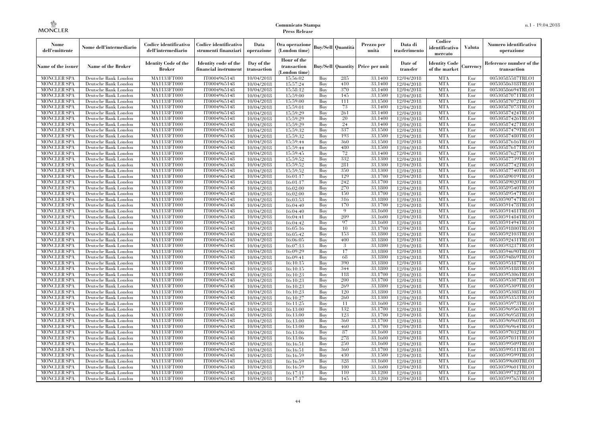| Nome<br>dell'emittente                   | Nome dell'intermediario                      | Codice identificativo<br>dell'intermediario  | Codice identificativo<br>strumenti finanziari | Data<br>operazione        | Ora operazione<br>(London time)             |            | Buy/Sell   Quantità | Prezzo per<br>unità                     | Data di<br>trasferimento | Codice<br>identificativo<br>mercato | <b>Valuta</b> | Numero identificativo<br>operazione    |
|------------------------------------------|----------------------------------------------|----------------------------------------------|-----------------------------------------------|---------------------------|---------------------------------------------|------------|---------------------|-----------------------------------------|--------------------------|-------------------------------------|---------------|----------------------------------------|
| Name of the issuer                       | <b>Name of the Broker</b>                    | <b>Identity Code of the</b><br><b>Broker</b> | Identity code of the<br>financial instrument  | Day of the<br>transaction | Hour of the<br>transaction<br>(London time) |            |                     | <b>Buy/Sell Quantity Price per unit</b> | Date of<br>transfer      | Identity Code<br>of the market      | Currency      | Reference number of the<br>transaction |
| <b>MONCLER SPA</b>                       | Deutsche Bank London                         | MA1133FT000                                  | IT0004965148                                  | 10/04/2018                | 15:56:02                                    | Buy        | 285                 | 33,1400                                 | 12/04/2018               | <b>MTA</b>                          | Eur           | 00530585587TRLO1                       |
| <b>MONCLER SPA</b>                       | Deutsche Bank London                         | MA1133FT000                                  | IT0004965148                                  | 10/04/2018                | 15:57:24                                    | Buy        | 410                 | 33,1400                                 | 12/04/2018               | <b>MTA</b>                          | Eur           | 00530586318TRLO1                       |
| <b>MONCLER SPA</b>                       | Deutsche Bank London                         | <b>MA1133FT000</b>                           | IT0004965148                                  | 10/04/2018                | 15:58:12                                    | Buy        | 370                 | 33,1400                                 | 12/04/2018               | <b>MTA</b>                          | Eur           | 00530586694TRLO1                       |
| <b>MONCLER SPA</b>                       | Deutsche Bank London                         | MA1133FT000                                  | IT0004965148                                  | 10/04/2018                | 15:59:00                                    | Buy<br>Buy | 145<br>111          | 33,1500<br>33,1500                      | 12/04/2018               | <b>MTA</b><br><b>MTA</b>            | Eur<br>Eur    | 00530587071TRLO1                       |
| <b>MONCLER SPA</b><br><b>MONCLER SPA</b> | Deutsche Bank London<br>Deutsche Bank London | MA1133FT000<br><b>MA1133FT000</b>            | IT0004965148<br>IT0004965148                  | 10/04/2018<br>10/04/2018  | 15:59:00<br>15:59:01                        | Buy        | 73                  | 33,1400                                 | 12/04/2018<br>12/04/2018 | <b>MTA</b>                          | Eur           | 00530587072TRLO1<br>00530587073TRLO1   |
| <b>MONCLER SPA</b>                       | Deutsche Bank London                         | <b>MA1133FT000</b>                           | IT0004965148                                  | 10/04/2018                | 15:59:29                                    | Buy        | 261                 | 33,1400                                 | 12/04/2018               | <b>MTA</b>                          | Eur           | 00530587424TRLO1                       |
| <b>MONCLER SPA</b>                       | Deutsche Bank London                         | MA1133FT000                                  | IT0004965148                                  | 10/04/2018                | 15:59:29                                    | Buy        | 20                  | 33,1400                                 | 12/04/2018               | <b>MTA</b>                          | Eur           | 00530587426TRLO1                       |
| <b>MONCLER SPA</b>                       | Deutsche Bank London                         | MA1133FT000                                  | IT0004965148                                  | 10/04/2018                | 15:59:29                                    | Buy        | 24                  | 33,1400                                 | 12/04/2018               | <b>MTA</b>                          | Eur           | 00530587427TRLO1                       |
| <b>MONCLER SPA</b>                       | Deutsche Bank London                         | <b>MA1133FT000</b>                           | IT0004965148                                  | 10/04/2018                | 15:59:32                                    | Buy        | 337                 | 33,1500                                 | 12/04/2018               | <b>MTA</b>                          | Eur           | 00530587479TRLO1                       |
| <b>MONCLER SPA</b>                       | Deutsche Bank London                         | <b>MA1133FT000</b>                           | IT0004965148                                  | 10/04/2018                | 15:59:32                                    | Buy        | 193                 | 33,1500                                 | 12/04/2018               | <b>MTA</b>                          | Eur           | 00530587480TRLO1                       |
| <b>MONCLER SPA</b>                       | Deutsche Bank London                         | <b>MA1133FT000</b>                           | IT0004965148                                  | 10/04/2018                | 15:59:44                                    | Buy        | 360                 | 33,1500                                 | 12/04/2018               | <b>MTA</b>                          | Eur           | 00530587616TRLO1                       |
| <b>MONCLER SPA</b>                       | Deutsche Bank London                         | MA1133FT000                                  | IT0004965148                                  | 10/04/2018                | 15:59:44                                    | Buy        | 480                 | 33,1500                                 | 12/04/2018               | <b>MTA</b>                          | Eur           | 00530587617TRLO1                       |
| <b>MONCLER SPA</b>                       | Deutsche Bank London                         | <b>MA1133FT000</b>                           | IT0004965148                                  | 10/04/2018                | 15:59:45                                    | Buy        | 72                  | 33,1400                                 | 12/04/2018               | <b>MTA</b>                          | Eur           | 00530587627TRLO1                       |
| <b>MONCLER SPA</b>                       | Deutsche Bank London                         | <b>MA1133FT000</b>                           | IT0004965148                                  | 10/04/2018                | 15:59:52                                    | Buy        | 332                 | 33,1300                                 | 12/04/2018               | <b>MTA</b>                          | Eur           | 00530587739TRLO1                       |
| <b>MONCLER SPA</b>                       | Deutsche Bank London                         | <b>MA1133FT000</b>                           | IT0004965148                                  | 10/04/2018                | 15:59:52                                    | Buy        | 281                 | 33,1300                                 | 12/04/2018               | <b>MTA</b>                          | Eur           | 00530587742TRLO1                       |
| <b>MONCLER SPA</b>                       | Deutsche Bank London                         | MA1133FT000                                  | IT0004965148                                  | 10/04/2018                | 15:59:52                                    | Buy        | 350                 | 33,1300                                 | 12/04/2018               | <b>MTA</b>                          | Eur           | 00530587740TRLO1                       |
| <b>MONCLER SPA</b>                       | Deutsche Bank London                         | MA1133FT000                                  | IT0004965148                                  | 10/04/2018                | 16:01:17                                    | Buy        | 129                 | 33,1700                                 | 12/04/2018               | <b>MTA</b>                          | Eur           | 00530589019TRLO1                       |
| MONCLER SPA                              | Deutsche Bank London                         | <b>MA1133FT000</b>                           | IT0004965148                                  | 10/04/2018                | 16:01:17                                    | Buy        | 242                 | 33,1700                                 | 12/04/2018               | <b>MTA</b>                          | Eur           | 00530589020TRLO1                       |
| <b>MONCLER SPA</b>                       | Deutsche Bank London                         | MA1133FT000                                  | IT0004965148                                  | 10/04/2018                | 16:02:00                                    | Buy        | 270                 | 33,1800                                 | 12/04/2018               | <b>MTA</b>                          | Eur           | 00530589540TRLO1                       |
| <b>MONCLER SPA</b>                       | Deutsche Bank London                         | MA1133FT000                                  | IT0004965148                                  | 10/04/2018                | 16:02:00                                    | Buy        | 150                 | 33,1700                                 | 12/04/2018               | <b>MTA</b>                          | Eur           | 00530589547TRLO1                       |
| MONCLER SPA                              | Deutsche Bank London                         | MA1133FT000                                  | IT0004965148                                  | 10/04/2018                | 16:03:53                                    | Buy        | 316                 | 33,1800                                 | 12/04/2018               | <b>MTA</b>                          | Eur           | 00530590747TRLO1                       |
| <b>MONCLER SPA</b>                       | Deutsche Bank London                         | <b>MA1133FT000</b><br>MA1133FT000            | IT0004965148                                  | 10/04/2018                | 16:04:40                                    | Buy        | 170<br>$\mathbf Q$  | 33,1700                                 | 12/04/2018               | MTA                                 | Eur           | 00530591478TRLO1                       |
| <b>MONCLER SPA</b><br><b>MONCLER SPA</b> | Deutsche Bank London<br>Deutsche Bank London | MA1133FT000                                  | IT0004965148<br>IT0004965148                  | 10/04/2018<br>10/04/2018  | 16:04:40<br>16:04:41                        | Buy<br>Buy | 209                 | 33,1600<br>33,1600                      | 12/04/2018<br>12/04/2018 | <b>MTA</b><br><b>MTA</b>            | Eur<br>Eur    | 00530591481TRLO1<br>00530591484TRLO1   |
| <b>MONCLER SPA</b>                       | Deutsche Bank London                         | <b>MA1133FT000</b>                           | IT0004965148                                  | 10/04/2018                | 16:04:42                                    | Buy        | 97                  | 33,1600                                 | 12/04/2018               | <b>MTA</b>                          | Eur           | 00530591494TRLO1                       |
| <b>MONCLER SPA</b>                       | Deutsche Bank London                         | <b>MA1133FT000</b>                           | IT0004965148                                  | 10/04/2018                | 16:05:16                                    | Buy        | 10                  | 33,1700                                 | 12/04/2018               | MTA                                 | Eur           | 00530591800TRLO1                       |
| <b>MONCLER SPA</b>                       | Deutsche Bank London                         | MA1133FT000                                  | IT0004965148                                  | 10/04/2018                | 16:05:42                                    | Buy        | 153                 | 33,1800                                 | 12/04/2018               | <b>MTA</b>                          | Eur           | 00530592103TRLO1                       |
| <b>MONCLER SPA</b>                       | Deutsche Bank London                         | MA1133FT000                                  | IT0004965148                                  | 10/04/2018                | 16:06:05                                    | Buy        | 400                 | 33,1800                                 | 12/04/2018               | <b>MTA</b>                          | Eur           | 00530592431TRLO1                       |
| <b>MONCLER SPA</b>                       | Deutsche Bank London                         | <b>MA1133FT000</b>                           | IT0004965148                                  | 10/04/2018                | 16:07:13                                    | Buy        | 3                   | 33,1800                                 | 12/04/2018               | <b>MTA</b>                          | Eur           | 00530593237TRLO1                       |
| MONCLER SPA                              | Deutsche Bank London                         | <b>MA1133FT000</b>                           | IT0004965148                                  | 10/04/2018                | 16:09:29                                    | Buy        | 17                  | 33,1800                                 | 12/04/2018               | <b>MTA</b>                          | Eur           | 00530594690TRLO1                       |
| <b>MONCLER SPA</b>                       | Deutsche Bank London                         | MA1133FT000                                  | IT0004965148                                  | 10/04/2018                | 16:09:41                                    | Buy        | 68                  | 33,1800                                 | 12/04/2018               | <b>MTA</b>                          | Eur           | 00530594869TRLO1                       |
| <b>MONCLER SPA</b>                       | Deutsche Bank London                         | MA1133FT000                                  | IT0004965148                                  | 10/04/2018                | 16:10:15                                    | Buy        | 390                 | 33,1800                                 | 12/04/2018               | <b>MTA</b>                          | Eur           | 00530595187TRLO1                       |
| <b>MONCLER SPA</b>                       | Deutsche Bank London                         | <b>MA1133FT000</b>                           | IT0004965148                                  | 10/04/2018                | 16:10:15                                    | Buy        | 344                 | 33,1800                                 | 12/04/2018               | <b>MTA</b>                          | Eur           | 00530595188TRLO1                       |
| <b>MONCLER SPA</b>                       | Deutsche Bank London                         | <b>MA1133FT000</b>                           | IT0004965148                                  | 10/04/2018                | 16:10:23                                    | Buy        | 118                 | 33,1700                                 | 12/04/2018               | <b>MTA</b>                          | Eur           | 00530595306TRLO1                       |
| <b>MONCLER SPA</b>                       | Deutsche Bank London                         | MA1133FT000                                  | IT0004965148                                  | 10/04/2018                | 16:10:23                                    | Buy        | 200                 | 33,1700                                 | 12/04/2018               | <b>MTA</b>                          | Eur           | 00530595307TRLO1                       |
| <b>MONCLER SPA</b>                       | Deutsche Bank London                         | MA1133FT000                                  | IT0004965148                                  | 10/04/2018                | 16:10:23                                    | Buy        | 269                 | 33,1800                                 | 12/04/2018               | <b>MTA</b>                          | Eur           | 00530595309TRLO1                       |
| <b>MONCLER SPA</b>                       | Deutsche Bank London                         | <b>MA1133FT000</b>                           | IT0004965148                                  | 10/04/2018                | 16:10:23                                    | Buy        | 120                 | 33,1800                                 | 12/04/2018               | <b>MTA</b>                          | Eur           | 00530595308TRLO1                       |
| <b>MONCLER SPA</b>                       | Deutsche Bank London                         | <b>MA1133FT000</b>                           | IT0004965148                                  | 10/04/2018                | 16:10:27                                    | Buy        | 260                 | 33,1300                                 | 12/04/2018               | MTA                                 | Eur           | 00530595353TRLO1                       |
| <b>MONCLER SPA</b>                       | Deutsche Bank London                         | MA1133FT000                                  | IT0004965148                                  | 10/04/2018                | 16:11:25                                    | Buy        | 11                  | 33,1600                                 | 12/04/2018               | <b>MTA</b>                          | Eur           | 00530595973TRLO1                       |
| <b>MONCLER SPA</b>                       | Deutsche Bank London                         | MA1133FT000                                  | IT0004965148                                  | 10/04/2018                | 16:13:00                                    | Buy        | 132                 | 33,1700                                 | 12/04/2018               | <b>MTA</b>                          | Eur           | 00530596956TRLO1                       |
| <b>MONCLER SPA</b><br><b>MONCLER SPA</b> | Deutsche Bank London<br>Deutsche Bank London | MA1133FT000<br><b>MA1133FT000</b>            | IT0004965148<br>IT0004965148                  | 10/04/2018                | 16:13:00                                    | Buy<br>Buy | 123<br>360          | 33,1700<br>33,1700                      | 12/04/2018               | <b>MTA</b><br>MTA                   | Eur<br>Eur    | 00530596958TRLO1<br>00530596960TRLO1   |
| <b>MONCLER SPA</b>                       | Deutsche Bank London                         | MA1133FT000                                  | IT0004965148                                  | 10/04/2018<br>10/04/2018  | 16:13:00<br>16:13:00                        | Buy        | 460                 | 33,1700                                 | 12/04/2018<br>12/04/2018 | <b>MTA</b>                          | Eur           | 00530596964TRLO1                       |
| <b>MONCLER SPA</b>                       | Deutsche Bank London                         | MA1133FT000                                  | IT0004965148                                  | 10/04/2018                | 16:13:06                                    | Buy        | 87                  | 33,1600                                 | 12/04/2018               | <b>MTA</b>                          | Eur           | 00530597032TRLO1                       |
| <b>MONCLER SPA</b>                       | Deutsche Bank London                         | MA1133FT000                                  | IT0004965148                                  | 10/04/2018                | 16:13:06                                    | Buy        | 278                 | 33,1600                                 | 12/04/2018               | <b>MTA</b>                          | Eur           | 00530597031TRLO1                       |
| <b>MONCLER SPA</b>                       | Deutsche Bank London                         | <b>MA1133FT000</b>                           | IT0004965148                                  | 10/04/2018                | 16:16:51                                    | Buy        | 250                 | 33,1600                                 | 12/04/2018               | MTA                                 | Eur           | 00530599509TRLO1                       |
| <b>MONCLER SPA</b>                       | Deutsche Bank London                         | <b>MA1133FT000</b>                           | IT0004965148                                  | 10/04/2018                | 16:16:51                                    | Buy        | 360                 | 33,1700                                 | 12/04/2018               | <b>MTA</b>                          | Eur           | 00530599511TRLO1                       |
| <b>MONCLER SPA</b>                       | Deutsche Bank London                         | MA1133FT000                                  | IT0004965148                                  | 10/04/2018                | 16:16:59                                    | Buy        | 430                 | 33,1500                                 | 12/04/2018               | <b>MTA</b>                          | Eur           | 00530599599TRLO1                       |
| <b>MONCLER SPA</b>                       | Deutsche Bank London                         | <b>MA1133FT000</b>                           | IT0004965148                                  | 10/04/2018                | 16:16:59                                    | Buy        | 328                 | 33,1600                                 | 12/04/2018               | <b>MTA</b>                          | Eur           | 00530599600TRLO1                       |
| MONCLER SPA                              | Deutsche Bank London                         | <b>MA1133FT000</b>                           | IT0004965148                                  | 10/04/2018                | 16:16:59                                    | Buy        | 100                 | 33,1600                                 | 12/04/2018               | MTA                                 | Eur           | 00530599601TRLO1                       |
| <b>MONCLER SPA</b>                       | Deutsche Bank London                         | MA1133FT000                                  | IT0004965148                                  | 10/04/2018                | 16:17:11                                    | Buy        | 110                 | 33,1200                                 | 12/04/2018               | <b>MTA</b>                          | Eur           | 00530599712TRLO1                       |
| <b>MONCLER SPA</b>                       | Deutsche Bank London                         | MA1133FT000                                  | IT0004965148                                  | 10/04/2018                | 16:17:17                                    | Buy        | 145                 | 33,1200                                 | 12/04/2018               | <b>MTA</b>                          | Eur           | 00530599765TRLO1                       |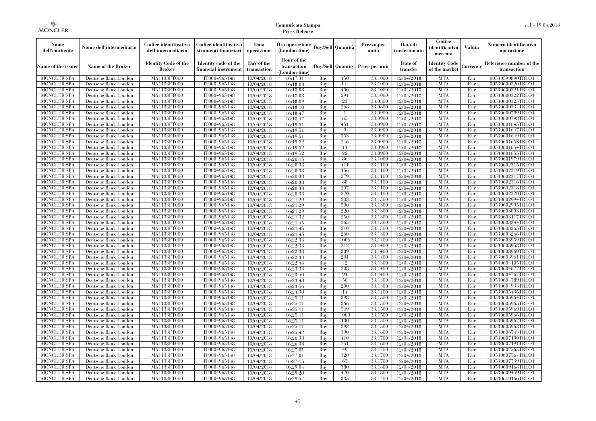| Nome<br>dell'emittente                   | Nome dell'intermediario                      | Codice identificativo<br>dell'intermediario  | Codice identificativo<br>strumenti finanziari | Data<br>operazione        | Ora operazione<br>(London time)             |            | Buv/Sell   Quantità      | Prezzo per<br>unità | Data di<br>trasferimento | Codice<br>identificativo<br>mercato   | <b>Valuta</b> | Numero identificativo<br>operazione    |
|------------------------------------------|----------------------------------------------|----------------------------------------------|-----------------------------------------------|---------------------------|---------------------------------------------|------------|--------------------------|---------------------|--------------------------|---------------------------------------|---------------|----------------------------------------|
| Name of the issuer                       | Name of the Broker                           | <b>Identity Code of the</b><br><b>Broker</b> | Identity code of the<br>financial instrument  | Day of the<br>transaction | Hour of the<br>transaction<br>(London time) |            | <b>Buy/Sell Quantity</b> | Price per unit      | Date of<br>transfer      | <b>Identity Code</b><br>of the market | Currencv      | Reference number of the<br>transaction |
| <b>MONCLER SPA</b>                       | Deutsche Bank London                         | MA1133FT000                                  | IT0004965148                                  | 10/04/2018                | 16:17:31                                    | Buy        | 150                      | 33,1000             | 12/04/2018               | <b>MTA</b>                            | Eur           | 00530599890TRLO1                       |
| <b>MONCLER SPA</b>                       | Deutsche Bank London                         | <b>MA1133FT000</b>                           | IT0004965148                                  | 10/04/2018                | 16:18:08                                    | Buy        | 144                      | 33,1000             | 12/04/2018               | <b>MTA</b>                            | Eur           | 00530600320TRLO1                       |
| <b>MONCLER SPA</b>                       | Deutsche Bank London                         | MA1133FT000                                  | IT0004965148                                  | 10/04/2018                | 16:18:08                                    | Buv        | 400                      | 33.1000             | 12/04/2018               | <b>MTA</b>                            | Eur           | 00530600321TRLO1                       |
| <b>MONCLER SPA</b>                       | Deutsche Bank London                         | MA1133FT000                                  | IT0004965148                                  | 10/04/2018                | 16:18:08                                    | Buy        | 291                      | 33,1000             | 12/04/2018               | <b>MTA</b>                            | Eur           | 00530600322TRLO1                       |
| <b>MONCLER SPA</b>                       | Deutsche Bank London                         | MA1133FT000<br><b>MA1133FT000</b>            | IT0004965148                                  | 10/04/2018                | 16:18:09                                    | Buy        | 23<br>268                | 33,0800<br>33,0800  | 12/04/2018               | <b>MTA</b><br><b>MTA</b>              | Eur<br>Eur    | 00530600323TRLO1<br>00530600334TRLO1   |
| MONCLER SPA<br><b>MONCLER SPA</b>        | Deutsche Bank London<br>Deutsche Bank London | MA1133FT000                                  | IT0004965148<br>IT0004965148                  | 10/04/2018<br>10/04/2018  | 16:18:10<br>16:18:47                        | Buy<br>Buy |                          | 33,0900             | 12/04/2018<br>12/04/2018 | <b>MTA</b>                            | Eur           | 00530600799TRLO1                       |
| <b>MONCLER SPA</b>                       | Deutsche Bank London                         | MA1133FT000                                  | IT0004965148                                  | 10/04/2018                | 16:18:47                                    | Buy        | 65                       | 33,0900             | 12/04/2018               | <b>MTA</b>                            | Eur           | 00530600798TRLO1                       |
| <b>MONCLER SPA</b>                       | Deutsche Bank London                         | MA1133FT000                                  | IT0004965148                                  | 10/04/2018                | 16:19:51                                    | Buy        | 451                      | 33,0900             | 12/04/2018               | <b>MTA</b>                            | Eur           | 00530601645TRLO1                       |
| <b>MONCLER SPA</b>                       | Deutsche Bank London                         | <b>MA1133FT000</b>                           | IT0004965148                                  | 10/04/2018                | 16:19:51                                    | Buy        | $\overline{0}$           | 33,0900             | 12/04/2018               | <b>MTA</b>                            | Eur           | 00530601647TRLO1                       |
| <b>MONCLER SPA</b>                       | Deutsche Bank London                         | MA1133FT000                                  | IT0004965148                                  | 10/04/2018                | 16:19:51                                    | Buy        | 353                      | 33,0900             | 12/04/2018               | <b>MTA</b>                            | Eur           | 00530601649TRLO1                       |
| <b>MONCLER SPA</b>                       | Deutsche Bank London                         | MA1133FT000                                  | IT0004965148                                  | 10/04/2018                | 16:19:52                                    | Buy        | 246                      | 33,0900             | 12/04/2018               | <b>MTA</b>                            | Eur           | 00530601653TRLO1                       |
| <b>MONCLER SPA</b>                       | Deutsche Bank London                         | MA1133FT000                                  | IT0004965148                                  | 10/04/2018                | 16:19:52                                    | Buy        | 11                       | 33,0900             | 12/04/2018               | <b>MTA</b>                            | Eur           | 00530601654TRLO1                       |
| <b>MONCLER SPA</b>                       | Deutsche Bank London                         | MA1133FT000                                  | IT0004965148                                  | 10/04/2018                | 16:19:52                                    | Buy        | 22                       | 33,0900             | 12/04/2018               | <b>MTA</b>                            | Eur           | 00530601655TRLO1                       |
| <b>MONCLER SPA</b>                       | Deutsche Bank London                         | MA1133FT000                                  | IT0004965148                                  | 10/04/2018                | 16:20:15                                    | Buy        | 86                       | 33,1000             | 12/04/2018               | <b>MTA</b>                            | Eur           | 00530601979TRLO1                       |
| <b>MONCLER SPA</b>                       | Deutsche Bank London                         | MA1133FT000                                  | IT0004965148                                  | 10/04/2018                | 16:20:38                                    | Buy        | 411                      | 33,1100             | 12/04/2018               | <b>MTA</b>                            | Eur           | 00530602315TRLO1                       |
| <b>MONCLER SPA</b>                       | Deutsche Bank London                         | MA1133FT000                                  | IT0004965148                                  | 10/04/2018                | 16:20:38                                    | Buy        | 156                      | 33.1100             | 12/04/2018               | <b>MTA</b>                            | Eur           | 00530602319TRLO1                       |
| <b>MONCLER SPA</b>                       | Deutsche Bank London                         | MA1133FT000                                  | IT0004965148                                  | 10/04/2018                | 16:20:38                                    | Buy        | 379                      | 33,1100             | 12/04/2018               | <b>MTA</b>                            | Eur           | 00530602317TRLO1                       |
| <b>MONCLER SPA</b>                       | Deutsche Bank London                         | MA1133FT000                                  | IT0004965148                                  | 10/04/2018                | 16:20:38                                    | Buy        | 88                       | 33,1100             | 12/04/2018               | <b>MTA</b>                            | Eur           | 00530602316TRLO1                       |
| <b>MONCLER SPA</b>                       | Deutsche Bank London                         | MA1133FT000                                  | IT0004965148                                  | 10/04/2018                | 16:20:38                                    | Buy        | 207                      | 33,1100             | 12/04/2018               | <b>MTA</b>                            | Eur           | 00530602318TRLO1                       |
| MONCLER SPA                              | Deutsche Bank London                         | MA1133FT000                                  | IT0004965148                                  | 10/04/2018                | 16:20:38                                    | Buy        | 270                      | 33,1100             | 12/04/2018               | <b>MTA</b>                            | Eur           | 00530602320TRLO1                       |
| MONCLER SPA                              | Deutsche Bank London                         | MA1133FT000                                  | IT0004965148                                  | 10/04/2018                | 16:21:29                                    | Buy        | 303                      | 33,1300             | 12/04/2018               | <b>MTA</b>                            | Eur           | 00530602994TRLO1                       |
| <b>MONCLER SPA</b>                       | Deutsche Bank London                         | MA1133FT000                                  | IT0004965148                                  | 10/04/2018                | 16:21:29                                    | Buy        | 500                      | 33,1300             | 12/04/2018               | <b>MTA</b>                            | Eur           | 00530602995TRLO1                       |
| <b>MONCLER SPA</b>                       | Deutsche Bank London                         | MA1133FT000                                  | IT0004965148                                  | 10/04/2018                | 16:21:29                                    | Buy        | 220<br>250               | 33,1300             | 12/04/2018               | <b>MTA</b>                            | Eur           | 00530603003TRLO1                       |
| <b>MONCLER SPA</b><br><b>MONCLER SPA</b> | Deutsche Bank London<br>Deutsche Bank London | MA1133FT000<br>MA1133FT000                   | IT0004965148<br>IT0004965148                  | 10/04/2018<br>10/04/2018  | 16:21:32<br>16:21:45                        | Buy<br>Buy | 265                      | 33,1300<br>33,1300  | 12/04/2018<br>12/04/2018 | <b>MTA</b><br><b>MTA</b>              | Eur<br>Eur    | 00530603117TRLO1<br>00530603244TRLO1   |
| <b>MONCLER SPA</b>                       | Deutsche Bank London                         | MA1133FT000                                  | IT0004965148                                  | 10/04/2018                | 16:21:45                                    | Buy        | 210                      | 33.1300             | 12/04/2018               | <b>MTA</b>                            | Eur           | 00530603265TRLO1                       |
| <b>MONCLER SPA</b>                       | Deutsche Bank London                         | MA1133FT000                                  | IT0004965148                                  | 10/04/2018                | 16:21:45                                    | Buy        | 260                      | 33,1300             | 12/04/2018               | <b>MTA</b>                            | Eur           | 00530603266TRLO1                       |
| <b>MONCLER SPA</b>                       | Deutsche Bank London                         | MA1133FT000                                  | IT0004965148                                  | 10/04/2018                | 16:22:33                                    | Buy        | 1006                     | 33,1400             | 12/04/2018               | <b>MTA</b>                            | Eur           | 00530603959TRLO1                       |
| MONCLER SPA                              | Deutsche Bank London                         | <b>MA1133FT000</b>                           | IT0004965148                                  | 10/04/2018                | 16:22:33                                    | Buy        | 212                      | 33,1400             | 12/04/2018               | <b>MTA</b>                            | Eur           | 00530603958TRLO1                       |
| MONCLER SPA                              | Deutsche Bank London                         | MA1133FT000                                  | IT0004965148                                  | 10/04/2018                | 16:22:33                                    | Buy        | 309                      | 33,1400             | 12/04/2018               | <b>MTA</b>                            | Eur           | 00530603960TRLO1                       |
| <b>MONCLER SPA</b>                       | Deutsche Bank London                         | MA1133FT000                                  | IT0004965148                                  | 10/04/2018                | 16:22:33                                    | Buy        | 201                      | 33,1400             | 12/04/2018               | <b>MTA</b>                            | Eur           | 00530603961TRLO1                       |
| <b>MONCLER SPA</b>                       | Deutsche Bank London                         | MA1133FT000                                  | IT0004965148                                  | 10/04/2018                | 16:22:46                                    | Buy        | 42                       | 33.1300             | 12/04/2018               | <b>MTA</b>                            | Eur           | 00530604105TRLO1                       |
| <b>MONCLER SPA</b>                       | Deutsche Bank London                         | MA1133FT000                                  | IT0004965148                                  | 10/04/2018                | 16:23:33                                    | Buy        | 208                      | 33,1400             | 12/04/2018               | <b>MTA</b>                            | Eur           | 00530604677TRLO1                       |
| <b>MONCLER SPA</b>                       | Deutsche Bank London                         | MA1133FT000                                  | IT0004965148                                  | 10/04/2018                | 16:23:40                                    | Buy        | 91                       | 33,1400             | 12/04/2018               | <b>MTA</b>                            | Eur           | 00530604767TRLO1                       |
| <b>MONCLER SPA</b>                       | Deutsche Bank London                         | MA1133FT000                                  | IT0004965148                                  | 10/04/2018                | 16:23:43                                    | Buy        | 50                       | 33,1300             | 12/04/2018               | <b>MTA</b>                            | Eur           | 00530604789TRLO1                       |
| <b>MONCLER SPA</b>                       | Deutsche Bank London                         | MA1133FT000                                  | IT0004965148                                  | 10/04/2018                | 16:23:56                                    | Buy        | 200                      | 33.1300             | 12/04/2018               | <b>MTA</b>                            | Eur           | 00530604933TRLO1                       |
| <b>MONCLER SPA</b>                       | Deutsche Bank London                         | <b>MA1133FT000</b>                           | IT0004965148                                  | 10/04/2018                | 16:24:30                                    | Buy        | 14                       | 33,1400             | 12/04/2018               | <b>MTA</b>                            | Eur           | 00530605436TRLO1                       |
| <b>MONCLER SPA</b>                       | Deutsche Bank London                         | MA1133FT000                                  | IT0004965148                                  | 10/04/2018                | 16:25:11                                    | Buy        | 398                      | 33,1500             | 12/04/2018               | <b>MTA</b>                            | Eur           | 00530605964TRLO1                       |
| <b>MONCLER SPA</b>                       | Deutsche Bank London                         | MA1133FT000                                  | IT0004965148                                  | 10/04/2018                | 16:25:11                                    | Buy        | 366                      | 33,1500             | 12/04/2018               | <b>MTA</b>                            | Eur           | 00530605965TRLO1                       |
| <b>MONCLER SPA</b>                       | Deutsche Bank London                         | MA1133FT000                                  | IT0004965148                                  | 10/04/2018                | 16:25:11                                    | Buy        | 549                      | 33,1500             | 12/04/2018               | <b>MTA</b>                            | Eur           | 00530605969TRLO1                       |
| <b>MONCLER SPA</b>                       | Deutsche Bank London                         | MA1133FT000                                  | IT0004965148                                  | 10/04/2018                | 16:25:11                                    | Buy        | 1000                     | 33.1500             | 12/04/2018               | <b>MTA</b>                            | Eur           | 00530605966TRLO1                       |
| <b>MONCLER SPA</b>                       | Deutsche Bank London                         | MA1133FT000                                  | IT0004965148                                  | 10/04/2018                | 16:25:11                                    | Buy        | 100                      | 33,1500             | 12/04/2018               | <b>MTA</b>                            | Eur           | 00530605967TRLO1                       |
| <b>MONCLER SPA</b>                       | Deutsche Bank London                         | MA1133FT000                                  | IT0004965148                                  | 10/04/2018                | 16:25:11                                    | Buy        | 393                      | 33,1500             | 12/04/2018               | <b>MTA</b>                            | Eur           | 00530605968TRLO1                       |
| <b>MONCLER SPA</b><br><b>MONCLER SPA</b> | Deutsche Bank London<br>Deutsche Bank London | MA1133FT000<br>MA1133FT000                   | IT0004965148<br>IT0004965148                  | 10/04/2018<br>10/04/2018  | 16:25:42<br>16:26:38                        | Buy<br>Buy | 390<br>410               | 33,1800<br>33,1700  | 12/04/2018<br>12/04/2018 | <b>MTA</b><br><b>MTA</b>              | Eur<br>Eur    | 00530606543TRLO1<br>00530607190TRLO1   |
| <b>MONCLER SPA</b>                       | Deutsche Bank London                         | MA1133FT000                                  | IT0004965148                                  | 10/04/2018                | 16:26:38                                    | Buy        | 251                      | 33,1600             | 12/04/2018               | <b>MTA</b>                            | Eur           | 00530607191TRLO1                       |
| <b>MONCLER SPA</b>                       | Deutsche Bank London                         | MA1133FT000                                  | IT0004965148                                  | 10/04/2018                | 16:27:01                                    | Buy        | 49                       | 33,1700             | 12/04/2018               | <b>MTA</b>                            | Eur           | 00530607565TRLO1                       |
| <b>MONCLER SPA</b>                       | Deutsche Bank London                         | MA1133FT000                                  | IT0004965148                                  | 10/04/2018                | 16:27:01                                    | Buy        | 320                      | 33,1700             | 12/04/2018               | <b>MTA</b>                            | Eur           | 00530607564TRLO1                       |
| <b>MONCLER SPA</b>                       | Deutsche Bank London                         | MA1133FT000                                  | IT0004965148                                  | 10/04/2018                | 16:27:15                                    | Buy        | 65                       | 33,1700             | 12/04/2018               | <b>MTA</b>                            | Eur           | 00530607739TRLO1                       |
| <b>MONCLER SPA</b>                       | Deutsche Bank London                         | MA1133FT000                                  | IT0004965148                                  | 10/04/2018                | 16:29:04                                    | Buy        | 380                      | 33,1800             | 12/04/2018               | <b>MTA</b>                            | Eur           | 00530609168TRLO1                       |
| <b>MONCLER SPA</b>                       | Deutsche Bank London                         | MA1133FT000                                  | IT0004965148                                  | 10/04/2018                | 16:29:20                                    | Buy        | 470                      | 33,1800             | 12/04/2018               | <b>MTA</b>                            | Eur           | 00530609459TRLO1                       |
| <b>MONCLER SPA</b>                       | Deutsche Bank London                         | MA1133FT000                                  | IT0004965148                                  | 10/04/2018                | 16:29:57                                    | Buy        | 385                      | 33,1700             | 12/04/2018               | <b>MTA</b>                            | Eur           | 00530610166TRLO1                       |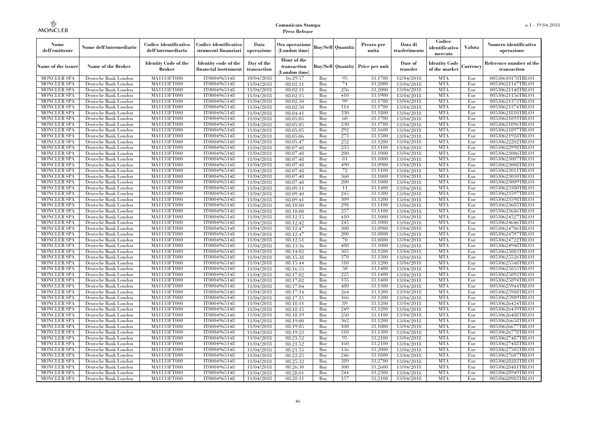| Nome<br>dell'emittente                   | Nome dell'intermediario                      | Codice identificativo<br>dell'intermediario  | Codice identificativo<br>strumenti finanziari | Data<br>operazione        | Ora operazione<br>(London time)           |                   | Buy/Sell   Quantità      | Prezzo per<br>unità | Data di<br>trasferimento | Codice<br>identificativo<br>mercato   | <b>Valuta</b> | Numero identificativo<br>operazione    |
|------------------------------------------|----------------------------------------------|----------------------------------------------|-----------------------------------------------|---------------------------|-------------------------------------------|-------------------|--------------------------|---------------------|--------------------------|---------------------------------------|---------------|----------------------------------------|
| Name of the issuer                       | Name of the Broker                           | <b>Identity Code of the</b><br><b>Broker</b> | Identity code of the<br>financial instrument  | Day of the<br>transaction | Hour of the<br>transaction<br>London time |                   | <b>Buy/Sell Quantity</b> | Price per unit      | Date of<br>transfer      | <b>Identity Code</b><br>of the market | Currencv      | Reference number of the<br>transaction |
| <b>MONCLER SPA</b>                       | Deutsche Bank London                         | MA1133FT000                                  | IT0004965148                                  | 10/04/2018                | 16:29:57                                  | Buy               | 95                       | 33.1700             | 12/04/2018               | <b>MTA</b>                            | Eur           | 00530610178TRLO1                       |
| <b>MONCLER SPA</b>                       | Deutsche Bank London                         | <b>MA1133FT000</b>                           | IT0004965148                                  | 11/04/2018                | 08:02:11                                  | Buy               | 74                       | 33,2000             | 13/04/2018               | <b>MTA</b>                            | Eur           | 00530621147TRLO1                       |
| <b>MONCLER SPA</b>                       | Deutsche Bank London                         | MA1133FT000                                  | IT0004965148                                  | 11/04/2018                | 08:02:11                                  | Buy               | 256                      | 33,2000             | 13/04/2018               | <b>MTA</b>                            | Eur           | 00530621148TRLO1                       |
| <b>MONCLER SPA</b>                       | Deutsche Bank London                         | MA1133FT000                                  | IT0004965148                                  | 11/04/2018                | 08:02:15                                  | Buv               | 410                      | 33.1900             | 13/04/2018               | <b>MTA</b>                            | Eur           | 00530621156TRLO1                       |
| <b>MONCLER SPA</b>                       | Deutsche Bank London                         | <b>MA1133FT000</b>                           | IT0004965148                                  | 11/04/2018                | 08:02:50                                  | Buv               | 99                       | 33.1700             | 13/04/2018               | <b>MTA</b>                            | Eur           | 00530621373TRLO1                       |
| <b>MONCLER SPA</b><br><b>MONCLER SPA</b> | Deutsche Bank London                         | MA1133FT000                                  | IT0004965148                                  | 11/04/2018                | 08:02:50                                  | Buy               | 114<br>330               | 33,1700             | 13/04/2018               | <b>MTA</b><br><b>MTA</b>              | Eur<br>Eur    | 00530621374TRLO1                       |
| <b>MONCLER SPA</b>                       | Deutsche Bank London<br>Deutsche Bank London | <b>MA1133FT000</b><br>MA1133FT000            | IT0004965148<br>IT0004965148                  | 11/04/2018<br>11/04/2018  | 08:04:41<br>08:05:05                      | Buy<br>Buy        | 60                       | 33,1800<br>33,1700  | 13/04/2018<br>13/04/2018 | <b>MTA</b>                            | Eur           | 00530621810TRLO1<br>00530621893TRLO1   |
| <b>MONCLER SPA</b>                       | Deutsche Bank London                         | MA1133FT000                                  | IT0004965148                                  | 11/04/2018                | 08:05:05                                  | Buv               | 230                      | 33.1700             | 13/04/2018               | <b>MTA</b>                            | Eur           | 00530621896TRLO1                       |
| <b>MONCLER SPA</b>                       | Deutsche Bank London                         | MA1133FT000                                  | IT0004965148                                  | 11/04/2018                | 08:05:05                                  | Buv               | 292                      | 33,1600             | 13/04/2018               | <b>MTA</b>                            | Eur           | 00530621897TRLO1                       |
| <b>MONCLER SPA</b>                       | Deutsche Bank London                         | MA1133FT000                                  | IT0004965148                                  | 11/04/2018                | 08:05:06                                  | Buy               | 273                      | 33.1500             | 13/04/2018               | <b>MTA</b>                            | Eur           | 00530621918TRLO1                       |
| <b>MONCLER SPA</b>                       | Deutsche Bank London                         | MA1133FT000                                  | IT0004965148                                  | 11/04/2018                | 08:05:47                                  | Buv               | 252                      | 33,1200             | 13/04/2018               | <b>MTA</b>                            | Eur           | 00530622202TRLO1                       |
| <b>MONCLER SPA</b>                       | Deutsche Bank London                         | <b>MA1133FT000</b>                           | IT0004965148                                  | 11/04/2018                | 08:07:48                                  | Buy               | 235                      | 33,1100             | 13/04/2018               | <b>MTA</b>                            | Eur           | 00530622998TRLO1                       |
| MONCLER SPA                              | Deutsche Bank London                         | MA1133FT000                                  | IT0004965148                                  | 11/04/2018                | 08:07:48                                  | Buy               | 200                      | 33,1000             | 13/04/2018               | <b>MTA</b>                            | Eur           | 00530623006TRLO1                       |
| <b>MONCLER SPA</b>                       | Deutsche Bank London                         | MA1133FT000                                  | IT0004965148                                  | 11/04/2018                | 08:07:48                                  | Buv               | 81                       | 33.1000             | 13/04/2018               | <b>MTA</b>                            | Eur           | 00530623007TRLO1                       |
| <b>MONCLER SPA</b>                       | Deutsche Bank London                         | MA1133FT000                                  | IT0004965148                                  | 11/04/2018                | 08:07:48                                  | Buy               | 490                      | 33,0900             | 13/04/2018               | <b>MTA</b>                            | Eur           | 00530623008TRLO1                       |
| <b>MONCLER SPA</b>                       | Deutsche Bank London                         | <b>MA1133FT000</b>                           | IT0004965148                                  | 11/04/2018                | 08:07:48                                  | Buy               | 72                       | 33,1100             | 13/04/2018               | <b>MTA</b>                            | Eur           | 00530623011TRLO1                       |
| <b>MONCLER SPA</b>                       | Deutsche Bank London                         | <b>MA1133FT000</b>                           | IT0004965148                                  | 11/04/2018                | 08:07:48                                  | Buy               | 360                      | 33,1000             | 13/04/2018               | <b>MTA</b>                            | Eur           | 00530623010TRLO1                       |
| <b>MONCLER SPA</b>                       | Deutsche Bank London                         | MA1133FT000                                  | IT0004965148                                  | 11/04/2018                | 08:07:48                                  | Buy               | 200                      | 33,1000             | 13/04/2018               | <b>MTA</b>                            | Eur           | 00530623009TRLO1                       |
| <b>MONCLER SPA</b>                       | Deutsche Bank London                         | MA1133FT000                                  | IT0004965148                                  | 11/04/2018                | 08:09:11                                  | Buy               | 11                       | 33.1400             | 13/04/2018               | <b>MTA</b>                            | Eur           | 00530623380TRLO1                       |
| <b>MONCLER SPA</b>                       | Deutsche Bank London                         | MA1133FT000                                  | IT0004965148                                  | 11/04/2018                | 08:09:40                                  | Buy               | 245                      | 33,1300             | 13/04/2018               | <b>MTA</b>                            | Eur           | 00530623597TRLO1                       |
| <b>MONCLER SPA</b>                       | Deutsche Bank London                         | <b>MA1133FT000</b>                           | IT0004965148                                  | 11/04/2018                | 08:09:41                                  | Buy               | 309                      | 33,1200             | 13/04/2018               | <b>MTA</b>                            | Eur           | 00530623598TRLO1                       |
| <b>MONCLER SPA</b>                       | Deutsche Bank London                         | MA1133FT000                                  | IT0004965148                                  | 11/04/2018                | 08:10:00                                  | Buy               | 298                      | 33,1100             | 13/04/2018               | <b>MTA</b>                            | Eur           | 00530623685TRLO1                       |
| <b>MONCLER SPA</b>                       | Deutsche Bank London                         | MA1133FT000                                  | IT0004965148                                  | 11/04/2018                | 08:10:00                                  | Buy               | 257                      | 33,1100             | 13/04/2018               | <b>MTA</b>                            | Eur           | 00530623686TRLO1                       |
| <b>MONCLER SPA</b>                       | Deutsche Bank London                         | MA1133FT000                                  | IT0004965148                                  | 11/04/2018                | 08:12:15                                  | Buv               | 410                      | 33,1000             | 13/04/2018               | <b>MTA</b>                            | Eur           | 00530624527TRLO1                       |
| <b>MONCLER SPA</b>                       | Deutsche Bank London                         | MA1133FT000                                  | IT0004965148                                  | 11/04/2018                | 08:12:42                                  | Buy               | 245                      | 33,1000             | 13/04/2018               | <b>MTA</b>                            | Eur           | 00530624646TRLO1                       |
| <b>MONCLER SPA</b>                       | Deutsche Bank London                         | MA1133FT000                                  | IT0004965148                                  | 11/04/2018                | 08:12:47                                  | Buy               | 300                      | 33,0900             | 13/04/2018               | <b>MTA</b>                            | Eur           | 00530624706TRLO1                       |
| <b>MONCLER SPA</b>                       | Deutsche Bank London                         | MA1133FT000                                  | IT0004965148                                  | 11/04/2018                | 08:12:47                                  | Buy               | 200                      | 33,0800             | 13/04/2018               | <b>MTA</b>                            | Eur           | 00530624707TRLO1                       |
| <b>MONCLER SPA</b>                       | Deutsche Bank London                         | MA1133FT000                                  | IT0004965148                                  | 11/04/2018                | 08:12:51                                  | Buy               | 70<br>480                | 33,0800             | 13/04/2018               | <b>MTA</b>                            | Eur           | 00530624722TRLO1                       |
| MONCLER SPA                              | Deutsche Bank London                         | MA1133FT000                                  | IT0004965148                                  | 11/04/2018                | 08:13:36                                  | Buy               | 305                      | 33,1000             | 13/04/2018               | <b>MTA</b><br><b>MTA</b>              | Eur<br>Eur    | 00530624948TRLO1                       |
| <b>MONCLER SPA</b><br><b>MONCLER SPA</b> | Deutsche Bank London<br>Deutsche Bank London | MA1133FT000<br>MA1133FT000                   | IT0004965148<br>IT0004965148                  | 11/04/2018                | 08:14:02<br>08:15:38                      | Buy<br>Buy        | 370                      | 33,1200<br>33,1300  | 13/04/2018<br>13/04/2018 | <b>MTA</b>                            | Eur           | 00530625083TRLO1<br>00530625526TRLO1   |
| <b>MONCLER SPA</b>                       | Deutsche Bank London                         | MA1133FT000                                  | IT0004965148                                  | 11/04/2018<br>11/04/2018  | 08:15:44                                  | Buy               | 310                      | 33,1200             | 13/04/2018               | <b>MTA</b>                            | Eur           | 00530625548TRLO1                       |
| <b>MONCLER SPA</b>                       | Deutsche Bank London                         | <b>MA1133FT000</b>                           | IT0004965148                                  | 11/04/2018                | 08:16:55                                  | Buy               | 50                       | 33,1400             | 13/04/2018               | <b>MTA</b>                            | Eur           | 00530625855TRLO1                       |
| <b>MONCLER SPA</b>                       | Deutsche Bank London                         | <b>MA1133FT000</b>                           | IT0004965148                                  | 11/04/2018                | 08:17:02                                  | Buy               | 225                      | 33,1400             | 13/04/2018               | <b>MTA</b>                            | Eur           | 00530625893TRLO1                       |
| <b>MONCLER SPA</b>                       | Deutsche Bank London                         | MA1133FT000                                  | IT0004965148                                  | 11/04/2018                | 08:17:02                                  | Buy               | 135                      | 33,1400             | 13/04/2018               | <b>MTA</b>                            | Eur           | 00530625894TRLO1                       |
| <b>MONCLER SPA</b>                       | Deutsche Bank London                         | MA1133FT000                                  | IT0004965148                                  | 11/04/2018                | 08:17:04                                  | Buy               | 480                      | 33.1300             | 13/04/2018               | <b>MTA</b>                            | Eur           | 00530625944TRLO1                       |
| <b>MONCLER SPA</b>                       | Deutsche Bank London                         | <b>MA1133FT000</b>                           | IT0004965148                                  | 11/04/2018                | 08:17:14                                  | $\overline{B}$ uy | 264                      | 33,1200             | 13/04/2018               | <b>MTA</b>                            | Eur           | 00530625988TRLO1                       |
| <b>MONCLER SPA</b>                       | Deutsche Bank London                         | <b>MA1133FT000</b>                           | IT0004965148                                  | 11/04/2018                | 08:17:15                                  | Buy               | 166                      | 33,1200             | 13/04/2018               | <b>MTA</b>                            | Eur           | 00530625989TRLO1                       |
| <b>MONCLER SPA</b>                       | Deutsche Bank London                         | MA1133FT000                                  | IT0004965148                                  | 11/04/2018                | 08:18:11                                  | Buy               | 89                       | 33,1200             | 13/04/2018               | <b>MTA</b>                            | Eur           | 00530626424TRLO1                       |
| <b>MONCLER SPA</b>                       | Deutsche Bank London                         | MA1133FT000                                  | IT0004965148                                  | 11/04/2018                | 08:18:15                                  | Buv               | 249                      | 33.1200             | 13/04/2018               | <b>MTA</b>                            | Eur           | 00530626439TRLO1                       |
| <b>MONCLER SPA</b>                       | Deutsche Bank London                         | MA1133FT000                                  | IT0004965148                                  | 11/04/2018                | 08:18:19                                  | Buy               | 250                      | 33,1100             | 13/04/2018               | <b>MTA</b>                            | Eur           | 00530626488TRLO1                       |
| <b>MONCLER SPA</b>                       | Deutsche Bank London                         | MA1133FT000                                  | IT0004965148                                  | 11/04/2018                | $\overline{08:}19:00$                     | Buy               | 362                      | 33,1200             | 13/04/2018               | <b>MTA</b>                            | Eur           | 00530626658TRLO1                       |
| <b>MONCLER SPA</b>                       | Deutsche Bank London                         | MA1133FT000                                  | IT0004965148                                  | 11/04/2018                | 08:19:05                                  | Buy               | 100                      | 33,1000             | 13/04/2018               | <b>MTA</b>                            | Eur           | 00530626677TRLO1                       |
| <b>MONCLER SPA</b>                       | Deutsche Bank London                         | MA1133FT000                                  | IT0004965148                                  | 11/04/2018                | 08:19:23                                  | Buy               | 310                      | 33,1300             | 13/04/2018               | <b>MTA</b>                            | Eur           | 00530626778TRLO1                       |
| <b>MONCLER SPA</b>                       | Deutsche Bank London                         | MA1133FT000                                  | IT0004965148                                  | 11/04/2018                | 08:21:52                                  | Buy               | 95                       | 33,2100             | 13/04/2018               | <b>MTA</b>                            | Eur           | 00530627487TRLO1                       |
| <b>MONCLER SPA</b>                       | Deutsche Bank London                         | MA1133FT000                                  | IT0004965148                                  | 11/04/2018                | 08:21:52                                  | Buy               | 160                      | 33,2100             | 13/04/2018               | <b>MTA</b>                            | Eur           | 00530627488TRLO1                       |
| <b>MONCLER SPA</b>                       | Deutsche Bank London                         | MA1133FT000                                  | IT0004965148                                  | 11/04/2018                | 08:21:55                                  | Buy               | 136                      | 33,2000             | 13/04/2018               | <b>MTA</b>                            | Eur           | 00530627505TRLO1                       |
| <b>MONCLER SPA</b>                       | Deutsche Bank London                         | MA1133FT000                                  | IT0004965148                                  | 11/04/2018                | 08:22:25                                  | Buy               | 246                      | 33,1800             | 13/04/2018               | <b>MTA</b>                            | Eur           | 00530627607TRLO1                       |
| <b>MONCLER SPA</b>                       | Deutsche Bank London                         | MA1133FT000                                  | IT0004965148                                  | 11/04/2018                | 08:25:32                                  | Buy               | 389                      | 33,2700             | 13/04/2018               | <b>MTA</b>                            | Eur           | 00530628283TRLO1                       |
| <b>MONCLER SPA</b>                       | Deutsche Bank London                         | MA1133FT000                                  | IT0004965148                                  | 11/04/2018                | 08:26:30                                  | Buy               | 300                      | 33,2600             | 13/04/2018               | <b>MTA</b>                            | Eur           | 00530628481TRLO1                       |
| <b>MONCLER SPA</b>                       | Deutsche Bank London                         | MA1133FT000                                  | IT0004965148                                  | 11/04/2018                | 08:28:01                                  | Buy               | 244                      | 33,2300             | 13/04/2018               | <b>MTA</b>                            | Eur           | 00530628949TRLO1                       |
| <b>MONCLER SPA</b>                       | Deutsche Bank London                         | MA1133FT000                                  | IT0004965148                                  | 11/04/2018                | 08:28:11                                  | Buy               | 157                      | 33,2100             | 13/04/2018               | <b>MTA</b>                            | Eur           | 00530628983TRLO1                       |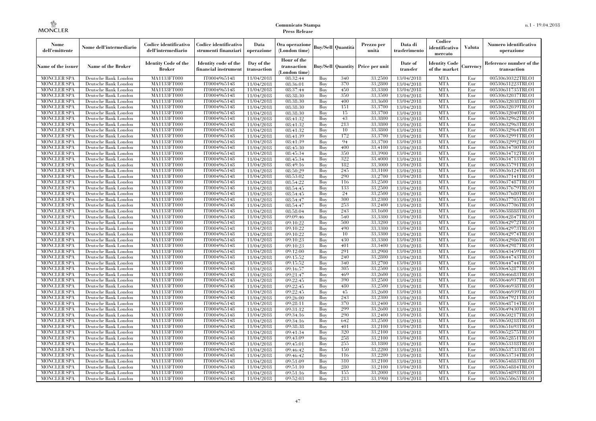| Nome<br>dell'emittente                   | Nome dell'intermediario                      | Codice identificativo<br>dell'intermediario  | Codice identificativo<br>strumenti finanziari | Data<br>operazione        | Ora operazione<br>(London time)             |            | <b>Buy/Sell Quantità</b> | Prezzo per<br>unità                     | Data di<br>trasferimento | Codice<br>identificativo<br>mercato   | Valuta     | Numero identificativo<br>operazione    |
|------------------------------------------|----------------------------------------------|----------------------------------------------|-----------------------------------------------|---------------------------|---------------------------------------------|------------|--------------------------|-----------------------------------------|--------------------------|---------------------------------------|------------|----------------------------------------|
| Name of the issuer                       | Name of the Broker                           | <b>Identity Code of the</b><br><b>Broker</b> | Identity code of the<br>financial instrument  | Day of the<br>transaction | Hour of the<br>transaction<br>(London time) |            |                          | <b>Buy/Sell Quantity Price per unit</b> | Date of<br>transfer      | <b>Identity Code</b><br>of the market | durrency   | Reference number of the<br>transaction |
| <b>MONCLER SPA</b>                       | Deutsche Bank London                         | MA1133FT000                                  | IT0004965148                                  | 11/04/2018                | 08:32:44                                    | Buy        | 340                      | 33,2500                                 | 13/04/2018               | <b>MTA</b>                            | Eur        | 00530630322TRLO1                       |
| <b>MONCLER SPA</b>                       | Deutsche Bank London                         | <b>MA1133FT000</b>                           | IT0004965148                                  | 11/04/2018                | 08:36:01                                    | Buy        | 370                      | 33,2800                                 | 13/04/2018               | <b>MTA</b>                            | Eur        | 00530631223TRLO1                       |
| <b>MONCLER SPA</b>                       | Deutsche Bank London                         | MA1133FT000                                  | IT0004965148                                  | 11/04/2018                | 08:37:44                                    | Buy        | 450                      | 33,3300                                 | 13/04/2018               | <b>MTA</b>                            | Eur        | 00530631735TRLO1                       |
| <b>MONCLER SPA</b>                       | Deutsche Bank London                         | MA1133FT000                                  | IT0004965148                                  | 11/04/2018                | 08:38:30                                    | Buy        | 350                      | 33,3500                                 | 13/04/2018               | <b>MTA</b>                            | Eur        | 00530632037TRLO1                       |
| <b>MONCLER SPA</b>                       | Deutsche Bank London                         | MA1133FT000<br><b>MA1133FT000</b>            | IT0004965148<br>IT0004965148                  | 11/04/2018                | 08:38:30                                    | Buy        | 400<br>151               | 33,3600<br>33,3700                      | 13/04/2018               | <b>MTA</b><br><b>MTA</b>              | Eur<br>Eur | 00530632038TRLO1<br>00530632039TRLO1   |
| <b>MONCLER SPA</b><br><b>MONCLER SPA</b> | Deutsche Bank London<br>Deutsche Bank London | MA1133FT000                                  | IT0004965148                                  | 11/04/2018<br>11/04/2018  | 08:38:30<br>08:38:30                        | Buy<br>Buy | 15                       | 33,3700                                 | 13/04/2018<br>13/04/2018 | <b>MTA</b>                            | Eur        | 00530632040TRLO1                       |
| <b>MONCLER SPA</b>                       | Deutsche Bank London                         | MA1133FT000                                  | IT0004965148                                  | 11/04/2018                | 08:41:32                                    | Buv        | 43                       | 33,3800                                 | 13/04/2018               | <b>MTA</b>                            | Eur        | 00530632962TRLO1                       |
| <b>MONCLER SPA</b>                       | Deutsche Bank London                         | MA1133FT000                                  | IT0004965148                                  | 11/04/2018                | 08:41:32                                    | Buy        | 213                      | 33,3800                                 | 13/04/2018               | <b>MTA</b>                            | Eur        | 00530632963TRLO1                       |
| <b>MONCLER SPA</b>                       | Deutsche Bank London                         | <b>MA1133FT000</b>                           | IT0004965148                                  | 11/04/2018                | 08:41:32                                    | Buy        | 10                       | 33,3800                                 | 13/04/2018               | <b>MTA</b>                            | Eur        | 00530632964TRLO1                       |
| <b>MONCLER SPA</b>                       | Deutsche Bank London                         | MA1133FT000                                  | IT0004965148                                  | 11/04/2018                | 08:41:39                                    | Buy        | 172                      | 33,3700                                 | 13/04/2018               | <b>MTA</b>                            | Eur        | 00530632991TRLO1                       |
| <b>MONCLER SPA</b>                       | Deutsche Bank London                         | MA1133FT000                                  | IT0004965148                                  | 11/04/2018                | 08:41:39                                    | Buy        | 94                       | 33,3700                                 | 13/04/2018               | <b>MTA</b>                            | Eur        | 00530632992TRLO1                       |
| <b>MONCLER SPA</b>                       | Deutsche Bank London                         | MA1133FT000                                  | IT0004965148                                  | 11/04/2018                | 08:45:30                                    | Buy        | 400                      | 33,4100                                 | 13/04/2018               | <b>MTA</b>                            | Eur        | 00530634700TRLO1                       |
| <b>MONCLER SPA</b>                       | Deutsche Bank London                         | MA1133FT000                                  | IT0004965148                                  | 11/04/2018                | 08:45:34                                    | Buy        | 350                      | 33,3900                                 | 13/04/2018               | <b>MTA</b>                            | Eur        | 00530634712TRLO1                       |
| <b>MONCLER SPA</b>                       | Deutsche Bank London                         | MA1133FT000                                  | IT0004965148                                  | 11/04/2018                | 08:45:34                                    | Buy        | 322                      | 33,4000                                 | 13/04/2018               | <b>MTA</b>                            | Eur        | 00530634713TRLO1                       |
| <b>MONCLER SPA</b>                       | Deutsche Bank London                         | MA1133FT000                                  | IT0004965148                                  | 11/04/2018                | 08:49:16                                    | Buy        | 182                      | 33,3000                                 | 13/04/2018               | <b>MTA</b>                            | Eur        | 00530635791TRLO1                       |
| <b>MONCLER SPA</b>                       | Deutsche Bank London                         | MA1133FT000                                  | IT0004965148                                  | 11/04/2018                | 08:50:29                                    | Buy        | 245                      | 33,3100                                 | 13/04/2018               | <b>MTA</b>                            | Eur        | 00530636124TRLO1                       |
| <b>MONCLER SPA</b>                       | Deutsche Bank London                         | MA1133FT000                                  | IT0004965148                                  | 11/04/2018                | 08:53:02                                    | Buy        | 290                      | 33,2700                                 | 13/04/2018               | <b>MTA</b>                            | Eur        | 00530637141TRLO1                       |
| <b>MONCLER SPA</b>                       | Deutsche Bank London                         | MA1133FT000                                  | IT0004965148                                  | 11/04/2018                | 08:54:22                                    | Buy        | 116                      | 33,2500                                 | 13/04/2018               | <b>MTA</b>                            | Eur        | 00530637487TRLO1                       |
| <b>MONCLER SPA</b>                       | Deutsche Bank London                         | MA1133FT000                                  | IT0004965148                                  | 11/04/2018                | 08:54:45                                    | Buy        | 133                      | 33,2500                                 | 13/04/2018               | <b>MTA</b>                            | Eur        | 00530637679TRLO1                       |
| <b>MONCLER SPA</b>                       | Deutsche Bank London                         | MA1133FT000                                  | IT0004965148                                  | 11/04/2018                | 08:54:45                                    | Buy        | 24                       | 33,2500                                 | 13/04/2018               | <b>MTA</b>                            | Eur        | 00530637680TRLO1                       |
| <b>MONCLER SPA</b><br><b>MONCLER SPA</b> | Deutsche Bank London<br>Deutsche Bank London | MA1133FT000                                  | IT0004965148<br>IT0004965148                  | 11/04/2018                | 08:54:47<br>08:54:47                        | Buy<br>Buy | 300<br>253               | 33,2300<br>33,2400                      | 13/04/2018<br>13/04/2018 | <b>MTA</b><br><b>MTA</b>              | Eur<br>Eur | 00530637705TRLO1<br>00530637706TRLO1   |
| <b>MONCLER SPA</b>                       | Deutsche Bank London                         | MA1133FT000<br>MA1133FT000                   | IT0004965148                                  | 11/04/2018                | 08:58:04                                    | Buy        | 243                      | 33,1600                                 | 13/04/2018               | <b>MTA</b>                            | Eur        | 00530638888TRLO1                       |
| <b>MONCLER SPA</b>                       | Deutsche Bank London                         | MA1133FT000                                  | IT0004965148                                  | 11/04/2018<br>11/04/2018  | 09:09:46                                    | Buy        | 540                      | 33,3300                                 | 13/04/2018               | <b>MTA</b>                            | Eur        | 00530642847TRLO1                       |
| <b>MONCLER SPA</b>                       | Deutsche Bank London                         | MA1133FT000                                  | IT0004965148                                  | 11/04/2018                | 09:10:22                                    | Buy        | 500                      | 33,3200                                 | 13/04/2018               | <b>MTA</b>                            | Eur        | 00530642972TRLO1                       |
| <b>MONCLER SPA</b>                       | Deutsche Bank London                         | MA1133FT000                                  | IT0004965148                                  | 11/04/2018                | 09:10:22                                    | Buy        | 490                      | 33,3300                                 | 13/04/2018               | <b>MTA</b>                            | Eur        | 00530642973TRLO1                       |
| <b>MONCLER SPA</b>                       | Deutsche Bank London                         | MA1133FT000                                  | IT0004965148                                  | 11/04/2018                | 09:10:22                                    | Buy        | 10                       | 33,3300                                 | 13/04/2018               | <b>MTA</b>                            | Eur        | 00530642974TRLO1                       |
| <b>MONCLER SPA</b>                       | Deutsche Bank London                         | MA1133FT000                                  | IT0004965148                                  | 11/04/2018                | 09:10:23                                    | Buy        | 430                      | 33,3300                                 | 13/04/2018               | <b>MTA</b>                            | Eur        | 00530642986TRLO1                       |
| <b>MONCLER SPA</b>                       | Deutsche Bank London                         | <b>MA1133FT000</b>                           | IT0004965148                                  | 11/04/2018                | 09:10:23                                    | Buy        | 401                      | 33,3400                                 | 13/04/2018               | <b>MTA</b>                            | Eur        | 00530642987TRLO1                       |
| MONCLER SPA                              | Deutsche Bank London                         | MA1133FT000                                  | IT0004965148                                  | 11/04/2018                | 09:12:00                                    | Buy        | 291                      | 33,2900                                 | 13/04/2018               | <b>MTA</b>                            | Eur        | 00530643459TRLO1                       |
| <b>MONCLER SPA</b>                       | Deutsche Bank London                         | MA1133FT000                                  | IT0004965148                                  | 11/04/2018                | 09:15:52                                    | Buy        | 240                      | 33,2800                                 | 13/04/2018               | <b>MTA</b>                            | Eur        | 00530644743TRLO1                       |
| <b>MONCLER SPA</b>                       | Deutsche Bank London                         | MA1133FT000                                  | IT0004965148                                  | 11/04/2018                | 09:15:52                                    | Buy        | 340                      | 33,2700                                 | 13/04/2018               | <b>MTA</b>                            | Eur        | 00530644744TRLO1                       |
| <b>MONCLER SPA</b>                       | Deutsche Bank London                         | <b>MA1133FT000</b>                           | IT0004965148                                  | 11/04/2018                | 09:16:57                                    | Buy        | 305                      | 33,2500                                 | 13/04/2018               | <b>MTA</b>                            | Eur        | 00530645287TRLO1                       |
| <b>MONCLER SPA</b>                       | Deutsche Bank London                         | MA1133FT000                                  | IT0004965148                                  | 11/04/2018                | 09:21:47                                    | Buy        | 469                      | 33,2600                                 | 13/04/2018               | <b>MTA</b>                            | Eur        | 00530646683TRLO1                       |
| <b>MONCLER SPA</b>                       | Deutsche Bank London                         | MA1133FT000                                  | IT0004965148                                  | 11/04/2018                | 09:22:45                                    | Buy        | 390                      | 33,2500                                 | 13/04/2018               | <b>MTA</b>                            | Eur        | 00530646937TRLO1                       |
| <b>MONCLER SPA</b>                       | Deutsche Bank London                         | MA1133FT000                                  | IT0004965148                                  | 11/04/2018                | 09:22:45                                    | Buv        | 480                      | 33,2500                                 | 13/04/2018               | <b>MTA</b>                            | Eur        | 00530646938TRLO1                       |
| <b>MONCLER SPA</b>                       | Deutsche Bank London                         | <b>MA1133FT000</b>                           | IT0004965148                                  | 11/04/2018                | 09:22:45                                    | Buy        | 45                       | 33,2600                                 | 13/04/2018               | <b>MTA</b>                            | Eur        | 00530646939TRLO1                       |
| <b>MONCLER SPA</b>                       | Deutsche Bank London                         | MA1133FT000                                  | IT0004965148                                  | 11/04/2018                | 09:26:00                                    | Buy        | 243                      | 33,2300                                 | 13/04/2018               | <b>MTA</b>                            | Eur        | 00530647921TRLO1                       |
| <b>MONCLER SPA</b>                       | Deutsche Bank London                         | <b>MA1133FT000</b>                           | IT0004965148                                  | 11/04/2018                | 09:28:11                                    | Buy        | 370                      | 33,2400                                 | 13/04/2018               | <b>MTA</b>                            | Eur        | 00530648714TRLO1                       |
| <b>MONCLER SPA</b>                       | Deutsche Bank London                         | <b>MA1133FT000</b>                           | IT0004965148<br>IT0004965148                  | 11/04/2018                | 09:31:12<br>09:34:16                        | Buy        | 299<br>290               | 33,2600<br>33,2400                      | 13/04/2018               | <b>MTA</b><br><b>MTA</b>              | Eur        | 00530649430TRLO1                       |
| <b>MONCLER SPA</b><br><b>MONCLER SPA</b> | Deutsche Bank London<br>Deutsche Bank London | MA1133FT000<br>MA1133FT000                   | IT0004965148                                  | 11/04/2018<br>11/04/2018  | 09:34:16                                    | Buy<br>Buy | 642                      | 33,2500                                 | 13/04/2018<br>13/04/2018 | <b>MTA</b>                            | Eur<br>Eur | 00530650217TRLO1<br>00530650218TRLO1   |
| <b>MONCLER SPA</b>                       | Deutsche Bank London                         | MA1133FT000                                  | IT0004965148                                  | 11/04/2018                | 09:38:38                                    | Buy        | 401                      | 33,2100                                 | 13/04/2018               | <b>MTA</b>                            | Eur        | 00530651693TRLO1                       |
| <b>MONCLER SPA</b>                       | Deutsche Bank London                         | MA1133FT000                                  | IT0004965148                                  | 11/04/2018                | 09:41:34                                    | Buy        | 320                      | 33,2100                                 | 13/04/2018               | <b>MTA</b>                            | Eur        | 00530652575TRLO1                       |
| <b>MONCLER SPA</b>                       | Deutsche Bank London                         | MA1133FT000                                  | IT0004965148                                  | 11/04/2018                | 09:43:09                                    | Buy        | 258                      | 33,2100                                 | 13/04/2018               | <b>MTA</b>                            | Eur        | 00530652851TRLO1                       |
| <b>MONCLER SPA</b>                       | Deutsche Bank London                         | MA1133FT000                                  | IT0004965148                                  | 11/04/2018                | 09:45:01                                    | Buy        | 255                      | 33,1800                                 | 13/04/2018               | <b>MTA</b>                            | Eur        | 00530653318TRLO1                       |
| <b>MONCLER SPA</b>                       | Deutsche Bank London                         | MA1133FT000                                  | IT0004965148                                  | 11/04/2018                | 09:46:42                                    | Buy        | 150                      | 33,2200                                 | 13/04/2018               | <b>MTA</b>                            | Eur        | 00530653733TRLO1                       |
| <b>MONCLER SPA</b>                       | Deutsche Bank London                         | MA1133FT000                                  | IT0004965148                                  | 11/04/2018                | 09:46:42                                    | Buy        | 116                      | 33,2200                                 | 13/04/2018               | <b>MTA</b>                            | Eur        | 00530653734TRLO1                       |
| <b>MONCLER SPA</b>                       | Deutsche Bank London                         | MA1133FT000                                  | IT0004965148                                  | 11/04/2018                | 09:51:09                                    | Buy        | 310                      | 33,2100                                 | 13/04/2018               | <b>MTA</b>                            | Eur        | 00530654883TRLO1                       |
| <b>MONCLER SPA</b>                       | Deutsche Bank London                         | MA1133FT000                                  | IT0004965148                                  | 11/04/2018                | 09:51:10                                    | Buy        | 280                      | 33,2100                                 | 13/04/2018               | <b>MTA</b>                            | Eur        | 00530654884TRLO1                       |
| <b>MONCLER SPA</b>                       | Deutsche Bank London                         | <b>MA1133FT000</b>                           | IT0004965148                                  | 11/04/2018                | 09:51:16                                    | Buy        | 155                      | 33,2000                                 | 13/04/2018               | <b>MTA</b>                            | Eur        | 00530654893TRLO1                       |
| <b>MONCLER SPA</b>                       | Deutsche Bank London                         | MA1133FT000                                  | IT0004965148                                  | 11/04/2018                | 09:52:03                                    | Buy        | 213                      | 33,1900                                 | 13/04/2018               | <b>MTA</b>                            | Eur        | 00530655065TRLO1                       |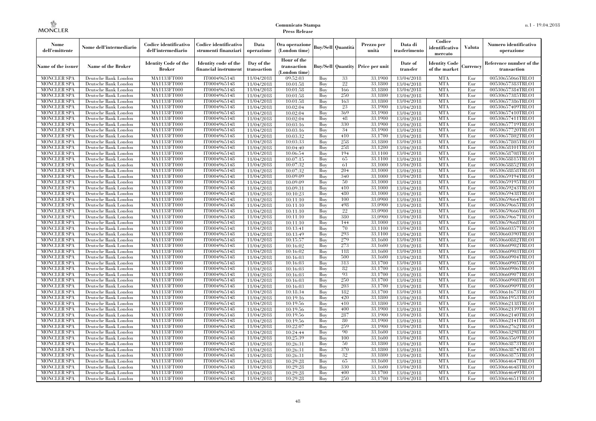| Nome<br>dell'emittente                   | Nome dell'intermediario                      | Codice identificativo<br>dell'intermediario  | Codice identificativo<br>strumenti finanziari | Data<br>operazione        | Ora operazione<br>(London time)             |            | Buv/Sell   Quantità      | Prezzo per<br>unità | Data di<br>trasferimento | Codice<br>identificativo<br>mercato   | <b>Valuta</b> | Numero identificativo<br>operazione    |
|------------------------------------------|----------------------------------------------|----------------------------------------------|-----------------------------------------------|---------------------------|---------------------------------------------|------------|--------------------------|---------------------|--------------------------|---------------------------------------|---------------|----------------------------------------|
| Name of the issuer                       | Name of the Broker                           | <b>Identity Code of the</b><br><b>Broker</b> | Identity code of the<br>financial instrument  | Day of the<br>transaction | Hour of the<br>transaction<br>(London time) |            | <b>Buy/Sell Quantity</b> | Price per unit      | Date of<br>transfer      | <b>Identity Code</b><br>of the market | Currencv      | Reference number of the<br>transaction |
| <b>MONCLER SPA</b>                       | Deutsche Bank London                         | MA1133FT000                                  | IT0004965148                                  | 11/04/2018                | 09:52:03                                    | Buy        | 33                       | 33,1900             | 13/04/2018               | <b>MTA</b>                            | Eur           | 00530655066TRLO1                       |
| <b>MONCLER SPA</b>                       | Deutsche Bank London                         | <b>MA1133FT000</b>                           | IT0004965148                                  | 11/04/2018                | 10:01:58                                    | Buy        | 22                       | 33,1800             | 13/04/2018               | <b>MTA</b>                            | Eur           | 00530657383TRLO1                       |
| <b>MONCLER SPA</b>                       | Deutsche Bank London                         | MA1133FT000                                  | IT0004965148                                  | 11/04/2018                | 10:01:58                                    | Buv        | 166                      | 33.1800             | 13/04/2018               | <b>MTA</b>                            | Eur           | 00530657384TRLO1                       |
| <b>MONCLER SPA</b>                       | Deutsche Bank London                         | MA1133FT000                                  | IT0004965148                                  | 11/04/2018                | 10:01:58                                    | Buy        | 250                      | 33,1800             | 13/04/2018               | <b>MTA</b>                            | Eur           | 00530657385TRLO1                       |
| <b>MONCLER SPA</b>                       | Deutsche Bank London                         | MA1133FT000                                  | IT0004965148                                  | 11/04/2018                | 10:01:58                                    | Buy        | 163                      | 33,1800             | 13/04/2018               | <b>MTA</b>                            | Eur           | 00530657386TRLO1                       |
| MONCLER SPA<br><b>MONCLER SPA</b>        | Deutsche Bank London                         | <b>MA1133FT000</b><br>MA1133FT000            | IT0004965148<br>IT0004965148                  | 11/04/2018                | 10:02:04                                    | Buy<br>Buy | 23<br>369                | 33,1900<br>33,1900  | 13/04/2018               | <b>MTA</b><br><b>MTA</b>              | Eur<br>Eur    | 00530657409TRLO1<br>00530657410TRLO1   |
| <b>MONCLER SPA</b>                       | Deutsche Bank London<br>Deutsche Bank London | MA1133FT000                                  | IT0004965148                                  | 11/04/2018<br>11/04/2018  | 10:02:04<br>10:02:04                        | Buy        | 48                       | 33.1900             | 13/04/2018<br>13/04/2018 | <b>MTA</b>                            | Eur           | 00530657411TRLO1                       |
| <b>MONCLER SPA</b>                       | Deutsche Bank London                         | MA1133FT000                                  | IT0004965148                                  | 11/04/2018                | 10:03:16                                    | Buy        | 330                      | 33,1900             | 13/04/2018               | <b>MTA</b>                            | Eur           | 00530657719TRLO1                       |
| <b>MONCLER SPA</b>                       | Deutsche Bank London                         | <b>MA1133FT000</b>                           | IT0004965148                                  | 11/04/2018                | 10:03:16                                    | Buy        | 34                       | 33,1900             | 13/04/2018               | <b>MTA</b>                            | Eur           | 00530657720TRLO1                       |
| <b>MONCLER SPA</b>                       | Deutsche Bank London                         | MA1133FT000                                  | IT0004965148                                  | 11/04/2018                | 10:03:32                                    | Buy        | 410                      | 33,1700             | 13/04/2018               | <b>MTA</b>                            | Eur           | 00530657802TRLO1                       |
| <b>MONCLER SPA</b>                       | Deutsche Bank London                         | MA1133FT000                                  | IT0004965148                                  | 11/04/2018                | 10:03:33                                    | Buy        | 258                      | 33,1800             | 13/04/2018               | <b>MTA</b>                            | Eur           | 00530657805TRLO1                       |
| <b>MONCLER SPA</b>                       | Deutsche Bank London                         | MA1133FT000                                  | IT0004965148                                  | 11/04/2018                | 10:04:40                                    | Buy        | 258                      | 33,1200             | 13/04/2018               | <b>MTA</b>                            | Eur           | 00530658101TRLO1                       |
| <b>MONCLER SPA</b>                       | Deutsche Bank London                         | MA1133FT000                                  | IT0004965148                                  | 11/04/2018                | 10:06:54                                    | Buy        | 194                      | 33,1100             | 13/04/2018               | <b>MTA</b>                            | Eur           | 00530658708TRLO1                       |
| <b>MONCLER SPA</b>                       | Deutsche Bank London                         | MA1133FT000                                  | IT0004965148                                  | 11/04/2018                | 10:07:15                                    | Buy        | 65                       | 33,1100             | 13/04/2018               | <b>MTA</b>                            | Eur           | 00530658815TRLO1                       |
| <b>MONCLER SPA</b>                       | Deutsche Bank London                         | MA1133FT000                                  | IT0004965148                                  | 11/04/2018                | 10:07:32                                    | Buy        | 61                       | 33,1000             | 13/04/2018               | <b>MTA</b>                            | Eur           | 00530658852TRLO1                       |
| <b>MONCLER SPA</b>                       | Deutsche Bank London                         | MA1133FT000                                  | IT0004965148                                  | 11/04/2018                | 10:07:32                                    | Buy        | 204                      | 33,1000             | 13/04/2018               | <b>MTA</b>                            | Eur           | 00530658858TRLO1                       |
| <b>MONCLER SPA</b>                       | Deutsche Bank London                         | MA1133FT000                                  | IT0004965148                                  | 11/04/2018                | 10:09:09                                    | Buy        | 340                      | 33,1000             | 13/04/2018               | <b>MTA</b>                            | Eur           | 00530659194TRLO1                       |
| <b>MONCLER SPA</b>                       | Deutsche Bank London                         | MA1133FT000                                  | IT0004965148                                  | 11/04/2018                | 10:09:09                                    | Buy        | 50                       | 33,1000             | 13/04/2018               | <b>MTA</b>                            | Eur           | 00530659195TRLO1                       |
| <b>MONCLER SPA</b>                       | Deutsche Bank London                         | MA1133FT000                                  | IT0004965148                                  | 11/04/2018                | 10:09:31                                    | Buy        | 410                      | 33,1000             | 13/04/2018               | <b>MTA</b>                            | Eur           | 00530659243TRLO1                       |
| <b>MONCLER SPA</b>                       | Deutsche Bank London                         | MA1133FT000                                  | IT0004965148                                  | 11/04/2018                | 10:10:23                                    | Buy        | 480                      | 33,1000             | 13/04/2018               | <b>MTA</b>                            | Eur           | 00530659438TRLO1                       |
| <b>MONCLER SPA</b>                       | Deutsche Bank London                         | MA1133FT000                                  | IT0004965148                                  | 11/04/2018                | 10:11:10                                    | Buy        | 100                      | 33,0900             | 13/04/2018               | <b>MTA</b>                            | Eur           | 00530659664TRLO1                       |
| <b>MONCLER SPA</b>                       | Deutsche Bank London                         | MA1133FT000                                  | IT0004965148                                  | 11/04/2018                | 10:11:10                                    | Buy        | 498<br>22                | 33,0900             | 13/04/2018               | <b>MTA</b><br><b>MTA</b>              | Eur           | 00530659665TRLO1                       |
| <b>MONCLER SPA</b><br><b>MONCLER SPA</b> | Deutsche Bank London<br>Deutsche Bank London | MA1133FT000<br>MA1133FT000                   | IT0004965148<br>IT0004965148                  | 11/04/2018<br>11/04/2018  | 10:11:10<br>10:11:10                        | Buy<br>Buy | 380                      | 33,0900<br>33,0900  | 13/04/2018<br>13/04/2018 | <b>MTA</b>                            | Eur<br>Eur    | 00530659666TRLO1<br>00530659667TRLO1   |
| <b>MONCLER SPA</b>                       | Deutsche Bank London                         | MA1133FT000                                  | IT0004965148                                  | 11/04/2018                | 10:11:10                                    | Buy        | 144                      | 33,1000             | 13/04/2018               | <b>MTA</b>                            | Eur           | 00530659668TRLO1                       |
| <b>MONCLER SPA</b>                       | Deutsche Bank London                         | MA1133FT000                                  | IT0004965148                                  | 11/04/2018                | 10:13:41                                    | Buy        | 70                       | 33,1100             | 13/04/2018               | <b>MTA</b>                            | Eur           | 00530660357TRLO1                       |
| <b>MONCLER SPA</b>                       | Deutsche Bank London                         | MA1133FT000                                  | IT0004965148                                  | 11/04/2018                | 10:13:49                                    | Buy        | 293                      | 33,1100             | 13/04/2018               | <b>MTA</b>                            | Eur           | 00530660390TRLO1                       |
| <b>MONCLER SPA</b>                       | Deutsche Bank London                         | MA1133FT000                                  | IT0004965148                                  | 11/04/2018                | 10:15:57                                    | Buy        | 279                      | 33.1600             | 13/04/2018               | <b>MTA</b>                            | Eur           | 00530660882TRLO1                       |
| <b>MONCLER SPA</b>                       | Deutsche Bank London                         | <b>MA1133FT000</b>                           | IT0004965148                                  | 11/04/2018                | 10:16:02                                    | Buy        | 273                      | 33,1600             | 13/04/2018               | <b>MTA</b>                            | Eur           | 00530660902TRLO1                       |
| MONCLER SPA                              | Deutsche Bank London                         | MA1133FT000                                  | IT0004965148                                  | 11/04/2018                | 10:16:02                                    | Buy        | 118                      | 33,1600             | 13/04/2018               | <b>MTA</b>                            | Eur           | 00530660903TRLO1                       |
| <b>MONCLER SPA</b>                       | Deutsche Bank London                         | MA1133FT000                                  | IT0004965148                                  | 11/04/2018                | 10:16:03                                    | Buy        | 500                      | 33,1600             | 13/04/2018               | <b>MTA</b>                            | Eur           | 00530660904TRLO1                       |
| <b>MONCLER SPA</b>                       | Deutsche Bank London                         | MA1133FT000                                  | IT0004965148                                  | 11/04/2018                | 10:16:03                                    | Buy        | 313                      | 33.1700             | 13/04/2018               | <b>MTA</b>                            | Eur           | 00530660905TRLO1                       |
| <b>MONCLER SPA</b>                       | Deutsche Bank London                         | MA1133FT000                                  | IT0004965148                                  | 11/04/2018                | 10:16:03                                    | Buy        | 82                       | 33,1700             | 13/04/2018               | <b>MTA</b>                            | Eur           | 00530660906TRLO1                       |
| <b>MONCLER SPA</b>                       | Deutsche Bank London                         | MA1133FT000                                  | IT0004965148                                  | 11/04/2018                | 10:16:03                                    | Buy        | 93                       | 33,1700             | 13/04/2018               | <b>MTA</b>                            | Eur           | 00530660907TRLO1                       |
| <b>MONCLER SPA</b>                       | Deutsche Bank London                         | MA1133FT000                                  | IT0004965148                                  | 11/04/2018                | 10:16:03                                    | Buy        | 250                      | 33,1700             | 13/04/2018               | <b>MTA</b>                            | Eur           | 00530660908TRLO1                       |
| <b>MONCLER SPA</b>                       | Deutsche Bank London                         | MA1133FT000                                  | IT0004965148                                  | 11/04/2018                | 10:16:03                                    | Buy        | 203                      | 33.1700             | 13/04/2018               | <b>MTA</b>                            | Eur           | 00530660909TRLO1                       |
| <b>MONCLER SPA</b>                       | Deutsche Bank London                         | <b>MA1133FT000</b>                           | IT0004965148                                  | 11/04/2018                | 10:18:34                                    | Buy        | 182                      | 33,1700             | 13/04/2018               | <b>MTA</b>                            | Eur           | 00530661673TRLO1                       |
| <b>MONCLER SPA</b>                       | Deutsche Bank London                         | MA1133FT000                                  | IT0004965148                                  | 11/04/2018                | 10:19:16                                    | Buy        | 420                      | 33,1800             | 13/04/2018               | <b>MTA</b>                            | Eur           | 00530661953TRLO1                       |
| <b>MONCLER SPA</b>                       | Deutsche Bank London                         | MA1133FT000                                  | IT0004965148                                  | 11/04/2018                | 10:19:56                                    | Buy        | 410                      | 33,1800             | 13/04/2018               | <b>MTA</b>                            | Eur           | 00530662138TRLO1                       |
| <b>MONCLER SPA</b>                       | Deutsche Bank London                         | MA1133FT000                                  | IT0004965148                                  | 11/04/2018                | 10:19:56                                    | Buy        | 400                      | 33,1900             | 13/04/2018               | <b>MTA</b><br><b>MTA</b>              | Eur           | 00530662139TRLO1                       |
| <b>MONCLER SPA</b><br><b>MONCLER SPA</b> | Deutsche Bank London<br>Deutsche Bank London | MA1133FT000<br>MA1133FT000                   | IT0004965148<br>IT0004965148                  | 11/04/2018<br>11/04/2018  | 10:19:56<br>10:19:56                        | Buy<br>Buy | 287<br>80                | 33,1900<br>33,1900  | 13/04/2018<br>13/04/2018 | <b>MTA</b>                            | Eur<br>Eur    | 00530662140TRLO1<br>00530662141TRLO1   |
| <b>MONCLER SPA</b>                       | Deutsche Bank London                         | MA1133FT000                                  | IT0004965148                                  | 11/04/2018                | 10:22:07                                    | Buy        | 259                      | 33,1900             | 13/04/2018               | <b>MTA</b>                            | Eur           | 00530662762TRLO1                       |
| <b>MONCLER SPA</b>                       | Deutsche Bank London                         | MA1133FT000                                  | IT0004965148                                  | 11/04/2018                | 10:24:44                                    | Buy        | 90                       | 33,1600             | 13/04/2018               | <b>MTA</b>                            | Eur           | 00530663298TRLO1                       |
| <b>MONCLER SPA</b>                       | Deutsche Bank London                         | MA1133FT000                                  | IT0004965148                                  | 11/04/2018                | 10:25:39                                    | Buy        | 100                      | 33,1600             | 13/04/2018               | <b>MTA</b>                            | Eur           | 00530663569TRLO1                       |
| <b>MONCLER SPA</b>                       | Deutsche Bank London                         | MA1133FT000                                  | IT0004965148                                  | 11/04/2018                | 10:26:31                                    | Buy        | 50                       | 33,1800             | 13/04/2018               | <b>MTA</b>                            | Eur           | 00530663873TRLO1                       |
| <b>MONCLER SPA</b>                       | Deutsche Bank London                         | MA1133FT000                                  | IT0004965148                                  | 11/04/2018                | 10:26:31                                    | Buy        | 370                      | 33,1800             | 13/04/2018               | <b>MTA</b>                            | Eur           | 00530663874TRLO1                       |
| <b>MONCLER SPA</b>                       | Deutsche Bank London                         | MA1133FT000                                  | IT0004965148                                  | 11/04/2018                | 10:26:31                                    | Buy        | 32                       | 33,1800             | 13/04/2018               | <b>MTA</b>                            | Eur           | 00530663875TRLO1                       |
| <b>MONCLER SPA</b>                       | Deutsche Bank London                         | MA1133FT000                                  | IT0004965148                                  | 11/04/2018                | 10:29:28                                    | Buy        | 65                       | 33,1600             | 13/04/2018               | <b>MTA</b>                            | Eur           | 00530664647TRLO1                       |
| <b>MONCLER SPA</b>                       | Deutsche Bank London                         | MA1133FT000                                  | IT0004965148                                  | 11/04/2018                | 10:29:28                                    | Buy        | 330                      | 33,1600             | 13/04/2018               | <b>MTA</b>                            | Eur           | 00530664648TRLO1                       |
| <b>MONCLER SPA</b>                       | Deutsche Bank London                         | MA1133FT000                                  | IT0004965148                                  | 11/04/2018                | 10:29:28                                    | Buy        | 400                      | 33.1700             | 13/04/2018               | <b>MTA</b>                            | Eur           | 00530664649TRLO1                       |
| <b>MONCLER SPA</b>                       | Deutsche Bank London                         | MA1133FT000                                  | IT0004965148                                  | 11/04/2018                | 10:29:28                                    | Buy        | 250                      | 33,1700             | 13/04/2018               | <b>MTA</b>                            | Eur           | 00530664651TRLO1                       |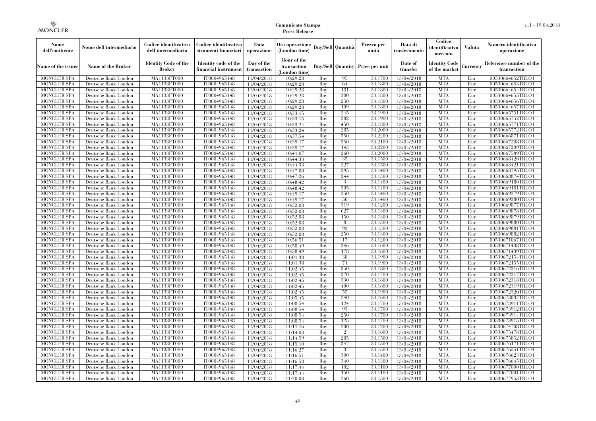| Nome<br>dell'emittente                   | Nome dell'intermediario                      | Codice identificativo<br>dell'intermediario  | Codice identificativo<br>strumenti finanziari | Data<br>operazione        | Ora operazione<br>(London time)             |            | Buv/Sell   Quantità      | Prezzo per<br>unità | Data di<br>trasferimento | Codice<br>identificativo<br>mercato   | <b>Valuta</b> | Numero identificativo<br>operazione    |
|------------------------------------------|----------------------------------------------|----------------------------------------------|-----------------------------------------------|---------------------------|---------------------------------------------|------------|--------------------------|---------------------|--------------------------|---------------------------------------|---------------|----------------------------------------|
| Name of the issuer                       | Name of the Broker                           | <b>Identity Code of the</b><br><b>Broker</b> | Identity code of the<br>financial instrument  | Day of the<br>transaction | Hour of the<br>transaction<br>(London time) |            | <b>Buy/Sell Quantity</b> | Price per unit      | Date of<br>transfer      | <b>Identity Code</b><br>of the market | Currencv      | Reference number of the<br>transaction |
| <b>MONCLER SPA</b>                       | Deutsche Bank London                         | MA1133FT000                                  | IT0004965148                                  | 11/04/2018                | 10:29:28                                    | Buy        | 95                       | 33,1700             | 13/04/2018               | <b>MTA</b>                            | Eur           | 00530664652TRLO1                       |
| <b>MONCLER SPA</b>                       | Deutsche Bank London                         | <b>MA1133FT000</b>                           | IT0004965148                                  | 11/04/2018                | 10:29:28                                    | Buy        | 64                       | 33,1800             | 13/04/2018               | <b>MTA</b>                            | Eur           | 00530664653TRLO1                       |
| <b>MONCLER SPA</b>                       | Deutsche Bank London                         | MA1133FT000                                  | IT0004965148                                  | 11/04/2018                | 10:29:28                                    | Buv        | 181                      | 33.1800             | 13/04/2018               | <b>MTA</b>                            | Eur           | 00530664654TRLO1                       |
| <b>MONCLER SPA</b>                       | Deutsche Bank London                         | MA1133FT000                                  | IT0004965148                                  | 11/04/2018                | 10:29:28                                    | Buy        | 300                      | 33,1800             | 13/04/2018               | <b>MTA</b>                            | Eur           | 00530664655TRLO1                       |
| <b>MONCLER SPA</b>                       | Deutsche Bank London                         | MA1133FT000                                  | IT0004965148                                  | 11/04/2018                | 10:29:28                                    | Buy        | 250                      | 33,1800             | 13/04/2018               | <b>MTA</b>                            | Eur           | 00530664656TRLO1                       |
| <b>MONCLER SPA</b><br><b>MONCLER SPA</b> | Deutsche Bank London                         | <b>MA1133FT000</b><br>MA1133FT000            | IT0004965148                                  | 11/04/2018                | 10:29:28                                    | Buy        | 109<br>245               | 33,1800<br>33,1900  | 13/04/2018               | <b>MTA</b><br><b>MTA</b>              | Eur           | 00530664657TRLO1                       |
| <b>MONCLER SPA</b>                       | Deutsche Bank London<br>Deutsche Bank London | MA1133FT000                                  | IT0004965148<br>IT0004965148                  | 11/04/2018<br>11/04/2018  | 10:33:15<br>10:33:15                        | Buy<br>Buy | 382                      | 33.1900             | 13/04/2018<br>13/04/2018 | <b>MTA</b>                            | Eur<br>Eur    | 00530665751TRLO1<br>00530665752TRLO1   |
| <b>MONCLER SPA</b>                       | Deutsche Bank London                         | MA1133FT000                                  | IT0004965148                                  | 11/04/2018                | 10:33:24                                    | Buy        | 450                      | 33,1800             | 13/04/2018               | <b>MTA</b>                            | Eur           | 00530665771TRLO1                       |
| <b>MONCLER SPA</b>                       | Deutsche Bank London                         | <b>MA1133FT000</b>                           | IT0004965148                                  | 11/04/2018                | 10:33:24                                    | Buy        | 285                      | 33,2000             | 13/04/2018               | <b>MTA</b>                            | Eur           | 00530665772TRLO1                       |
| <b>MONCLER SPA</b>                       | Deutsche Bank London                         | MA1133FT000                                  | IT0004965148                                  | 11/04/2018                | 10:37:54                                    | Buy        | 550                      | 33,2200             | 13/04/2018               | <b>MTA</b>                            | Eur           | 00530666871TRLO1                       |
| <b>MONCLER SPA</b>                       | Deutsche Bank London                         | MA1133FT000                                  | IT0004965148                                  | 11/04/2018                | 10:39:17                                    | Buy        | 350                      | 33,2100             | 13/04/2018               | <b>MTA</b>                            | Eur           | 00530667208TRLO1                       |
| <b>MONCLER SPA</b>                       | Deutsche Bank London                         | MA1133FT000                                  | IT0004965148                                  | 11/04/2018                | 10:39:17                                    | Buy        | 143                      | 33,2200             | 13/04/2018               | <b>MTA</b>                            | Eur           | 00530667209TRLO1                       |
| <b>MONCLER SPA</b>                       | Deutsche Bank London                         | MA1133FT000                                  | IT0004965148                                  | 11/04/2018                | 10:41:07                                    | Buy        | 260                      | 33,2000             | 13/04/2018               | <b>MTA</b>                            | Eur           | 00530667589TRLO1                       |
| <b>MONCLER SPA</b>                       | Deutsche Bank London                         | MA1133FT000                                  | IT0004965148                                  | 11/04/2018                | 10:44:33                                    | Buy        | 35                       | 33,1500             | 13/04/2018               | <b>MTA</b>                            | Eur           | 00530668420TRLO1                       |
| <b>MONCLER SPA</b>                       | Deutsche Bank London                         | MA1133FT000                                  | IT0004965148                                  | 11/04/2018                | 10:44:33                                    | Buy        | 227                      | 33,1500             | 13/04/2018               | <b>MTA</b>                            | Eur           | 00530668421TRLO1                       |
| <b>MONCLER SPA</b>                       | Deutsche Bank London                         | MA1133FT000                                  | IT0004965148                                  | 11/04/2018                | 10:47:00                                    | Buy        | 295                      | 33.1400             | 13/04/2018               | <b>MTA</b>                            | Eur           | 00530668795TRLO1                       |
| <b>MONCLER SPA</b>                       | Deutsche Bank London                         | MA1133FT000                                  | IT0004965148                                  | 11/04/2018                | 10:47:26                                    | Buy        | 244                      | 33,1300             | 13/04/2018               | <b>MTA</b>                            | Eur           | 00530668874TRLO1                       |
| <b>MONCLER SPA</b>                       | Deutsche Bank London                         | MA1133FT000                                  | IT0004965148                                  | 11/04/2018                | 10:48:42                                    | Buy        | 3                        | 33,1400             | 13/04/2018               | <b>MTA</b>                            | Eur           | 00530669180TRLO1                       |
| <b>MONCLER SPA</b>                       | Deutsche Bank London                         | MA1133FT000                                  | IT0004965148                                  | 11/04/2018                | 10:48:42                                    | Buy        | 305                      | 33,1400             | 13/04/2018               | <b>MTA</b>                            | Eur           | 00530669181TRLO1                       |
| <b>MONCLER SPA</b>                       | Deutsche Bank London                         | MA1133FT000                                  | IT0004965148                                  | 11/04/2018                | 10:49:17                                    | Buy        | 250                      | 33,1400             | 13/04/2018               | <b>MTA</b>                            | Eur           | 00530669279TRLO1                       |
| <b>MONCLER SPA</b>                       | Deutsche Bank London                         | MA1133FT000                                  | IT0004965148                                  | 11/04/2018                | 10:49:17                                    | Buy        | 50                       | 33,1400             | 13/04/2018               | <b>MTA</b>                            | Eur           | 00530669280TRLO1                       |
| <b>MONCLER SPA</b>                       | Deutsche Bank London                         | MA1133FT000                                  | IT0004965148                                  | 11/04/2018                | 10:52:08                                    | Buy        | 319                      | 33,1200             | 13/04/2018               | <b>MTA</b>                            | Eur           | 00530669877TRLO1                       |
| <b>MONCLER SPA</b>                       | Deutsche Bank London                         | MA1133FT000                                  | IT0004965148                                  | 11/04/2018                | 10:52:08                                    | Buy        | 627                      | 33,1300             | 13/04/2018               | <b>MTA</b>                            | Eur           | 00530669878TRLO1                       |
| <b>MONCLER SPA</b>                       | Deutsche Bank London                         | MA1133FT000                                  | IT0004965148                                  | 11/04/2018                | 10:52:08                                    | Buy        | 150<br>8                 | 33,1300<br>33,1300  | 13/04/2018               | <b>MTA</b><br><b>MTA</b>              | Eur           | 00530669879TRLO1                       |
| <b>MONCLER SPA</b><br><b>MONCLER SPA</b> | Deutsche Bank London<br>Deutsche Bank London | MA1133FT000<br>MA1133FT000                   | IT0004965148<br>IT0004965148                  | 11/04/2018                | 10:52:08<br>10:52:08                        | Buy<br>Buy | 92                       | 33.1300             | 13/04/2018<br>13/04/2018 | <b>MTA</b>                            | Eur<br>Eur    | 00530669880TRLO1<br>00530669881TRLO1   |
| <b>MONCLER SPA</b>                       | Deutsche Bank London                         | MA1133FT000                                  | IT0004965148                                  | 11/04/2018<br>11/04/2018  | 10:52:08                                    | Buy        | 250                      | 33,1300             | 13/04/2018               | <b>MTA</b>                            | Eur           | 00530669882TRLO1                       |
| <b>MONCLER SPA</b>                       | Deutsche Bank London                         | MA1133FT000                                  | IT0004965148                                  | 11/04/2018                | 10:56:51                                    | Buy        | 17                       | 33,1200             | 13/04/2018               | <b>MTA</b>                            | Eur           | 00530671067TRLO1                       |
| <b>MONCLER SPA</b>                       | Deutsche Bank London                         | <b>MA1133FT000</b>                           | IT0004965148                                  | 11/04/2018                | 10:58:49                                    | Buy        | 346                      | 33,1600             | 13/04/2018               | <b>MTA</b>                            | Eur           | 00530671438TRLO1                       |
| MONCLER SPA                              | Deutsche Bank London                         | MA1133FT000                                  | IT0004965148                                  | 11/04/2018                | 10:58:49                                    | Buy        | 178                      | 33,1600             | 13/04/2018               | <b>MTA</b>                            | Eur           | 00530671439TRLO1                       |
| <b>MONCLER SPA</b>                       | Deutsche Bank London                         | MA1133FT000                                  | IT0004965148                                  | 11/04/2018                | 11:01:38                                    | Buy        | 38                       | 33,1900             | 13/04/2018               | <b>MTA</b>                            | Eur           | 00530672154TRLO1                       |
| <b>MONCLER SPA</b>                       | Deutsche Bank London                         | MA1133FT000                                  | IT0004965148                                  | 11/04/2018                | 11:01:38                                    | Buy        | 71                       | 33,1900             | 13/04/2018               | <b>MTA</b>                            | Eur           | 00530672155TRLO1                       |
| <b>MONCLER SPA</b>                       | Deutsche Bank London                         | MA1133FT000                                  | IT0004965148                                  | 11/04/2018                | 11:02:45                                    | Buy        | 350                      | 33,1800             | 13/04/2018               | <b>MTA</b>                            | Eur           | 00530672316TRLO1                       |
| <b>MONCLER SPA</b>                       | Deutsche Bank London                         | MA1133FT000                                  | IT0004965148                                  | 11/04/2018                | 11:02:45                                    | Buy        | 370                      | 33,1700             | 13/04/2018               | <b>MTA</b>                            | Eur           | 00530672317TRLO1                       |
| <b>MONCLER SPA</b>                       | Deutsche Bank London                         | MA1133FT000                                  | IT0004965148                                  | 11/04/2018                | 11:02:45                                    | Buy        | 330                      | 33,1800             | 13/04/2018               | <b>MTA</b>                            | Eur           | 00530672318TRLO1                       |
| <b>MONCLER SPA</b>                       | Deutsche Bank London                         | MA1133FT000                                  | IT0004965148                                  | 11/04/2018                | 11:02:45                                    | Buy        | 400                      | 33.1800             | 13/04/2018               | <b>MTA</b>                            | Eur           | 00530672319TRLO1                       |
| <b>MONCLER SPA</b>                       | Deutsche Bank London                         | <b>MA1133FT000</b>                           | IT0004965148                                  | 11/04/2018                | 11:02:45                                    | Buy        | 55                       | 33,1900             | 13/04/2018               | <b>MTA</b>                            | Eur           | 00530672320TRLO1                       |
| <b>MONCLER SPA</b>                       | Deutsche Bank London                         | MA1133FT000                                  | IT0004965148                                  | 11/04/2018                | 11:05:45                                    | Buy        | 240                      | 33,1600             | 13/04/2018               | <b>MTA</b>                            | Eur           | 00530673037TRLO1                       |
| <b>MONCLER SPA</b>                       | Deutsche Bank London                         | MA1133FT000                                  | IT0004965148                                  | 11/04/2018                | 11:08:54                                    | Buy        | 124                      | 33,1700             | 13/04/2018               | <b>MTA</b>                            | Eur           | 00530673911TRLO1                       |
| <b>MONCLER SPA</b>                       | Deutsche Bank London                         | MA1133FT000                                  | IT0004965148                                  | 11/04/2018                | 11:08:54                                    | Buy        | 93                       | 33,1700             | 13/04/2018               | <b>MTA</b>                            | Eur           | 00530673912TRLO1                       |
| <b>MONCLER SPA</b>                       | Deutsche Bank London                         | MA1133FT000                                  | IT0004965148                                  | 11/04/2018                | 11:08:54                                    | Buy        | 250                      | 33.1700             | 13/04/2018               | <b>MTA</b>                            | Eur           | 00530673914TRLO1                       |
| <b>MONCLER SPA</b>                       | Deutsche Bank London                         | MA1133FT000                                  | IT0004965148                                  | 11/04/2018                | 11:08:54                                    | Buy        | 125                      | 33,1700             | 13/04/2018               | <b>MTA</b>                            | Eur           | 00530673915TRLO1                       |
| <b>MONCLER SPA</b>                       | Deutsche Bank London                         | MA1133FT000                                  | IT0004965148                                  | 11/04/2018                | 11:11:16                                    | Buy        | 200                      | 33,1200             | 13/04/2018               | <b>MTA</b>                            | Eur           | 00530674708TRLO1                       |
| <b>MONCLER SPA</b><br><b>MONCLER SPA</b> | Deutsche Bank London<br>Deutsche Bank London | MA1133FT000<br>MA1133FT000                   | IT0004965148<br>IT0004965148                  | 11/04/2018                | 11:14:03<br>11:14:59                        | Buy<br>Buy | $\overline{2}$<br>285    | 33,1600<br>33,1500  | 13/04/2018<br>13/04/2018 | <b>MTA</b><br><b>MTA</b>              | Eur<br>Eur    | 00530675478TRLO1<br>00530675852TRLO1   |
| <b>MONCLER SPA</b>                       | Deutsche Bank London                         | MA1133FT000                                  | IT0004965148                                  | 11/04/2018<br>11/04/2018  | 11:15:10                                    | Buy        | 347                      | 33,1500             | 13/04/2018               | <b>MTA</b>                            | Eur           | 00530676171TRLO1                       |
| <b>MONCLER SPA</b>                       | Deutsche Bank London                         | MA1133FT000                                  | IT0004965148                                  | 11/04/2018                | 11:16:27                                    | Buy        | 3                        | 33,1500             | 13/04/2018               | <b>MTA</b>                            | Eur           | 00530676551TRLO1                       |
| <b>MONCLER SPA</b>                       | Deutsche Bank London                         | MA1133FT000                                  | IT0004965148                                  | 11/04/2018                | 11:16:51                                    | Buy        | 300                      | 33,1400             | 13/04/2018               | <b>MTA</b>                            | Eur           | 00530676623TRLO1                       |
| <b>MONCLER SPA</b>                       | Deutsche Bank London                         | MA1133FT000                                  | IT0004965148                                  | 11/04/2018                | 11:16:58                                    | Buy        | 340                      | 33,1300             | 13/04/2018               | <b>MTA</b>                            | Eur           | 00530676645TRLO1                       |
| <b>MONCLER SPA</b>                       | Deutsche Bank London                         | MA1133FT000                                  | IT0004965148                                  | 11/04/2018                | 11:17:44                                    | Buy        | 102                      | 33,1100             | 13/04/2018               | <b>MTA</b>                            | Eur           | 00530677000TRLO1                       |
| <b>MONCLER SPA</b>                       | Deutsche Bank London                         | MA1133FT000                                  | IT0004965148                                  | 11/04/2018                | 11:17:44                                    | Buy        | 150                      | 33,1100             | 13/04/2018               | <b>MTA</b>                            | Eur           | 00530677001TRLO1                       |
| <b>MONCLER SPA</b>                       | Deutsche Bank London                         | MA1133FT000                                  | IT0004965148                                  | 11/04/2018                | 11:20:03                                    | Buy        | 260                      | 33,1500             | 13/04/2018               | <b>MTA</b>                            | Eur           | 00530677953TRLO1                       |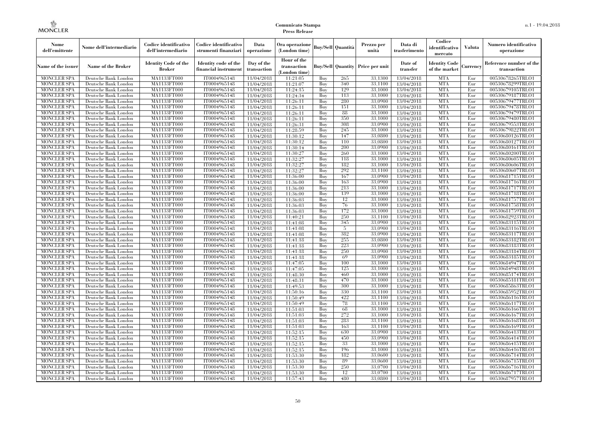| Nome<br>dell'emittente                   | Nome dell'intermediario                      | Codice identificativo<br>dell'intermediario  | Codice identificativo<br>strumenti finanziari | Data<br>operazione        | Ora operazione<br>(London time)             |            | Buv/Sell   Quantità      | Prezzo per<br>unità | Data di<br>trasferimento | Codice<br>identificativo<br>mercato   | <b>Valuta</b> | Numero identificativo<br>operazione    |
|------------------------------------------|----------------------------------------------|----------------------------------------------|-----------------------------------------------|---------------------------|---------------------------------------------|------------|--------------------------|---------------------|--------------------------|---------------------------------------|---------------|----------------------------------------|
| Name of the issuer                       | Name of the Broker                           | <b>Identity Code of the</b><br><b>Broker</b> | Identity code of the<br>financial instrument  | Day of the<br>transaction | Hour of the<br>transaction<br>(London time) |            | <b>Buy/Sell Quantity</b> | Price per unit      | Date of<br>transfer      | <b>Identity Code</b><br>of the market | Currencv      | Reference number of the<br>transaction |
| <b>MONCLER SPA</b>                       | Deutsche Bank London                         | MA1133FT000                                  | IT0004965148                                  | 11/04/2018                | 11:21:05                                    | Buy        | 265                      | 33,1300             | 13/04/2018               | <b>MTA</b>                            | Eur           | 00530678265TRLO1                       |
| <b>MONCLER SPA</b>                       | Deutsche Bank London                         | <b>MA1133FT000</b>                           | IT0004965148                                  | 11/04/2018                | 11:21:07                                    | Buy        | 340                      | 33,1100             | 13/04/2018               | <b>MTA</b>                            | Eur           | 00530678299TRLO1                       |
| <b>MONCLER SPA</b>                       | Deutsche Bank London                         | MA1133FT000                                  | IT0004965148                                  | 11/04/2018                | 11:24:15                                    | Buv        | 129                      | 33.1000             | 13/04/2018               | <b>MTA</b>                            | Eur           | 00530679105TRLO1                       |
| <b>MONCLER SPA</b>                       | Deutsche Bank London                         | MA1133FT000                                  | IT0004965148                                  | 11/04/2018                | 11:24:34                                    | Buy        | 113                      | 33,1000             | 13/04/2018               | <b>MTA</b>                            | Eur           | 00530679187TRLO1                       |
| <b>MONCLER SPA</b>                       | Deutsche Bank London                         | MA1133FT000                                  | IT0004965148                                  | 11/04/2018                | 11:26:11                                    | Buy        | 280                      | 33,0900             | 13/04/2018               | <b>MTA</b>                            | Eur           | 00530679477TRLO1                       |
| MONCLER SPA<br><b>MONCLER SPA</b>        | Deutsche Bank London                         | <b>MA1133FT000</b><br>MA1133FT000            | IT0004965148<br>IT0004965148                  | 11/04/2018                | 11:26:11                                    | Buy<br>Buy | 151<br>88                | 33,1000<br>33,1000  | 13/04/2018               | <b>MTA</b><br><b>MTA</b>              | Eur<br>Eur    | 00530679478TRLO1                       |
| <b>MONCLER SPA</b>                       | Deutsche Bank London<br>Deutsche Bank London | MA1133FT000                                  | IT0004965148                                  | 11/04/2018<br>11/04/2018  | 11:26:11<br>11:26:11                        | Buy        | 350                      | 33.1000             | 13/04/2018<br>13/04/2018 | <b>MTA</b>                            | Eur           | 00530679479TRLO1<br>00530679480TRLO1   |
| <b>MONCLER SPA</b>                       | Deutsche Bank London                         | MA1133FT000                                  | IT0004965148                                  | 11/04/2018                | 11:26:31                                    | Buy        | 308                      | 33,0900             | 13/04/2018               | <b>MTA</b>                            | Eur           | 00530679553TRLO1                       |
| <b>MONCLER SPA</b>                       | Deutsche Bank London                         | <b>MA1133FT000</b>                           | IT0004965148                                  | 11/04/2018                | 11:28:59                                    | Buy        | 245                      | 33,1000             | 13/04/2018               | <b>MTA</b>                            | Eur           | 00530679822TRLO1                       |
| <b>MONCLER SPA</b>                       | Deutsche Bank London                         | MA1133FT000                                  | IT0004965148                                  | 11/04/2018                | 11:30:12                                    | Buy        | 147                      | 33,0800             | 13/04/2018               | <b>MTA</b>                            | Eur           | 00530680126TRLO1                       |
| <b>MONCLER SPA</b>                       | Deutsche Bank London                         | MA1133FT000                                  | IT0004965148                                  | 11/04/2018                | 11:30:12                                    | Buy        | 110                      | 33,0800             | 13/04/2018               | <b>MTA</b>                            | Eur           | 00530680127TRLO1                       |
| <b>MONCLER SPA</b>                       | Deutsche Bank London                         | MA1133FT000                                  | IT0004965148                                  | 11/04/2018                | 11:30:14                                    | Buy        | 200                      | 33,0900             | 13/04/2018               | <b>MTA</b>                            | Eur           | 00530680161TRLO1                       |
| <b>MONCLER SPA</b>                       | Deutsche Bank London                         | MA1133FT000                                  | IT0004965148                                  | 11/04/2018                | 11:30:27                                    | Buy        | 260                      | 33,1000             | 13/04/2018               | <b>MTA</b>                            | Eur           | 00530680200TRLO1                       |
| <b>MONCLER SPA</b>                       | Deutsche Bank London                         | MA1133FT000                                  | IT0004965148                                  | 11/04/2018                | 11:32:27                                    | Buy        | 118                      | 33,1000             | 13/04/2018               | <b>MTA</b>                            | Eur           | 00530680605TRLO1                       |
| <b>MONCLER SPA</b>                       | Deutsche Bank London                         | MA1133FT000                                  | IT0004965148                                  | 11/04/2018                | 11:32:27                                    | Buy        | 182                      | 33,1000             | 13/04/2018               | <b>MTA</b>                            | Eur           | 00530680606TRLO1                       |
| <b>MONCLER SPA</b>                       | Deutsche Bank London                         | MA1133FT000                                  | IT0004965148                                  | 11/04/2018                | 11:32:27                                    | Buy        | 292                      | 33.1100             | 13/04/2018               | <b>MTA</b>                            | Eur           | 00530680607TRLO1                       |
| <b>MONCLER SPA</b>                       | Deutsche Bank London                         | MA1133FT000                                  | IT0004965148                                  | 11/04/2018                | 11:36:00                                    | Buy        | 167                      | 33,0900             | 13/04/2018               | <b>MTA</b>                            | Eur           | 00530681715TRLO1                       |
| <b>MONCLER SPA</b>                       | Deutsche Bank London                         | MA1133FT000                                  | IT0004965148                                  | 11/04/2018                | 11:36:00                                    | Buy        | 163                      | 33,0900             | 13/04/2018               | <b>MTA</b>                            | Eur           | 00530681716TRLO1                       |
| <b>MONCLER SPA</b>                       | Deutsche Bank London                         | MA1133FT000                                  | IT0004965148                                  | 11/04/2018                | 11:36:00                                    | Buy        | 213                      | 33,1000             | 13/04/2018               | <b>MTA</b>                            | Eur           | 00530681717TRLO1                       |
| MONCLER SPA                              | Deutsche Bank London                         | MA1133FT000                                  | IT0004965148                                  | 11/04/2018                | 11:36:00                                    | Buy        | 139<br>12                | 33,1000             | 13/04/2018               | <b>MTA</b><br><b>MTA</b>              | Eur           | 00530681718TRLO1                       |
| MONCLER SPA<br><b>MONCLER SPA</b>        | Deutsche Bank London                         | MA1133FT000                                  | IT0004965148<br>IT0004965148                  | 11/04/2018                | 11:36:03                                    | Buy<br>Buy | 76                       | 33,1000<br>33,1000  | 13/04/2018<br>13/04/2018 | <b>MTA</b>                            | Eur<br>Eur    | 00530681757TRLO1<br>00530681758TRLO1   |
| <b>MONCLER SPA</b>                       | Deutsche Bank London<br>Deutsche Bank London | MA1133FT000<br>MA1133FT000                   | IT0004965148                                  | 11/04/2018<br>11/04/2018  | 11:36:03<br>11:36:03                        | Buy        | 172                      | 33,1000             | 13/04/2018               | <b>MTA</b>                            | Eur           | 00530681759TRLO1                       |
| <b>MONCLER SPA</b>                       | Deutsche Bank London                         | MA1133FT000                                  | IT0004965148                                  | 11/04/2018                | 11:40:21                                    | Buy        | 250                      | 33,1100             | 13/04/2018               | <b>MTA</b>                            | Eur           | 00530682923TRLO1                       |
| <b>MONCLER SPA</b>                       | Deutsche Bank London                         | MA1133FT000                                  | IT0004965148                                  | 11/04/2018                | 11:41:08                                    | Buy        | 345                      | 33,0900             | 13/04/2018               | <b>MTA</b>                            | Eur           | 00530683115TRLO1                       |
| <b>MONCLER SPA</b>                       | Deutsche Bank London                         | MA1133FT000                                  | IT0004965148                                  | 11/04/2018                | 11:41:08                                    | Buy        | $\overline{5}$           | 33,0900             | 13/04/2018               | <b>MTA</b>                            | Eur           | 00530683116TRLO1                       |
| <b>MONCLER SPA</b>                       | Deutsche Bank London                         | MA1133FT000                                  | IT0004965148                                  | 11/04/2018                | 11:41:08                                    | Buy        | 382                      | 33,0900             | 13/04/2018               | <b>MTA</b>                            | Eur           | 00530683117TRLO1                       |
| <b>MONCLER SPA</b>                       | Deutsche Bank London                         | MA1133FT000                                  | IT0004965148                                  | 11/04/2018                | 11:41:18                                    | Buy        | 255                      | 33,0800             | 13/04/2018               | <b>MTA</b>                            | Eur           | 00530683182TRLO1                       |
| MONCLER SPA                              | Deutsche Bank London                         | <b>MA1133FT000</b>                           | IT0004965148                                  | 11/04/2018                | 11:41:18                                    | Buy        | 223                      | 33,0900             | 13/04/2018               | <b>MTA</b>                            | Eur           | 00530683183TRLO1                       |
| MONCLER SPA                              | Deutsche Bank London                         | MA1133FT000                                  | IT0004965148                                  | 11/04/2018                | 11:41:18                                    | Buy        | 250                      | 33,0900             | 13/04/2018               | <b>MTA</b>                            | Eur           | 00530683184TRLO1                       |
| <b>MONCLER SPA</b>                       | Deutsche Bank London                         | MA1133FT000                                  | IT0004965148                                  | 11/04/2018                | 11:41:18                                    | Buy        | 69                       | 33,0900             | 13/04/2018               | <b>MTA</b>                            | Eur           | 00530683185TRLO1                       |
| <b>MONCLER SPA</b>                       | Deutsche Bank London                         | MA1133FT000                                  | IT0004965148                                  | 11/04/2018                | 11:47:05                                    | Buy        | 100                      | 33.1000             | 13/04/2018               | <b>MTA</b>                            | Eur           | 00530684947TRLO1                       |
| <b>MONCLER SPA</b>                       | Deutsche Bank London                         | MA1133FT000                                  | IT0004965148                                  | 11/04/2018                | 11:47:05                                    | Buy        | 125                      | 33,1000             | 13/04/2018               | <b>MTA</b>                            | Eur           | 00530684948TRLO1                       |
| <b>MONCLER SPA</b>                       | Deutsche Bank London                         | MA1133FT000                                  | IT0004965148                                  | 11/04/2018                | 11:48:30                                    | Buy        | 460                      | 33,1000             | 13/04/2018               | <b>MTA</b>                            | Eur           | 00530685174TRLO1                       |
| <b>MONCLER SPA</b>                       | Deutsche Bank London                         | MA1133FT000                                  | IT0004965148                                  | 11/04/2018                | 11:48:31                                    | Buy        | 470                      | 33,1000             | 13/04/2018               | <b>MTA</b>                            | Eur           | 00530685181TRLO1                       |
| <b>MONCLER SPA</b>                       | Deutsche Bank London                         | MA1133FT000                                  | IT0004965148                                  | 11/04/2018                | 11:49:53                                    | Buy        | 300                      | 33,1000             | 13/04/2018               | <b>MTA</b>                            | Eur           | 00530685863TRLO1                       |
| <b>MONCLER SPA</b>                       | Deutsche Bank London                         | <b>MA1133FT000</b>                           | IT0004965148                                  | 11/04/2018                | 11:50:16                                    | Buy        | 330                      | 33,1100             | 13/04/2018               | <b>MTA</b>                            | Eur           | 00530685952TRLO1                       |
| <b>MONCLER SPA</b>                       | Deutsche Bank London                         | MA1133FT000                                  | IT0004965148                                  | 11/04/2018                | 11:50:49                                    | Buy        | 422                      | 33,1100             | 13/04/2018               | <b>MTA</b>                            | Eur           | 00530686116TRLO1                       |
| <b>MONCLER SPA</b>                       | Deutsche Bank London                         | MA1133FT000                                  | IT0004965148                                  | 11/04/2018                | 11:50:49                                    | Buy<br>Buy | 78<br>68                 | 33,1100<br>33,1000  | 13/04/2018               | <b>MTA</b>                            | Eur<br>Eur    | 00530686117TRLO1                       |
| <b>MONCLER SPA</b><br><b>MONCLER SPA</b> | Deutsche Bank London<br>Deutsche Bank London | MA1133FT000<br>MA1133FT000                   | IT0004965148<br>IT0004965148                  | 11/04/2018<br>11/04/2018  | 11:51:03<br>11:51:03                        | Buy        | 272                      | 33,1000             | 13/04/2018<br>13/04/2018 | <b>MTA</b><br><b>MTA</b>              | Eur           | 00530686166TRLO1<br>00530686167TRLO1   |
| <b>MONCLER SPA</b>                       | Deutsche Bank London                         | MA1133FT000                                  | IT0004965148                                  | 11/04/2018                | 11:51:03                                    | Buy        | 283                      | 33,1100             | 13/04/2018               | <b>MTA</b>                            | Eur           | 00530686168TRLO1                       |
| <b>MONCLER SPA</b>                       | Deutsche Bank London                         | MA1133FT000                                  | IT0004965148                                  | 11/04/2018                | 11:51:03                                    | Buy        | 163                      | 33,1100             | 13/04/2018               | <b>MTA</b>                            | Eur           | 00530686169TRLO1                       |
| <b>MONCLER SPA</b>                       | Deutsche Bank London                         | MA1133FT000                                  | IT0004965148                                  | 11/04/2018                | 11:52:15                                    | Buy        | 630                      | 33,0900             | 13/04/2018               | <b>MTA</b>                            | Eur           | 00530686413TRLO1                       |
| <b>MONCLER SPA</b>                       | Deutsche Bank London                         | MA1133FT000                                  | IT0004965148                                  | 11/04/2018                | 11:52:15                                    | Buy        | 450                      | 33,0900             | 13/04/2018               | <b>MTA</b>                            | Eur           | 00530686414TRLO1                       |
| <b>MONCLER SPA</b>                       | Deutsche Bank London                         | MA1133FT000                                  | IT0004965148                                  | 11/04/2018                | 11:52:15                                    | Buy        | 33                       | 33,1000             | 13/04/2018               | <b>MTA</b>                            | Eur           | 00530686415TRLO1                       |
| <b>MONCLER SPA</b>                       | Deutsche Bank London                         | MA1133FT000                                  | IT0004965148                                  | 11/04/2018                | 11:52:15                                    | Buy        | 196                      | 33,1000             | 13/04/2018               | <b>MTA</b>                            | Eur           | 00530686416TRLO1                       |
| <b>MONCLER SPA</b>                       | Deutsche Bank London                         | MA1133FT000                                  | IT0004965148                                  | 11/04/2018                | 11:53:30                                    | Buy        | 182                      | 33,0600             | 13/04/2018               | <b>MTA</b>                            | Eur           | 00530686714TRLO1                       |
| <b>MONCLER SPA</b>                       | Deutsche Bank London                         | MA1133FT000                                  | IT0004965148                                  | 11/04/2018                | 11:53:30                                    | Buy        | 89                       | 33,0600             | 13/04/2018               | <b>MTA</b>                            | Eur           | 00530686715TRLO1                       |
| <b>MONCLER SPA</b>                       | Deutsche Bank London                         | MA1133FT000                                  | IT0004965148                                  | 11/04/2018                | 11:53:30                                    | Buy        | 250                      | 33,0700             | 13/04/2018               | <b>MTA</b>                            | Eur           | 00530686716TRLO1                       |
| <b>MONCLER SPA</b>                       | Deutsche Bank London                         | MA1133FT000                                  | IT0004965148                                  | 11/04/2018                | 11:53:30                                    | Buy        | 12                       | 33,0700             | 13/04/2018               | <b>MTA</b>                            | Eur           | 00530686717TRLO1                       |
| <b>MONCLER SPA</b>                       | Deutsche Bank London                         | MA1133FT000                                  | IT0004965148                                  | 11/04/2018                | 11:57:43                                    | Buy        | 480                      | 33,0800             | 13/04/2018               | <b>MTA</b>                            | Eur           | 00530687957TRLO1                       |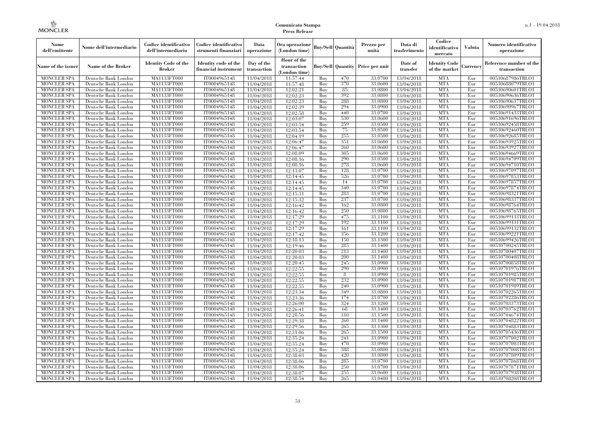| Nome<br>dell'emittente                   | Nome dell'intermediario                      | Codice identificativo<br>dell'intermediario | Codice identificativo<br>strumenti finanziari | Data<br>operazione        | Ora operazione<br>(London time)             |            | Buy/Sell   Quantità      | Prezzo per<br>unità | Data di<br>trasferimento | Codice<br>identificativo<br>mercato   | <b>Valuta</b> | Numero identificativo<br>operazione    |
|------------------------------------------|----------------------------------------------|---------------------------------------------|-----------------------------------------------|---------------------------|---------------------------------------------|------------|--------------------------|---------------------|--------------------------|---------------------------------------|---------------|----------------------------------------|
| Name of the issuer                       | Name of the Broker                           | <b>Identity Code of the</b><br>Broker       | Identity code of the<br>financial instrument  | Day of the<br>transaction | Hour of the<br>transaction<br>(London time) |            | <b>Buy/Sell Quantity</b> | Price per unit      | Date of<br>transfer      | <b>Identity Code</b><br>of the market | Currencv      | Reference number of the<br>transaction |
| <b>MONCLER SPA</b>                       | Deutsche Bank London                         | MA1133FT000                                 | IT0004965148                                  | 11/04/2018                | 11:57:44                                    | Buy        | 470                      | 33,0700             | 13/04/2018               | <b>MTA</b>                            | Eur           | 00530687986TRLO1                       |
| <b>MONCLER SPA</b>                       | Deutsche Bank London                         | <b>MA1133FT000</b>                          | IT0004965148                                  | 11/04/2018                | 11:57:48                                    | Buy        | 370                      | 33,0600             | 13/04/2018               | <b>MTA</b>                            | Eur           | 00530688079TRLO1                       |
| <b>MONCLER SPA</b>                       | Deutsche Bank London                         | MA1133FT000                                 | IT0004965148                                  | 11/04/2018                | 12:02:21                                    | Buv        | 85                       | 33,0800             | 13/04/2018               | <b>MTA</b>                            | Eur           | 00530690601TRLO1                       |
| <b>MONCLER SPA</b>                       | Deutsche Bank London                         | MA1133FT000                                 | IT0004965148                                  | 11/04/2018                | 12:02:23                                    | Buy        | 392                      | 33,0800             | 13/04/2018               | <b>MTA</b>                            | Eur           | 00530690636TRLO1                       |
| <b>MONCLER SPA</b>                       | Deutsche Bank London                         | MA1133FT000                                 | IT0004965148                                  | 11/04/2018                | 12:02:23                                    | Buy        | 288<br>294               | 33,0800<br>33,0900  | 13/04/2018               | <b>MTA</b><br><b>MTA</b>              | Eur           | 00530690637TRLO1                       |
| MONCLER SPA<br><b>MONCLER SPA</b>        | Deutsche Bank London<br>Deutsche Bank London | <b>MA1133FT000</b><br>MA1133FT000           | IT0004965148<br>IT0004965148                  | 11/04/2018<br>11/04/2018  | 12:02:39<br>12:02:58                        | Buy<br>Buy | 440                      | 33,0700             | 13/04/2018<br>13/04/2018 | <b>MTA</b>                            | Eur<br>Eur    | 00530690967TRLO1<br>00530691433TRLO1   |
| <b>MONCLER SPA</b>                       | Deutsche Bank London                         | MA1133FT000                                 | IT0004965148                                  | 11/04/2018                | 12:03:07                                    | Buy        | 530                      | 33,0600             | 13/04/2018               | <b>MTA</b>                            | Eur           | 00530691696TRLO1                       |
| <b>MONCLER SPA</b>                       | Deutsche Bank London                         | MA1133FT000                                 | IT0004965148                                  | 11/04/2018                | 12:03:54                                    | Buy        | 259                      | 33,0500             | 13/04/2018               | <b>MTA</b>                            | Eur           | 00530692458TRLO1                       |
| <b>MONCLER SPA</b>                       | Deutsche Bank London                         | MA1133FT000                                 | IT0004965148                                  | 11/04/2018                | 12:03:54                                    | Buy        | 75                       | 33,0500             | 13/04/2018               | <b>MTA</b>                            | Eur           | 00530692460TRLO1                       |
| <b>MONCLER SPA</b>                       | Deutsche Bank London                         | MA1133FT000                                 | IT0004965148                                  | 11/04/2018                | 12:04:19                                    | Buy        | 255                      | 33,0500             | 13/04/2018               | <b>MTA</b>                            | Eur           | 00530692685TRLO1                       |
| <b>MONCLER SPA</b>                       | Deutsche Bank London                         | MA1133FT000                                 | IT0004965148                                  | 11/04/2018                | 12:06:47                                    | Buy        | 351                      | 33,0600             | 13/04/2018               | <b>MTA</b>                            | Eur           | 00530693925TRLO1                       |
| <b>MONCLER SPA</b>                       | Deutsche Bank London                         | MA1133FT000                                 | IT0004965148                                  | 11/04/2018                | 12:06:47                                    | Buy        | 260                      | 33,0600             | 13/04/2018               | <b>MTA</b>                            | Eur           | 00530693927TRLO1                       |
| <b>MONCLER SPA</b>                       | Deutsche Bank London                         | MA1133FT000                                 | IT0004965148                                  | 11/04/2018                | 12:08:09                                    | Buy        | 305                      | 33,0600             | 13/04/2018               | <b>MTA</b>                            | Eur           | 00530694669TRLO1                       |
| <b>MONCLER SPA</b>                       | Deutsche Bank London                         | MA1133FT000                                 | IT0004965148                                  | 11/04/2018                | 12:08:16                                    | Buy        | 290                      | 33,0500             | 13/04/2018               | <b>MTA</b>                            | Eur           | 00530694709TRLO1                       |
| <b>MONCLER SPA</b>                       | Deutsche Bank London                         | MA1133FT000                                 | IT0004965148                                  | 11/04/2018                | 12:08:16                                    | Buy        | 278                      | 33,0600             | 13/04/2018               | <b>MTA</b>                            | Eur           | 00530694710TRLO1                       |
| <b>MONCLER SPA</b>                       | Deutsche Bank London                         | MA1133FT000                                 | IT0004965148                                  | 11/04/2018                | 12:13:07                                    | Buy        | 128                      | 33,0700             | 13/04/2018               | <b>MTA</b>                            | Eur           | 00530697097TRLO1                       |
| <b>MONCLER SPA</b>                       | Deutsche Bank London                         | MA1133FT000                                 | IT0004965148                                  | 11/04/2018                | 12:14:45                                    | Buy        | 526                      | 33,0700             | 13/04/2018               | <b>MTA</b>                            | Eur           | 00530697853TRLO1                       |
| <b>MONCLER SPA</b>                       | Deutsche Bank London                         | MA1133FT000                                 | IT0004965148                                  | 11/04/2018                | 12:14:45                                    | Buy        | 14                       | 33,0700             | 13/04/2018               | <b>MTA</b>                            | Eur           | 00530697857TRLO1                       |
| <b>MONCLER SPA</b>                       | Deutsche Bank London                         | MA1133FT000                                 | IT0004965148                                  | 11/04/2018                | 12:14:45                                    | Buy        | 340                      | 33,0700             | 13/04/2018               | <b>MTA</b>                            | Eur           | 00530697874TRLO1                       |
| <b>MONCLER SPA</b>                       | Deutsche Bank London                         | MA1133FT000                                 | IT0004965148                                  | 11/04/2018                | 12:15:31                                    | Buy        | 283                      | 33,0700             | 13/04/2018               | <b>MTA</b>                            | Eur           | 00530698321TRLO1                       |
| <b>MONCLER SPA</b>                       | Deutsche Bank London                         | MA1133FT000                                 | IT0004965148                                  | 11/04/2018                | 12:15:32                                    | Buy        | 237                      | 33,0700             | 13/04/2018               | <b>MTA</b>                            | Eur           | 00530698337TRLO1                       |
| <b>MONCLER SPA</b>                       | Deutsche Bank London                         | MA1133FT000                                 | IT0004965148                                  | 11/04/2018                | 12:16:42                                    | Buy        | 162                      | 33,0800             | 13/04/2018               | <b>MTA</b>                            | Eur           | 00530698764TRLO1                       |
| <b>MONCLER SPA</b>                       | Deutsche Bank London                         | MA1133FT000                                 | IT0004965148<br>IT0004965148                  | 11/04/2018                | 12:16:42                                    | Buy        | 250<br>475               | 33,0800<br>33,1100  | 13/04/2018<br>13/04/2018 | <b>MTA</b><br><b>MTA</b>              | Eur           | 00530698765TRLO1                       |
| <b>MONCLER SPA</b><br><b>MONCLER SPA</b> | Deutsche Bank London<br>Deutsche Bank London | MA1133FT000<br>MA1133FT000                  | IT0004965148                                  | 11/04/2018<br>11/04/2018  | 12:17:29<br>12:17:29                        | Buy<br>Buy | 192                      | 33,1100             | 13/04/2018               | <b>MTA</b>                            | Eur<br>Eur    | 00530699133TRLO1<br>00530699131TRLO1   |
| <b>MONCLER SPA</b>                       | Deutsche Bank London                         | MA1133FT000                                 | IT0004965148                                  | 11/04/2018                | 12:17:29                                    | Buy        | 161                      | 33,1100             | 13/04/2018               | <b>MTA</b>                            | Eur           | 00530699132TRLO1                       |
| <b>MONCLER SPA</b>                       | Deutsche Bank London                         | MA1133FT000                                 | IT0004965148                                  | 11/04/2018                | 12:17:42                                    | Buy        | 356                      | 33,1200             | 13/04/2018               | <b>MTA</b>                            | Eur           | 00530699221TRLO1                       |
| <b>MONCLER SPA</b>                       | Deutsche Bank London                         | MA1133FT000                                 | IT0004965148                                  | 11/04/2018                | 12:18:13                                    | Buy        | 150                      | 33,1300             | 13/04/2018               | <b>MTA</b>                            | Eur           | 00530699426TRLO1                       |
| <b>MONCLER SPA</b>                       | Deutsche Bank London                         | <b>MA1133FT000</b>                          | IT0004965148                                  | 11/04/2018                | 12:19:46                                    | Buy        | 285                      | 33,1400             | 13/04/2018               | <b>MTA</b>                            | Eur           | 00530700245TRLO1                       |
| <b>MONCLER SPA</b>                       | Deutsche Bank London                         | MA1133FT000                                 | IT0004965148                                  | 11/04/2018                | 12:20:03                                    | Buy        | 213                      | 33,1400             | 13/04/2018               | <b>MTA</b>                            | Eur           | 00530700407TRLO1                       |
| <b>MONCLER SPA</b>                       | Deutsche Bank London                         | MA1133FT000                                 | IT0004965148                                  | 11/04/2018                | 12:20:03                                    | Buy        | 200                      | 33,1400             | 13/04/2018               | <b>MTA</b>                            | Eur           | 00530700408TRLO1                       |
| <b>MONCLER SPA</b>                       | Deutsche Bank London                         | MA1133FT000                                 | IT0004965148                                  | 11/04/2018                | 12:20:45                                    | Buv        | 245                      | 33,0900             | 13/04/2018               | <b>MTA</b>                            | Eur           | 00530700858TRLO1                       |
| <b>MONCLER SPA</b>                       | Deutsche Bank London                         | <b>MA1133FT000</b>                          | IT0004965148                                  | 11/04/2018                | 12:22:55                                    | Buy        | 290                      | 33,0900             | 13/04/2018               | <b>MTA</b>                            | Eur           | 00530701976TRLO1                       |
| <b>MONCLER SPA</b>                       | Deutsche Bank London                         | MA1133FT000                                 | IT0004965148                                  | 11/04/2018                | 12:22:55                                    | Buy        | 8                        | 33,0900             | 13/04/2018               | <b>MTA</b>                            | Eur           | 00530701985TRLO1                       |
| <b>MONCLER SPA</b>                       | Deutsche Bank London                         | MA1133FT000                                 | IT0004965148                                  | 11/04/2018                | 12:22:55                                    | Buy        | 232                      | 33,0900             | 13/04/2018               | <b>MTA</b>                            | Eur           | 00530701987TRLO1                       |
| <b>MONCLER SPA</b>                       | Deutsche Bank London                         | MA1133FT000                                 | IT0004965148                                  | 11/04/2018                | 12:22:55                                    | Buv        | 240                      | 33,0900             | 13/04/2018               | <b>MTA</b>                            | Eur           | 00530701989TRLO1                       |
| <b>MONCLER SPA</b>                       | Deutsche Bank London                         | <b>MA1133FT000</b>                          | IT0004965148                                  | 11/04/2018                | 12:23:34                                    | Buy        | 349                      | 33,0800             | 13/04/2018               | <b>MTA</b>                            | Eur           | 00530702265TRLO1                       |
| <b>MONCLER SPA</b>                       | Deutsche Bank London                         | MA1133FT000                                 | IT0004965148                                  | 11/04/2018                | 12:23:36                                    | Buy        | 174                      | 33,0700             | 13/04/2018               | <b>MTA</b>                            | Eur           | 00530702286TRLO1                       |
| <b>MONCLER SPA</b>                       | Deutsche Bank London                         | <b>MA1133FT000</b>                          | IT0004965148                                  | 11/04/2018                | 12:26:00                                    | Buy        | 324                      | 33,1200             | 13/04/2018               | <b>MTA</b>                            | Eur           | 00530703373TRLO1                       |
| <b>MONCLER SPA</b>                       | Deutsche Bank London                         | MA1133FT000                                 | IT0004965148                                  | 11/04/2018                | 12:26:41                                    | Buy        | 68                       | 33,1400             | 13/04/2018               | <b>MTA</b>                            | Eur           | 00530703762TRLO1                       |
| <b>MONCLER SPA</b>                       | Deutsche Bank London                         | MA1133FT000                                 | IT0004965148                                  | 11/04/2018                | 12:28:56                                    | Buy        | 310                      | 33.1500             | 13/04/2018               | <b>MTA</b>                            | Eur           | 00530704674TRLO1                       |
| <b>MONCLER SPA</b>                       | Deutsche Bank London                         | MA1133FT000                                 | IT0004965148                                  | 11/04/2018                | 12:29:38                                    | Buy        | 260                      | 33,1400             | 13/04/2018               | <b>MTA</b>                            | Eur           | 00530704822TRLO1                       |
| <b>MONCLER SPA</b>                       | Deutsche Bank London                         | MA1133FT000                                 | IT0004965148                                  | 11/04/2018                | 12:29:56                                    | Buy        | 265                      | 33,1300             | 13/04/2018               | <b>MTA</b>                            | Eur           | 00530704883TRLO1                       |
| <b>MONCLER SPA</b><br><b>MONCLER SPA</b> | Deutsche Bank London<br>Deutsche Bank London | MA1133FT000<br>MA1133FT000                  | IT0004965148<br>IT0004965148                  | 11/04/2018<br>11/04/2018  | 12:31:06<br>12:35:24                        | Buy<br>Buy | 265<br>241               | 33,1500<br>33,0900  | 13/04/2018<br>13/04/2018 | <b>MTA</b><br><b>MTA</b>              | Eur<br>Eur    | 00530705436TRLO1<br>00530707002TRLO1   |
| <b>MONCLER SPA</b>                       | Deutsche Bank London                         | MA1133FT000                                 | IT0004965148                                  | 11/04/2018                | 12:35:24                                    | Buy        | 470                      | 33,0900             | 13/04/2018               | <b>MTA</b>                            | Eur           | 00530707003TRLO1                       |
| <b>MONCLER SPA</b>                       | Deutsche Bank London                         | MA1133FT000                                 | IT0004965148                                  | 11/04/2018                | 12:35:24                                    | Buy        | 388                      | 33,0800             | 13/04/2018               | <b>MTA</b>                            | Eur           | 00530707008TRLO1                       |
| <b>MONCLER SPA</b>                       | Deutsche Bank London                         | MA1133FT000                                 | IT0004965148                                  | 11/04/2018                | 12:38:03                                    | Buy        | 420                      | 33,0800             | 13/04/2018               | <b>MTA</b>                            | Eur           | 00530707809TRLO1                       |
| <b>MONCLER SPA</b>                       | Deutsche Bank London                         | MA1133FT000                                 | IT0004965148                                  | 11/04/2018                | 12:38:06                                    | Buy        | 285                      | 33,0700             | 13/04/2018               | <b>MTA</b>                            | Eur           | 00530707868TRLO1                       |
| <b>MONCLER SPA</b>                       | Deutsche Bank London                         | MA1133FT000                                 | IT0004965148                                  | 11/04/2018                | 12:38:06                                    | Buy        | 250                      | 33,0700             | 13/04/2018               | <b>MTA</b>                            | Eur           | 00530707871TRLO1                       |
| <b>MONCLER SPA</b>                       | Deutsche Bank London                         | MA1133FT000                                 | IT0004965148                                  | 11/04/2018                | 12:38:07                                    | Buy        | 255                      | 33,0600             | 13/04/2018               | <b>MTA</b>                            | Eur           | 00530707938TRLO1                       |
| <b>MONCLER SPA</b>                       | Deutsche Bank London                         | MA1133FT000                                 | IT0004965148                                  | 11/04/2018                | 12:38:54                                    | Buy        | 265                      | 33,0400             | 13/04/2018               | <b>MTA</b>                            | Eur           | 00530708208TRLO1                       |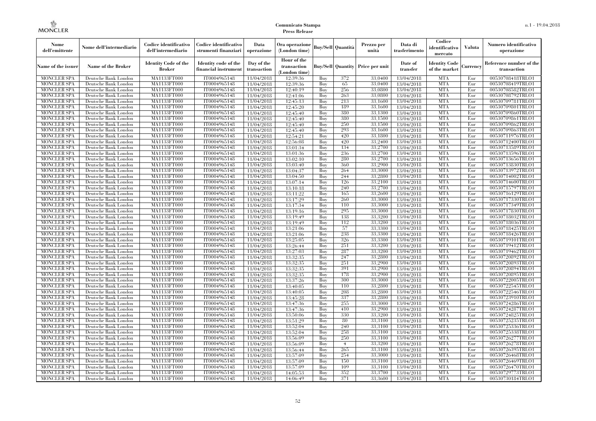| Nome<br>dell'emittente                   | Nome dell'intermediario                      | Codice identificativo<br>dell'intermediario  | Codice identificativo<br>strumenti finanziari | Data<br>operazione        | Ora operazione<br>(London time)             |            | <b>Buy/Sell   Quantità</b> | Prezzo per<br>unità | Data di<br>trasferimento | Codice<br>identificativo<br>mercato   | <b>Valuta</b> | Numero identificativo<br>operazione    |
|------------------------------------------|----------------------------------------------|----------------------------------------------|-----------------------------------------------|---------------------------|---------------------------------------------|------------|----------------------------|---------------------|--------------------------|---------------------------------------|---------------|----------------------------------------|
| Name of the issuer                       | Name of the Broker                           | <b>Identity Code of the</b><br><b>Broker</b> | Identity code of the<br>financial instrument  | Day of the<br>transaction | Hour of the<br>transaction<br>(London time) |            | <b>Buy/Sell Quantity</b>   | Price per unit      | Date of<br>transfer      | <b>Identity Code</b><br>of the market | Currencv      | Reference number of the<br>transaction |
| <b>MONCLER SPA</b>                       | Deutsche Bank London                         | MA1133FT000                                  | IT0004965148                                  | 11/04/2018                | 12:39:36                                    | Buy        | 372                        | 33.0400             | 13/04/2018               | <b>MTA</b>                            | Eur           | 00530708418TRLO1                       |
| <b>MONCLER SPA</b>                       | Deutsche Bank London                         | <b>MA1133FT000</b>                           | IT0004965148                                  | 11/04/2018                | 12:39:36                                    | Buy        | 65                         | 33,0400             | 13/04/2018               | <b>MTA</b>                            | Eur           | 00530708419TRLO1                       |
| <b>MONCLER SPA</b>                       | Deutsche Bank London                         | MA1133FT000                                  | IT0004965148                                  | 11/04/2018                | 12:40:19                                    | Buy        | 256                        | 33,0800             | 13/04/2018               | <b>MTA</b>                            | Eur           | 00530708582TRLO1                       |
| <b>MONCLER SPA</b>                       | Deutsche Bank London                         | <b>MA1133FT000</b>                           | IT0004965148                                  | 11/04/2018                | 12:41:06                                    | Buy        | 263                        | 33,0800             | 13/04/2018               | <b>MTA</b>                            | Eur           | 00530708792TRLO1                       |
| <b>MONCLER SPA</b>                       | Deutsche Bank London                         | <b>MA1133FT000</b>                           | IT0004965148                                  | 11/04/2018                | 12:45:13                                    | Buy        | 213<br>189                 | 33,1600<br>33.1600  | 13/04/2018               | <b>MTA</b>                            | Eur           | 00530709781TRLO1<br>00530709801TRLO1   |
| <b>MONCLER SPA</b><br><b>MONCLER SPA</b> | Deutsche Bank London<br>Deutsche Bank London | MA1133FT000<br>MA1133FT000                   | IT0004965148<br>IT0004965148                  | 11/04/2018<br>11/04/2018  | 12:45:20<br>12:45:40                        | Buy<br>Buy | 380                        | 33.1300             | 13/04/2018<br>13/04/2018 | <b>MTA</b><br><b>MTA</b>              | Eur<br>Eur    | 00530709860TRLO1                       |
| <b>MONCLER SPA</b>                       | Deutsche Bank London                         | MA1133FT000                                  | IT0004965148                                  | 11/04/2018                | 12:45:40                                    | Buy        | 380                        | 33,1500             | 13/04/2018               | <b>MTA</b>                            | Eur           | 00530709861TRLO1                       |
| <b>MONCLER SPA</b>                       | Deutsche Bank London                         | <b>MA1133FT000</b>                           | IT0004965148                                  | 11/04/2018                | 12:45:40                                    | Buy        | 250                        | 33,1500             | 13/04/2018               | <b>MTA</b>                            | Eur           | 00530709862TRLO1                       |
| <b>MONCLER SPA</b>                       | Deutsche Bank London                         | MA1133FT000                                  | IT0004965148                                  | 11/04/2018                | 12:45:40                                    | Buy        | 293                        | 33,1600             | 13/04/2018               | <b>MTA</b>                            | Eur           | 00530709863TRLO1                       |
| <b>MONCLER SPA</b>                       | Deutsche Bank London                         | MA1133FT000                                  | IT0004965148                                  | 11/04/2018                | 12:54:21                                    | Buy        | 420                        | 33,1800             | 13/04/2018               | <b>MTA</b>                            | Eur           | 00530711976TRLO1                       |
| <b>MONCLER SPA</b>                       | Deutsche Bank London                         | MA1133FT000                                  | IT0004965148                                  | 11/04/2018                | 12:56:08                                    | Buy        | 420                        | 33,2400             | 13/04/2018               | <b>MTA</b>                            | Eur           | 00530712400TRLO1                       |
| <b>MONCLER SPA</b>                       | Deutsche Bank London                         | <b>MA1133FT000</b>                           | IT0004965148                                  | 11/04/2018                | 13:01:34                                    | Buy        | 134                        | 33,2700             | 13/04/2018               | <b>MTA</b>                            | Eur           | 00530713589TRLO1                       |
| <b>MONCLER SPA</b>                       | Deutsche Bank London                         | <b>MA1133FT000</b>                           | IT0004965148                                  | 11/04/2018                | 13:01:36                                    | Buy        | 236                        | 33,2700             | 13/04/2018               | <b>MTA</b>                            | Eur           | 00530713596TRLO1                       |
| <b>MONCLER SPA</b>                       | Deutsche Bank London                         | MA1133FT000                                  | IT0004965148                                  | 11/04/2018                | 13:02:10                                    | Buy        | 280                        | 33,2700             | 13/04/2018               | <b>MTA</b>                            | Eur           | 00530713656TRLO1                       |
| <b>MONCLER SPA</b>                       | Deutsche Bank London                         | MA1133FT000                                  | IT0004965148                                  | 11/04/2018                | 13:03:40                                    | Buy        | 360                        | 33,2900             | 13/04/2018               | <b>MTA</b>                            | Eur           | 00530713830TRLO1                       |
| <b>MONCLER SPA</b>                       | Deutsche Bank London                         | MA1133FT000                                  | IT0004965148                                  | 11/04/2018                | 13:04:37                                    | Buy        | 264                        | 33,3000             | 13/04/2018               | <b>MTA</b>                            | Eur           | 00530713972TRLO1                       |
| <b>MONCLER SPA</b>                       | Deutsche Bank London                         | <b>MA1133FT000</b>                           | IT0004965148                                  | 11/04/2018                | 13:04:50                                    | Buy        | 244                        | 33,2800             | 13/04/2018               | <b>MTA</b>                            | Eur           | 00530714002TRLO1                       |
| <b>MONCLER SPA</b>                       | Deutsche Bank London                         | MA1133FT000                                  | IT0004965148                                  | 11/04/2018                | 13:07:14                                    | Buy        | 126                        | 33,2100             | 13/04/2018               | <b>MTA</b>                            | Eur           | 00530714600TRLO1                       |
| <b>MONCLER SPA</b>                       | Deutsche Bank London                         | MA1133FT000                                  | IT0004965148                                  | 11/04/2018                | 13:10:18                                    | Buy        | 240                        | 33,2700             | 13/04/2018               | <b>MTA</b>                            | Eur           | 00530715797TRLO1                       |
| <b>MONCLER SPA</b>                       | Deutsche Bank London                         | MA1133FT000                                  | IT0004965148                                  | 11/04/2018                | 13:11:22                                    | Buy        | 165                        | 33,2600             | 13/04/2018               | <b>MTA</b>                            | Eur           | 00530716129TRLO1                       |
| <b>MONCLER SPA</b>                       | Deutsche Bank London                         | MA1133FT000                                  | IT0004965148                                  | 11/04/2018                | 13:17:29                                    | Buy        | 260                        | 33,3000             | 13/04/2018               | <b>MTA</b>                            | Eur           | 00530717330TRLO1                       |
| <b>MONCLER SPA</b><br><b>MONCLER SPA</b> | Deutsche Bank London                         | <b>MA1133FT000</b><br>MA1133FT000            | IT0004965148<br>IT0004965148                  | 11/04/2018                | 13:17:34                                    | Buy<br>Buy | 110<br>295                 | 33,3000<br>33.3000  | 13/04/2018               | <b>MTA</b><br><b>MTA</b>              | Eur<br>Eur    | 00530717349TRLO1                       |
| <b>MONCLER SPA</b>                       | Deutsche Bank London<br>Deutsche Bank London | MA1133FT000                                  | IT0004965148                                  | 11/04/2018<br>11/04/2018  | 13:19:16<br>13:19:49                        | Buv        | 138                        | 33,3200             | 13/04/2018<br>13/04/2018 | <b>MTA</b>                            | Eur           | 00530717830TRLO1<br>00530718032TRLO1   |
| <b>MONCLER SPA</b>                       | Deutsche Bank London                         | <b>MA1133FT000</b>                           | IT0004965148                                  | 11/04/2018                | 13:19:49                                    | Buy        | 112                        | 33,3200             | 13/04/2018               | <b>MTA</b>                            | Eur           | 00530718036TRLO1                       |
| <b>MONCLER SPA</b>                       | Deutsche Bank London                         | MA1133FT000                                  | IT0004965148                                  | 11/04/2018                | 13:21:06                                    | Buy        | 57                         | 33,3300             | 13/04/2018               | <b>MTA</b>                            | Eur           | 00530718425TRLO1                       |
| <b>MONCLER SPA</b>                       | Deutsche Bank London                         | MA1133FT000                                  | IT0004965148                                  | 11/04/2018                | 13:21:06                                    | Buy        | 238                        | 33.3300             | 13/04/2018               | <b>MTA</b>                            | Eur           | 00530718426TRLO1                       |
| <b>MONCLER SPA</b>                       | Deutsche Bank London                         | MA1133FT000                                  | IT0004965148                                  | 11/04/2018                | 13:25:05                                    | Buv        | 326                        | 33,3300             | 13/04/2018               | <b>MTA</b>                            | Eur           | 00530719101TRLO1                       |
| <b>MONCLER SPA</b>                       | Deutsche Bank London                         | MA1133FT000                                  | IT0004965148                                  | 11/04/2018                | 13:26:44                                    | Buy        | 251                        | 33,3200             | 13/04/2018               | <b>MTA</b>                            | Eur           | 00530719412TRLO1                       |
| <b>MONCLER SPA</b>                       | Deutsche Bank London                         | MA1133FT000                                  | IT0004965148                                  | 11/04/2018                | 13:27:03                                    | Buy        | 287                        | 33,3200             | 13/04/2018               | <b>MTA</b>                            | Eur           | 00530719462TRLO1                       |
| <b>MONCLER SPA</b>                       | Deutsche Bank London                         | MA1133FT000                                  | IT0004965148                                  | 11/04/2018                | 13:32:35                                    | Buy        | 247                        | 33,2800             | 13/04/2018               | <b>MTA</b>                            | Eur           | 00530720892TRLO1                       |
| <b>MONCLER SPA</b>                       | Deutsche Bank London                         | MA1133FT000                                  | IT0004965148                                  | 11/04/2018                | 13:32:35                                    | Buy        | 251                        | 33,2900             | 13/04/2018               | <b>MTA</b>                            | Eur           | 00530720893TRLO1                       |
| <b>MONCLER SPA</b>                       | Deutsche Bank London                         | MA1133FT000                                  | IT0004965148                                  | 11/04/2018                | 13:32:35                                    | Buy        | 391                        | 33,2900             | 13/04/2018               | <b>MTA</b>                            | Eur           | 00530720894TRLO1                       |
| <b>MONCLER SPA</b>                       | Deutsche Bank London                         | MA1133FT000                                  | IT0004965148                                  | 11/04/2018                | 13:32:35                                    | Buy        | 178                        | 33,2900             | 13/04/2018               | <b>MTA</b>                            | Eur           | 00530720895TRLO1                       |
| <b>MONCLER SPA</b>                       | Deutsche Bank London                         | <b>MA1133FT000</b>                           | IT0004965148                                  | 11/04/2018                | 13:37:26                                    | Buy        | 300                        | 33,3000             | 13/04/2018               | <b>MTA</b>                            | Eur           | 00530722005TRLO1                       |
| <b>MONCLER SPA</b>                       | Deutsche Bank London                         | MA1133FT000                                  | IT0004965148                                  | 11/04/2018                | 13:40:05                                    | Buy        | 110                        | 33,2800             | 13/04/2018               | <b>MTA</b>                            | Eur           | 00530722545TRLO1                       |
| <b>MONCLER SPA</b>                       | Deutsche Bank London                         | MA1133FT000                                  | IT0004965148                                  | 11/04/2018                | 13:40:05                                    | Buy        | 208                        | 33,2800             | 13/04/2018               | <b>MTA</b>                            | Eur           | 00530722546TRLO1                       |
| <b>MONCLER SPA</b>                       | Deutsche Bank London                         | MA1133FT000                                  | IT0004965148                                  | 11/04/2018                | 13:45:28                                    | Buy        | 337                        | 33,2800             | 13/04/2018               | <b>MTA</b>                            | Eur           | 00530723910TRLO1                       |
| <b>MONCLER SPA</b>                       | Deutsche Bank London                         | MA1133FT000                                  | IT0004965148                                  | 11/04/2018                | 13:47:36                                    | Buy        | 255                        | 33,3000             | 13/04/2018               | <b>MTA</b><br><b>MTA</b>              | Eur           | 00530724286TRLO1                       |
| <b>MONCLER SPA</b><br><b>MONCLER SPA</b> | Deutsche Bank London                         | MA1133FT000<br>MA1133FT000                   | IT0004965148<br>IT0004965148                  | 11/04/2018<br>11/04/2018  | 13:47:36<br>13:50:06                        | Buy<br>Buy | 410<br>330                 | 33,2900<br>33,3200  | 13/04/2018<br>13/04/2018 | <b>MTA</b>                            | Eur<br>Eur    | 00530724287TRLO1                       |
| <b>MONCLER SPA</b>                       | Deutsche Bank London<br>Deutsche Bank London | MA1133FT000                                  | IT0004965148                                  | 11/04/2018                | 13:51:29                                    | Buy        | 80                         | 33,3100             | 13/04/2018               | <b>MTA</b>                            | Eur           | 00530724825TRLO1<br>00530725235TRLO1   |
| <b>MONCLER SPA</b>                       | Deutsche Bank London                         | MA1133FT000                                  | IT0004965148                                  | 11/04/2018                | 13:52:04                                    | Buy        | 240                        | 33,3100             | 13/04/2018               | <b>MTA</b>                            | Eur           | 00530725336TRLO1                       |
| <b>MONCLER SPA</b>                       | Deutsche Bank London                         | MA1133FT000                                  | IT0004965148                                  | 11/04/2018                | 13:52:04                                    | Buy        | 258                        | 33,3100             | 13/04/2018               | <b>MTA</b>                            | Eur           | 00530725338TRLO1                       |
| <b>MONCLER SPA</b>                       | Deutsche Bank London                         | MA1133FT000                                  | IT0004965148                                  | 11/04/2018                | 13:56:09                                    | Buy        | 250                        | 33,3100             | 13/04/2018               | <b>MTA</b>                            | Eur           | 00530726277TRLO1                       |
| <b>MONCLER SPA</b>                       | Deutsche Bank London                         | MA1133FT000                                  | IT0004965148                                  | 11/04/2018                | 13:56:09                                    | Buy        | $\overline{4}$             | 33,3200             | 13/04/2018               | <b>MTA</b>                            | Eur           | 00530726278TRLO1                       |
| <b>MONCLER SPA</b>                       | Deutsche Bank London                         | MA1133FT000                                  | IT0004965148                                  | 11/04/2018                | 13:56:44                                    | Buy        | 265                        | 33,3100             | 13/04/2018               | <b>MTA</b>                            | Eur           | 00530726395TRLO1                       |
| <b>MONCLER SPA</b>                       | Deutsche Bank London                         | MA1133FT000                                  | IT0004965148                                  | 11/04/2018                | 13:57:09                                    | Buy        | 254                        | 33,3000             | 13/04/2018               | <b>MTA</b>                            | Eur           | 00530726468TRLO1                       |
| <b>MONCLER SPA</b>                       | Deutsche Bank London                         | MA1133FT000                                  | IT0004965148                                  | 11/04/2018                | 13:57:09                                    | Buy        | 150                        | 33,3100             | 13/04/2018               | <b>MTA</b>                            | Eur           | 00530726469TRLO1                       |
| <b>MONCLER SPA</b>                       | Deutsche Bank London                         | MA1133FT000                                  | IT0004965148                                  | 11/04/2018                | 13:57:09                                    | Buy        | 109                        | 33,3100             | 13/04/2018               | <b>MTA</b>                            | Eur           | 00530726470TRLO1                       |
| <b>MONCLER SPA</b>                       | Deutsche Bank London                         | MA1133FT000                                  | IT0004965148                                  | 11/04/2018                | 14:05:53                                    | Buy        | 352                        | 33,3700             | 13/04/2018               | <b>MTA</b>                            | Eur           | 00530729773TRLO1                       |
| <b>MONCLER SPA</b>                       | Deutsche Bank London                         | MA1133FT000                                  | IT0004965148                                  | 11/04/2018                | 14:06:49                                    | Buy        | 371                        | 33,3600             | 13/04/2018               | <b>MTA</b>                            | Eur           | 00530730184TRLO1                       |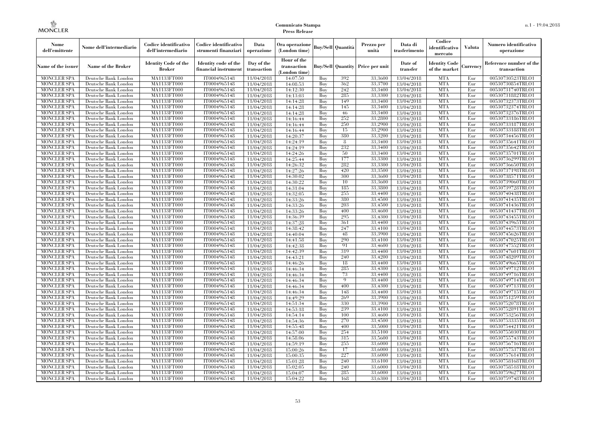| Nome<br>dell'emittente                   | Nome dell'intermediario                      | Codice identificativo<br>dell'intermediario  | Codice identificativo<br>strumenti finanziari | Data<br>operazione        | Ora operazione<br>(London time)             |            | Buv/Sell   Quantità      | Prezzo per<br>unità | Data di<br>trasferimento | Codice<br>identificativo<br>mercato   | <b>Valuta</b> | Numero identificativo<br>operazione    |
|------------------------------------------|----------------------------------------------|----------------------------------------------|-----------------------------------------------|---------------------------|---------------------------------------------|------------|--------------------------|---------------------|--------------------------|---------------------------------------|---------------|----------------------------------------|
| Name of the issuer                       | Name of the Broker                           | <b>Identity Code of the</b><br><b>Broker</b> | Identity code of the<br>financial instrument  | Day of the<br>transaction | Hour of the<br>transaction<br>(London time) |            | <b>Buy/Sell Quantity</b> | Price per unit      | Date of<br>transfer      | <b>Identity Code</b><br>of the market | Currencv      | Reference number of the<br>transaction |
| <b>MONCLER SPA</b>                       | Deutsche Bank London                         | MA1133FT000                                  | IT0004965148                                  | 11/04/2018                | 14:07:50                                    | Buy        | 392                      | 33,3600             | 13/04/2018               | <b>MTA</b>                            | Eur           | 00530730523TRLO1                       |
| <b>MONCLER SPA</b>                       | Deutsche Bank London                         | MA1133FT000                                  | IT0004965148                                  | 11/04/2018                | 14:08:53                                    | Buy        | 362                      | 33,3700             | 13/04/2018               | <b>MTA</b>                            | Eur           | 00530730854TRLO1                       |
| <b>MONCLER SPA</b>                       | Deutsche Bank London                         | MA1133FT000                                  | IT0004965148                                  | 11/04/2018                | 14:12:30                                    | Buv        | 242                      | 33.3400             | 13/04/2018               | <b>MTA</b>                            | Eur           | 00530731740TRLO1                       |
| <b>MONCLER SPA</b>                       | Deutsche Bank London                         | MA1133FT000                                  | IT0004965148                                  | 11/04/2018                | 14:13:03                                    | Buy        | 285                      | 33,3300             | 13/04/2018               | <b>MTA</b>                            | Eur           | 00530731882TRLO1                       |
| <b>MONCLER SPA</b>                       | Deutsche Bank London                         | MA1133FT000                                  | IT0004965148                                  | 11/04/2018                | 14:14:28                                    | Buy        | 149<br>145               | 33,3400<br>33,3400  | 13/04/2018               | <b>MTA</b><br><b>MTA</b>              | Eur           | 00530732373TRLO1                       |
| MONCLER SPA<br><b>MONCLER SPA</b>        | Deutsche Bank London<br>Deutsche Bank London | <b>MA1133FT000</b><br>MA1133FT000            | IT0004965148<br>IT0004965148                  | 11/04/2018<br>11/04/2018  | 14:14:28<br>14:14:28                        | Buy<br>Buy | 46                       | 33,3400             | 13/04/2018<br>13/04/2018 | <b>MTA</b>                            | Eur<br>Eur    | 00530732374TRLO1<br>00530732376TRLO1   |
| <b>MONCLER SPA</b>                       | Deutsche Bank London                         | MA1133FT000                                  | IT0004965148                                  | 11/04/2018                | 14:16:44                                    | Buv        | 252                      | 33,2800             | 13/04/2018               | <b>MTA</b>                            | Eur           | 00530733186TRLO1                       |
| <b>MONCLER SPA</b>                       | Deutsche Bank London                         | MA1133FT000                                  | IT0004965148                                  | 11/04/2018                | 14:16:44                                    | Buy        | 250                      | 33,2900             | 13/04/2018               | <b>MTA</b>                            | Eur           | 00530733187TRLO1                       |
| <b>MONCLER SPA</b>                       | Deutsche Bank London                         | <b>MA1133FT000</b>                           | IT0004965148                                  | 11/04/2018                | 14:16:44                                    | Buy        | 15                       | 33,2900             | 13/04/2018               | <b>MTA</b>                            | Eur           | 00530733188TRLO1                       |
| <b>MONCLER SPA</b>                       | Deutsche Bank London                         | MA1133FT000                                  | IT0004965148                                  | 11/04/2018                | 14:20:37                                    | Buy        | 380                      | 33,3200             | 13/04/2018               | <b>MTA</b>                            | Eur           | 00530734456TRLO1                       |
| <b>MONCLER SPA</b>                       | Deutsche Bank London                         | MA1133FT000                                  | IT0004965148                                  | 11/04/2018                | 14:24:19                                    | Buy        | 8                        | 33,3400             | 13/04/2018               | <b>MTA</b>                            | Eur           | 00530735641TRLO1                       |
| <b>MONCLER SPA</b>                       | Deutsche Bank London                         | MA1133FT000                                  | IT0004965148                                  | 11/04/2018                | 14:24:19                                    | Buy        | 232                      | 33,3400             | 13/04/2018               | <b>MTA</b>                            | Eur           | 00530735642TRLO1                       |
| <b>MONCLER SPA</b>                       | Deutsche Bank London                         | MA1133FT000                                  | IT0004965148                                  | 11/04/2018                | 14:24:26                                    | Buy        | 50                       | 33,3400             | 13/04/2018               | <b>MTA</b>                            | Eur           | 00530735701TRLO1                       |
| <b>MONCLER SPA</b>                       | Deutsche Bank London                         | MA1133FT000                                  | IT0004965148                                  | 11/04/2018                | 14:25:44                                    | Buy        | 177                      | 33,3300             | 13/04/2018               | <b>MTA</b>                            | Eur           | 00530736299TRLO1                       |
| <b>MONCLER SPA</b>                       | Deutsche Bank London                         | MA1133FT000                                  | IT0004965148                                  | 11/04/2018                | 14:26:32                                    | Buy        | 282                      | 33,3300             | 13/04/2018               | <b>MTA</b>                            | Eur           | 00530736650TRLO1                       |
| <b>MONCLER SPA</b>                       | Deutsche Bank London                         | MA1133FT000                                  | IT0004965148                                  | 11/04/2018                | 14:27:26                                    | Buy        | 420                      | 33,3500             | 13/04/2018               | <b>MTA</b>                            | Eur           | 00530737198TRLO1                       |
| <b>MONCLER SPA</b>                       | Deutsche Bank London                         | MA1133FT000                                  | IT0004965148                                  | 11/04/2018                | 14:30:02                                    | Buy        | 300                      | 33,3600             | 13/04/2018               | <b>MTA</b>                            | Eur           | 00530738571TRLO1                       |
| <b>MONCLER SPA</b>                       | Deutsche Bank London                         | MA1133FT000                                  | IT0004965148                                  | 11/04/2018                | 14:30:22                                    | Buy        | 10                       | 33,3600             | 13/04/2018               | <b>MTA</b>                            | Eur           | 00530739060TRLO1                       |
| <b>MONCLER SPA</b>                       | Deutsche Bank London                         | MA1133FT000                                  | IT0004965148                                  | 11/04/2018                | 14:31:04                                    | Buy        | 185                      | 33,3800             | 13/04/2018               | <b>MTA</b>                            | Eur           | 00530739728TRLO1                       |
| <b>MONCLER SPA</b>                       | Deutsche Bank London                         | MA1133FT000                                  | IT0004965148                                  | 11/04/2018                | 14:32:05                                    | Buy        | 255                      | 33,4400             | 13/04/2018               | <b>MTA</b>                            | Eur           | 00530740438TRLO1                       |
| MONCLER SPA<br><b>MONCLER SPA</b>        | Deutsche Bank London                         | MA1133FT000                                  | IT0004965148<br>IT0004965148                  | 11/04/2018                | 14:33:26                                    | Buy<br>Buy | 380<br>203               | 33,4500<br>33,4500  | 13/04/2018<br>13/04/2018 | <b>MTA</b><br><b>MTA</b>              | Eur<br>Eur    | 00530741435TRLO1<br>00530741436TRLO1   |
| <b>MONCLER SPA</b>                       | Deutsche Bank London<br>Deutsche Bank London | MA1133FT000<br>MA1133FT000                   | IT0004965148                                  | 11/04/2018                | 14:33:26<br>14:33:26                        | Buy        | 400                      | 33,4600             | 13/04/2018               | <b>MTA</b>                            | Eur           | 00530741437TRLO1                       |
| <b>MONCLER SPA</b>                       | Deutsche Bank London                         | MA1133FT000                                  | IT0004965148                                  | 11/04/2018<br>11/04/2018  | 14:36:39                                    | Buy        | 295                      | 33,4300             | 13/04/2018               | <b>MTA</b>                            | Eur           | 00530743455TRLO1                       |
| <b>MONCLER SPA</b>                       | Deutsche Bank London                         | MA1133FT000                                  | IT0004965148                                  | 11/04/2018                | 14:37:28                                    | Buy        | 361                      | 33,4400             | 13/04/2018               | <b>MTA</b>                            | Eur           | 00530743965TRLO1                       |
| <b>MONCLER SPA</b>                       | Deutsche Bank London                         | MA1133FT000                                  | IT0004965148                                  | 11/04/2018                | 14:38:42                                    | Buy        | 247                      | 33,4100             | 13/04/2018               | <b>MTA</b>                            | Eur           | 00530744573TRLO1                       |
| <b>MONCLER SPA</b>                       | Deutsche Bank London                         | MA1133FT000                                  | IT0004965148                                  | 11/04/2018                | 14:40:04                                    | Buy        | 48                       | 33,3900             | 13/04/2018               | <b>MTA</b>                            | Eur           | 00530745626TRLO1                       |
| <b>MONCLER SPA</b>                       | Deutsche Bank London                         | MA1133FT000                                  | IT0004965148                                  | 11/04/2018                | 14:41:58                                    | Buy        | 290                      | 33,4100             | 13/04/2018               | <b>MTA</b>                            | Eur           | 00530747025TRLO1                       |
| <b>MONCLER SPA</b>                       | Deutsche Bank London                         | <b>MA1133FT000</b>                           | IT0004965148                                  | 11/04/2018                | 14:42:38                                    | Buy        | 91                       | 33,4600             | 13/04/2018               | <b>MTA</b>                            | Eur           | 00530747552TRLO1                       |
| MONCLER SPA                              | Deutsche Bank London                         | MA1133FT000                                  | IT0004965148                                  | 11/04/2018                | 14:42:39                                    | Buy        | 319                      | 33,4400             | 13/04/2018               | <b>MTA</b>                            | Eur           | 00530747601TRLO1                       |
| <b>MONCLER SPA</b>                       | Deutsche Bank London                         | MA1133FT000                                  | IT0004965148                                  | 11/04/2018                | 14:43:21                                    | Buy        | 240                      | 33,4200             | 13/04/2018               | <b>MTA</b>                            | Eur           | 00530748209TRLO1                       |
| <b>MONCLER SPA</b>                       | Deutsche Bank London                         | MA1133FT000                                  | IT0004965148                                  | 11/04/2018                | 14:46:26                                    | Buy        | 18                       | 33,4400             | 13/04/2018               | <b>MTA</b>                            | Eur           | 00530749665TRLO1                       |
| <b>MONCLER SPA</b>                       | Deutsche Bank London                         | MA1133FT000                                  | IT0004965148                                  | 11/04/2018                | 14:46:34                                    | Buy        | 285                      | 33,4300             | 13/04/2018               | <b>MTA</b>                            | Eur           | 00530749712TRLO1                       |
| <b>MONCLER SPA</b>                       | Deutsche Bank London                         | MA1133FT000                                  | IT0004965148                                  | 11/04/2018                | 14:46:34                                    | Buy        | 73                       | 33,4400             | 13/04/2018               | <b>MTA</b>                            | Eur           | 00530749716TRLO1                       |
| <b>MONCLER SPA</b>                       | Deutsche Bank London                         | MA1133FT000                                  | IT0004965148                                  | 11/04/2018                | 14:46:34                                    | Buy        | 9                        | 33,4400             | 13/04/2018               | <b>MTA</b>                            | Eur           | 00530749714TRLO1                       |
| <b>MONCLER SPA</b>                       | Deutsche Bank London                         | MA1133FT000                                  | IT0004965148                                  | 11/04/2018                | 14:46:34                                    | Buy        | 400                      | 33,4300             | 13/04/2018               | <b>MTA</b>                            | Eur           | 00530749713TRLO1                       |
| <b>MONCLER SPA</b>                       | Deutsche Bank London                         | <b>MA1133FT000</b>                           | IT0004965148                                  | 11/04/2018                | 14:46:34                                    | Buy        | 148                      | 33,4400             | 13/04/2018               | <b>MTA</b>                            | Eur           | 00530749715TRLO1                       |
| <b>MONCLER SPA</b>                       | Deutsche Bank London                         | MA1133FT000                                  | IT0004965148                                  | 11/04/2018                | 14:49:29                                    | Buy        | 269                      | 33,3900             | 13/04/2018               | <b>MTA</b>                            | Eur           | 00530751259TRLO1                       |
| <b>MONCLER SPA</b>                       | Deutsche Bank London                         | <b>MA1133FT000</b>                           | IT0004965148                                  | 11/04/2018                | 14:51:34                                    | Buy        | 330                      | 33,3900             | 13/04/2018               | <b>MTA</b>                            | Eur           | 00530752078TRLO1                       |
| <b>MONCLER SPA</b>                       | Deutsche Bank London                         | MA1133FT000                                  | IT0004965148<br>IT0004965148                  | 11/04/2018                | 14:53:18                                    | Buy        | 239<br>100               | 33,4100<br>33,4600  | 13/04/2018<br>13/04/2018 | <b>MTA</b><br><b>MTA</b>              | Eur           | 00530752891TRLO1                       |
| <b>MONCLER SPA</b><br><b>MONCLER SPA</b> | Deutsche Bank London<br>Deutsche Bank London | MA1133FT000<br>MA1133FT000                   | IT0004965148                                  | 11/04/2018<br>11/04/2018  | 14:54:14<br>14:54:36                        | Buy<br>Buy | 270                      | 33,4500             | 13/04/2018               | <b>MTA</b>                            | Eur<br>Eur    | 00530753256TRLO1<br>00530753335TRLO1   |
| <b>MONCLER SPA</b>                       | Deutsche Bank London                         | MA1133FT000                                  | IT0004965148                                  | 11/04/2018                | 14:55:48                                    | Buy        | 400                      | 33,5000             | 13/04/2018               | <b>MTA</b>                            | Eur           | 00530754421TRLO1                       |
| <b>MONCLER SPA</b>                       | Deutsche Bank London                         | MA1133FT000                                  | IT0004965148                                  | 11/04/2018                | 14:57:00                                    | Buy        | 254                      | 33,5100             | 13/04/2018               | <b>MTA</b>                            | Eur           | 00530755030TRLO1                       |
| <b>MONCLER SPA</b>                       | Deutsche Bank London                         | MA1133FT000                                  | IT0004965148                                  | 11/04/2018                | 14:58:06                                    | Buy        | 315                      | 33,5600             | 13/04/2018               | <b>MTA</b>                            | Eur           | 00530755743TRLO1                       |
| <b>MONCLER SPA</b>                       | Deutsche Bank London                         | MA1133FT000                                  | IT0004965148                                  | 11/04/2018                | 14:59:19                                    | Buy        | 255                      | 33,6000             | 13/04/2018               | <b>MTA</b>                            | Eur           | 00530756716TRLO1                       |
| <b>MONCLER SPA</b>                       | Deutsche Bank London                         | MA1133FT000                                  | IT0004965148                                  | 11/04/2018                | 15:00:26                                    | Buy        | 17                       | 33,6000             | 13/04/2018               | <b>MTA</b>                            | Eur           | 00530757537TRLO1                       |
| <b>MONCLER SPA</b>                       | Deutsche Bank London                         | MA1133FT000                                  | IT0004965148                                  | 11/04/2018                | 15:00:35                                    | Buy        | 227                      | 33,6000             | 13/04/2018               | <b>MTA</b>                            | Eur           | 00530757614TRLO1                       |
| <b>MONCLER SPA</b>                       | Deutsche Bank London                         | MA1133FT000                                  | IT0004965148                                  | 11/04/2018                | 15:01:28                                    | Buy        | 240                      | 33,6100             | 13/04/2018               | <b>MTA</b>                            | Eur           | 00530758168TRLO1                       |
| <b>MONCLER SPA</b>                       | Deutsche Bank London                         | MA1133FT000                                  | IT0004965148                                  | 11/04/2018                | 15:02:05                                    | Buy        | 240                      | 33,6000             | 13/04/2018               | <b>MTA</b>                            | Eur           | 00530758518TRLO1                       |
| <b>MONCLER SPA</b>                       | Deutsche Bank London                         | MA1133FT000                                  | IT0004965148                                  | 11/04/2018                | 15:04:07                                    | Buy        | 285                      | 33,6000             | 13/04/2018               | <b>MTA</b>                            | Eur           | 00530759627TRLO1                       |
| <b>MONCLER SPA</b>                       | Deutsche Bank London                         | MA1133FT000                                  | IT0004965148                                  | 11/04/2018                | 15:04:22                                    | Buy        | 168                      | 33,6300             | 13/04/2018               | <b>MTA</b>                            | Eur           | 00530759748TRLO1                       |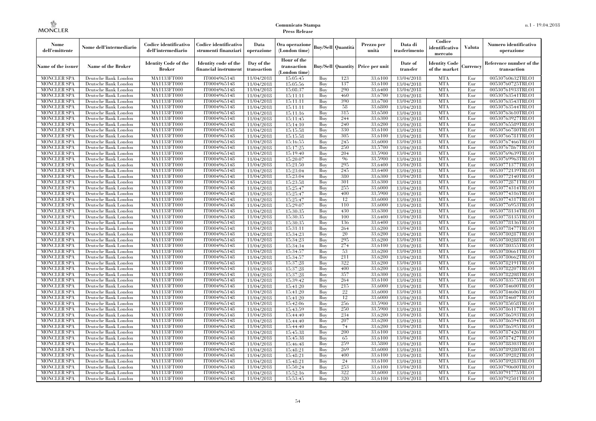| Nome<br>dell'emittente                   | Nome dell'intermediario                      | Codice identificativo<br>dell'intermediario  | Codice identificativo<br>strumenti finanziari | Data<br>operazione        | Ora operazione<br>(London time)             |            | Buv/Sell   Quantità      | Prezzo per<br>unità | Data di<br>trasferimento | Codice<br>identificativo<br>mercato   | <b>Valuta</b> | Numero identificativo<br>operazione    |
|------------------------------------------|----------------------------------------------|----------------------------------------------|-----------------------------------------------|---------------------------|---------------------------------------------|------------|--------------------------|---------------------|--------------------------|---------------------------------------|---------------|----------------------------------------|
| Name of the issuer                       | Name of the Broker                           | <b>Identity Code of the</b><br><b>Broker</b> | Identity code of the<br>financial instrument  | Day of the<br>transaction | Hour of the<br>transaction<br>(London time) |            | <b>Buy/Sell Quantity</b> | Price per unit      | Date of<br>transfer      | <b>Identity Code</b><br>of the market | Currencv      | Reference number of the<br>transaction |
| <b>MONCLER SPA</b>                       | Deutsche Bank London                         | MA1133FT000                                  | IT0004965148                                  | 11/04/2018                | 15:05:45                                    | Buy        | 123                      | 33,6100             | 13/04/2018               | <b>MTA</b>                            | Eur           | 00530760632TRLO1                       |
| <b>MONCLER SPA</b>                       | Deutsche Bank London                         | <b>MA1133FT000</b>                           | IT0004965148                                  | 11/04/2018                | 15:05:56                                    | Buy        | 137                      | 33,6100             | 13/04/2018               | <b>MTA</b>                            | Eur           | 00530760725TRLO1                       |
| <b>MONCLER SPA</b>                       | Deutsche Bank London                         | MA1133FT000                                  | IT0004965148                                  | 11/04/2018                | 15:08:37                                    | Buv        | 290                      | 33.6400             | 13/04/2018               | <b>MTA</b>                            | Eur           | 00530761933TRLO1                       |
| <b>MONCLER SPA</b>                       | Deutsche Bank London                         | MA1133FT000                                  | IT0004965148                                  | 11/04/2018                | 15:11:11                                    | Buy        | 460<br>390               | 33,6700             | 13/04/2018               | <b>MTA</b>                            | Eur           | 00530763541TRLO1                       |
| <b>MONCLER SPA</b>                       | Deutsche Bank London                         | MA1133FT000                                  | IT0004965148                                  | 11/04/2018                | 15:11:11                                    | Buy        | 58                       | 33,6700<br>33,6800  | 13/04/2018               | <b>MTA</b><br><b>MTA</b>              | Eur           | 00530763543TRLO1<br>00530763544TRLO1   |
| <b>MONCLER SPA</b><br><b>MONCLER SPA</b> | Deutsche Bank London<br>Deutsche Bank London | <b>MA1133FT000</b><br>MA1133FT000            | IT0004965148<br>IT0004965148                  | 11/04/2018<br>11/04/2018  | 15:11:11<br>15:11:16                        | Buy<br>Buy | 315                      | 33,6500             | 13/04/2018<br>13/04/2018 | <b>MTA</b>                            | Eur<br>Eur    | 00530763610TRLO1                       |
| <b>MONCLER SPA</b>                       | Deutsche Bank London                         | MA1133FT000                                  | IT0004965148                                  | 11/04/2018                | 15:11:45                                    | Buy        | 244                      | 33.6300             | 13/04/2018               | <b>MTA</b>                            | Eur           | 00530763927TRLO1                       |
| <b>MONCLER SPA</b>                       | Deutsche Bank London                         | MA1133FT000                                  | IT0004965148                                  | 11/04/2018                | 15:14:10                                    | Buy        | 240                      | 33,6200             | 13/04/2018               | <b>MTA</b>                            | Eur           | 00530765589TRLO1                       |
| <b>MONCLER SPA</b>                       | Deutsche Bank London                         | <b>MA1133FT000</b>                           | IT0004965148                                  | 11/04/2018                | 15:15:58                                    | Buy        | 330                      | 33,6100             | 13/04/2018               | <b>MTA</b>                            | Eur           | 00530766780TRLO1                       |
| <b>MONCLER SPA</b>                       | Deutsche Bank London                         | MA1133FT000                                  | IT0004965148                                  | 11/04/2018                | 15:15:58                                    | Buy        | 305                      | 33,6100             | 13/04/2018               | <b>MTA</b>                            | Eur           | 00530766781TRLO1                       |
| <b>MONCLER SPA</b>                       | Deutsche Bank London                         | MA1133FT000                                  | IT0004965148                                  | 11/04/2018                | 15:16:55                                    | Buy        | 245                      | 33,6000             | 13/04/2018               | <b>MTA</b>                            | Eur           | 00530767466TRLO1                       |
| <b>MONCLER SPA</b>                       | Deutsche Bank London                         | MA1133FT000                                  | IT0004965148                                  | 11/04/2018                | 15:17:25                                    | Buy        | 250                      | 33,5700             | 13/04/2018               | <b>MTA</b>                            | Eur           | 00530767867TRLO1                       |
| <b>MONCLER SPA</b>                       | Deutsche Bank London                         | MA1133FT000                                  | IT0004965148                                  | 11/04/2018                | 15:19:40                                    | Buy        | 204                      | 33,5900             | 13/04/2018               | <b>MTA</b>                            | Eur           | 00530769639TRLO1                       |
| <b>MONCLER SPA</b>                       | Deutsche Bank London                         | MA1133FT000                                  | IT0004965148                                  | 11/04/2018                | 15:20:07                                    | Buy        | 96                       | 33,5900             | 13/04/2018               | <b>MTA</b>                            | Eur           | 00530769963TRLO1                       |
| <b>MONCLER SPA</b>                       | Deutsche Bank London                         | MA1133FT000                                  | IT0004965148                                  | 11/04/2018                | 15:21:50                                    | Buy        | 295                      | 33,6400             | 13/04/2018               | <b>MTA</b>                            | Eur           | 00530771377TRLO1                       |
| <b>MONCLER SPA</b>                       | Deutsche Bank London                         | MA1133FT000                                  | IT0004965148                                  | 11/04/2018                | 15:23:04                                    | Buy        | 245                      | 33.6400             | 13/04/2018               | <b>MTA</b>                            | Eur           | 00530772139TRLO1                       |
| <b>MONCLER SPA</b>                       | Deutsche Bank London                         | MA1133FT000                                  | IT0004965148                                  | 11/04/2018                | 15:23:04                                    | Buy        | 380                      | 33,6300             | 13/04/2018               | <b>MTA</b>                            | Eur           | 00530772140TRLO1                       |
| <b>MONCLER SPA</b>                       | Deutsche Bank London                         | MA1133FT000                                  | IT0004965148                                  | 11/04/2018                | 15:23:58                                    | Buy        | 301                      | 33,6300             | 13/04/2018               | <b>MTA</b>                            | Eur           | 00530772871TRLO1                       |
| <b>MONCLER SPA</b>                       | Deutsche Bank London                         | MA1133FT000                                  | IT0004965148                                  | 11/04/2018                | 15:25:47                                    | Buy        | 255                      | 33,6000             | 13/04/2018               | <b>MTA</b>                            | Eur           | 00530774314TRLO1                       |
| <b>MONCLER SPA</b>                       | Deutsche Bank London                         | MA1133FT000                                  | IT0004965148                                  | 11/04/2018                | 15:25:47                                    | Buy        | 400                      | 33,5900             | 13/04/2018               | <b>MTA</b>                            | Eur           | 00530774316TRLO1                       |
| <b>MONCLER SPA</b><br><b>MONCLER SPA</b> | Deutsche Bank London                         | MA1133FT000                                  | IT0004965148<br>IT0004965148                  | 11/04/2018                | 15:25:47                                    | Buy<br>Buy | 12<br>110                | 33,6000<br>33,6000  | 13/04/2018<br>13/04/2018 | <b>MTA</b><br><b>MTA</b>              | Eur<br>Eur    | 00530774317TRLO1<br>00530776953TRLO1   |
| <b>MONCLER SPA</b>                       | Deutsche Bank London<br>Deutsche Bank London | MA1133FT000<br>MA1133FT000                   | IT0004965148                                  | 11/04/2018                | 15:29:07<br>15:30:35                        | Buy        | 430                      | 33,6300             | 13/04/2018               | <b>MTA</b>                            | Eur           | 00530778134TRLO1                       |
| <b>MONCLER SPA</b>                       | Deutsche Bank London                         | MA1133FT000                                  | IT0004965148                                  | 11/04/2018<br>11/04/2018  | 15:30:35                                    | Buy        | 100                      | 33,6400             | 13/04/2018               | <b>MTA</b>                            | Eur           | 00530778135TRLO1                       |
| <b>MONCLER SPA</b>                       | Deutsche Bank London                         | MA1133FT000                                  | IT0004965148                                  | 11/04/2018                | 15:30:35                                    | Buy        | 136                      | 33,6400             | 13/04/2018               | <b>MTA</b>                            | Eur           | 00530778136TRLO1                       |
| <b>MONCLER SPA</b>                       | Deutsche Bank London                         | MA1133FT000                                  | IT0004965148                                  | 11/04/2018                | 15:31:11                                    | Buy        | 264                      | 33,6200             | 13/04/2018               | <b>MTA</b>                            | Eur           | 00530778477TRLO1                       |
| <b>MONCLER SPA</b>                       | Deutsche Bank London                         | MA1133FT000                                  | IT0004965148                                  | 11/04/2018                | 15:34:23                                    | Buy        | 20                       | 33,6200             | 13/04/2018               | <b>MTA</b>                            | Eur           | 00530780287TRLO1                       |
| <b>MONCLER SPA</b>                       | Deutsche Bank London                         | MA1133FT000                                  | IT0004965148                                  | 11/04/2018                | 15:34:23                                    | Buy        | 295                      | 33,6200             | 13/04/2018               | <b>MTA</b>                            | Eur           | 00530780288TRLO1                       |
| <b>MONCLER SPA</b>                       | Deutsche Bank London                         | <b>MA1133FT000</b>                           | IT0004965148                                  | 11/04/2018                | 15:34:34                                    | Buy        | 274                      | 33,6100             | 13/04/2018               | <b>MTA</b>                            | Eur           | 00530780355TRLO1                       |
| MONCLER SPA                              | Deutsche Bank London                         | MA1133FT000                                  | IT0004965148                                  | 11/04/2018                | 15:34:57                                    | Buy        | 53                       | 33,6200             | 13/04/2018               | <b>MTA</b>                            | Eur           | 00530780661TRLO1                       |
| <b>MONCLER SPA</b>                       | Deutsche Bank London                         | MA1133FT000                                  | IT0004965148                                  | 11/04/2018                | 15:34:57                                    | Buy        | 211                      | 33,6200             | 13/04/2018               | <b>MTA</b>                            | Eur           | 00530780662TRLO1                       |
| <b>MONCLER SPA</b>                       | Deutsche Bank London                         | MA1133FT000                                  | IT0004965148                                  | 11/04/2018                | 15:37:28                                    | Buy        | 322                      | 33,6200             | 13/04/2018               | <b>MTA</b>                            | Eur           | 00530782191TRLO1                       |
| <b>MONCLER SPA</b>                       | Deutsche Bank London                         | MA1133FT000                                  | IT0004965148                                  | 11/04/2018                | 15:37:28                                    | Buy        | 400                      | 33,6200             | 13/04/2018               | <b>MTA</b>                            | Eur           | 00530782207TRLO1                       |
| <b>MONCLER SPA</b>                       | Deutsche Bank London                         | MA1133FT000                                  | IT0004965148                                  | 11/04/2018                | 15:37:28                                    | Buy        | 357                      | 33,6300             | 13/04/2018               | <b>MTA</b>                            | Eur           | 00530782208TRLO1                       |
| <b>MONCLER SPA</b>                       | Deutsche Bank London                         | MA1133FT000                                  | IT0004965148                                  | 11/04/2018                | 15:39:42                                    | Buy        | 264                      | 33,6100             | 13/04/2018               | <b>MTA</b>                            | Eur           | 00530783575TRLO1                       |
| <b>MONCLER SPA</b>                       | Deutsche Bank London                         | MA1133FT000                                  | IT0004965148                                  | 11/04/2018                | 15:41:20                                    | Buy        | 215                      | 33,6000             | 13/04/2018               | <b>MTA</b>                            | Eur           | 00530784600TRLO1                       |
| <b>MONCLER SPA</b>                       | Deutsche Bank London                         | <b>MA1133FT000</b>                           | IT0004965148                                  | 11/04/2018                | 15:41:20                                    | Buy        | 22                       | 33,6000             | 13/04/2018               | <b>MTA</b>                            | Eur           | 00530784606TRLO1                       |
| <b>MONCLER SPA</b>                       | Deutsche Bank London                         | MA1133FT000                                  | IT0004965148                                  | 11/04/2018                | 15:41:20                                    | Buy        | 12                       | 33,6000             | 13/04/2018               | <b>MTA</b>                            | Eur           | 00530784607TRLO1                       |
| <b>MONCLER SPA</b>                       | Deutsche Bank London                         | <b>MA1133FT000</b>                           | IT0004965148                                  | 11/04/2018                | 15:42:06                                    | Buy        | 256                      | 33,5900             | 13/04/2018               | <b>MTA</b>                            | Eur           | 00530785058TRLO1                       |
| <b>MONCLER SPA</b>                       | Deutsche Bank London                         | MA1133FT000                                  | IT0004965148<br>IT0004965148                  | 11/04/2018                | 15:43:59<br>15:44:40                        | Buy        | 250<br>234               | 33,5900<br>33,6200  | 13/04/2018<br>13/04/2018 | <b>MTA</b><br><b>MTA</b>              | Eur           | 00530786117TRLO1                       |
| <b>MONCLER SPA</b><br><b>MONCLER SPA</b> | Deutsche Bank London<br>Deutsche Bank London | MA1133FT000<br>MA1133FT000                   | IT0004965148                                  | 11/04/2018<br>11/04/2018  | 15:44:40                                    | Buy<br>Buy | 207                      | 33,6200             | 13/04/2018               | <b>MTA</b>                            | Eur<br>Eur    | 00530786593TRLO1<br>00530786594TRLO1   |
| <b>MONCLER SPA</b>                       | Deutsche Bank London                         | MA1133FT000                                  | IT0004965148                                  | 11/04/2018                | 15:44:40                                    | Buy        | 74                       | 33,6200             | 13/04/2018               | <b>MTA</b>                            | Eur           | 00530786595TRLO1                       |
| <b>MONCLER SPA</b>                       | Deutsche Bank London                         | MA1133FT000                                  | IT0004965148                                  | 11/04/2018                | 15:45:38                                    | Buy        | 200                      | 33,6100             | 13/04/2018               | <b>MTA</b>                            | Eur           | 00530787426TRLO1                       |
| <b>MONCLER SPA</b>                       | Deutsche Bank London                         | MA1133FT000                                  | IT0004965148                                  | 11/04/2018                | 15:45:38                                    | Buy        | 65                       | 33,6100             | 13/04/2018               | <b>MTA</b>                            | Eur           | 00530787427TRLO1                       |
| <b>MONCLER SPA</b>                       | Deutsche Bank London                         | MA1133FT000                                  | IT0004965148                                  | 11/04/2018                | 15:46:48                                    | Buy        | 259                      | 33,5800             | 13/04/2018               | <b>MTA</b>                            | Eur           | 00530788303TRLO1                       |
| <b>MONCLER SPA</b>                       | Deutsche Bank London                         | MA1133FT000                                  | IT0004965148                                  | 11/04/2018                | 15:48:21                                    | Buy        | 269                      | 33,6000             | 13/04/2018               | <b>MTA</b>                            | Eur           | 00530789280TRLO1                       |
| <b>MONCLER SPA</b>                       | Deutsche Bank London                         | MA1133FT000                                  | IT0004965148                                  | 11/04/2018                | 15:48:21                                    | Buy        | 400                      | 33,6100             | 13/04/2018               | <b>MTA</b>                            | Eur           | 00530789282TRLO1                       |
| <b>MONCLER SPA</b>                       | Deutsche Bank London                         | MA1133FT000                                  | IT0004965148                                  | 11/04/2018                | 15:48:21                                    | Buy        | 24                       | 33,6100             | 13/04/2018               | <b>MTA</b>                            | Eur           | 00530789283TRLO1                       |
| <b>MONCLER SPA</b>                       | Deutsche Bank London                         | MA1133FT000                                  | IT0004965148                                  | 11/04/2018                | 15:50:24                                    | Buy        | 253                      | 33,6100             | 13/04/2018               | <b>MTA</b>                            | Eur           | 00530790600TRLO1                       |
| <b>MONCLER SPA</b>                       | Deutsche Bank London                         | MA1133FT000                                  | IT0004965148                                  | 11/04/2018                | 15:52:16                                    | Buy        | 322                      | 33,6000             | 13/04/2018               | <b>MTA</b>                            | Eur           | 00530791775TRLO1                       |
| <b>MONCLER SPA</b>                       | Deutsche Bank London                         | MA1133FT000                                  | IT0004965148                                  | 11/04/2018                | 15:53:45                                    | Buy        | 320                      | 33,6100             | 13/04/2018               | <b>MTA</b>                            | Eur           | 00530792501TRLO1                       |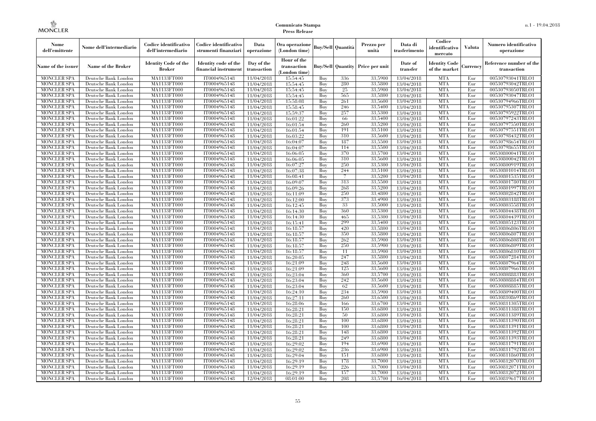| Nome<br>dell'emittente                   | Nome dell'intermediario                      | Codice identificativo<br>dell'intermediario  | Codice identificativo<br>strumenti finanziari | Data<br>operazione        | Ora operazione<br>(London time)             |            | Buy/Sell   Quantità      | Prezzo per<br>unità | Data di<br>trasferimento | Codice<br>identificativo<br>mercato   | <b>Valuta</b> | Numero identificativo<br>operazione    |
|------------------------------------------|----------------------------------------------|----------------------------------------------|-----------------------------------------------|---------------------------|---------------------------------------------|------------|--------------------------|---------------------|--------------------------|---------------------------------------|---------------|----------------------------------------|
| Name of the issuer                       | Name of the Broker                           | <b>Identity Code of the</b><br><b>Broker</b> | Identity code of the<br>financial instrument  | Day of the<br>transaction | Hour of the<br>transaction<br>(London time) |            | <b>Buy/Sell Quantity</b> | Price per unit      | Date of<br>transfer      | <b>Identity Code</b><br>of the market | Currencv      | Reference number of the<br>transaction |
| <b>MONCLER SPA</b>                       | Deutsche Bank London                         | MA1133FT000                                  | IT0004965148                                  | 11/04/2018                | 15:54:45                                    | Buy        | 336                      | 33,5900             | 13/04/2018               | <b>MTA</b>                            | Eur           | 00530793041TRLO1                       |
| <b>MONCLER SPA</b>                       | Deutsche Bank London                         | <b>MA1133FT000</b>                           | IT0004965148                                  | 11/04/2018                | 15:54:45                                    | Buy        | 280                      | 33,5800             | 13/04/2018               | <b>MTA</b>                            | Eur           | 00530793042TRLO1                       |
| <b>MONCLER SPA</b>                       | Deutsche Bank London                         | MA1133FT000                                  | IT0004965148                                  | 11/04/2018                | 15:54:45                                    | Buv        | 25                       | 33,5900             | 13/04/2018               | <b>MTA</b><br><b>MTA</b>              | Eur           | 00530793050TRLO1                       |
| <b>MONCLER SPA</b><br><b>MONCLER SPA</b> | Deutsche Bank London<br>Deutsche Bank London | MA1133FT000<br>MA1133FT000                   | IT0004965148<br>IT0004965148                  | 11/04/2018                | 15:54:45<br>15:58:08                        | Buy<br>Buy | 565<br>261               | 33,5800<br>33,5600  | 13/04/2018               | <b>MTA</b>                            | Eur<br>Eur    | 00530793047TRLO1<br>00530794966TRLO1   |
|                                          | Deutsche Bank London                         | <b>MA1133FT000</b>                           | IT0004965148                                  | 11/04/2018                |                                             | Buy        | 246                      | 33,5400             | 13/04/2018               | <b>MTA</b>                            | Eur           | 00530795307TRLO1                       |
| <b>MONCLER SPA</b><br><b>MONCLER SPA</b> | Deutsche Bank London                         | MA1133FT000                                  | IT0004965148                                  | 11/04/2018<br>11/04/2018  | 15:58:45<br>15:59:37                        | Buy        | 257                      | 33,5300             | 13/04/2018<br>13/04/2018 | <b>MTA</b>                            | Eur           | 00530795922TRLO1                       |
| <b>MONCLER SPA</b>                       | Deutsche Bank London                         | MA1133FT000                                  | IT0004965148                                  | 11/04/2018                | 16:01:22                                    | Buy        | 66                       | 33.5400             | 13/04/2018               | <b>MTA</b>                            | Eur           | 00530797243TRLO1                       |
| <b>MONCLER SPA</b>                       | Deutsche Bank London                         | MA1133FT000                                  | IT0004965148                                  | 11/04/2018                | 16:01:54                                    | Buy        | 260                      | 33,5200             | 13/04/2018               | <b>MTA</b>                            | Eur           | 00530797550TRLO1                       |
| <b>MONCLER SPA</b>                       | Deutsche Bank London                         | MA1133FT000                                  | IT0004965148                                  | 11/04/2018                | 16:01:54                                    | Buy        | 191                      | 33,5100             | 13/04/2018               | <b>MTA</b>                            | Eur           | 00530797551TRLO1                       |
| <b>MONCLER SPA</b>                       | Deutsche Bank London                         | MA1133FT000                                  | IT0004965148                                  | 11/04/2018                | 16:03:22                                    | Buy        | 310                      | 33,5600             | 13/04/2018               | <b>MTA</b>                            | Eur           | 00530798432TRLO1                       |
| <b>MONCLER SPA</b>                       | Deutsche Bank London                         | MA1133FT000                                  | IT0004965148                                  | 11/04/2018                | 16:04:07                                    | Buy        | 187                      | 33,5500             | 13/04/2018               | <b>MTA</b>                            | Eur           | 00530798654TRLO1                       |
| <b>MONCLER SPA</b>                       | Deutsche Bank London                         | MA1133FT000                                  | IT0004965148                                  | 11/04/2018                | 16:04:07                                    | Buy        | 114                      | 33,5500             | 13/04/2018               | <b>MTA</b>                            | Eur           | 00530798655TRLO1                       |
| <b>MONCLER SPA</b>                       | Deutsche Bank London                         | MA1133FT000                                  | IT0004965148                                  | 11/04/2018                | 16:06:05                                    | Buy        | 370                      | 33,5700             | 13/04/2018               | <b>MTA</b>                            | Eur           | 00530800041TRLO1                       |
| <b>MONCLER SPA</b>                       | Deutsche Bank London                         | MA1133FT000                                  | IT0004965148                                  | 11/04/2018                | 16:06:05                                    | Buy        | 310                      | 33,5600             | 13/04/2018               | <b>MTA</b>                            | Eur           | 00530800042TRLO1                       |
| <b>MONCLER SPA</b>                       | Deutsche Bank London                         | MA1133FT000                                  | IT0004965148                                  | 11/04/2018                | 16:07:27                                    | Buy        | 250                      | 33,5300             | 13/04/2018               | <b>MTA</b>                            | Eur           | 00530800919TRLO1                       |
| <b>MONCLER SPA</b>                       | Deutsche Bank London                         | MA1133FT000                                  | IT0004965148                                  | 11/04/2018                | 16:07:38                                    | Buy        | 244                      | 33,5100             | 13/04/2018               | <b>MTA</b>                            | Eur           | 00530801014TRLO1                       |
| <b>MONCLER SPA</b>                       | Deutsche Bank London                         | MA1133FT000                                  | IT0004965148                                  | 11/04/2018                | 16:08:41                                    | Buy        | 7                        | 33,5200             | 13/04/2018               | <b>MTA</b>                            | Eur           | 00530801535TRLO1                       |
| <b>MONCLER SPA</b>                       | Deutsche Bank London                         | MA1133FT000                                  | IT0004965148                                  | 11/04/2018                | 16:09:07                                    | Buy        | 313                      | 33,5500             | 13/04/2018               | <b>MTA</b>                            | Eur           | 00530801780TRLO1                       |
| <b>MONCLER SPA</b>                       | Deutsche Bank London                         | MA1133FT000                                  | IT0004965148                                  | 11/04/2018                | 16:09:26                                    | Buy        | 268                      | 33,5200             | 13/04/2018               | <b>MTA</b>                            | Eur           | 00530801997TRLO1                       |
| <b>MONCLER SPA</b>                       | Deutsche Bank London                         | <b>MA1133FT000</b>                           | IT0004965148                                  | 11/04/2018                | 16:11:09                                    | Buy        | 250                      | 33,4800             | 13/04/2018               | <b>MTA</b>                            | Eur           | 00530802842TRLO1                       |
| <b>MONCLER SPA</b>                       | Deutsche Bank London                         | MA1133FT000                                  | IT0004965148                                  | 11/04/2018                | 16:12:00                                    | Buy        | 373                      | 33,4900             | 13/04/2018               | <b>MTA</b>                            | Eur           | 00530803188TRLO1                       |
| <b>MONCLER SPA</b>                       | Deutsche Bank London                         | MA1133FT000                                  | IT0004965148                                  | 11/04/2018                | 16:12:45                                    | Buy        | 33                       | 33,5000             | 13/04/2018               | <b>MTA</b>                            | Eur           | 00530803558TRLO1                       |
| <b>MONCLER SPA</b><br><b>MONCLER SPA</b> | Deutsche Bank London<br>Deutsche Bank London | MA1133FT000<br>MA1133FT000                   | IT0004965148<br>IT0004965148                  | 11/04/2018<br>11/04/2018  | 16:14:30<br>16:14:30                        | Buy<br>Buy | 360<br>465               | 33,5300<br>33,5300  | 13/04/2018<br>13/04/2018 | <b>MTA</b><br><b>MTA</b>              | Eur<br>Eur    | 00530804438TRLO1<br>00530804439TRLO1   |
| <b>MONCLER SPA</b>                       | Deutsche Bank London                         | MA1133FT000                                  | IT0004965148                                  | 11/04/2018                | 16:15:41                                    | Buy        | 299                      | 33,5400             | 13/04/2018               | <b>MTA</b>                            | Eur           | 00530805123TRLO1                       |
| <b>MONCLER SPA</b>                       | Deutsche Bank London                         | MA1133FT000                                  | IT0004965148                                  | 11/04/2018                | 16:18:57                                    | Buy        | 420                      | 33,5800             | 13/04/2018               | <b>MTA</b>                            | Eur           | 00530806806TRLO1                       |
| <b>MONCLER SPA</b>                       | Deutsche Bank London                         | MA1133FT000                                  | IT0004965148                                  | 11/04/2018                | 16:18:57                                    | Buy        | 350                      | 33,5800             | 13/04/2018               | <b>MTA</b>                            | Eur           | 00530806807TRLO1                       |
| <b>MONCLER SPA</b>                       | Deutsche Bank London                         | MA1133FT000                                  | IT0004965148                                  | 11/04/2018                | 16:18:57                                    | Buy        | 262                      | 33,5900             | 13/04/2018               | <b>MTA</b>                            | Eur           | 00530806808TRLO1                       |
| <b>MONCLER SPA</b>                       | Deutsche Bank London                         | <b>MA1133FT000</b>                           | IT0004965148                                  | 11/04/2018                | 16:18:57                                    | Buy        | 250                      | 33,5900             | 13/04/2018               | <b>MTA</b>                            | Eur           | 00530806809TRLO1                       |
| <b>MONCLER SPA</b>                       | Deutsche Bank London                         | MA1133FT000                                  | IT0004965148                                  | 11/04/2018                | 16:18:57                                    | Buy        | 11                       | 33,5900             | 13/04/2018               | <b>MTA</b>                            | Eur           | 00530806810TRLO1                       |
| <b>MONCLER SPA</b>                       | Deutsche Bank London                         | MA1133FT000                                  | IT0004965148                                  | 11/04/2018                | 16:20:05                                    | Buy        | 247                      | 33,5800             | 13/04/2018               | <b>MTA</b>                            | Eur           | 00530807284TRLO1                       |
| <b>MONCLER SPA</b>                       | Deutsche Bank London                         | MA1133FT000                                  | IT0004965148                                  | 11/04/2018                | 16:21:09                                    | Buv        | 248                      | 33,5600             | 13/04/2018               | <b>MTA</b>                            | Eur           | 00530807964TRLO1                       |
| <b>MONCLER SPA</b>                       | Deutsche Bank London                         | MA1133FT000                                  | IT0004965148                                  | 11/04/2018                | 16:21:09                                    | Buy        | 125                      | 33,5600             | 13/04/2018               | <b>MTA</b>                            | Eur           | 00530807966TRLO1                       |
| <b>MONCLER SPA</b>                       | Deutsche Bank London                         | MA1133FT000                                  | IT0004965148                                  | 11/04/2018                | 16:23:04                                    | Buy        | 360                      | 33,5700             | 13/04/2018               | <b>MTA</b>                            | Eur           | 00530808883TRLO1                       |
| <b>MONCLER SPA</b>                       | Deutsche Bank London                         | MA1133FT000                                  | IT0004965148                                  | 11/04/2018                | 16:23:04                                    | Buy        | 242                      | 33,5600             | 13/04/2018               | <b>MTA</b>                            | Eur           | 00530808884TRLO1                       |
| <b>MONCLER SPA</b>                       | Deutsche Bank London                         | MA1133FT000                                  | IT0004965148                                  | 11/04/2018                | 16:23:04                                    | Buy        | 62                       | 33,5600             | 13/04/2018               | <b>MTA</b>                            | Eur           | 00530808885TRLO1                       |
| <b>MONCLER SPA</b>                       | Deutsche Bank London                         | <b>MA1133FT000</b>                           | IT0004965148                                  | 11/04/2018                | 16:24:10                                    | Buy        | 234                      | 33,5900             | 13/04/2018               | <b>MTA</b>                            | Eur           | 00530809400TRLO1                       |
| <b>MONCLER SPA</b>                       | Deutsche Bank London                         | MA1133FT000                                  | IT0004965148                                  | 11/04/2018                | 16:27:11                                    | Buy        | 260                      | 33,6500             | 13/04/2018               | <b>MTA</b>                            | Eur           | 00530810869TRLO1                       |
| <b>MONCLER SPA</b>                       | Deutsche Bank London                         | <b>MA1133FT000</b>                           | IT0004965148                                  | 11/04/2018                | 16:28:06                                    | Buy        | 166                      | 33,6700             | 13/04/2018               | <b>MTA</b>                            | Eur           | 00530811305TRLO1                       |
| <b>MONCLER SPA</b>                       | Deutsche Bank London                         | MA1133FT000                                  | IT0004965148                                  | 11/04/2018                | 16:28:21                                    | Buy        | 150                      | 33.6800             | 13/04/2018               | <b>MTA</b>                            | Eur           | 00530811388TRLO1                       |
| <b>MONCLER SPA</b><br><b>MONCLER SPA</b> | Deutsche Bank London<br>Deutsche Bank London | MA1133FT000<br>MA1133FT000                   | IT0004965148<br>IT0004965148                  | 11/04/2018                | 16:28:21<br>16:28:21                        | Buy<br>Buy | 50<br>100                | 33.6800<br>33,6800  | 13/04/2018<br>13/04/2018 | <b>MTA</b><br><b>MTA</b>              | Eur<br>Eur    | 00530811389TRLO1<br>00530811390TRLO1   |
| <b>MONCLER SPA</b>                       | Deutsche Bank London                         | MA1133FT000                                  | IT0004965148                                  | 11/04/2018<br>11/04/2018  | 16:28:21                                    | Buy        | 100                      | 33,6800             | 13/04/2018               | <b>MTA</b>                            | Eur           | 00530811391TRLO1                       |
| <b>MONCLER SPA</b>                       | Deutsche Bank London                         | MA1133FT000                                  | IT0004965148                                  | 11/04/2018                | 16:28:21                                    | Buy        | 148                      | 33,6800             | 13/04/2018               | <b>MTA</b>                            | Eur           | 00530811392TRLO1                       |
| <b>MONCLER SPA</b>                       | Deutsche Bank London                         | MA1133FT000                                  | IT0004965148                                  | 11/04/2018                | 16:28:21                                    | Buy        | 249                      | 33.6800             | 13/04/2018               | <b>MTA</b>                            | Eur           | 00530811393TRLO1                       |
| <b>MONCLER SPA</b>                       | Deutsche Bank London                         | MA1133FT000                                  | IT0004965148                                  | 11/04/2018                | 16:29:02                                    | Buy        | 194                      | 33,6900             | 13/04/2018               | <b>MTA</b>                            | Eur           | 00530811791TRLO1                       |
| <b>MONCLER SPA</b>                       | Deutsche Bank London                         | MA1133FT000                                  | IT0004965148                                  | 11/04/2018                | 16:29:02                                    | Buy        | 236                      | 33,6900             | 13/04/2018               | <b>MTA</b>                            | Eur           | 00530811792TRLO1                       |
| <b>MONCLER SPA</b>                       | Deutsche Bank London                         | MA1133FT000                                  | IT0004965148                                  | 11/04/2018                | 16:29:04                                    | Buy        | 151                      | 33,6800             | 13/04/2018               | <b>MTA</b>                            | Eur           | 00530811860TRLO1                       |
| <b>MONCLER SPA</b>                       | Deutsche Bank London                         | MA1133FT000                                  | IT0004965148                                  | 11/04/2018                | 16:29:19                                    | Buy        | 178                      | 33,7000             | 13/04/2018               | <b>MTA</b>                            | Eur           | 00530812070TRLO1                       |
| <b>MONCLER SPA</b>                       | Deutsche Bank London                         | MA1133FT000                                  | IT0004965148                                  | 11/04/2018                | 16:29:19                                    | Buy        | 226                      | 33,7000             | 13/04/2018               | <b>MTA</b>                            | Eur           | 00530812071TRLO1                       |
| <b>MONCLER SPA</b>                       | Deutsche Bank London                         | MA1133FT000                                  | IT0004965148                                  | 11/04/2018                | 16:29:19                                    | Buy        | 157                      | 33,7000             | 13/04/2018               | <b>MTA</b>                            | Eur           | 00530812072TRLO1                       |
| <b>MONCLER SPA</b>                       | Deutsche Bank London                         | MA1133FT000                                  | IT0004965148                                  | 12/04/2018                | 08:01:00                                    | Buy        | 208                      | 33,5700             | 16/04/2018               | <b>MTA</b>                            | Eur           | 00530819617TRLO1                       |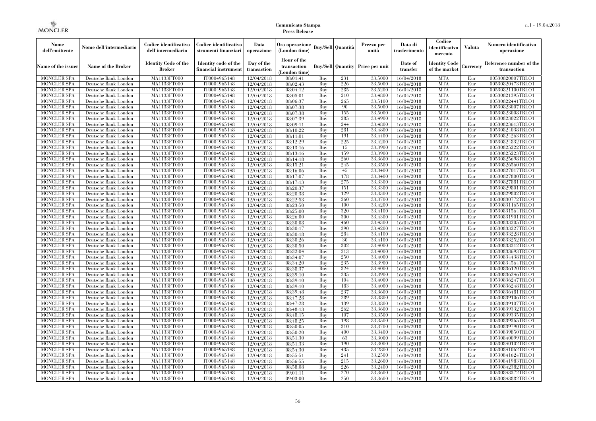| Nome<br>dell'emittente                   | Nome dell'intermediario                      | Codice identificativo<br>dell'intermediario | Codice identificativo<br>strumenti finanziari | Data<br>operazione        | Ora operazione<br>(London time)             |            | Buy/Sell   Quantità      | Prezzo per<br>unità | Data di<br>trasferimento | Codice<br>identificativo<br>mercato   | <b>Valuta</b> | Numero identificativo<br>operazione    |
|------------------------------------------|----------------------------------------------|---------------------------------------------|-----------------------------------------------|---------------------------|---------------------------------------------|------------|--------------------------|---------------------|--------------------------|---------------------------------------|---------------|----------------------------------------|
| Name of the issuer                       | Name of the Broker                           | <b>Identity Code of the</b><br>Broker       | Identity code of the<br>financial instrument  | Day of the<br>transaction | Hour of the<br>transaction<br>(London time) |            | <b>Buy/Sell Quantity</b> | Price per unit      | Date of<br>transfer      | <b>Identity Code</b><br>of the market | Currencv      | Reference number of the<br>transaction |
| <b>MONCLER SPA</b>                       | Deutsche Bank London                         | MA1133FT000                                 | IT0004965148                                  | 12/04/2018                | 08:01:41                                    | Buy        | 231                      | 33,5000             | 16/04/2018               | <b>MTA</b>                            | Eur           | 00530820007TRLO1                       |
| <b>MONCLER SPA</b>                       | Deutsche Bank London                         | <b>MA1133FT000</b>                          | IT0004965148                                  | 12/04/2018                | 08:02:43                                    | Buy        | 226                      | 33,5000             | 16/04/2018               | <b>MTA</b>                            | Eur           | 00530820473TRLO1                       |
| <b>MONCLER SPA</b>                       | Deutsche Bank London                         | MA1133FT000                                 | IT0004965148                                  | 12/04/2018                | 08:04:12                                    | Buv        | 285                      | 33.5200             | 16/04/2018               | <b>MTA</b>                            | Eur           | 00530821100TRLO1                       |
| <b>MONCLER SPA</b><br><b>MONCLER SPA</b> | Deutsche Bank London<br>Deutsche Bank London | MA1133FT000<br>MA1133FT000                  | IT0004965148<br>IT0004965148                  | 12/04/2018                | 08:05:01                                    | Buy<br>Buy | 210<br>265               | 33,4800<br>33,5100  | 16/04/2018               | <b>MTA</b><br><b>MTA</b>              | Eur<br>Eur    | 00530821395TRLO1<br>00530822441TRLO1   |
|                                          | Deutsche Bank London                         | <b>MA1133FT000</b>                          | IT0004965148                                  | 12/04/2018                | 08:06:37<br>08:07:38                        | Buy        | 90                       | 33,5000             | 16/04/2018               | <b>MTA</b>                            | Eur           | 00530823007TRLO1                       |
| MONCLER SPA<br><b>MONCLER SPA</b>        | Deutsche Bank London                         | MA1133FT000                                 | IT0004965148                                  | 12/04/2018<br>12/04/2018  | 08:07:38                                    | Buy        | 155                      | 33,5000             | 16/04/2018<br>16/04/2018 | <b>MTA</b>                            | Eur           | 00530823008TRLO1                       |
| <b>MONCLER SPA</b>                       | Deutsche Bank London                         | MA1133FT000                                 | IT0004965148                                  | 12/04/2018                | 08:07:39                                    | Buy        | 285                      | 33.4900             | 16/04/2018               | <b>MTA</b>                            | Eur           | 00530823022TRLO1                       |
| <b>MONCLER SPA</b>                       | Deutsche Bank London                         | MA1133FT000                                 | IT0004965148                                  | 12/04/2018                | 08:09:11                                    | Buy        | 244                      | 33,4800             | 16/04/2018               | <b>MTA</b>                            | Eur           | 00530823613TRLO1                       |
| <b>MONCLER SPA</b>                       | Deutsche Bank London                         | <b>MA1133FT000</b>                          | IT0004965148                                  | 12/04/2018                | 08:10:22                                    | Buy        | 281                      | 33,4800             | 16/04/2018               | <b>MTA</b>                            | Eur           | 00530824038TRLO1                       |
| <b>MONCLER SPA</b>                       | Deutsche Bank London                         | <b>MA1133FT000</b>                          | IT0004965148                                  | 12/04/2018                | 08:11:01                                    | Buy        | 191                      | 33,4400             | 16/04/2018               | <b>MTA</b>                            | Eur           | 00530824263TRLO1                       |
| <b>MONCLER SPA</b>                       | Deutsche Bank London                         | MA1133FT000                                 | IT0004965148                                  | 12/04/2018                | 08:12:29                                    | Buy        | 225                      | 33,4200             | 16/04/2018               | <b>MTA</b>                            | Eur           | 00530824832TRLO1                       |
| <b>MONCLER SPA</b>                       | Deutsche Bank London                         | MA1133FT000                                 | IT0004965148                                  | 12/04/2018                | 08:13:16                                    | Buy        | 15                       | 33,3900             | 16/04/2018               | <b>MTA</b>                            | Eur           | 00530825222TRLO1                       |
| <b>MONCLER SPA</b>                       | Deutsche Bank London                         | MA1133FT000                                 | IT0004965148                                  | 12/04/2018                | 08:13:16                                    | Buy        | 159                      | 33,3900             | 16/04/2018               | <b>MTA</b>                            | Eur           | 00530825223TRLO1                       |
| <b>MONCLER SPA</b>                       | Deutsche Bank London                         | MA1133FT000                                 | IT0004965148                                  | 12/04/2018                | 08:14:18                                    | Buy        | 260                      | 33,3600             | 16/04/2018               | <b>MTA</b>                            | Eur           | 00530825698TRLO1                       |
| <b>MONCLER SPA</b>                       | Deutsche Bank London                         | MA1133FT000                                 | IT0004965148                                  | 12/04/2018                | 08:15:21                                    | Buy        | 245                      | 33.3500             | 16/04/2018               | <b>MTA</b>                            | Eur           | 00530826560TRLO1                       |
| <b>MONCLER SPA</b>                       | Deutsche Bank London                         | MA1133FT000                                 | IT0004965148                                  | 12/04/2018                | 08:16:06                                    | Buy        | 45                       | 33,3400             | 16/04/2018               | <b>MTA</b>                            | Eur           | 00530827017TRLO1                       |
| <b>MONCLER SPA</b>                       | Deutsche Bank London                         | MA1133FT000                                 | IT0004965148                                  | 12/04/2018                | 08:17:07                                    | Buy        | 178                      | 33,3400             | 16/04/2018               | <b>MTA</b>                            | Eur           | 00530827800TRLO1                       |
| <b>MONCLER SPA</b>                       | Deutsche Bank London                         | MA1133FT000                                 | IT0004965148                                  | 12/04/2018                | 08:17:13                                    | Buy        | 275                      | 33,3300             | 16/04/2018               | <b>MTA</b>                            | Eur           | 00530827881TRLO1                       |
| <b>MONCLER SPA</b>                       | Deutsche Bank London                         | MA1133FT000                                 | IT0004965148                                  | 12/04/2018                | 08:20:37                                    | Buy        | 151                      | 33.3300             | 16/04/2018               | <b>MTA</b>                            | Eur           | 00530829801TRLO1                       |
| <b>MONCLER SPA</b>                       | Deutsche Bank London                         | MA1133FT000                                 | IT0004965148                                  | 12/04/2018                | 08:20:38                                    | Buy        | 129                      | 33,3300             | 16/04/2018               | <b>MTA</b>                            | Eur           | 00530829802TRLO1                       |
| <b>MONCLER SPA</b>                       | Deutsche Bank London                         | MA1133FT000                                 | IT0004965148                                  | 12/04/2018                | 08:22:53                                    | Buy        | 260                      | 33,3700             | 16/04/2018               | <b>MTA</b>                            | Eur           | 00530830772TRLO1                       |
| <b>MONCLER SPA</b>                       | Deutsche Bank London                         | MA1133FT000                                 | IT0004965148                                  | 12/04/2018                | 08:23:50                                    | Buy        | 100<br>320               | 33,4200<br>33,4100  | 16/04/2018               | <b>MTA</b><br><b>MTA</b>              | Eur           | 00530831165TRLO1                       |
| <b>MONCLER SPA</b><br><b>MONCLER SPA</b> | Deutsche Bank London<br>Deutsche Bank London | MA1133FT000<br>MA1133FT000                  | IT0004965148<br>IT0004965148                  | 12/04/2018<br>12/04/2018  | 08:25:00<br>08:26:00                        | Buy<br>Buy | 300                      | 33.4300             | 16/04/2018<br>16/04/2018 | <b>MTA</b>                            | Eur<br>Eur    | 00530831564TRLO1<br>00530831901TRLO1   |
| <b>MONCLER SPA</b>                       | Deutsche Bank London                         | MA1133FT000                                 | IT0004965148                                  | 12/04/2018                | 08:30:08                                    | Buy        | 460                      | 33,4300             | 16/04/2018               | <b>MTA</b>                            | Eur           | 00530833205TRLO1                       |
| <b>MONCLER SPA</b>                       | Deutsche Bank London                         | MA1133FT000                                 | IT0004965148                                  | 12/04/2018                | 08:30:17                                    | Buy        | 390                      | 33,4200             | 16/04/2018               | <b>MTA</b>                            | Eur           | 00530833227TRLO1                       |
| <b>MONCLER SPA</b>                       | Deutsche Bank London                         | MA1133FT000                                 | IT0004965148                                  | 12/04/2018                | 08:30:18                                    | Buy        | 284                      | 33,4100             | 16/04/2018               | <b>MTA</b>                            | Eur           | 00530833228TRLO1                       |
| <b>MONCLER SPA</b>                       | Deutsche Bank London                         | MA1133FT000                                 | IT0004965148                                  | 12/04/2018                | 08:30:26                                    | Buy        | 30                       | 33,4100             | 16/04/2018               | <b>MTA</b>                            | Eur           | 00530833252TRLO1                       |
| <b>MONCLER SPA</b>                       | Deutsche Bank London                         | <b>MA1133FT000</b>                          | IT0004965148                                  | 12/04/2018                | 08:30:50                                    | Buy        | 302                      | 33,4000             | 16/04/2018               | <b>MTA</b>                            | Eur           | 00530833312TRLO1                       |
| <b>MONCLER SPA</b>                       | Deutsche Bank London                         | MA1133FT000                                 | IT0004965148                                  | 12/04/2018                | 08:32:04                                    | Buy        | 213                      | 33,4000             | 16/04/2018               | <b>MTA</b>                            | Eur           | 00530833693TRLO1                       |
| <b>MONCLER SPA</b>                       | Deutsche Bank London                         | MA1133FT000                                 | IT0004965148                                  | 12/04/2018                | 08:34:07                                    | Buy        | 250                      | 33,4000             | 16/04/2018               | <b>MTA</b>                            | Eur           | 00530834438TRLO1                       |
| <b>MONCLER SPA</b>                       | Deutsche Bank London                         | MA1133FT000                                 | IT0004965148                                  | 12/04/2018                | 08:34:20                                    | Buv        | 235                      | 33.3900             | 16/04/2018               | <b>MTA</b>                            | Eur           | 00530834564TRLO1                       |
| <b>MONCLER SPA</b>                       | Deutsche Bank London                         | MA1133FT000                                 | IT0004965148                                  | 12/04/2018                | 08:38:37                                    | Buy        | 324                      | 33,4000             | 16/04/2018               | <b>MTA</b>                            | Eur           | 00530836120TRLO1                       |
| <b>MONCLER SPA</b>                       | Deutsche Bank London                         | <b>MA1133FT000</b>                          | IT0004965148                                  | 12/04/2018                | 08:39:10                                    | Buy        | 235                      | 33,3900             | 16/04/2018               | <b>MTA</b>                            | Eur           | 00530836246TRLO1                       |
| <b>MONCLER SPA</b>                       | Deutsche Bank London                         | MA1133FT000                                 | IT0004965148                                  | 12/04/2018                | 08:39:10                                    | Buy        | 104                      | 33,4000             | 16/04/2018               | <b>MTA</b>                            | Eur           | 00530836247TRLO1                       |
| <b>MONCLER SPA</b>                       | Deutsche Bank London                         | MA1133FT000                                 | IT0004965148                                  | 12/04/2018                | 08:39:10                                    | Buv        | 183                      | 33,4000             | 16/04/2018               | <b>MTA</b>                            | Eur           | 00530836248TRLO1                       |
| <b>MONCLER SPA</b>                       | Deutsche Bank London                         | <b>MA1133FT000</b>                          | IT0004965148                                  | 12/04/2018                | 08:39:48                                    | Buy        | 237                      | 33,3600             | 16/04/2018               | <b>MTA</b>                            | Eur           | 00530836481TRLO1                       |
| <b>MONCLER SPA</b>                       | Deutsche Bank London                         | MA1133FT000                                 | IT0004965148                                  | 12/04/2018                | 08:47:28                                    | Buy        | 289                      | 33,3800             | 16/04/2018               | <b>MTA</b>                            | Eur           | 00530839106TRLO1                       |
| <b>MONCLER SPA</b>                       | Deutsche Bank London                         | <b>MA1133FT000</b>                          | IT0004965148                                  | 12/04/2018                | 08:47:28                                    | Buy        | 139                      | 33,3800             | 16/04/2018               | <b>MTA</b>                            | Eur           | 00530839107TRLO1                       |
| <b>MONCLER SPA</b>                       | Deutsche Bank London                         | MA1133FT000                                 | IT0004965148                                  | 12/04/2018                | 08:48:13                                    | Buy        | 262                      | 33.3600             | 16/04/2018               | <b>MTA</b>                            | Eur           | 00530839332TRLO1                       |
| <b>MONCLER SPA</b><br><b>MONCLER SPA</b> | Deutsche Bank London<br>Deutsche Bank London | MA1133FT000<br>MA1133FT000                  | IT0004965148<br>IT0004965148                  | 12/04/2018<br>12/04/2018  | 08:48:15<br>08:48:25                        | Buy<br>Buy | 107<br>198               | 33,3500<br>33,3500  | 16/04/2018<br>16/04/2018 | <b>MTA</b><br><b>MTA</b>              | Eur<br>Eur    | 00530839335TRLO1<br>00530839365TRLO1   |
| <b>MONCLER SPA</b>                       | Deutsche Bank London                         | MA1133FT000                                 | IT0004965148                                  | 12/04/2018                | 08:50:05                                    | Buy        | 310                      | 33,3700             | 16/04/2018               | <b>MTA</b>                            | Eur           | 00530839790TRLO1                       |
| <b>MONCLER SPA</b>                       | Deutsche Bank London                         | MA1133FT000                                 | IT0004965148                                  | 12/04/2018                | 08:50:20                                    | Buy        | 400                      | 33,3400             | 16/04/2018               | <b>MTA</b>                            | Eur           | 00530839850TRLO1                       |
| <b>MONCLER SPA</b>                       | Deutsche Bank London                         | MA1133FT000                                 | IT0004965148                                  | 12/04/2018                | 08:51:30                                    | Buy        | 63                       | 33,3000             | 16/04/2018               | <b>MTA</b>                            | Eur           | 00530840099TRLO1                       |
| <b>MONCLER SPA</b>                       | Deutsche Bank London                         | MA1133FT000                                 | IT0004965148                                  | 12/04/2018                | 08:51:33                                    | Buy        | 190                      | 33,3000             | 16/04/2018               | <b>MTA</b>                            | Eur           | 00530840102TRLO1                       |
| <b>MONCLER SPA</b>                       | Deutsche Bank London                         | MA1133FT000                                 | IT0004965148                                  | 12/04/2018                | 08:54:30                                    | Buy        | 435                      | 33,2800             | 16/04/2018               | <b>MTA</b>                            | Eur           | 00530841062TRLO1                       |
| <b>MONCLER SPA</b>                       | Deutsche Bank London                         | MA1133FT000                                 | IT0004965148                                  | 12/04/2018                | 08:55:51                                    | Buy        | 241                      | 33,2500             | 16/04/2018               | <b>MTA</b>                            | Eur           | 00530841624TRLO1                       |
| <b>MONCLER SPA</b>                       | Deutsche Bank London                         | MA1133FT000                                 | IT0004965148                                  | 12/04/2018                | 08:56:55                                    | Buy        | 215                      | 33,2600             | 16/04/2018               | <b>MTA</b>                            | Eur           | 00530841983TRLO1                       |
| <b>MONCLER SPA</b>                       | Deutsche Bank London                         | MA1133FT000                                 | IT0004965148                                  | 12/04/2018                | 08:58:08                                    | Buy        | 226                      | 33,2400             | 16/04/2018               | <b>MTA</b>                            | Eur           | 00530842382TRLO1                       |
| <b>MONCLER SPA</b>                       | Deutsche Bank London                         | MA1133FT000                                 | IT0004965148                                  | 12/04/2018                | 09:01:11                                    | Buy        | 270                      | 33,3600             | 16/04/2018               | <b>MTA</b>                            | Eur           | 00530843372TRLO1                       |
| <b>MONCLER SPA</b>                       | Deutsche Bank London                         | MA1133FT000                                 | IT0004965148                                  | 12/04/2018                | 09:03:00                                    | Buy        | 250                      | 33,3600             | 16/04/2018               | <b>MTA</b>                            | Eur           | 00530843882TRLO1                       |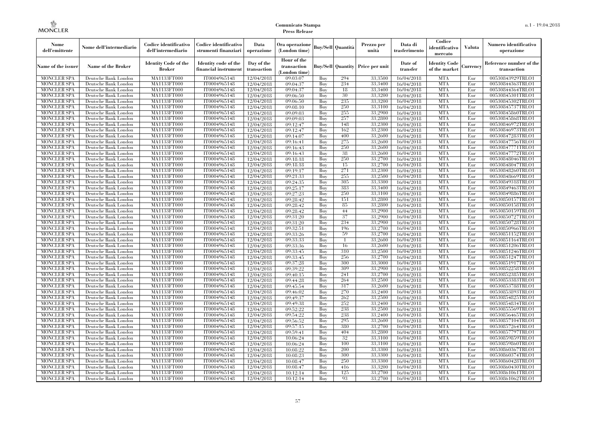| Nome<br>dell'emittente                   | Nome dell'intermediario                      | Codice identificativo<br>dell'intermediario  | Codice identificativo<br>strumenti finanziari | Data<br>operazione        | Ora operazione<br>(London time)             |            | <b>Buy/Sell Quantità</b> | Prezzo per<br>unità | Data di<br>trasferimento | Codice<br>identificativo<br>mercato   | Valuta     | Numero identificativo<br>operazione    |
|------------------------------------------|----------------------------------------------|----------------------------------------------|-----------------------------------------------|---------------------------|---------------------------------------------|------------|--------------------------|---------------------|--------------------------|---------------------------------------|------------|----------------------------------------|
| Name of the issuer                       | Name of the Broker                           | <b>Identity Code of the</b><br><b>Broker</b> | Identity code of the<br>financial instrument  | Day of the<br>transaction | Hour of the<br>transaction<br>(London time) |            | <b>Buy/Sell Quantity</b> | Price per unit      | Date of<br>transfer      | <b>Identity Code</b><br>of the market | Currency   | Reference number of the<br>transaction |
| <b>MONCLER SPA</b>                       | Deutsche Bank London                         | MA1133FT000                                  | IT0004965148                                  | 12/04/2018                | 09:03:07                                    | Buy        | 294                      | 33,3500             | 16/04/2018               | <b>MTA</b>                            | Eur        | 00530843929TRLO1                       |
| <b>MONCLER SPA</b>                       | Deutsche Bank London                         | <b>MA1133FT000</b>                           | IT0004965148                                  | 12/04/2018                | 09:04:37                                    | Buy        | 234                      | 33,3400             | 16/04/2018               | <b>MTA</b>                            | Eur        | 00530844363TRLO1                       |
| <b>MONCLER SPA</b>                       | Deutsche Bank London                         | MA1133FT000                                  | IT0004965148                                  | 12/04/2018                | 09:04:37                                    | Buy        | 18                       | 33,3400             | 16/04/2018               | <b>MTA</b>                            | Eur        | 00530844364TRLO1                       |
| <b>MONCLER SPA</b>                       | Deutsche Bank London                         | MA1133FT000                                  | IT0004965148<br>IT0004965148                  | 12/04/2018                | 09:06:50                                    | Buv        | 30<br>235                | 33,3200             | 16/04/2018               | <b>MTA</b><br><b>MTA</b>              | Eur        | 00530845301TRLO1                       |
| <b>MONCLER SPA</b>                       | Deutsche Bank London<br>Deutsche Bank London | MA1133FT000<br>MA1133FT000                   | IT0004965148                                  | 12/04/2018                | 09:06:50                                    | Buy<br>Buy | 250                      | 33,3200<br>33,3100  | 16/04/2018               | <b>MTA</b>                            | Eur<br>Eur | 00530845302TRLO1<br>00530845737TRLO1   |
| <b>MONCLER SPA</b><br><b>MONCLER SPA</b> | Deutsche Bank London                         | MA1133FT000                                  | IT0004965148                                  | 12/04/2018<br>12/04/2018  | 09:08:10<br>09:09:03                        | Buy        | 255                      | 33,2900             | 16/04/2018<br>16/04/2018 | <b>MTA</b>                            | Eur        | 00530845860TRLO1                       |
| <b>MONCLER SPA</b>                       | Deutsche Bank London                         | MA1133FT000                                  | IT0004965148                                  | 12/04/2018                | 09:09:03                                    | Buy        | 257                      | 33,2800             | 16/04/2018               | <b>MTA</b>                            | Eur        | 00530845868TRLO1                       |
| <b>MONCLER SPA</b>                       | Deutsche Bank London                         | <b>MA1133FT000</b>                           | IT0004965148                                  | 12/04/2018                | 09:12:47                                    | Buv        | 148                      | 33.2300             | 16/04/2018               | <b>MTA</b>                            | Eur        | 00530846972TRLO1                       |
| <b>MONCLER SPA</b>                       | Deutsche Bank London                         | MA1133FT000                                  | IT0004965148                                  | 12/04/2018                | 09:12:47                                    | Buy        | 162                      | 33,2300             | 16/04/2018               | <b>MTA</b>                            | Eur        | 00530846973TRLO1                       |
| <b>MONCLER SPA</b>                       | Deutsche Bank London                         | MA1133FT000                                  | IT0004965148                                  | 12/04/2018                | 09:14:07                                    | Buy        | 400                      | 33.2600             | 16/04/2018               | <b>MTA</b>                            | Eur        | 00530847283TRLO1                       |
| <b>MONCLER SPA</b>                       | Deutsche Bank London                         | MA1133FT000                                  | IT0004965148                                  | 12/04/2018                | 09:16:41                                    | Buy        | 275                      | 33,2600             | 16/04/2018               | <b>MTA</b>                            | Eur        | 00530847756TRLO1                       |
| <b>MONCLER SPA</b>                       | Deutsche Bank London                         | <b>MA1133FT000</b>                           | IT0004965148                                  | 12/04/2018                | 09:16:43                                    | Buy        | 250                      | 33,2600             | 16/04/2018               | <b>MTA</b>                            | Eur        | 00530847771TRLO1                       |
| <b>MONCLER SPA</b>                       | Deutsche Bank London                         | MA1133FT000                                  | IT0004965148                                  | 12/04/2018                | 09:16:43                                    | Buv        | -38                      | 33,2600             | 16/04/2018               | <b>MTA</b>                            | Eur        | 00530847772TRLO1                       |
| <b>MONCLER SPA</b>                       | Deutsche Bank London                         | <b>MA1133FT000</b>                           | IT0004965148                                  | 12/04/2018                | 09:18:18                                    | Buy        | 250                      | 33,2700             | 16/04/2018               | <b>MTA</b>                            | Eur        | 00530848046TRLO1                       |
| <b>MONCLER SPA</b>                       | Deutsche Bank London                         | MA1133FT000                                  | IT0004965148                                  | 12/04/2018                | 09:18:18                                    | Buy        | 15                       | 33,2700             | 16/04/2018               | <b>MTA</b>                            | Eur        | 00530848047TRLO1                       |
| <b>MONCLER SPA</b>                       | Deutsche Bank London                         | MA1133FT000                                  | IT0004965148                                  | 12/04/2018                | 09:19:17                                    | Buy        | 271                      | 33,2300             | 16/04/2018               | <b>MTA</b>                            | Eur        | 00530848260TRLO1                       |
| <b>MONCLER SPA</b>                       | Deutsche Bank London                         | MA1133FT000                                  | IT0004965148                                  | 12/04/2018                | 09:21:33                                    | Buy        | 255                      | 33,2500             | 16/04/2018               | <b>MTA</b>                            | Eur        | 00530848669TRLO1                       |
| <b>MONCLER SPA</b>                       | Deutsche Bank London                         | MA1133FT000                                  | IT0004965148                                  | 12/04/2018                | 09:24:35                                    | Buy        | 305                      | 33,3300             | 16/04/2018               | <b>MTA</b>                            | Eur        | 00530849318TRLO1                       |
| <b>MONCLER SPA</b>                       | Deutsche Bank London                         | MA1133FT000                                  | IT0004965148                                  | 12/04/2018                | 09:25:17                                    | Buy        | 383                      | 33.3400             | 16/04/2018               | <b>MTA</b>                            | Eur        | 00530849463TRLO1                       |
| <b>MONCLER SPA</b>                       | Deutsche Bank London                         | MA1133FT000                                  | IT0004965148                                  | 12/04/2018                | 09:27:23                                    | Buy        | 250                      | 33.3100             | 16/04/2018               | <b>MTA</b>                            | Eur        | 00530849886TRLO1                       |
| <b>MONCLER SPA</b>                       | Deutsche Bank London                         | MA1133FT000                                  | IT0004965148                                  | 12/04/2018                | 09:28:42                                    | Buy        | 151                      | 33,2800             | 16/04/2018               | <b>MTA</b>                            | Eur        | 00530850157TRLO1                       |
| <b>MONCLER SPA</b>                       | Deutsche Bank London                         | <b>MA1133FT000</b>                           | IT0004965148                                  | 12/04/2018                | 09:28:42                                    | Buy        | -85                      | 33,2800             | 16/04/2018               | <b>MTA</b>                            | Eur        | 00530850158TRLO1                       |
| <b>MONCLER SPA</b><br><b>MONCLER SPA</b> | Deutsche Bank London<br>Deutsche Bank London | MA1133FT000<br>MA1133FT000                   | IT0004965148<br>IT0004965148                  | 12/04/2018                | 09:28:42<br>09:31:20                        | Buy<br>Buy | 44<br>37                 | 33,2900<br>33,2900  | 16/04/2018<br>16/04/2018 | <b>MTA</b><br><b>MTA</b>              | Eur<br>Eur | 00530850159TRLO1                       |
| <b>MONCLER SPA</b>                       | Deutsche Bank London                         | MA1133FT000                                  | IT0004965148                                  | 12/04/2018<br>12/04/2018  | 09:31:20                                    | Buy        | 234                      | 33,2900             | 16/04/2018               | <b>MTA</b>                            | Eur        | 00530850727TRLO1<br>00530850728TRLO1   |
| <b>MONCLER SPA</b>                       | Deutsche Bank London                         | MA1133FT000                                  | IT0004965148                                  | 12/04/2018                | 09:32:51                                    | Buy        | 196                      | 33,2700             | 16/04/2018               | <b>MTA</b>                            | Eur        | 00530850966TRLO1                       |
| <b>MONCLER SPA</b>                       | Deutsche Bank London                         | MA1133FT000                                  | IT0004965148                                  | 12/04/2018                | 09:33:26                                    | Buy        | 59                       | 33,2700             | 16/04/2018               | <b>MTA</b>                            | Eur        | 00530851152TRLO1                       |
| <b>MONCLER SPA</b>                       | Deutsche Bank London                         | MA1133FT000                                  | IT0004965148                                  | 12/04/2018                | 09:33:33                                    | Buy        | $\mathbf{1}$             | 33,2600             | 16/04/2018               | <b>MTA</b>                            | Eur        | 00530851164TRLO1                       |
| MONCLER SPA                              | Deutsche Bank London                         | MA1133FT000                                  | IT0004965148                                  | 12/04/2018                | 09:33:36                                    | Buy        | 16                       | 33,2600             | 16/04/2018               | <b>MTA</b>                            | Eur        | 00530851206TRLO1                       |
| <b>MONCLER SPA</b>                       | Deutsche Bank London                         | MA1133FT000                                  | IT0004965148                                  | 12/04/2018                | 09:33:45                                    | Buy        | 310                      | 33,2500             | 16/04/2018               | <b>MTA</b>                            | Eur        | 00530851246TRLO1                       |
| <b>MONCLER SPA</b>                       | Deutsche Bank London                         | MA1133FT000                                  | IT0004965148                                  | 12/04/2018                | 09:33:45                                    | Buy        | 256                      | 33,2700             | 16/04/2018               | <b>MTA</b>                            | Eur        | 00530851247TRLO1                       |
| <b>MONCLER SPA</b>                       | Deutsche Bank London                         | MA1133FT000                                  | IT0004965148                                  | 12/04/2018                | 09:37:28                                    | Buy        | 300                      | 33,3000             | 16/04/2018               | <b>MTA</b>                            | Eur        | 00530851917TRLO1                       |
| <b>MONCLER SPA</b>                       | Deutsche Bank London                         | MA1133FT000                                  | IT0004965148                                  | 12/04/2018                | 09:39:22                                    | Buy        | 309                      | 33,2900             | 16/04/2018               | <b>MTA</b>                            | Eur        | 00530852258TRLO1                       |
| <b>MONCLER SPA</b>                       | Deutsche Bank London                         | MA1133FT000                                  | IT0004965148                                  | 12/04/2018                | 09:40:15                                    | Buy        | 241                      | 33,2700             | 16/04/2018               | <b>MTA</b>                            | Eur        | 00530852385TRLO1                       |
| <b>MONCLER SPA</b>                       | Deutsche Bank London                         | MA1133FT000                                  | IT0004965148                                  | 12/04/2018                | 09:44:28                                    | Buy        | 264                      | 33,2500             | 16/04/2018               | <b>MTA</b>                            | Eur        | 00530853383TRLO1                       |
| <b>MONCLER SPA</b>                       | Deutsche Bank London                         | MA1133FT000                                  | IT0004965148                                  | 12/04/2018                | 09:45:54                                    | Buy        | 317                      | 33,2600             | 16/04/2018               | <b>MTA</b>                            | Eur        | 00530853788TRLO1                       |
| <b>MONCLER SPA</b>                       | Deutsche Bank London                         | MA1133FT000                                  | IT0004965148                                  | 12/04/2018                | 09:46:02                                    | Buy        | 270                      | 33,2400             | 16/04/2018               | <b>MTA</b>                            | Eur        | 00530853893TRLO1                       |
| <b>MONCLER SPA</b>                       | Deutsche Bank London                         | MA1133FT000                                  | IT0004965148                                  | 12/04/2018                | 09:49:37                                    | Buy        | 262                      | 33,2500             | 16/04/2018               | <b>MTA</b>                            | Eur        | 00530854825TRLO1                       |
| <b>MONCLER SPA</b>                       | Deutsche Bank London                         | MA1133FT000                                  | IT0004965148                                  | 12/04/2018                | 09:49:38                                    | Buy        | 252                      | 33,2400             | 16/04/2018               | <b>MTA</b>                            | Eur        | 00530854834TRLO1                       |
| <b>MONCLER SPA</b>                       | Deutsche Bank London                         | MA1133FT000                                  | IT0004965148                                  | 12/04/2018                | 09:52:22                                    | Buv        | 238                      | 33,2500             | 16/04/2018               | <b>MTA</b>                            | Eur        | 00530855569TRLO1                       |
| <b>MONCLER SPA</b>                       | Deutsche Bank London                         | MA1133FT000<br>MA1133FT000                   | IT0004965148                                  | 12/04/2018                | 09:54:22                                    | Buy        | 238<br>295               | 33,2400<br>33,2600  | 16/04/2018               | <b>MTA</b><br><b>MTA</b>              | Eur        | 00530856465TRLO1                       |
| <b>MONCLER SPA</b><br><b>MONCLER SPA</b> | Deutsche Bank London                         | MA1133FT000                                  | IT0004965148<br>IT0004965148                  | 12/04/2018                | 09:56:52<br>09:57:15                        | Buy<br>Buy | 380                      | 33,2700             | 16/04/2018               | <b>MTA</b>                            | Eur<br>Eur | 00530857104TRLO1<br>00530857264TRLO1   |
| <b>MONCLER SPA</b>                       | Deutsche Bank London<br>Deutsche Bank London | MA1133FT000                                  | IT0004965148                                  | 12/04/2018<br>12/04/2018  | 09:59:41                                    | Buy        | 404                      | 33,2800             | 16/04/2018<br>16/04/2018 | <b>MTA</b>                            | Eur        | 00530857797TRLO1                       |
| <b>MONCLER SPA</b>                       | Deutsche Bank London                         | MA1133FT000                                  | IT0004965148                                  | 12/04/2018                | 10:06:24                                    | Buy        | 32                       | 33,3100             | 16/04/2018               | <b>MTA</b>                            | Eur        | 00530859859TRLO1                       |
| <b>MONCLER SPA</b>                       | Deutsche Bank London                         | MA1133FT000                                  | IT0004965148                                  | 12/04/2018                | 10:06:24                                    | Buy        | 100                      | 33,3100             | 16/04/2018               | <b>MTA</b>                            | Eur        | 00530859860TRLO1                       |
| <b>MONCLER SPA</b>                       | Deutsche Bank London                         | MA1133FT000                                  | IT0004965148                                  | 12/04/2018                | 10:08:22                                    | Buy        | 200                      | 33,3300             | 16/04/2018               | <b>MTA</b>                            | Eur        | 00530860367TRLO1                       |
| <b>MONCLER SPA</b>                       | Deutsche Bank London                         | MA1133FT000                                  | IT0004965148                                  | 12/04/2018                | 10:08:23                                    | Buy        | 300                      | 33,3300             | 16/04/2018               | <b>MTA</b>                            | Eur        | 00530860374TRLO1                       |
| <b>MONCLER SPA</b>                       | Deutsche Bank London                         | MA1133FT000                                  | IT0004965148                                  | 12/04/2018                | 10:08:47                                    | Buy        | 250                      | 33,3300             | 16/04/2018               | <b>MTA</b>                            | Eur        | 00530860428TRLO1                       |
| <b>MONCLER SPA</b>                       | Deutsche Bank London                         | MA1133FT000                                  | IT0004965148                                  | 12/04/2018                | 10:08:47                                    | Buy        | 416                      | 33,3200             | 16/04/2018               | <b>MTA</b>                            | Eur        | 00530860430TRLO1                       |
| <b>MONCLER SPA</b>                       | Deutsche Bank London                         | MA1133FT000                                  | IT0004965148                                  | 12/04/2018                | 10:12:14                                    | Buy        | 125                      | 33,2700             | 16/04/2018               | <b>MTA</b>                            | Eur        | 00530861061TRLO1                       |
| MONCLER SPA                              | Deutsche Bank London                         | MA1133FT000                                  | IT0004965148                                  | 12/04/2018                | 10:12:14                                    | Buy        | 93                       | 33,2700             | 16/04/2018               | <b>MTA</b>                            | Eur        | 00530861062TRLO1                       |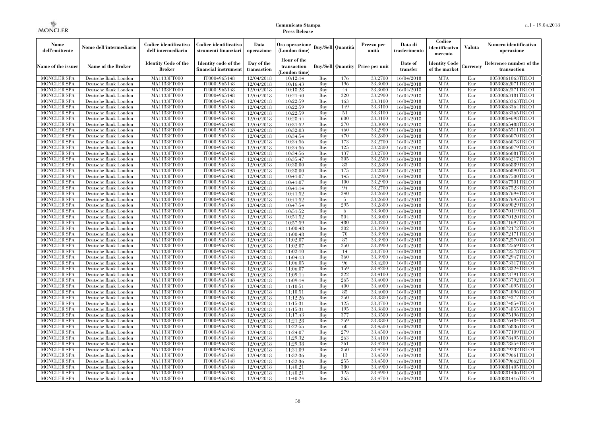| Nome<br>dell'emittente                   | Nome dell'intermediario                      | Codice identificativo<br>dell'intermediario  | Codice identificativo<br>strumenti finanziari | Data<br>operazione        | Ora operazione<br>(London time)             |            | Buv/Sell   Quantità      | Prezzo per<br>unità | Data di<br>trasferimento | Codice<br>identificativo<br>mercato   | <b>Valuta</b> | Numero identificativo<br>operazione    |
|------------------------------------------|----------------------------------------------|----------------------------------------------|-----------------------------------------------|---------------------------|---------------------------------------------|------------|--------------------------|---------------------|--------------------------|---------------------------------------|---------------|----------------------------------------|
| Name of the issuer                       | Name of the Broker                           | <b>Identity Code of the</b><br><b>Broker</b> | Identity code of the<br>financial instrument  | Day of the<br>transaction | Hour of the<br>transaction<br>(London time) |            | <b>Buy/Sell Quantity</b> | Price per unit      | Date of<br>transfer      | <b>Identity Code</b><br>of the market | Currencv      | Reference number of the<br>transaction |
| <b>MONCLER SPA</b>                       | Deutsche Bank London                         | MA1133FT000                                  | IT0004965148                                  | 12/04/2018                | 10:12:14                                    | Buy        | 176                      | 33,2700             | 16/04/2018               | <b>MTA</b>                            | Eur           | 00530861063TRLO1                       |
| <b>MONCLER SPA</b>                       | Deutsche Bank London                         | <b>MA1133FT000</b>                           | IT0004965148                                  | 12/04/2018                | 10:16:43                                    | Buy        | 196                      | 33,3000             | 16/04/2018               | <b>MTA</b>                            | Eur           | 00530862071TRLO1                       |
| <b>MONCLER SPA</b>                       | Deutsche Bank London                         | MA1133FT000                                  | IT0004965148                                  | 12/04/2018                | 10:18:28                                    | Buv        | 44                       | 33,3000             | 16/04/2018               | <b>MTA</b>                            | Eur           | 00530862371TRLO1                       |
| <b>MONCLER SPA</b>                       | Deutsche Bank London                         | MA1133FT000                                  | IT0004965148                                  | 12/04/2018                | 10:21:40                                    | Buy        | 320                      | 33,2900             | 16/04/2018               | <b>MTA</b>                            | Eur           | 00530863181TRLO1                       |
| <b>MONCLER SPA</b>                       | Deutsche Bank London                         | MA1133FT000                                  | IT0004965148                                  | 12/04/2018                | 10:22:59                                    | Buy        | 163                      | 33,3100             | 16/04/2018               | <b>MTA</b>                            | Eur           | 00530863363TRLO1                       |
| MONCLER SPA<br><b>MONCLER SPA</b>        | Deutsche Bank London                         | <b>MA1133FT000</b><br>MA1133FT000            | IT0004965148                                  | 12/04/2018                | 10:22:59                                    | Buy        | 149<br>51                | 33,3100<br>33,3100  | 16/04/2018               | <b>MTA</b><br><b>MTA</b>              | Eur           | 00530863364TRLO1                       |
| <b>MONCLER SPA</b>                       | Deutsche Bank London<br>Deutsche Bank London | MA1133FT000                                  | IT0004965148<br>IT0004965148                  | 12/04/2018<br>12/04/2018  | 10:22:59<br>10:28:44                        | Buy<br>Buv | 600                      | 33,3100             | 16/04/2018<br>16/04/2018 | <b>MTA</b>                            | Eur<br>Eur    | 00530863365TRLO1<br>00530864698TRLO1   |
| <b>MONCLER SPA</b>                       | Deutsche Bank London                         | MA1133FT000                                  | IT0004965148                                  | 12/04/2018                | 10:31:52                                    | Buy        | 270                      | 33,3000             | 16/04/2018               | <b>MTA</b>                            | Eur           | 00530865488TRLO1                       |
| <b>MONCLER SPA</b>                       | Deutsche Bank London                         | <b>MA1133FT000</b>                           | IT0004965148                                  | 12/04/2018                | 10:32:03                                    | Buy        | 460                      | 33,2900             | 16/04/2018               | <b>MTA</b>                            | Eur           | 00530865511TRLO1                       |
| <b>MONCLER SPA</b>                       | Deutsche Bank London                         | MA1133FT000                                  | IT0004965148                                  | 12/04/2018                | 10:34:54                                    | Buy        | 470                      | 33,2800             | 16/04/2018               | <b>MTA</b>                            | Eur           | 00530866070TRLO1                       |
| <b>MONCLER SPA</b>                       | Deutsche Bank London                         | MA1133FT000                                  | IT0004965148                                  | 12/04/2018                | 10:34:56                                    | Buy        | 173                      | 33,2700             | 16/04/2018               | <b>MTA</b>                            | Eur           | 00530866078TRLO1                       |
| <b>MONCLER SPA</b>                       | Deutsche Bank London                         | MA1133FT000                                  | IT0004965148                                  | 12/04/2018                | 10:34:56                                    | Buy        | 125                      | 33,2800             | 16/04/2018               | <b>MTA</b>                            | Eur           | 00530866079TRLO1                       |
| <b>MONCLER SPA</b>                       | Deutsche Bank London                         | MA1133FT000                                  | IT0004965148                                  | 12/04/2018                | 10:34:56                                    | Buy        | 137                      | 33,2700             | 16/04/2018               | <b>MTA</b>                            | Eur           | 00530866081TRLO1                       |
| <b>MONCLER SPA</b>                       | Deutsche Bank London                         | MA1133FT000                                  | IT0004965148                                  | 12/04/2018                | 10:35:47                                    | Buy        | 305                      | 33,2500             | 16/04/2018               | <b>MTA</b>                            | Eur           | 00530866217TRLO1                       |
| <b>MONCLER SPA</b>                       | Deutsche Bank London                         | MA1133FT000                                  | IT0004965148                                  | 12/04/2018                | 10:38:00                                    | Buy        | 83                       | 33,2800             | 16/04/2018               | <b>MTA</b>                            | Eur           | 00530866889TRLO1                       |
| <b>MONCLER SPA</b>                       | Deutsche Bank London                         | MA1133FT000                                  | IT0004965148                                  | 12/04/2018                | 10:38:00                                    | Buy        | 175                      | 33,2800             | 16/04/2018               | <b>MTA</b>                            | Eur           | 00530866890TRLO1                       |
| <b>MONCLER SPA</b>                       | Deutsche Bank London                         | MA1133FT000                                  | IT0004965148                                  | 12/04/2018                | 10:41:07                                    | Buy        | 145                      | 33,2900             | 16/04/2018               | <b>MTA</b>                            | Eur           | 00530867500TRLO1                       |
| <b>MONCLER SPA</b>                       | Deutsche Bank London                         | MA1133FT000                                  | IT0004965148                                  | 12/04/2018                | 10:41:07                                    | Buy        | 100                      | 33,2900             | 16/04/2018               | <b>MTA</b>                            | Eur           | 00530867501TRLO1                       |
| <b>MONCLER SPA</b>                       | Deutsche Bank London                         | MA1133FT000                                  | IT0004965148                                  | 12/04/2018                | 10:41:14                                    | Buy        | 94                       | 33,2700             | 16/04/2018               | <b>MTA</b>                            | Eur           | 00530867523TRLO1                       |
| <b>MONCLER SPA</b>                       | Deutsche Bank London                         | MA1133FT000                                  | IT0004965148                                  | 12/04/2018                | 10:41:52                                    | Buy        | 240                      | 33,2600             | 16/04/2018               | <b>MTA</b>                            | Eur           | 00530867694TRLO1                       |
| MONCLER SPA                              | Deutsche Bank London                         | MA1133FT000                                  | IT0004965148                                  | 12/04/2018                | 10:41:52                                    | Buy        | 5                        | 33,2600             | 16/04/2018               | <b>MTA</b>                            | Eur           | 00530867695TRLO1                       |
| <b>MONCLER SPA</b>                       | Deutsche Bank London                         | MA1133FT000                                  | IT0004965148                                  | 12/04/2018                | 10:47:54                                    | Buy        | 295                      | 33,2800             | 16/04/2018               | <b>MTA</b>                            | Eur           | 00530869029TRLO1                       |
| <b>MONCLER SPA</b>                       | Deutsche Bank London                         | MA1133FT000                                  | IT0004965148                                  | 12/04/2018                | 10:51:52                                    | Buy        | 6                        | 33,3000             | 16/04/2018               | <b>MTA</b>                            | Eur           | 00530870119TRLO1                       |
| <b>MONCLER SPA</b>                       | Deutsche Bank London                         | MA1133FT000                                  | IT0004965148                                  | 12/04/2018                | 10:51:52                                    | Buy        | 504<br>480               | 33,3000<br>33,3200  | 16/04/2018               | <b>MTA</b><br><b>MTA</b>              | Eur           | 00530870120TRLO1                       |
| <b>MONCLER SPA</b><br><b>MONCLER SPA</b> | Deutsche Bank London<br>Deutsche Bank London | MA1133FT000<br>MA1133FT000                   | IT0004965148<br>IT0004965148                  | 12/04/2018<br>12/04/2018  | 10:57:59<br>11:00:48                        | Buy<br>Buy | 302                      | 33,3900             | 16/04/2018<br>16/04/2018 | <b>MTA</b>                            | Eur<br>Eur    | 00530871697TRLO1<br>00530872172TRLO1   |
| <b>MONCLER SPA</b>                       | Deutsche Bank London                         | MA1133FT000                                  | IT0004965148                                  | 12/04/2018                | 11:00:48                                    | Buy        | 70                       | 33,3900             | 16/04/2018               | <b>MTA</b>                            | Eur           | 00530872171TRLO1                       |
| <b>MONCLER SPA</b>                       | Deutsche Bank London                         | MA1133FT000                                  | IT0004965148                                  | 12/04/2018                | 11:02:07                                    | Buy        | 87                       | 33,3900             | 16/04/2018               | <b>MTA</b>                            | Eur           | 00530872570TRLO1                       |
| <b>MONCLER SPA</b>                       | Deutsche Bank London                         | <b>MA1133FT000</b>                           | IT0004965148                                  | 12/04/2018                | 11:02:07                                    | Buy        | 250                      | 33,3900             | 16/04/2018               | <b>MTA</b>                            | Eur           | 00530872569TRLO1                       |
| MONCLER SPA                              | Deutsche Bank London                         | MA1133FT000                                  | IT0004965148                                  | 12/04/2018                | 11:02:10                                    | Buy        | 14                       | 33,3700             | 16/04/2018               | <b>MTA</b>                            | Eur           | 00530872578TRLO1                       |
| <b>MONCLER SPA</b>                       | Deutsche Bank London                         | MA1133FT000                                  | IT0004965148                                  | 12/04/2018                | 11:04:13                                    | Buy        | 360                      | 33,3900             | 16/04/2018               | <b>MTA</b>                            | Eur           | 00530872947TRLO1                       |
| <b>MONCLER SPA</b>                       | Deutsche Bank London                         | MA1133FT000                                  | IT0004965148                                  | 12/04/2018                | 11:06:05                                    | Buy        | 96                       | 33,4200             | 16/04/2018               | <b>MTA</b>                            | Eur           | 00530873317TRLO1                       |
| <b>MONCLER SPA</b>                       | Deutsche Bank London                         | MA1133FT000                                  | IT0004965148                                  | 12/04/2018                | 11:06:07                                    | Buy        | 159                      | 33,4200             | 16/04/2018               | <b>MTA</b>                            | Eur           | 00530873324TRLO1                       |
| <b>MONCLER SPA</b>                       | Deutsche Bank London                         | MA1133FT000                                  | IT0004965148                                  | 12/04/2018                | 11:09:14                                    | Buy        | 322                      | 33,4100             | 16/04/2018               | <b>MTA</b>                            | Eur           | 00530873791TRLO1                       |
| <b>MONCLER SPA</b>                       | Deutsche Bank London                         | MA1133FT000                                  | IT0004965148                                  | 12/04/2018                | 11:09:14                                    | Buy        | 265                      | 33,4000             | 16/04/2018               | <b>MTA</b>                            | Eur           | 00530873792TRLO1                       |
| <b>MONCLER SPA</b>                       | Deutsche Bank London                         | MA1133FT000                                  | IT0004965148                                  | 12/04/2018                | 11:10:51                                    | Buy        | 400                      | 33,4000             | 16/04/2018               | <b>MTA</b>                            | Eur           | 00530874095TRLO1                       |
| <b>MONCLER SPA</b>                       | Deutsche Bank London                         | <b>MA1133FT000</b>                           | IT0004965148                                  | 12/04/2018                | 11:10:51                                    | Buy        | 85                       | 33,4000             | 16/04/2018               | <b>MTA</b>                            | Eur           | 00530874096TRLO1                       |
| <b>MONCLER SPA</b>                       | Deutsche Bank London                         | MA1133FT000                                  | IT0004965148                                  | 12/04/2018                | 11:12:26                                    | Buy        | 250                      | 33,3800             | 16/04/2018               | <b>MTA</b>                            | Eur           | 00530874377TRLO1                       |
| <b>MONCLER SPA</b>                       | Deutsche Bank London                         | <b>MA1133FT000</b>                           | IT0004965148                                  | 12/04/2018                | 11:15:31                                    | Buy        | 125                      | 33,3700             | 16/04/2018               | <b>MTA</b>                            | Eur           | 00530874854TRLO1                       |
| <b>MONCLER SPA</b>                       | Deutsche Bank London                         | MA1133FT000                                  | IT0004965148                                  | 12/04/2018                | 11:15:31                                    | Buy        | 195                      | 33,3800             | 16/04/2018               | <b>MTA</b>                            | Eur           | 00530874855TRLO1                       |
| <b>MONCLER SPA</b>                       | Deutsche Bank London                         | MA1133FT000                                  | IT0004965148                                  | 12/04/2018                | 11:17:43                                    | Buy        | 377                      | 33,3500             | 16/04/2018               | <b>MTA</b>                            | Eur           | 00530875196TRLO1                       |
| <b>MONCLER SPA</b>                       | Deutsche Bank London                         | MA1133FT000                                  | IT0004965148                                  | 12/04/2018                | 11:21:28                                    | Buy        | 259                      | 33,3800             | 16/04/2018               | <b>MTA</b>                            | Eur           | 00530876484TRLO1                       |
| <b>MONCLER SPA</b>                       | Deutsche Bank London                         | MA1133FT000                                  | IT0004965148                                  | 12/04/2018                | 11:22:55                                    | Buy        | 60                       | 33,4500             | 16/04/2018               | <b>MTA</b>                            | Eur           | 00530876836TRLO1                       |
| <b>MONCLER SPA</b>                       | Deutsche Bank London                         | MA1133FT000<br>MA1133FT000                   | IT0004965148<br>IT0004965148                  | 12/04/2018                | 11:24:07                                    | Buy<br>Buy | 279<br>263               | 33,4500             | 16/04/2018               | <b>MTA</b><br><b>MTA</b>              | Eur<br>Eur    | 00530877109TRLO1                       |
| <b>MONCLER SPA</b><br><b>MONCLER SPA</b> | Deutsche Bank London<br>Deutsche Bank London | MA1133FT000                                  | IT0004965148                                  | 12/04/2018<br>12/04/2018  | 11:29:32<br>11:29:38                        | Buy        | 261                      | 33,4100<br>33,4200  | 16/04/2018<br>16/04/2018 | <b>MTA</b>                            | Eur           | 00530878495TRLO1<br>00530878554TRLO1   |
| <b>MONCLER SPA</b>                       | Deutsche Bank London                         | MA1133FT000                                  | IT0004965148                                  | 12/04/2018                | 11:31:09                                    | Buy        | 350                      | 33,4700             | 16/04/2018               | <b>MTA</b>                            | Eur           | 00530879232TRLO1                       |
| <b>MONCLER SPA</b>                       | Deutsche Bank London                         | MA1133FT000                                  | IT0004965148                                  | 12/04/2018                | 11:32:36                                    | Buy        | 13                       | 33,4500             | 16/04/2018               | <b>MTA</b>                            | Eur           | 00530879661TRLO1                       |
| <b>MONCLER SPA</b>                       | Deutsche Bank London                         | MA1133FT000                                  | IT0004965148                                  | 12/04/2018                | 11:32:36                                    | Buy        | 255                      | 33,4500             | 16/04/2018               | <b>MTA</b>                            | Eur           | 00530879662TRLO1                       |
| <b>MONCLER SPA</b>                       | Deutsche Bank London                         | MA1133FT000                                  | IT0004965148                                  | 12/04/2018                | 11:40:21                                    | Buy        | 380                      | 33,4900             | 16/04/2018               | <b>MTA</b>                            | Eur           | 00530881405TRLO1                       |
| <b>MONCLER SPA</b>                       | Deutsche Bank London                         | MA1133FT000                                  | IT0004965148                                  | 12/04/2018                | 11:40:21                                    | Buy        | 125                      | 33,4900             | 16/04/2018               | <b>MTA</b>                            | Eur           | 00530881406TRLO1                       |
| <b>MONCLER SPA</b>                       | Deutsche Bank London                         | MA1133FT000                                  | IT0004965148                                  | 12/04/2018                | 11:40:24                                    | Buy        | 365                      | 33,4700             | 16/04/2018               | <b>MTA</b>                            | Eur           | 00530881416TRLO1                       |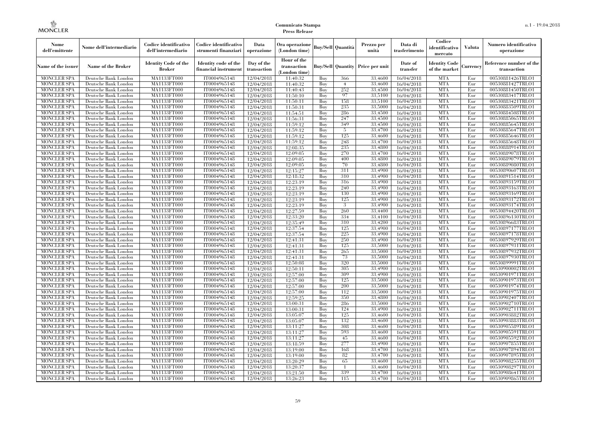| Nome<br>dell'emittente                   | Nome dell'intermediario                      | Codice identificativo<br>dell'intermediario  | Codice identificativo<br>strumenti finanziari | Data<br>operazione        | Ora operazione<br>(London time)             |            | <b>Buy/Sell Quantità</b> | Prezzo per<br>unità | Data di<br>trasferimento | Codice<br>identificativo<br>mercato   | Valuta     | Numero identificativo<br>operazione    |
|------------------------------------------|----------------------------------------------|----------------------------------------------|-----------------------------------------------|---------------------------|---------------------------------------------|------------|--------------------------|---------------------|--------------------------|---------------------------------------|------------|----------------------------------------|
| Name of the issuer                       | Name of the Broker                           | <b>Identity Code of the</b><br><b>Broker</b> | Identity code of the<br>financial instrument  | Day of the<br>transaction | Hour of the<br>transaction<br>(London time) |            | <b>Buy/Sell Quantity</b> | Price per unit      | Date of<br>transfer      | <b>Identity Code</b><br>of the market | Currency   | Reference number of the<br>transaction |
| <b>MONCLER SPA</b>                       | Deutsche Bank London                         | MA1133FT000                                  | IT0004965148                                  | 12/04/2018                | 11:40:32                                    | Buy        | 366                      | 33,4600             | 16/04/2018               | <b>MTA</b>                            | Eur        | 00530881426TRLO1                       |
| <b>MONCLER SPA</b>                       | Deutsche Bank London                         | <b>MA1133FT000</b>                           | IT0004965148                                  | 12/04/2018                | 11:40:32                                    | Buy        | $\overline{4}$           | 33,4600             | 16/04/2018               | <b>MTA</b>                            | Eur        | 00530881427TRLO1                       |
| <b>MONCLER SPA</b>                       | Deutsche Bank London                         | MA1133FT000                                  | IT0004965148                                  | 12/04/2018                | 11:40:43                                    | Buy        | 252                      | 33,4500             | 16/04/2018               | <b>MTA</b>                            | Eur        | 00530881450TRLO1                       |
| <b>MONCLER SPA</b>                       | Deutsche Bank London                         | MA1133FT000                                  | IT0004965148                                  | 12/04/2018                | 11:50:10                                    | Buv        | 97                       | 33.5100             | 16/04/2018               | <b>MTA</b>                            | Eur        | 00530883417TRLO1                       |
| <b>MONCLER SPA</b>                       | Deutsche Bank London                         | MA1133FT000                                  | IT0004965148                                  | 12/04/2018                | 11:50:11                                    | Buy        | 158                      | 33,5100             | 16/04/2018               | <b>MTA</b>                            | Eur        | 00530883421TRLO1                       |
| <b>MONCLER SPA</b><br><b>MONCLER SPA</b> | Deutsche Bank London                         | MA1133FT000<br>MA1133FT000                   | IT0004965148<br>IT0004965148                  | 12/04/2018                | 11:50:31                                    | Buy        | 235<br>286               | 33,5000<br>33,4500  | 16/04/2018               | <b>MTA</b><br><b>MTA</b>              | Eur        | 00530883509TRLO1<br>00530884508TRLO1   |
| <b>MONCLER SPA</b>                       | Deutsche Bank London<br>Deutsche Bank London | MA1133FT000                                  | IT0004965148                                  | 12/04/2018<br>12/04/2018  | 11:54:51<br>11:56:31                        | Buy<br>Buy | 247                      | 33,4500             | 16/04/2018<br>16/04/2018 | <b>MTA</b>                            | Eur<br>Eur | 00530885065TRLO1                       |
| <b>MONCLER SPA</b>                       | Deutsche Bank London                         | <b>MA1133FT000</b>                           | IT0004965148                                  | 12/04/2018                | 11:59:12                                    | Buv        | 349                      | 33.4500             | 16/04/2018               | <b>MTA</b>                            | Eur        | 00530885645TRLO1                       |
| <b>MONCLER SPA</b>                       | Deutsche Bank London                         | MA1133FT000                                  | IT0004965148                                  | 12/04/2018                | 11:59:12                                    | Buy        | $\overline{5}$           | 33,4700             | 16/04/2018               | <b>MTA</b>                            | Eur        | 00530885647TRLO1                       |
| <b>MONCLER SPA</b>                       | Deutsche Bank London                         | MA1133FT000                                  | IT0004965148                                  | 12/04/2018                | 11:59:12                                    | Buy        | 125                      | 33.4600             | 16/04/2018               | <b>MTA</b>                            | Eur        | 00530885646TRLO1                       |
| <b>MONCLER SPA</b>                       | Deutsche Bank London                         | MA1133FT000                                  | IT0004965148                                  | 12/04/2018                | 11:59:12                                    | Buy        | 248                      | 33,4700             | 16/04/2018               | <b>MTA</b>                            | Eur        | 00530885648TRLO1                       |
| <b>MONCLER SPA</b>                       | Deutsche Bank London                         | <b>MA1133FT000</b>                           | IT0004965148                                  | 12/04/2018                | 12:08:35                                    | Buy        | 235                      | 33,4800             | 16/04/2018               | <b>MTA</b>                            | Eur        | 00530888914TRLO1                       |
| <b>MONCLER SPA</b>                       | Deutsche Bank London                         | MA1133FT000                                  | IT0004965148                                  | 12/04/2018                | 12:09:05                                    | Buv        | 270                      | 33,4700             | 16/04/2018               | <b>MTA</b>                            | Eur        | 00530889078TRLO1                       |
| <b>MONCLER SPA</b>                       | Deutsche Bank London                         | <b>MA1133FT000</b>                           | IT0004965148                                  | 12/04/2018                | 12:09:05                                    | Buy        | 400                      | 33.4800             | 16/04/2018               | <b>MTA</b>                            | Eur        | 00530889079TRLO1                       |
| <b>MONCLER SPA</b>                       | Deutsche Bank London                         | MA1133FT000                                  | IT0004965148                                  | 12/04/2018                | 12:09:05                                    | Buy        | 70                       | 33,4800             | 16/04/2018               | <b>MTA</b>                            | Eur        | 00530889080TRLO1                       |
| <b>MONCLER SPA</b>                       | Deutsche Bank London                         | MA1133FT000                                  | IT0004965148                                  | 12/04/2018                | 12:15:27                                    | Buy        | 311                      | 33,4900             | 16/04/2018               | <b>MTA</b>                            | Eur        | 00530890607TRLO1                       |
| <b>MONCLER SPA</b>                       | Deutsche Bank London                         | MA1133FT000                                  | IT0004965148                                  | 12/04/2018                | 12:18:32                                    | Buy        | 310                      | 33,4900             | 16/04/2018               | <b>MTA</b>                            | Eur        | 00530891514TRLO1                       |
| <b>MONCLER SPA</b>                       | Deutsche Bank London                         | MA1133FT000                                  | IT0004965148                                  | 12/04/2018                | 12:23:19                                    | Buy        | 316                      | 33,4900             | 16/04/2018               | <b>MTA</b>                            | Eur        | 00530893159TRLO1                       |
| <b>MONCLER SPA</b>                       | Deutsche Bank London                         | MA1133FT000                                  | IT0004965148                                  | 12/04/2018                | 12:23:19                                    | Buy        | 240                      | 33,4900             | 16/04/2018               | <b>MTA</b>                            | Eur        | 00530893163TRLO1                       |
| <b>MONCLER SPA</b>                       | Deutsche Bank London                         | MA1133FT000                                  | IT0004965148                                  | 12/04/2018                | 12:23:19                                    | <b>Buy</b> | 130                      | 33,4900             | 16/04/2018               | <b>MTA</b>                            | Eur        | 00530893169TRLO1                       |
| <b>MONCLER SPA</b>                       | Deutsche Bank London                         | MA1133FT000                                  | IT0004965148                                  | 12/04/2018                | 12:23:19                                    | Buy        | 125                      | 33,4900             | 16/04/2018               | <b>MTA</b>                            | Eur        | 00530893172TRLO1                       |
| <b>MONCLER SPA</b>                       | Deutsche Bank London                         | <b>MA1133FT000</b>                           | IT0004965148                                  | 12/04/2018                | 12:23:19                                    | Buy        | -3                       | 33,4900             | 16/04/2018               | <b>MTA</b>                            | Eur        | 00530893174TRLO1                       |
| <b>MONCLER SPA</b>                       | Deutsche Bank London                         | MA1133FT000                                  | IT0004965148                                  | 12/04/2018                | 12:27:59                                    | Buy        | 260                      | 33,4400             | 16/04/2018               | <b>MTA</b>                            | Eur        | 00530894420TRLO1                       |
| <b>MONCLER SPA</b>                       | Deutsche Bank London                         | MA1133FT000                                  | IT0004965148                                  | 12/04/2018                | 12:33:20                                    | Buy        | 334                      | 33.4100             | 16/04/2018               | <b>MTA</b>                            | Eur        | 00530896130TRLO1                       |
| <b>MONCLER SPA</b>                       | Deutsche Bank London                         | MA1133FT000                                  | IT0004965148                                  | 12/04/2018                | 12:35:49                                    | Buy        | 310                      | 33,4200             | 16/04/2018               | <b>MTA</b>                            | Eur        | 00530896683TRLO1                       |
| <b>MONCLER SPA</b>                       | Deutsche Bank London                         | MA1133FT000                                  | IT0004965148                                  | 12/04/2018                | 12:37:54                                    | Buy        | 125                      | 33,4900             | 16/04/2018               | <b>MTA</b>                            | Eur        | 00530897177TRLO1                       |
| <b>MONCLER SPA</b>                       | Deutsche Bank London                         | MA1133FT000                                  | IT0004965148                                  | 12/04/2018                | 12:37:54                                    | Buy        | 225                      | 33,4900             | 16/04/2018               | <b>MTA</b>                            | Eur        | 00530897178TRLO1                       |
| MONCLER SPA                              | Deutsche Bank London                         | MA1133FT000                                  | IT0004965148                                  | 12/04/2018                | 12:41:31                                    | Buy        | 250                      | 33,4900             | 16/04/2018               | <b>MTA</b>                            | Eur        | 00530897929TRLO1                       |
| MONCLER SPA                              | Deutsche Bank London                         | MA1133FT000                                  | IT0004965148                                  | 12/04/2018                | 12:41:31                                    | Buy        | 125                      | 33,5000             | 16/04/2018               | <b>MTA</b>                            | Eur        | 00530897931TRLO1                       |
| <b>MONCLER SPA</b>                       | Deutsche Bank London                         | MA1133FT000                                  | IT0004965148                                  | 12/04/2018                | 12:41:31                                    | Buy        | 265                      | 33,5000             | 16/04/2018               | <b>MTA</b>                            | Eur        | 00530897932TRLO1                       |
| <b>MONCLER SPA</b>                       | Deutsche Bank London                         | MA1133FT000                                  | IT0004965148                                  | 12/04/2018                | 12:41:31                                    | Buy        | 73                       | 33,5000             | 16/04/2018               | <b>MTA</b>                            | Eur        | 00530897930TRLO1                       |
| <b>MONCLER SPA</b>                       | Deutsche Bank London                         | MA1133FT000                                  | IT0004965148                                  | 12/04/2018                | 12:50:08                                    | Buy        | 320                      | 33,5000             | 16/04/2018               | <b>MTA</b>                            | Eur        | 00530899991TRLO1                       |
| <b>MONCLER SPA</b>                       | Deutsche Bank London                         | MA1133FT000                                  | IT0004965148                                  | 12/04/2018                | 12:50:11                                    | Buy        | 305                      | 33,4900             | 16/04/2018               | <b>MTA</b>                            | Eur        | 00530900002TRLO1                       |
| <b>MONCLER SPA</b>                       | Deutsche Bank London                         | MA1133FT000                                  | IT0004965148                                  | 12/04/2018                | 12:57:00                                    | Buy        | 309                      | 33,4900             | 16/04/2018               | <b>MTA</b>                            | Eur        | 00530901971TRLO1                       |
| <b>MONCLER SPA</b><br><b>MONCLER SPA</b> | Deutsche Bank London                         | MA1133FT000<br>MA1133FT000                   | IT0004965148                                  | 12/04/2018                | 12:57:00                                    | Buy<br>Buv | 125<br>200               | 33,5000<br>33,5000  | 16/04/2018               | <b>MTA</b><br><b>MTA</b>              | Eur<br>Eur | 00530901973TRLO1                       |
| <b>MONCLER SPA</b>                       | Deutsche Bank London<br>Deutsche Bank London | MA1133FT000                                  | IT0004965148<br>IT0004965148                  | 12/04/2018                | 12:57:00<br>12:57:00                        | Buy        | 112                      | 33,5000             | 16/04/2018<br>16/04/2018 | <b>MTA</b>                            | Eur        | 00530901974TRLO1<br>00530901975TRLO1   |
| <b>MONCLER SPA</b>                       | Deutsche Bank London                         | MA1133FT000                                  | IT0004965148                                  | 12/04/2018<br>12/04/2018  | 12:59:25                                    | Buy        | 350                      | 33,4800             | 16/04/2018               | <b>MTA</b>                            | Eur        | 00530902407TRLO1                       |
| <b>MONCLER SPA</b>                       | Deutsche Bank London                         | MA1133FT000                                  | IT0004965148                                  | 12/04/2018                | 13:00:31                                    | Buy        | 286                      | 33,5000             | 16/04/2018               | <b>MTA</b>                            | Eur        | 00530902710TRLO1                       |
| MONCLER SPA                              | Deutsche Bank London                         | MA1133FT000                                  | IT0004965148                                  | 12/04/2018                | 13:00:31                                    | Buv        | 124                      | 33,4900             | 16/04/2018               | <b>MTA</b>                            | Eur        | 00530902711TRLO1                       |
| <b>MONCLER SPA</b>                       | Deutsche Bank London                         | MA1133FT000                                  | IT0004965148                                  | 12/04/2018                | 13:05:07                                    | Buy        | 125                      | 33,4600             | 16/04/2018               | <b>MTA</b>                            | Eur        | 00530903882TRLO1                       |
| <b>MONCLER SPA</b>                       | Deutsche Bank London                         | MA1133FT000                                  | IT0004965148                                  | 12/04/2018                | 13:05:07                                    | Buy        | 132                      | 33,4600             | 16/04/2018               | <b>MTA</b>                            | Eur        | 00530903883TRLO1                       |
| <b>MONCLER SPA</b>                       | Deutsche Bank London                         | MA1133FT000                                  | IT0004965148                                  | 12/04/2018                | 13:11:27                                    | Buy        | 308                      | 33,4600             | 16/04/2018               | <b>MTA</b>                            | Eur        | 00530905589TRLO1                       |
| MONCLER SPA                              | Deutsche Bank London                         | MA1133FT000                                  | IT0004965148                                  | 12/04/2018                | 13:11:27                                    | Buy        | 593                      | 33,4600             | 16/04/2018               | <b>MTA</b>                            | Eur        | 00530905591TRLO1                       |
| <b>MONCLER SPA</b>                       | Deutsche Bank London                         | MA1133FT000                                  | IT0004965148                                  | 12/04/2018                | 13:11:27                                    | Buy        | 45                       | 33,4600             | 16/04/2018               | <b>MTA</b>                            | Eur        | 00530905592TRLO1                       |
| <b>MONCLER SPA</b>                       | Deutsche Bank London                         | MA1133FT000                                  | IT0004965148                                  | 12/04/2018                | 13:18:59                                    | Buy        | 277                      | 33,4900             | 16/04/2018               | <b>MTA</b>                            | Eur        | 00530907855TRLO1                       |
| <b>MONCLER SPA</b>                       | Deutsche Bank London                         | MA1133FT000                                  | IT0004965148                                  | 12/04/2018                | 13:19:00                                    | Buy        | 168                      | 33,4700             | 16/04/2018               | <b>MTA</b>                            | Eur        | 00530907894TRLO1                       |
| <b>MONCLER SPA</b>                       | Deutsche Bank London                         | MA1133FT000                                  | IT0004965148                                  | 12/04/2018                | 13:19:00                                    | Buy        | 82                       | 33,4700             | 16/04/2018               | <b>MTA</b>                            | Eur        | 00530907895TRLO1                       |
| <b>MONCLER SPA</b>                       | Deutsche Bank London                         | MA1133FT000                                  | IT0004965148                                  | 12/04/2018                | 13:20:29                                    | Buy        | 65                       | 33,4600             | 16/04/2018               | <b>MTA</b>                            | Eur        | 00530908255TRLO1                       |
| <b>MONCLER SPA</b>                       | Deutsche Bank London                         | MA1133FT000                                  | IT0004965148                                  | 12/04/2018                | 13:20:37                                    | Buy        | $\overline{1}$           | 33,4600             | 16/04/2018               | <b>MTA</b>                            | Eur        | 00530908297TRLO1                       |
| <b>MONCLER SPA</b>                       | Deutsche Bank London                         | MA1133FT000                                  | IT0004965148                                  | 12/04/2018                | 13:21:50                                    | Buy        | 339                      | 33,4700             | 16/04/2018               | <b>MTA</b>                            | Eur        | 00530908641TRLO1                       |
| MONCLER SPA                              | Deutsche Bank London                         | MA1133FT000                                  | IT0004965148                                  | 12/04/2018                | 13:26:23                                    | Buy        | 115                      | 33,4700             | 16/04/2018               | <b>MTA</b>                            | Eur        | 00530909865TRLO1                       |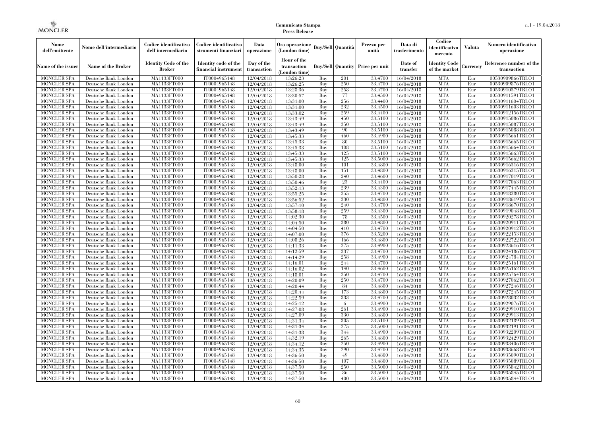| Nome<br>dell'emittente                   | Nome dell'intermediario                      | Codice identificativo<br>dell'intermediario  | Codice identificativo<br>strumenti finanziari | Data<br>operazione        | Ora operazione<br>(London time)             |            | Buy/Sell   Quantità      | Prezzo per<br>unità | Data di<br>trasferimento | Codice<br>identificativo<br>mercato   | <b>Valuta</b> | Numero identificativo<br>operazione    |
|------------------------------------------|----------------------------------------------|----------------------------------------------|-----------------------------------------------|---------------------------|---------------------------------------------|------------|--------------------------|---------------------|--------------------------|---------------------------------------|---------------|----------------------------------------|
| Name of the issuer                       | Name of the Broker                           | <b>Identity Code of the</b><br><b>Broker</b> | Identity code of the<br>financial instrument  | Day of the<br>transaction | Hour of the<br>transaction<br>(London time) |            | <b>Buy/Sell</b> Quantity | Price per unit      | Date of<br>transfer      | <b>Identity Code</b><br>of the market | Currency      | Reference number of the<br>transaction |
| <b>MONCLER SPA</b>                       | Deutsche Bank London                         | MA1133FT000                                  | IT0004965148                                  | 12/04/2018                | 13:26:23                                    | Buy        | 201                      | 33,4700             | 16/04/2018               | <b>MTA</b>                            | Eur           | 00530909866TRLO1                       |
| <b>MONCLER SPA</b>                       | Deutsche Bank London                         | MA1133FT000                                  | IT0004965148                                  | 12/04/2018                | 13:26:25                                    | Buy        | 250                      | 33,4700             | 16/04/2018               | <b>MTA</b>                            | Eur           | 00530909876TRLO1                       |
| <b>MONCLER SPA</b>                       | Deutsche Bank London                         | MA1133FT000                                  | IT0004965148                                  | 12/04/2018                | 13:28:36                                    | Buy        | 258                      | 33,4700             | 16/04/2018               | <b>MTA</b>                            | Eur           | 00530910579TRLO1                       |
| <b>MONCLER SPA</b>                       | Deutsche Bank London                         | MA1133FT000                                  | IT0004965148                                  | 12/04/2018                | 13:30:57                                    | Buy        | 77                       | 33,4500             | 16/04/2018               | <b>MTA</b>                            | Eur           | 00530911591TRLO1                       |
| MONCLER SPA                              | Deutsche Bank London                         | MA1133FT000                                  | IT0004965148                                  | 12/04/2018                | 13:31:00                                    | Buy        | 256                      | 33,4400             | 16/04/2018               | <b>MTA</b><br><b>MTA</b>              | Eur<br>Eur    | 00530911604TRLO1<br>00530911603TRLO1   |
| <b>MONCLER SPA</b><br><b>MONCLER SPA</b> | Deutsche Bank London<br>Deutsche Bank London | <b>MA1133FT000</b><br>MA1133FT000            | IT0004965148<br>IT0004965148                  | 12/04/2018<br>12/04/2018  | 13:31:00<br>13:33:02                        | Buy<br>Buy | 232<br>259               | 33,4500<br>33,4400  | 16/04/2018<br>16/04/2018 | <b>MTA</b>                            | Eur           | 00530912156TRLO1                       |
| <b>MONCLER SPA</b>                       | Deutsche Bank London                         | MA1133FT000                                  | IT0004965148                                  | 12/04/2018                | 13:43:49                                    | Buy        | 450                      | 33,5100             | 16/04/2018               | <b>MTA</b>                            | Eur           | 00530915086TRLO1                       |
| <b>MONCLER SPA</b>                       | Deutsche Bank London                         | MA1133FT000                                  | IT0004965148                                  | 12/04/2018                | 13:43:49                                    | Buy        | 350                      | 33,5100             | 16/04/2018               | <b>MTA</b>                            | Eur           | 00530915087TRLO1                       |
| <b>MONCLER SPA</b>                       | Deutsche Bank London                         | MA1133FT000                                  | IT0004965148                                  | 12/04/2018                | 13:43:49                                    | Buy        | 90                       | 33,5100             | 16/04/2018               | <b>MTA</b>                            | Eur           | 00530915088TRLO1                       |
| <b>MONCLER SPA</b>                       | Deutsche Bank London                         | MA1133FT000                                  | IT0004965148                                  | 12/04/2018                | 13:45:33                                    | Buy        | 460                      | 33,4900             | 16/04/2018               | <b>MTA</b>                            | Eur           | 00530915661TRLO1                       |
| <b>MONCLER SPA</b>                       | Deutsche Bank London                         | MA1133FT000                                  | IT0004965148                                  | 12/04/2018                | 13:45:33                                    | Buy        | 80                       | 33,5100             | 16/04/2018               | <b>MTA</b>                            | Eur           | 00530915665TRLO1                       |
| <b>MONCLER SPA</b>                       | Deutsche Bank London                         | MA1133FT000                                  | IT0004965148                                  | 12/04/2018                | 13:45:33                                    | Buy        | 108                      | 33,5100             | 16/04/2018               | <b>MTA</b>                            | Eur           | 00530915664TRLO1                       |
| <b>MONCLER SPA</b>                       | Deutsche Bank London                         | MA1133FT000                                  | IT0004965148                                  | 12/04/2018                | 13:45:33                                    | Buy        | 125                      | 33,5100             | 16/04/2018               | <b>MTA</b>                            | Eur           | 00530915663TRLO1                       |
| <b>MONCLER SPA</b>                       | Deutsche Bank London                         | MA1133FT000                                  | IT0004965148                                  | 12/04/2018                | 13:45:33                                    | Buy        | 125                      | 33,5000             | 16/04/2018               | <b>MTA</b>                            | Eur           | 00530915662TRLO1                       |
| <b>MONCLER SPA</b>                       | Deutsche Bank London                         | MA1133FT000                                  | IT0004965148                                  | 12/04/2018                | 13:48:00                                    | Buy        | 101                      | 33,4800             | 16/04/2018               | <b>MTA</b>                            | Eur           | 00530916316TRLO1                       |
| <b>MONCLER SPA</b>                       | Deutsche Bank London                         | MA1133FT000                                  | IT0004965148                                  | 12/04/2018                | 13:48:00                                    | Buy        | 151                      | 33,4800             | 16/04/2018               | <b>MTA</b>                            | Eur           | 00530916315TRLO1                       |
| <b>MONCLER SPA</b>                       | Deutsche Bank London                         | MA1133FT000                                  | IT0004965148                                  | 12/04/2018                | 13:50:28                                    | Buy        | 240                      | 33,4600             | 16/04/2018               | <b>MTA</b>                            | Eur           | 00530917019TRLO1                       |
| <b>MONCLER SPA</b>                       | Deutsche Bank London                         | MA1133FT000                                  | IT0004965148                                  | 12/04/2018                | 13:50:46                                    | Buy        | 23                       | 33,4400             | 16/04/2018               | <b>MTA</b>                            | Eur           | 00530917063TRLO1                       |
| <b>MONCLER SPA</b>                       | Deutsche Bank London                         | MA1133FT000                                  | IT0004965148                                  | 12/04/2018                | 13:52:13                                    | Buv        | 239                      | 33,4300             | 16/04/2018               | <b>MTA</b>                            | Eur           | 00530917445TRLO1                       |
| <b>MONCLER SPA</b>                       | Deutsche Bank London                         | MA1133FT000                                  | IT0004965148                                  | 12/04/2018                | 13:55:25                                    | Buy        | 255                      | 33,4700             | 16/04/2018               | <b>MTA</b>                            | Eur           | 00530918280TRLO1                       |
| MONCLER SPA                              | Deutsche Bank London                         | MA1133FT000                                  | IT0004965148                                  | 12/04/2018                | 13:56:52                                    | Buy        | 330                      | 33,4800             | 16/04/2018               | <b>MTA</b>                            | Eur           | 00530918619TRLO1                       |
| MONCLER SPA                              | Deutsche Bank London                         | MA1133FT000                                  | IT0004965148<br>IT0004965148                  | 12/04/2018                | 13:57:10                                    | Buy        | 240<br>259               | 33,4700             | 16/04/2018               | <b>MTA</b><br><b>MTA</b>              | Eur<br>Eur    | 00530918670TRLO1                       |
| <b>MONCLER SPA</b><br><b>MONCLER SPA</b> | Deutsche Bank London<br>Deutsche Bank London | MA1133FT000<br>MA1133FT000                   | IT0004965148                                  | 12/04/2018<br>12/04/2018  | 13:58:18<br>14:02:30                        | Buy<br>Buv | 78                       | 33,4300<br>33,4500  | 16/04/2018<br>16/04/2018 | <b>MTA</b>                            | Eur           | 00530919048TRLO1<br>00530920278TRLO1   |
| <b>MONCLER SPA</b>                       | Deutsche Bank London                         | MA1133FT000                                  | IT0004965148                                  | 12/04/2018                | 14:04:50                                    | Buy        | 380                      | 33,4800             | 16/04/2018               | <b>MTA</b>                            | Eur           | 00530920911TRLO1                       |
| <b>MONCLER SPA</b>                       | Deutsche Bank London                         | <b>MA1133FT000</b>                           | IT0004965148                                  | 12/04/2018                | 14:04:50                                    | Buy        | 410                      | 33,4700             | 16/04/2018               | <b>MTA</b>                            | Eur           | 00530920912TRLO1                       |
| <b>MONCLER SPA</b>                       | Deutsche Bank London                         | MA1133FT000                                  | IT0004965148                                  | 12/04/2018                | 14:07:00                                    | Buy        | 376                      | 33,5200             | 16/04/2018               | <b>MTA</b>                            | Eur           | 00530922153TRLO1                       |
| MONCLER SPA                              | Deutsche Bank London                         | MA1133FT000                                  | IT0004965148                                  | 12/04/2018                | 14:08:26                                    | Buv        | 166                      | 33,4800             | 16/04/2018               | <b>MTA</b>                            | Eur           | 00530922722TRLO1                       |
| <b>MONCLER SPA</b>                       | Deutsche Bank London                         | MA1133FT000                                  | IT0004965148                                  | 12/04/2018                | 14:11:33                                    | Buy        | 275                      | 33,4900             | 16/04/2018               | <b>MTA</b>                            | Eur           | 00530923616TRLO1                       |
| <b>MONCLER SPA</b>                       | Deutsche Bank London                         | MA1133FT000                                  | IT0004965148                                  | 12/04/2018                | 14:12:59                                    | Buy        | 337                      | 33,4700             | 16/04/2018               | <b>MTA</b>                            | Eur           | 00530924186TRLO1                       |
| <b>MONCLER SPA</b>                       | Deutsche Bank London                         | MA1133FT000                                  | IT0004965148                                  | 12/04/2018                | 14:14:29                                    | Buy        | 258                      | 33,4900             | 16/04/2018               | <b>MTA</b>                            | Eur           | 00530924784TRLO1                       |
| MONCLER SPA                              | Deutsche Bank London                         | MA1133FT000                                  | IT0004965148                                  | 12/04/2018                | 14:16:01                                    | Buy        | 244                      | 33,4700             | 16/04/2018               | <b>MTA</b>                            | Eur           | 00530925161TRLO1                       |
| <b>MONCLER SPA</b>                       | Deutsche Bank London                         | MA1133FT000                                  | IT0004965148                                  | 12/04/2018                | 14:16:02                                    | Buy        | 140                      | 33,4600             | 16/04/2018               | <b>MTA</b>                            | Eur           | 00530925162TRLO1                       |
| <b>MONCLER SPA</b>                       | Deutsche Bank London                         | MA1133FT000                                  | IT0004965148                                  | 12/04/2018                | 14:18:01                                    | Buy        | 250                      | 33,4700             | 16/04/2018               | <b>MTA</b>                            | Eur           | 00530925764TRLO1                       |
| <b>MONCLER SPA</b>                       | Deutsche Bank London                         | MA1133FT000                                  | IT0004965148                                  | 12/04/2018                | 14:20:09                                    | Buy        | 250                      | 33,4700             | 16/04/2018               | <b>MTA</b>                            | Eur           | 00530927062TRLO1                       |
| <b>MONCLER SPA</b>                       | Deutsche Bank London                         | MA1133FT000                                  | IT0004965148                                  | 12/04/2018                | 14:20:44                                    | Buy        | 84                       | 33,4800             | 16/04/2018               | <b>MTA</b>                            | Eur           | 00530927246TRLO1                       |
| <b>MONCLER SPA</b>                       | Deutsche Bank London                         | MA1133FT000                                  | IT0004965148                                  | 12/04/2018                | 14:20:44                                    | Buy        | 173                      | 33,4800             | 16/04/2018               | <b>MTA</b>                            | Eur           | 00530927245TRLO1                       |
| <b>MONCLER SPA</b>                       | Deutsche Bank London                         | MA1133FT000                                  | IT0004965148                                  | 12/04/2018                | 14:22:59                                    | Buy        | 333                      | 33,4700             | 16/04/2018               | <b>MTA</b>                            | Eur           | 00530928032TRLO1                       |
| <b>MONCLER SPA</b>                       | Deutsche Bank London                         | MA1133FT000                                  | IT0004965148                                  | 12/04/2018                | 14:25:12                                    | Buy        | -6                       | 33,4900             | 16/04/2018               | <b>MTA</b>                            | Eur           | 00530929076TRLO1                       |
| <b>MONCLER SPA</b>                       | Deutsche Bank London                         | MA1133FT000                                  | IT0004965148                                  | 12/04/2018                | 14:27:08                                    | Buy        | 261                      | 33,4900             | 16/04/2018               | <b>MTA</b>                            | Eur           | 00530929910TRLO1                       |
| <b>MONCLER SPA</b><br><b>MONCLER SPA</b> | Deutsche Bank London<br>Deutsche Bank London | MA1133FT000<br>MA1133FT000                   | IT0004965148<br>IT0004965148                  | 12/04/2018<br>12/04/2018  | 14:27:09<br>14:31:34                        | Buy<br>Buy | 330<br>305               | 33,4800<br>33,5100  | 16/04/2018<br>16/04/2018 | <b>MTA</b><br><b>MTA</b>              | Eur<br>Eur    | 00530929913TRLO1<br>00530932189TRLO1   |
| <b>MONCLER SPA</b>                       | Deutsche Bank London                         | MA1133FT000                                  | IT0004965148                                  | 12/04/2018                | 14:31:34                                    | Buy        | 275                      | 33,5000             | 16/04/2018               | <b>MTA</b>                            | Eur           | 00530932191TRLO1                       |
| <b>MONCLER SPA</b>                       | Deutsche Bank London                         | MA1133FT000                                  | IT0004965148                                  | 12/04/2018                | 14:31:38                                    | Buy        | 344                      | 33,4900             | 16/04/2018               | <b>MTA</b>                            | Eur           | 00530932209TRLO1                       |
| <b>MONCLER SPA</b>                       | Deutsche Bank London                         | MA1133FT000                                  | IT0004965148                                  | 12/04/2018                | 14:32:19                                    | Buy        | 265                      | 33,4800             | 16/04/2018               | <b>MTA</b>                            | Eur           | 00530932429TRLO1                       |
| <b>MONCLER SPA</b>                       | Deutsche Bank London                         | MA1133FT000                                  | IT0004965148                                  | 12/04/2018                | 14:34:12                                    | Buy        | 250                      | 33,4900             | 16/04/2018               | <b>MTA</b>                            | Eur           | 00530933406TRLO1                       |
| <b>MONCLER SPA</b>                       | Deutsche Bank London                         | MA1133FT000                                  | IT0004965148                                  | 12/04/2018                | 14:34:35                                    | Buy        | 290                      | 33,4700             | 16/04/2018               | <b>MTA</b>                            | Eur           | 00530933668TRLO1                       |
| <b>MONCLER SPA</b>                       | Deutsche Bank London                         | MA1133FT000                                  | IT0004965148                                  | 12/04/2018                | 14:36:50                                    | Buy        | 49                       | 33,4800             | 16/04/2018               | <b>MTA</b>                            | Eur           | 00530935090TRLO1                       |
| <b>MONCLER SPA</b>                       | Deutsche Bank London                         | MA1133FT000                                  | IT0004965148                                  | 12/04/2018                | 14:36:50                                    | Buy        | 107                      | 33,4800             | 16/04/2018               | <b>MTA</b>                            | Eur           | 00530935089TRLO1                       |
| <b>MONCLER SPA</b>                       | Deutsche Bank London                         | MA1133FT000                                  | IT0004965148                                  | 12/04/2018                | 14:37:50                                    | Buy        | 250                      | 33,5000             | 16/04/2018               | <b>MTA</b>                            | Eur           | 00530935842TRLO1                       |
| <b>MONCLER SPA</b>                       | Deutsche Bank London                         | MA1133FT000                                  | IT0004965148                                  | 12/04/2018                | 14:37:50                                    | Buy        | 36                       | 33,5000             | 16/04/2018               | <b>MTA</b>                            | Eur           | 00530935845TRLO1                       |
| MONCLER SPA                              | Deutsche Bank London                         | MA1133FT000                                  | IT0004965148                                  | 12/04/2018                | 14:37:50                                    | Buy        | 400                      | 33,5000             | 16/04/2018               | <b>MTA</b>                            | Eur           | 00530935844TRLO1                       |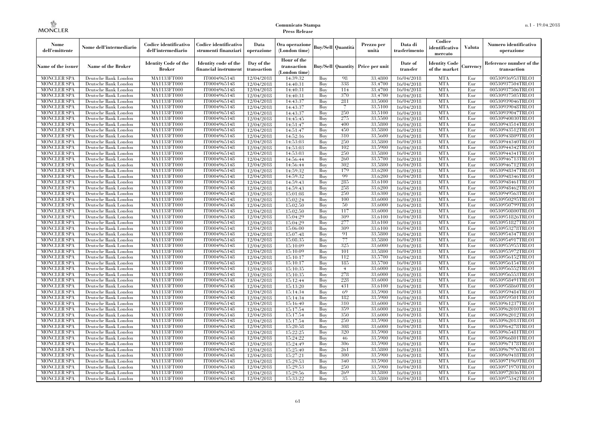| Nome<br>dell'emittente                   | Nome dell'intermediario                      | Codice identificativo<br>dell'intermediario  | Codice identificativo<br>strumenti finanziari | Data<br>operazione        | Ora operazione<br>(London time)             |            | Buv/Sell   Quantità      | Prezzo per<br>unità | Data di<br>trasferimento | Codice<br>identificativo<br>mercato   | <b>Valuta</b> | Numero identificativo<br>operazione    |
|------------------------------------------|----------------------------------------------|----------------------------------------------|-----------------------------------------------|---------------------------|---------------------------------------------|------------|--------------------------|---------------------|--------------------------|---------------------------------------|---------------|----------------------------------------|
| Name of the issuer                       | Name of the Broker                           | <b>Identity Code of the</b><br><b>Broker</b> | Identity code of the<br>financial instrument  | Day of the<br>transaction | Hour of the<br>transaction<br>(London time) |            | <b>Buy/Sell Quantity</b> | Price per unit      | Date of<br>transfer      | <b>Identity Code</b><br>of the market | Currencv      | Reference number of the<br>transaction |
| <b>MONCLER SPA</b>                       | Deutsche Bank London                         | MA1133FT000                                  | IT0004965148                                  | 12/04/2018                | 14:39:32                                    | Buy        | 98                       | 33,4800             | 16/04/2018               | <b>MTA</b>                            | Eur           | 00530936953TRLO1                       |
| <b>MONCLER SPA</b>                       | Deutsche Bank London                         | <b>MA1133FT000</b>                           | IT0004965148                                  | 12/04/2018                | 14:40:31                                    | Buy        | 338                      | 33,4700             | 16/04/2018               | <b>MTA</b>                            | Eur           | 00530937504TRLO1                       |
| <b>MONCLER SPA</b>                       | Deutsche Bank London                         | MA1133FT000                                  | IT0004965148                                  | 12/04/2018                | 14:40:31                                    | Buv        | 114                      | 33.4700             | 16/04/2018               | <b>MTA</b>                            | Eur           | 00530937506TRLO1                       |
| <b>MONCLER SPA</b>                       | Deutsche Bank London                         | MA1133FT000                                  | IT0004965148                                  | 12/04/2018                | 14:40:31                                    | Buy        | 370                      | 33,4700             | 16/04/2018               | <b>MTA</b>                            | Eur           | 00530937505TRLO1                       |
| <b>MONCLER SPA</b>                       | Deutsche Bank London                         | MA1133FT000<br><b>MA1133FT000</b>            | IT0004965148                                  | 12/04/2018                | 14:43:37                                    | Buy        | 281<br>7                 | 33,5000<br>33,5100  | 16/04/2018               | <b>MTA</b><br><b>MTA</b>              | Eur<br>Eur    | 00530939046TRLO1                       |
| <b>MONCLER SPA</b><br><b>MONCLER SPA</b> | Deutsche Bank London<br>Deutsche Bank London | MA1133FT000                                  | IT0004965148<br>IT0004965148                  | 12/04/2018<br>12/04/2018  | 14:43:37<br>14:43:37                        | Buy<br>Buy | 250                      | 33,5100             | 16/04/2018<br>16/04/2018 | <b>MTA</b>                            | Eur           | 00530939048TRLO1<br>00530939047TRLO1   |
| <b>MONCLER SPA</b>                       | Deutsche Bank London                         | MA1133FT000                                  | IT0004965148                                  | 12/04/2018                | 14:45:45                                    | Buv        | 275                      | 33,5500             | 16/04/2018               | <b>MTA</b>                            | Eur           | 00530940030TRLO1                       |
| <b>MONCLER SPA</b>                       | Deutsche Bank London                         | MA1133FT000                                  | IT0004965148                                  | 12/04/2018                | 14:51:47                                    | Buy        | 400                      | 33,5800             | 16/04/2018               | <b>MTA</b>                            | Eur           | 00530943514TRLO1                       |
| <b>MONCLER SPA</b>                       | Deutsche Bank London                         | <b>MA1133FT000</b>                           | IT0004965148                                  | 12/04/2018                | 14:51:47                                    | Buy        | 450                      | 33,5800             | 16/04/2018               | <b>MTA</b>                            | Eur           | 00530943512TRLO1                       |
| <b>MONCLER SPA</b>                       | Deutsche Bank London                         | MA1133FT000                                  | IT0004965148                                  | 12/04/2018                | 14:52:16                                    | Buy        | 310                      | 33,5600             | 16/04/2018               | <b>MTA</b>                            | Eur           | 00530943809TRLO1                       |
| <b>MONCLER SPA</b>                       | Deutsche Bank London                         | MA1133FT000                                  | IT0004965148                                  | 12/04/2018                | 14:53:03                                    | Buy        | 250                      | 33,5800             | 16/04/2018               | <b>MTA</b>                            | Eur           | 00530944340TRLO1                       |
| <b>MONCLER SPA</b>                       | Deutsche Bank London                         | MA1133FT000                                  | IT0004965148                                  | 12/04/2018                | 14:53:03                                    | Buy        | 102                      | 33,5900             | 16/04/2018               | <b>MTA</b>                            | Eur           | 00530944342TRLO1                       |
| <b>MONCLER SPA</b>                       | Deutsche Bank London                         | MA1133FT000                                  | IT0004965148                                  | 12/04/2018                | 14:53:03                                    | Buy        | 250                      | 33,5800             | 16/04/2018               | <b>MTA</b>                            | Eur           | 00530944341TRLO1                       |
| <b>MONCLER SPA</b>                       | Deutsche Bank London                         | MA1133FT000                                  | IT0004965148                                  | 12/04/2018                | 14:56:44                                    | Buy        | 260                      | 33,5700             | 16/04/2018               | <b>MTA</b>                            | Eur           | 00530946713TRLO1                       |
| <b>MONCLER SPA</b>                       | Deutsche Bank London                         | MA1133FT000                                  | IT0004965148                                  | 12/04/2018                | 14:56:44                                    | Buy        | 302                      | 33,5800             | 16/04/2018               | <b>MTA</b>                            | Eur           | 00530946712TRLO1                       |
| <b>MONCLER SPA</b>                       | Deutsche Bank London                         | MA1133FT000                                  | IT0004965148                                  | 12/04/2018                | 14:59:32                                    | Buv        | 179                      | 33.6200             | 16/04/2018               | <b>MTA</b>                            | Eur           | 00530948347TRLO1                       |
| <b>MONCLER SPA</b>                       | Deutsche Bank London                         | MA1133FT000                                  | IT0004965148                                  | 12/04/2018                | 14:59:32                                    | Buy        | 99                       | 33,6200             | 16/04/2018               | <b>MTA</b>                            | Eur           | 00530948346TRLO1                       |
| <b>MONCLER SPA</b>                       | Deutsche Bank London                         | MA1133FT000                                  | IT0004965148                                  | 12/04/2018                | 14:59:43                                    | Buy        | 285                      | 33,6100             | 16/04/2018               | <b>MTA</b>                            | Eur           | 00530948461TRLO1                       |
| <b>MONCLER SPA</b>                       | Deutsche Bank London                         | MA1133FT000                                  | IT0004965148                                  | 12/04/2018                | 14:59:43                                    | Buy        | 258                      | 33,6200             | 16/04/2018               | <b>MTA</b>                            | Eur           | 00530948462TRLO1                       |
| <b>MONCLER SPA</b>                       | Deutsche Bank London                         | MA1133FT000                                  | IT0004965148                                  | 12/04/2018                | 15:01:08                                    | Buy        | 250                      | 33,6300             | 16/04/2018               | <b>MTA</b>                            | Eur           | 00530949563TRLO1                       |
| MONCLER SPA                              | Deutsche Bank London                         | MA1133FT000                                  | IT0004965148                                  | 12/04/2018                | 15:02:24                                    | Buy        | 100                      | 33,6000             | 16/04/2018               | <b>MTA</b>                            | Eur           | 00530950295TRLO1                       |
| <b>MONCLER SPA</b>                       | Deutsche Bank London                         | MA1133FT000                                  | IT0004965148                                  | 12/04/2018                | 15:02:50                                    | Buy        | 50                       | 33,6000             | 16/04/2018               | <b>MTA</b>                            | Eur           | 00530950799TRLO1                       |
| <b>MONCLER SPA</b>                       | Deutsche Bank London                         | MA1133FT000                                  | IT0004965148                                  | 12/04/2018                | 15:02:50                                    | Buy        | 117<br>309               | 33,6000             | 16/04/2018               | <b>MTA</b>                            | Eur           | 00530950800TRLO1                       |
| <b>MONCLER SPA</b><br><b>MONCLER SPA</b> | Deutsche Bank London<br>Deutsche Bank London | MA1133FT000<br>MA1133FT000                   | IT0004965148<br>IT0004965148                  | 12/04/2018<br>12/04/2018  | 15:04:29<br>15:04:29                        | Buy<br>Buy | 277                      | 33,6100<br>33,6100  | 16/04/2018<br>16/04/2018 | <b>MTA</b><br><b>MTA</b>              | Eur<br>Eur    | 00530951826TRLO1<br>00530951827TRLO1   |
| <b>MONCLER SPA</b>                       | Deutsche Bank London                         | MA1133FT000                                  | IT0004965148                                  | 12/04/2018                | 15:06:00                                    | Buy        | 309                      | 33,6100             | 16/04/2018               | <b>MTA</b>                            | Eur           | 00530953278TRLO1                       |
| <b>MONCLER SPA</b>                       | Deutsche Bank London                         | MA1133FT000                                  | IT0004965148                                  | 12/04/2018                | 15:07:48                                    | Buy        | 91                       | 33,5800             | 16/04/2018               | <b>MTA</b>                            | Eur           | 00530954347TRLO1                       |
| <b>MONCLER SPA</b>                       | Deutsche Bank London                         | MA1133FT000                                  | IT0004965148                                  | 12/04/2018                | 15:08:35                                    | Buy        | 77                       | 33,5800             | 16/04/2018               | <b>MTA</b>                            | Eur           | 00530954917TRLO1                       |
| <b>MONCLER SPA</b>                       | Deutsche Bank London                         | <b>MA1133FT000</b>                           | IT0004965148                                  | 12/04/2018                | 15:10:09                                    | Buy        | 325                      | 33,6000             | 16/04/2018               | <b>MTA</b>                            | Eur           | 00530955955TRLO1                       |
| MONCLER SPA                              | Deutsche Bank London                         | MA1133FT000                                  | IT0004965148                                  | 12/04/2018                | 15:10:09                                    | Buy        | 101                      | 33,5800             | 16/04/2018               | <b>MTA</b>                            | Eur           | 00530955972TRLO1                       |
| <b>MONCLER SPA</b>                       | Deutsche Bank London                         | MA1133FT000                                  | IT0004965148                                  | 12/04/2018                | 15:10:17                                    | Buy        | 112                      | 33,5700             | 16/04/2018               | <b>MTA</b>                            | Eur           | 00530956152TRLO1                       |
| <b>MONCLER SPA</b>                       | Deutsche Bank London                         | MA1133FT000                                  | IT0004965148                                  | 12/04/2018                | 15:10:17                                    | Buy        | 185                      | 33,5700             | 16/04/2018               | <b>MTA</b>                            | Eur           | 00530956154TRLO1                       |
| <b>MONCLER SPA</b>                       | Deutsche Bank London                         | MA1133FT000                                  | IT0004965148                                  | 12/04/2018                | 15:10:35                                    | Buy        | $\overline{4}$           | 33,6000             | 16/04/2018               | <b>MTA</b>                            | Eur           | 00530956552TRLO1                       |
| <b>MONCLER SPA</b>                       | Deutsche Bank London                         | MA1133FT000                                  | IT0004965148                                  | 12/04/2018                | 15:10:35                                    | Buy        | 278                      | 33,6000             | 16/04/2018               | <b>MTA</b>                            | Eur           | 00530956553TRLO1                       |
| <b>MONCLER SPA</b>                       | Deutsche Bank London                         | MA1133FT000                                  | IT0004965148                                  | 12/04/2018                | 15:12:44                                    | Buy        | 228                      | 33,6000             | 16/04/2018               | <b>MTA</b>                            | Eur           | 00530958491TRLO1                       |
| <b>MONCLER SPA</b>                       | Deutsche Bank London                         | MA1133FT000                                  | IT0004965148                                  | 12/04/2018                | 15:13:20                                    | Buy        | 431                      | 33.6100             | 16/04/2018               | <b>MTA</b>                            | Eur           | 00530958860TRLO1                       |
| <b>MONCLER SPA</b>                       | Deutsche Bank London                         | <b>MA1133FT000</b>                           | IT0004965148                                  | 12/04/2018                | 15:14:34                                    | Buy        | 69                       | 33,5900             | 16/04/2018               | <b>MTA</b>                            | Eur           | 00530959484TRLO1                       |
| <b>MONCLER SPA</b>                       | Deutsche Bank London                         | MA1133FT000                                  | IT0004965148                                  | 12/04/2018                | 15:14:34                                    | Buy        | 182                      | 33,5900             | 16/04/2018               | <b>MTA</b>                            | Eur           | 00530959501TRLO1                       |
| <b>MONCLER SPA</b>                       | Deutsche Bank London                         | MA1133FT000                                  | IT0004965148                                  | 12/04/2018                | 15:16:40                                    | Buy        | 310                      | 33,6000             | 16/04/2018               | <b>MTA</b>                            | Eur           | 00530961237TRLO1                       |
| <b>MONCLER SPA</b>                       | Deutsche Bank London                         | MA1133FT000                                  | IT0004965148                                  | 12/04/2018                | 15:17:54                                    | Buy        | 359                      | 33,6000             | 16/04/2018               | <b>MTA</b>                            | Eur           | 00530962010TRLO1                       |
| <b>MONCLER SPA</b>                       | Deutsche Bank London                         | MA1133FT000                                  | IT0004965148                                  | 12/04/2018                | 15:17:54                                    | Buy        | 350                      | 33,6000             | 16/04/2018               | <b>MTA</b>                            | Eur           | 00530962012TRLO1                       |
| <b>MONCLER SPA</b>                       | Deutsche Bank London                         | MA1133FT000                                  | IT0004965148                                  | 12/04/2018                | 15:17:54                                    | Buy        | 250                      | 33,5900             | 16/04/2018               | <b>MTA</b>                            | Eur           | 00530962013TRLO1                       |
| <b>MONCLER SPA</b>                       | Deutsche Bank London                         | MA1133FT000                                  | IT0004965148                                  | 12/04/2018                | 15:20:58                                    | Buy        | 308                      | 33,6000             | 16/04/2018               | <b>MTA</b>                            | Eur           | 00530964278TRLO1                       |
| <b>MONCLER SPA</b><br><b>MONCLER SPA</b> | Deutsche Bank London<br>Deutsche Bank London | MA1133FT000<br>MA1133FT000                   | IT0004965148<br>IT0004965148                  | 12/04/2018                | 15:22:25<br>15:24:22                        | Buy<br>Buy | 320<br>46                | 33,5900<br>33,5900  | 16/04/2018<br>16/04/2018 | <b>MTA</b><br><b>MTA</b>              | Eur<br>Eur    | 00530965481TRLO1<br>00530966801TRLO1   |
| <b>MONCLER SPA</b>                       | Deutsche Bank London                         | MA1133FT000                                  | IT0004965148                                  | 12/04/2018<br>12/04/2018  | 15:24:49                                    | Buy        | 306                      | 33,5900             | 16/04/2018               | <b>MTA</b>                            | Eur           | 00530967178TRLO1                       |
| <b>MONCLER SPA</b>                       | Deutsche Bank London                         | MA1133FT000                                  | IT0004965148                                  | 12/04/2018                | 15:25:40                                    | Buy        | 261                      | 33,5800             | 16/04/2018               | <b>MTA</b>                            | Eur           | 00530967976TRLO1                       |
| <b>MONCLER SPA</b>                       | Deutsche Bank London                         | MA1133FT000                                  | IT0004965148                                  | 12/04/2018                | 15:27:21                                    | Buy        | 300                      | 33,5900             | 16/04/2018               | <b>MTA</b>                            | Eur           | 00530969418TRLO1                       |
| <b>MONCLER SPA</b>                       | Deutsche Bank London                         | MA1133FT000                                  | IT0004965148                                  | 12/04/2018                | 15:29:53                                    | Buy        | 340                      | 33,5900             | 16/04/2018               | <b>MTA</b>                            | Eur           | 00530971969TRLO1                       |
| <b>MONCLER SPA</b>                       | Deutsche Bank London                         | MA1133FT000                                  | IT0004965148                                  | 12/04/2018                | 15:29:53                                    | Buy        | 250                      | 33,5900             | 16/04/2018               | <b>MTA</b>                            | Eur           | 00530971970TRLO1                       |
| <b>MONCLER SPA</b>                       | Deutsche Bank London                         | <b>MA1133FT000</b>                           | IT0004965148                                  | 12/04/2018                | 15:29:56                                    | Buy        | 269                      | 33,5800             | 16/04/2018               | <b>MTA</b>                            | Eur           | 00530972036TRLO1                       |
| <b>MONCLER SPA</b>                       | Deutsche Bank London                         | MA1133FT000                                  | IT0004965148                                  | 12/04/2018                | 15:33:22                                    | Buy        | 35                       | 33,5800             | 16/04/2018               | <b>MTA</b>                            | Eur           | 00530975342TRLO1                       |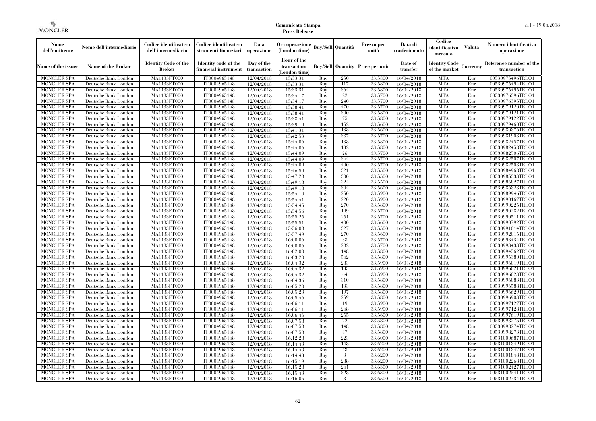| Nome<br>dell'emittente                   | Nome dell'intermediario                      | Codice identificativo<br>dell'intermediario  | Codice identificativo<br>strumenti finanziari | Data<br>operazione        | Ora operazione<br>(London time)             |            | Buv/Sell   Quantità      | Prezzo per<br>unità | Data di<br>trasferimento | Codice<br>identificativo<br>mercato   | <b>Valuta</b> | Numero identificativo<br>operazione    |
|------------------------------------------|----------------------------------------------|----------------------------------------------|-----------------------------------------------|---------------------------|---------------------------------------------|------------|--------------------------|---------------------|--------------------------|---------------------------------------|---------------|----------------------------------------|
| Name of the issuer                       | Name of the Broker                           | <b>Identity Code of the</b><br><b>Broker</b> | Identity code of the<br>financial instrument  | Day of the<br>transaction | Hour of the<br>transaction<br>(London time) |            | <b>Buy/Sell Quantity</b> | Price per unit      | Date of<br>transfer      | <b>Identity Code</b><br>of the market | Currencv      | Reference number of the<br>transaction |
| <b>MONCLER SPA</b>                       | Deutsche Bank London                         | MA1133FT000                                  | IT0004965148                                  | 12/04/2018                | 15:33:31                                    | Buy        | 250                      | 33,5800             | 16/04/2018               | <b>MTA</b>                            | Eur           | 00530975496TRLO1                       |
| <b>MONCLER SPA</b>                       | Deutsche Bank London                         | <b>MA1133FT000</b>                           | IT0004965148                                  | 12/04/2018                | 15:33:31                                    | Buy        | 117                      | 33,5800             | 16/04/2018               | <b>MTA</b>                            | Eur           | 00530975494TRLO1                       |
| <b>MONCLER SPA</b>                       | Deutsche Bank London                         | MA1133FT000                                  | IT0004965148                                  | 12/04/2018                | 15:33:31                                    | Buv        | 364                      | 33,5800             | 16/04/2018               | <b>MTA</b>                            | Eur           | 00530975495TRLO1                       |
| <b>MONCLER SPA</b>                       | Deutsche Bank London                         | MA1133FT000                                  | IT0004965148                                  | 12/04/2018                | 15:34:17                                    | Buy        | 22                       | 33,5700             | 16/04/2018               | <b>MTA</b>                            | Eur           | 00530976396TRLO1                       |
| <b>MONCLER SPA</b>                       | Deutsche Bank London                         | MA1133FT000                                  | IT0004965148                                  | 12/04/2018                | 15:34:17                                    | Buy        | 240                      | 33,5700             | 16/04/2018               | <b>MTA</b>                            | Eur           | 00530976395TRLO1                       |
| <b>MONCLER SPA</b><br><b>MONCLER SPA</b> | Deutsche Bank London                         | <b>MA1133FT000</b><br>MA1133FT000            | IT0004965148<br>IT0004965148                  | 12/04/2018                | 15:38:41                                    | Buy<br>Buy | 470<br>300               | 33,5700<br>33,5800  | 16/04/2018               | <b>MTA</b><br><b>MTA</b>              | Eur<br>Eur    | 00530979120TRLO1<br>00530979121TRLO1   |
| <b>MONCLER SPA</b>                       | Deutsche Bank London<br>Deutsche Bank London | MA1133FT000                                  | IT0004965148                                  | 12/04/2018<br>12/04/2018  | 15:38:41<br>15:38:41                        | Buy        | 75                       | 33,5800             | 16/04/2018<br>16/04/2018 | <b>MTA</b>                            | Eur           | 00530979122TRLO1                       |
| <b>MONCLER SPA</b>                       | Deutsche Bank London                         | MA1133FT000                                  | IT0004965148                                  | 12/04/2018                | 15:39:19                                    | Buy        | 152                      | 33,5600             | 16/04/2018               | <b>MTA</b>                            | Eur           | 00530979460TRLO1                       |
| <b>MONCLER SPA</b>                       | Deutsche Bank London                         | <b>MA1133FT000</b>                           | IT0004965148                                  | 12/04/2018                | 15:41:31                                    | Buy        | 138                      | 33,5600             | 16/04/2018               | <b>MTA</b>                            | Eur           | 00530980876TRLO1                       |
| <b>MONCLER SPA</b>                       | Deutsche Bank London                         | MA1133FT000                                  | IT0004965148                                  | 12/04/2018                | 15:42:53                                    | Buy        | 387                      | 33,5700             | 16/04/2018               | <b>MTA</b>                            | Eur           | 00530981908TRLO1                       |
| <b>MONCLER SPA</b>                       | Deutsche Bank London                         | MA1133FT000                                  | IT0004965148                                  | 12/04/2018                | 15:44:06                                    | Buy        | 138                      | 33,5800             | 16/04/2018               | <b>MTA</b>                            | Eur           | 00530982457TRLO1                       |
| <b>MONCLER SPA</b>                       | Deutsche Bank London                         | MA1133FT000                                  | IT0004965148                                  | 12/04/2018                | 15:44:06                                    | Buy        | 132                      | 33,5800             | 16/04/2018               | <b>MTA</b>                            | Eur           | 00530982458TRLO1                       |
| <b>MONCLER SPA</b>                       | Deutsche Bank London                         | MA1133FT000                                  | IT0004965148                                  | 12/04/2018                | 15:44:09                                    | Buy        | 26                       | 33,5700             | 16/04/2018               | <b>MTA</b>                            | Eur           | 00530982506TRLO1                       |
| <b>MONCLER SPA</b>                       | Deutsche Bank London                         | MA1133FT000                                  | IT0004965148                                  | 12/04/2018                | 15:44:09                                    | Buy        | 344                      | 33,5700             | 16/04/2018               | <b>MTA</b>                            | Eur           | 00530982507TRLO1                       |
| <b>MONCLER SPA</b>                       | Deutsche Bank London                         | MA1133FT000                                  | IT0004965148                                  | 12/04/2018                | 15:44:09                                    | Buy        | 400                      | 33,5700             | 16/04/2018               | <b>MTA</b>                            | Eur           | 00530982508TRLO1                       |
| <b>MONCLER SPA</b>                       | Deutsche Bank London                         | MA1133FT000                                  | IT0004965148                                  | 12/04/2018                | 15:46:59                                    | Buy        | 321                      | 33,5500             | 16/04/2018               | <b>MTA</b>                            | Eur           | 00530984968TRLO1                       |
| <b>MONCLER SPA</b>                       | Deutsche Bank London                         | MA1133FT000                                  | IT0004965148                                  | 12/04/2018                | 15:47:28                                    | Buy        | 300                      | 33,5500             | 16/04/2018               | <b>MTA</b>                            | Eur           | 00530985333TRLO1                       |
| <b>MONCLER SPA</b>                       | Deutsche Bank London                         | MA1133FT000                                  | IT0004965148                                  | 12/04/2018                | 15:49:18                                    | Buy        | 324                      | 33,5500             | 16/04/2018               | <b>MTA</b>                            | Eur           | 00530986827TRLO1                       |
| <b>MONCLER SPA</b>                       | Deutsche Bank London                         | MA1133FT000                                  | IT0004965148                                  | 12/04/2018                | 15:49:18                                    | Buy        | 304                      | 33,5600             | 16/04/2018               | <b>MTA</b>                            | Eur           | 00530986828TRLO1                       |
| <b>MONCLER SPA</b>                       | Deutsche Bank London                         | MA1133FT000                                  | IT0004965148                                  | 12/04/2018                | 15:54:10                                    | Buy        | 250                      | 33,5900             | 16/04/2018               | <b>MTA</b>                            | Eur           | 00530989946TRLO1                       |
| <b>MONCLER SPA</b>                       | Deutsche Bank London                         | MA1133FT000                                  | IT0004965148                                  | 12/04/2018                | 15:54:41                                    | Buy        | 220                      | 33,5900             | 16/04/2018               | <b>MTA</b>                            | Eur           | 00530990167TRLO1                       |
| <b>MONCLER SPA</b>                       | Deutsche Bank London                         | MA1133FT000                                  | IT0004965148                                  | 12/04/2018                | 15:54:45                                    | Buy        | 270<br>199               | 33,5800             | 16/04/2018               | <b>MTA</b><br><b>MTA</b>              | Eur           | 00530990225TRLO1                       |
| <b>MONCLER SPA</b><br><b>MONCLER SPA</b> | Deutsche Bank London<br>Deutsche Bank London | MA1133FT000<br>MA1133FT000                   | IT0004965148<br>IT0004965148                  | 12/04/2018<br>12/04/2018  | 15:54:56<br>15:55:25                        | Buy<br>Buy | 251                      | 33,5700<br>33,5700  | 16/04/2018<br>16/04/2018 | <b>MTA</b>                            | Eur<br>Eur    | 00530990282TRLO1<br>00530990511TRLO1   |
| <b>MONCLER SPA</b>                       | Deutsche Bank London                         | MA1133FT000                                  | IT0004965148                                  | 12/04/2018                | 15:55:51                                    | Buy        | 400                      | 33,5600             | 16/04/2018               | <b>MTA</b>                            | Eur           | 00530990792TRLO1                       |
| <b>MONCLER SPA</b>                       | Deutsche Bank London                         | MA1133FT000                                  | IT0004965148                                  | 12/04/2018                | 15:56:08                                    | Buy        | 327                      | 33,5500             | 16/04/2018               | <b>MTA</b>                            | Eur           | 00530991014TRLO1                       |
| <b>MONCLER SPA</b>                       | Deutsche Bank London                         | MA1133FT000                                  | IT0004965148                                  | 12/04/2018                | 15:57:49                                    | Buy        | 270                      | 33,5600             | 16/04/2018               | <b>MTA</b>                            | Eur           | 00530992015TRLO1                       |
| <b>MONCLER SPA</b>                       | Deutsche Bank London                         | MA1133FT000                                  | IT0004965148                                  | 12/04/2018                | 16:00:06                                    | Buy        | 38                       | 33,5700             | 16/04/2018               | <b>MTA</b>                            | Eur           | 00530993434TRLO1                       |
| <b>MONCLER SPA</b>                       | Deutsche Bank London                         | <b>MA1133FT000</b>                           | IT0004965148                                  | 12/04/2018                | 16:00:06                                    | Buy        | 282                      | 33,5700             | 16/04/2018               | <b>MTA</b>                            | Eur           | 00530993433TRLO1                       |
| MONCLER SPA                              | Deutsche Bank London                         | MA1133FT000                                  | IT0004965148                                  | 12/04/2018                | 16:02:00                                    | Buy        | 148                      | 33,5800             | 16/04/2018               | <b>MTA</b>                            | Eur           | 00530994562TRLO1                       |
| <b>MONCLER SPA</b>                       | Deutsche Bank London                         | MA1133FT000                                  | IT0004965148                                  | 12/04/2018                | 16:03:20                                    | Buy        | 542                      | 33,5800             | 16/04/2018               | <b>MTA</b>                            | Eur           | 00530995380TRLO1                       |
| <b>MONCLER SPA</b>                       | Deutsche Bank London                         | MA1133FT000                                  | IT0004965148                                  | 12/04/2018                | 16:04:32                                    | Buy        | 283                      | 33,5900             | 16/04/2018               | <b>MTA</b>                            | Eur           | 00530996019TRLO1                       |
| <b>MONCLER SPA</b>                       | Deutsche Bank London                         | MA1133FT000                                  | IT0004965148                                  | 12/04/2018                | 16:04:32                                    | Buy        | 133                      | 33,5900             | 16/04/2018               | <b>MTA</b>                            | Eur           | 00530996021TRLO1                       |
| <b>MONCLER SPA</b>                       | Deutsche Bank London                         | MA1133FT000                                  | IT0004965148                                  | 12/04/2018                | 16:04:32                                    | Buy        | 64                       | 33,5900             | 16/04/2018               | <b>MTA</b>                            | Eur           | 00530996023TRLO1                       |
| <b>MONCLER SPA</b>                       | Deutsche Bank London                         | MA1133FT000                                  | IT0004965148                                  | 12/04/2018                | 16:04:36                                    | Buy        | 310                      | 33,5800             | 16/04/2018               | <b>MTA</b>                            | Eur           | 00530996083TRLO1                       |
| <b>MONCLER SPA</b>                       | Deutsche Bank London                         | MA1133FT000                                  | IT0004965148                                  | 12/04/2018                | 16:05:20                                    | Buy        | 133                      | 33,5800             | 16/04/2018               | <b>MTA</b>                            | Eur           | 00530996588TRLO1                       |
| <b>MONCLER SPA</b>                       | Deutsche Bank London                         | <b>MA1133FT000</b>                           | IT0004965148                                  | 12/04/2018                | 16:05:23                                    | Buy        | 197                      | 33,5800             | 16/04/2018               | <b>MTA</b>                            | Eur           | 00530996629TRLO1                       |
| <b>MONCLER SPA</b>                       | Deutsche Bank London                         | MA1133FT000                                  | IT0004965148                                  | 12/04/2018                | 16:05:46                                    | Buy        | 259                      | 33,5800             | 16/04/2018               | <b>MTA</b>                            | Eur           | 00530996903TRLO1                       |
| <b>MONCLER SPA</b>                       | Deutsche Bank London                         | MA1133FT000                                  | IT0004965148                                  | 12/04/2018                | 16:06:11                                    | Buy        | 19                       | 33,5900             | 16/04/2018               | <b>MTA</b>                            | Eur           | 00530997127TRLO1                       |
| <b>MONCLER SPA</b>                       | Deutsche Bank London                         | MA1133FT000                                  | IT0004965148                                  | 12/04/2018                | 16:06:11                                    | Buy        | 248                      | 33,5900             | 16/04/2018               | <b>MTA</b>                            | Eur           | 00530997128TRLO1                       |
| <b>MONCLER SPA</b><br><b>MONCLER SPA</b> | Deutsche Bank London<br>Deutsche Bank London | MA1133FT000<br>MA1133FT000                   | IT0004965148<br>IT0004965148                  | 12/04/2018                | 16:06:46<br>16:07:58                        | Buy<br>Buy | $255\,$<br>72            | 33,5600<br>33,5800  | 16/04/2018<br>16/04/2018 | <b>MTA</b><br><b>MTA</b>              | Eur<br>Eur    | 00530997619TRLO1<br>00530998275TRLO1   |
| <b>MONCLER SPA</b>                       | Deutsche Bank London                         | MA1133FT000                                  | IT0004965148                                  | 12/04/2018<br>12/04/2018  | 16:07:58                                    | Buy        | 148                      | 33,5800             | 16/04/2018               | <b>MTA</b>                            | Eur           | 00530998274TRLO1                       |
| <b>MONCLER SPA</b>                       | Deutsche Bank London                         | MA1133FT000                                  | IT0004965148                                  | 12/04/2018                | 16:07:58                                    | Buy        | 47                       | 33,5800             | 16/04/2018               | <b>MTA</b>                            | Eur           | 00530998273TRLO1                       |
| <b>MONCLER SPA</b>                       | Deutsche Bank London                         | MA1133FT000                                  | IT0004965148                                  | 12/04/2018                | 16:12:28                                    | Buy        | 223                      | 33,6000             | 16/04/2018               | <b>MTA</b>                            | Eur           | 00531000687TRLO1                       |
| <b>MONCLER SPA</b>                       | Deutsche Bank London                         | MA1133FT000                                  | IT0004965148                                  | 12/04/2018                | 16:14:43                                    | Buy        | 148                      | 33,6200             | 16/04/2018               | <b>MTA</b>                            | Eur           | 00531001849TRLO1                       |
| <b>MONCLER SPA</b>                       | Deutsche Bank London                         | MA1133FT000                                  | IT0004965148                                  | 12/04/2018                | 16:14:43                                    | Buy        | 48                       | 33,6200             | 16/04/2018               | <b>MTA</b>                            | Eur           | 00531001847TRLO1                       |
| <b>MONCLER SPA</b>                       | Deutsche Bank London                         | MA1133FT000                                  | IT0004965148                                  | 12/04/2018                | 16:14:43                                    | Buy        | 3                        | 33,6200             | 16/04/2018               | <b>MTA</b>                            | Eur           | 00531001848TRLO1                       |
| <b>MONCLER SPA</b>                       | Deutsche Bank London                         | MA1133FT000                                  | IT0004965148                                  | 12/04/2018                | 16:15:19                                    | Buy        | 288                      | 33,6200             | 16/04/2018               | <b>MTA</b>                            | Eur           | 00531002268TRLO1                       |
| <b>MONCLER SPA</b>                       | Deutsche Bank London                         | MA1133FT000                                  | IT0004965148                                  | 12/04/2018                | 16:15:28                                    | Buy        | 241                      | 33,6300             | 16/04/2018               | <b>MTA</b>                            | Eur           | 00531002427TRLO1                       |
| <b>MONCLER SPA</b>                       | Deutsche Bank London                         | MA1133FT000                                  | IT0004965148                                  | 12/04/2018                | 16:15:43                                    | Buy        | 328                      | 33,6300             | 16/04/2018               | <b>MTA</b>                            | Eur           | 00531002541TRLO1                       |
| <b>MONCLER SPA</b>                       | Deutsche Bank London                         | MA1133FT000                                  | IT0004965148                                  | 12/04/2018                | 16:16:05                                    | Buy        | 3                        | 33,6500             | 16/04/2018               | <b>MTA</b>                            | Eur           | 00531002734TRLO1                       |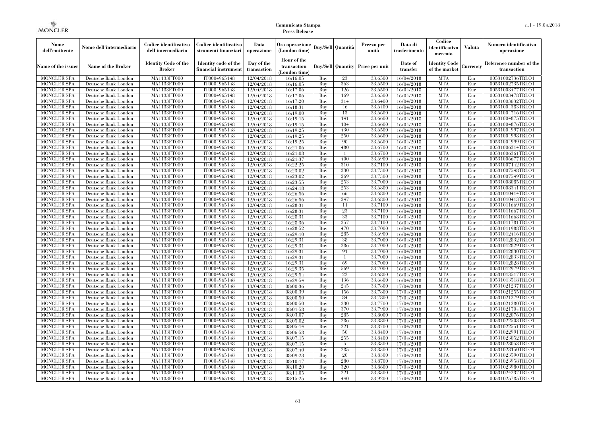| Nome<br>dell'emittente                   | Nome dell'intermediario                      | Codice identificativo<br>dell'intermediario  | Codice identificativo<br>strumenti finanziari | Data<br>operazione        | Ora operazione<br>(London time)             |            | <b>Buy/Sell Quantità</b> | Prezzo per<br>unità                     | Data di<br>trasferimento | Codice<br>identificativo<br>mercato   | Valuta     | Numero identificativo<br>operazione    |
|------------------------------------------|----------------------------------------------|----------------------------------------------|-----------------------------------------------|---------------------------|---------------------------------------------|------------|--------------------------|-----------------------------------------|--------------------------|---------------------------------------|------------|----------------------------------------|
| Name of the issuer                       | Name of the Broker                           | <b>Identity Code of the</b><br><b>Broker</b> | Identity code of the<br>financial instrument  | Day of the<br>transaction | Hour of the<br>transaction<br>(London time) |            |                          | <b>Buy/Sell Quantity Price per unit</b> | Date of<br>transfer      | <b>Identity Code</b><br>of the market | Currencv   | Reference number of the<br>transaction |
| <b>MONCLER SPA</b>                       | Deutsche Bank London                         | MA1133FT000                                  | IT0004965148                                  | 12/04/2018                | 16:16:05                                    | Buy        | 23                       | 33,6500                                 | 16/04/2018               | <b>MTA</b>                            | Eur        | 00531002736TRLO1                       |
| <b>MONCLER SPA</b>                       | Deutsche Bank London                         | MA1133FT000                                  | IT0004965148                                  | 12/04/2018                | 16:16:05                                    | Buy        | 363                      | 33,6500                                 | 16/04/2018               | <b>MTA</b>                            | Eur        | 00531002735TRLO1                       |
| <b>MONCLER SPA</b>                       | Deutsche Bank London                         | MA1133FT000                                  | IT0004965148                                  | 12/04/2018                | 16:17:06                                    | Buy        | 126                      | 33.6500                                 | 16/04/2018               | <b>MTA</b>                            | Eur        | 00531003477TRLO1                       |
| <b>MONCLER SPA</b>                       | Deutsche Bank London                         | MA1133FT000                                  | IT0004965148                                  | 12/04/2018                | 16:17:06                                    | Buy        | 169                      | 33,6500                                 | 16/04/2018               | <b>MTA</b>                            | Eur        | 00531003478TRLO1                       |
| <b>MONCLER SPA</b>                       | Deutsche Bank London                         | MA1133FT000                                  | IT0004965148                                  | 12/04/2018                | 16:17:20                                    | Buy        | 314                      | 33,6400<br>33,6400                      | 16/04/2018               | <b>MTA</b><br><b>MTA</b>              | Eur        | 00531003632TRLO1                       |
| <b>MONCLER SPA</b><br><b>MONCLER SPA</b> | Deutsche Bank London<br>Deutsche Bank London | <b>MA1133FT000</b><br>MA1133FT000            | IT0004965148<br>IT0004965148                  | 12/04/2018                | 16:18:31<br>16:19:00                        | Buy<br>Buy | 46<br>13                 | 33,6600                                 | 16/04/2018<br>16/04/2018 | <b>MTA</b>                            | Eur<br>Eur | 00531004383TRLO1<br>00531004716TRLO1   |
| <b>MONCLER SPA</b>                       | Deutsche Bank London                         | MA1133FT000                                  | IT0004965148                                  | 12/04/2018<br>12/04/2018  | 16:19:15                                    | Buv        | 141                      | 33.6600                                 | 16/04/2018               | <b>MTA</b>                            | Eur        | 00531004875TRLO1                       |
| <b>MONCLER SPA</b>                       | Deutsche Bank London                         | MA1133FT000                                  | IT0004965148                                  | 12/04/2018                | 16:19:15                                    | Buy        | 104                      | 33,6600                                 | 16/04/2018               | <b>MTA</b>                            | Eur        | 00531004876TRLO1                       |
| <b>MONCLER SPA</b>                       | Deutsche Bank London                         | <b>MA1133FT000</b>                           | IT0004965148                                  | 12/04/2018                | 16:19:25                                    | Buy        | 430                      | 33,6500                                 | 16/04/2018               | <b>MTA</b>                            | Eur        | 00531004997TRLO1                       |
| <b>MONCLER SPA</b>                       | Deutsche Bank London                         | MA1133FT000                                  | IT0004965148                                  | 12/04/2018                | 16:19:25                                    | Buy        | 250                      | 33,6600                                 | 16/04/2018               | <b>MTA</b>                            | Eur        | 00531004998TRLO1                       |
| <b>MONCLER SPA</b>                       | Deutsche Bank London                         | MA1133FT000                                  | IT0004965148                                  | 12/04/2018                | 16:19:25                                    | Buy        | 90                       | 33,6600                                 | 16/04/2018               | <b>MTA</b>                            | Eur        | 00531004999TRLO1                       |
| <b>MONCLER SPA</b>                       | Deutsche Bank London                         | MA1133FT000                                  | IT0004965148                                  | 12/04/2018                | 16:21:06                                    | Buy        | 480                      | 33,6700                                 | 16/04/2018               | <b>MTA</b>                            | Eur        | 00531006314TRLO1                       |
| <b>MONCLER SPA</b>                       | Deutsche Bank London                         | MA1133FT000                                  | IT0004965148                                  | 12/04/2018                | 16:21:08                                    | Buy        | $\overline{1}$           | 33,6700                                 | 16/04/2018               | <b>MTA</b>                            | Eur        | 00531006361TRLO1                       |
| <b>MONCLER SPA</b>                       | Deutsche Bank London                         | MA1133FT000                                  | IT0004965148                                  | 12/04/2018                | 16:21:37                                    | Buy        | 400                      | 33,6900                                 | 16/04/2018               | <b>MTA</b>                            | Eur        | 00531006677TRLO1                       |
| <b>MONCLER SPA</b>                       | Deutsche Bank London                         | MA1133FT000                                  | IT0004965148                                  | 12/04/2018                | 16:22:25                                    | Buy        | 310                      | 33,7100                                 | 16/04/2018               | <b>MTA</b>                            | Eur        | 00531007142TRLO1                       |
| <b>MONCLER SPA</b>                       | Deutsche Bank London                         | MA1133FT000                                  | IT0004965148                                  | 12/04/2018                | 16:23:02                                    | Buy        | 330                      | 33,7300                                 | 16/04/2018               | <b>MTA</b>                            | Eur        | 00531007548TRLO1                       |
| <b>MONCLER SPA</b>                       | Deutsche Bank London                         | MA1133FT000                                  | IT0004965148                                  | 12/04/2018                | 16:23:02                                    | Buy        | 269                      | 33,7300                                 | 16/04/2018               | <b>MTA</b>                            | Eur        | 00531007549TRLO1                       |
| <b>MONCLER SPA</b>                       | Deutsche Bank London                         | MA1133FT000                                  | IT0004965148                                  | 12/04/2018                | 16:23:55                                    | Buy        | 253                      | 33,7000                                 | 16/04/2018               | <b>MTA</b>                            | Eur        | 00531008085TRLO1                       |
| <b>MONCLER SPA</b>                       | Deutsche Bank London                         | MA1133FT000                                  | IT0004965148                                  | 12/04/2018                | 16:24:18                                    | Buy        | 253                      | 33,6800                                 | 16/04/2018               | <b>MTA</b>                            | Eur        | 00531008341TRLO1                       |
| <b>MONCLER SPA</b>                       | Deutsche Bank London                         | MA1133FT000                                  | IT0004965148                                  | 12/04/2018                | 16:26:56                                    | Buy        | 66                       | 33,6800                                 | 16/04/2018               | <b>MTA</b>                            | Eur        | 00531010414TRLO1                       |
| <b>MONCLER SPA</b>                       | Deutsche Bank London                         | MA1133FT000                                  | IT0004965148                                  | 12/04/2018                | 16:26:56                                    | Buy        | 247                      | 33,6800                                 | 16/04/2018               | <b>MTA</b>                            | Eur        | 00531010413TRLO1                       |
| <b>MONCLER SPA</b>                       | Deutsche Bank London                         | MA1133FT000                                  | IT0004965148                                  | 12/04/2018                | 16:28:31                                    | Buy        | 11                       | 33,7100                                 | 16/04/2018               | <b>MTA</b>                            | Eur        | 00531011669TRLO1                       |
| <b>MONCLER SPA</b>                       | Deutsche Bank London                         | MA1133FT000                                  | IT0004965148                                  | 12/04/2018                | 16:28:31                                    | Buy        | 23<br>33                 | 33,7100<br>33,7100                      | 16/04/2018               | <b>MTA</b><br><b>MTA</b>              | Eur<br>Eur | 00531011667TRLO1                       |
| <b>MONCLER SPA</b><br><b>MONCLER SPA</b> | Deutsche Bank London<br>Deutsche Bank London | MA1133FT000<br>MA1133FT000                   | IT0004965148<br>IT0004965148                  | 12/04/2018<br>12/04/2018  | 16:28:31<br>16:28:36                        | Buy<br>Buy | 257                      | 33,7100                                 | 16/04/2018<br>16/04/2018 | <b>MTA</b>                            | Eur        | 00531011668TRLO1<br>00531011781TRLO1   |
| <b>MONCLER SPA</b>                       | Deutsche Bank London                         | MA1133FT000                                  | IT0004965148                                  | 12/04/2018                | 16:28:52                                    | Buy        | 470                      | 33,7000                                 | 16/04/2018               | <b>MTA</b>                            | Eur        | 00531011988TRLO1                       |
| <b>MONCLER SPA</b>                       | Deutsche Bank London                         | MA1133FT000                                  | IT0004965148                                  | 12/04/2018                | 16:29:10                                    | Buy        | 285                      | 33,6900                                 | 16/04/2018               | <b>MTA</b>                            | Eur        | 00531012416TRLO1                       |
| <b>MONCLER SPA</b>                       | Deutsche Bank London                         | MA1133FT000                                  | IT0004965148                                  | 12/04/2018                | 16:29:31                                    | Buy        | 38                       | 33,7000                                 | 16/04/2018               | <b>MTA</b>                            | Eur        | 00531012832TRLO1                       |
| <b>MONCLER SPA</b>                       | Deutsche Bank London                         | <b>MA1133FT000</b>                           | IT0004965148                                  | 12/04/2018                | 16:29:31                                    | Buy        | 286                      | 33,7000                                 | 16/04/2018               | <b>MTA</b>                            | Eur        | 00531012829TRLO1                       |
| <b>MONCLER SPA</b>                       | Deutsche Bank London                         | MA1133FT000                                  | IT0004965148                                  | 12/04/2018                | 16:29:31                                    | Buy        | 91                       | 33,7000                                 | 16/04/2018               | <b>MTA</b>                            | Eur        | 00531012830TRLO1                       |
| <b>MONCLER SPA</b>                       | Deutsche Bank London                         | MA1133FT000                                  | IT0004965148                                  | 12/04/2018                | 16:29:31                                    | Buy        |                          | 33,7000                                 | 16/04/2018               | <b>MTA</b>                            | Eur        | 00531012833TRLO1                       |
| <b>MONCLER SPA</b>                       | Deutsche Bank London                         | MA1133FT000                                  | IT0004965148                                  | 12/04/2018                | 16:29:31                                    | Buy        | 69                       | 33,7000                                 | 16/04/2018               | <b>MTA</b>                            | Eur        | 00531012828TRLO1                       |
| <b>MONCLER SPA</b>                       | Deutsche Bank London                         | <b>MA1133FT000</b>                           | IT0004965148                                  | 12/04/2018                | 16:29:35                                    | Buy        | 569                      | 33,7000                                 | 16/04/2018               | <b>MTA</b>                            | Eur        | 00531012979TRLO1                       |
| <b>MONCLER SPA</b>                       | Deutsche Bank London                         | MA1133FT000                                  | IT0004965148                                  | 12/04/2018                | 16:29:54                                    | Buy        | 22                       | 33,6800                                 | 16/04/2018               | <b>MTA</b>                            | Eur        | 00531013517TRLO1                       |
| <b>MONCLER SPA</b>                       | Deutsche Bank London                         | MA1133FT000                                  | IT0004965148                                  | 12/04/2018                | 16:29:54                                    | Buy        | 136                      | 33,6800                                 | 16/04/2018               | <b>MTA</b>                            | Eur        | 00531013518TRLO1                       |
| <b>MONCLER SPA</b>                       | Deutsche Bank London                         | MA1133FT000                                  | IT0004965148                                  | 13/04/2018                | 08:00:36                                    | Buy        | 245                      | 33.7800                                 | 17/04/2018               | <b>MTA</b>                            | Eur        | 00531021237TRLO1                       |
| <b>MONCLER SPA</b>                       | Deutsche Bank London                         | MA1133FT000                                  | IT0004965148                                  | 13/04/2018                | 08:00:39                                    | Buy        | 156                      | 33,7800                                 | 17/04/2018               | <b>MTA</b>                            | Eur        | 00531021255TRLO1                       |
| <b>MONCLER SPA</b>                       | Deutsche Bank London                         | MA1133FT000                                  | IT0004965148                                  | 13/04/2018                | 08:00:50                                    | Buy        | 84                       | 33,7800                                 | 17/04/2018               | <b>MTA</b>                            | Eur        | 00531021279TRLO1                       |
| <b>MONCLER SPA</b>                       | Deutsche Bank London                         | MA1133FT000                                  | IT0004965148                                  | 13/04/2018                | 08:00:50                                    | Buy        | 230                      | 33,7700                                 | 17/04/2018               | <b>MTA</b>                            | Eur        | 00531021280TRLO1                       |
| <b>MONCLER SPA</b>                       | Deutsche Bank London                         | MA1133FT000                                  | IT0004965148                                  | 13/04/2018                | 08:01:58                                    | Buy        | 370                      | 33,7900                                 | 17/04/2018               | <b>MTA</b>                            | Eur        | 00531021704TRLO1                       |
| <b>MONCLER SPA</b>                       | Deutsche Bank London                         | MA1133FT000                                  | IT0004965148                                  | 13/04/2018                | 08:03:07                                    | Buy        | 285                      | 33,8000                                 | 17/04/2018               | <b>MTA</b>                            | Eur        | 00531022076TRLO1                       |
| <b>MONCLER SPA</b>                       | Deutsche Bank London                         | MA1133FT000                                  | IT0004965148                                  | 13/04/2018                | 08:05:02                                    | Buy        | 286                      | 33,8800                                 | 17/04/2018               | <b>MTA</b>                            | Eur        | 00531022503TRLO1                       |
| <b>MONCLER SPA</b>                       | Deutsche Bank London                         | MA1133FT000                                  | IT0004965148                                  | 13/04/2018                | 08:05:14                                    | Buy        | 221                      | 33,8700                                 | 17/04/2018               | <b>MTA</b>                            | Eur        | 00531022551TRLO1                       |
| <b>MONCLER SPA</b><br><b>MONCLER SPA</b> | Deutsche Bank London<br>Deutsche Bank London | MA1133FT000<br>MA1133FT000                   | IT0004965148<br>IT0004965148                  | 13/04/2018<br>13/04/2018  | 08:06:58<br>08:07:15                        | Buy<br>Buy | 50<br>255                | 33,8400<br>33,8400                      | 17/04/2018<br>17/04/2018 | <b>MTA</b><br><b>MTA</b>              | Eur<br>Eur | 00531022991TRLO1<br>00531023052TRLO1   |
| <b>MONCLER SPA</b>                       | Deutsche Bank London                         | MA1133FT000                                  | IT0004965148                                  | 13/04/2018                | 08:07:15                                    | Buy        | 5                        | 33,8300                                 | 17/04/2018               | <b>MTA</b>                            | Eur        | 00531023053TRLO1                       |
| <b>MONCLER SPA</b>                       | Deutsche Bank London                         | MA1133FT000                                  | IT0004965148                                  | 13/04/2018                | 08:07:40                                    | Buy        | 285                      | 33,8300                                 | 17/04/2018               | <b>MTA</b>                            | Eur        | 00531023150TRLO1                       |
| <b>MONCLER SPA</b>                       | Deutsche Bank London                         | MA1133FT000                                  | IT0004965148                                  | 13/04/2018                | 08:09:23                                    | Buy        | 20                       | 33,8300                                 | 17/04/2018               | <b>MTA</b>                            | Eur        | 00531023590TRLO1                       |
| <b>MONCLER SPA</b>                       | Deutsche Bank London                         | MA1133FT000                                  | IT0004965148                                  | 13/04/2018                | 08:10:17                                    | Buy        | 280                      | 33,8700                                 | 17/04/2018               | <b>MTA</b>                            | Eur        | 00531023958TRLO1                       |
| <b>MONCLER SPA</b>                       | Deutsche Bank London                         | MA1133FT000                                  | IT0004965148                                  | 13/04/2018                | 08:10:20                                    | Buy        | 320                      | 33,8600                                 | 17/04/2018               | <b>MTA</b>                            | Eur        | 00531023980TRLO1                       |
| <b>MONCLER SPA</b>                       | Deutsche Bank London                         | MA1133FT000                                  | IT0004965148                                  | 13/04/2018                | 08:11:05                                    | Buy        | 221                      | 33,8300                                 | 17/04/2018               | <b>MTA</b>                            | Eur        | 00531024237TRLO1                       |
| <b>MONCLER SPA</b>                       | Deutsche Bank London                         | MA1133FT000                                  | IT0004965148                                  | 13/04/2018                | 08:15:25                                    | Buy        | 440                      | 33,9200                                 | 17/04/2018               | <b>MTA</b>                            | Eur        | 00531025785TRLO1                       |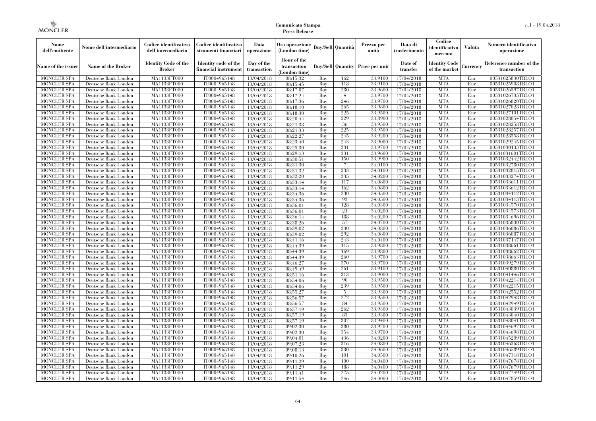| Nome<br>dell'emittente                   | Nome dell'intermediario                      | Codice identificativo<br>dell'intermediario | Codice identificativo<br>strumenti finanziari | Data<br>operazione        | Ora operazione<br>(London time)             |            | <b>Buy/Sell Quantità</b> | Prezzo per<br>unità                  | Data di<br>trasferimento | Codice<br>identificativo<br>mercato   | Valuta     | Numero identificativo<br>operazione    |
|------------------------------------------|----------------------------------------------|---------------------------------------------|-----------------------------------------------|---------------------------|---------------------------------------------|------------|--------------------------|--------------------------------------|--------------------------|---------------------------------------|------------|----------------------------------------|
| Name of the issuer                       | Name of the Broker                           | <b>Identity Code of the</b><br>Broker       | Identity code of the<br>financial instrument  | Day of the<br>transaction | Hour of the<br>transaction<br>(London time) |            |                          | Buy/Sell   Quantity   Price per unit | Date of<br>transfer      | <b>Identity Code</b><br>of the market | Currency   | Reference number of the<br>transaction |
| <b>MONCLER SPA</b>                       | Deutsche Bank London                         | MA1133FT000                                 | IT0004965148                                  | 13/04/2018                | 08:15:32                                    | Buy        | 162                      | 33.9100                              | 17/04/2018               | <b>MTA</b>                            | Eur        | 00531025830TRLO1                       |
| <b>MONCLER SPA</b>                       | Deutsche Bank London                         | MA1133FT000                                 | IT0004965148                                  | 13/04/2018                | 08:15:45                                    | Buy        | 118                      | 33,9100                              | 17/04/2018               | <b>MTA</b>                            | Eur        | 00531025908TRLO1                       |
| <b>MONCLER SPA</b>                       | Deutsche Bank London                         | MA1133FT000                                 | IT0004965148                                  | 13/04/2018                | 08:17:07                                    | Buy        | 280                      | 33,9600                              | 17/04/2018               | <b>MTA</b>                            | Eur        | 00531026597TRLO1                       |
| <b>MONCLER SPA</b><br><b>MONCLER SPA</b> | Deutsche Bank London<br>Deutsche Bank London | MA1133FT000<br>MA1133FT000                  | IT0004965148<br>IT0004965148                  | 13/04/2018                | 08:17:24                                    | Buy<br>Buy | $\overline{4}$<br>246    | 33,9700<br>33,9700                   | 17/04/2018               | <b>MTA</b><br><b>MTA</b>              | Eur<br>Eur | 00531026735TRLO1<br>00531026820TRLO1   |
| <b>MONCLER SPA</b>                       | Deutsche Bank London                         | MA1133FT000                                 | IT0004965148                                  | 13/04/2018<br>13/04/2018  | 08:17:36<br>08:18:10                        | Buy        | 265                      | 33,9800                              | 17/04/2018<br>17/04/2018 | <b>MTA</b>                            | Eur        | 00531027028TRLO1                       |
| <b>MONCLER SPA</b>                       | Deutsche Bank London                         | MA1133FT000                                 | IT0004965148                                  | 13/04/2018                | 08:18:30                                    | Buy        | 225                      | 33,9500                              | 17/04/2018               | <b>MTA</b>                            | Eur        | 00531027101TRLO1                       |
| <b>MONCLER SPA</b>                       | Deutsche Bank London                         | MA1133FT000                                 | IT0004965148                                  | 13/04/2018                | 08:20:44                                    | Buy        | 229                      | 33,8900                              | 17/04/2018               | <b>MTA</b>                            | Eur        | 00531028054TRLO1                       |
| <b>MONCLER SPA</b>                       | Deutsche Bank London                         | MA1133FT000                                 | IT0004965148                                  | 13/04/2018                | 08:21:33                                    | Buy        | 36                       | 33,9500                              | 17/04/2018               | <b>MTA</b>                            | Eur        | 00531028258TRLO1                       |
| <b>MONCLER SPA</b>                       | Deutsche Bank London                         | MA1133FT000                                 | IT0004965148                                  | 13/04/2018                | 08:21:33                                    | Buy        | 225                      | 33,9500                              | 17/04/2018               | <b>MTA</b>                            | Eur        | 00531028257TRLO1                       |
| <b>MONCLER SPA</b>                       | Deutsche Bank London                         | MA1133FT000                                 | IT0004965148                                  | 13/04/2018                | 08:22:27                                    | Buy        | 245                      | 33,9200                              | 17/04/2018               | <b>MTA</b>                            | Eur        | 00531028558TRLO1                       |
| <b>MONCLER SPA</b>                       | Deutsche Bank London                         | <b>MA1133FT000</b>                          | IT0004965148                                  | 13/04/2018                | 08:23:40                                    | Buy        | 243                      | 33,9000                              | 17/04/2018               | <b>MTA</b>                            | Eur        | 00531029245TRLO1                       |
| <b>MONCLER SPA</b>                       | Deutsche Bank London                         | MA1133FT000                                 | IT0004965148                                  | 13/04/2018                | 08:25:30                                    | Buy        | 331                      | 33,9700                              | 17/04/2018               | <b>MTA</b>                            | Eur        | 00531030133TRLO1                       |
| <b>MONCLER SPA</b>                       | Deutsche Bank London                         | MA1133FT000                                 | IT0004965148                                  | 13/04/2018                | 08:29:13                                    | Buy        | 331                      | 33,9600                              | 17/04/2018               | <b>MTA</b>                            | Eur        | 00531031601TRLO1                       |
| <b>MONCLER SPA</b>                       | Deutsche Bank London                         | MA1133FT000                                 | IT0004965148                                  | 13/04/2018                | 08:30:51                                    | Buy        | 150                      | 33,9900                              | 17/04/2018               | <b>MTA</b>                            | Eur        | 00531032442TRLO1                       |
| <b>MONCLER SPA</b>                       | Deutsche Bank London                         | MA1133FT000                                 | IT0004965148                                  | 13/04/2018                | 08:31:30                                    | Buy        | 7                        | 34,0100                              | 17/04/2018               | <b>MTA</b>                            | Eur        | 00531032780TRLO1                       |
| <b>MONCLER SPA</b>                       | Deutsche Bank London                         | MA1133FT000                                 | IT0004965148                                  | 13/04/2018                | 08:31:32                                    | Buy        | 233                      | 34,0100                              | 17/04/2018               | <b>MTA</b>                            | Eur        | 00531032815TRLO1                       |
| <b>MONCLER SPA</b>                       | Deutsche Bank London                         | MA1133FT000                                 | IT0004965148                                  | 13/04/2018                | 08:32:20                                    | Buy        | 335                      | 34.0200                              | 17/04/2018               | <b>MTA</b>                            | Eur        | 00531033274TRLO1                       |
| <b>MONCLER SPA</b>                       | Deutsche Bank London                         | MA1133FT000                                 | IT0004965148                                  | 13/04/2018                | 08:33:14                                    | Buy        | 117                      | 34,0800                              | 17/04/2018               | <b>MTA</b>                            | Eur        | 00531033611TRLO1                       |
| <b>MONCLER SPA</b>                       | Deutsche Bank London                         | MA1133FT000                                 | IT0004965148                                  | 13/04/2018                | 08:33:14                                    | Buy        | 162                      | 34,0800                              | 17/04/2018               | <b>MTA</b>                            | Eur        | 00531033612TRLO1                       |
| <b>MONCLER SPA</b><br><b>MONCLER SPA</b> | Deutsche Bank London<br>Deutsche Bank London | MA1133FT000<br>MA1133FT000                  | IT0004965148<br>IT0004965148                  | 13/04/2018                | 08:34:36                                    | Buy<br>Buy | 230<br>93                | 34,0500<br>34,0500                   | 17/04/2018               | <b>MTA</b><br><b>MTA</b>              | Eur<br>Eur | 00531034112TRLO1<br>00531034113TRLO1   |
| <b>MONCLER SPA</b>                       | Deutsche Bank London                         | MA1133FT000                                 | IT0004965148                                  | 13/04/2018<br>13/04/2018  | 08:34:36<br>08:36:01                        | Buy        | 128                      | 34,0300                              | 17/04/2018<br>17/04/2018 | <b>MTA</b>                            | Eur        | 00531034570TRLO1                       |
| <b>MONCLER SPA</b>                       | Deutsche Bank London                         | MA1133FT000                                 | IT0004965148                                  | 13/04/2018                | 08:36:01                                    | Buy        | 21                       | 34,0200                              | 17/04/2018               | <b>MTA</b>                            | Eur        | 00531034573TRLO1                       |
| <b>MONCLER SPA</b>                       | Deutsche Bank London                         | MA1133FT000                                 | IT0004965148                                  | 13/04/2018                | 08:36:14                                    | Buy        | 188                      | 34.0200                              | 17/04/2018               | <b>MTA</b>                            | Eur        | 00531034696TRLO1                       |
| <b>MONCLER SPA</b>                       | Deutsche Bank London                         | MA1133FT000                                 | IT0004965148                                  | 13/04/2018                | 08:38:26                                    | Buy        | 57                       | 34,0700                              | 17/04/2018               | <b>MTA</b>                            | Eur        | 00531035830TRLO1                       |
| <b>MONCLER SPA</b>                       | Deutsche Bank London                         | MA1133FT000                                 | IT0004965148                                  | 13/04/2018                | 08:39:02                                    | Buy        | 330                      | 34,0800                              | 17/04/2018               | <b>MTA</b>                            | Eur        | 00531036086TRLO1                       |
| <b>MONCLER SPA</b>                       | Deutsche Bank London                         | MA1133FT000                                 | IT0004965148                                  | 13/04/2018                | 08:39:02                                    | Buy        | 292                      | 34,0800                              | 17/04/2018               | <b>MTA</b>                            | Eur        | 00531036087TRLO1                       |
| <b>MONCLER SPA</b>                       | Deutsche Bank London                         | MA1133FT000                                 | IT0004965148                                  | 13/04/2018                | 08:41:16                                    | Buy        | 243                      | 34,0400                              | 17/04/2018               | <b>MTA</b>                            | Eur        | 00531037147TRLO1                       |
| <b>MONCLER SPA</b>                       | Deutsche Bank London                         | MA1133FT000                                 | IT0004965148                                  | 13/04/2018                | 08:44:39                                    | Buy        | 115                      | 33,9800                              | 17/04/2018               | <b>MTA</b>                            | Eur        | 00531038661TRLO1                       |
| <b>MONCLER SPA</b>                       | Deutsche Bank London                         | MA1133FT000                                 | IT0004965148                                  | 13/04/2018                | 08:44:39                                    | Buy        | 169                      | 33,9800                              | 17/04/2018               | <b>MTA</b>                            | Eur        | 00531038662TRLO1                       |
| <b>MONCLER SPA</b>                       | Deutsche Bank London                         | MA1133FT000                                 | IT0004965148                                  | 13/04/2018                | 08:44:39                                    | Buy        | 260                      | 33,9700                              | 17/04/2018               | <b>MTA</b>                            | Eur        | 00531038663TRLO1                       |
| <b>MONCLER SPA</b>                       | Deutsche Bank London                         | MA1133FT000                                 | IT0004965148                                  | 13/04/2018                | 08:46:27                                    | Buy        | 370                      | 33,9700                              | 17/04/2018               | <b>MTA</b>                            | Eur        | 00531039279TRLO1                       |
| <b>MONCLER SPA</b>                       | Deutsche Bank London                         | MA1133FT000                                 | IT0004965148                                  | 13/04/2018                | 08:49:49                                    | Buy        | 261                      | 33,9100                              | 17/04/2018               | <b>MTA</b>                            | Eur        | 00531040880TRLO1                       |
| <b>MONCLER SPA</b>                       | Deutsche Bank London                         | MA1133FT000                                 | IT0004965148                                  | 13/04/2018                | 08:51:16                                    | Buy        | 313                      | 33,9000                              | 17/04/2018               | <b>MTA</b>                            | Eur        | 00531041446TRLO1                       |
| <b>MONCLER SPA</b>                       | Deutsche Bank London                         | MA1133FT000                                 | IT0004965148                                  | 13/04/2018                | 08:54:06                                    | Buy        | 90                       | 33,9500                              | 17/04/2018               | <b>MTA</b>                            | Eur        | 00531042214TRLO1                       |
| <b>MONCLER SPA</b>                       | Deutsche Bank London                         | MA1133FT000                                 | IT0004965148                                  | 13/04/2018                | 08:54:06                                    | Buy        | 239                      | 33,9500                              | 17/04/2018               | <b>MTA</b>                            | Eur        | 00531042215TRLO1                       |
| <b>MONCLER SPA</b>                       | Deutsche Bank London                         | MA1133FT000                                 | IT0004965148                                  | 13/04/2018                | 08:55:27                                    | Buy        | 5                        | 33,9300                              | 17/04/2018               | <b>MTA</b>                            | Eur        | 00531042552TRLO1                       |
| <b>MONCLER SPA</b>                       | Deutsche Bank London                         | MA1133FT000                                 | IT0004965148                                  | 13/04/2018                | 08:56:57                                    | Buy        | 272                      | 33,9500<br>33,9500                   | 17/04/2018               | <b>MTA</b>                            | Eur        | 00531042948TRLO1                       |
| <b>MONCLER SPA</b><br><b>MONCLER SPA</b> | Deutsche Bank London<br>Deutsche Bank London | MA1133FT000<br>MA1133FT000                  | IT0004965148<br>IT0004965148                  | 13/04/2018                | 08:56:57<br>08:57:19                        | Buy<br>Buy | 84<br>262                | 33,9300                              | 17/04/2018<br>17/04/2018 | <b>MTA</b><br><b>MTA</b>              | Eur<br>Eur | 00531042949TRLO1<br>00531043039TRLO1   |
| <b>MONCLER SPA</b>                       | Deutsche Bank London                         | MA1133FT000                                 | IT0004965148                                  | 13/04/2018<br>13/04/2018  | 08:57:19                                    | Buy        | 83                       | 33,9300                              | 17/04/2018               | <b>MTA</b>                            | Eur        | 00531043040TRLO1                       |
| <b>MONCLER SPA</b>                       | Deutsche Bank London                         | MA1133FT000                                 | IT0004965148                                  | 13/04/2018                | 08:57:19                                    | Buy        | 307                      | 33,9400                              | 17/04/2018               | <b>MTA</b>                            | Eur        | 00531043041TRLO1                       |
| <b>MONCLER SPA</b>                       | Deutsche Bank London                         | MA1133FT000                                 | IT0004965148                                  | 13/04/2018                | 09:02:30                                    | Buy        | 380                      | 33.9700                              | 17/04/2018               | <b>MTA</b>                            | Eur        | 00531044697TRLO1                       |
| <b>MONCLER SPA</b>                       | Deutsche Bank London                         | MA1133FT000                                 | IT0004965148                                  | 13/04/2018                | 09:02:30                                    | Buy        | 354                      | 33,9700                              | 17/04/2018               | <b>MTA</b>                            | Eur        | 00531044698TRLO1                       |
| <b>MONCLER SPA</b>                       | Deutsche Bank London                         | MA1133FT000                                 | IT0004965148                                  | 13/04/2018                | 09:04:01                                    | Buy        | 436                      | 34,0200                              | 17/04/2018               | <b>MTA</b>                            | Eur        | 00531045209TRLO1                       |
| <b>MONCLER SPA</b>                       | Deutsche Bank London                         | MA1133FT000                                 | IT0004965148                                  | 13/04/2018                | 09:07:23                                    | Buy        | 316                      | 34,0800                              | 17/04/2018               | <b>MTA</b>                            | Eur        | 00531046368TRLO1                       |
| <b>MONCLER SPA</b>                       | Deutsche Bank London                         | MA1133FT000                                 | IT0004965148                                  | 13/04/2018                | 09:08:13                                    | Buy        | 330                      | 34,0600                              | 17/04/2018               | <b>MTA</b>                            | Eur        | 00531046589TRLO1                       |
| <b>MONCLER SPA</b>                       | Deutsche Bank London                         | MA1133FT000                                 | IT0004965148                                  | 13/04/2018                | 09:10:26                                    | Buy        | 101                      | 34,0500                              | 17/04/2018               | <b>MTA</b>                            | Eur        | 00531047318TRLO1                       |
| <b>MONCLER SPA</b>                       | Deutsche Bank London                         | MA1133FT000                                 | IT0004965148                                  | 13/04/2018                | 09:11:29                                    | Buy        | 100                      | 34.0400                              | 17/04/2018               | <b>MTA</b>                            | Eur        | 00531047678TRLO1                       |
| <b>MONCLER SPA</b>                       | Deutsche Bank London                         | MA1133FT000                                 | IT0004965148                                  | 13/04/2018                | 09:11:29                                    | Buy        | 188                      | 34,0400                              | 17/04/2018               | <b>MTA</b>                            | Eur        | 00531047679TRLO1                       |
| <b>MONCLER SPA</b>                       | Deutsche Bank London                         | MA1133FT000                                 | IT0004965148                                  | 13/04/2018                | 09:11:41                                    | Buy        | 275                      | 34.0200                              | 17/04/2018               | <b>MTA</b>                            | Eur        | 00531047749TRLO1                       |
| <b>MONCLER SPA</b>                       | Deutsche Bank London                         | MA1133FT000                                 | IT0004965148                                  | 13/04/2018                | 09:11:54                                    | Buy        | 246                      | 34,0000                              | 17/04/2018               | <b>MTA</b>                            | Eur        | 00531047859TRLO1                       |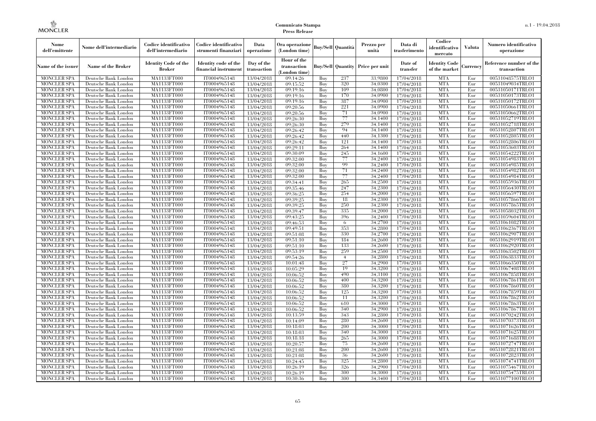| Nome<br>dell'emittente                   | Nome dell'intermediario                      | Codice identificativo<br>dell'intermediario  | Codice identificativo<br>strumenti finanziari | Data<br>operazione        | Ora operazione<br>(London time)             |            | Buv/Sell   Quantità      | Prezzo per<br>unità | Data di<br>trasferimento | Codice<br>identificativo<br>mercato   | <b>Valuta</b> | Numero identificativo<br>operazione    |
|------------------------------------------|----------------------------------------------|----------------------------------------------|-----------------------------------------------|---------------------------|---------------------------------------------|------------|--------------------------|---------------------|--------------------------|---------------------------------------|---------------|----------------------------------------|
| Name of the issuer                       | Name of the Broker                           | <b>Identity Code of the</b><br><b>Broker</b> | Identity code of the<br>financial instrument  | Day of the<br>transaction | Hour of the<br>transaction<br>(London time) |            | <b>Buy/Sell Quantity</b> | Price per unit      | Date of<br>transfer      | <b>Identity Code</b><br>of the market | Currencv      | Reference number of the<br>transaction |
| <b>MONCLER SPA</b>                       | Deutsche Bank London                         | MA1133FT000                                  | IT0004965148                                  | 13/04/2018                | 09:14:26                                    | Buy        | 237                      | 33,9800             | 17/04/2018               | <b>MTA</b>                            | Eur           | 00531048575TRLO1                       |
| <b>MONCLER SPA</b>                       | Deutsche Bank London                         | <b>MA1133FT000</b>                           | IT0004965148                                  | 13/04/2018                | 09:15:52                                    | Buy        | 320                      | 34,0300             | 17/04/2018               | <b>MTA</b>                            | Eur           | 00531049034TRLO1                       |
| <b>MONCLER SPA</b>                       | Deutsche Bank London                         | MA1133FT000                                  | IT0004965148                                  | 13/04/2018                | 09:19:16                                    | Buv        | 109                      | 34.0800             | 17/04/2018               | <b>MTA</b>                            | Eur           | 00531050171TRLO1                       |
| <b>MONCLER SPA</b>                       | Deutsche Bank London                         | MA1133FT000                                  | IT0004965148                                  | 13/04/2018                | 09:19:16                                    | Buy        | 170                      | 34,0900             | 17/04/2018               | <b>MTA</b>                            | Eur           | 00531050173TRLO1                       |
| <b>MONCLER SPA</b>                       | Deutsche Bank London                         | MA1133FT000                                  | IT0004965148                                  | 13/04/2018                | 09:19:16                                    | Buy        | 387                      | 34,0900             | 17/04/2018               | <b>MTA</b>                            | Eur           | 00531050172TRLO1                       |
| <b>MONCLER SPA</b><br><b>MONCLER SPA</b> | Deutsche Bank London<br>Deutsche Bank London | <b>MA1133FT000</b><br>MA1133FT000            | IT0004965148<br>IT0004965148                  | 13/04/2018                | 09:20:56                                    | Buy<br>Buy | 221<br>71                | 34,0900<br>34,0900  | 17/04/2018               | <b>MTA</b><br><b>MTA</b>              | Eur<br>Eur    | 00531050661TRLO1                       |
| <b>MONCLER SPA</b>                       | Deutsche Bank London                         | MA1133FT000                                  | IT0004965148                                  | 13/04/2018<br>13/04/2018  | 09:20:56<br>09:26:30                        | Buv        | 77                       | 34.1400             | 17/04/2018<br>17/04/2018 | <b>MTA</b>                            | Eur           | 00531050662TRLO1<br>00531052719TRLO1   |
| <b>MONCLER SPA</b>                       | Deutsche Bank London                         | MA1133FT000                                  | IT0004965148                                  | 13/04/2018                | 09:26:30                                    | Buy        | 279                      | 34,1400             | 17/04/2018               | <b>MTA</b>                            | Eur           | 00531052718TRLO1                       |
| <b>MONCLER SPA</b>                       | Deutsche Bank London                         | <b>MA1133FT000</b>                           | IT0004965148                                  | 13/04/2018                | 09:26:42                                    | Buy        | 94                       | 34,1400             | 17/04/2018               | <b>MTA</b>                            | Eur           | 00531052807TRLO1                       |
| <b>MONCLER SPA</b>                       | Deutsche Bank London                         | MA1133FT000                                  | IT0004965148                                  | 13/04/2018                | 09:26:42                                    | Buy        | 440                      | 34,1300             | 17/04/2018               | <b>MTA</b>                            | Eur           | 00531052805TRLO1                       |
| <b>MONCLER SPA</b>                       | Deutsche Bank London                         | MA1133FT000                                  | IT0004965148                                  | 13/04/2018                | 09:26:42                                    | Buy        | 121                      | 34,1400             | 17/04/2018               | <b>MTA</b>                            | Eur           | 00531052806TRLO1                       |
| <b>MONCLER SPA</b>                       | Deutsche Bank London                         | MA1133FT000                                  | IT0004965148                                  | 13/04/2018                | 09:29:11                                    | Buy        | 264                      | 34,1400             | 17/04/2018               | <b>MTA</b>                            | Eur           | 00531053603TRLO1                       |
| <b>MONCLER SPA</b>                       | Deutsche Bank London                         | MA1133FT000                                  | IT0004965148                                  | 13/04/2018                | 09:30:09                                    | Buy        | 245                      | 34,1600             | 17/04/2018               | <b>MTA</b>                            | Eur           | 00531054222TRLO1                       |
| <b>MONCLER SPA</b>                       | Deutsche Bank London                         | MA1133FT000                                  | IT0004965148                                  | 13/04/2018                | 09:32:00                                    | Buy        | 77                       | 34,2400             | 17/04/2018               | <b>MTA</b>                            | Eur           | 00531054983TRLO1                       |
| <b>MONCLER SPA</b>                       | Deutsche Bank London                         | MA1133FT000                                  | IT0004965148                                  | 13/04/2018                | 09:32:00                                    | Buy        | 99                       | 34,2400             | 17/04/2018               | <b>MTA</b>                            | Eur           | 00531054985TRLO1                       |
| <b>MONCLER SPA</b>                       | Deutsche Bank London                         | MA1133FT000                                  | IT0004965148                                  | 13/04/2018                | 09:32:00                                    | Buy        | 71                       | 34,2400             | 17/04/2018               | <b>MTA</b>                            | Eur           | 00531054982TRLO1                       |
| <b>MONCLER SPA</b>                       | Deutsche Bank London                         | MA1133FT000                                  | IT0004965148                                  | 13/04/2018                | 09:32:00                                    | Buy        | 77                       | 34,2400             | 17/04/2018               | <b>MTA</b>                            | Eur           | 00531054984TRLO1                       |
| <b>MONCLER SPA</b>                       | Deutsche Bank London                         | MA1133FT000                                  | IT0004965148                                  | 13/04/2018                | 09:34:41                                    | Buy        | 265                      | 34,2500             | 17/04/2018               | <b>MTA</b>                            | Eur           | 00531055936TRLO1                       |
| <b>MONCLER SPA</b>                       | Deutsche Bank London                         | MA1133FT000                                  | IT0004965148                                  | 13/04/2018                | 09:35:46                                    | Buy        | 247                      | 34,2300             | 17/04/2018               | <b>MTA</b>                            | Eur           | 00531056430TRLO1                       |
| <b>MONCLER SPA</b>                       | Deutsche Bank London                         | MA1133FT000                                  | IT0004965148                                  | 13/04/2018                | 09:36:25                                    | Buy        | 254<br>18                | 34,2000             | 17/04/2018               | <b>MTA</b><br><b>MTA</b>              | Eur           | 00531056597TRLO1                       |
| <b>MONCLER SPA</b><br><b>MONCLER SPA</b> | Deutsche Bank London                         | MA1133FT000                                  | IT0004965148<br>IT0004965148                  | 13/04/2018                | 09:39:25                                    | Buy<br>Buy | 250                      | 34,2300<br>34,2300  | 17/04/2018<br>17/04/2018 | <b>MTA</b>                            | Eur<br>Eur    | 00531057866TRLO1<br>00531057865TRLO1   |
| <b>MONCLER SPA</b>                       | Deutsche Bank London<br>Deutsche Bank London | MA1133FT000<br>MA1133FT000                   | IT0004965148                                  | 13/04/2018<br>13/04/2018  | 09:39:25<br>09:39:47                        | Buy        | 335                      | 34,2000             | 17/04/2018               | <b>MTA</b>                            | Eur           | 00531058032TRLO1                       |
| <b>MONCLER SPA</b>                       | Deutsche Bank London                         | MA1133FT000                                  | IT0004965148                                  | 13/04/2018                | 09:43:25                                    | Buy        | 396                      | 34,2400             | 17/04/2018               | <b>MTA</b>                            | Eur           | 00531059604TRLO1                       |
| <b>MONCLER SPA</b>                       | Deutsche Bank London                         | MA1133FT000                                  | IT0004965148                                  | 13/04/2018                | 09:46:53                                    | Buy        | 6                        | 34,2700             | 17/04/2018               | <b>MTA</b>                            | Eur           | 00531061082TRLO1                       |
| <b>MONCLER SPA</b>                       | Deutsche Bank London                         | MA1133FT000                                  | IT0004965148                                  | 13/04/2018                | 09:49:51                                    | Buy        | 353                      | 34,2800             | 17/04/2018               | <b>MTA</b>                            | Eur           | 00531062367TRLO1                       |
| <b>MONCLER SPA</b>                       | Deutsche Bank London                         | MA1133FT000                                  | IT0004965148                                  | 13/04/2018                | 09:51:08                                    | Buy        | 330                      | 34,2700             | 17/04/2018               | <b>MTA</b>                            | Eur           | 00531062907TRLO1                       |
| <b>MONCLER SPA</b>                       | Deutsche Bank London                         | MA1133FT000                                  | IT0004965148                                  | 13/04/2018                | 09:51:10                                    | Buy        | 184                      | 34,2600             | 17/04/2018               | <b>MTA</b>                            | Eur           | 00531062919TRLO1                       |
| <b>MONCLER SPA</b>                       | Deutsche Bank London                         | <b>MA1133FT000</b>                           | IT0004965148                                  | 13/04/2018                | 09:51:10                                    | Buy        | 133                      | 34,2600             | 17/04/2018               | <b>MTA</b>                            | Eur           | 00531062920TRLO1                       |
| MONCLER SPA                              | Deutsche Bank London                         | MA1133FT000                                  | IT0004965148                                  | 13/04/2018                | 09:53:19                                    | Buy        | 259                      | 34,2500             | 17/04/2018               | <b>MTA</b>                            | Eur           | 00531063502TRLO1                       |
| <b>MONCLER SPA</b>                       | Deutsche Bank London                         | MA1133FT000                                  | IT0004965148                                  | 13/04/2018                | 09:54:26                                    | Buy        | $\overline{4}$           | 34,2800             | 17/04/2018               | <b>MTA</b>                            | Eur           | 00531063833TRLO1                       |
| <b>MONCLER SPA</b>                       | Deutsche Bank London                         | MA1133FT000                                  | IT0004965148                                  | 13/04/2018                | 10:01:48                                    | Buy        | 27                       | 34,2900             | 17/04/2018               | <b>MTA</b>                            | Eur           | 00531066350TRLO1                       |
| <b>MONCLER SPA</b>                       | Deutsche Bank London                         | <b>MA1133FT000</b>                           | IT0004965148                                  | 13/04/2018                | 10:05:29                                    | Buy        | 19                       | 34,3200             | 17/04/2018               | <b>MTA</b>                            | Eur           | 00531067408TRLO1                       |
| <b>MONCLER SPA</b>                       | Deutsche Bank London                         | MA1133FT000                                  | IT0004965148                                  | 13/04/2018                | 10:06:52                                    | Buy        | 490                      | 34,3100             | 17/04/2018               | <b>MTA</b>                            | Eur           | 00531067858TRLO1                       |
| <b>MONCLER SPA</b>                       | Deutsche Bank London                         | MA1133FT000                                  | IT0004965148                                  | 13/04/2018                | 10:06:52                                    | Buy        | 400                      | 34,3200             | 17/04/2018               | <b>MTA</b>                            | Eur           | 00531067861TRLO1                       |
| <b>MONCLER SPA</b>                       | Deutsche Bank London                         | MA1133FT000                                  | IT0004965148                                  | 13/04/2018                | 10:06:52                                    | Buy        | 380                      | 34,3200             | 17/04/2018               | <b>MTA</b>                            | Eur           | 00531067860TRLO1                       |
| <b>MONCLER SPA</b>                       | Deutsche Bank London                         | <b>MA1133FT000</b>                           | IT0004965148                                  | 13/04/2018                | 10:06:52                                    | Buy        | 125                      | 34,3200             | 17/04/2018               | <b>MTA</b>                            | Eur           | 00531067859TRLO1                       |
| <b>MONCLER SPA</b>                       | Deutsche Bank London                         | MA1133FT000                                  | IT0004965148                                  | 13/04/2018                | 10:06:52                                    | Buy        | 11                       | 34,3200             | 17/04/2018               | <b>MTA</b>                            | Eur           | 00531067862TRLO1                       |
| <b>MONCLER SPA</b><br><b>MONCLER SPA</b> | Deutsche Bank London                         | <b>MA1133FT000</b><br>MA1133FT000            | IT0004965148                                  | 13/04/2018                | 10:06:52                                    | Buy<br>Buy | 610<br>340               | 34,3000<br>34,2900  | 17/04/2018<br>17/04/2018 | <b>MTA</b><br><b>MTA</b>              | Eur<br>Eur    | 00531067863TRLO1<br>00531067867TRLO1   |
| <b>MONCLER SPA</b>                       | Deutsche Bank London<br>Deutsche Bank London | MA1133FT000                                  | IT0004965148<br>IT0004965148                  | 13/04/2018<br>13/04/2018  | 10:06:52<br>10:13:59                        | Buy        | 343                      | 34,2800             | 17/04/2018               | <b>MTA</b>                            | Eur           | 00531070242TRLO1                       |
| <b>MONCLER SPA</b>                       | Deutsche Bank London                         | MA1133FT000                                  | IT0004965148                                  | 13/04/2018                | 10:14:09                                    | Buy        | 280                      | 34,2600             | 17/04/2018               | <b>MTA</b>                            | Eur           | 00531070373TRLO1                       |
| <b>MONCLER SPA</b>                       | Deutsche Bank London                         | MA1133FT000                                  | IT0004965148                                  | 13/04/2018                | 10:18:03                                    | Buy        | 200                      | 34,3000             | 17/04/2018               | <b>MTA</b>                            | Eur           | 00531071626TRLO1                       |
| <b>MONCLER SPA</b>                       | Deutsche Bank London                         | MA1133FT000                                  | IT0004965148                                  | 13/04/2018                | 10:18:03                                    | Buy        | 340                      | 34,3000             | 17/04/2018               | <b>MTA</b>                            | Eur           | 00531071625TRLO1                       |
| <b>MONCLER SPA</b>                       | Deutsche Bank London                         | MA1133FT000                                  | IT0004965148                                  | 13/04/2018                | 10:18:18                                    | Buy        | 265                      | 34,3000             | 17/04/2018               | <b>MTA</b>                            | Eur           | 00531071688TRLO1                       |
| <b>MONCLER SPA</b>                       | Deutsche Bank London                         | MA1133FT000                                  | IT0004965148                                  | 13/04/2018                | 10:20:57                                    | Buy        | 75                       | 34,2600             | 17/04/2018               | <b>MTA</b>                            | Eur           | 00531072747TRLO1                       |
| <b>MONCLER SPA</b>                       | Deutsche Bank London                         | MA1133FT000                                  | IT0004965148                                  | 13/04/2018                | 10:21:08                                    | Buy        | 200                      | 34,2600             | 17/04/2018               | <b>MTA</b>                            | Eur           | 00531072821TRLO1                       |
| <b>MONCLER SPA</b>                       | Deutsche Bank London                         | MA1133FT000                                  | IT0004965148                                  | 13/04/2018                | 10:21:08                                    | Buy        | 36                       | 34,2600             | 17/04/2018               | <b>MTA</b>                            | Eur           | 00531072823TRLO1                       |
| <b>MONCLER SPA</b>                       | Deutsche Bank London                         | MA1133FT000                                  | IT0004965148                                  | 13/04/2018                | 10:24:45                                    | Buy        | 325                      | 34,2800             | 17/04/2018               | <b>MTA</b>                            | Eur           | 00531074741TRLO1                       |
| <b>MONCLER SPA</b>                       | Deutsche Bank London                         | MA1133FT000                                  | IT0004965148                                  | 13/04/2018                | 10:26:19                                    | Buy        | 326                      | 34,2900             | 17/04/2018               | <b>MTA</b>                            | Eur           | 00531075467TRLO1                       |
| <b>MONCLER SPA</b>                       | Deutsche Bank London                         | MA1133FT000                                  | IT0004965148                                  | 13/04/2018                | 10:26:19                                    | Buy        | 300                      | 34,3000             | 17/04/2018               | <b>MTA</b>                            | Eur           | 00531075475TRLO1                       |
| <b>MONCLER SPA</b>                       | Deutsche Bank London                         | MA1133FT000                                  | IT0004965148                                  | 13/04/2018                | 10:30:36                                    | Buy        | 300                      | 34,3400             | 17/04/2018               | <b>MTA</b>                            | Eur           | 00531077100TRLO1                       |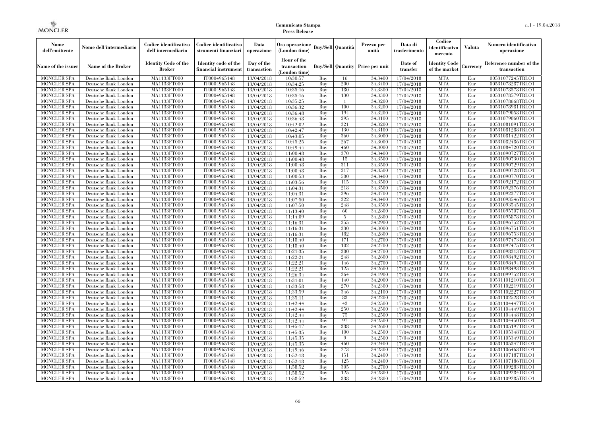| Nome<br>dell'emittente                   | Nome dell'intermediario                      | Codice identificativo<br>dell'intermediario  | Codice identificativo<br>strumenti finanziari | Data<br>operazione        | Ora operazione<br>(London time)             |            | Buv/Sell   Quantità      | Prezzo per<br>unità | Data di<br>trasferimento | Codice<br>identificativo<br>mercato   | <b>Valuta</b> | Numero identificativo<br>operazione    |
|------------------------------------------|----------------------------------------------|----------------------------------------------|-----------------------------------------------|---------------------------|---------------------------------------------|------------|--------------------------|---------------------|--------------------------|---------------------------------------|---------------|----------------------------------------|
| Name of the issuer                       | Name of the Broker                           | <b>Identity Code of the</b><br><b>Broker</b> | Identity code of the<br>financial instrument  | Day of the<br>transaction | Hour of the<br>transaction<br>(London time) |            | <b>Buy/Sell Quantity</b> | Price per unit      | Date of<br>transfer      | <b>Identity Code</b><br>of the market | Currencv      | Reference number of the<br>transaction |
| <b>MONCLER SPA</b>                       | Deutsche Bank London                         | MA1133FT000                                  | IT0004965148                                  | 13/04/2018                | 10:30:57                                    | Buy        | 16                       | 34,3400             | 17/04/2018               | <b>MTA</b>                            | Eur           | 00531077245TRLO1                       |
| <b>MONCLER SPA</b>                       | Deutsche Bank London                         | <b>MA1133FT000</b>                           | IT0004965148                                  | 13/04/2018                | 10:34:25                                    | Buy        | 200                      | 34,3400             | 17/04/2018               | <b>MTA</b>                            | Eur           | 00531078287TRLO1                       |
| <b>MONCLER SPA</b>                       | Deutsche Bank London                         | MA1133FT000                                  | IT0004965148                                  | 13/04/2018                | 10:35:16                                    | Buv        | 180                      | 34.3300             | 17/04/2018               | <b>MTA</b>                            | Eur           | 00531078578TRLO1                       |
| <b>MONCLER SPA</b>                       | Deutsche Bank London                         | MA1133FT000                                  | IT0004965148                                  | 13/04/2018                | 10:35:16                                    | Buy        | 130                      | 34,3300             | 17/04/2018               | <b>MTA</b>                            | Eur           | 00531078579TRLO1                       |
| <b>MONCLER SPA</b>                       | Deutsche Bank London                         | MA1133FT000                                  | IT0004965148                                  | 13/04/2018                | 10:35:25                                    | Buy        | -1                       | 34,3200             | 17/04/2018               | <b>MTA</b>                            | Eur           | 00531078668TRLO1                       |
| <b>MONCLER SPA</b><br><b>MONCLER SPA</b> | Deutsche Bank London                         | <b>MA1133FT000</b><br>MA1133FT000            | IT0004965148                                  | 13/04/2018                | 10:36:32                                    | Buy        | 100<br>194               | 34,3200<br>34,3200  | 17/04/2018               | <b>MTA</b><br><b>MTA</b>              | Eur           | 00531078981TRLO1                       |
| <b>MONCLER SPA</b>                       | Deutsche Bank London<br>Deutsche Bank London | MA1133FT000                                  | IT0004965148<br>IT0004965148                  | 13/04/2018<br>13/04/2018  | 10:36:48<br>10:36:48                        | Buy<br>Buy | 295                      | 34.3100             | 17/04/2018<br>17/04/2018 | <b>MTA</b>                            | Eur<br>Eur    | 00531079058TRLO1<br>00531079060TRLO1   |
| <b>MONCLER SPA</b>                       | Deutsche Bank London                         | MA1133FT000                                  | IT0004965148                                  | 13/04/2018                | 10:42:02                                    | Buy        | 321                      | 34,3200             | 17/04/2018               | <b>MTA</b>                            | Eur           | 00531081091TRLO1                       |
| <b>MONCLER SPA</b>                       | Deutsche Bank London                         | <b>MA1133FT000</b>                           | IT0004965148                                  | 13/04/2018                | 10:42:47                                    | Buy        | 130                      | 34,3100             | 17/04/2018               | <b>MTA</b>                            | Eur           | 00531081288TRLO1                       |
| <b>MONCLER SPA</b>                       | Deutsche Bank London                         | MA1133FT000                                  | IT0004965148                                  | 13/04/2018                | 10:43:05                                    | Buy        | 360                      | 34,3000             | 17/04/2018               | <b>MTA</b>                            | Eur           | 00531081422TRLO1                       |
| <b>MONCLER SPA</b>                       | Deutsche Bank London                         | MA1133FT000                                  | IT0004965148                                  | 13/04/2018                | 10:45:25                                    | Buy        | 267                      | 34,3000             | 17/04/2018               | <b>MTA</b>                            | Eur           | 00531082486TRLO1                       |
| <b>MONCLER SPA</b>                       | Deutsche Bank London                         | MA1133FT000                                  | IT0004965148                                  | 13/04/2018                | 10:49:44                                    | Buy        | 460                      | 34,3000             | 17/04/2018               | <b>MTA</b>                            | Eur           | 00531084720TRLO1                       |
| <b>MONCLER SPA</b>                       | Deutsche Bank London                         | MA1133FT000                                  | IT0004965148                                  | 13/04/2018                | 11:00:48                                    | Buy        | 370                      | 34,3400             | 17/04/2018               | <b>MTA</b>                            | Eur           | 00531090727TRLO1                       |
| <b>MONCLER SPA</b>                       | Deutsche Bank London                         | MA1133FT000                                  | IT0004965148                                  | 13/04/2018                | 11:00:48                                    | Buy        | 15                       | 34,3500             | 17/04/2018               | <b>MTA</b>                            | Eur           | 00531090730TRLO1                       |
| <b>MONCLER SPA</b>                       | Deutsche Bank London                         | MA1133FT000                                  | IT0004965148                                  | 13/04/2018                | 11:00:48                                    | Buy        | 311                      | 34,3500             | 17/04/2018               | <b>MTA</b>                            | Eur           | 00531090729TRLO1                       |
| <b>MONCLER SPA</b>                       | Deutsche Bank London                         | MA1133FT000                                  | IT0004965148                                  | 13/04/2018                | 11:00:48                                    | Buy        | 217                      | 34.3500             | 17/04/2018               | <b>MTA</b>                            | Eur           | 00531090728TRLO1                       |
| <b>MONCLER SPA</b>                       | Deutsche Bank London                         | MA1133FT000                                  | IT0004965148                                  | 13/04/2018                | 11:00:53                                    | Buy        | 500                      | 34,3400             | 17/04/2018               | <b>MTA</b>                            | Eur           | 00531090770TRLO1                       |
| <b>MONCLER SPA</b>                       | Deutsche Bank London                         | MA1133FT000                                  | IT0004965148                                  | 13/04/2018                | 11:03:56                                    | Buy        | 115                      | 34,3500             | 17/04/2018               | <b>MTA</b>                            | Eur           | 00531092172TRLO1                       |
| <b>MONCLER SPA</b>                       | Deutsche Bank London                         | MA1133FT000                                  | IT0004965148                                  | 13/04/2018                | 11:04:31                                    | Buy        | 218                      | 34,3500             | 17/04/2018               | <b>MTA</b>                            | Eur           | 00531092376TRLO1                       |
| <b>MONCLER SPA</b>                       | Deutsche Bank London                         | MA1133FT000                                  | IT0004965148                                  | 13/04/2018                | 11:04:31                                    | Buy        | 296                      | 34,3700             | 17/04/2018               | <b>MTA</b><br><b>MTA</b>              | Eur           | 00531092377TRLO1                       |
| <b>MONCLER SPA</b><br><b>MONCLER SPA</b> | Deutsche Bank London                         | MA1133FT000                                  | IT0004965148<br>IT0004965148                  | 13/04/2018                | 11:07:50<br>11:07:50                        | Buy<br>Buy | 322<br>248               | 34,3400<br>34,3500  | 17/04/2018<br>17/04/2018 | <b>MTA</b>                            | Eur<br>Eur    | 00531093546TRLO1<br>00531093545TRLO1   |
| <b>MONCLER SPA</b>                       | Deutsche Bank London<br>Deutsche Bank London | MA1133FT000<br>MA1133FT000                   | IT0004965148                                  | 13/04/2018<br>13/04/2018  | 11:13:40                                    | Buy        | 60                       | 34,2800             | 17/04/2018               | <b>MTA</b>                            | Eur           | 00531095707TRLO1                       |
| <b>MONCLER SPA</b>                       | Deutsche Bank London                         | MA1133FT000                                  | IT0004965148                                  | 13/04/2018                | 11:14:09                                    | Buy        | 5                        | 34,2800             | 17/04/2018               | <b>MTA</b>                            | Eur           | 00531095878TRLO1                       |
| <b>MONCLER SPA</b>                       | Deutsche Bank London                         | MA1133FT000                                  | IT0004965148                                  | 13/04/2018                | 11:16:31                                    | Buy        | 255                      | 34,2900             | 17/04/2018               | <b>MTA</b>                            | Eur           | 00531096752TRLO1                       |
| <b>MONCLER SPA</b>                       | Deutsche Bank London                         | MA1133FT000                                  | IT0004965148                                  | 13/04/2018                | 11:16:31                                    | Buy        | 330                      | 34,3000             | 17/04/2018               | <b>MTA</b>                            | Eur           | 00531096751TRLO1                       |
| <b>MONCLER SPA</b>                       | Deutsche Bank London                         | MA1133FT000                                  | IT0004965148                                  | 13/04/2018                | 11:16:31                                    | Buy        | 182                      | 34,2800             | 17/04/2018               | <b>MTA</b>                            | Eur           | 00531096753TRLO1                       |
| <b>MONCLER SPA</b>                       | Deutsche Bank London                         | MA1133FT000                                  | IT0004965148                                  | 13/04/2018                | 11:18:40                                    | Buy        | 171                      | 34,2700             | 17/04/2018               | <b>MTA</b>                            | Eur           | 00531097473TRLO1                       |
| <b>MONCLER SPA</b>                       | Deutsche Bank London                         | <b>MA1133FT000</b>                           | IT0004965148                                  | 13/04/2018                | 11:18:40                                    | Buy        | 102                      | 34,2700             | 17/04/2018               | <b>MTA</b>                            | Eur           | 00531097475TRLO1                       |
| MONCLER SPA                              | Deutsche Bank London                         | MA1133FT000                                  | IT0004965148                                  | 13/04/2018                | 11:21:35                                    | Buy        | 300                      | 34,2700             | 17/04/2018               | <b>MTA</b>                            | Eur           | 00531098313TRLO1                       |
| <b>MONCLER SPA</b>                       | Deutsche Bank London                         | MA1133FT000                                  | IT0004965148                                  | 13/04/2018                | 11:22:21                                    | Buy        | 248                      | 34,2600             | 17/04/2018               | <b>MTA</b>                            | Eur           | 00531098492TRLO1                       |
| <b>MONCLER SPA</b>                       | Deutsche Bank London                         | MA1133FT000                                  | IT0004965148                                  | 13/04/2018                | 11:22:21                                    | Buy        | 146                      | 34,2700             | 17/04/2018               | <b>MTA</b>                            | Eur           | 00531098494TRLO1                       |
| <b>MONCLER SPA</b>                       | Deutsche Bank London                         | <b>MA1133FT000</b>                           | IT0004965148                                  | 13/04/2018                | 11:22:21                                    | Buy        | 125                      | 34,2600             | 17/04/2018               | <b>MTA</b>                            | Eur           | 00531098493TRLO1                       |
| <b>MONCLER SPA</b>                       | Deutsche Bank London                         | MA1133FT000                                  | IT0004965148                                  | 13/04/2018                | 11:26:34                                    | Buy        | 264                      | 34,1900             | 17/04/2018               | <b>MTA</b>                            | Eur           | 00531099752TRLO1                       |
| <b>MONCLER SPA</b>                       | Deutsche Bank London                         | MA1133FT000                                  | IT0004965148                                  | 13/04/2018                | 11:31:01                                    | Buy        | 140                      | 34,2000             | 17/04/2018               | <b>MTA</b>                            | Eur           | 00531101210TRLO1                       |
| <b>MONCLER SPA</b>                       | Deutsche Bank London                         | MA1133FT000                                  | IT0004965148                                  | 13/04/2018                | 11:33:58                                    | Buy        | 270                      | 34,2300             | 17/04/2018               | <b>MTA</b>                            | Eur           | 00531102219TRLO1                       |
| MONCLER SPA                              | Deutsche Bank London                         | <b>MA1133FT000</b>                           | IT0004965148                                  | 13/04/2018                | 11:33:59                                    | Buy        | 346                      | 34,2100             | 17/04/2018               | <b>MTA</b>                            | Eur           | 00531102227TRLO1                       |
| <b>MONCLER SPA</b>                       | Deutsche Bank London                         | MA1133FT000                                  | IT0004965148                                  | 13/04/2018                | 11:35:11                                    | Buy        | 83                       | 34,2200             | 17/04/2018               | <b>MTA</b>                            | Eur           | 00531102528TRLO1                       |
| <b>MONCLER SPA</b><br><b>MONCLER SPA</b> | Deutsche Bank London                         | <b>MA1133FT000</b><br>MA1133FT000            | IT0004965148                                  | 13/04/2018                | 11:42:44                                    | Buy<br>Buy | 43<br>250                | 34,2500<br>34,2500  | 17/04/2018<br>17/04/2018 | <b>MTA</b><br><b>MTA</b>              | Eur<br>Eur    | 00531104447TRLO1                       |
| <b>MONCLER SPA</b>                       | Deutsche Bank London<br>Deutsche Bank London | MA1133FT000                                  | IT0004965148<br>IT0004965148                  | 13/04/2018<br>13/04/2018  | 11:42:44<br>11:42:44                        | Buy        | 75                       | 34,2500             | 17/04/2018               | <b>MTA</b>                            | Eur           | 00531104449TRLO1<br>00531104448TRLO1   |
| <b>MONCLER SPA</b>                       | Deutsche Bank London                         | MA1133FT000                                  | IT0004965148                                  | 13/04/2018                | 11:42:44                                    | Buy        | 97                       | 34,2500             | 17/04/2018               | <b>MTA</b>                            | Eur           | 00531104450TRLO1                       |
| <b>MONCLER SPA</b>                       | Deutsche Bank London                         | MA1133FT000                                  | IT0004965148                                  | 13/04/2018                | 11:45:17                                    | Buy        | 338                      | 34,2600             | 17/04/2018               | <b>MTA</b>                            | Eur           | 00531105197TRLO1                       |
| <b>MONCLER SPA</b>                       | Deutsche Bank London                         | MA1133FT000                                  | IT0004965148                                  | 13/04/2018                | 11:45:35                                    | Buy        | 100                      | 34,2500             | 17/04/2018               | <b>MTA</b>                            | Eur           | 00531105348TRLO1                       |
| <b>MONCLER SPA</b>                       | Deutsche Bank London                         | MA1133FT000                                  | IT0004965148                                  | 13/04/2018                | 11:45:35                                    | Buy        | $\mathbf Q$              | 34,2500             | 17/04/2018               | <b>MTA</b>                            | Eur           | 00531105349TRLO1                       |
| <b>MONCLER SPA</b>                       | Deutsche Bank London                         | MA1133FT000                                  | IT0004965148                                  | 13/04/2018                | 11:45:35                                    | Buy        | 460                      | 34,2400             | 17/04/2018               | <b>MTA</b>                            | Eur           | 00531105347TRLO1                       |
| <b>MONCLER SPA</b>                       | Deutsche Bank London                         | MA1133FT000                                  | IT0004965148                                  | 13/04/2018                | 11:49:46                                    | Buy        | 273                      | 34,2300             | 17/04/2018               | <b>MTA</b>                            | Eur           | 00531106463TRLO1                       |
| <b>MONCLER SPA</b>                       | Deutsche Bank London                         | MA1133FT000                                  | IT0004965148                                  | 13/04/2018                | 11:52:18                                    | Buy        | 151                      | 34,2400             | 17/04/2018               | <b>MTA</b>                            | Eur           | 00531107187TRLO1                       |
| <b>MONCLER SPA</b>                       | Deutsche Bank London                         | MA1133FT000                                  | IT0004965148                                  | 13/04/2018                | 11:52:18                                    | Buy        | 125                      | 34,2400             | 17/04/2018               | <b>MTA</b>                            | Eur           | 00531107186TRLO1                       |
| <b>MONCLER SPA</b>                       | Deutsche Bank London                         | MA1133FT000                                  | IT0004965148                                  | 13/04/2018                | 11:58:52                                    | Buy        | 305                      | 34,2700             | 17/04/2018               | <b>MTA</b>                            | Eur           | 00531109283TRLO1                       |
| <b>MONCLER SPA</b>                       | Deutsche Bank London                         | MA1133FT000                                  | IT0004965148                                  | 13/04/2018                | 11:58:52                                    | Buy        | 125                      | 34,2800             | 17/04/2018               | <b>MTA</b>                            | Eur           | 00531109284TRLO1                       |
| <b>MONCLER SPA</b>                       | Deutsche Bank London                         | MA1133FT000                                  | IT0004965148                                  | 13/04/2018                | 11:58:52                                    | Buy        | 338                      | 34,2800             | 17/04/2018               | <b>MTA</b>                            | Eur           | 00531109285TRLO1                       |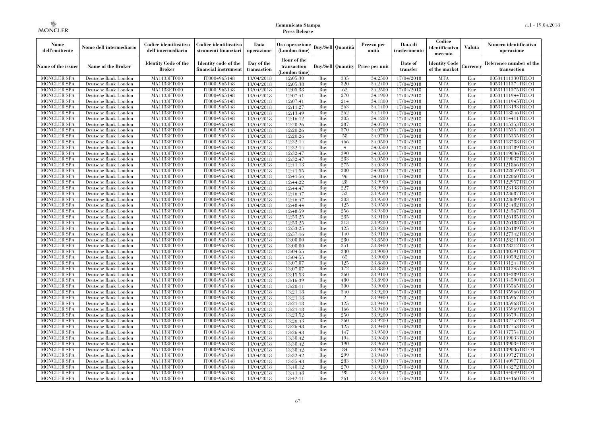| Nome<br>dell'emittente                   | Nome dell'intermediario                      | Codice identificativo<br>dell'intermediario  | Codice identificativo<br>strumenti finanziari | Data<br>operazione        | Ora operazione<br>(London time)             |            | Buy/Sell Quantità        | Prezzo per<br>unità | Data di<br>trasferimento | Codice<br>identificativo<br>mercato   | <b>Valuta</b> | Numero identificativo<br>operazione    |
|------------------------------------------|----------------------------------------------|----------------------------------------------|-----------------------------------------------|---------------------------|---------------------------------------------|------------|--------------------------|---------------------|--------------------------|---------------------------------------|---------------|----------------------------------------|
| Name of the issuer                       | Name of the Broker                           | <b>Identity Code of the</b><br><b>Broker</b> | Identity code of the<br>financial instrument  | Day of the<br>transaction | Hour of the<br>transaction<br>(London time) |            | <b>Buy/Sell Quantity</b> | Price per unit      | Date of<br>transfer      | <b>Identity Code</b><br>of the market | Currencv      | Reference number of the<br>transaction |
| <b>MONCLER SPA</b>                       | Deutsche Bank London                         | MA1133FT000                                  | IT0004965148                                  | 13/04/2018                | 12:05:30                                    | Buv        | 335                      | 34.2500             | 17/04/2018               | <b>MTA</b>                            | Eur           | 00531111330TRLO1                       |
| <b>MONCLER SPA</b>                       | Deutsche Bank London                         | MA1133FT000                                  | IT0004965148                                  | 13/04/2018                | 12:05:38                                    | Buy        | 320                      | 34,2400             | 17/04/2018               | <b>MTA</b>                            | Eur           | 00531111374TRLO1                       |
| <b>MONCLER SPA</b>                       | Deutsche Bank London                         | MA1133FT000                                  | IT0004965148                                  | 13/04/2018                | 12:05:38                                    | Buy        | 62                       | 34,2500             | 17/04/2018               | <b>MTA</b>                            | Eur           | 00531111375TRLO1                       |
| <b>MONCLER SPA</b>                       | Deutsche Bank London                         | <b>MA1133FT000</b>                           | IT0004965148                                  | 13/04/2018                | 12:07:41                                    | Buy        | 270                      | 34,1900             | 17/04/2018               | <b>MTA</b>                            | Eur           | 00531111944TRLO1                       |
| <b>MONCLER SPA</b>                       | Deutsche Bank London                         | <b>MA1133FT000</b>                           | IT0004965148                                  | 13/04/2018                | 12:07:41                                    | Buy        | 214                      | 34,1800             | 17/04/2018               | <b>MTA</b><br><b>MTA</b>              | Eur           | 00531111945TRLO1                       |
| <b>MONCLER SPA</b><br><b>MONCLER SPA</b> | Deutsche Bank London<br>Deutsche Bank London | MA1133FT000<br>MA1133FT000                   | IT0004965148<br>IT0004965148                  | 13/04/2018<br>13/04/2018  | 12:11:27<br>12:13:49                        | Buy<br>Buy | 263<br>262               | 34,1400<br>34,1400  | 17/04/2018<br>17/04/2018 | <b>MTA</b>                            | Eur<br>Eur    | 00531113193TRLO1<br>00531113846TRLO1   |
| <b>MONCLER SPA</b>                       | Deutsche Bank London                         | MA1133FT000                                  | IT0004965148                                  | 13/04/2018                | 12:16:12                                    | Buy        | 305                      | 34,1200             | 17/04/2018               | <b>MTA</b>                            | Eur           | 00531114411TRLO1                       |
| <b>MONCLER SPA</b>                       | Deutsche Bank London                         | <b>MA1133FT000</b>                           | IT0004965148                                  | 13/04/2018                | 12:20:26                                    | Buy        | 287                      | 34,0700             | 17/04/2018               | <b>MTA</b>                            | Eur           | 00531115353TRLO1                       |
| <b>MONCLER SPA</b>                       | Deutsche Bank London                         | MA1133FT000                                  | IT0004965148                                  | 13/04/2018                | 12:20:26                                    | Buy        | 370                      | 34,0700             | 17/04/2018               | <b>MTA</b>                            | Eur           | 00531115354TRLO1                       |
| <b>MONCLER SPA</b>                       | Deutsche Bank London                         | MA1133FT000                                  | IT0004965148                                  | 13/04/2018                | 12:20:26                                    | Buy        | 58                       | 34,0700             | 17/04/2018               | <b>MTA</b>                            | Eur           | 00531115355TRLO1                       |
| <b>MONCLER SPA</b>                       | Deutsche Bank London                         | MA1133FT000                                  | IT0004965148                                  | 13/04/2018                | 12:32:14                                    | Buy        | 466                      | 34,0500             | 17/04/2018               | <b>MTA</b>                            | Eur           | 00531118788TRLO1                       |
| <b>MONCLER SPA</b>                       | Deutsche Bank London                         | MA1133FT000                                  | IT0004965148                                  | 13/04/2018                | 12:32:14                                    | Buy        | $\overline{4}$           | 34,0500             | 17/04/2018               | <b>MTA</b>                            | Eur           | 00531118789TRLO1                       |
| <b>MONCLER SPA</b>                       | Deutsche Bank London                         | <b>MA1133FT000</b>                           | IT0004965148                                  | 13/04/2018                | 12:32:47                                    | Buy        | 390                      | 34,0500             | 17/04/2018               | <b>MTA</b>                            | Eur           | 00531119036TRLO1                       |
| MONCLER SPA                              | Deutsche Bank London                         | MA1133FT000                                  | IT0004965148                                  | 13/04/2018                | 12:32:47                                    | Buy        | 283                      | 34,0500             | 17/04/2018               | <b>MTA</b>                            | Eur           | 00531119037TRLO1                       |
| <b>MONCLER SPA</b>                       | Deutsche Bank London                         | MA1133FT000                                  | IT0004965148                                  | 13/04/2018                | 12:41:13                                    | Buy        | 275                      | 34,0300             | 17/04/2018               | <b>MTA</b>                            | Eur           | 00531121866TRLO1                       |
| <b>MONCLER SPA</b>                       | Deutsche Bank London                         | MA1133FT000                                  | IT0004965148                                  | 13/04/2018                | 12:41:55                                    | Buy        | 300                      | 34,0200             | 17/04/2018               | <b>MTA</b>                            | Eur           | 00531122059TRLO1                       |
| <b>MONCLER SPA</b>                       | Deutsche Bank London                         | <b>MA1133FT000</b>                           | IT0004965148                                  | 13/04/2018                | 12:41:56                                    | Buy        | 96                       | 34,0100             | 17/04/2018               | <b>MTA</b>                            | Eur           | 00531122060TRLO1                       |
| <b>MONCLER SPA</b>                       | Deutsche Bank London                         | MA1133FT000                                  | IT0004965148                                  | 13/04/2018                | 12:44:22                                    | Buy        | 28                       | 33,9900             | 17/04/2018               | <b>MTA</b>                            | Eur           | 00531122957TRLO1                       |
| <b>MONCLER SPA</b>                       | Deutsche Bank London                         | <b>MA1133FT000</b>                           | IT0004965148                                  | 13/04/2018                | 12:44:47                                    | Buy        | 227                      | 33,9900             | 17/04/2018               | <b>MTA</b>                            | Eur           | 00531123138TRLO1                       |
| <b>MONCLER SPA</b>                       | Deutsche Bank London                         | MA1133FT000                                  | IT0004965148                                  | 13/04/2018                | 12:46:47                                    | Buy        | 52                       | 33,9500             | 17/04/2018               | <b>MTA</b>                            | Eur           | 00531123687TRLO1                       |
| <b>MONCLER SPA</b>                       | Deutsche Bank London                         | <b>MA1133FT000</b>                           | IT0004965148                                  | 13/04/2018                | 12:46:47                                    | Buy        | 203                      | 33,9500             | 17/04/2018               | <b>MTA</b>                            | Eur           | 00531123689TRLO1                       |
| MONCLER SPA<br><b>MONCLER SPA</b>        | Deutsche Bank London                         | <b>MA1133FT000</b>                           | IT0004965148<br>IT0004965148                  | 13/04/2018                | 12:48:44                                    | <b>Buy</b> | 125<br>256               | 33,9500<br>33,9300  | 17/04/2018<br>17/04/2018 | <b>MTA</b><br><b>MTA</b>              | Eur<br>Eur    | 00531124482TRLO1                       |
| <b>MONCLER SPA</b>                       | Deutsche Bank London<br>Deutsche Bank London | MA1133FT000<br>MA1133FT000                   | IT0004965148                                  | 13/04/2018<br>13/04/2018  | 12:48:59<br>12:53:25                        | Buy<br>Buy | 285                      | 33.9100             | 17/04/2018               | <b>MTA</b>                            | Eur           | 00531124567TRLO1<br>00531126185TRLO1   |
| <b>MONCLER SPA</b>                       | Deutsche Bank London                         | <b>MA1133FT000</b>                           | IT0004965148                                  | 13/04/2018                | 12:53:25                                    | Buy        | 213                      | 33,9200             | 17/04/2018               | <b>MTA</b>                            | Eur           | 00531126188TRLO1                       |
| <b>MONCLER SPA</b>                       | Deutsche Bank London                         | MA1133FT000                                  | IT0004965148                                  | 13/04/2018                | 12:53:25                                    | Buy        | 125                      | 33,9200             | 17/04/2018               | <b>MTA</b>                            | Eur           | 00531126189TRLO1                       |
| <b>MONCLER SPA</b>                       | Deutsche Bank London                         | MA1133FT000                                  | IT0004965148                                  | 13/04/2018                | 12:57:16                                    | Buy        | 140                      | 33,9100             | 17/04/2018               | <b>MTA</b>                            | Eur           | 00531127342TRLO1                       |
| <b>MONCLER SPA</b>                       | Deutsche Bank London                         | MA1133FT000                                  | IT0004965148                                  | 13/04/2018                | 13:00:00                                    | Buv        | 280                      | 33,8500             | 17/04/2018               | <b>MTA</b>                            | Eur           | 00531128211TRLO1                       |
| <b>MONCLER SPA</b>                       | Deutsche Bank London                         | MA1133FT000                                  | IT0004965148                                  | 13/04/2018                | 13:00:00                                    | Buy        | 251                      | 33,8400             | 17/04/2018               | <b>MTA</b>                            | Eur           | 00531128212TRLO1                       |
| <b>MONCLER SPA</b>                       | Deutsche Bank London                         | MA1133FT000                                  | IT0004965148                                  | 13/04/2018                | 13:04:55                                    | Buy        | 330                      | 33,9000             | 17/04/2018               | <b>MTA</b>                            | Eur           | 00531130591TRLO1                       |
| <b>MONCLER SPA</b>                       | Deutsche Bank London                         | MA1133FT000                                  | IT0004965148                                  | 13/04/2018                | 13:04:55                                    | Buy        | 65                       | 33,9000             | 17/04/2018               | <b>MTA</b>                            | Eur           | 00531130592TRLO1                       |
| MONCLER SPA                              | Deutsche Bank London                         | <b>MA1133FT000</b>                           | IT0004965148                                  | 13/04/2018                | 13:07:07                                    | Buy        | 125                      | 33,8800             | 17/04/2018               | <b>MTA</b>                            | Eur           | 00531131244TRLO1                       |
| <b>MONCLER SPA</b>                       | Deutsche Bank London                         | MA1133FT000                                  | IT0004965148                                  | 13/04/2018                | 13:07:07                                    | Buy        | 172                      | 33,8800             | 17/04/2018               | <b>MTA</b>                            | Eur           | 00531131245TRLO1                       |
| <b>MONCLER SPA</b>                       | Deutsche Bank London                         | MA1133FT000                                  | IT0004965148                                  | 13/04/2018                | 13:15:53                                    | Buy        | 260                      | 33,9100             | 17/04/2018               | <b>MTA</b>                            | Eur           | 00531134389TRLO1                       |
| <b>MONCLER SPA</b>                       | Deutsche Bank London                         | MA1133FT000                                  | IT0004965148                                  | 13/04/2018                | 13:16:39                                    | Buy        | 480                      | 33,8900             | 17/04/2018               | <b>MTA</b>                            | Eur           | 00531134590TRLO1                       |
| <b>MONCLER SPA</b>                       | Deutsche Bank London                         | <b>MA1133FT000</b>                           | IT0004965148                                  | 13/04/2018                | 13:20:11                                    | Buy        | 300                      | 33,9000             | 17/04/2018               | <b>MTA</b>                            | Eur           | 00531135565TRLO1                       |
| <b>MONCLER SPA</b>                       | Deutsche Bank London                         | MA1133FT000                                  | IT0004965148                                  | 13/04/2018                | 13:21:18                                    | Buy        | 340                      | 33,9200             | 17/04/2018               | <b>MTA</b>                            | Eur           | 00531135966TRLO1                       |
| <b>MONCLER SPA</b>                       | Deutsche Bank London                         | MA1133FT000                                  | IT0004965148                                  | 13/04/2018                | 13:21:18                                    | Buy        | $\overline{2}$           | 33,9400             | 17/04/2018               | <b>MTA</b>                            | Eur           | 00531135967TRLO1                       |
| <b>MONCLER SPA</b>                       | Deutsche Bank London                         | MA1133FT000                                  | IT0004965148                                  | 13/04/2018                | 13:21:18                                    | Buy        | 125                      | 33,9400             | 17/04/2018               | <b>MTA</b>                            | Eur           | 00531135968TRLO1                       |
| <b>MONCLER SPA</b>                       | Deutsche Bank London                         | MA1133FT000                                  | IT0004965148                                  | 13/04/2018                | 13:21:18                                    | Buy        | 166                      | 33,9400             | 17/04/2018               | <b>MTA</b>                            | Eur           | 00531135969TRLO1                       |
| <b>MONCLER SPA</b><br><b>MONCLER SPA</b> | Deutsche Bank London<br>Deutsche Bank London | MA1133FT000<br>MA1133FT000                   | IT0004965148<br>IT0004965148                  | 13/04/2018                | 13:23:52<br>13:26:43                        | Buy<br>Buy | 250<br>260               | 33,9200<br>33,9200  | 17/04/2018<br>17/04/2018 | <b>MTA</b><br><b>MTA</b>              | Eur<br>Eur    | 00531136794TRLO1<br>00531137752TRLO1   |
| <b>MONCLER SPA</b>                       | Deutsche Bank London                         | MA1133FT000                                  | IT0004965148                                  | 13/04/2018<br>13/04/2018  | 13:26:43                                    | Buy        | 125                      | 33,9400             | 17/04/2018               | <b>MTA</b>                            | Eur           | 00531137753TRLO1                       |
| <b>MONCLER SPA</b>                       | Deutsche Bank London                         | MA1133FT000                                  | IT0004965148                                  | 13/04/2018                | 13:26:43                                    | Buy        | 147                      | 33,9500             | 17/04/2018               | <b>MTA</b>                            | Eur           | 00531137754TRLO1                       |
| <b>MONCLER SPA</b>                       | Deutsche Bank London                         | MA1133FT000                                  | IT0004965148                                  | 13/04/2018                | 13:30:42                                    | Buy        | 194                      | 33,9600             | 17/04/2018               | <b>MTA</b>                            | Eur           | 00531139033TRLO1                       |
| <b>MONCLER SPA</b>                       | Deutsche Bank London                         | MA1133FT000                                  | IT0004965148                                  | 13/04/2018                | 13:30:42                                    | Buy        | 190                      | 33,9600             | 17/04/2018               | <b>MTA</b>                            | Eur           | 00531139034TRLO1                       |
| <b>MONCLER SPA</b>                       | Deutsche Bank London                         | MA1133FT000                                  | IT0004965148                                  | 13/04/2018                | 13:30:42                                    | Buy        | 84                       | 33,9600             | 17/04/2018               | <b>MTA</b>                            | Eur           | 00531139036TRLO1                       |
| <b>MONCLER SPA</b>                       | Deutsche Bank London                         | MA1133FT000                                  | IT0004965148                                  | 13/04/2018                | 13:32:42                                    | Buy        | 299                      | 33,9400             | 17/04/2018               | <b>MTA</b>                            | Eur           | 00531139727TRLO1                       |
| <b>MONCLER SPA</b>                       | Deutsche Bank London                         | MA1133FT000                                  | IT0004965148                                  | 13/04/2018                | 13:35:43                                    | Buy        | 283                      | 33,9100             | 17/04/2018               | <b>MTA</b>                            | Eur           | 00531140977TRLO1                       |
| <b>MONCLER SPA</b>                       | Deutsche Bank London                         | MA1133FT000                                  | IT0004965148                                  | 13/04/2018                | 13:40:12                                    | Buy        | 270                      | 33,9200             | 17/04/2018               | <b>MTA</b>                            | Eur           | 00531143272TRLO1                       |
| <b>MONCLER SPA</b>                       | Deutsche Bank London                         | MA1133FT000                                  | IT0004965148                                  | 13/04/2018                | 13:41:48                                    | Buy        | 98                       | 33,9300             | 17/04/2018               | <b>MTA</b>                            | Eur           | 00531144049TRLO1                       |
| <b>MONCLER SPA</b>                       | Deutsche Bank London                         | MA1133FT000                                  | IT0004965148                                  | 13/04/2018                | 13:42:11                                    | Buy        | 261                      | 33,9300             | 17/04/2018               | <b>MTA</b>                            | Eur           | 00531144160TRLO1                       |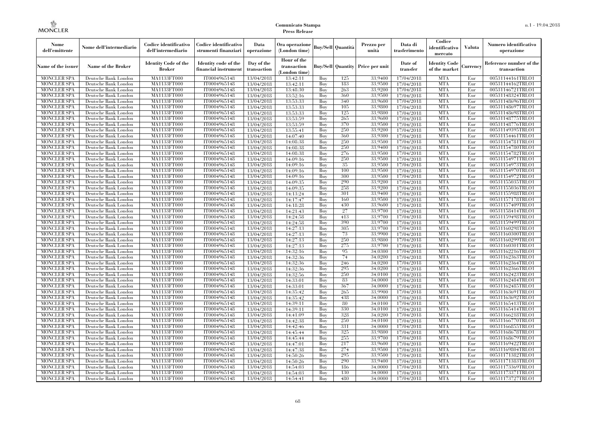| Nome<br>dell'emittente                   | Nome dell'intermediario                      | Codice identificativo<br>dell'intermediario  | Codice identificativo<br>strumenti finanziari | Data<br>operazione        | Ora operazione<br>(London time)             |            | <b>Buy/Sell Quantità</b> | Prezzo per<br>unità                     | Data di<br>trasferimento | Codice<br>identificativo<br>mercato | <b>Valuta</b> | Numero identificativo<br>operazione    |
|------------------------------------------|----------------------------------------------|----------------------------------------------|-----------------------------------------------|---------------------------|---------------------------------------------|------------|--------------------------|-----------------------------------------|--------------------------|-------------------------------------|---------------|----------------------------------------|
| Name of the issuer                       | Name of the Broker                           | <b>Identity Code of the</b><br><b>Broker</b> | Identity code of the<br>financial instrumen   | Day of the<br>transaction | Hour of the<br>transaction<br>(London time) |            |                          | <b>Buy/Sell Quantity Price per unit</b> | Date of<br>transfer      | Identity Code<br>of the market      | Currencv      | Reference number of the<br>transaction |
| <b>MONCLER SPA</b>                       | Deutsche Bank London                         | MA1133FT000                                  | IT0004965148                                  | 13/04/2018                | 13:42:11                                    | Buy        | 125                      | 33.9400                                 | 17/04/2018               | <b>MTA</b>                          | Eur           | 00531144161TRLO1                       |
| <b>MONCLER SPA</b>                       | Deutsche Bank London                         | <b>MA1133FT000</b>                           | IT0004965148                                  | 13/04/2018                | 13:42:11                                    | Buy        | 183                      | 33,9500                                 | 17/04/2018               | <b>MTA</b>                          | Eur           | 00531144162TRLO1                       |
| <b>MONCLER SPA</b>                       | Deutsche Bank London                         | MA1133FT000                                  | IT0004965148                                  | 13/04/2018                | 13:48:30                                    | Buy        | 263                      | 33,9200                                 | 17/04/2018               | <b>MTA</b>                          | Eur           | 00531146721TRLO1                       |
| <b>MONCLER SPA</b>                       | Deutsche Bank London                         | MA1133FT000<br>MA1133FT000                   | IT0004965148                                  | 13/04/2018                | 13:52:16                                    | Buy<br>Buy | 360<br>340               | 33,9500<br>33,9600                      | 17/04/2018               | <b>MTA</b><br><b>MTA</b>            | Eur<br>Eur    | 00531148324TRLO1<br>00531148696TRLO1   |
| <b>MONCLER SPA</b><br><b>MONCLER SPA</b> | Deutsche Bank London<br>Deutsche Bank London | MA1133FT000                                  | IT0004965148<br>IT0004965148                  | 13/04/2018                | 13:53:33<br>13:53:33                        | Buy        | 105                      | 33,9800                                 | 17/04/2018<br>17/04/2018 | <b>MTA</b>                          | Eur           | 00531148697TRLO1                       |
| <b>MONCLER SPA</b>                       | Deutsche Bank London                         | MA1133FT000                                  | IT0004965148                                  | 13/04/2018<br>13/04/2018  | 13:53:33                                    | Buy        | 125                      | 33,9800                                 | 17/04/2018               | <b>MTA</b>                          | Eur           | 00531148698TRLO1                       |
| <b>MONCLER SPA</b>                       | Deutsche Bank London                         | MA1133FT000                                  | IT0004965148                                  | 13/04/2018                | 13:53:59                                    | Buy        | 265                      | 33,9600                                 | 17/04/2018               | <b>MTA</b>                          | Eur           | 00531148775TRLO1                       |
| <b>MONCLER SPA</b>                       | Deutsche Bank London                         | MA1133FT000                                  | IT0004965148                                  | 13/04/2018                | 13:53:59                                    | Buy        | 370                      | 33,9500                                 | 17/04/2018               | <b>MTA</b>                          | Eur           | 00531148776TRLO1                       |
| <b>MONCLER SPA</b>                       | Deutsche Bank London                         | MA1133FT000                                  | IT0004965148                                  | 13/04/2018                | 13:55:41                                    | Buy        | 250                      | 33,9200                                 | 17/04/2018               | <b>MTA</b>                          | Eur           | 00531149395TRLO1                       |
| <b>MONCLER SPA</b>                       | Deutsche Bank London                         | MA1133FT000                                  | IT0004965148                                  | 13/04/2018                | 14:07:40                                    | Buy        | 360                      | 33,9300                                 | 17/04/2018               | <b>MTA</b>                          | Eur           | 00531154461TRLO1                       |
| <b>MONCLER SPA</b>                       | Deutsche Bank London                         | MA1133FT000                                  | IT0004965148                                  | 13/04/2018                | 14:08:38                                    | Buy        | 250                      | 33,9500                                 | 17/04/2018               | <b>MTA</b>                          | Eur           | 00531154781TRLO1                       |
| <b>MONCLER SPA</b>                       | Deutsche Bank London                         | MA1133FT000                                  | IT0004965148                                  | 13/04/2018                | 14:08:38                                    | Buy        | 250                      | 33,9400                                 | 17/04/2018               | <b>MTA</b>                          | Eur           | 00531154780TRLO1                       |
| <b>MONCLER SPA</b>                       | Deutsche Bank London                         | MA1133FT000                                  | IT0004965148                                  | 13/04/2018                | 14:08:38                                    | Buy        | 276                      | 33,9500                                 | 17/04/2018               | <b>MTA</b>                          | Eur           | 00531154782TRLO1                       |
| <b>MONCLER SPA</b>                       | Deutsche Bank London                         | MA1133FT000                                  | IT0004965148                                  | 13/04/2018                | 14:09:16                                    | Buy        | 250                      | 33,9500                                 | 17/04/2018               | <b>MTA</b>                          | Eur           | 00531154971TRLO1                       |
| <b>MONCLER SPA</b>                       | Deutsche Bank London                         | MA1133FT000                                  | IT0004965148                                  | 13/04/2018                | 14:09:16                                    | Buy        | 35                       | 33,9500                                 | 17/04/2018               | <b>MTA</b>                          | Eur           | 00531154973TRLO1                       |
| <b>MONCLER SPA</b>                       | Deutsche Bank London                         | MA1133FT000                                  | IT0004965148                                  | 13/04/2018                | 14:09:16                                    | Buy        | 100                      | 33,9500                                 | 17/04/2018               | <b>MTA</b>                          | Eur           | 00531154970TRLO1                       |
| MONCLER SPA                              | Deutsche Bank London                         | MA1133FT000                                  | IT0004965148                                  | 13/04/2018                | 14:09:16                                    | Buy        | 300                      | 33,9500                                 | 17/04/2018               | <b>MTA</b>                          | Eur           | 00531154972TRLO1                       |
| <b>MONCLER SPA</b>                       | Deutsche Bank London                         | MA1133FT000                                  | IT0004965148                                  | 13/04/2018                | 14:09:35                                    | Buy        | 290                      | 33,9200                                 | 17/04/2018               | <b>MTA</b>                          | Eur           | 00531155035TRLO1                       |
| <b>MONCLER SPA</b>                       | Deutsche Bank London                         | MA1133FT000                                  | IT0004965148                                  | 13/04/2018                | 14:09:35                                    | Buy        | 258                      | 33,9200                                 | 17/04/2018               | <b>MTA</b>                          | Eur           | 00531155036TRLO1                       |
| <b>MONCLER SPA</b>                       | Deutsche Bank London                         | MA1133FT000                                  | IT0004965148                                  | 13/04/2018                | 14:13:24                                    | Buy        | 301                      | 33,9400                                 | 17/04/2018               | <b>MTA</b>                          | Eur           | 00531155988TRLO1                       |
| <b>MONCLER SPA</b><br><b>MONCLER SPA</b> | Deutsche Bank London                         | MA1133FT000                                  | IT0004965148<br>IT0004965148                  | 13/04/2018                | 14:17:47                                    | Buy        | 160<br>430               | 33,9500<br>33,9600                      | 17/04/2018               | <b>MTA</b><br><b>MTA</b>            | Eur<br>Eur    | 00531157178TRLO1                       |
| <b>MONCLER SPA</b>                       | Deutsche Bank London<br>Deutsche Bank London | <b>MA1133FT000</b><br>MA1133FT000            | IT0004965148                                  | 13/04/2018<br>13/04/2018  | 14:18:28<br>14:21:43                        | Buy<br>Buy | $27\,$                   | 33,9700                                 | 17/04/2018<br>17/04/2018 | <b>MTA</b>                          | Eur           | 00531157409TRLO1<br>00531158414TRLO1   |
| <b>MONCLER SPA</b>                       | Deutsche Bank London                         | MA1133FT000                                  | IT0004965148                                  | 13/04/2018                | 14:24:58                                    | Buv        | 413                      | 33.9700                                 | 17/04/2018               | <b>MTA</b>                          | Eur           | 00531159498TRLO1                       |
| <b>MONCLER SPA</b>                       | Deutsche Bank London                         | MA1133FT000                                  | IT0004965148                                  | 13/04/2018                | 14:24:58                                    | Buy        | 390                      | 33,9700                                 | 17/04/2018               | <b>MTA</b>                          | Eur           | 00531159499TRLO1                       |
| <b>MONCLER SPA</b>                       | Deutsche Bank London                         | MA1133FT000                                  | IT0004965148                                  | 13/04/2018                | 14:27:13                                    | Buy        | 305                      | 33,9700                                 | 17/04/2018               | <b>MTA</b>                          | Eur           | 00531160298TRLO1                       |
| <b>MONCLER SPA</b>                       | Deutsche Bank London                         | MA1133FT000                                  | IT0004965148                                  | 13/04/2018                | 14:27:13                                    | Buy        | 73                       | 33,9900                                 | 17/04/2018               | <b>MTA</b>                          | Eur           | 00531160300TRLO1                       |
| MONCLER SPA                              | Deutsche Bank London                         | MA1133FT000                                  | IT0004965148                                  | 13/04/2018                | 14:27:13                                    | Buy        | 250                      | 33,9800                                 | 17/04/2018               | <b>MTA</b>                          | Eur           | 00531160299TRLO1                       |
| <b>MONCLER SPA</b>                       | Deutsche Bank London                         | MA1133FT000                                  | IT0004965148                                  | 13/04/2018                | 14:27:13                                    | Buy        | 275                      | 33,9700                                 | 17/04/2018               | <b>MTA</b>                          | Eur           | 00531160301TRLO1                       |
| <b>MONCLER SPA</b>                       | Deutsche Bank London                         | MA1133FT000                                  | IT0004965148                                  | 13/04/2018                | 14:32:16                                    | Buy        | 95                       | 34,0300                                 | 17/04/2018               | <b>MTA</b>                          | Eur           | 00531162216TRLO1                       |
| <b>MONCLER SPA</b>                       | Deutsche Bank London                         | MA1133FT000                                  | IT0004965148                                  | 13/04/2018                | 14:32:36                                    | Buy        | 74                       | 34,0200                                 | 17/04/2018               | <b>MTA</b>                          | Eur           | 00531162363TRLO1                       |
| <b>MONCLER SPA</b>                       | Deutsche Bank London                         | MA1133FT000                                  | IT0004965148                                  | 13/04/2018                | 14:32:36                                    | Buy        | 246                      | 34,0200                                 | 17/04/2018               | <b>MTA</b>                          | Eur           | 00531162364TRLO1                       |
| <b>MONCLER SPA</b>                       | Deutsche Bank London                         | MA1133FT000                                  | IT0004965148                                  | 13/04/2018                | 14:32:36                                    | Buy        | 295                      | 34,0200                                 | 17/04/2018               | <b>MTA</b>                          | Eur           | 00531162366TRLO1                       |
| <b>MONCLER SPA</b>                       | Deutsche Bank London                         | MA1133FT000                                  | IT0004965148                                  | 13/04/2018                | 14:32:56                                    | Buy        | 250                      | 34,0100                                 | 17/04/2018               | <b>MTA</b>                          | Eur           | 00531162423TRLO1                       |
| <b>MONCLER SPA</b>                       | Deutsche Bank London                         | MA1133FT000                                  | IT0004965148                                  | 13/04/2018                | 14:33:01                                    | Buy        | 83                       | 34,0000                                 | 17/04/2018               | <b>MTA</b>                          | Eur           | 00531162484TRLO1                       |
| <b>MONCLER SPA</b>                       | Deutsche Bank London                         | MA1133FT000                                  | IT0004965148                                  | 13/04/2018                | 14:33:01                                    | Buy        | 367                      | 34,0000                                 | 17/04/2018               | <b>MTA</b>                          | Eur           | 00531162485TRLO1                       |
| <b>MONCLER SPA</b>                       | Deutsche Bank London                         | MA1133FT000                                  | IT0004965148                                  | 13/04/2018                | 14:35:42                                    | Buy        | 265                      | 33,9900                                 | 17/04/2018               | <b>MTA</b>                          | Eur           | 00531163691TRLO1                       |
| <b>MONCLER SPA</b>                       | Deutsche Bank London                         | MA1133FT000                                  | IT0004965148                                  | 13/04/2018                | 14:35:42                                    | Buy        | 438                      | 34,0000                                 | 17/04/2018               | <b>MTA</b>                          | Eur           | 00531163692TRLO1                       |
| <b>MONCLER SPA</b>                       | Deutsche Bank London                         | MA1133FT000                                  | IT0004965148                                  | 13/04/2018                | 14:39:11                                    | Buy        | 80                       | 34,0100                                 | 17/04/2018               | <b>MTA</b>                          | Eur           | 00531165413TRLO1                       |
| <b>MONCLER SPA</b><br><b>MONCLER SPA</b> | Deutsche Bank London                         | MA1133FT000<br>MA1133FT000                   | IT0004965148<br>IT0004965148                  | 13/04/2018<br>13/04/2018  | 14:39:11<br>14:41:09                        | Buy        | 330<br>328               | 34,0100<br>34,0200                      | 17/04/2018<br>17/04/2018 | <b>MTA</b><br><b>MTA</b>            | Eur<br>Eur    | 00531165414TRLO1<br>00531166218TRLO1   |
| <b>MONCLER SPA</b>                       | Deutsche Bank London<br>Deutsche Bank London | MA1133FT000                                  | IT0004965148                                  | 13/04/2018                | 14:42:38                                    | Buy<br>Buy | 250                      | 34,0100                                 | 17/04/2018               | <b>MTA</b>                          | Eur           | 00531166770TRLO1                       |
| <b>MONCLER SPA</b>                       | Deutsche Bank London                         | MA1133FT000                                  | IT0004965148                                  | 13/04/2018                | 14:42:46                                    | Buy        | 331                      | 34,0000                                 | 17/04/2018               | <b>MTA</b>                          | Eur           | 00531166855TRLO1                       |
| <b>MONCLER SPA</b>                       | Deutsche Bank London                         | MA1133FT000                                  | IT0004965148                                  | 13/04/2018                | 14:45:44                                    | Buy        | 325                      | 33,9800                                 | 17/04/2018               | <b>MTA</b>                          | Eur           | 00531168678TRLO1                       |
| <b>MONCLER SPA</b>                       | Deutsche Bank London                         | MA1133FT000                                  | IT0004965148                                  | 13/04/2018                | 14:45:44                                    | Buy        | 255                      | 33,9700                                 | 17/04/2018               | <b>MTA</b>                          | Eur           | 00531168679TRLO1                       |
| <b>MONCLER SPA</b>                       | Deutsche Bank London                         | MA1133FT000                                  | IT0004965148                                  | 13/04/2018                | 14:47:01                                    | Buy        | 217                      | 33,9600                                 | 17/04/2018               | <b>MTA</b>                          | Eur           | 00531169422TRLO1                       |
| <b>MONCLER SPA</b>                       | Deutsche Bank London                         | MA1133FT000                                  | IT0004965148                                  | 13/04/2018                | 14:47:38                                    | Buy        | 274                      | 33,9500                                 | 17/04/2018               | <b>MTA</b>                          | Eur           | 00531169804TRLO1                       |
| <b>MONCLER SPA</b>                       | Deutsche Bank London                         | MA1133FT000                                  | IT0004965148                                  | 13/04/2018                | 14:50:26                                    | Buy        | 295                      | 33,9500                                 | 17/04/2018               | <b>MTA</b>                          | Eur           | 00531171382TRLO1                       |
| <b>MONCLER SPA</b>                       | Deutsche Bank London                         | MA1133FT000                                  | IT0004965148                                  | 13/04/2018                | 14:50:26                                    | Buy        | 290                      | 33,9400                                 | 17/04/2018               | <b>MTA</b>                          | Eur           | 00531171383TRLO1                       |
| <b>MONCLER SPA</b>                       | Deutsche Bank London                         | MA1133FT000                                  | IT0004965148                                  | 13/04/2018                | 14:54:03                                    | Buy        | 186                      | 34,0000                                 | 17/04/2018               | <b>MTA</b>                          | Eur           | 00531173369TRLO1                       |
| <b>MONCLER SPA</b>                       | Deutsche Bank London                         | MA1133FT000                                  | IT0004965148                                  | 13/04/2018                | 14:54:03                                    | Buy        | 130                      | 34,0000                                 | 17/04/2018               | <b>MTA</b>                          | Eur           | 00531173371TRLO1                       |
| <b>MONCLER SPA</b>                       | Deutsche Bank London                         | MA1133FT000                                  | IT0004965148                                  | 13/04/2018                | 14:54:41                                    | Buy        | 480                      | 34,0000                                 | 17/04/2018               | <b>MTA</b>                          | Eur           | 00531173727TRLO1                       |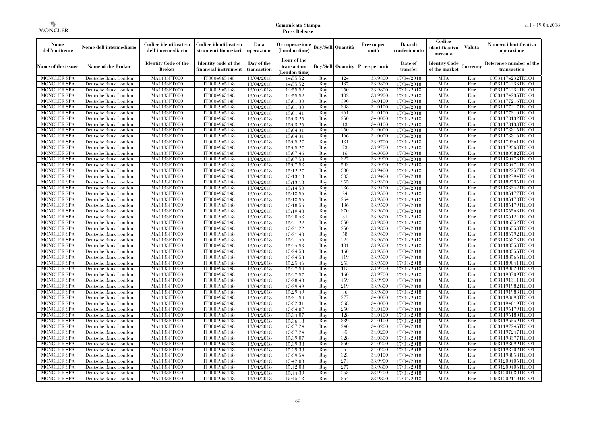| Nome<br>dell'emittente                   | Nome dell'intermediario                      | Codice identificativo<br>dell'intermediario  | Codice identificativo<br>strumenti finanziari | Data<br>operazione        | Ora operazione<br>(London time)             |            | <b>Buy/Sell Quantità</b> | Prezzo per<br>unità | Data di<br>trasferimento | Codice<br>identificativo<br>mercato   | Valuta     | Numero identificativo<br>operazione    |
|------------------------------------------|----------------------------------------------|----------------------------------------------|-----------------------------------------------|---------------------------|---------------------------------------------|------------|--------------------------|---------------------|--------------------------|---------------------------------------|------------|----------------------------------------|
| Name of the issuer                       | Name of the Broker                           | <b>Identity Code of the</b><br><b>Broker</b> | Identity code of the<br>financial instrument  | Day of the<br>transaction | Hour of the<br>transaction<br>(London time) |            | <b>Buy/Sell Quantity</b> | Price per unit      | Date of<br>transfer      | <b>Identity Code</b><br>of the market | Currencv   | Reference number of the<br>transaction |
| <b>MONCLER SPA</b>                       | Deutsche Bank London                         | MA1133FT000                                  | IT0004965148                                  | 13/04/2018                | 14:55:52                                    | Buy        | 124                      | 33,9800             | 17/04/2018               | <b>MTA</b>                            | Eur        | 00531174232TRLO1                       |
| <b>MONCLER SPA</b>                       | Deutsche Bank London                         | MA1133FT000                                  | IT0004965148                                  | 13/04/2018                | 14:55:52                                    | Buy        | 137                      | 33,9800             | 17/04/2018               | <b>MTA</b>                            | Eur        | 00531174233TRLO1                       |
| <b>MONCLER SPA</b>                       | Deutsche Bank London                         | MA1133FT000                                  | IT0004965148                                  | 13/04/2018                | 14:55:52                                    | Buv        | 250                      | 33,9800             | 17/04/2018               | <b>MTA</b>                            | Eur        | 00531174234TRLO1                       |
| <b>MONCLER SPA</b>                       | Deutsche Bank London                         | MA1133FT000                                  | IT0004965148                                  | 13/04/2018                | 14:55:52                                    | Buy        | 102                      | 33,9900             | 17/04/2018               | <b>MTA</b>                            | Eur        | 00531174235TRLO1                       |
| <b>MONCLER SPA</b>                       | Deutsche Bank London                         | MA1133FT000                                  | IT0004965148                                  | 13/04/2018                | 15:01:30                                    | Buy        | 390                      | 34,0100             | 17/04/2018               | <b>MTA</b>                            | Eur        | 00531177216TRLO1                       |
| <b>MONCLER SPA</b>                       | Deutsche Bank London                         | MA1133FT000<br>MA1133FT000                   | IT0004965148                                  | 13/04/2018                | 15:01:30                                    | Buy        | 308                      | 34,0100             | 17/04/2018               | <b>MTA</b><br><b>MTA</b>              | Eur        | 00531177217TRLO1                       |
| <b>MONCLER SPA</b><br><b>MONCLER SPA</b> | Deutsche Bank London<br>Deutsche Bank London | MA1133FT000                                  | IT0004965148<br>IT0004965148                  | 13/04/2018<br>13/04/2018  | 15:01:41<br>15:03:25                        | Buy<br>Buy | 461<br>250               | 34,0100<br>34,0000  | 17/04/2018<br>17/04/2018 | <b>MTA</b>                            | Eur<br>Eur | 00531177310TRLO1<br>00531178132TRLO1   |
| <b>MONCLER SPA</b>                       | Deutsche Bank London                         | MA1133FT000                                  | IT0004965148                                  | 13/04/2018                | 15:03:25                                    | Buv        | 13                       | 34,0100             | 17/04/2018               | <b>MTA</b>                            | Eur        | 00531178133TRLO1                       |
| <b>MONCLER SPA</b>                       | Deutsche Bank London                         | MA1133FT000                                  | IT0004965148                                  | 13/04/2018                | 15:04:31                                    | Buy        | 250                      | 34,0000             | 17/04/2018               | <b>MTA</b>                            | Eur        | 00531178815TRLO1                       |
| <b>MONCLER SPA</b>                       | Deutsche Bank London                         | MA1133FT000                                  | IT0004965148                                  | 13/04/2018                | 15:04:31                                    | Buy        | 166                      | 34,0000             | 17/04/2018               | <b>MTA</b>                            | Eur        | 00531178816TRLO1                       |
| <b>MONCLER SPA</b>                       | Deutsche Bank London                         | MA1133FT000                                  | IT0004965148                                  | 13/04/2018                | 15:05:27                                    | Buy        | 181                      | 33,9700             | 17/04/2018               | <b>MTA</b>                            | Eur        | 00531179361TRLO1                       |
| <b>MONCLER SPA</b>                       | Deutsche Bank London                         | MA1133FT000                                  | IT0004965148                                  | 13/04/2018                | 15:05:27                                    | Buy        | 73                       | 33,9700             | 17/04/2018               | <b>MTA</b>                            | Eur        | 00531179363TRLO1                       |
| <b>MONCLER SPA</b>                       | Deutsche Bank London                         | MA1133FT000                                  | IT0004965148                                  | 13/04/2018                | 15:07:46                                    | Buy        | 16                       | 34,0000             | 17/04/2018               | <b>MTA</b>                            | Eur        | 00531180382TRLO1                       |
| <b>MONCLER SPA</b>                       | Deutsche Bank London                         | MA1133FT000                                  | IT0004965148                                  | 13/04/2018                | 15:07:58                                    | Buy        | 327                      | 33,9900             | 17/04/2018               | <b>MTA</b>                            | Eur        | 00531180473TRLO1                       |
| <b>MONCLER SPA</b>                       | Deutsche Bank London                         | MA1133FT000                                  | IT0004965148                                  | 13/04/2018                | 15:07:58                                    | Buy        | 593                      | 33,9900             | 17/04/2018               | <b>MTA</b>                            | Eur        | 00531180474TRLO1                       |
| <b>MONCLER SPA</b>                       | Deutsche Bank London                         | MA1133FT000                                  | IT0004965148                                  | 13/04/2018                | 15:12:27                                    | Buy        | 380                      | 33,9400             | 17/04/2018               | <b>MTA</b>                            | Eur        | 00531182257TRLO1                       |
| <b>MONCLER SPA</b>                       | Deutsche Bank London                         | MA1133FT000                                  | IT0004965148                                  | 13/04/2018                | 15:13:18                                    | Buy        | 305                      | 33,9400             | 17/04/2018               | <b>MTA</b>                            | Eur        | 00531182794TRLO1                       |
| <b>MONCLER SPA</b>                       | Deutsche Bank London                         | MA1133FT000                                  | IT0004965148                                  | 13/04/2018                | 15:13:18                                    | Buy        | 255                      | 33,9300             | 17/04/2018               | <b>MTA</b>                            | Eur        | 00531182795TRLO1                       |
| <b>MONCLER SPA</b>                       | Deutsche Bank London                         | MA1133FT000                                  | IT0004965148                                  | 13/04/2018                | 15:14:50                                    | Buy        | 286                      | 33,9400             | 17/04/2018               | <b>MTA</b>                            | Eur        | 00531183342TRLO1                       |
| <b>MONCLER SPA</b>                       | Deutsche Bank London                         | MA1133FT000                                  | IT0004965148                                  | 13/04/2018                | 15:18:56                                    | Buy        | 24                       | 33,9500             | 17/04/2018               | <b>MTA</b>                            | Eur        | 00531185177TRLO1                       |
| <b>MONCLER SPA</b>                       | Deutsche Bank London                         | MA1133FT000                                  | IT0004965148                                  | 13/04/2018                | 15:18:56                                    | Buy        | 264                      | 33,9500             | 17/04/2018               | <b>MTA</b>                            | Eur        | 00531185178TRLO1                       |
| <b>MONCLER SPA</b>                       | Deutsche Bank London                         | MA1133FT000                                  | IT0004965148                                  | 13/04/2018                | 15:18:56                                    | Buy        | 136                      | 33,9500             | 17/04/2018               | <b>MTA</b>                            | Eur        | 00531185179TRLO1                       |
| <b>MONCLER SPA</b>                       | Deutsche Bank London                         | MA1133FT000                                  | IT0004965148                                  | 13/04/2018                | 15:19:48                                    | Buy        | 370                      | 33,9600             | 17/04/2018               | <b>MTA</b>                            | Eur        | 00531185563TRLO1                       |
| <b>MONCLER SPA</b>                       | Deutsche Bank London                         | MA1133FT000                                  | IT0004965148                                  | 13/04/2018                | 15:20:48                                    | Buy        | 81                       | 33,9800             | 17/04/2018               | <b>MTA</b>                            | Eur        | 00531186124TRLO1                       |
| <b>MONCLER SPA</b>                       | Deutsche Bank London                         | MA1133FT000                                  | IT0004965148                                  | 13/04/2018                | 15:21:22                                    | Buy        | 350                      | 33,9800             | 17/04/2018               | <b>MTA</b>                            | Eur        | 00531186552TRLO1                       |
| <b>MONCLER SPA</b>                       | Deutsche Bank London                         | MA1133FT000                                  | IT0004965148                                  | 13/04/2018                | 15:21:22                                    | Buy        | 250                      | 33,9800             | 17/04/2018               | <b>MTA</b>                            | Eur        | 00531186553TRLO1                       |
| <b>MONCLER SPA</b>                       | Deutsche Bank London                         | MA1133FT000                                  | IT0004965148                                  | 13/04/2018                | 15:21:40                                    | Buy        | 58                       | 33,9600             | 17/04/2018               | <b>MTA</b>                            | Eur        | 00531186792TRLO1                       |
| <b>MONCLER SPA</b>                       | Deutsche Bank London                         | MA1133FT000                                  | IT0004965148                                  | 13/04/2018                | 15:21:46                                    | Buy        | 224                      | 33,9600             | 17/04/2018               | <b>MTA</b>                            | Eur        | 00531186873TRLO1                       |
| <b>MONCLER SPA</b>                       | Deutsche Bank London                         | <b>MA1133FT000</b>                           | IT0004965148                                  | 13/04/2018                | 15:24:53                                    | Buy        | 101                      | 33,9500             | 17/04/2018               | <b>MTA</b>                            | Eur        | 00531188553TRLO1                       |
| <b>MONCLER SPA</b>                       | Deutsche Bank London                         | MA1133FT000                                  | IT0004965148                                  | 13/04/2018                | 15:24:53                                    | Buy        | 160                      | 33,9500             | 17/04/2018               | <b>MTA</b>                            | Eur        | 00531188555TRLO1                       |
| <b>MONCLER SPA</b>                       | Deutsche Bank London                         | MA1133FT000                                  | IT0004965148                                  | 13/04/2018                | 15:24:53                                    | Buv        | 419                      | 33,9500             | 17/04/2018               | <b>MTA</b>                            | Eur        | 00531188566TRLO1                       |
| <b>MONCLER SPA</b>                       | Deutsche Bank London                         | MA1133FT000                                  | IT0004965148                                  | 13/04/2018                | 15:25:46                                    | Buv        | 253                      | 33,9500             | 17/04/2018               | <b>MTA</b>                            | Eur        | 00531189041TRLO1                       |
| <b>MONCLER SPA</b>                       | Deutsche Bank London                         | MA1133FT000                                  | IT0004965148                                  | 13/04/2018                | 15:27:50                                    | Buy        | 115                      | 33,9700             | 17/04/2018               | <b>MTA</b>                            | Eur        | 00531190620TRLO1                       |
| <b>MONCLER SPA</b>                       | Deutsche Bank London                         | MA1133FT000                                  | IT0004965148                                  | 13/04/2018                | 15:27:57                                    | Buy        | 160                      | 33,9700             | 17/04/2018               | <b>MTA</b>                            | Eur        | 00531190709TRLO1                       |
| <b>MONCLER SPA</b>                       | Deutsche Bank London                         | MA1133FT000                                  | IT0004965148                                  | 13/04/2018                | 15:28:48                                    | Buy        | 459                      | 33,9900             | 17/04/2018               | <b>MTA</b>                            | Eur        | 00531191311TRLO1                       |
| <b>MONCLER SPA</b>                       | Deutsche Bank London                         | MA1133FT000                                  | IT0004965148                                  | 13/04/2018                | 15:29:49                                    | Buv        | 219                      | 33,9800             | 17/04/2018               | <b>MTA</b>                            | Eur        | 00531191982TRLO1                       |
| <b>MONCLER SPA</b>                       | Deutsche Bank London                         | MA1133FT000                                  | IT0004965148                                  | 13/04/2018                | 15:29:49                                    | Buy        | 36                       | 33,9800             | 17/04/2018               | <b>MTA</b>                            | Eur        | 00531191983TRLO1                       |
| <b>MONCLER SPA</b>                       | Deutsche Bank London                         | MA1133FT000                                  | IT0004965148                                  | 13/04/2018                | 15:31:50                                    | Buy        | 277                      | 34,0000             | 17/04/2018               | <b>MTA</b>                            | Eur        | 00531193698TRLO1                       |
| <b>MONCLER SPA</b>                       | Deutsche Bank London                         | MA1133FT000                                  | IT0004965148                                  | 13/04/2018                | 15:32:31                                    | Buy        | 368                      | 34,0000             | 17/04/2018               | <b>MTA</b>                            | Eur        | 00531194019TRLO1                       |
| MONCLER SPA                              | Deutsche Bank London                         | MA1133FT000<br>MA1133FT000                   | IT0004965148                                  | 13/04/2018                | 15:34:07                                    | Buy        | 250<br>128               | 34,0400<br>34.0400  | 17/04/2018               | <b>MTA</b><br><b>MTA</b>              | Eur<br>Eur | 00531195179TRLO1<br>00531195180TRLO1   |
| <b>MONCLER SPA</b><br><b>MONCLER SPA</b> | Deutsche Bank London                         | MA1133FT000                                  | IT0004965148<br>IT0004965148                  | 13/04/2018                | 15:34:07                                    | Buy<br>Buy | 339                      | 34,0100             | 17/04/2018               | <b>MTA</b>                            | Eur        | 00531196559TRLO1                       |
| <b>MONCLER SPA</b>                       | Deutsche Bank London                         | MA1133FT000                                  | IT0004965148                                  | 13/04/2018                | 15:36:18                                    | Buy        | 240                      | 34,0200             | 17/04/2018<br>17/04/2018 | <b>MTA</b>                            | Eur        | 00531197245TRLO1                       |
|                                          | Deutsche Bank London                         | MA1133FT000                                  |                                               | 13/04/2018                | 15:37:24                                    | Buy        | -85                      | 34,0200             |                          | <b>MTA</b>                            | Eur        |                                        |
| <b>MONCLER SPA</b><br><b>MONCLER SPA</b> | Deutsche Bank London<br>Deutsche Bank London | MA1133FT000                                  | IT0004965148<br>IT0004965148                  | 13/04/2018<br>13/04/2018  | 15:37:24<br>15:39:07                        | Buy        | 328                      | 34,0300             | 17/04/2018<br>17/04/2018 | <b>MTA</b>                            | Eur        | 00531197247TRLO1<br>00531198377TRLO1   |
| <b>MONCLER SPA</b>                       | Deutsche Bank London                         | MA1133FT000                                  | IT0004965148                                  | 13/04/2018                | 15:39:38                                    | Buy        | 360                      | 34,0200             | 17/04/2018               | <b>MTA</b>                            | Eur        | 00531198699TRLO1                       |
| <b>MONCLER SPA</b>                       | Deutsche Bank London                         | MA1133FT000                                  | IT0004965148                                  | 13/04/2018                | 15:39:38                                    | Buy        | -6                       | 34,0200             | 17/04/2018               | <b>MTA</b>                            | Eur        | 00531198702TRLO1                       |
| <b>MONCLER SPA</b>                       | Deutsche Bank London                         | MA1133FT000                                  | IT0004965148                                  | 13/04/2018                | 15:39:54                                    | Buy        | 323                      | 34,0100             | 17/04/2018               | <b>MTA</b>                            | Eur        | 00531198858TRLO1                       |
| <b>MONCLER SPA</b>                       | Deutsche Bank London                         | MA1133FT000                                  | IT0004965148                                  | 13/04/2018                | 15:42:08                                    | Buy        | 274                      | 33,9900             | 17/04/2018               | <b>MTA</b>                            | Eur        | 00531200405TRLO1                       |
| <b>MONCLER SPA</b>                       | Deutsche Bank London                         | MA1133FT000                                  | IT0004965148                                  | 13/04/2018                | 15:42:08                                    | Buy        | 277                      | 33,9800             | 17/04/2018               | <b>MTA</b>                            | Eur        | 00531200406TRLO1                       |
| <b>MONCLER SPA</b>                       | Deutsche Bank London                         | MA1133FT000                                  | IT0004965148                                  | 13/04/2018                | 15:44:39                                    | Buy        | 253                      | 33,9700             | 17/04/2018               | <b>MTA</b>                            | Eur        | 00531201680TRLO1                       |
| MONCLER SPA                              | Deutsche Bank London                         | MA1133FT000                                  | IT0004965148                                  | 13/04/2018                | 15:45:18                                    | Buy        | 364                      | 33,9800             | 17/04/2018               | <b>MTA</b>                            | Eur        | 00531202110TRLO1                       |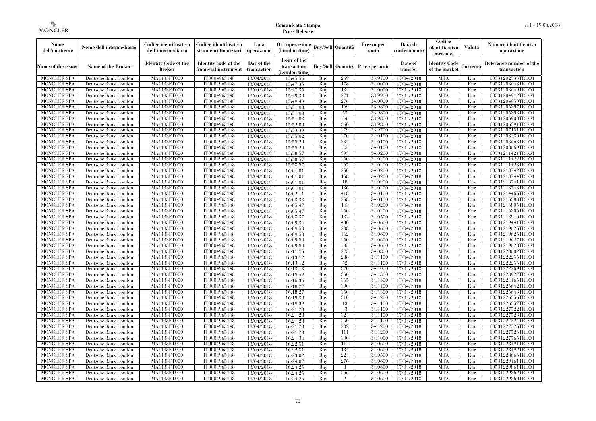| Nome<br>dell'emittente                   | Nome dell'intermediario                      | Codice identificativo<br>dell'intermediario  | Codice identificativo<br>strumenti finanziari | Data<br>operazione        | Ora operazione<br>(London time)             |            | Buv/Sell   Quantità      | Prezzo per<br>unità | Data di<br>trasferimento | Codice<br>identificativo<br>mercato   | <b>Valuta</b> | Numero identificativo<br>operazione    |
|------------------------------------------|----------------------------------------------|----------------------------------------------|-----------------------------------------------|---------------------------|---------------------------------------------|------------|--------------------------|---------------------|--------------------------|---------------------------------------|---------------|----------------------------------------|
| Name of the issuer                       | Name of the Broker                           | <b>Identity Code of the</b><br><b>Broker</b> | Identity code of the<br>financial instrument  | Day of the<br>transaction | Hour of the<br>transaction<br>(London time) |            | <b>Buy/Sell Quantity</b> | Price per unit      | Date of<br>transfer      | <b>Identity Code</b><br>of the market | Currencv      | Reference number of the<br>transaction |
| <b>MONCLER SPA</b>                       | Deutsche Bank London                         | MA1133FT000                                  | IT0004965148                                  | 13/04/2018                | 15:45:56                                    | Buy        | 269                      | 33,9700             | 17/04/2018               | <b>MTA</b>                            | Eur           | 00531202533TRLO1                       |
| <b>MONCLER SPA</b>                       | Deutsche Bank London                         | <b>MA1133FT000</b>                           | IT0004965148                                  | 13/04/2018                | 15:47:35                                    | Buy        | 178                      | 34,0000             | 17/04/2018               | <b>MTA</b>                            | Eur           | 00531203648TRLO1                       |
| <b>MONCLER SPA</b>                       | Deutsche Bank London                         | MA1133FT000                                  | IT0004965148                                  | 13/04/2018                | 15:47:35                                    | Buv        | 184                      | 34,0000             | 17/04/2018               | <b>MTA</b>                            | Eur           | 00531203649TRLO1                       |
| <b>MONCLER SPA</b>                       | Deutsche Bank London                         | MA1133FT000                                  | IT0004965148                                  | 13/04/2018                | 15:49:39                                    | Buy        | 271                      | 33,9900             | 17/04/2018               | <b>MTA</b>                            | Eur           | 00531204912TRLO1                       |
| <b>MONCLER SPA</b>                       | Deutsche Bank London                         | MA1133FT000                                  | IT0004965148                                  | 13/04/2018                | 15:49:43                                    | Buy        | 276                      | 34,0000             | 17/04/2018               | <b>MTA</b>                            | Eur           | 00531204950TRLO1                       |
| <b>MONCLER SPA</b><br><b>MONCLER SPA</b> | Deutsche Bank London<br>Deutsche Bank London | <b>MA1133FT000</b><br>MA1133FT000            | IT0004965148<br>IT0004965148                  | 13/04/2018                | 15:51:08                                    | Buy<br>Buy | 169<br>53                | 33,9800<br>33,9800  | 17/04/2018               | <b>MTA</b><br><b>MTA</b>              | Eur<br>Eur    | 00531205897TRLO1<br>00531205898TRLO1   |
| <b>MONCLER SPA</b>                       | Deutsche Bank London                         | MA1133FT000                                  | IT0004965148                                  | 13/04/2018<br>13/04/2018  | 15:51:08<br>15:51:08                        | Buy        | 54                       | 33,9800             | 17/04/2018<br>17/04/2018 | <b>MTA</b>                            | Eur           | 00531205900TRLO1                       |
| <b>MONCLER SPA</b>                       | Deutsche Bank London                         | MA1133FT000                                  | IT0004965148                                  | 13/04/2018                | 15:52:09                                    | Buy        | 360                      | 33,9800             | 17/04/2018               | <b>MTA</b>                            | Eur           | 00531206391TRLO1                       |
| <b>MONCLER SPA</b>                       | Deutsche Bank London                         | <b>MA1133FT000</b>                           | IT0004965148                                  | 13/04/2018                | 15:53:39                                    | Buy        | 279                      | 33,9700             | 17/04/2018               | <b>MTA</b>                            | Eur           | 00531207151TRLO1                       |
| <b>MONCLER SPA</b>                       | Deutsche Bank London                         | MA1133FT000                                  | IT0004965148                                  | 13/04/2018                | 15:55:02                                    | Buy        | 270                      | 34,0100             | 17/04/2018               | <b>MTA</b>                            | Eur           | 00531208280TRLO1                       |
| <b>MONCLER SPA</b>                       | Deutsche Bank London                         | MA1133FT000                                  | IT0004965148                                  | 13/04/2018                | 15:55:29                                    | Buy        | 334                      | 34,0100             | 17/04/2018               | <b>MTA</b>                            | Eur           | 00531208668TRLO1                       |
| <b>MONCLER SPA</b>                       | Deutsche Bank London                         | MA1133FT000                                  | IT0004965148                                  | 13/04/2018                | 15:55:29                                    | Buy        | 85                       | 34,0100             | 17/04/2018               | <b>MTA</b>                            | Eur           | 00531208669TRLO1                       |
| <b>MONCLER SPA</b>                       | Deutsche Bank London                         | MA1133FT000                                  | IT0004965148                                  | 13/04/2018                | 15:58:57                                    | Buy        | 393                      | 34,0200             | 17/04/2018               | <b>MTA</b>                            | Eur           | 00531211421TRLO1                       |
| <b>MONCLER SPA</b>                       | Deutsche Bank London                         | MA1133FT000                                  | IT0004965148                                  | 13/04/2018                | 15:58:57                                    | Buy        | 250                      | 34,0200             | 17/04/2018               | <b>MTA</b>                            | Eur           | 00531211422TRLO1                       |
| <b>MONCLER SPA</b>                       | Deutsche Bank London                         | MA1133FT000                                  | IT0004965148                                  | 13/04/2018                | 15:58:57                                    | Buy        | 267                      | 34,0200             | 17/04/2018               | <b>MTA</b>                            | Eur           | 00531211423TRLO1                       |
| <b>MONCLER SPA</b>                       | Deutsche Bank London                         | MA1133FT000                                  | IT0004965148                                  | 13/04/2018                | 16:01:01                                    | Buy        | 250                      | 34.0200             | 17/04/2018               | <b>MTA</b>                            | Eur           | 00531213742TRLO1                       |
| <b>MONCLER SPA</b>                       | Deutsche Bank London                         | MA1133FT000                                  | IT0004965148                                  | 13/04/2018                | 16:01:01                                    | Buy        | 158                      | 34,0200             | 17/04/2018               | <b>MTA</b>                            | Eur           | 00531213744TRLO1                       |
| <b>MONCLER SPA</b>                       | Deutsche Bank London                         | MA1133FT000                                  | IT0004965148                                  | 13/04/2018                | 16:01:01                                    | Buy        | 18                       | 34,0200             | 17/04/2018               | <b>MTA</b>                            | Eur           | 00531213741TRLO1                       |
| <b>MONCLER SPA</b>                       | Deutsche Bank London                         | MA1133FT000                                  | IT0004965148                                  | 13/04/2018                | 16:01:01                                    | Buy        | 136                      | 34,0200             | 17/04/2018               | <b>MTA</b>                            | Eur           | 00531213743TRLO1                       |
| <b>MONCLER SPA</b>                       | Deutsche Bank London                         | MA1133FT000                                  | IT0004965148                                  | 13/04/2018                | 16:02:11                                    | Buy        | 418                      | 34,0100             | 17/04/2018               | <b>MTA</b><br><b>MTA</b>              | Eur           | 00531214465TRLO1                       |
| <b>MONCLER SPA</b><br><b>MONCLER SPA</b> | Deutsche Bank London                         | MA1133FT000                                  | IT0004965148<br>IT0004965148                  | 13/04/2018                | 16:03:38<br>16:05:47                        | Buy<br>Buy | 258<br>143               | 34,0100<br>34,0200  | 17/04/2018<br>17/04/2018 | <b>MTA</b>                            | Eur<br>Eur    | 00531215383TRLO1<br>00531216805TRLO1   |
| <b>MONCLER SPA</b>                       | Deutsche Bank London<br>Deutsche Bank London | MA1133FT000<br>MA1133FT000                   | IT0004965148                                  | 13/04/2018<br>13/04/2018  | 16:05:47                                    | Buy        | 250                      | 34,0200             | 17/04/2018               | <b>MTA</b>                            | Eur           | 00531216806TRLO1                       |
| <b>MONCLER SPA</b>                       | Deutsche Bank London                         | MA1133FT000                                  | IT0004965148                                  | 13/04/2018                | 16:08:37                                    | Buy        | 182                      | 34,0500             | 17/04/2018               | <b>MTA</b>                            | Eur           | 00531218910TRLO1                       |
| <b>MONCLER SPA</b>                       | Deutsche Bank London                         | MA1133FT000                                  | IT0004965148                                  | 13/04/2018                | 16:09:34                                    | Buy        | 430                      | 34,0600             | 17/04/2018               | <b>MTA</b>                            | Eur           | 00531219441TRLO1                       |
| <b>MONCLER SPA</b>                       | Deutsche Bank London                         | MA1133FT000                                  | IT0004965148                                  | 13/04/2018                | 16:09:50                                    | Buy        | 208                      | 34,0600             | 17/04/2018               | <b>MTA</b>                            | Eur           | 00531219625TRLO1                       |
| <b>MONCLER SPA</b>                       | Deutsche Bank London                         | MA1133FT000                                  | IT0004965148                                  | 13/04/2018                | 16:09:50                                    | Buy        | 462                      | 34,0600             | 17/04/2018               | <b>MTA</b>                            | Eur           | 00531219626TRLO1                       |
| <b>MONCLER SPA</b>                       | Deutsche Bank London                         | MA1133FT000                                  | IT0004965148                                  | 13/04/2018                | 16:09:50                                    | Buy        | 250                      | 34,0600             | 17/04/2018               | <b>MTA</b>                            | Eur           | 00531219627TRLO1                       |
| <b>MONCLER SPA</b>                       | Deutsche Bank London                         | <b>MA1133FT000</b>                           | IT0004965148                                  | 13/04/2018                | 16:09:50                                    | Buy        | 60                       | 34,0600             | 17/04/2018               | <b>MTA</b>                            | Eur           | 00531219628TRLO1                       |
| MONCLER SPA                              | Deutsche Bank London                         | MA1133FT000                                  | IT0004965148                                  | 13/04/2018                | 16:11:15                                    | Buy        | 275                      | 34,0800             | 17/04/2018               | <b>MTA</b>                            | Eur           | 00531220602TRLO1                       |
| <b>MONCLER SPA</b>                       | Deutsche Bank London                         | MA1133FT000                                  | IT0004965148                                  | 13/04/2018                | 16:13:12                                    | Buy        | 288                      | 34,1100             | 17/04/2018               | <b>MTA</b>                            | Eur           | 00531222255TRLO1                       |
| <b>MONCLER SPA</b>                       | Deutsche Bank London                         | MA1133FT000                                  | IT0004965148                                  | 13/04/2018                | 16:13:12                                    | Buy        | 52                       | 34.1100             | 17/04/2018               | <b>MTA</b>                            | Eur           | 00531222256TRLO1                       |
| <b>MONCLER SPA</b>                       | Deutsche Bank London                         | <b>MA1133FT000</b>                           | IT0004965148                                  | 13/04/2018                | 16:13:13                                    | Buy        | 370                      | 34,1000             | 17/04/2018               | <b>MTA</b>                            | Eur           | 00531222269TRLO1                       |
| <b>MONCLER SPA</b>                       | Deutsche Bank London                         | MA1133FT000                                  | IT0004965148                                  | 13/04/2018                | 16:15:42                                    | Buy        | 350                      | 34,1300             | 17/04/2018               | <b>MTA</b>                            | Eur           | 00531223927TRLO1                       |
| <b>MONCLER SPA</b>                       | Deutsche Bank London                         | MA1133FT000                                  | IT0004965148                                  | 13/04/2018                | 16:16:36                                    | Buy        | 365                      | 34,1300             | 17/04/2018               | <b>MTA</b>                            | Eur           | 00531224465TRLO1                       |
| <b>MONCLER SPA</b>                       | Deutsche Bank London                         | MA1133FT000                                  | IT0004965148                                  | 13/04/2018                | 16:18:27                                    | Buv        | 390                      | 34,1400             | 17/04/2018               | <b>MTA</b>                            | Eur           | 00531225642TRLO1                       |
| <b>MONCLER SPA</b>                       | Deutsche Bank London                         | <b>MA1133FT000</b>                           | IT0004965148                                  | 13/04/2018                | 16:18:27                                    | Buy        | 350                      | 34,1300             | 17/04/2018               | <b>MTA</b>                            | Eur           | 00531225643TRLO1                       |
| <b>MONCLER SPA</b>                       | Deutsche Bank London                         | MA1133FT000                                  | IT0004965148                                  | 13/04/2018                | 16:19:39                                    | Buy        | 310                      | 34,1200             | 17/04/2018               | <b>MTA</b>                            | Eur           | 00531226356TRLO1                       |
| <b>MONCLER SPA</b><br><b>MONCLER SPA</b> | Deutsche Bank London                         | <b>MA1133FT000</b><br>MA1133FT000            | IT0004965148                                  | 13/04/2018                | 16:19:39                                    | Buy<br>Buy | 13<br>33                 | 34,1100<br>34,1100  | 17/04/2018<br>17/04/2018 | <b>MTA</b><br><b>MTA</b>              | Eur<br>Eur    | 00531226357TRLO1<br>00531227522TRLO1   |
| <b>MONCLER SPA</b>                       | Deutsche Bank London<br>Deutsche Bank London | MA1133FT000                                  | IT0004965148<br>IT0004965148                  | 13/04/2018<br>13/04/2018  | 16:21:28<br>16:21:28                        | Buy        | 324                      | 34,1100             | 17/04/2018               | <b>MTA</b>                            | Eur           | 00531227523TRLO1                       |
| <b>MONCLER SPA</b>                       | Deutsche Bank London                         | MA1133FT000                                  | IT0004965148                                  | 13/04/2018                | 16:21:28                                    | Buy        | 250                      | 34,1100             | 17/04/2018               | <b>MTA</b>                            | Eur           | 00531227524TRLO1                       |
| <b>MONCLER SPA</b>                       | Deutsche Bank London                         | MA1133FT000                                  | IT0004965148                                  | 13/04/2018                | 16:21:28                                    | Buy        | 202                      | 34,1200             | 17/04/2018               | <b>MTA</b>                            | Eur           | 00531227525TRLO1                       |
| <b>MONCLER SPA</b>                       | Deutsche Bank London                         | MA1133FT000                                  | IT0004965148                                  | 13/04/2018                | 16:21:28                                    | Buy        | 111                      | 34,1200             | 17/04/2018               | <b>MTA</b>                            | Eur           | 00531227526TRLO1                       |
| <b>MONCLER SPA</b>                       | Deutsche Bank London                         | MA1133FT000                                  | IT0004965148                                  | 13/04/2018                | 16:21:34                                    | Buy        | 300                      | 34,1000             | 17/04/2018               | <b>MTA</b>                            | Eur           | 00531227565TRLO1                       |
| <b>MONCLER SPA</b>                       | Deutsche Bank London                         | MA1133FT000                                  | IT0004965148                                  | 13/04/2018                | 16:22:51                                    | Buy        | 117                      | 34,0600             | 17/04/2018               | <b>MTA</b>                            | Eur           | 00531228491TRLO1                       |
| <b>MONCLER SPA</b>                       | Deutsche Bank London                         | MA1133FT000                                  | IT0004965148                                  | 13/04/2018                | 16:22:51                                    | Buy        | 134                      | 34,0600             | 17/04/2018               | <b>MTA</b>                            | Eur           | 00531228492TRLO1                       |
| <b>MONCLER SPA</b>                       | Deutsche Bank London                         | MA1133FT000                                  | IT0004965148                                  | 13/04/2018                | 16:23:02                                    | Buy        | 224                      | 34,0500             | 17/04/2018               | <b>MTA</b>                            | Eur           | 00531228666TRLO1                       |
| <b>MONCLER SPA</b>                       | Deutsche Bank London                         | MA1133FT000                                  | IT0004965148                                  | 13/04/2018                | 16:24:07                                    | Buy        | 276                      | 34,0600             | 17/04/2018               | <b>MTA</b>                            | Eur           | 00531229461TRLO1                       |
| <b>MONCLER SPA</b>                       | Deutsche Bank London                         | MA1133FT000                                  | IT0004965148                                  | 13/04/2018                | 16:24:25                                    | Buy        | 8                        | 34,0600             | 17/04/2018               | <b>MTA</b>                            | Eur           | 00531229861TRLO1                       |
| <b>MONCLER SPA</b>                       | Deutsche Bank London                         | <b>MA1133FT000</b>                           | IT0004965148                                  | 13/04/2018                | 16:24:25                                    | Buy        | 266                      | 34,0600             | 17/04/2018               | <b>MTA</b>                            | Eur           | 00531229862TRLO1                       |
| <b>MONCLER SPA</b>                       | Deutsche Bank London                         | MA1133FT000                                  | IT0004965148                                  | 13/04/2018                | 16:24:25                                    | Buy        | $\Omega$                 | 34,0600             | 17/04/2018               | <b>MTA</b>                            | Eur           | 00531229860TRLO1                       |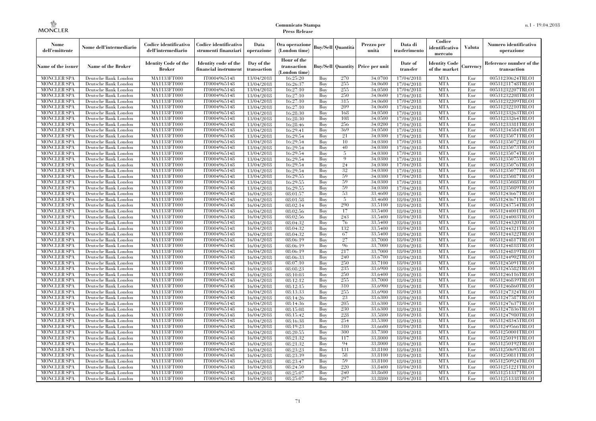| Nome<br>dell'emittente                   | Nome dell'intermediario                      | Codice identificativo<br>dell'intermediario  | Codice identificativo<br>strumenti finanziari | Data<br>operazione        | Ora operazione<br>(London time)           |            | Buy/Sell   Quantità      | Prezzo per<br>unità | Data di<br>trasferimento | Codice<br>identificativo<br>mercato   | <b>Valuta</b> | Numero identificativo<br>operazione    |
|------------------------------------------|----------------------------------------------|----------------------------------------------|-----------------------------------------------|---------------------------|-------------------------------------------|------------|--------------------------|---------------------|--------------------------|---------------------------------------|---------------|----------------------------------------|
| Name of the issuer                       | Name of the Broker                           | <b>Identity Code of the</b><br><b>Broker</b> | Identity code of the<br>financial instrument  | Day of the<br>transaction | Hour of the<br>transaction<br>London time |            | <b>Buy/Sell Quantity</b> | Price per unit      | Date of<br>transfer      | <b>Identity Code</b><br>of the market | Currencv      | Reference number of the<br>transaction |
| <b>MONCLER SPA</b>                       | Deutsche Bank London                         | MA1133FT000                                  | IT0004965148                                  | 13/04/2018                | 16:25:20                                  | Buv        | 270                      | 34,0700             | 17/04/2018               | <b>MTA</b>                            | Eur           | 00531230624TRLO1                       |
| <b>MONCLER SPA</b>                       | Deutsche Bank London                         | <b>MA1133FT000</b>                           | IT0004965148                                  | 13/04/2018                | 16:26:37                                  | Buy        | 255                      | 34,0600             | 17/04/2018               | <b>MTA</b>                            | Eur           | 00531231748TRLO1                       |
| <b>MONCLER SPA</b>                       | Deutsche Bank London                         | MA1133FT000                                  | IT0004965148                                  | 13/04/2018                | 16:27:10                                  | Buy        | 255                      | 34,0500             | 17/04/2018               | <b>MTA</b>                            | Eur           | 00531232207TRLO1                       |
| <b>MONCLER SPA</b>                       | Deutsche Bank London                         | MA1133FT000                                  | IT0004965148                                  | 13/04/2018                | 16:27:10                                  | Buv        | 250                      | 34,0600             | 17/04/2018               | <b>MTA</b>                            | Eur           | 00531232208TRLO1                       |
| <b>MONCLER SPA</b>                       | Deutsche Bank London                         | <b>MA1133FT000</b>                           | IT0004965148                                  | 13/04/2018                | 16:27:10                                  | Buv        | 315                      | 34.0600             | 17/04/2018               | <b>MTA</b>                            | Eur           | 00531232209TRLO1                       |
| <b>MONCLER SPA</b>                       | Deutsche Bank London                         | MA1133FT000                                  | IT0004965148                                  | 13/04/2018                | 16:27:10                                  | Buy        | 209                      | 34,0600             | 17/04/2018               | <b>MTA</b>                            | Eur           | 00531232210TRLO1                       |
| <b>MONCLER SPA</b>                       | Deutsche Bank London                         | <b>MA1133FT000</b><br>MA1133FT000            | IT0004965148<br>IT0004965148                  | 13/04/2018                | 16:28:30<br>16:28:30                      | Buy<br>Buy | 168<br>108               | 34,0500<br>34,0500  | 17/04/2018<br>17/04/2018 | <b>MTA</b><br><b>MTA</b>              | Eur<br>Eur    | 00531233263TRLO1<br>00531233264TRLO1   |
| <b>MONCLER SPA</b><br><b>MONCLER SPA</b> | Deutsche Bank London<br>Deutsche Bank London | MA1133FT000                                  | IT0004965148                                  | 13/04/2018<br>13/04/2018  | 16:28:46                                  | Buv        | 256                      | 34.0200             | 17/04/2018               | <b>MTA</b>                            | Eur           | 00531233381TRLO1                       |
| <b>MONCLER SPA</b>                       | Deutsche Bank London                         | MA1133FT000                                  | IT0004965148                                  | 13/04/2018                | 16:29:41                                  | Buv        | 369                      | 34,0500             | 17/04/2018               | <b>MTA</b>                            | Eur           | 00531234584TRLO1                       |
| <b>MONCLER SPA</b>                       | Deutsche Bank London                         | MA1133FT000                                  | IT0004965148                                  | 13/04/2018                | 16:29:54                                  | Buy        | 21                       | 34.0300             | 17/04/2018               | <b>MTA</b>                            | Eur           | 00531235071TRLO1                       |
| <b>MONCLER SPA</b>                       | Deutsche Bank London                         | MA1133FT000                                  | IT0004965148                                  | 13/04/2018                | 16:29:54                                  | Buv        | 10                       | 34,0300             | 17/04/2018               | <b>MTA</b>                            | Eur           | 00531235072TRLO1                       |
| <b>MONCLER SPA</b>                       | Deutsche Bank London                         | <b>MA1133FT000</b>                           | IT0004965148                                  | 13/04/2018                | 16:29:54                                  | Buy        | 40                       | 34,0300             | 17/04/2018               | <b>MTA</b>                            | Eur           | 00531235073TRLO1                       |
| MONCLER SPA                              | Deutsche Bank London                         | MA1133FT000                                  | IT0004965148                                  | 13/04/2018                | 16:29:54                                  | Buy        | 5                        | 34.0300             | 17/04/2018               | <b>MTA</b>                            | Eur           | 00531235074TRLO1                       |
| <b>MONCLER SPA</b>                       | Deutsche Bank London                         | MA1133FT000                                  | IT0004965148                                  | 13/04/2018                | 16:29:54                                  | Buv        | $\mathbf Q$              | 34.0300             | 17/04/2018               | <b>MTA</b>                            | Eur           | 00531235075TRLO1                       |
| <b>MONCLER SPA</b>                       | Deutsche Bank London                         | MA1133FT000                                  | IT0004965148                                  | 13/04/2018                | 16:29:54                                  | Buv        | 24                       | 34,0300             | 17/04/2018               | <b>MTA</b>                            | Eur           | 00531235076TRLO1                       |
| <b>MONCLER SPA</b>                       | Deutsche Bank London                         | <b>MA1133FT000</b>                           | IT0004965148                                  | 13/04/2018                | 16:29:54                                  | Buy        | 32                       | 34,0300             | 17/04/2018               | <b>MTA</b>                            | Eur           | 00531235077TRLO1                       |
| <b>MONCLER SPA</b>                       | Deutsche Bank London                         | <b>MA1133FT000</b>                           | IT0004965148                                  | 13/04/2018                | 16:29:55                                  | Buy        | 59                       | 34,0300             | 17/04/2018               | <b>MTA</b>                            | Eur           | 00531235087TRLO1                       |
| <b>MONCLER SPA</b>                       | Deutsche Bank London                         | MA1133FT000                                  | IT0004965148                                  | 13/04/2018                | 16:29:55                                  | Buy        | 59                       | 34,0300             | 17/04/2018               | <b>MTA</b>                            | Eur           | 00531235088TRLO1                       |
| <b>MONCLER SPA</b>                       | Deutsche Bank London                         | MA1133FT000                                  | IT0004965148                                  | 13/04/2018                | 16:29:55                                  | Buv        | 59                       | 34.0300             | 17/04/2018               | <b>MTA</b>                            | Eur           | 00531235089TRLO1                       |
| <b>MONCLER SPA</b>                       | Deutsche Bank London                         | MA1133FT000                                  | IT0004965148                                  | 16/04/2018                | 08:01:57                                  | Buy        | 53                       | 33,4600             | 18/04/2018               | <b>MTA</b>                            | Eur           | 00531243667TRLO1                       |
| <b>MONCLER SPA</b>                       | Deutsche Bank London                         | <b>MA1133FT000</b>                           | IT0004965148                                  | 16/04/2018                | 08:01:58                                  | Buy        | 5                        | 33,4600             | 18/04/2018               | <b>MTA</b>                            | Eur           | 00531243671TRLO1                       |
| <b>MONCLER SPA</b>                       | Deutsche Bank London                         | MA1133FT000                                  | IT0004965148                                  | 16/04/2018                | 08:02:14                                  | Buy        | 290                      | 33,5100             | 18/04/2018               | <b>MTA</b>                            | Eur           | 00531243754TRLO1                       |
| <b>MONCLER SPA</b>                       | Deutsche Bank London                         | MA1133FT000                                  | IT0004965148                                  | 16/04/2018                | 08:02:56                                  | Buy        | 17                       | 33,5400             | 18/04/2018               | <b>MTA</b>                            | Eur           | 00531244001TRLO1                       |
| <b>MONCLER SPA</b>                       | Deutsche Bank London                         | MA1133FT000                                  | IT0004965148                                  | 16/04/2018                | 08:02:56                                  | Buv        | 243                      | 33,5400             | 18/04/2018               | <b>MTA</b>                            | Eur           | 00531244003TRLO1                       |
| <b>MONCLER SPA</b>                       | Deutsche Bank London                         | MA1133FT000                                  | IT0004965148                                  | 16/04/2018                | 08:04:32                                  | Buy        | 76                       | 33,5400             | 18/04/2018               | <b>MTA</b>                            | Eur           | 00531244320TRLO1                       |
| <b>MONCLER SPA</b>                       | Deutsche Bank London                         | MA1133FT000                                  | IT0004965148                                  | 16/04/2018                | 08:04:32                                  | Buy        | 132                      | 33,5400             | 18/04/2018               | <b>MTA</b>                            | Eur           | 00531244321TRLO1                       |
| <b>MONCLER SPA</b>                       | Deutsche Bank London                         | MA1133FT000                                  | IT0004965148                                  | 16/04/2018                | 08:04:32                                  | Buy        | 67                       | 33,5400             | 18/04/2018               | <b>MTA</b>                            | Eur           | 00531244322TRLO1                       |
| <b>MONCLER SPA</b>                       | Deutsche Bank London                         | MA1133FT000                                  | IT0004965148                                  | 16/04/2018                | 08:06:19                                  | Buy        | 27                       | 33,7000             | 18/04/2018               | <b>MTA</b>                            | Eur           | 00531244817TRLO1                       |
| MONCLER SPA                              | Deutsche Bank London                         | MA1133FT000                                  | IT0004965148                                  | 16/04/2018                | 08:06:19                                  | Buy        | 96                       | 33,7000             | 18/04/2018               | <b>MTA</b>                            | Eur           | 00531244818TRLO1                       |
| <b>MONCLER SPA</b>                       | Deutsche Bank London                         | MA1133FT000                                  | IT0004965148                                  | 16/04/2018                | 08:06:19                                  | Buy        | 217                      | 33,7000             | 18/04/2018               | <b>MTA</b>                            | Eur           | 00531244819TRLO1                       |
| <b>MONCLER SPA</b>                       | Deutsche Bank London                         | MA1133FT000                                  | IT0004965148                                  | 16/04/2018                | 08:06:33                                  | Buy        | 240                      | 33,6700             | 18/04/2018               | <b>MTA</b>                            | Eur           | 00531244902TRLO1                       |
| <b>MONCLER SPA</b>                       | Deutsche Bank London                         | MA1133FT000                                  | IT0004965148                                  | 16/04/2018                | 08:07:10                                  | Buy        | 250                      | 33,7100             | 18/04/2018               | <b>MTA</b>                            | Eur           | 00531245091TRLO1                       |
| <b>MONCLER SPA</b>                       | Deutsche Bank London                         | <b>MA1133FT000</b>                           | IT0004965148                                  | 16/04/2018                | 08:08:23                                  | Buy        | 235                      | 33,6900             | 18/04/2018               | <b>MTA</b>                            | Eur           | 00531245582TRLO1                       |
| <b>MONCLER SPA</b>                       | Deutsche Bank London                         | MA1133FT000                                  | IT0004965148                                  | 16/04/2018                | 08:10:03                                  | Buy        | 250                      | 33,6400             | 18/04/2018               | <b>MTA</b>                            | Eur           | 00531246116TRLO1                       |
| <b>MONCLER SPA</b>                       | Deutsche Bank London                         | MA1133FT000                                  | IT0004965148                                  | 16/04/2018                | 08:12:12                                  | Buy        | 255                      | 33,7000             | 18/04/2018               | <b>MTA</b>                            | Eur           | 00531246839TRLO1                       |
| <b>MONCLER SPA</b>                       | Deutsche Bank London                         | MA1133FT000                                  | IT0004965148<br>IT0004965148                  | 16/04/2018                | 08:12:15                                  | Buy        | 310<br>255               | 33,6900<br>33,6900  | 18/04/2018               | <b>MTA</b><br><b>MTA</b>              | Eur           | 00531246860TRLO1                       |
| <b>MONCLER SPA</b><br><b>MONCLER SPA</b> | Deutsche Bank London                         | <b>MA1133FT000</b><br><b>MA1133FT000</b>     | IT0004965148                                  | 16/04/2018                | 08:13:33                                  | Buy<br>Buy | 23                       | 33,6300             | 18/04/2018               | <b>MTA</b>                            | Eur<br>Eur    | 00531247324TRLO1<br>00531247587TRLO1   |
| <b>MONCLER SPA</b>                       | Deutsche Bank London<br>Deutsche Bank London | MA1133FT000                                  | IT0004965148                                  | 16/04/2018<br>16/04/2018  | 08:14:26<br>08:14:36                      | Buy        | 205                      | 33,6300             | 18/04/2018<br>18/04/2018 | <b>MTA</b>                            | Eur           | 00531247637TRLO1                       |
| <b>MONCLER SPA</b>                       | Deutsche Bank London                         | MA1133FT000                                  | IT0004965148                                  | 16/04/2018                | 08:15:08                                  | Buv        | 230                      | 33.6300             | 18/04/2018               | <b>MTA</b>                            | Eur           | 00531247836TRLO1                       |
| <b>MONCLER SPA</b>                       | Deutsche Bank London                         | MA1133FT000                                  | IT0004965148                                  | 16/04/2018                | 08:15:42                                  | Buy        | 228                      | 33,5800             | 18/04/2018               | <b>MTA</b>                            | Eur           | 00531247980TRLO1                       |
| <b>MONCLER SPA</b>                       | Deutsche Bank London                         | MA1133FT000                                  | IT0004965148                                  | 16/04/2018                | 08:16:38                                  | Buy        | 254                      | 33,5300             | 18/04/2018               | <b>MTA</b>                            | Eur           | 00531248345TRLO1                       |
| <b>MONCLER SPA</b>                       | Deutsche Bank London                         | MA1133FT000                                  | IT0004965148                                  | 16/04/2018                | 08:19:23                                  | Buy        | 310                      | 33,6600             | 18/04/2018               | <b>MTA</b>                            | Eur           | 00531249566TRLO1                       |
| MONCLER SPA                              | Deutsche Bank London                         | MA1133FT000                                  | IT0004965148                                  | 16/04/2018                | 08:20:55                                  | Buy        | 300                      | 33,7300             | 18/04/2018               | <b>MTA</b>                            | Eur           | 00531250001TRLO1                       |
| <b>MONCLER SPA</b>                       | Deutsche Bank London                         | MA1133FT000                                  | IT0004965148                                  | 16/04/2018                | 08:21:32                                  | Buy        | 117                      | 33,8000             | 18/04/2018               | <b>MTA</b>                            | Eur           | 00531250191TRLO1                       |
| <b>MONCLER SPA</b>                       | Deutsche Bank London                         | MA1133FT000                                  | IT0004965148                                  | 16/04/2018                | 08:21:32                                  | Buy        | 94                       | 33,8000             | 18/04/2018               | <b>MTA</b>                            | Eur           | 00531250192TRLO1                       |
| <b>MONCLER SPA</b>                       | Deutsche Bank London                         | MA1133FT000                                  | IT0004965148                                  | 16/04/2018                | 08:23:23                                  | Buy        | 131                      | 33,8100             | 18/04/2018               | <b>MTA</b>                            | Eur           | 00531250695TRLO1                       |
| <b>MONCLER SPA</b>                       | Deutsche Bank London                         | MA1133FT000                                  | IT0004965148                                  | 16/04/2018                | 08:23:39                                  | Buy        | 58                       | 33,8100             | 18/04/2018               | <b>MTA</b>                            | Eur           | 00531250811TRLO1                       |
| <b>MONCLER SPA</b>                       | Deutsche Bank London                         | MA1133FT000                                  | IT0004965148                                  | 16/04/2018                | 08:23:47                                  | Buy        | 59                       | 33,8100             | 18/04/2018               | <b>MTA</b>                            | Eur           | 00531250924TRLO1                       |
| <b>MONCLER SPA</b>                       | Deutsche Bank London                         | MA1133FT000                                  | IT0004965148                                  | 16/04/2018                | 08:24:50                                  | Buy        | 220                      | 33,8400             | 18/04/2018               | <b>MTA</b>                            | Eur           | 00531251221TRLO1                       |
| <b>MONCLER SPA</b>                       | Deutsche Bank London                         | MA1133FT000                                  | IT0004965148                                  | 16/04/2018                | 08:25:07                                  | Buy        | 240                      | 33,8600             | 18/04/2018               | <b>MTA</b>                            | Eur           | 00531251337TRLO1                       |
| <b>MONCLER SPA</b>                       | Deutsche Bank London                         | MA1133FT000                                  | IT0004965148                                  | 16/04/2018                | 08:25:07                                  | Buy        | 297                      | 33,8800             | 18/04/2018               | <b>MTA</b>                            | Eur           | 00531251338TRLO1                       |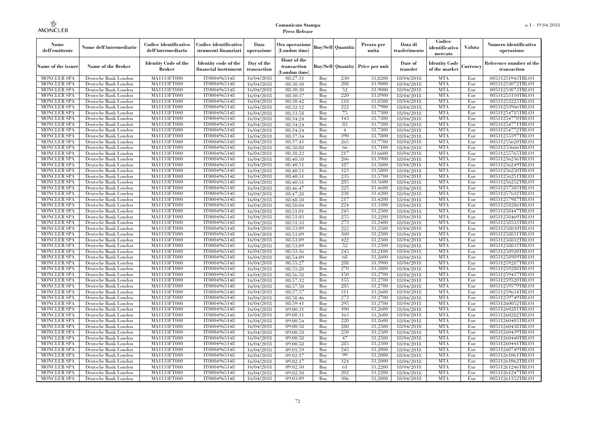| Nome<br>dell'emittente                   | Nome dell'intermediario                      | Codice identificativo<br>dell'intermediario  | Codice identificativo<br>strumenti finanziari | Data<br>operazione        | Ora operazione<br>(London time)             |            | <b>Buy/Sell Quantità</b> | Prezzo per<br>unità | Data di<br>trasferimento | Codice<br>identificativo<br>mercato   | Valuta     | Numero identificativo<br>operazione    |
|------------------------------------------|----------------------------------------------|----------------------------------------------|-----------------------------------------------|---------------------------|---------------------------------------------|------------|--------------------------|---------------------|--------------------------|---------------------------------------|------------|----------------------------------------|
| Name of the issuer                       | Name of the Broker                           | <b>Identity Code of the</b><br><b>Broker</b> | Identity code of the<br>financial instrument  | Day of the<br>transaction | Hour of the<br>transaction<br>(London time) |            | <b>Buy/Sell Quantity</b> | Price per unit      | Date of<br>transfer      | <b>Identity Code</b><br>of the market | Currencv   | Reference number of the<br>transaction |
| <b>MONCLER SPA</b>                       | Deutsche Bank London                         | MA1133FT000                                  | IT0004965148                                  | 16/04/2018                | 08:27:31                                    | Buy        | 230                      | 33,8200             | 18/04/2018               | <b>MTA</b>                            | Eur        | 00531251943TRLO1                       |
| <b>MONCLER SPA</b>                       | Deutsche Bank London                         | <b>MA1133FT000</b>                           | IT0004965148                                  | 16/04/2018                | 08:30:30                                    | Buy        | 208                      | 33,9000             | 18/04/2018               | <b>MTA</b>                            | Eur        | 00531253072TRLO1                       |
| <b>MONCLER SPA</b>                       | Deutsche Bank London                         | MA1133FT000                                  | IT0004965148                                  | 16/04/2018                | 08:30:30                                    | Buv        | 52<br>220                | 33,9000             | 18/04/2018               | <b>MTA</b>                            | Eur        | 00531253073TRLO1                       |
| <b>MONCLER SPA</b>                       | Deutsche Bank London                         | MA1133FT000<br>MA1133FT000                   | IT0004965148<br>IT0004965148                  | 16/04/2018                | 08:30:37                                    | Buy        | 218                      | 33,8900<br>33,8500  | 18/04/2018               | <b>MTA</b><br><b>MTA</b>              | Eur        | 00531253110TRLO1<br>00531253225TRLO1   |
| <b>MONCLER SPA</b><br><b>MONCLER SPA</b> | Deutsche Bank London<br>Deutsche Bank London | MA1133FT000                                  | IT0004965148                                  | 16/04/2018                | 08:30:42                                    | Buy<br>Buy | 222                      | 33,7900             | 18/04/2018<br>18/04/2018 | <b>MTA</b>                            | Eur<br>Eur | 00531253966TRLO1                       |
| <b>MONCLER SPA</b>                       | Deutsche Bank London                         | MA1133FT000                                  | IT0004965148                                  | 16/04/2018<br>16/04/2018  | 08:32:12<br>08:33:58                        | Buy        | 75                       | 33,7300             | 18/04/2018               | <b>MTA</b>                            | Eur        | 00531254715TRLO1                       |
| <b>MONCLER SPA</b>                       | Deutsche Bank London                         | MA1133FT000                                  | IT0004965148                                  | 16/04/2018                | 08:34:24                                    | Buv        | 143                      | 33,7300             | 18/04/2018               | <b>MTA</b>                            | Eur        | 00531254770TRLO1                       |
| <b>MONCLER SPA</b>                       | Deutsche Bank London                         | MA1133FT000                                  | IT0004965148                                  | 16/04/2018                | 08:34:24                                    | Buy        | -83                      | 33,7300             | 18/04/2018               | <b>MTA</b>                            | Eur        | 00531254771TRLO1                       |
| <b>MONCLER SPA</b>                       | Deutsche Bank London                         | MA1133FT000                                  | IT0004965148                                  | 16/04/2018                | 08:34:24                                    | Buy        | $\overline{4}$           | 33,7300             | 18/04/2018               | <b>MTA</b>                            | Eur        | 00531254772TRLO1                       |
| <b>MONCLER SPA</b>                       | Deutsche Bank London                         | MA1133FT000                                  | IT0004965148                                  | 16/04/2018                | 08:37:34                                    | Buy        | 390                      | 33,7800             | 18/04/2018               | <b>MTA</b>                            | Eur        | 00531255597TRLO1                       |
| <b>MONCLER SPA</b>                       | Deutsche Bank London                         | MA1133FT000                                  | IT0004965148                                  | 16/04/2018                | 08:37:41                                    | Buy        | 265                      | 33,7700             | 18/04/2018               | <b>MTA</b>                            | Eur        | 00531255620TRLO1                       |
| <b>MONCLER SPA</b>                       | Deutsche Bank London                         | MA1133FT000                                  | IT0004965148                                  | 16/04/2018                | 08:38:08                                    | Buy        | 66                       | 33,7100             | 18/04/2018               | <b>MTA</b>                            | Eur        | 00531255666TRLO1                       |
| <b>MONCLER SPA</b>                       | Deutsche Bank London                         | MA1133FT000                                  | IT0004965148                                  | 16/04/2018                | 08:38:22                                    | Buy        | 217                      | 33,6600             | 18/04/2018               | <b>MTA</b>                            | Eur        | 00531255765TRLO1                       |
| <b>MONCLER SPA</b>                       | Deutsche Bank London                         | MA1133FT000                                  | IT0004965148                                  | 16/04/2018                | 08:40:50                                    | Buy        | 266                      | 33,5900             | 18/04/2018               | <b>MTA</b>                            | Eur        | 00531256236TRLO1                       |
| <b>MONCLER SPA</b>                       | Deutsche Bank London                         | MA1133FT000                                  | IT0004965148                                  | 16/04/2018                | 08:40:51                                    | Buy        | 187                      | 33,5800             | 18/04/2018               | <b>MTA</b>                            | Eur        | 00531256249TRLO1                       |
| <b>MONCLER SPA</b>                       | Deutsche Bank London                         | MA1133FT000                                  | IT0004965148                                  | 16/04/2018                | 08:40:51                                    | Buy        | 123                      | 33,5800             | 18/04/2018               | <b>MTA</b>                            | Eur        | 00531256250TRLO1                       |
| <b>MONCLER SPA</b>                       | Deutsche Bank London                         | MA1133FT000                                  | IT0004965148                                  | 16/04/2018                | 08:40:51                                    | Buy        | 235                      | 33,5700             | 18/04/2018               | <b>MTA</b>                            | Eur        | 00531256251TRLO1                       |
| <b>MONCLER SPA</b>                       | Deutsche Bank London                         | MA1133FT000                                  | IT0004965148                                  | 16/04/2018                | 08:40:51                                    | Buy        | 285                      | 33,5600             | 18/04/2018               | <b>MTA</b>                            | Eur        | 00531256252TRLO1                       |
| <b>MONCLER SPA</b>                       | Deutsche Bank London                         | MA1133FT000                                  | IT0004965148                                  | 16/04/2018                | 08:46:47                                    | Buy        | 225                      | 33,4600             | 18/04/2018               | <b>MTA</b>                            | Eur        | 00531257505TRLO1                       |
| <b>MONCLER SPA</b>                       | Deutsche Bank London                         | MA1133FT000                                  | IT0004965148                                  | 16/04/2018                | 08:47:28                                    | Buy        | 238                      | 33,4200             | 18/04/2018               | <b>MTA</b>                            | Eur        | 00531257632TRLO1                       |
| <b>MONCLER SPA</b>                       | Deutsche Bank London                         | MA1133FT000                                  | IT0004965148                                  | 16/04/2018                | 08:48:50                                    | Buy        | 217                      | 33,4200             | 18/04/2018               | <b>MTA</b>                            | Eur        | 00531257987TRLO1                       |
| <b>MONCLER SPA</b>                       | Deutsche Bank London                         | MA1133FT000                                  | IT0004965148                                  | 16/04/2018                | 08:50:04                                    | Buy        | 224                      | 33,3300             | 18/04/2018               | <b>MTA</b>                            | Eur        | 00531258286TRLO1                       |
| <b>MONCLER SPA</b>                       | Deutsche Bank London                         | MA1133FT000                                  | IT0004965148                                  | 16/04/2018                | 08:51:01                                    | Buy        | 245                      | 33,2500             | 18/04/2018               | <b>MTA</b>                            | Eur        | 00531258447TRLO1                       |
| <b>MONCLER SPA</b>                       | Deutsche Bank London                         | MA1133FT000                                  | IT0004965148                                  | 16/04/2018                | 08:51:03                                    | Buy        | 255                      | 33,2200             | 18/04/2018               | <b>MTA</b>                            | Eur        | 00531258469TRLO1                       |
| <b>MONCLER SPA</b>                       | Deutsche Bank London                         | MA1133FT000                                  | IT0004965148                                  | 16/04/2018                | 08:51:33                                    | Buy        | 273                      | 33,2400             | 18/04/2018               | <b>MTA</b>                            | Eur        | 00531258533TRLO1                       |
| <b>MONCLER SPA</b>                       | Deutsche Bank London                         | MA1133FT000                                  | IT0004965148                                  | 16/04/2018                | 08:53:09                                    | Buy        | 222<br>360               | 33,2500             | 18/04/2018               | <b>MTA</b><br><b>MTA</b>              | Eur        | 00531258830TRLO1                       |
| <b>MONCLER SPA</b><br><b>MONCLER SPA</b> | Deutsche Bank London<br>Deutsche Bank London | MA1133FT000<br>MA1133FT000                   | IT0004965148<br>IT0004965148                  | 16/04/2018<br>16/04/2018  | 08:53:09                                    | Buy<br>Buy | 422                      | 33,2500<br>33,2500  | 18/04/2018<br>18/04/2018 | <b>MTA</b>                            | Eur<br>Eur | 00531258831TRLO1<br>00531258832TRLO1   |
| <b>MONCLER SPA</b>                       | Deutsche Bank London                         | <b>MA1133FT000</b>                           | IT0004965148                                  | 16/04/2018                | 08:53:09<br>08:53:09                        | Buy        | -52                      | 33,2500             | 18/04/2018               | <b>MTA</b>                            | Eur        | 00531258833TRLO1                       |
| MONCLER SPA                              | Deutsche Bank London                         | MA1133FT000                                  | IT0004965148                                  | 16/04/2018                | 08:53:36                                    | Buy        | 245                      | 33,2100             | 18/04/2018               | <b>MTA</b>                            | Eur        | 00531258920TRLO1                       |
| <b>MONCLER SPA</b>                       | Deutsche Bank London                         | MA1133FT000                                  | IT0004965148                                  | 16/04/2018                | 08:54:09                                    | Buv        | 68                       | 33,2600             | 18/04/2018               | <b>MTA</b>                            | Eur        | 00531258989TRLO1                       |
| <b>MONCLER SPA</b>                       | Deutsche Bank London                         | MA1133FT000                                  | IT0004965148                                  | 16/04/2018                | 08:55:27                                    | Buv        | 288                      | 33.3900             | 18/04/2018               | <b>MTA</b>                            | Eur        | 00531259287TRLO1                       |
| <b>MONCLER SPA</b>                       | Deutsche Bank London                         | MA1133FT000                                  | IT0004965148                                  | 16/04/2018                | 08:55:28                                    | Buy        | 270                      | 33,3800             | 18/04/2018               | <b>MTA</b>                            | Eur        | 00531259288TRLO1                       |
| <b>MONCLER SPA</b>                       | Deutsche Bank London                         | MA1133FT000                                  | IT0004965148                                  | 16/04/2018                | 08:56:58                                    | Buy        | 150                      | 33,2700             | 18/04/2018               | <b>MTA</b>                            | Eur        | 00531259437TRLO1                       |
| <b>MONCLER SPA</b>                       | Deutsche Bank London                         | MA1133FT000                                  | IT0004965148                                  | 16/04/2018                | 08:57:32                                    | Buy        | 155                      | 33,2700             | 18/04/2018               | <b>MTA</b>                            | Eur        | 00531259520TRLO1                       |
| <b>MONCLER SPA</b>                       | Deutsche Bank London                         | MA1133FT000                                  | IT0004965148                                  | 16/04/2018                | 08:57:50                                    | Buv        | 285                      | 33,2700             | 18/04/2018               | <b>MTA</b>                            | Eur        | 00531259579TRLO1                       |
| <b>MONCLER SPA</b>                       | Deutsche Bank London                         | MA1133FT000                                  | IT0004965148                                  | 16/04/2018                | 08:57:57                                    | Buy        | 311                      | 33,2600             | 18/04/2018               | <b>MTA</b>                            | Eur        | 00531259634TRLO1                       |
| <b>MONCLER SPA</b>                       | Deutsche Bank London                         | MA1133FT000                                  | IT0004965148                                  | 16/04/2018                | 08:58:46                                    | Buy        | 273                      | 33,2700             | 18/04/2018               | <b>MTA</b>                            | Eur        | 00531259749TRLO1                       |
| <b>MONCLER SPA</b>                       | Deutsche Bank London                         | MA1133FT000                                  | IT0004965148                                  | 16/04/2018                | 08:59:41                                    | Buy        | 295                      | 33,2700             | 18/04/2018               | <b>MTA</b>                            | Eur        | 00531260052TRLO1                       |
| MONCLER SPA                              | Deutsche Bank London                         | MA1133FT000                                  | IT0004965148                                  | 16/04/2018                | 09:00:31                                    | Buy        | 100                      | 33,2600             | 18/04/2018               | <b>MTA</b>                            | Eur        | 00531260281TRLO1                       |
| <b>MONCLER SPA</b>                       | Deutsche Bank London                         | MA1133FT000                                  | IT0004965148                                  | 16/04/2018                | 09:00:31                                    | Buy        | 163                      | 33,2600             | 18/04/2018               | <b>MTA</b>                            | Eur        | 00531260282TRLO1                       |
| <b>MONCLER SPA</b>                       | Deutsche Bank London                         | MA1133FT000                                  | IT0004965148                                  | 16/04/2018                | 09:00:54                                    | Buy        | 220                      | 33,2600             | 18/04/2018               | <b>MTA</b>                            | Eur        | 00531260405TRLO1                       |
| <b>MONCLER SPA</b>                       | Deutsche Bank London                         | MA1133FT000                                  | IT0004965148                                  | 16/04/2018                | 09:00:58                                    | Buy        | 280                      | 33,2500             | 18/04/2018               | <b>MTA</b>                            | Eur        | 00531260438TRLO1                       |
| <b>MONCLER SPA</b>                       | Deutsche Bank London                         | MA1133FT000                                  | IT0004965148                                  | 16/04/2018                | 09:00:58                                    | Buy        | 250                      | 33,2500             | 18/04/2018               | <b>MTA</b>                            | Eur        | 00531260439TRLO1                       |
| <b>MONCLER SPA</b>                       | Deutsche Bank London                         | MA1133FT000                                  | IT0004965148                                  | 16/04/2018                | 09:00:58                                    | Buy        | 47                       | 33,2500             | 18/04/2018               | <b>MTA</b>                            | Eur        | 00531260440TRLO1                       |
| <b>MONCLER SPA</b>                       | Deutsche Bank London                         | MA1133FT000                                  | IT0004965148                                  | 16/04/2018                | 09:00:58                                    | Buy        | 285                      | 33,2300             | 18/04/2018               | <b>MTA</b>                            | Eur        | 00531260441TRLO1                       |
| <b>MONCLER SPA</b>                       | Deutsche Bank London                         | MA1133FT000                                  | IT0004965148                                  | 16/04/2018                | 09:01:59                                    | Buy        | 245                      | 33,2000             | 18/04/2018               | <b>MTA</b>                            | Eur        | 00531260749TRLO1                       |
| <b>MONCLER SPA</b>                       | Deutsche Bank London                         | MA1133FT000                                  | IT0004965148                                  | 16/04/2018                | 09:02:17                                    | Buy        | -99                      | 33,2000             | 18/04/2018               | <b>MTA</b>                            | Eur        | 00531261061TRLO1                       |
| <b>MONCLER SPA</b>                       | Deutsche Bank London                         | MA1133FT000                                  | IT0004965148                                  | 16/04/2018                | 09:02:17                                    | Buy        | 124                      | 33,2000             | 18/04/2018               | <b>MTA</b>                            | Eur        | 00531261062TRLO1                       |
| <b>MONCLER SPA</b>                       | Deutsche Bank London                         | MA1133FT000<br>MA1133FT000                   | IT0004965148<br>IT0004965148                  | 16/04/2018                | 09:02:50                                    | Buy        | 61<br>202                | 33,2200<br>33,2200  | 18/04/2018               | <b>MTA</b><br><b>MTA</b>              | Eur<br>Eur | 00531261246TRLO1<br>00531261247TRLO1   |
| <b>MONCLER SPA</b><br>MONCLER SPA        | Deutsche Bank London<br>Deutsche Bank London | MA1133FT000                                  | IT0004965148                                  | 16/04/2018                | 09:02:50<br>09:03:09                        | Buy<br>Buy | 306                      | 33,2000             | 18/04/2018               | <b>MTA</b>                            | Eur        | 00531261352TRLO1                       |
|                                          |                                              |                                              |                                               | 16/04/2018                |                                             |            |                          |                     | 18/04/2018               |                                       |            |                                        |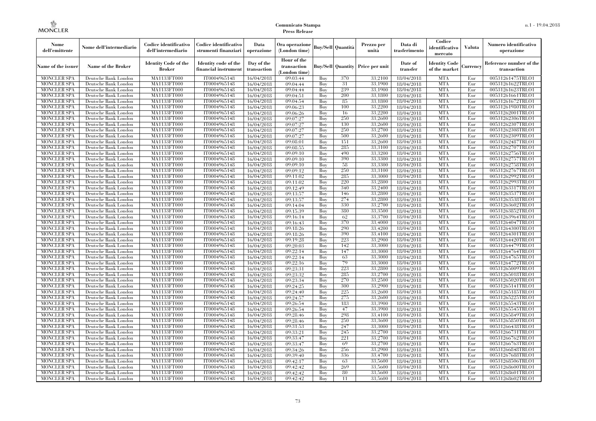| Nome<br>dell'emittente                   | Nome dell'intermediario                      | Codice identificativo<br>dell'intermediario  | Codice identificativo<br>strumenti finanziari | Data<br>operazione        | Ora operazione<br>(London time)             |            | Buy/Sell   Quantità | Prezzo per<br>unità                     | Data di<br>trasferimento | Codice<br>identificativo<br>mercato   | <b>Valuta</b> | Numero identificativo<br>operazione    |
|------------------------------------------|----------------------------------------------|----------------------------------------------|-----------------------------------------------|---------------------------|---------------------------------------------|------------|---------------------|-----------------------------------------|--------------------------|---------------------------------------|---------------|----------------------------------------|
| Name of the issuer                       | <b>Name of the Broker</b>                    | <b>Identity Code of the</b><br><b>Broker</b> | Identity code of the<br>financial instrument  | Day of the<br>transaction | Hour of the<br>transaction<br>(London time) |            |                     | <b>Buy/Sell Quantity Price per unit</b> | Date of<br>transfer      | <b>Identity Code</b><br>of the market | Currencv      | Reference number of the<br>transaction |
| <b>MONCLER SPA</b>                       | Deutsche Bank London                         | MA1133FT000                                  | IT0004965148                                  | 16/04/2018                | 09:03:44                                    | Buy        | 370                 | 33,2100                                 | 18/04/2018               | <b>MTA</b>                            | Eur           | 00531261475TRLO1                       |
| <b>MONCLER SPA</b>                       | Deutsche Bank London                         | MA1133FT000                                  | IT0004965148                                  | 16/04/2018                | 09:04:44                                    | Buy        | 31                  | 33,1900                                 | 18/04/2018               | <b>MTA</b>                            | Eur           | 00531261622TRLO1                       |
| <b>MONCLER SPA</b>                       | Deutsche Bank London                         | <b>MA1133FT000</b>                           | IT0004965148                                  | 16/04/2018                | 09:04:44                                    | Buy        | 239                 | 33,1900                                 | 18/04/2018               | <b>MTA</b>                            | Eur           | 00531261623TRLO1                       |
| <b>MONCLER SPA</b>                       | Deutsche Bank London                         | MA1133FT000                                  | IT0004965148                                  | 16/04/2018                | 09:04:51                                    | Buy<br>Buy | 200<br>85           | 33.1800<br>33,1800                      | 18/04/2018               | <b>MTA</b><br><b>MTA</b>              | Eur<br>Eur    | 00531261661TRLO1                       |
| <b>MONCLER SPA</b><br><b>MONCLER SPA</b> | Deutsche Bank London<br>Deutsche Bank London | MA1133FT000<br><b>MA1133FT000</b>            | IT0004965148<br>IT0004965148                  | 16/04/2018<br>16/04/2018  | 09:04:54<br>09:06:23                        | Buy        | 100                 | 33,2200                                 | 18/04/2018<br>18/04/2018 | <b>MTA</b>                            | Eur           | 00531261672TRLO1<br>00531261980TRLO1   |
| <b>MONCLER SPA</b>                       | Deutsche Bank London                         | <b>MA1133FT000</b>                           | IT0004965148                                  | 16/04/2018                | 09:06:26                                    | Buy        | 16                  | 33,2200                                 | 18/04/2018               | <b>MTA</b>                            | Eur           | 00531262001TRLO1                       |
| <b>MONCLER SPA</b>                       | Deutsche Bank London                         | MA1133FT000                                  | IT0004965148                                  | 16/04/2018                | 09:07:27                                    | Buy        | 250                 | 33.2600                                 | 18/04/2018               | <b>MTA</b>                            | Eur           | 00531262306TRLO1                       |
| <b>MONCLER SPA</b>                       | Deutsche Bank London                         | MA1133FT000                                  | IT0004965148                                  | 16/04/2018                | 09:07:27                                    | Buy        | 130                 | 33,2600                                 | 18/04/2018               | <b>MTA</b>                            | Eur           | 00531262307TRLO1                       |
| <b>MONCLER SPA</b>                       | Deutsche Bank London                         | <b>MA1133FT000</b>                           | IT0004965148                                  | 16/04/2018                | 09:07:27                                    | Buy        | 250                 | 33,2700                                 | 18/04/2018               | <b>MTA</b>                            | Eur           | 00531262308TRLO1                       |
| <b>MONCLER SPA</b>                       | Deutsche Bank London                         | <b>MA1133FT000</b>                           | IT0004965148                                  | 16/04/2018                | 09:07:27                                    | Buy        | 500                 | 33,2600                                 | 18/04/2018               | <b>MTA</b>                            | Eur           | 00531262309TRLO1                       |
| <b>MONCLER SPA</b>                       | Deutsche Bank London                         | <b>MA1133FT000</b>                           | IT0004965148                                  | 16/04/2018                | 09:08:01                                    | Buy        | 151                 | 33,2600                                 | 18/04/2018               | <b>MTA</b>                            | Eur           | 00531262487TRLO1                       |
| <b>MONCLER SPA</b>                       | Deutsche Bank London                         | MA1133FT000                                  | IT0004965148                                  | 16/04/2018                | 09:08:55                                    | Buy        | 285                 | 33,3100                                 | 18/04/2018               | <b>MTA</b>                            | Eur           | 00531262707TRLO1                       |
| <b>MONCLER SPA</b>                       | Deutsche Bank London                         | <b>MA1133FT000</b>                           | IT0004965148                                  | 16/04/2018                | 09:09:10                                    | Buy        | 490                 | 33,3200                                 | 18/04/2018               | <b>MTA</b>                            | Eur           | 00531262756TRLO1                       |
| <b>MONCLER SPA</b>                       | Deutsche Bank London                         | <b>MA1133FT000</b>                           | IT0004965148                                  | 16/04/2018                | 09:09:10                                    | Buy        | 390                 | 33,3300                                 | 18/04/2018               | <b>MTA</b>                            | Eur           | 00531262757TRLO1                       |
| <b>MONCLER SPA</b>                       | Deutsche Bank London                         | <b>MA1133FT000</b>                           | IT0004965148                                  | 16/04/2018                | 09:09:10                                    | Buy        | 58                  | 33,3300                                 | 18/04/2018               | <b>MTA</b>                            | Eur           | 00531262758TRLO1                       |
| <b>MONCLER SPA</b>                       | Deutsche Bank London                         | MA1133FT000                                  | IT0004965148                                  | 16/04/2018                | 09:09:12                                    | Buy        | 250                 | 33,3100                                 | 18/04/2018               | <b>MTA</b>                            | Eur           | 00531262767TRLO1                       |
| <b>MONCLER SPA</b>                       | Deutsche Bank London                         | MA1133FT000                                  | IT0004965148                                  | 16/04/2018                | 09:11:02                                    | Buy        | 285                 | 33,3000                                 | 18/04/2018               | <b>MTA</b>                            | Eur           | 00531262992TRLO1                       |
| MONCLER SPA                              | Deutsche Bank London                         | <b>MA1133FT000</b>                           | IT0004965148                                  | 16/04/2018                | 09:11:02                                    | Buy        | 220                 | 33,2800                                 | 18/04/2018               | <b>MTA</b>                            | Eur           | 00531262993TRLO1                       |
| <b>MONCLER SPA</b>                       | Deutsche Bank London                         | MA1133FT000                                  | IT0004965148                                  | 16/04/2018                | 09:12:49                                    | Buy        | 340                 | 33,2400                                 | 18/04/2018               | <b>MTA</b>                            | Eur           | 00531263317TRLO1                       |
| <b>MONCLER SPA</b>                       | Deutsche Bank London                         | MA1133FT000                                  | IT0004965148                                  | 16/04/2018                | 09:13:57                                    | Buy        | 146                 | 33,2800                                 | 18/04/2018               | <b>MTA</b>                            | Eur           | 00531263537TRLO1                       |
| MONCLER SPA                              | Deutsche Bank London                         | MA1133FT000                                  | IT0004965148                                  | 16/04/2018                | 09:13:57                                    | Buy        | 274                 | 33,2800                                 | 18/04/2018               | <b>MTA</b>                            | Eur           | 00531263538TRLO1                       |
| <b>MONCLER SPA</b>                       | Deutsche Bank London                         | <b>MA1133FT000</b><br>MA1133FT000            | IT0004965148                                  | 16/04/2018                | 09:14:04                                    | Buy        | 330<br>380          | 33,2700                                 | 18/04/2018               | MTA                                   | Eur           | 00531263602TRLO1                       |
| <b>MONCLER SPA</b><br><b>MONCLER SPA</b> | Deutsche Bank London<br>Deutsche Bank London | MA1133FT000                                  | IT0004965148<br>IT0004965148                  | 16/04/2018<br>16/04/2018  | 09:15:39<br>09:16:14                        | Buy<br>Buy | 62                  | 33,3500<br>33,3700                      | 18/04/2018<br>18/04/2018 | <b>MTA</b><br><b>MTA</b>              | Eur<br>Eur    | 00531263852TRLO1<br>00531263964TRLO1   |
| <b>MONCLER SPA</b>                       | Deutsche Bank London                         | <b>MA1133FT000</b>                           | IT0004965148                                  | 16/04/2018                | 09:16:43                                    | Buy        | 370                 | 33,4000                                 | 18/04/2018               | <b>MTA</b>                            | Eur           | 00531264047TRLO1                       |
| <b>MONCLER SPA</b>                       | Deutsche Bank London                         | <b>MA1133FT000</b>                           | IT0004965148                                  | 16/04/2018                | 09:18:26                                    | Buy        | 290                 | 33,4200                                 | 18/04/2018               | MTA                                   | Eur           | 00531264300TRLO1                       |
| <b>MONCLER SPA</b>                       | Deutsche Bank London                         | MA1133FT000                                  | IT0004965148                                  | 16/04/2018                | 09:18:26                                    | Buy        | 390                 | 33,4100                                 | 18/04/2018               | <b>MTA</b>                            | Eur           | 00531264301TRLO1                       |
| <b>MONCLER SPA</b>                       | Deutsche Bank London                         | MA1133FT000                                  | IT0004965148                                  | 16/04/2018                | 09:19:28                                    | Buy        | 223                 | 33,2900                                 | 18/04/2018               | <b>MTA</b>                            | Eur           | 00531264420TRLO1                       |
| <b>MONCLER SPA</b>                       | Deutsche Bank London                         | <b>MA1133FT000</b>                           | IT0004965148                                  | 16/04/2018                | 09:20:03                                    | Buy        | 142                 | 33,3000                                 | 18/04/2018               | <b>MTA</b>                            | Eur           | 00531264479TRLO1                       |
| MONCLER SPA                              | Deutsche Bank London                         | <b>MA1133FT000</b>                           | IT0004965148                                  | 16/04/2018                | 09:22:14                                    | Buy        | 147                 | 33,3000                                 | 18/04/2018               | <b>MTA</b>                            | Eur           | 00531264764TRLO1                       |
| <b>MONCLER SPA</b>                       | Deutsche Bank London                         | MA1133FT000                                  | IT0004965148                                  | 16/04/2018                | 09:22:14                                    | Buy        | 63                  | 33,3000                                 | 18/04/2018               | <b>MTA</b>                            | Eur           | 00531264765TRLO1                       |
| <b>MONCLER SPA</b>                       | Deutsche Bank London                         | MA1133FT000                                  | IT0004965148                                  | 16/04/2018                | 09:22:16                                    | Buy        | 79                  | 33,3000                                 | 18/04/2018               | <b>MTA</b>                            | Eur           | 00531264772TRLO1                       |
| <b>MONCLER SPA</b>                       | Deutsche Bank London                         | <b>MA1133FT000</b>                           | IT0004965148                                  | 16/04/2018                | 09:23:31                                    | Buy        | 223                 | 33,2800                                 | 18/04/2018               | MTA                                   | Eur           | 00531265009TRLO1                       |
| <b>MONCLER SPA</b>                       | Deutsche Bank London                         | <b>MA1133FT000</b>                           | IT0004965148                                  | 16/04/2018                | 09:23:32                                    | Buy        | 285                 | 33,2700                                 | 18/04/2018               | <b>MTA</b>                            | Eur           | 00531265018TRLO1                       |
| <b>MONCLER SPA</b>                       | Deutsche Bank London                         | MA1133FT000                                  | IT0004965148                                  | 16/04/2018                | 09:23:34                                    | Buy        | 270                 | 33,2500                                 | 18/04/2018               | <b>MTA</b>                            | Eur           | 00531265020TRLO1                       |
| <b>MONCLER SPA</b>                       | Deutsche Bank London                         | MA1133FT000                                  | IT0004965148                                  | 16/04/2018                | 09:24:25                                    | Buy        | 300                 | 33,2900                                 | 18/04/2018               | <b>MTA</b>                            | Eur           | 00531265141TRLO1                       |
| <b>MONCLER SPA</b>                       | Deutsche Bank London                         | <b>MA1133FT000</b>                           | IT0004965148                                  | 16/04/2018                | 09:24:40                                    | Buy        | 225                 | 33,2600                                 | 18/04/2018               | <b>MTA</b>                            | Eur           | 00531265185TRLO1                       |
| <b>MONCLER SPA</b>                       | Deutsche Bank London                         | <b>MA1133FT000</b>                           | IT0004965148                                  | 16/04/2018                | 09:24:57                                    | Buy        | 275                 | 33,2600                                 | 18/04/2018               | MTA                                   | Eur           | 00531265225TRLO1                       |
| <b>MONCLER SPA</b>                       | Deutsche Bank London                         | MA1133FT000                                  | IT0004965148                                  | 16/04/2018                | 09:26:54                                    | Buy        | 183                 | 33,3900                                 | 18/04/2018               | <b>MTA</b>                            | Eur           | 00531265543TRLO1                       |
| <b>MONCLER SPA</b>                       | Deutsche Bank London                         | MA1133FT000                                  | IT0004965148                                  | 16/04/2018                | 09:26:54                                    | Buy        | 47                  | 33,3900                                 | 18/04/2018               | <b>MTA</b>                            | Eur           | 00531265545TRLO1                       |
| <b>MONCLER SPA</b><br><b>MONCLER SPA</b> | Deutsche Bank London<br>Deutsche Bank London | MA1133FT000<br><b>MA1133FT000</b>            | IT0004965148<br>IT0004965148                  | 16/04/2018                | 09:28:46                                    | Buy<br>Buy | 298<br>250          | 33,4100<br>33,3600                      | 18/04/2018               | <b>MTA</b><br>MTA                     | Eur<br>Eur    | 00531265849TRLO1<br>00531265850TRLO1   |
| <b>MONCLER SPA</b>                       | Deutsche Bank London                         | MA1133FT000                                  | IT0004965148                                  | 16/04/2018<br>16/04/2018  | 09:28:46<br>09:31:53                        | Buy        | 247                 | 33,3000                                 | 18/04/2018<br>18/04/2018 | <b>MTA</b>                            | Eur           | 00531266438TRLO1                       |
| <b>MONCLER SPA</b>                       | Deutsche Bank London                         | MA1133FT000                                  | IT0004965148                                  | 16/04/2018                | 09:33:21                                    | Buy        | 245                 | 33,2700                                 | 18/04/2018               | <b>MTA</b>                            | Eur           | 00531266731TRLO1                       |
| <b>MONCLER SPA</b>                       | Deutsche Bank London                         | MA1133FT000                                  | IT0004965148                                  | 16/04/2018                | 09:33:47                                    | Buy        | 221                 | 33,2700                                 | 18/04/2018               | <b>MTA</b>                            | Eur           | 00531266762TRLO1                       |
| <b>MONCLER SPA</b>                       | Deutsche Bank London                         | <b>MA1133FT000</b>                           | IT0004965148                                  | 16/04/2018                | 09:33:47                                    | Buy        | 69                  | 33,2700                                 | 18/04/2018               | MTA                                   | Eur           | 00531266763TRLO1                       |
| <b>MONCLER SPA</b>                       | Deutsche Bank London                         | <b>MA1133FT000</b>                           | IT0004965148                                  | 16/04/2018                | 09:34:26                                    | Buy        | 256                 | 33,2900                                 | 18/04/2018               | <b>MTA</b>                            | Eur           | 00531266848TRLO1                       |
| <b>MONCLER SPA</b>                       | Deutsche Bank London                         | MA1133FT000                                  | IT0004965148                                  | 16/04/2018                | 09:39:40                                    | Buy        | 336                 | 33,4700                                 | 18/04/2018               | <b>MTA</b>                            | Eur           | 00531267688TRLO1                       |
| <b>MONCLER SPA</b>                       | Deutsche Bank London                         | MA1133FT000                                  | IT0004965148                                  | 16/04/2018                | 09:42:17                                    | Buy        | 63                  | 33,5600                                 | 18/04/2018               | <b>MTA</b>                            | Eur           | 00531268506TRLO1                       |
| MONCLER SPA                              | Deutsche Bank London                         | <b>MA1133FT000</b>                           | IT0004965148                                  | 16/04/2018                | 09:42:42                                    | Buy        | 269                 | 33,5600                                 | 18/04/2018               | MTA                                   | Eur           | 00531268600TRLO1                       |
| <b>MONCLER SPA</b>                       | Deutsche Bank London                         | MA1133FT000                                  | IT0004965148                                  | 16/04/2018                | 09:42:42                                    | Buy        | 80                  | 33,5600                                 | 18/04/2018               | <b>MTA</b>                            | Eur           | 00531268601TRLO1                       |
| <b>MONCLER SPA</b>                       | Deutsche Bank London                         | MA1133FT000                                  | IT0004965148                                  | 16/04/2018                | 09:42:42                                    | Buy        | 11                  | 33,5600                                 | 18/04/2018               | <b>MTA</b>                            | Eur           | 00531268602TRLO1                       |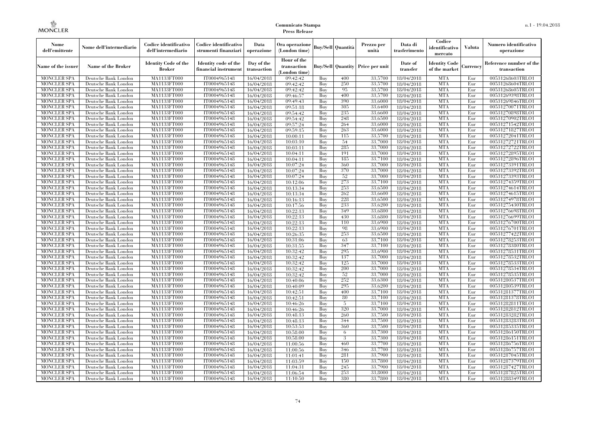| Nome<br>dell'emittente                   | Nome dell'intermediario                      | Codice identificativo<br>dell'intermediario  | Codice identificativo<br>strumenti finanziari | Data<br>operazione        | Ora operazione<br>(London time)             |            | Buy/Sell   Quantità      | Prezzo per<br>unità | Data di<br>trasferimento | Codice<br>identificativo<br>mercato   | <b>Valuta</b> | Numero identificativo<br>operazione    |
|------------------------------------------|----------------------------------------------|----------------------------------------------|-----------------------------------------------|---------------------------|---------------------------------------------|------------|--------------------------|---------------------|--------------------------|---------------------------------------|---------------|----------------------------------------|
| Name of the issuer                       | Name of the Broker                           | <b>Identity Code of the</b><br><b>Broker</b> | Identity code of the<br>financial instrument  | Day of the<br>transaction | Hour of the<br>transaction<br>(London time) |            | <b>Buy/Sell</b> Quantity | Price per unit      | Date of<br>transfer      | <b>Identity Code</b><br>of the market | Currency      | Reference number of the<br>transaction |
| <b>MONCLER SPA</b>                       | Deutsche Bank London                         | MA1133FT000                                  | IT0004965148                                  | 16/04/2018                | 09:42:42                                    | Buy        | 400                      | 33,5700             | 18/04/2018               | <b>MTA</b>                            | Eur           | 00531268603TRLO1                       |
| <b>MONCLER SPA</b>                       | Deutsche Bank London                         | MA1133FT000                                  | IT0004965148                                  | 16/04/2018                | 09:42:42                                    | Buy        | 250                      | 33,5700             | 18/04/2018               | <b>MTA</b>                            | Eur           | 00531268604TRLO1                       |
| <b>MONCLER SPA</b>                       | Deutsche Bank London                         | MA1133FT000                                  | IT0004965148                                  | 16/04/2018                | 09:42:42                                    | Buy        | 95                       | 33,5700             | 18/04/2018               | <b>MTA</b>                            | Eur           | 00531268605TRLO1                       |
| <b>MONCLER SPA</b><br>MONCLER SPA        | Deutsche Bank London<br>Deutsche Bank London | MA1133FT000<br>MA1133FT000                   | IT0004965148<br>IT0004965148                  | 16/04/2018<br>16/04/2018  | 09:46:57<br>09:49:43                        | Buy<br>Buy | 400<br>390               | 33,5700<br>33,6000  | 18/04/2018<br>18/04/2018 | <b>MTA</b><br><b>MTA</b>              | Eur<br>Eur    | 00531269398TRLO1<br>00531269846TRLO1   |
| <b>MONCLER SPA</b>                       | Deutsche Bank London                         | <b>MA1133FT000</b>                           | IT0004965148                                  | 16/04/2018                | 09:51:18                                    | Buy        | 305                      | 33,6400             | 18/04/2018               | <b>MTA</b>                            | Eur           | 00531270071TRLO1                       |
| <b>MONCLER SPA</b>                       | Deutsche Bank London                         | MA1133FT000                                  | IT0004965148                                  | 16/04/2018                | 09:54:42                                    | Buy        | 235                      | 33,6600             | 18/04/2018               | <b>MTA</b>                            | Eur           | 00531270898TRLO1                       |
| <b>MONCLER SPA</b>                       | Deutsche Bank London                         | MA1133FT000                                  | IT0004965148                                  | 16/04/2018                | 09:54:42                                    | Buy        | 248                      | 33,6500             | 18/04/2018               | <b>MTA</b>                            | Eur           | 00531270902TRLO1                       |
| <b>MONCLER SPA</b>                       | Deutsche Bank London                         | MA1133FT000                                  | IT0004965148                                  | 16/04/2018                | 09:57:24                                    | Buy        | 264                      | 33,6000             | 18/04/2018               | <b>MTA</b>                            | Eur           | 00531271542TRLO1                       |
| <b>MONCLER SPA</b>                       | Deutsche Bank London                         | MA1133FT000                                  | IT0004965148                                  | 16/04/2018                | 09:59:15                                    | Buy        | 263                      | 33,6000             | 18/04/2018               | <b>MTA</b>                            | Eur           | 00531271827TRLO1                       |
| <b>MONCLER SPA</b>                       | Deutsche Bank London                         | MA1133FT000                                  | IT0004965148                                  | 16/04/2018                | 10:00:11                                    | Buy        | 115                      | 33,5700             | 18/04/2018               | <b>MTA</b>                            | Eur           | 00531272041TRLO1                       |
| <b>MONCLER SPA</b>                       | Deutsche Bank London                         | MA1133FT000                                  | IT0004965148                                  | 16/04/2018                | 10:03:10                                    | Buy        | -54                      | 33,7000             | 18/04/2018               | <b>MTA</b>                            | Eur           | 00531272721TRLO1                       |
| <b>MONCLER SPA</b>                       | Deutsche Bank London                         | MA1133FT000                                  | IT0004965148                                  | 16/04/2018                | 10:03:11                                    | Buy        | 285                      | 33,7000             | 18/04/2018               | <b>MTA</b>                            | Eur           | 00531272722TRLO1                       |
| <b>MONCLER SPA</b>                       | Deutsche Bank London                         | MA1133FT000                                  | IT0004965148                                  | 16/04/2018                | 10:04:11                                    | Buy        | 191                      | 33,7000             | 18/04/2018               | <b>MTA</b>                            | Eur           | 00531272895TRLO1                       |
| MONCLER SPA                              | Deutsche Bank London                         | MA1133FT000                                  | IT0004965148                                  | 16/04/2018                | 10:04:11                                    | Buy        | 185                      | 33,7100             | 18/04/2018               | <b>MTA</b>                            | Eur           | 00531272896TRLO1                       |
| <b>MONCLER SPA</b>                       | Deutsche Bank London                         | MA1133FT000                                  | IT0004965148                                  | 16/04/2018                | 10:07:24                                    | Buy        | 360                      | 33.7000             | 18/04/2018               | <b>MTA</b>                            | Eur           | 00531273391TRLO1                       |
| <b>MONCLER SPA</b>                       | Deutsche Bank London                         | MA1133FT000                                  | IT0004965148                                  | 16/04/2018                | 10:07:24                                    | Buy        | 370                      | 33,7000             | 18/04/2018               | <b>MTA</b>                            | Eur           | 00531273392TRLO1                       |
| <b>MONCLER SPA</b>                       | Deutsche Bank London                         | MA1133FT000                                  | IT0004965148                                  | 16/04/2018                | 10:07:24                                    | Buy        | 52                       | 33,7000             | 18/04/2018               | <b>MTA</b>                            | Eur           | 00531273393TRLO1                       |
| <b>MONCLER SPA</b>                       | Deutsche Bank London                         | MA1133FT000                                  | IT0004965148                                  | 16/04/2018                | 10:12:06                                    | Buy        | 273                      | 33,7100             | 18/04/2018               | <b>MTA</b>                            | Eur           | 00531274359TRLO1                       |
| <b>MONCLER SPA</b>                       | Deutsche Bank London                         | MA1133FT000                                  | IT0004965148                                  | 16/04/2018                | 10:13:34                                    | Buv        | 253                      | 33.6500             | 18/04/2018               | <b>MTA</b>                            | Eur           | 00531274614TRLO1                       |
| <b>MONCLER SPA</b>                       | Deutsche Bank London                         | MA1133FT000                                  | IT0004965148                                  | 16/04/2018                | 10:13:34                                    | Buy        | 262<br>228               | 33,6600             | 18/04/2018               | <b>MTA</b>                            | Eur           | 00531274615TRLO1                       |
| MONCLER SPA<br>MONCLER SPA               | Deutsche Bank London                         | MA1133FT000<br>MA1133FT000                   | IT0004965148<br>IT0004965148                  | 16/04/2018                | 10:16:13<br>10:17:56                        | Buy<br>Buy | 233                      | 33,6500<br>33,6200  | 18/04/2018               | <b>MTA</b><br><b>MTA</b>              | Eur<br>Eur    | 00531274978TRLO1<br>00531275430TRLO1   |
| <b>MONCLER SPA</b>                       | Deutsche Bank London<br>Deutsche Bank London | MA1133FT000                                  | IT0004965148                                  | 16/04/2018<br>16/04/2018  | 10:22:13                                    | Buy        | 349                      | 33,6800             | 18/04/2018<br>18/04/2018 | <b>MTA</b>                            | Eur           | 00531276698TRLO1                       |
| <b>MONCLER SPA</b>                       | Deutsche Bank London                         | MA1133FT000                                  | IT0004965148                                  | 16/04/2018                | 10:22:13                                    | Buv        | 430                      | 33.6800             | 18/04/2018               | <b>MTA</b>                            | Eur           | 00531276699TRLO1                       |
| <b>MONCLER SPA</b>                       | Deutsche Bank London                         | MA1133FT000                                  | IT0004965148                                  | 16/04/2018                | 10:22:13                                    | Buy        | 110                      | 33,6900             | 18/04/2018               | <b>MTA</b>                            | Eur           | 00531276700TRLO1                       |
| <b>MONCLER SPA</b>                       | Deutsche Bank London                         | MA1133FT000                                  | IT0004965148                                  | 16/04/2018                | 10:22:13                                    | Buy        | 98                       | 33,6900             | 18/04/2018               | <b>MTA</b>                            | Eur           | 00531276701TRLO1                       |
| <b>MONCLER SPA</b>                       | Deutsche Bank London                         | MA1133FT000                                  | IT0004965148                                  | 16/04/2018                | 10:26:35                                    | Buy        | 253                      | 33,6500             | 18/04/2018               | <b>MTA</b>                            | Eur           | 00531277422TRLO1                       |
| MONCLER SPA                              | Deutsche Bank London                         | MA1133FT000                                  | IT0004965148                                  | 16/04/2018                | 10:31:06                                    | Buv        | 63                       | 33,7100             | 18/04/2018               | <b>MTA</b>                            | Eur           | 00531278253TRLO1                       |
| <b>MONCLER SPA</b>                       | Deutsche Bank London                         | MA1133FT000                                  | IT0004965148                                  | 16/04/2018                | 10:31:55                                    | Buy        | 347                      | 33,7100             | 18/04/2018               | <b>MTA</b>                            | Eur           | 00531278380TRLO1                       |
| <b>MONCLER SPA</b>                       | Deutsche Bank London                         | MA1133FT000                                  | IT0004965148                                  | 16/04/2018                | 10:32:42                                    | Buy        | 295                      | 33,6900             | 18/04/2018               | <b>MTA</b>                            | Eur           | 00531278531TRLO1                       |
| <b>MONCLER SPA</b>                       | Deutsche Bank London                         | MA1133FT000                                  | IT0004965148                                  | 16/04/2018                | 10:32:42                                    | Buy        | 137                      | 33,7000             | 18/04/2018               | <b>MTA</b>                            | Eur           | 00531278532TRLO1                       |
| MONCLER SPA                              | Deutsche Bank London                         | MA1133FT000                                  | IT0004965148                                  | 16/04/2018                | 10:32:42                                    | Buy        | 125                      | 33,7000             | 18/04/2018               | <b>MTA</b>                            | Eur           | 00531278533TRLO1                       |
| <b>MONCLER SPA</b>                       | Deutsche Bank London                         | MA1133FT000                                  | IT0004965148                                  | 16/04/2018                | 10:32:42                                    | Buy        | 200                      | 33,7000             | 18/04/2018               | <b>MTA</b>                            | Eur           | 00531278534TRLO1                       |
| <b>MONCLER SPA</b>                       | Deutsche Bank London                         | MA1133FT000                                  | IT0004965148                                  | 16/04/2018                | 10:32:42                                    | Buy        | 52                       | 33,7000             | 18/04/2018               | <b>MTA</b>                            | Eur           | 00531278535TRLO1                       |
| <b>MONCLER SPA</b>                       | Deutsche Bank London                         | MA1133FT000                                  | IT0004965148                                  | 16/04/2018                | 10:40:06                                    | Buy        | 252                      | 33,6300             | 18/04/2018               | <b>MTA</b>                            | Eur           | 00531280537TRLO1                       |
| <b>MONCLER SPA</b>                       | Deutsche Bank London                         | MA1133FT000                                  | IT0004965148                                  | 16/04/2018                | 10:40:09                                    | Buy        | 295                      | 33,6200             | 18/04/2018               | <b>MTA</b>                            | Eur           | 00531280539TRLO1                       |
| <b>MONCLER SPA</b>                       | Deutsche Bank London                         | MA1133FT000                                  | IT0004965148                                  | 16/04/2018                | 10:42:51                                    | Buy        | 400                      | 33,7100             | 18/04/2018               | <b>MTA</b>                            | Eur           | 00531281377TRLO1                       |
| <b>MONCLER SPA</b>                       | Deutsche Bank London                         | MA1133FT000                                  | IT0004965148                                  | 16/04/2018                | 10:42:51                                    | Buy        | -80                      | 33,7100             | 18/04/2018               | <b>MTA</b>                            | Eur           | 00531281378TRLO1                       |
| <b>MONCLER SPA</b>                       | Deutsche Bank London                         | MA1133FT000                                  | IT0004965148                                  | 16/04/2018                | 10:46:26                                    | Buy        | -5                       | 33,7100             | 18/04/2018               | <b>MTA</b>                            | Eur           | 00531282811TRLO1                       |
| <b>MONCLER SPA</b>                       | Deutsche Bank London                         | MA1133FT000<br>MA1133FT000                   | IT0004965148                                  | 16/04/2018                | 10:46:26                                    | Buy        | 320<br>260               | 33,7000<br>33,7500  | 18/04/2018               | <b>MTA</b><br><b>MTA</b>              | Eur<br>Eur    | 00531282812TRLO1                       |
| <b>MONCLER SPA</b><br><b>MONCLER SPA</b> | Deutsche Bank London<br>Deutsche Bank London | MA1133FT000                                  | IT0004965148<br>IT0004965148                  | 16/04/2018<br>16/04/2018  | 10:48:13<br>10:48:13                        | Buy<br>Buy | 344                      | 33,7500             | 18/04/2018<br>18/04/2018 | <b>MTA</b>                            | Eur           | 00531283282TRLO1<br>00531283283TRLO1   |
| <b>MONCLER SPA</b>                       | Deutsche Bank London                         | MA1133FT000                                  | IT0004965148                                  | 16/04/2018                | 10:53:53                                    | Buy        | 360                      | 33,7500             | 18/04/2018               | <b>MTA</b>                            | Eur           | 00531285335TRLO1                       |
| <b>MONCLER SPA</b>                       | Deutsche Bank London                         | MA1133FT000                                  | IT0004965148                                  | 16/04/2018                | 10:58:00                                    | Buy        | 6                        | 33,7300             | 18/04/2018               | <b>MTA</b>                            | Eur           | 00531286150TRLO1                       |
| <b>MONCLER SPA</b>                       | Deutsche Bank London                         | MA1133FT000                                  | IT0004965148                                  | 16/04/2018                | 10:58:00                                    | Buy        | 3                        | 33,7300             | 18/04/2018               | <b>MTA</b>                            | Eur           | 00531286151TRLO1                       |
| <b>MONCLER SPA</b>                       | Deutsche Bank London                         | MA1133FT000                                  | IT0004965148                                  | 16/04/2018                | 11:00:56                                    | Buy        | 460                      | 33,7700             | 18/04/2018               | <b>MTA</b>                            | Eur           | 00531286756TRLO1                       |
| <b>MONCLER SPA</b>                       | Deutsche Bank London                         | MA1133FT000                                  | IT0004965148                                  | 16/04/2018                | 11:00:56                                    | Buy        | 346                      | 33,7700             | 18/04/2018               | <b>MTA</b>                            | Eur           | 00531286757TRLO1                       |
| <b>MONCLER SPA</b>                       | Deutsche Bank London                         | MA1133FT000                                  | IT0004965148                                  | 16/04/2018                | 11:01:41                                    | Buy        | 281                      | 33,7900             | 18/04/2018               | <b>MTA</b>                            | Eur           | 00531287045TRLO1                       |
| <b>MONCLER SPA</b>                       | Deutsche Bank London                         | MA1133FT000                                  | IT0004965148                                  | 16/04/2018                | 11:03:59                                    | Buy        | 150                      | 33,7800             | 18/04/2018               | <b>MTA</b>                            | Eur           | 00531287379TRLO1                       |
| <b>MONCLER SPA</b>                       | Deutsche Bank London                         | MA1133FT000                                  | IT0004965148                                  | 16/04/2018                | 11:04:31                                    | Buy        | 245                      | 33,7900             | 18/04/2018               | <b>MTA</b>                            | Eur           | 00531287427TRLO1                       |
| <b>MONCLER SPA</b>                       | Deutsche Bank London                         | MA1133FT000                                  | IT0004965148                                  | 16/04/2018                | 11:06:54                                    | Buy        | 253                      | 33,8000             | 18/04/2018               | <b>MTA</b>                            | Eur           | 00531287825TRLO1                       |
| MONCLER SPA                              | Deutsche Bank London                         | MA1133FT000                                  | IT0004965148                                  | 16/04/2018                | 11:10:50                                    | Buy        | 380                      | 33,7800             | 18/04/2018               | <b>MTA</b>                            | Eur           | 00531288349TRLO1                       |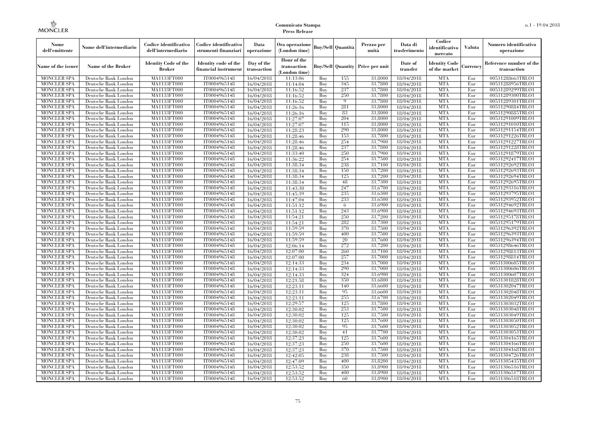| Nome<br>dell'emittente                   | Nome dell'intermediario                      | Codice identificativo<br>dell'intermediario  | Codice identificativo<br>strumenti finanziari | Data<br>operazione        | Ora operazione<br>(London time)             |            | Buv/Sell   Quantità      | Prezzo per<br>unità | Data di<br>trasferimento | Codice<br>identificativo<br>mercato   | <b>Valuta</b> | Numero identificativo<br>operazione    |
|------------------------------------------|----------------------------------------------|----------------------------------------------|-----------------------------------------------|---------------------------|---------------------------------------------|------------|--------------------------|---------------------|--------------------------|---------------------------------------|---------------|----------------------------------------|
| Name of the issuer                       | Name of the Broker                           | <b>Identity Code of the</b><br><b>Broker</b> | Identity code of the<br>financial instrument  | Day of the<br>transaction | Hour of the<br>transaction<br>(London time) |            | <b>Buy/Sell Quantity</b> | Price per unit      | Date of<br>transfer      | <b>Identity Code</b><br>of the market | Currencv      | Reference number of the<br>transaction |
| <b>MONCLER SPA</b>                       | Deutsche Bank London                         | MA1133FT000                                  | IT0004965148                                  | 16/04/2018                | 11:13:06                                    | Buy        | 155                      | 33,8000             | 18/04/2018               | <b>MTA</b>                            | Eur           | 00531288663TRLO1                       |
| <b>MONCLER SPA</b>                       | Deutsche Bank London                         | <b>MA1133FT000</b>                           | IT0004965148                                  | 16/04/2018                | 11:14:04                                    | Buy        | 345                      | 33,7800             | 18/04/2018               | <b>MTA</b>                            | Eur           | 00531288956TRLO1                       |
| <b>MONCLER SPA</b>                       | Deutsche Bank London                         | MA1133FT000                                  | IT0004965148                                  | 16/04/2018                | 11:16:52                                    | Buv        | 237                      | 33,7800             | 18/04/2018               | <b>MTA</b>                            | Eur           | 00531289299TRLO1                       |
| <b>MONCLER SPA</b>                       | Deutsche Bank London                         | MA1133FT000                                  | IT0004965148                                  | 16/04/2018                | 11:16:52                                    | Buy        | 250                      | 33,7800             | 18/04/2018               | <b>MTA</b>                            | Eur           | 00531289300TRLO1                       |
| <b>MONCLER SPA</b>                       | Deutsche Bank London                         | MA1133FT000                                  | IT0004965148                                  | 16/04/2018                | 11:16:52                                    | Buy        | $\overline{9}$           | 33,7800             | 18/04/2018               | <b>MTA</b>                            | Eur           | 00531289301TRLO1                       |
| <b>MONCLER SPA</b><br><b>MONCLER SPA</b> | Deutsche Bank London                         | <b>MA1133FT000</b><br>MA1133FT000            | IT0004965148                                  | 16/04/2018                | 11:26:16                                    | Buy        | 281<br>83                | 33,8000<br>33,8000  | 18/04/2018               | <b>MTA</b><br><b>MTA</b>              | Eur           | 00531290884TRLO1                       |
| <b>MONCLER SPA</b>                       | Deutsche Bank London<br>Deutsche Bank London | MA1133FT000                                  | IT0004965148<br>IT0004965148                  | 16/04/2018<br>16/04/2018  | 11:26:16<br>11:27:07                        | Buy<br>Buy | 204                      | 33,8000             | 18/04/2018<br>18/04/2018 | <b>MTA</b>                            | Eur<br>Eur    | 00531290885TRLO1<br>00531291009TRLO1   |
| <b>MONCLER SPA</b>                       | Deutsche Bank London                         | MA1133FT000                                  | IT0004965148                                  | 16/04/2018                | 11:27:07                                    | Buy        | 115                      | 33,8000             | 18/04/2018               | <b>MTA</b>                            | Eur           | 00531291010TRLO1                       |
| <b>MONCLER SPA</b>                       | Deutsche Bank London                         | <b>MA1133FT000</b>                           | IT0004965148                                  | 16/04/2018                | 11:28:23                                    | Buy        | 290                      | 33,8000             | 18/04/2018               | <b>MTA</b>                            | Eur           | 00531291154TRLO1                       |
| <b>MONCLER SPA</b>                       | Deutsche Bank London                         | MA1133FT000                                  | IT0004965148                                  | 16/04/2018                | 11:28:46                                    | Buy        | 153                      | 33,7800             | 18/04/2018               | <b>MTA</b>                            | Eur           | 00531291226TRLO1                       |
| <b>MONCLER SPA</b>                       | Deutsche Bank London                         | MA1133FT000                                  | IT0004965148                                  | 16/04/2018                | 11:28:46                                    | Buy        | 254                      | 33,7900             | 18/04/2018               | <b>MTA</b>                            | Eur           | 00531291227TRLO1                       |
| <b>MONCLER SPA</b>                       | Deutsche Bank London                         | MA1133FT000                                  | IT0004965148                                  | 16/04/2018                | 11:28:46                                    | Buy        | 237                      | 33,7800             | 18/04/2018               | <b>MTA</b>                            | Eur           | 00531291228TRLO1                       |
| <b>MONCLER SPA</b>                       | Deutsche Bank London                         | MA1133FT000                                  | IT0004965148                                  | 16/04/2018                | 11:33:40                                    | Buy        | 250                      | 33,7900             | 18/04/2018               | <b>MTA</b>                            | Eur           | 00531291879TRLO1                       |
| <b>MONCLER SPA</b>                       | Deutsche Bank London                         | MA1133FT000                                  | IT0004965148                                  | 16/04/2018                | 11:36:22                                    | Buy        | 254                      | 33,7500             | 18/04/2018               | <b>MTA</b>                            | Eur           | 00531292417TRLO1                       |
| <b>MONCLER SPA</b>                       | Deutsche Bank London                         | MA1133FT000                                  | IT0004965148                                  | 16/04/2018                | 11:38:34                                    | Buy        | 238                      | 33,7100             | 18/04/2018               | <b>MTA</b>                            | Eur           | 00531292692TRLO1                       |
| <b>MONCLER SPA</b>                       | Deutsche Bank London                         | MA1133FT000                                  | IT0004965148                                  | 16/04/2018                | 11:38:34                                    | Buy        | 150                      | 33,7200             | 18/04/2018               | <b>MTA</b>                            | Eur           | 00531292693TRLO1                       |
| <b>MONCLER SPA</b>                       | Deutsche Bank London                         | MA1133FT000                                  | IT0004965148                                  | 16/04/2018                | 11:38:34                                    | Buy        | 125                      | 33,7200             | 18/04/2018               | <b>MTA</b>                            | Eur           | 00531292694TRLO1                       |
| <b>MONCLER SPA</b>                       | Deutsche Bank London                         | MA1133FT000                                  | IT0004965148                                  | 16/04/2018                | 11:38:34                                    | Buy        | 48                       | 33,7300             | 18/04/2018               | <b>MTA</b>                            | Eur           | 00531292695TRLO1                       |
| <b>MONCLER SPA</b>                       | Deutsche Bank London                         | MA1133FT000                                  | IT0004965148                                  | 16/04/2018                | 11:43:30                                    | Buy        | 247                      | 33,6700             | 18/04/2018               | <b>MTA</b>                            | Eur           | 00531293316TRLO1                       |
| <b>MONCLER SPA</b>                       | Deutsche Bank London                         | MA1133FT000                                  | IT0004965148                                  | 16/04/2018                | 11:45:39                                    | Buy        | 235                      | 33,6300             | 18/04/2018               | <b>MTA</b>                            | Eur           | 00531293795TRLO1                       |
| MONCLER SPA                              | Deutsche Bank London                         | MA1133FT000                                  | IT0004965148                                  | 16/04/2018                | 11:47:04                                    | Buy        | 233                      | 33,6500             | 18/04/2018               | <b>MTA</b>                            | Eur           | 00531293952TRLO1                       |
| <b>MONCLER SPA</b>                       | Deutsche Bank London                         | MA1133FT000                                  | IT0004965148                                  | 16/04/2018                | 11:51:12                                    | Buy        | 6                        | 33,6900             | 18/04/2018               | <b>MTA</b>                            | Eur           | 00531294692TRLO1                       |
| <b>MONCLER SPA</b>                       | Deutsche Bank London                         | MA1133FT000                                  | IT0004965148                                  | 16/04/2018                | 11:51:12                                    | Buy        | 243                      | 33,6900             | 18/04/2018               | <b>MTA</b>                            | Eur           | 00531294693TRLO1                       |
| <b>MONCLER SPA</b>                       | Deutsche Bank London                         | MA1133FT000                                  | IT0004965148                                  | 16/04/2018                | 11:54:21                                    | Buy        | 250<br>282               | 33,7200<br>33,7300  | 18/04/2018               | <b>MTA</b><br><b>MTA</b>              | Eur<br>Eur    | 00531295178TRLO1                       |
| <b>MONCLER SPA</b><br><b>MONCLER SPA</b> | Deutsche Bank London<br>Deutsche Bank London | MA1133FT000<br>MA1133FT000                   | IT0004965148<br>IT0004965148                  | 16/04/2018                | 11:54:21<br>11:59:59                        | Buy<br>Buy | 370                      | 33,7500             | 18/04/2018<br>18/04/2018 | <b>MTA</b>                            | Eur           | 00531295179TRLO1<br>00531296392TRLO1   |
| <b>MONCLER SPA</b>                       | Deutsche Bank London                         | MA1133FT000                                  | IT0004965148                                  | 16/04/2018<br>16/04/2018  | 11:59:59                                    | Buy        | 400                      | 33,7500             | 18/04/2018               | <b>MTA</b>                            | Eur           | 00531296393TRLO1                       |
| <b>MONCLER SPA</b>                       | Deutsche Bank London                         | MA1133FT000                                  | IT0004965148                                  | 16/04/2018                | 11:59:59                                    | Buy        | 20                       | 33,7600             | 18/04/2018               | <b>MTA</b>                            | Eur           | 00531296394TRLO1                       |
| <b>MONCLER SPA</b>                       | Deutsche Bank London                         | <b>MA1133FT000</b>                           | IT0004965148                                  | 16/04/2018                | 12:06:14                                    | Buy        | 272                      | 33,7200             | 18/04/2018               | <b>MTA</b>                            | Eur           | 00531298646TRLO1                       |
| MONCLER SPA                              | Deutsche Bank London                         | MA1133FT000                                  | IT0004965148                                  | 16/04/2018                | 12:07:00                                    | Buy        | 260                      | 33,7100             | 18/04/2018               | <b>MTA</b>                            | Eur           | 00531298813TRLO1                       |
| <b>MONCLER SPA</b>                       | Deutsche Bank London                         | MA1133FT000                                  | IT0004965148                                  | 16/04/2018                | 12:07:00                                    | Buy        | 257                      | 33,7000             | 18/04/2018               | <b>MTA</b>                            | Eur           | 00531298814TRLO1                       |
| <b>MONCLER SPA</b>                       | Deutsche Bank London                         | MA1133FT000                                  | IT0004965148                                  | 16/04/2018                | 12:14:33                                    | Buy        | 234                      | 33,7000             | 18/04/2018               | <b>MTA</b>                            | Eur           | 00531300605TRLO1                       |
| <b>MONCLER SPA</b>                       | Deutsche Bank London                         | MA1133FT000                                  | IT0004965148                                  | 16/04/2018                | 12:14:33                                    | Buy        | 290                      | 33,7000             | 18/04/2018               | <b>MTA</b>                            | Eur           | 00531300606TRLO1                       |
| <b>MONCLER SPA</b>                       | Deutsche Bank London                         | MA1133FT000                                  | IT0004965148                                  | 16/04/2018                | 12:14:33                                    | Buy        | 324                      | 33,6900             | 18/04/2018               | <b>MTA</b>                            | Eur           | 00531300607TRLO1                       |
| <b>MONCLER SPA</b>                       | Deutsche Bank London                         | MA1133FT000                                  | IT0004965148                                  | 16/04/2018                | 12:21:58                                    | Buy        | 350                      | 33,6800             | 18/04/2018               | <b>MTA</b>                            | Eur           | 00531301828TRLO1                       |
| <b>MONCLER SPA</b>                       | Deutsche Bank London                         | MA1133FT000                                  | IT0004965148                                  | 16/04/2018                | 12:23:11                                    | Buy        | 140                      | 33,6600             | 18/04/2018               | <b>MTA</b>                            | Eur           | 00531302047TRLO1                       |
| <b>MONCLER SPA</b>                       | Deutsche Bank London                         | <b>MA1133FT000</b>                           | IT0004965148                                  | 16/04/2018                | 12:23:11                                    | Buy        | 95                       | 33,6600             | 18/04/2018               | <b>MTA</b>                            | Eur           | 00531302048TRLO1                       |
| <b>MONCLER SPA</b>                       | Deutsche Bank London                         | MA1133FT000                                  | IT0004965148                                  | 16/04/2018                | 12:23:11                                    | Buy        | 255                      | 33,6700             | 18/04/2018               | <b>MTA</b>                            | Eur           | 00531302049TRLO1                       |
| <b>MONCLER SPA</b>                       | Deutsche Bank London                         | <b>MA1133FT000</b>                           | IT0004965148                                  | 16/04/2018                | 12:29:57                                    | Buy        | 125                      | 33,7800             | 18/04/2018               | <b>MTA</b>                            | Eur           | 00531303032TRLO1                       |
| <b>MONCLER SPA</b>                       | Deutsche Bank London                         | MA1133FT000                                  | IT0004965148                                  | 16/04/2018                | 12:30:02                                    | Buy        | 253                      | 33,7500             | 18/04/2018               | <b>MTA</b>                            | Eur           | 00531303048TRLO1                       |
| <b>MONCLER SPA</b>                       | Deutsche Bank London                         | MA1133FT000                                  | IT0004965148                                  | 16/04/2018                | 12:30:02                                    | Buy        | 125                      | 33.7500             | 18/04/2018               | <b>MTA</b>                            | Eur           | 00531303049TRLO1                       |
| <b>MONCLER SPA</b>                       | Deutsche Bank London                         | MA1133FT000                                  | IT0004965148                                  | 16/04/2018                | 12:30:02                                    | Buy        | 125                      | 33,7600             | 18/04/2018               | <b>MTA</b>                            | Eur           | 00531303050TRLO1                       |
| <b>MONCLER SPA</b>                       | Deutsche Bank London                         | MA1133FT000                                  | IT0004965148                                  | 16/04/2018                | 12:30:02                                    | Buy        | 95                       | 33,7600             | 18/04/2018               | <b>MTA</b>                            | Eur           | 00531303052TRLO1                       |
| <b>MONCLER SPA</b>                       | Deutsche Bank London                         | MA1133FT000<br>MA1133FT000                   | IT0004965148<br>IT0004965148                  | 16/04/2018                | 12:30:02                                    | Buy<br>Buy | 41<br>125                | 33,7700<br>33,7600  | 18/04/2018               | <b>MTA</b><br><b>MTA</b>              | Eur<br>Eur    | 00531303053TRLO1                       |
| <b>MONCLER SPA</b><br><b>MONCLER SPA</b> | Deutsche Bank London<br>Deutsche Bank London | MA1133FT000                                  | IT0004965148                                  | 16/04/2018<br>16/04/2018  | 12:37:23<br>12:37:23                        | Buy        | 250                      | 33,7600             | 18/04/2018<br>18/04/2018 | <b>MTA</b>                            | Eur           | 00531304165TRLO1<br>00531304166TRLO1   |
| <b>MONCLER SPA</b>                       | Deutsche Bank London                         | MA1133FT000                                  | IT0004965148                                  | 16/04/2018                | 12:37:23                                    | Buy        | 370                      | 33,7500             | 18/04/2018               | <b>MTA</b>                            | Eur           | 00531304168TRLO1                       |
| <b>MONCLER SPA</b>                       | Deutsche Bank London                         | MA1133FT000                                  | IT0004965148                                  | 16/04/2018                | 12:42:05                                    | Buy        | 238                      | 33,7500             | 18/04/2018               | <b>MTA</b>                            | Eur           | 00531304726TRLO1                       |
| <b>MONCLER SPA</b>                       | Deutsche Bank London                         | MA1133FT000                                  | IT0004965148                                  | 16/04/2018                | 12:47:09                                    | Buy        | 400                      | 33,8200             | 18/04/2018               | <b>MTA</b>                            | Eur           | 00531305435TRLO1                       |
| <b>MONCLER SPA</b>                       | Deutsche Bank London                         | MA1133FT000                                  | IT0004965148                                  | 16/04/2018                | 12:53:52                                    | Buy        | 350                      | 33,8900             | 18/04/2018               | <b>MTA</b>                            | Eur           | 00531306516TRLO1                       |
| <b>MONCLER SPA</b>                       | Deutsche Bank London                         | MA1133FT000                                  | IT0004965148                                  | 16/04/2018                | 12:53:52                                    | Buy        | 400                      | 33,8900             | 18/04/2018               | <b>MTA</b>                            | Eur           | 00531306517TRLO1                       |
| <b>MONCLER SPA</b>                       | Deutsche Bank London                         | MA1133FT000                                  | IT0004965148                                  | 16/04/2018                | 12:53:52                                    | Buy        | 60                       | 33,8900             | 18/04/2018               | <b>MTA</b>                            | Eur           | 00531306518TRLO1                       |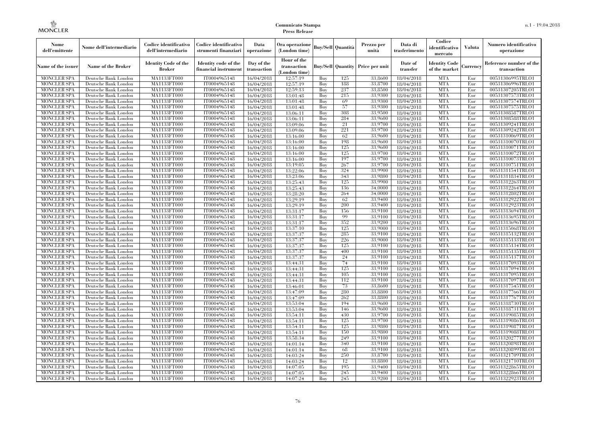| Nome<br>dell'emittente                   | Nome dell'intermediario                      | Codice identificativo<br>dell'intermediario  | Codice identificativo<br>strumenti finanziari | Data<br>operazione        | Ora operazione<br>(London time)             |            | Buv/Sell   Quantità      | Prezzo per<br>unità | Data di<br>trasferimento | Codice<br>identificativo<br>mercato   | <b>Valuta</b> | Numero identificativo<br>operazione    |
|------------------------------------------|----------------------------------------------|----------------------------------------------|-----------------------------------------------|---------------------------|---------------------------------------------|------------|--------------------------|---------------------|--------------------------|---------------------------------------|---------------|----------------------------------------|
| Name of the issuer                       | Name of the Broker                           | <b>Identity Code of the</b><br><b>Broker</b> | Identity code of the<br>financial instrument  | Day of the<br>transaction | Hour of the<br>transaction<br>(London time) |            | <b>Buy/Sell Quantity</b> | Price per unit      | Date of<br>transfer      | <b>Identity Code</b><br>of the market | Currencv      | Reference number of the<br>transaction |
| <b>MONCLER SPA</b>                       | Deutsche Bank London                         | MA1133FT000                                  | IT0004965148                                  | 16/04/2018                | 12:57:19                                    | Buy        | 125                      | 33,8600             | 18/04/2018               | <b>MTA</b>                            | Eur           | 00531306995TRLO1                       |
| <b>MONCLER SPA</b>                       | Deutsche Bank London                         | <b>MA1133FT000</b>                           | IT0004965148                                  | 16/04/2018                | 12:57:19                                    | Buy        | 188                      | 33,8700             | 18/04/2018               | <b>MTA</b>                            | Eur           | 00531306996TRLO1                       |
| <b>MONCLER SPA</b>                       | Deutsche Bank London                         | MA1133FT000                                  | IT0004965148                                  | 16/04/2018                | 12:59:13                                    | Buv        | 237                      | 33.8500             | 18/04/2018               | <b>MTA</b>                            | Eur           | 00531307205TRLO1                       |
| <b>MONCLER SPA</b>                       | Deutsche Bank London                         | MA1133FT000                                  | IT0004965148                                  | 16/04/2018                | 13:01:48                                    | Buy        | 215                      | 33,9300             | 18/04/2018               | <b>MTA</b>                            | Eur           | 00531307573TRLO1                       |
| <b>MONCLER SPA</b>                       | Deutsche Bank London                         | MA1133FT000                                  | IT0004965148                                  | 16/04/2018                | 13:01:48                                    | Buy        | 69                       | 33,9300             | 18/04/2018               | <b>MTA</b>                            | Eur           | 00531307574TRLO1                       |
| <b>MONCLER SPA</b><br><b>MONCLER SPA</b> | Deutsche Bank London                         | <b>MA1133FT000</b><br>MA1133FT000            | IT0004965148                                  | 16/04/2018                | 13:01:48                                    | Buy        | 57<br>308                | 33,9300<br>33,9500  | 18/04/2018               | <b>MTA</b><br><b>MTA</b>              | Eur           | 00531307575TRLO1                       |
| <b>MONCLER SPA</b>                       | Deutsche Bank London<br>Deutsche Bank London | MA1133FT000                                  | IT0004965148<br>IT0004965148                  | 16/04/2018<br>16/04/2018  | 13:06:11<br>13:06:11                        | Buy<br>Buy | 284                      | 33,9600             | 18/04/2018<br>18/04/2018 | <b>MTA</b>                            | Eur<br>Eur    | 00531308587TRLO1<br>00531308588TRLO1   |
| <b>MONCLER SPA</b>                       | Deutsche Bank London                         | MA1133FT000                                  | IT0004965148                                  | 16/04/2018                | 13:09:06                                    | Buy        | 21                       | 33,9700             | 18/04/2018               | <b>MTA</b>                            | Eur           | 00531309241TRLO1                       |
| <b>MONCLER SPA</b>                       | Deutsche Bank London                         | <b>MA1133FT000</b>                           | IT0004965148                                  | 16/04/2018                | 13:09:06                                    | Buy        | 221                      | 33,9700             | 18/04/2018               | <b>MTA</b>                            | Eur           | 00531309242TRLO1                       |
| <b>MONCLER SPA</b>                       | Deutsche Bank London                         | MA1133FT000                                  | IT0004965148                                  | 16/04/2018                | 13:16:00                                    | Buy        | 62                       | 33,9600             | 18/04/2018               | <b>MTA</b>                            | Eur           | 00531310069TRLO1                       |
| <b>MONCLER SPA</b>                       | Deutsche Bank London                         | MA1133FT000                                  | IT0004965148                                  | 16/04/2018                | 13:16:00                                    | Buy        | 198                      | 33,9600             | 18/04/2018               | <b>MTA</b>                            | Eur           | 00531310070TRLO1                       |
| <b>MONCLER SPA</b>                       | Deutsche Bank London                         | MA1133FT000                                  | IT0004965148                                  | 16/04/2018                | 13:16:00                                    | Buy        | 125                      | 33,9600             | 18/04/2018               | <b>MTA</b>                            | Eur           | 00531310071TRLO1                       |
| <b>MONCLER SPA</b>                       | Deutsche Bank London                         | MA1133FT000                                  | IT0004965148                                  | 16/04/2018                | 13:16:00                                    | Buy        | 125                      | 33,9700             | 18/04/2018               | <b>MTA</b>                            | Eur           | 00531310072TRLO1                       |
| <b>MONCLER SPA</b>                       | Deutsche Bank London                         | MA1133FT000                                  | IT0004965148                                  | 16/04/2018                | 13:16:00                                    | Buy        | 197                      | 33,9700             | 18/04/2018               | <b>MTA</b>                            | Eur           | 00531310073TRLO1                       |
| <b>MONCLER SPA</b>                       | Deutsche Bank London                         | MA1133FT000                                  | IT0004965148                                  | 16/04/2018                | 13:19:05                                    | Buy        | 267                      | 33,9700             | 18/04/2018               | <b>MTA</b>                            | Eur           | 00531310751TRLO1                       |
| <b>MONCLER SPA</b>                       | Deutsche Bank London                         | MA1133FT000                                  | IT0004965148                                  | 16/04/2018                | 13:22:06                                    | Buy        | 324                      | 33,9900             | 18/04/2018               | <b>MTA</b>                            | Eur           | 00531311541TRLO1                       |
| <b>MONCLER SPA</b>                       | Deutsche Bank London                         | MA1133FT000                                  | IT0004965148                                  | 16/04/2018                | 13:23:06                                    | Buy        | 343                      | 33,9800             | 18/04/2018               | <b>MTA</b>                            | Eur           | 00531311834TRLO1                       |
| <b>MONCLER SPA</b>                       | Deutsche Bank London                         | MA1133FT000                                  | IT0004965148                                  | 16/04/2018                | 13:25:43                                    | Buy        | 125                      | 33,9900             | 18/04/2018               | <b>MTA</b>                            | Eur           | 00531312263TRLO1                       |
| <b>MONCLER SPA</b>                       | Deutsche Bank London                         | MA1133FT000                                  | IT0004965148                                  | 16/04/2018                | 13:25:43                                    | Buy        | 136                      | 34,0000             | 18/04/2018               | <b>MTA</b>                            | Eur           | 00531312264TRLO1                       |
| <b>MONCLER SPA</b>                       | Deutsche Bank London                         | MA1133FT000                                  | IT0004965148                                  | 16/04/2018                | 13:28:20                                    | Buy        | 264                      | 34,0000             | 18/04/2018               | <b>MTA</b>                            | Eur           | 00531312802TRLO1                       |
| <b>MONCLER SPA</b>                       | Deutsche Bank London                         | MA1133FT000                                  | IT0004965148                                  | 16/04/2018                | 13:29:19                                    | Buy        | 62                       | 33,9400             | 18/04/2018               | <b>MTA</b>                            | Eur           | 00531312922TRLO1                       |
| <b>MONCLER SPA</b>                       | Deutsche Bank London                         | MA1133FT000                                  | IT0004965148                                  | 16/04/2018                | 13:29:19                                    | Buy        | 200                      | 33,9400             | 18/04/2018               | <b>MTA</b>                            | Eur           | 00531312923TRLO1                       |
| <b>MONCLER SPA</b>                       | Deutsche Bank London                         | MA1133FT000                                  | IT0004965148                                  | 16/04/2018                | 13:31:17                                    | Buy        | 156                      | 33,9100             | 18/04/2018               | <b>MTA</b>                            | Eur           | 00531313694TRLO1                       |
| <b>MONCLER SPA</b>                       | Deutsche Bank London                         | MA1133FT000                                  | IT0004965148                                  | 16/04/2018                | 13:31:17                                    | Buy        | 99<br>352                | 33,9100<br>33,9200  | 18/04/2018               | <b>MTA</b><br><b>MTA</b>              | Eur           | 00531313695TRLO1                       |
| <b>MONCLER SPA</b><br><b>MONCLER SPA</b> | Deutsche Bank London<br>Deutsche Bank London | MA1133FT000<br>MA1133FT000                   | IT0004965148<br>IT0004965148                  | 16/04/2018                | 13:31:17<br>13:37:10                        | Buy<br>Buy | 125                      | 33,9000             | 18/04/2018<br>18/04/2018 | <b>MTA</b>                            | Eur<br>Eur    | 00531313696TRLO1<br>00531315068TRLO1   |
| <b>MONCLER SPA</b>                       | Deutsche Bank London                         | MA1133FT000                                  | IT0004965148                                  | 16/04/2018<br>16/04/2018  | 13:37:37                                    | Buy        | 285                      | 33,9100             | 18/04/2018               | <b>MTA</b>                            | Eur           | 00531315132TRLO1                       |
| <b>MONCLER SPA</b>                       | Deutsche Bank London                         | MA1133FT000                                  | IT0004965148                                  | 16/04/2018                | 13:37:37                                    | Buy        | 226                      | 33,9000             | 18/04/2018               | <b>MTA</b>                            | Eur           | 00531315133TRLO1                       |
| <b>MONCLER SPA</b>                       | Deutsche Bank London                         | <b>MA1133FT000</b>                           | IT0004965148                                  | 16/04/2018                | 13:37:37                                    | Buy        | 125                      | 33,9100             | 18/04/2018               | <b>MTA</b>                            | Eur           | 00531315134TRLO1                       |
| MONCLER SPA                              | Deutsche Bank London                         | MA1133FT000                                  | IT0004965148                                  | 16/04/2018                | 13:37:37                                    | Buy        | 400                      | 33,9100             | 18/04/2018               | <b>MTA</b>                            | Eur           | 00531315135TRLO1                       |
| <b>MONCLER SPA</b>                       | Deutsche Bank London                         | MA1133FT000                                  | IT0004965148                                  | 16/04/2018                | 13:37:37                                    | Buy        | 24                       | 33,9100             | 18/04/2018               | <b>MTA</b>                            | Eur           | 00531315137TRLO1                       |
| <b>MONCLER SPA</b>                       | Deutsche Bank London                         | MA1133FT000                                  | IT0004965148                                  | 16/04/2018                | 13:44:31                                    | Buy        | 74                       | 33,9100             | 18/04/2018               | <b>MTA</b>                            | Eur           | 00531317093TRLO1                       |
| <b>MONCLER SPA</b>                       | Deutsche Bank London                         | MA1133FT000                                  | IT0004965148                                  | 16/04/2018                | 13:44:31                                    | Buy        | 125                      | 33,9100             | 18/04/2018               | <b>MTA</b>                            | Eur           | 00531317094TRLO1                       |
| <b>MONCLER SPA</b>                       | Deutsche Bank London                         | MA1133FT000                                  | IT0004965148                                  | 16/04/2018                | 13:44:31                                    | Buy        | 105                      | 33,9100             | 18/04/2018               | <b>MTA</b>                            | Eur           | 00531317095TRLO1                       |
| <b>MONCLER SPA</b>                       | Deutsche Bank London                         | MA1133FT000                                  | IT0004965148                                  | 16/04/2018                | 13:44:31                                    | Buy        | 112                      | 33,9100             | 18/04/2018               | <b>MTA</b>                            | Eur           | 00531317097TRLO1                       |
| <b>MONCLER SPA</b>                       | Deutsche Bank London                         | MA1133FT000                                  | IT0004965148                                  | 16/04/2018                | 13:46:01                                    | Buy        | 73                       | 33,8600             | 18/04/2018               | <b>MTA</b>                            | Eur           | 00531317545TRLO1                       |
| <b>MONCLER SPA</b>                       | Deutsche Bank London                         | <b>MA1133FT000</b>                           | IT0004965148                                  | 16/04/2018                | 13:47:09                                    | Buy        | 280                      | 33,8800             | 18/04/2018               | <b>MTA</b>                            | Eur           | 00531317766TRLO1                       |
| <b>MONCLER SPA</b>                       | Deutsche Bank London                         | MA1133FT000                                  | IT0004965148                                  | 16/04/2018                | 13:47:09                                    | Buy        | 262                      | 33,8800             | 18/04/2018               | <b>MTA</b>                            | Eur           | 00531317767TRLO1                       |
| <b>MONCLER SPA</b>                       | Deutsche Bank London                         | MA1133FT000                                  | IT0004965148                                  | 16/04/2018                | 13:53:04                                    | Buy        | 194                      | 33,9600             | 18/04/2018               | <b>MTA</b>                            | Eur           | 00531318730TRLO1                       |
| <b>MONCLER SPA</b>                       | Deutsche Bank London                         | MA1133FT000                                  | IT0004965148                                  | 16/04/2018                | 13:53:04                                    | Buy        | 146                      | 33,9600             | 18/04/2018               | <b>MTA</b>                            | Eur           | 00531318731TRLO1                       |
| <b>MONCLER SPA</b>                       | Deutsche Bank London                         | MA1133FT000                                  | IT0004965148                                  | 16/04/2018                | 13:54:11                                    | Buy        | 430                      | 33,9700             | 18/04/2018               | <b>MTA</b>                            | Eur           | 00531319085TRLO1                       |
| <b>MONCLER SPA</b>                       | Deutsche Bank London                         | MA1133FT000                                  | IT0004965148                                  | 16/04/2018                | 13:54:11                                    | Buy        | 125                      | 33,9700             | 18/04/2018               | <b>MTA</b>                            | Eur           | 00531319086TRLO1                       |
| <b>MONCLER SPA</b>                       | Deutsche Bank London                         | MA1133FT000                                  | IT0004965148                                  | 16/04/2018                | 13:54:11                                    | Buy        | 125                      | 33,9800             | 18/04/2018               | <b>MTA</b>                            | Eur           | 00531319087TRLO1                       |
| <b>MONCLER SPA</b><br><b>MONCLER SPA</b> | Deutsche Bank London<br>Deutsche Bank London | MA1133FT000<br>MA1133FT000                   | IT0004965148<br>IT0004965148                  | 16/04/2018<br>16/04/2018  | 13:54:11<br>13:58:34                        | Buy<br>Buy | 150<br>249               | 33,9800<br>33,9100  | 18/04/2018<br>18/04/2018 | <b>MTA</b><br><b>MTA</b>              | Eur<br>Eur    | 00531319088TRLO1<br>00531320277TRLO1   |
| <b>MONCLER SPA</b>                       | Deutsche Bank London                         | MA1133FT000                                  | IT0004965148                                  | 16/04/2018                | 14:01:14                                    | Buy        | 340                      | 33,9100             | 18/04/2018               | <b>MTA</b>                            | Eur           | 00531320898TRLO1                       |
| <b>MONCLER SPA</b>                       | Deutsche Bank London                         | MA1133FT000                                  | IT0004965148                                  | 16/04/2018                | 14:01:14                                    | Buy        | 68                       | 33,9100             | 18/04/2018               | <b>MTA</b>                            | Eur           | 00531320899TRLO1                       |
| <b>MONCLER SPA</b>                       | Deutsche Bank London                         | MA1133FT000                                  | IT0004965148                                  | 16/04/2018                | 14:03:24                                    | Buy        | 250                      | 33,8700             | 18/04/2018               | <b>MTA</b>                            | Eur           | 00531321709TRLO1                       |
| <b>MONCLER SPA</b>                       | Deutsche Bank London                         | MA1133FT000                                  | IT0004965148                                  | 16/04/2018                | 14:03:24                                    | Buy        | 12                       | 33,8800             | 18/04/2018               | <b>MTA</b>                            | Eur           | 00531321710TRLO1                       |
| <b>MONCLER SPA</b>                       | Deutsche Bank London                         | MA1133FT000                                  | IT0004965148                                  | 16/04/2018                | 14:07:05                                    | Buy        | 195                      | 33,9400             | 18/04/2018               | <b>MTA</b>                            | Eur           | 00531322865TRLO1                       |
| <b>MONCLER SPA</b>                       | Deutsche Bank London                         | MA1133FT000                                  | IT0004965148                                  | 16/04/2018                | 14:07:05                                    | Buy        | 245                      | 33,9400             | 18/04/2018               | <b>MTA</b>                            | Eur           | 00531322866TRLO1                       |
| <b>MONCLER SPA</b>                       | Deutsche Bank London                         | MA1133FT000                                  | IT0004965148                                  | 16/04/2018                | 14:07:24                                    | Buy        | 245                      | 33,9200             | 18/04/2018               | <b>MTA</b>                            | Eur           | 00531322923TRLO1                       |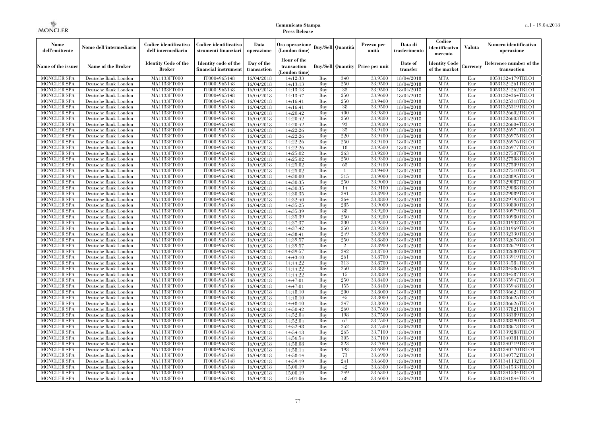| Nome<br>dell'emittente                   | Nome dell'intermediario                      | Codice identificativo<br>dell'intermediario  | Codice identificativo<br>strumenti finanziari | Data<br>operazione        | Ora operazione<br>(London time)             |            | <b>Buy/Sell Quantità</b> | Prezzo per<br>unità                     | Data di<br>trasferimento | Codice<br>identificativo<br>mercato   | Valuta     | Numero identificativo<br>operazione    |
|------------------------------------------|----------------------------------------------|----------------------------------------------|-----------------------------------------------|---------------------------|---------------------------------------------|------------|--------------------------|-----------------------------------------|--------------------------|---------------------------------------|------------|----------------------------------------|
| Name of the issuer                       | Name of the Broker                           | <b>Identity Code of the</b><br><b>Broker</b> | Identity code of the<br>financial instrument  | Day of the<br>transaction | Hour of the<br>transaction<br>(London time) |            |                          | <b>Buy/Sell Quantity Price per unit</b> | Date of<br>transfer      | <b>Identity Code</b><br>of the market | Currencv   | Reference number of the<br>transaction |
| <b>MONCLER SPA</b>                       | Deutsche Bank London                         | MA1133FT000                                  | IT0004965148                                  | 16/04/2018                | 14:12:33                                    | Buy        | 340                      | 33,9500                                 | 18/04/2018               | <b>MTA</b>                            | Eur        | 00531324179TRLO1                       |
| <b>MONCLER SPA</b>                       | Deutsche Bank London                         | MA1133FT000                                  | IT0004965148                                  | 16/04/2018                | 14:13:13                                    | Buy        | 250                      | 33,9500                                 | 18/04/2018               | <b>MTA</b>                            | Eur        | 00531324261TRLO1                       |
| <b>MONCLER SPA</b>                       | Deutsche Bank London                         | MA1133FT000                                  | IT0004965148                                  | 16/04/2018                | 14:13:13                                    | Buy        | 35                       | 33,9500                                 | 18/04/2018               | <b>MTA</b>                            | Eur        | 00531324262TRLO1                       |
| <b>MONCLER SPA</b>                       | Deutsche Bank London                         | <b>MA1133FT000</b>                           | IT0004965148                                  | 16/04/2018                | 14:13:47                                    | Buy        | 250                      | 33,9600                                 | 18/04/2018               | <b>MTA</b>                            | Eur        | 00531324364TRLO1                       |
| <b>MONCLER SPA</b>                       | Deutsche Bank London                         | <b>MA1133FT000</b>                           | IT0004965148                                  | 16/04/2018                | 14:16:41                                    | Buy        | 250<br>38                | 33,9400                                 | 18/04/2018               | <b>MTA</b><br><b>MTA</b>              | Eur        | 00531325318TRLO1                       |
| <b>MONCLER SPA</b><br><b>MONCLER SPA</b> | Deutsche Bank London<br>Deutsche Bank London | MA1133FT000<br>MA1133FT000                   | IT0004965148<br>IT0004965148                  | 16/04/2018                | 14:16:41<br>14:20:42                        | Buy<br>Buy | 400                      | 33,9500<br>33,9800                      | 18/04/2018               | <b>MTA</b>                            | Eur<br>Eur | 00531325319TRLO1<br>00531326602TRLO1   |
| <b>MONCLER SPA</b>                       | Deutsche Bank London                         | MA1133FT000                                  | IT0004965148                                  | 16/04/2018<br>16/04/2018  | 14:20:42                                    | Buy        | 250                      | 33,9800                                 | 18/04/2018<br>18/04/2018 | <b>MTA</b>                            | Eur        | 00531326603TRLO1                       |
| <b>MONCLER SPA</b>                       | Deutsche Bank London                         | <b>MA1133FT000</b>                           | IT0004965148                                  | 16/04/2018                | 14:20:42                                    | Buy        | 93                       | 33,9800                                 | 18/04/2018               | <b>MTA</b>                            | Eur        | 00531326604TRLO1                       |
| <b>MONCLER SPA</b>                       | Deutsche Bank London                         | MA1133FT000                                  | IT0004965148                                  | 16/04/2018                | 14:22:26                                    | Buy        | 35                       | 33,9400                                 | 18/04/2018               | <b>MTA</b>                            | Eur        | 00531326974TRLO1                       |
| <b>MONCLER SPA</b>                       | Deutsche Bank London                         | MA1133FT000                                  | IT0004965148                                  | 16/04/2018                | 14:22:26                                    | Buy        | 220                      | 33,9400                                 | 18/04/2018               | <b>MTA</b>                            | Eur        | 00531326975TRLO1                       |
| <b>MONCLER SPA</b>                       | Deutsche Bank London                         | MA1133FT000                                  | IT0004965148                                  | 16/04/2018                | 14:22:26                                    | Buy        | 250                      | 33,9400                                 | 18/04/2018               | <b>MTA</b>                            | Eur        | 00531326976TRLO1                       |
| <b>MONCLER SPA</b>                       | Deutsche Bank London                         | MA1133FT000                                  | IT0004965148                                  | 16/04/2018                | 14:22:26                                    | Buy        | 18                       | 33,9500                                 | 18/04/2018               | <b>MTA</b>                            | Eur        | 00531326977TRLO1                       |
| <b>MONCLER SPA</b>                       | Deutsche Bank London                         | <b>MA1133FT000</b>                           | IT0004965148                                  | 16/04/2018                | 14:25:02                                    | Buy        | 263                      | 33,9200                                 | 18/04/2018               | <b>MTA</b>                            | Eur        | 00531327507TRLO1                       |
| MONCLER SPA                              | Deutsche Bank London                         | MA1133FT000                                  | IT0004965148                                  | 16/04/2018                | 14:25:02                                    | Buy        | 250                      | 33,9300                                 | 18/04/2018               | <b>MTA</b>                            | Eur        | 00531327508TRLO1                       |
| <b>MONCLER SPA</b>                       | Deutsche Bank London                         | MA1133FT000                                  | IT0004965148                                  | 16/04/2018                | 14:25:02                                    | Buy        | 65                       | 33,9400                                 | 18/04/2018               | <b>MTA</b>                            | Eur        | 00531327509TRLO1                       |
| <b>MONCLER SPA</b>                       | Deutsche Bank London                         | MA1133FT000                                  | IT0004965148                                  | 16/04/2018                | 14:25:02                                    | Buy        | $\overline{1}$           | 33,9400                                 | 18/04/2018               | <b>MTA</b>                            | Eur        | 00531327510TRLO1                       |
| <b>MONCLER SPA</b>                       | Deutsche Bank London                         | <b>MA1133FT000</b>                           | IT0004965148                                  | 16/04/2018                | 14:30:00                                    | Buy        | 515                      | 33,9000                                 | 18/04/2018               | <b>MTA</b>                            | Eur        | 00531328895TRLO1                       |
| <b>MONCLER SPA</b>                       | Deutsche Bank London                         | MA1133FT000                                  | IT0004965148                                  | 16/04/2018                | 14:30:35                                    | Buy        | 250                      | 33,9000                                 | 18/04/2018               | <b>MTA</b>                            | Eur        | 00531329087TRLO1                       |
| <b>MONCLER SPA</b>                       | Deutsche Bank London                         | <b>MA1133FT000</b>                           | IT0004965148                                  | 16/04/2018                | 14:30:35                                    | Buy        | 14                       | 33.9100                                 | 18/04/2018               | <b>MTA</b>                            | Eur        | 00531329088TRLO1                       |
| <b>MONCLER SPA</b>                       | Deutsche Bank London                         | MA1133FT000                                  | IT0004965148                                  | 16/04/2018                | 14:30:35                                    | Buy        | 241                      | 33,8900                                 | 18/04/2018               | <b>MTA</b>                            | Eur        | 00531329089TRLO1                       |
| <b>MONCLER SPA</b>                       | Deutsche Bank London                         | MA1133FT000                                  | IT0004965148                                  | 16/04/2018                | 14:32:40                                    | Buy        | 264                      | 33,8800                                 | 18/04/2018               | <b>MTA</b>                            | Eur        | 00531329793TRLO1                       |
| MONCLER SPA                              | Deutsche Bank London                         | <b>MA1133FT000</b>                           | IT0004965148                                  | 16/04/2018                | 14:35:25                                    | Buy        | 285                      | 33,9000                                 | 18/04/2018               | <b>MTA</b>                            | Eur        | 00531330800TRLO1                       |
| <b>MONCLER SPA</b>                       | Deutsche Bank London                         | MA1133FT000                                  | IT0004965148                                  | 16/04/2018                | 14:35:39                                    | Buy        | 88                       | 33,9200                                 | 18/04/2018               | <b>MTA</b>                            | Eur        | 00531330979TRLO1                       |
| <b>MONCLER SPA</b>                       | Deutsche Bank London                         | MA1133FT000<br><b>MA1133FT000</b>            | IT0004965148<br>IT0004965148                  | 16/04/2018                | 14:35:39                                    | Buy<br>Buy | 250<br>330               | 33,9200<br>33,9300                      | 18/04/2018               | <b>MTA</b><br><b>MTA</b>              | Eur<br>Eur | 00531330980TRLO1<br>00531331932TRLO1   |
| <b>MONCLER SPA</b><br><b>MONCLER SPA</b> | Deutsche Bank London<br>Deutsche Bank London | MA1133FT000                                  | IT0004965148                                  | 16/04/2018<br>16/04/2018  | 14:37:37<br>14:37:42                        | Buy        | 250                      | 33,9200                                 | 18/04/2018<br>18/04/2018 | <b>MTA</b>                            | Eur        | 00531331969TRLO1                       |
| <b>MONCLER SPA</b>                       | Deutsche Bank London                         | MA1133FT000                                  | IT0004965148                                  | 16/04/2018                | 14:38:41                                    | Buy        | 249                      | 33,8900                                 | 18/04/2018               | <b>MTA</b>                            | Eur        | 00531332330TRLO1                       |
| MONCLER SPA                              | Deutsche Bank London                         | <b>MA1133FT000</b>                           | IT0004965148                                  | 16/04/2018                | 14:39:57                                    | Buv        | 250                      | 33,8800                                 | 18/04/2018               | <b>MTA</b>                            | Eur        | 00531332678TRLO1                       |
| <b>MONCLER SPA</b>                       | Deutsche Bank London                         | MA1133FT000                                  | IT0004965148                                  | 16/04/2018                | 14:39:57                                    | Buy        | $\overline{2}$           | 33,8900                                 | 18/04/2018               | <b>MTA</b>                            | Eur        | 00531332679TRLO1                       |
| <b>MONCLER SPA</b>                       | Deutsche Bank London                         | MA1133FT000                                  | IT0004965148                                  | 16/04/2018                | 14:39:57                                    | Buy        | 242                      | 33,8700                                 | 18/04/2018               | <b>MTA</b>                            | Eur        | 00531332680TRLO1                       |
| <b>MONCLER SPA</b>                       | Deutsche Bank London                         | MA1133FT000                                  | IT0004965148                                  | 16/04/2018                | 14:43:10                                    | Buy        | 261                      | 33,8700                                 | 18/04/2018               | <b>MTA</b>                            | Eur        | 00531333919TRLO1                       |
| MONCLER SPA                              | Deutsche Bank London                         | <b>MA1133FT000</b>                           | IT0004965148                                  | 16/04/2018                | 14:44:22                                    | Buy        | 313                      | 33,8700                                 | 18/04/2018               | <b>MTA</b>                            | Eur        | 00531334584TRLO1                       |
| <b>MONCLER SPA</b>                       | Deutsche Bank London                         | MA1133FT000                                  | IT0004965148                                  | 16/04/2018                | 14:44:22                                    | Buy        | 250                      | 33,8800                                 | 18/04/2018               | <b>MTA</b>                            | Eur        | 00531334586TRLO1                       |
| <b>MONCLER SPA</b>                       | Deutsche Bank London                         | MA1133FT000                                  | IT0004965148                                  | 16/04/2018                | 14:44:22                                    | Buy        | 15                       | 33,8800                                 | 18/04/2018               | <b>MTA</b>                            | Eur        | 00531334587TRLO1                       |
| <b>MONCLER SPA</b>                       | Deutsche Bank London                         | <b>MA1133FT000</b>                           | IT0004965148                                  | 16/04/2018                | 14:47:01                                    | Buy        | 250                      | 33,8400                                 | 18/04/2018               | <b>MTA</b>                            | Eur        | 00531335947TRLO1                       |
| <b>MONCLER SPA</b>                       | Deutsche Bank London                         | MA1133FT000                                  | IT0004965148                                  | 16/04/2018                | 14:47:01                                    | Buy        | 155                      | 33,8400                                 | 18/04/2018               | <b>MTA</b>                            | Eur        | 00531335948TRLO1                       |
| <b>MONCLER SPA</b>                       | Deutsche Bank London                         | MA1133FT000                                  | IT0004965148                                  | 16/04/2018                | 14:48:10                                    | Buy        | 200                      | 33,8000                                 | 18/04/2018               | <b>MTA</b>                            | Eur        | 00531336624TRLO1                       |
| <b>MONCLER SPA</b>                       | Deutsche Bank London                         | MA1133FT000                                  | IT0004965148                                  | 16/04/2018                | 14:48:10                                    | Buy        | 45                       | 33,8000                                 | 18/04/2018               | <b>MTA</b>                            | Eur        | 00531336625TRLO1                       |
| <b>MONCLER SPA</b>                       | Deutsche Bank London                         | MA1133FT000                                  | IT0004965148                                  | 16/04/2018                | 14:48:10                                    | Buy        | 247                      | 33,8000                                 | 18/04/2018               | <b>MTA</b>                            | Eur        | 00531336626TRLO1                       |
| <b>MONCLER SPA</b>                       | Deutsche Bank London                         | MA1133FT000                                  | IT0004965148                                  | 16/04/2018                | 14:50:42                                    | Buy        | 260                      | 33,7600                                 | 18/04/2018               | <b>MTA</b>                            | Eur        | 00531337821TRLO1                       |
| <b>MONCLER SPA</b>                       | Deutsche Bank London                         | MA1133FT000                                  | IT0004965148                                  | 16/04/2018                | 14:52:04                                    | Buy        | 198                      | 33,7500                                 | 18/04/2018               | <b>MTA</b>                            | Eur        | 00531338389TRLO1                       |
| <b>MONCLER SPA</b>                       | Deutsche Bank London                         | MA1133FT000                                  | IT0004965148                                  | 16/04/2018                | 14:52:04                                    | Buy        | 67                       | 33,7500                                 | 18/04/2018               | <b>MTA</b>                            | Eur        | 00531338390TRLO1                       |
| <b>MONCLER SPA</b>                       | Deutsche Bank London                         | MA1133FT000                                  | IT0004965148                                  | 16/04/2018                | 14:52:48                                    | Buy        | 252                      | 33,7500                                 | 18/04/2018               | <b>MTA</b>                            | Eur        | 00531338673TRLO1                       |
| <b>MONCLER SPA</b>                       | Deutsche Bank London                         | MA1133FT000                                  | IT0004965148                                  | 16/04/2018                | 14:54:13                                    | Buy        | 265                      | 33,7100                                 | 18/04/2018               | <b>MTA</b>                            | Eur        | 00531339288TRLO1                       |
| <b>MONCLER SPA</b><br><b>MONCLER SPA</b> | Deutsche Bank London<br>Deutsche Bank London | MA1133FT000<br>MA1133FT000                   | IT0004965148<br>IT0004965148                  | 16/04/2018<br>16/04/2018  | 14:56:54<br>14:58:08                        | Buy<br>Buy | 305<br>323               | 33,7100<br>33,7000                      | 18/04/2018<br>18/04/2018 | <b>MTA</b><br><b>MTA</b>              | Eur<br>Eur | 00531340381TRLO1<br>00531340719TRLO1   |
| <b>MONCLER SPA</b>                       | Deutsche Bank London                         | MA1133FT000                                  | IT0004965148                                  | 16/04/2018                | 14:58:14                                    | Buy        | 193                      | 33,6900                                 | 18/04/2018               | <b>MTA</b>                            | Eur        | 00531340770TRLO1                       |
| <b>MONCLER SPA</b>                       | Deutsche Bank London                         | MA1133FT000                                  | IT0004965148                                  | 16/04/2018                | 14:58:14                                    | Buy        | 73                       | 33,6900                                 | 18/04/2018               | <b>MTA</b>                            | Eur        | 00531340772TRLO1                       |
| <b>MONCLER SPA</b>                       | Deutsche Bank London                         | MA1133FT000                                  | IT0004965148                                  | 16/04/2018                | 14:59:19                                    | Buy        | 241                      | 33,6600                                 | 18/04/2018               | <b>MTA</b>                            | Eur        | 00531341132TRLO1                       |
| <b>MONCLER SPA</b>                       | Deutsche Bank London                         | MA1133FT000                                  | IT0004965148                                  | 16/04/2018                | 15:00:19                                    | Buy        | 42                       | 33,6300                                 | 18/04/2018               | <b>MTA</b>                            | Eur        | 00531341533TRLO1                       |
| <b>MONCLER SPA</b>                       | Deutsche Bank London                         | <b>MA1133FT000</b>                           | IT0004965148                                  | 16/04/2018                | 15:00:19                                    | Buy        | 249                      | 33,6300                                 | 18/04/2018               | <b>MTA</b>                            | Eur        | 00531341534TRLO1                       |
| <b>MONCLER SPA</b>                       | Deutsche Bank London                         | MA1133FT000                                  | IT0004965148                                  | 16/04/2018                | 15:01:06                                    | Buy        | 68                       | 33,6000                                 | 18/04/2018               | <b>MTA</b>                            | Eur        | 00531341844TRLO1                       |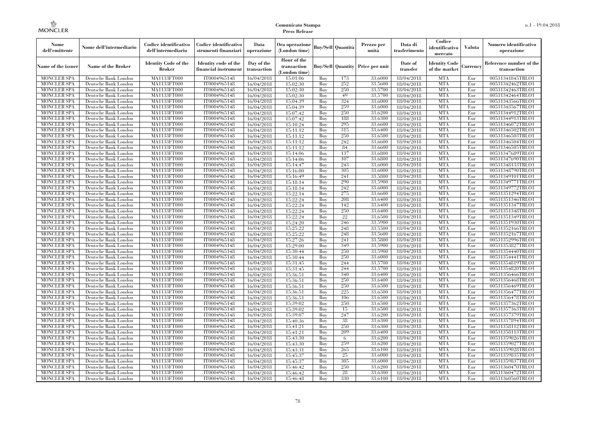| Nome<br>dell'emittente                   | Nome dell'intermediario                      | Codice identificativo<br>dell'intermediario  | Codice identificativo<br>strumenti finanziari | Data<br>operazione        | Ora operazione<br>(London time)             |            | Buv/Sell   Quantità      | Prezzo per<br>unità | Data di<br>trasferimento | Codice<br>identificativo<br>mercato   | <b>Valuta</b> | Numero identificativo<br>operazione    |
|------------------------------------------|----------------------------------------------|----------------------------------------------|-----------------------------------------------|---------------------------|---------------------------------------------|------------|--------------------------|---------------------|--------------------------|---------------------------------------|---------------|----------------------------------------|
| Name of the issuer                       | Name of the Broker                           | <b>Identity Code of the</b><br><b>Broker</b> | Identity code of the<br>financial instrument  | Day of the<br>transaction | Hour of the<br>transaction<br>(London time) |            | <b>Buy/Sell Quantity</b> | Price per unit      | Date of<br>transfer      | <b>Identity Code</b><br>of the market | Currencv      | Reference number of the<br>transaction |
| <b>MONCLER SPA</b>                       | Deutsche Bank London                         | MA1133FT000                                  | IT0004965148                                  | 16/04/2018                | 15:01:06                                    | Buy        | 173                      | 33,6000             | 18/04/2018               | <b>MTA</b>                            | Eur           | 00531341845TRLO1                       |
| <b>MONCLER SPA</b>                       | Deutsche Bank London                         | <b>MA1133FT000</b>                           | IT0004965148                                  | 16/04/2018                | 15:02:30                                    | Buy        | 252                      | 33,5600             | 18/04/2018               | <b>MTA</b>                            | Eur           | 00531342462TRLO1                       |
| <b>MONCLER SPA</b>                       | Deutsche Bank London                         | MA1133FT000                                  | IT0004965148                                  | 16/04/2018                | 15:02:30                                    | Buv        | 250                      | 33,5700             | 18/04/2018               | <b>MTA</b>                            | Eur           | 00531342463TRLO1                       |
| <b>MONCLER SPA</b>                       | Deutsche Bank London                         | MA1133FT000                                  | IT0004965148                                  | 16/04/2018                | 15:02:30                                    | Buy        | 49                       | 33,5700             | 18/04/2018               | <b>MTA</b>                            | Eur           | 00531342464TRLO1                       |
| <b>MONCLER SPA</b>                       | Deutsche Bank London                         | MA1133FT000                                  | IT0004965148                                  | 16/04/2018                | 15:04:39                                    | Buy        | 324                      | 33,6000             | 18/04/2018               | <b>MTA</b>                            | Eur           | 00531343566TRLO1                       |
| <b>MONCLER SPA</b><br><b>MONCLER SPA</b> | Deutsche Bank London                         | <b>MA1133FT000</b><br>MA1133FT000            | IT0004965148                                  | 16/04/2018                | 15:04:39                                    | Buy        | 259<br>250               | 33,6000<br>33,6200  | 18/04/2018               | <b>MTA</b><br><b>MTA</b>              | Eur           | 00531343567TRLO1                       |
| <b>MONCLER SPA</b>                       | Deutsche Bank London<br>Deutsche Bank London | MA1133FT000                                  | IT0004965148<br>IT0004965148                  | 16/04/2018<br>16/04/2018  | 15:07:42<br>15:07:42                        | Buy<br>Buv | 188                      | 33.6300             | 18/04/2018<br>18/04/2018 | <b>MTA</b>                            | Eur<br>Eur    | 00531344912TRLO1<br>00531344913TRLO1   |
| <b>MONCLER SPA</b>                       | Deutsche Bank London                         | MA1133FT000                                  | IT0004965148                                  | 16/04/2018                | 15:10:24                                    | Buy        | 295                      | 33,6600             | 18/04/2018               | <b>MTA</b>                            | Eur           | 00531346072TRLO1                       |
| <b>MONCLER SPA</b>                       | Deutsche Bank London                         | <b>MA1133FT000</b>                           | IT0004965148                                  | 16/04/2018                | 15:11:12                                    | Buy        | 315                      | 33,6400             | 18/04/2018               | <b>MTA</b>                            | Eur           | 00531346502TRLO1                       |
| <b>MONCLER SPA</b>                       | Deutsche Bank London                         | MA1133FT000                                  | IT0004965148                                  | 16/04/2018                | 15:11:12                                    | Buy        | 250                      | 33,6500             | 18/04/2018               | <b>MTA</b>                            | Eur           | 00531346503TRLO1                       |
| <b>MONCLER SPA</b>                       | Deutsche Bank London                         | MA1133FT000                                  | IT0004965148                                  | 16/04/2018                | 15:11:12                                    | Buy        | 242                      | 33,6600             | 18/04/2018               | <b>MTA</b>                            | Eur           | 00531346504TRLO1                       |
| <b>MONCLER SPA</b>                       | Deutsche Bank London                         | MA1133FT000                                  | IT0004965148                                  | 16/04/2018                | 15:11:12                                    | Buy        | 84                       | 33,6600             | 18/04/2018               | <b>MTA</b>                            | Eur           | 00531346505TRLO1                       |
| <b>MONCLER SPA</b>                       | Deutsche Bank London                         | MA1133FT000                                  | IT0004965148                                  | 16/04/2018                | 15:14:06                                    | Buy        | 137                      | 33,6800             | 18/04/2018               | <b>MTA</b>                            | Eur           | 00531347689TRLO1                       |
| <b>MONCLER SPA</b>                       | Deutsche Bank London                         | MA1133FT000                                  | IT0004965148                                  | 16/04/2018                | 15:14:06                                    | Buy        | 107                      | 33,6800             | 18/04/2018               | <b>MTA</b>                            | Eur           | 00531347690TRLO1                       |
| <b>MONCLER SPA</b>                       | Deutsche Bank London                         | MA1133FT000                                  | IT0004965148                                  | 16/04/2018                | 15:14:47                                    | Buy        | 243                      | 33,6000             | 18/04/2018               | <b>MTA</b>                            | Eur           | 00531348133TRLO1                       |
| <b>MONCLER SPA</b>                       | Deutsche Bank London                         | MA1133FT000                                  | IT0004965148                                  | 16/04/2018                | 15:16:00                                    | Buy        | 305                      | 33,6000             | 18/04/2018               | <b>MTA</b>                            | Eur           | 00531348790TRLO1                       |
| <b>MONCLER SPA</b>                       | Deutsche Bank London                         | MA1133FT000                                  | IT0004965148                                  | 16/04/2018                | 15:16:49                                    | Buy        | 241                      | 33,5800             | 18/04/2018               | <b>MTA</b>                            | Eur           | 00531349101TRLO1                       |
| <b>MONCLER SPA</b>                       | Deutsche Bank London                         | MA1133FT000                                  | IT0004965148                                  | 16/04/2018                | 15:18:14                                    | Buy        | 290                      | 33,5900             | 18/04/2018               | <b>MTA</b>                            | Eur           | 00531349771TRLO1                       |
| <b>MONCLER SPA</b>                       | Deutsche Bank London                         | MA1133FT000                                  | IT0004965148                                  | 16/04/2018                | 15:18:14                                    | Buy        | 242                      | 33,6000             | 18/04/2018               | <b>MTA</b>                            | Eur           | 00531349772TRLO1                       |
| <b>MONCLER SPA</b>                       | Deutsche Bank London                         | MA1133FT000                                  | IT0004965148                                  | 16/04/2018                | 15:22:14                                    | Buy        | 275                      | 33,6600             | 18/04/2018               | <b>MTA</b>                            | Eur           | 00531351294TRLO1                       |
| <b>MONCLER SPA</b>                       | Deutsche Bank London                         | MA1133FT000                                  | IT0004965148                                  | 16/04/2018                | 15:22:24                                    | Buy        | 208                      | 33,6400             | 18/04/2018               | <b>MTA</b>                            | Eur           | 00531351346TRLO1                       |
| <b>MONCLER SPA</b>                       | Deutsche Bank London                         | MA1133FT000                                  | IT0004965148                                  | 16/04/2018                | 15:22:24                                    | Buy        | 142                      | 33,6400             | 18/04/2018               | <b>MTA</b>                            | Eur           | 00531351347TRLO1                       |
| <b>MONCLER SPA</b>                       | Deutsche Bank London                         | MA1133FT000                                  | IT0004965148                                  | 16/04/2018                | 15:22:24                                    | Buy        | 250                      | 33,6400             | 18/04/2018               | <b>MTA</b>                            | Eur           | 00531351348TRLO1                       |
| <b>MONCLER SPA</b><br><b>MONCLER SPA</b> | Deutsche Bank London<br>Deutsche Bank London | MA1133FT000<br>MA1133FT000                   | IT0004965148<br>IT0004965148                  | 16/04/2018<br>16/04/2018  | 15:22:24<br>15:24:20                        | Buy<br>Buy | 22<br>246                | 33,6500<br>33,5900  | 18/04/2018<br>18/04/2018 | <b>MTA</b><br><b>MTA</b>              | Eur<br>Eur    | 00531351349TRLO1<br>00531351930TRLO1   |
| <b>MONCLER SPA</b>                       | Deutsche Bank London                         | MA1133FT000                                  | IT0004965148                                  | 16/04/2018                | 15:25:22                                    | Buy        | 248                      | 33,5500             | 18/04/2018               | <b>MTA</b>                            | Eur           | 00531352166TRLO1                       |
| <b>MONCLER SPA</b>                       | Deutsche Bank London                         | MA1133FT000                                  | IT0004965148                                  | 16/04/2018                | 15:25:22                                    | Buy        | 248                      | 33,5600             | 18/04/2018               | <b>MTA</b>                            | Eur           | 00531352167TRLO1                       |
| <b>MONCLER SPA</b>                       | Deutsche Bank London                         | MA1133FT000                                  | IT0004965148                                  | 16/04/2018                | 15:27:26                                    | Buy        | 241                      | 33,5800             | 18/04/2018               | <b>MTA</b>                            | Eur           | 00531352996TRLO1                       |
| <b>MONCLER SPA</b>                       | Deutsche Bank London                         | <b>MA1133FT000</b>                           | IT0004965148                                  | 16/04/2018                | 15:29:00                                    | Buy        | 349                      | 33,5900             | 18/04/2018               | <b>MTA</b>                            | Eur           | 00531353827TRLO1                       |
| MONCLER SPA                              | Deutsche Bank London                         | MA1133FT000                                  | IT0004965148                                  | 16/04/2018                | 15:30:44                                    | Buy        | 250                      | 33,5900             | 18/04/2018               | <b>MTA</b>                            | Eur           | 00531354440TRLO1                       |
| <b>MONCLER SPA</b>                       | Deutsche Bank London                         | MA1133FT000                                  | IT0004965148                                  | 16/04/2018                | 15:30:44                                    | Buy        | 250                      | 33,6000             | 18/04/2018               | <b>MTA</b>                            | Eur           | 00531354441TRLO1                       |
| <b>MONCLER SPA</b>                       | Deutsche Bank London                         | MA1133FT000                                  | IT0004965148                                  | 16/04/2018                | 15:31:45                                    | Buy        | 244                      | 33,5700             | 18/04/2018               | <b>MTA</b>                            | Eur           | 00531354819TRLO1                       |
| <b>MONCLER SPA</b>                       | Deutsche Bank London                         | MA1133FT000                                  | IT0004965148                                  | 16/04/2018                | 15:31:45                                    | Buy        | 244                      | 33,5700             | 18/04/2018               | <b>MTA</b>                            | Eur           | 00531354820TRLO1                       |
| <b>MONCLER SPA</b>                       | Deutsche Bank London                         | MA1133FT000                                  | IT0004965148                                  | 16/04/2018                | 15:36:51                                    | Buy        | 340                      | 33,6400             | 18/04/2018               | <b>MTA</b>                            | Eur           | 00531356466TRLO1                       |
| <b>MONCLER SPA</b>                       | Deutsche Bank London                         | MA1133FT000                                  | IT0004965148                                  | 16/04/2018                | 15:36:51                                    | Buy        | 250                      | 33,6400             | 18/04/2018               | <b>MTA</b>                            | Eur           | 00531356468TRLO1                       |
| <b>MONCLER SPA</b>                       | Deutsche Bank London                         | MA1133FT000                                  | IT0004965148                                  | 16/04/2018                | 15:36:51                                    | Buy        | 250                      | 33.6500             | 18/04/2018               | <b>MTA</b>                            | Eur           | 00531356469TRLO1                       |
| <b>MONCLER SPA</b>                       | Deutsche Bank London                         | <b>MA1133FT000</b>                           | IT0004965148                                  | 16/04/2018                | 15:36:51                                    | Buy        | 225                      | 33,6500             | 18/04/2018               | <b>MTA</b>                            | Eur           | 00531356477TRLO1                       |
| <b>MONCLER SPA</b>                       | Deutsche Bank London                         | MA1133FT000                                  | IT0004965148                                  | 16/04/2018                | 15:36:51                                    | Buy        | 106                      | 33,6500             | 18/04/2018               | <b>MTA</b>                            | Eur           | 00531356478TRLO1                       |
| <b>MONCLER SPA</b>                       | Deutsche Bank London                         | MA1133FT000                                  | IT0004965148                                  | 16/04/2018                | 15:39:02                                    | Buy        | 250                      | 33,6500             | 18/04/2018               | <b>MTA</b>                            | Eur           | 00531357362TRLO1                       |
| <b>MONCLER SPA</b>                       | Deutsche Bank London                         | MA1133FT000                                  | IT0004965148                                  | 16/04/2018                | 15:39:02                                    | Buy        | 15                       | 33,6500             | 18/04/2018               | <b>MTA</b>                            | Eur           | 00531357363TRLO1                       |
| <b>MONCLER SPA</b>                       | Deutsche Bank London                         | MA1133FT000                                  | IT0004965148                                  | 16/04/2018                | 15:39:07                                    | Buy        | 247                      | 33,6200             | 18/04/2018               | <b>MTA</b>                            | Eur           | 00531357379TRLO1                       |
| <b>MONCLER SPA</b>                       | Deutsche Bank London                         | MA1133FT000                                  | IT0004965148                                  | 16/04/2018                | 15:40:36                                    | Buy        | 38<br>250                | 33,6300             | 18/04/2018               | <b>MTA</b>                            | Eur           | 00531357894TRLO1                       |
| <b>MONCLER SPA</b>                       | Deutsche Bank London                         | MA1133FT000<br>MA1133FT000                   | IT0004965148<br>IT0004965148                  | 16/04/2018                | 15:41:21                                    | Buy<br>Buy | 209                      | 33,6300<br>33,6400  | 18/04/2018               | <b>MTA</b><br><b>MTA</b>              | Eur<br>Eur    | 00531358112TRLO1<br>00531358113TRLO1   |
| <b>MONCLER SPA</b><br><b>MONCLER SPA</b> | Deutsche Bank London<br>Deutsche Bank London | MA1133FT000                                  | IT0004965148                                  | 16/04/2018<br>16/04/2018  | 15:41:21<br>15:43:30                        | Buy        | 6                        | 33,6200             | 18/04/2018<br>18/04/2018 | <b>MTA</b>                            | Eur           | 00531359026TRLO1                       |
| <b>MONCLER SPA</b>                       | Deutsche Bank London                         | MA1133FT000                                  | IT0004965148                                  | 16/04/2018                | 15:43:30                                    | Buy        | 259                      | 33,6200             | 18/04/2018               | <b>MTA</b>                            | Eur           | 00531359027TRLO1                       |
| <b>MONCLER SPA</b>                       | Deutsche Bank London                         | MA1133FT000                                  | IT0004965148                                  | 16/04/2018                | 15:43:31                                    | Buy        | 265                      | 33,6100             | 18/04/2018               | <b>MTA</b>                            | Eur           | 00531359028TRLO1                       |
| <b>MONCLER SPA</b>                       | Deutsche Bank London                         | MA1133FT000                                  | IT0004965148                                  | 16/04/2018                | 15:45:37                                    | Buy        | 25                       | 33,6000             | 18/04/2018               | <b>MTA</b>                            | Eur           | 00531359835TRLO1                       |
| <b>MONCLER SPA</b>                       | Deutsche Bank London                         | MA1133FT000                                  | IT0004965148                                  | 16/04/2018                | 15:45:37                                    | Buy        | 305                      | 33,6000             | 18/04/2018               | <b>MTA</b>                            | Eur           | 00531359837TRLO1                       |
| <b>MONCLER SPA</b>                       | Deutsche Bank London                         | MA1133FT000                                  | IT0004965148                                  | 16/04/2018                | 15:46:42                                    | Buy        | 250                      | 33,6200             | 18/04/2018               | <b>MTA</b>                            | Eur           | 00531360470TRLO1                       |
| <b>MONCLER SPA</b>                       | Deutsche Bank London                         | <b>MA1133FT000</b>                           | IT0004965148                                  | 16/04/2018                | 15:46:42                                    | Buy        | 28                       | 33,6300             | 18/04/2018               | <b>MTA</b>                            | Eur           | 00531360472TRLO1                       |
| <b>MONCLER SPA</b>                       | Deutsche Bank London                         | MA1133FT000                                  | IT0004965148                                  | 16/04/2018                | 15:46:48                                    | Buy        | 330                      | 33,6100             | 18/04/2018               | <b>MTA</b>                            | Eur           | 00531360560TRLO1                       |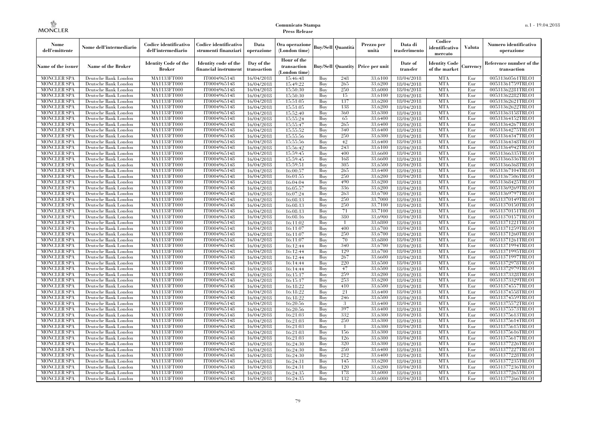| Hour of the<br><b>Identity Code of the</b><br>Identity code of the<br>Day of the<br>Date of<br>Identity Code<br>Reference number of the<br><b>Name of the Broker</b><br><b>Buy/Sell Quantity Price per unit</b><br>Name of the issuer<br>transaction<br>Currency<br><b>Broker</b><br>of the market<br>financial instrument<br>transaction<br>transfer<br>transaction<br>(London time)<br>MA1133FT000<br><b>MTA</b><br><b>MONCLER SPA</b><br>IT0004965148<br>16/04/2018<br>248<br>33,6100<br>18/04/2018<br>Eur<br>00531360561TRLO1<br>Deutsche Bank London<br>15:46:48<br>Buy<br>MA1133FT000<br>IT0004965148<br>15:49:22<br>265<br>33,6200<br><b>MTA</b><br>00531361759TRLO1<br><b>MONCLER SPA</b><br>Deutsche Bank London<br>16/04/2018<br>Buy<br>18/04/2018<br>Eur<br>IT0004965148<br>250<br>33,6000<br><b>MTA</b><br>00531362281TRLO1<br><b>MONCLER SPA</b><br>Deutsche Bank London<br><b>MA1133FT000</b><br>16/04/2018<br>15:50:30<br>Buy<br>18/04/2018<br>Eur<br><b>MONCLER SPA</b><br>MA1133FT000<br>IT0004965148<br>15<br>33,6100<br><b>MTA</b><br>00531362282TRLO1<br>Deutsche Bank London<br>16/04/2018<br>15:50:30<br>Buy<br>18/04/2018<br>Eur<br><b>MTA</b><br>Deutsche Bank London<br>MA1133FT000<br>IT0004965148<br>15:51:05<br>Buy<br>137<br>33,6200<br>Eur<br>00531362621TRLO1<br><b>MONCLER SPA</b><br>16/04/2018<br>18/04/2018<br><b>MA1133FT000</b><br>IT0004965148<br>138<br>33,6200<br><b>MTA</b><br>00531362622TRLO1<br><b>MONCLER SPA</b><br>Deutsche Bank London<br>16/04/2018<br>15:51:05<br>Buy<br>18/04/2018<br>Eur<br>IT0004965148<br>360<br>33,6300<br><b>MTA</b><br><b>MONCLER SPA</b><br>Deutsche Bank London<br><b>MA1133FT000</b><br>16/04/2018<br>15:52:40<br>Buy<br>18/04/2018<br>Eur<br>00531363158TRLO1<br><b>MONCLER SPA</b><br>Deutsche Bank London<br>MA1133FT000<br>IT0004965148<br>16/04/2018<br>15:55:24<br>Buy<br>65<br>33.6400<br>18/04/2018<br><b>MTA</b><br>Eur<br>00531364152TRLO1<br><b>MONCLER SPA</b><br>MA1133FT000<br>IT0004965148<br>15:55:47<br>265<br>33,6400<br><b>MTA</b><br>00531364267TRLO1<br>Deutsche Bank London<br>16/04/2018<br>Buy<br>18/04/2018<br>Eur<br><b>MONCLER SPA</b><br><b>MA1133FT000</b><br>IT0004965148<br>340<br>33,6400<br><b>MTA</b><br>00531364275TRLO1<br>Deutsche Bank London<br>16/04/2018<br>15:55:52<br>Buy<br>18/04/2018<br>Eur<br>IT0004965148<br>250<br>33,6300<br><b>MTA</b><br><b>MONCLER SPA</b><br>Deutsche Bank London<br><b>MA1133FT000</b><br>16/04/2018<br>15:55:56<br>Buy<br>18/04/2018<br>Eur<br>00531364347TRLO1<br>IT0004965148<br>42<br><b>MONCLER SPA</b><br>Deutsche Bank London<br><b>MA1133FT000</b><br>16/04/2018<br>15:55:56<br>Buy<br>33,6400<br>18/04/2018<br><b>MTA</b><br>Eur<br>00531364348TRLO1<br><b>MONCLER SPA</b><br>MA1133FT000<br>IT0004965148<br>243<br>33,6100<br><b>MTA</b><br>00531364942TRLO1<br>Deutsche Bank London<br>16/04/2018<br>15:56:42<br>Buy<br>18/04/2018<br>Eur<br><b>MA1133FT000</b><br>IT0004965148<br>400<br>33,6600<br><b>MTA</b><br>00531366335TRLO1<br><b>MONCLER SPA</b><br>Deutsche Bank London<br>16/04/2018<br>15:59:45<br>Buy<br>18/04/2018<br>Eur<br>IT0004965148<br>33,6600<br><b>MTA</b><br><b>MONCLER SPA</b><br>Deutsche Bank London<br><b>MA1133FT000</b><br>16/04/2018<br>15:59:45<br>Buy<br>168<br>18/04/2018<br>Eur<br>00531366336TRLO1<br><b>MONCLER SPA</b><br>Deutsche Bank London<br><b>MA1133FT000</b><br>IT0004965148<br>16/04/2018<br>15:59:51<br>Buy<br>305<br>33,6500<br>18/04/2018<br><b>MTA</b><br>Eur<br>00531366368TRLO1<br><b>MONCLER SPA</b><br>MA1133FT000<br>IT0004965148<br>265<br>33,6400<br><b>MTA</b><br>Deutsche Bank London<br>16/04/2018<br>16:00:57<br>Buy<br>18/04/2018<br>Eur<br>00531367104TRLO1<br>MA1133FT000<br>IT0004965148<br>250<br>33,6200<br><b>MTA</b><br><b>MONCLER SPA</b><br>Deutsche Bank London<br>16/04/2018<br>16:01:55<br>Buy<br>18/04/2018<br>Eur<br>00531367506TRLO1<br>IT0004965148<br>490<br><b>MTA</b><br>MONCLER SPA<br>Deutsche Bank London<br><b>MA1133FT000</b><br>16/04/2018<br>16:04:04<br>Buy<br>33,6200<br>18/04/2018<br>Eur<br>00531368425TRLO1<br><b>MONCLER SPA</b><br>Deutsche Bank London<br>MA1133FT000<br>IT0004965148<br>16:05:57<br>Buy<br>336<br>33,6200<br>18/04/2018<br><b>MTA</b><br>Eur<br>00531369269TRLO1<br>16/04/2018<br>MA1133FT000<br>IT0004965148<br>263<br>33,6700<br><b>MTA</b><br>Eur<br><b>MONCLER SPA</b><br>Deutsche Bank London<br>16/04/2018<br>16:07:24<br>Buy<br>18/04/2018<br>00531369797TRLO1<br>MA1133FT000<br>IT0004965148<br>250<br>33,7000<br><b>MTA</b><br>00531370149TRLO1<br>MONCLER SPA<br>Deutsche Bank London<br>16/04/2018<br>16:08:13<br>Buy<br>18/04/2018<br>Eur<br>IT0004965148<br>250<br><b>MONCLER SPA</b><br>Deutsche Bank London<br><b>MA1133FT000</b><br>16/04/2018<br>16:08:13<br>Buy<br>33,7100<br>18/04/2018<br>MTA<br>Eur<br>00531370150TRLO1<br>71<br><b>MONCLER SPA</b><br>Deutsche Bank London<br>MA1133FT000<br>IT0004965148<br>16:08:13<br>Buy<br>33,7100<br>18/04/2018<br><b>MTA</b><br>Eur<br>00531370151TRLO1<br>16/04/2018<br>IT0004965148<br>380<br><b>MTA</b><br><b>MONCLER SPA</b><br>Deutsche Bank London<br>MA1133FT000<br>16/04/2018<br>16:08:16<br>Buy<br>33,6900<br>18/04/2018<br>Eur<br>00531370157TRLO1<br>IT0004965148<br>33,6800<br><b>MTA</b><br><b>MONCLER SPA</b><br>Deutsche Bank London<br><b>MA1133FT000</b><br>16/04/2018<br>16:11:02<br>Buy<br>18/04/2018<br>Eur<br>00531371221TRLO1<br>IT0004965148<br><b>MONCLER SPA</b><br>Deutsche Bank London<br><b>MA1133FT000</b><br>16/04/2018<br>16:11:07<br>Buy<br>400<br>33,6700<br>18/04/2018<br>MTA<br>Eur<br>00531371259TRLO1<br>IT0004965148<br>250<br><b>MONCLER SPA</b><br>Deutsche Bank London<br>MA1133FT000<br>16/04/2018<br>16:11:07<br>Buy<br>33,6700<br>18/04/2018<br><b>MTA</b><br>Eur<br>00531371260TRLO1<br>IT0004965148<br>70<br><b>MTA</b><br><b>MONCLER SPA</b><br>Deutsche Bank London<br>MA1133FT000<br>16:11:07<br>Buy<br>33,6800<br>18/04/2018<br>Eur<br>00531371261TRLO1<br>16/04/2018<br>IT0004965148<br>340<br><b>MTA</b><br><b>MONCLER SPA</b><br>Deutsche Bank London<br><b>MA1133FT000</b><br>16/04/2018<br>16:12:44<br>Buy<br>33,6700<br>18/04/2018<br>Eur<br>00531371994TRLO1<br>IT0004965148<br>129<br><b>MTA</b><br>MONCLER SPA<br>Deutsche Bank London<br><b>MA1133FT000</b><br>16/04/2018<br>16:12:44<br>Buy<br>33,6700<br>18/04/2018<br>Eur<br>00531371995TRLO1<br>267<br><b>MONCLER SPA</b><br>Deutsche Bank London<br>MA1133FT000<br>IT0004965148<br>16/04/2018<br>16:12:44<br>Buy<br>33,6600<br>18/04/2018<br><b>MTA</b><br>Eur<br>00531371997TRLO1<br>IT0004965148<br>220<br><b>MTA</b><br><b>MONCLER SPA</b><br>Deutsche Bank London<br>MA1133FT000<br>16/04/2018<br>Buy<br>33,6500<br>18/04/2018<br>Eur<br>00531372978TRLO1<br>16:14:44<br>IT0004965148<br><b>MTA</b><br><b>MONCLER SPA</b><br>Deutsche Bank London<br><b>MA1133FT000</b><br>16/04/2018<br>16:14:44<br>Buy<br>47<br>33,6500<br>18/04/2018<br>Eur<br>00531372979TRLO1<br>IT0004965148<br>259<br><b>MTA</b><br><b>MONCLER SPA</b><br>Deutsche Bank London<br><b>MA1133FT000</b><br>16/04/2018<br>16:15:17<br>Buy<br>33,6200<br>18/04/2018<br>Eur<br>00531373328TRLO1<br>IT0004965148<br>253<br><b>MTA</b><br><b>MONCLER SPA</b><br>Deutsche Bank London<br>MA1133FT000<br>16:15:17<br>Buy<br>33,6200<br>18/04/2018<br>Eur<br>00531373329TRLO1<br>16/04/2018<br>IT0004965148<br><b>MTA</b><br><b>MONCLER SPA</b><br>Deutsche Bank London<br>MA1133FT000<br>16:18:22<br>Buy<br>410<br>33,6500<br>18/04/2018<br>Eur<br>00531374557TRLO1<br>16/04/2018<br>IT0004965148<br>21<br><b>MTA</b><br><b>MONCLER SPA</b><br>Deutsche Bank London<br><b>MA1133FT000</b><br>16/04/2018<br>16:18:22<br>Buy<br>33,6400<br>18/04/2018<br>Eur<br>00531374558TRLO1<br>IT0004965148<br><b>MONCLER SPA</b><br>Deutsche Bank London<br><b>MA1133FT000</b><br>16/04/2018<br>16:18:22<br>Buy<br>246<br>33,6500<br>18/04/2018<br>MTA<br>Eur<br>00531374559TRLO1<br>IT0004965148<br><b>MTA</b><br><b>MONCLER SPA</b><br>Deutsche Bank London<br>MA1133FT000<br>16/04/2018<br>16:20:56<br>Buy<br>3<br>33,6400<br>18/04/2018<br>Eur<br>00531375572TRLO1<br>IT0004965148<br>397<br><b>MTA</b><br><b>MONCLER SPA</b><br>Deutsche Bank London<br>MA1133FT000<br>16:20:56<br>Buy<br>33,6400<br>18/04/2018<br>Eur<br>00531375573TRLO1<br>16/04/2018<br>332<br><b>MONCLER SPA</b><br>MA1133FT000<br>IT0004965148<br>16/04/2018<br>16:21:03<br>Buy<br>33,6300<br>18/04/2018<br><b>MTA</b><br>Eur<br>00531375613TRLO1<br>Deutsche Bank London<br>250<br><b>MONCLER SPA</b><br>Deutsche Bank London<br><b>MA1133FT000</b><br>IT0004965148<br>16/04/2018<br>16:21:03<br>Buy<br>33,6300<br>18/04/2018<br>MTA<br>Eur<br>00531375614TRLO1<br><b>MONCLER SPA</b><br>Deutsche Bank London<br>MA1133FT000<br>IT0004965148<br>16:21:03<br>33,6300<br>18/04/2018<br><b>MTA</b><br>Eur<br>00531375615TRLO1<br>16/04/2018<br>Buy<br>IT0004965148<br><b>MONCLER SPA</b><br>Deutsche Bank London<br>MA1133FT000<br>16:21:03<br>Buy<br>156<br>33,6300<br>18/04/2018<br><b>MTA</b><br>Eur<br>00531375616TRLO1<br>16/04/2018<br><b>MONCLER SPA</b><br>MA1133FT000<br>IT0004965148<br>126<br>33,6300<br><b>MTA</b><br>Eur<br>00531375617TRLO1<br>Deutsche Bank London<br>16/04/2018<br>16:21:03<br>Buy<br>18/04/2018<br>320<br><b>MONCLER SPA</b><br>Deutsche Bank London<br><b>MA1133FT000</b><br>IT0004965148<br>16:24:30<br>Buy<br>33,6300<br>18/04/2018<br>MTA<br>Eur<br>00531377226TRLO1<br>16/04/2018<br>250<br><b>MONCLER SPA</b><br>Deutsche Bank London<br><b>MA1133FT000</b><br>IT0004965148<br>16:24:30<br>33,6400<br>18/04/2018<br><b>MTA</b><br>Eur<br>00531377227TRLO1<br>16/04/2018<br>Buy<br>IT0004965148<br>212<br><b>MTA</b><br><b>MONCLER SPA</b><br>Deutsche Bank London<br>MA1133FT000<br>16:24:30<br>Buy<br>33,6400<br>18/04/2018<br>Eur<br>00531377228TRLO1<br>16/04/2018<br><b>MONCLER SPA</b><br>MA1133FT000<br>IT0004965148<br>145<br>33,6200<br><b>MTA</b><br>Eur<br>00531377235TRLO1<br>Deutsche Bank London<br>16/04/2018<br>16:24:31<br>Buy<br>18/04/2018<br>MONCLER SPA<br>Deutsche Bank London<br><b>MA1133FT000</b><br>IT0004965148<br>16:24:31<br>Buy<br>120<br>33,6200<br>18/04/2018<br>MTA<br>Eur<br>00531377236TRLO1<br>16/04/2018<br>IT0004965148<br>178<br><b>MTA</b><br><b>MONCLER SPA</b><br>Deutsche Bank London<br>MA1133FT000<br>16:24:35<br>Buy<br>33,6000<br>18/04/2018<br>Eur<br>00531377265TRLO1<br>16/04/2018<br>132<br><b>MONCLER SPA</b><br>Deutsche Bank London<br>MA1133FT000<br>IT0004965148<br>Buy<br>33,6000<br>18/04/2018<br><b>MTA</b><br>Eur<br>00531377266TRLO1<br>16/04/2018<br>16:24:35 | Nome<br>dell'emittente | Nome dell'intermediario | Codice identificativo<br>dell'intermediario | Codice identificativo<br>strumenti finanziari | Data<br>operazione | Ora operazione<br>(London time) | Buy/Sell   Quantità | Prezzo per<br>unità | Data di<br>trasferimento | Codice<br>identificativo<br>mercato | <b>Valuta</b> | Numero identificativo<br>operazione |
|--------------------------------------------------------------------------------------------------------------------------------------------------------------------------------------------------------------------------------------------------------------------------------------------------------------------------------------------------------------------------------------------------------------------------------------------------------------------------------------------------------------------------------------------------------------------------------------------------------------------------------------------------------------------------------------------------------------------------------------------------------------------------------------------------------------------------------------------------------------------------------------------------------------------------------------------------------------------------------------------------------------------------------------------------------------------------------------------------------------------------------------------------------------------------------------------------------------------------------------------------------------------------------------------------------------------------------------------------------------------------------------------------------------------------------------------------------------------------------------------------------------------------------------------------------------------------------------------------------------------------------------------------------------------------------------------------------------------------------------------------------------------------------------------------------------------------------------------------------------------------------------------------------------------------------------------------------------------------------------------------------------------------------------------------------------------------------------------------------------------------------------------------------------------------------------------------------------------------------------------------------------------------------------------------------------------------------------------------------------------------------------------------------------------------------------------------------------------------------------------------------------------------------------------------------------------------------------------------------------------------------------------------------------------------------------------------------------------------------------------------------------------------------------------------------------------------------------------------------------------------------------------------------------------------------------------------------------------------------------------------------------------------------------------------------------------------------------------------------------------------------------------------------------------------------------------------------------------------------------------------------------------------------------------------------------------------------------------------------------------------------------------------------------------------------------------------------------------------------------------------------------------------------------------------------------------------------------------------------------------------------------------------------------------------------------------------------------------------------------------------------------------------------------------------------------------------------------------------------------------------------------------------------------------------------------------------------------------------------------------------------------------------------------------------------------------------------------------------------------------------------------------------------------------------------------------------------------------------------------------------------------------------------------------------------------------------------------------------------------------------------------------------------------------------------------------------------------------------------------------------------------------------------------------------------------------------------------------------------------------------------------------------------------------------------------------------------------------------------------------------------------------------------------------------------------------------------------------------------------------------------------------------------------------------------------------------------------------------------------------------------------------------------------------------------------------------------------------------------------------------------------------------------------------------------------------------------------------------------------------------------------------------------------------------------------------------------------------------------------------------------------------------------------------------------------------------------------------------------------------------------------------------------------------------------------------------------------------------------------------------------------------------------------------------------------------------------------------------------------------------------------------------------------------------------------------------------------------------------------------------------------------------------------------------------------------------------------------------------------------------------------------------------------------------------------------------------------------------------------------------------------------------------------------------------------------------------------------------------------------------------------------------------------------------------------------------------------------------------------------------------------------------------------------------------------------------------------------------------------------------------------------------------------------------------------------------------------------------------------------------------------------------------------------------------------------------------------------------------------------------------------------------------------------------------------------------------------------------------------------------------------------------------------------------------------------------------------------------------------------------------------------------------------------------------------------------------------------------------------------------------------------------------------------------------------------------------------------------------------------------------------------------------------------------------------------------------------------------------------------------------------------------------------------------------------------------------------------------------------------------------------------------------------------------------------------------------------------------------------------------------------------------------------------------------------------------------------------------------------------------------------------------------------------------------------------------------------------------------------------------------------------------------------------------------------------------------------------------------------------------------------------------------------------------------------------------------------------------------------------------------------------------------------------------------------------------------------------------------------------------------------------------------------------------------------------------------------------------------------------------------------------------------------------------------------------------------------------------------------------------------------------------------------------------------------------------------------------------------------------------------------------------------------------------------------------------------------------------------------------------------------------------------------------------------------------------------------------------------------------------------------------------------------------------------------------------------------------------------------------------------------------------------------------------------------------------------------------------------------------------------------------------------------------------------------------------------------------------------------------------------------------------------------------------------------------------------------------------------------------------------------------------------------------------------------------------------------------------------------------------------------------------------------------------------------------------------------------------------------------------------------------------------------------------------------------------------------------------------------------------------------------------------------------------------------------------------------------------------------------------------------------------------------------------------------------------------------------------------------------------------------------------------------------------------------------------------------------------------------------------------------------------------------------------------------------------------------------------------------------------------------------------------------------------------------------------------------------------------------------------------------------------------------------------------------------------------------------------------------------------------------------------------------------------------------|------------------------|-------------------------|---------------------------------------------|-----------------------------------------------|--------------------|---------------------------------|---------------------|---------------------|--------------------------|-------------------------------------|---------------|-------------------------------------|
|                                                                                                                                                                                                                                                                                                                                                                                                                                                                                                                                                                                                                                                                                                                                                                                                                                                                                                                                                                                                                                                                                                                                                                                                                                                                                                                                                                                                                                                                                                                                                                                                                                                                                                                                                                                                                                                                                                                                                                                                                                                                                                                                                                                                                                                                                                                                                                                                                                                                                                                                                                                                                                                                                                                                                                                                                                                                                                                                                                                                                                                                                                                                                                                                                                                                                                                                                                                                                                                                                                                                                                                                                                                                                                                                                                                                                                                                                                                                                                                                                                                                                                                                                                                                                                                                                                                                                                                                                                                                                                                                                                                                                                                                                                                                                                                                                                                                                                                                                                                                                                                                                                                                                                                                                                                                                                                                                                                                                                                                                                                                                                                                                                                                                                                                                                                                                                                                                                                                                                                                                                                                                                                                                                                                                                                                                                                                                                                                                                                                                                                                                                                                                                                                                                                                                                                                                                                                                                                                                                                                                                                                                                                                                                                                                                                                                                                                                                                                                                                                                                                                                                                                                                                                                                                                                                                                                                                                                                                                                                                                                                                                                                                                                                                                                                                                                                                                                                                                                                                                                                                                                                                                                                                                                                                                                                                                                                                                                                                                                                                                                                                                                                                                                                                                                                                                                                                                                                                                                                                                                                                                                                                                                                                                                                                                                                                                                                                                                                                                                                                                                                                                                                                                                                                                                                                                                                                                                                                                                                                                                                                                                              |                        |                         |                                             |                                               |                    |                                 |                     |                     |                          |                                     |               |                                     |
|                                                                                                                                                                                                                                                                                                                                                                                                                                                                                                                                                                                                                                                                                                                                                                                                                                                                                                                                                                                                                                                                                                                                                                                                                                                                                                                                                                                                                                                                                                                                                                                                                                                                                                                                                                                                                                                                                                                                                                                                                                                                                                                                                                                                                                                                                                                                                                                                                                                                                                                                                                                                                                                                                                                                                                                                                                                                                                                                                                                                                                                                                                                                                                                                                                                                                                                                                                                                                                                                                                                                                                                                                                                                                                                                                                                                                                                                                                                                                                                                                                                                                                                                                                                                                                                                                                                                                                                                                                                                                                                                                                                                                                                                                                                                                                                                                                                                                                                                                                                                                                                                                                                                                                                                                                                                                                                                                                                                                                                                                                                                                                                                                                                                                                                                                                                                                                                                                                                                                                                                                                                                                                                                                                                                                                                                                                                                                                                                                                                                                                                                                                                                                                                                                                                                                                                                                                                                                                                                                                                                                                                                                                                                                                                                                                                                                                                                                                                                                                                                                                                                                                                                                                                                                                                                                                                                                                                                                                                                                                                                                                                                                                                                                                                                                                                                                                                                                                                                                                                                                                                                                                                                                                                                                                                                                                                                                                                                                                                                                                                                                                                                                                                                                                                                                                                                                                                                                                                                                                                                                                                                                                                                                                                                                                                                                                                                                                                                                                                                                                                                                                                                                                                                                                                                                                                                                                                                                                                                                                                                                                                                                              |                        |                         |                                             |                                               |                    |                                 |                     |                     |                          |                                     |               |                                     |
|                                                                                                                                                                                                                                                                                                                                                                                                                                                                                                                                                                                                                                                                                                                                                                                                                                                                                                                                                                                                                                                                                                                                                                                                                                                                                                                                                                                                                                                                                                                                                                                                                                                                                                                                                                                                                                                                                                                                                                                                                                                                                                                                                                                                                                                                                                                                                                                                                                                                                                                                                                                                                                                                                                                                                                                                                                                                                                                                                                                                                                                                                                                                                                                                                                                                                                                                                                                                                                                                                                                                                                                                                                                                                                                                                                                                                                                                                                                                                                                                                                                                                                                                                                                                                                                                                                                                                                                                                                                                                                                                                                                                                                                                                                                                                                                                                                                                                                                                                                                                                                                                                                                                                                                                                                                                                                                                                                                                                                                                                                                                                                                                                                                                                                                                                                                                                                                                                                                                                                                                                                                                                                                                                                                                                                                                                                                                                                                                                                                                                                                                                                                                                                                                                                                                                                                                                                                                                                                                                                                                                                                                                                                                                                                                                                                                                                                                                                                                                                                                                                                                                                                                                                                                                                                                                                                                                                                                                                                                                                                                                                                                                                                                                                                                                                                                                                                                                                                                                                                                                                                                                                                                                                                                                                                                                                                                                                                                                                                                                                                                                                                                                                                                                                                                                                                                                                                                                                                                                                                                                                                                                                                                                                                                                                                                                                                                                                                                                                                                                                                                                                                                                                                                                                                                                                                                                                                                                                                                                                                                                                                                                              |                        |                         |                                             |                                               |                    |                                 |                     |                     |                          |                                     |               |                                     |
|                                                                                                                                                                                                                                                                                                                                                                                                                                                                                                                                                                                                                                                                                                                                                                                                                                                                                                                                                                                                                                                                                                                                                                                                                                                                                                                                                                                                                                                                                                                                                                                                                                                                                                                                                                                                                                                                                                                                                                                                                                                                                                                                                                                                                                                                                                                                                                                                                                                                                                                                                                                                                                                                                                                                                                                                                                                                                                                                                                                                                                                                                                                                                                                                                                                                                                                                                                                                                                                                                                                                                                                                                                                                                                                                                                                                                                                                                                                                                                                                                                                                                                                                                                                                                                                                                                                                                                                                                                                                                                                                                                                                                                                                                                                                                                                                                                                                                                                                                                                                                                                                                                                                                                                                                                                                                                                                                                                                                                                                                                                                                                                                                                                                                                                                                                                                                                                                                                                                                                                                                                                                                                                                                                                                                                                                                                                                                                                                                                                                                                                                                                                                                                                                                                                                                                                                                                                                                                                                                                                                                                                                                                                                                                                                                                                                                                                                                                                                                                                                                                                                                                                                                                                                                                                                                                                                                                                                                                                                                                                                                                                                                                                                                                                                                                                                                                                                                                                                                                                                                                                                                                                                                                                                                                                                                                                                                                                                                                                                                                                                                                                                                                                                                                                                                                                                                                                                                                                                                                                                                                                                                                                                                                                                                                                                                                                                                                                                                                                                                                                                                                                                                                                                                                                                                                                                                                                                                                                                                                                                                                                                                              |                        |                         |                                             |                                               |                    |                                 |                     |                     |                          |                                     |               |                                     |
|                                                                                                                                                                                                                                                                                                                                                                                                                                                                                                                                                                                                                                                                                                                                                                                                                                                                                                                                                                                                                                                                                                                                                                                                                                                                                                                                                                                                                                                                                                                                                                                                                                                                                                                                                                                                                                                                                                                                                                                                                                                                                                                                                                                                                                                                                                                                                                                                                                                                                                                                                                                                                                                                                                                                                                                                                                                                                                                                                                                                                                                                                                                                                                                                                                                                                                                                                                                                                                                                                                                                                                                                                                                                                                                                                                                                                                                                                                                                                                                                                                                                                                                                                                                                                                                                                                                                                                                                                                                                                                                                                                                                                                                                                                                                                                                                                                                                                                                                                                                                                                                                                                                                                                                                                                                                                                                                                                                                                                                                                                                                                                                                                                                                                                                                                                                                                                                                                                                                                                                                                                                                                                                                                                                                                                                                                                                                                                                                                                                                                                                                                                                                                                                                                                                                                                                                                                                                                                                                                                                                                                                                                                                                                                                                                                                                                                                                                                                                                                                                                                                                                                                                                                                                                                                                                                                                                                                                                                                                                                                                                                                                                                                                                                                                                                                                                                                                                                                                                                                                                                                                                                                                                                                                                                                                                                                                                                                                                                                                                                                                                                                                                                                                                                                                                                                                                                                                                                                                                                                                                                                                                                                                                                                                                                                                                                                                                                                                                                                                                                                                                                                                                                                                                                                                                                                                                                                                                                                                                                                                                                                                                              |                        |                         |                                             |                                               |                    |                                 |                     |                     |                          |                                     |               |                                     |
|                                                                                                                                                                                                                                                                                                                                                                                                                                                                                                                                                                                                                                                                                                                                                                                                                                                                                                                                                                                                                                                                                                                                                                                                                                                                                                                                                                                                                                                                                                                                                                                                                                                                                                                                                                                                                                                                                                                                                                                                                                                                                                                                                                                                                                                                                                                                                                                                                                                                                                                                                                                                                                                                                                                                                                                                                                                                                                                                                                                                                                                                                                                                                                                                                                                                                                                                                                                                                                                                                                                                                                                                                                                                                                                                                                                                                                                                                                                                                                                                                                                                                                                                                                                                                                                                                                                                                                                                                                                                                                                                                                                                                                                                                                                                                                                                                                                                                                                                                                                                                                                                                                                                                                                                                                                                                                                                                                                                                                                                                                                                                                                                                                                                                                                                                                                                                                                                                                                                                                                                                                                                                                                                                                                                                                                                                                                                                                                                                                                                                                                                                                                                                                                                                                                                                                                                                                                                                                                                                                                                                                                                                                                                                                                                                                                                                                                                                                                                                                                                                                                                                                                                                                                                                                                                                                                                                                                                                                                                                                                                                                                                                                                                                                                                                                                                                                                                                                                                                                                                                                                                                                                                                                                                                                                                                                                                                                                                                                                                                                                                                                                                                                                                                                                                                                                                                                                                                                                                                                                                                                                                                                                                                                                                                                                                                                                                                                                                                                                                                                                                                                                                                                                                                                                                                                                                                                                                                                                                                                                                                                                                                              |                        |                         |                                             |                                               |                    |                                 |                     |                     |                          |                                     |               |                                     |
|                                                                                                                                                                                                                                                                                                                                                                                                                                                                                                                                                                                                                                                                                                                                                                                                                                                                                                                                                                                                                                                                                                                                                                                                                                                                                                                                                                                                                                                                                                                                                                                                                                                                                                                                                                                                                                                                                                                                                                                                                                                                                                                                                                                                                                                                                                                                                                                                                                                                                                                                                                                                                                                                                                                                                                                                                                                                                                                                                                                                                                                                                                                                                                                                                                                                                                                                                                                                                                                                                                                                                                                                                                                                                                                                                                                                                                                                                                                                                                                                                                                                                                                                                                                                                                                                                                                                                                                                                                                                                                                                                                                                                                                                                                                                                                                                                                                                                                                                                                                                                                                                                                                                                                                                                                                                                                                                                                                                                                                                                                                                                                                                                                                                                                                                                                                                                                                                                                                                                                                                                                                                                                                                                                                                                                                                                                                                                                                                                                                                                                                                                                                                                                                                                                                                                                                                                                                                                                                                                                                                                                                                                                                                                                                                                                                                                                                                                                                                                                                                                                                                                                                                                                                                                                                                                                                                                                                                                                                                                                                                                                                                                                                                                                                                                                                                                                                                                                                                                                                                                                                                                                                                                                                                                                                                                                                                                                                                                                                                                                                                                                                                                                                                                                                                                                                                                                                                                                                                                                                                                                                                                                                                                                                                                                                                                                                                                                                                                                                                                                                                                                                                                                                                                                                                                                                                                                                                                                                                                                                                                                                                                              |                        |                         |                                             |                                               |                    |                                 |                     |                     |                          |                                     |               |                                     |
|                                                                                                                                                                                                                                                                                                                                                                                                                                                                                                                                                                                                                                                                                                                                                                                                                                                                                                                                                                                                                                                                                                                                                                                                                                                                                                                                                                                                                                                                                                                                                                                                                                                                                                                                                                                                                                                                                                                                                                                                                                                                                                                                                                                                                                                                                                                                                                                                                                                                                                                                                                                                                                                                                                                                                                                                                                                                                                                                                                                                                                                                                                                                                                                                                                                                                                                                                                                                                                                                                                                                                                                                                                                                                                                                                                                                                                                                                                                                                                                                                                                                                                                                                                                                                                                                                                                                                                                                                                                                                                                                                                                                                                                                                                                                                                                                                                                                                                                                                                                                                                                                                                                                                                                                                                                                                                                                                                                                                                                                                                                                                                                                                                                                                                                                                                                                                                                                                                                                                                                                                                                                                                                                                                                                                                                                                                                                                                                                                                                                                                                                                                                                                                                                                                                                                                                                                                                                                                                                                                                                                                                                                                                                                                                                                                                                                                                                                                                                                                                                                                                                                                                                                                                                                                                                                                                                                                                                                                                                                                                                                                                                                                                                                                                                                                                                                                                                                                                                                                                                                                                                                                                                                                                                                                                                                                                                                                                                                                                                                                                                                                                                                                                                                                                                                                                                                                                                                                                                                                                                                                                                                                                                                                                                                                                                                                                                                                                                                                                                                                                                                                                                                                                                                                                                                                                                                                                                                                                                                                                                                                                                                              |                        |                         |                                             |                                               |                    |                                 |                     |                     |                          |                                     |               |                                     |
|                                                                                                                                                                                                                                                                                                                                                                                                                                                                                                                                                                                                                                                                                                                                                                                                                                                                                                                                                                                                                                                                                                                                                                                                                                                                                                                                                                                                                                                                                                                                                                                                                                                                                                                                                                                                                                                                                                                                                                                                                                                                                                                                                                                                                                                                                                                                                                                                                                                                                                                                                                                                                                                                                                                                                                                                                                                                                                                                                                                                                                                                                                                                                                                                                                                                                                                                                                                                                                                                                                                                                                                                                                                                                                                                                                                                                                                                                                                                                                                                                                                                                                                                                                                                                                                                                                                                                                                                                                                                                                                                                                                                                                                                                                                                                                                                                                                                                                                                                                                                                                                                                                                                                                                                                                                                                                                                                                                                                                                                                                                                                                                                                                                                                                                                                                                                                                                                                                                                                                                                                                                                                                                                                                                                                                                                                                                                                                                                                                                                                                                                                                                                                                                                                                                                                                                                                                                                                                                                                                                                                                                                                                                                                                                                                                                                                                                                                                                                                                                                                                                                                                                                                                                                                                                                                                                                                                                                                                                                                                                                                                                                                                                                                                                                                                                                                                                                                                                                                                                                                                                                                                                                                                                                                                                                                                                                                                                                                                                                                                                                                                                                                                                                                                                                                                                                                                                                                                                                                                                                                                                                                                                                                                                                                                                                                                                                                                                                                                                                                                                                                                                                                                                                                                                                                                                                                                                                                                                                                                                                                                                                                              |                        |                         |                                             |                                               |                    |                                 |                     |                     |                          |                                     |               |                                     |
|                                                                                                                                                                                                                                                                                                                                                                                                                                                                                                                                                                                                                                                                                                                                                                                                                                                                                                                                                                                                                                                                                                                                                                                                                                                                                                                                                                                                                                                                                                                                                                                                                                                                                                                                                                                                                                                                                                                                                                                                                                                                                                                                                                                                                                                                                                                                                                                                                                                                                                                                                                                                                                                                                                                                                                                                                                                                                                                                                                                                                                                                                                                                                                                                                                                                                                                                                                                                                                                                                                                                                                                                                                                                                                                                                                                                                                                                                                                                                                                                                                                                                                                                                                                                                                                                                                                                                                                                                                                                                                                                                                                                                                                                                                                                                                                                                                                                                                                                                                                                                                                                                                                                                                                                                                                                                                                                                                                                                                                                                                                                                                                                                                                                                                                                                                                                                                                                                                                                                                                                                                                                                                                                                                                                                                                                                                                                                                                                                                                                                                                                                                                                                                                                                                                                                                                                                                                                                                                                                                                                                                                                                                                                                                                                                                                                                                                                                                                                                                                                                                                                                                                                                                                                                                                                                                                                                                                                                                                                                                                                                                                                                                                                                                                                                                                                                                                                                                                                                                                                                                                                                                                                                                                                                                                                                                                                                                                                                                                                                                                                                                                                                                                                                                                                                                                                                                                                                                                                                                                                                                                                                                                                                                                                                                                                                                                                                                                                                                                                                                                                                                                                                                                                                                                                                                                                                                                                                                                                                                                                                                                                                              |                        |                         |                                             |                                               |                    |                                 |                     |                     |                          |                                     |               |                                     |
|                                                                                                                                                                                                                                                                                                                                                                                                                                                                                                                                                                                                                                                                                                                                                                                                                                                                                                                                                                                                                                                                                                                                                                                                                                                                                                                                                                                                                                                                                                                                                                                                                                                                                                                                                                                                                                                                                                                                                                                                                                                                                                                                                                                                                                                                                                                                                                                                                                                                                                                                                                                                                                                                                                                                                                                                                                                                                                                                                                                                                                                                                                                                                                                                                                                                                                                                                                                                                                                                                                                                                                                                                                                                                                                                                                                                                                                                                                                                                                                                                                                                                                                                                                                                                                                                                                                                                                                                                                                                                                                                                                                                                                                                                                                                                                                                                                                                                                                                                                                                                                                                                                                                                                                                                                                                                                                                                                                                                                                                                                                                                                                                                                                                                                                                                                                                                                                                                                                                                                                                                                                                                                                                                                                                                                                                                                                                                                                                                                                                                                                                                                                                                                                                                                                                                                                                                                                                                                                                                                                                                                                                                                                                                                                                                                                                                                                                                                                                                                                                                                                                                                                                                                                                                                                                                                                                                                                                                                                                                                                                                                                                                                                                                                                                                                                                                                                                                                                                                                                                                                                                                                                                                                                                                                                                                                                                                                                                                                                                                                                                                                                                                                                                                                                                                                                                                                                                                                                                                                                                                                                                                                                                                                                                                                                                                                                                                                                                                                                                                                                                                                                                                                                                                                                                                                                                                                                                                                                                                                                                                                                                                              |                        |                         |                                             |                                               |                    |                                 |                     |                     |                          |                                     |               |                                     |
|                                                                                                                                                                                                                                                                                                                                                                                                                                                                                                                                                                                                                                                                                                                                                                                                                                                                                                                                                                                                                                                                                                                                                                                                                                                                                                                                                                                                                                                                                                                                                                                                                                                                                                                                                                                                                                                                                                                                                                                                                                                                                                                                                                                                                                                                                                                                                                                                                                                                                                                                                                                                                                                                                                                                                                                                                                                                                                                                                                                                                                                                                                                                                                                                                                                                                                                                                                                                                                                                                                                                                                                                                                                                                                                                                                                                                                                                                                                                                                                                                                                                                                                                                                                                                                                                                                                                                                                                                                                                                                                                                                                                                                                                                                                                                                                                                                                                                                                                                                                                                                                                                                                                                                                                                                                                                                                                                                                                                                                                                                                                                                                                                                                                                                                                                                                                                                                                                                                                                                                                                                                                                                                                                                                                                                                                                                                                                                                                                                                                                                                                                                                                                                                                                                                                                                                                                                                                                                                                                                                                                                                                                                                                                                                                                                                                                                                                                                                                                                                                                                                                                                                                                                                                                                                                                                                                                                                                                                                                                                                                                                                                                                                                                                                                                                                                                                                                                                                                                                                                                                                                                                                                                                                                                                                                                                                                                                                                                                                                                                                                                                                                                                                                                                                                                                                                                                                                                                                                                                                                                                                                                                                                                                                                                                                                                                                                                                                                                                                                                                                                                                                                                                                                                                                                                                                                                                                                                                                                                                                                                                                                                              |                        |                         |                                             |                                               |                    |                                 |                     |                     |                          |                                     |               |                                     |
|                                                                                                                                                                                                                                                                                                                                                                                                                                                                                                                                                                                                                                                                                                                                                                                                                                                                                                                                                                                                                                                                                                                                                                                                                                                                                                                                                                                                                                                                                                                                                                                                                                                                                                                                                                                                                                                                                                                                                                                                                                                                                                                                                                                                                                                                                                                                                                                                                                                                                                                                                                                                                                                                                                                                                                                                                                                                                                                                                                                                                                                                                                                                                                                                                                                                                                                                                                                                                                                                                                                                                                                                                                                                                                                                                                                                                                                                                                                                                                                                                                                                                                                                                                                                                                                                                                                                                                                                                                                                                                                                                                                                                                                                                                                                                                                                                                                                                                                                                                                                                                                                                                                                                                                                                                                                                                                                                                                                                                                                                                                                                                                                                                                                                                                                                                                                                                                                                                                                                                                                                                                                                                                                                                                                                                                                                                                                                                                                                                                                                                                                                                                                                                                                                                                                                                                                                                                                                                                                                                                                                                                                                                                                                                                                                                                                                                                                                                                                                                                                                                                                                                                                                                                                                                                                                                                                                                                                                                                                                                                                                                                                                                                                                                                                                                                                                                                                                                                                                                                                                                                                                                                                                                                                                                                                                                                                                                                                                                                                                                                                                                                                                                                                                                                                                                                                                                                                                                                                                                                                                                                                                                                                                                                                                                                                                                                                                                                                                                                                                                                                                                                                                                                                                                                                                                                                                                                                                                                                                                                                                                                                                              |                        |                         |                                             |                                               |                    |                                 |                     |                     |                          |                                     |               |                                     |
|                                                                                                                                                                                                                                                                                                                                                                                                                                                                                                                                                                                                                                                                                                                                                                                                                                                                                                                                                                                                                                                                                                                                                                                                                                                                                                                                                                                                                                                                                                                                                                                                                                                                                                                                                                                                                                                                                                                                                                                                                                                                                                                                                                                                                                                                                                                                                                                                                                                                                                                                                                                                                                                                                                                                                                                                                                                                                                                                                                                                                                                                                                                                                                                                                                                                                                                                                                                                                                                                                                                                                                                                                                                                                                                                                                                                                                                                                                                                                                                                                                                                                                                                                                                                                                                                                                                                                                                                                                                                                                                                                                                                                                                                                                                                                                                                                                                                                                                                                                                                                                                                                                                                                                                                                                                                                                                                                                                                                                                                                                                                                                                                                                                                                                                                                                                                                                                                                                                                                                                                                                                                                                                                                                                                                                                                                                                                                                                                                                                                                                                                                                                                                                                                                                                                                                                                                                                                                                                                                                                                                                                                                                                                                                                                                                                                                                                                                                                                                                                                                                                                                                                                                                                                                                                                                                                                                                                                                                                                                                                                                                                                                                                                                                                                                                                                                                                                                                                                                                                                                                                                                                                                                                                                                                                                                                                                                                                                                                                                                                                                                                                                                                                                                                                                                                                                                                                                                                                                                                                                                                                                                                                                                                                                                                                                                                                                                                                                                                                                                                                                                                                                                                                                                                                                                                                                                                                                                                                                                                                                                                                                                              |                        |                         |                                             |                                               |                    |                                 |                     |                     |                          |                                     |               |                                     |
|                                                                                                                                                                                                                                                                                                                                                                                                                                                                                                                                                                                                                                                                                                                                                                                                                                                                                                                                                                                                                                                                                                                                                                                                                                                                                                                                                                                                                                                                                                                                                                                                                                                                                                                                                                                                                                                                                                                                                                                                                                                                                                                                                                                                                                                                                                                                                                                                                                                                                                                                                                                                                                                                                                                                                                                                                                                                                                                                                                                                                                                                                                                                                                                                                                                                                                                                                                                                                                                                                                                                                                                                                                                                                                                                                                                                                                                                                                                                                                                                                                                                                                                                                                                                                                                                                                                                                                                                                                                                                                                                                                                                                                                                                                                                                                                                                                                                                                                                                                                                                                                                                                                                                                                                                                                                                                                                                                                                                                                                                                                                                                                                                                                                                                                                                                                                                                                                                                                                                                                                                                                                                                                                                                                                                                                                                                                                                                                                                                                                                                                                                                                                                                                                                                                                                                                                                                                                                                                                                                                                                                                                                                                                                                                                                                                                                                                                                                                                                                                                                                                                                                                                                                                                                                                                                                                                                                                                                                                                                                                                                                                                                                                                                                                                                                                                                                                                                                                                                                                                                                                                                                                                                                                                                                                                                                                                                                                                                                                                                                                                                                                                                                                                                                                                                                                                                                                                                                                                                                                                                                                                                                                                                                                                                                                                                                                                                                                                                                                                                                                                                                                                                                                                                                                                                                                                                                                                                                                                                                                                                                                                                              |                        |                         |                                             |                                               |                    |                                 |                     |                     |                          |                                     |               |                                     |
|                                                                                                                                                                                                                                                                                                                                                                                                                                                                                                                                                                                                                                                                                                                                                                                                                                                                                                                                                                                                                                                                                                                                                                                                                                                                                                                                                                                                                                                                                                                                                                                                                                                                                                                                                                                                                                                                                                                                                                                                                                                                                                                                                                                                                                                                                                                                                                                                                                                                                                                                                                                                                                                                                                                                                                                                                                                                                                                                                                                                                                                                                                                                                                                                                                                                                                                                                                                                                                                                                                                                                                                                                                                                                                                                                                                                                                                                                                                                                                                                                                                                                                                                                                                                                                                                                                                                                                                                                                                                                                                                                                                                                                                                                                                                                                                                                                                                                                                                                                                                                                                                                                                                                                                                                                                                                                                                                                                                                                                                                                                                                                                                                                                                                                                                                                                                                                                                                                                                                                                                                                                                                                                                                                                                                                                                                                                                                                                                                                                                                                                                                                                                                                                                                                                                                                                                                                                                                                                                                                                                                                                                                                                                                                                                                                                                                                                                                                                                                                                                                                                                                                                                                                                                                                                                                                                                                                                                                                                                                                                                                                                                                                                                                                                                                                                                                                                                                                                                                                                                                                                                                                                                                                                                                                                                                                                                                                                                                                                                                                                                                                                                                                                                                                                                                                                                                                                                                                                                                                                                                                                                                                                                                                                                                                                                                                                                                                                                                                                                                                                                                                                                                                                                                                                                                                                                                                                                                                                                                                                                                                                                                              |                        |                         |                                             |                                               |                    |                                 |                     |                     |                          |                                     |               |                                     |
|                                                                                                                                                                                                                                                                                                                                                                                                                                                                                                                                                                                                                                                                                                                                                                                                                                                                                                                                                                                                                                                                                                                                                                                                                                                                                                                                                                                                                                                                                                                                                                                                                                                                                                                                                                                                                                                                                                                                                                                                                                                                                                                                                                                                                                                                                                                                                                                                                                                                                                                                                                                                                                                                                                                                                                                                                                                                                                                                                                                                                                                                                                                                                                                                                                                                                                                                                                                                                                                                                                                                                                                                                                                                                                                                                                                                                                                                                                                                                                                                                                                                                                                                                                                                                                                                                                                                                                                                                                                                                                                                                                                                                                                                                                                                                                                                                                                                                                                                                                                                                                                                                                                                                                                                                                                                                                                                                                                                                                                                                                                                                                                                                                                                                                                                                                                                                                                                                                                                                                                                                                                                                                                                                                                                                                                                                                                                                                                                                                                                                                                                                                                                                                                                                                                                                                                                                                                                                                                                                                                                                                                                                                                                                                                                                                                                                                                                                                                                                                                                                                                                                                                                                                                                                                                                                                                                                                                                                                                                                                                                                                                                                                                                                                                                                                                                                                                                                                                                                                                                                                                                                                                                                                                                                                                                                                                                                                                                                                                                                                                                                                                                                                                                                                                                                                                                                                                                                                                                                                                                                                                                                                                                                                                                                                                                                                                                                                                                                                                                                                                                                                                                                                                                                                                                                                                                                                                                                                                                                                                                                                                                                              |                        |                         |                                             |                                               |                    |                                 |                     |                     |                          |                                     |               |                                     |
|                                                                                                                                                                                                                                                                                                                                                                                                                                                                                                                                                                                                                                                                                                                                                                                                                                                                                                                                                                                                                                                                                                                                                                                                                                                                                                                                                                                                                                                                                                                                                                                                                                                                                                                                                                                                                                                                                                                                                                                                                                                                                                                                                                                                                                                                                                                                                                                                                                                                                                                                                                                                                                                                                                                                                                                                                                                                                                                                                                                                                                                                                                                                                                                                                                                                                                                                                                                                                                                                                                                                                                                                                                                                                                                                                                                                                                                                                                                                                                                                                                                                                                                                                                                                                                                                                                                                                                                                                                                                                                                                                                                                                                                                                                                                                                                                                                                                                                                                                                                                                                                                                                                                                                                                                                                                                                                                                                                                                                                                                                                                                                                                                                                                                                                                                                                                                                                                                                                                                                                                                                                                                                                                                                                                                                                                                                                                                                                                                                                                                                                                                                                                                                                                                                                                                                                                                                                                                                                                                                                                                                                                                                                                                                                                                                                                                                                                                                                                                                                                                                                                                                                                                                                                                                                                                                                                                                                                                                                                                                                                                                                                                                                                                                                                                                                                                                                                                                                                                                                                                                                                                                                                                                                                                                                                                                                                                                                                                                                                                                                                                                                                                                                                                                                                                                                                                                                                                                                                                                                                                                                                                                                                                                                                                                                                                                                                                                                                                                                                                                                                                                                                                                                                                                                                                                                                                                                                                                                                                                                                                                                                                              |                        |                         |                                             |                                               |                    |                                 |                     |                     |                          |                                     |               |                                     |
|                                                                                                                                                                                                                                                                                                                                                                                                                                                                                                                                                                                                                                                                                                                                                                                                                                                                                                                                                                                                                                                                                                                                                                                                                                                                                                                                                                                                                                                                                                                                                                                                                                                                                                                                                                                                                                                                                                                                                                                                                                                                                                                                                                                                                                                                                                                                                                                                                                                                                                                                                                                                                                                                                                                                                                                                                                                                                                                                                                                                                                                                                                                                                                                                                                                                                                                                                                                                                                                                                                                                                                                                                                                                                                                                                                                                                                                                                                                                                                                                                                                                                                                                                                                                                                                                                                                                                                                                                                                                                                                                                                                                                                                                                                                                                                                                                                                                                                                                                                                                                                                                                                                                                                                                                                                                                                                                                                                                                                                                                                                                                                                                                                                                                                                                                                                                                                                                                                                                                                                                                                                                                                                                                                                                                                                                                                                                                                                                                                                                                                                                                                                                                                                                                                                                                                                                                                                                                                                                                                                                                                                                                                                                                                                                                                                                                                                                                                                                                                                                                                                                                                                                                                                                                                                                                                                                                                                                                                                                                                                                                                                                                                                                                                                                                                                                                                                                                                                                                                                                                                                                                                                                                                                                                                                                                                                                                                                                                                                                                                                                                                                                                                                                                                                                                                                                                                                                                                                                                                                                                                                                                                                                                                                                                                                                                                                                                                                                                                                                                                                                                                                                                                                                                                                                                                                                                                                                                                                                                                                                                                                                                              |                        |                         |                                             |                                               |                    |                                 |                     |                     |                          |                                     |               |                                     |
|                                                                                                                                                                                                                                                                                                                                                                                                                                                                                                                                                                                                                                                                                                                                                                                                                                                                                                                                                                                                                                                                                                                                                                                                                                                                                                                                                                                                                                                                                                                                                                                                                                                                                                                                                                                                                                                                                                                                                                                                                                                                                                                                                                                                                                                                                                                                                                                                                                                                                                                                                                                                                                                                                                                                                                                                                                                                                                                                                                                                                                                                                                                                                                                                                                                                                                                                                                                                                                                                                                                                                                                                                                                                                                                                                                                                                                                                                                                                                                                                                                                                                                                                                                                                                                                                                                                                                                                                                                                                                                                                                                                                                                                                                                                                                                                                                                                                                                                                                                                                                                                                                                                                                                                                                                                                                                                                                                                                                                                                                                                                                                                                                                                                                                                                                                                                                                                                                                                                                                                                                                                                                                                                                                                                                                                                                                                                                                                                                                                                                                                                                                                                                                                                                                                                                                                                                                                                                                                                                                                                                                                                                                                                                                                                                                                                                                                                                                                                                                                                                                                                                                                                                                                                                                                                                                                                                                                                                                                                                                                                                                                                                                                                                                                                                                                                                                                                                                                                                                                                                                                                                                                                                                                                                                                                                                                                                                                                                                                                                                                                                                                                                                                                                                                                                                                                                                                                                                                                                                                                                                                                                                                                                                                                                                                                                                                                                                                                                                                                                                                                                                                                                                                                                                                                                                                                                                                                                                                                                                                                                                                                                              |                        |                         |                                             |                                               |                    |                                 |                     |                     |                          |                                     |               |                                     |
|                                                                                                                                                                                                                                                                                                                                                                                                                                                                                                                                                                                                                                                                                                                                                                                                                                                                                                                                                                                                                                                                                                                                                                                                                                                                                                                                                                                                                                                                                                                                                                                                                                                                                                                                                                                                                                                                                                                                                                                                                                                                                                                                                                                                                                                                                                                                                                                                                                                                                                                                                                                                                                                                                                                                                                                                                                                                                                                                                                                                                                                                                                                                                                                                                                                                                                                                                                                                                                                                                                                                                                                                                                                                                                                                                                                                                                                                                                                                                                                                                                                                                                                                                                                                                                                                                                                                                                                                                                                                                                                                                                                                                                                                                                                                                                                                                                                                                                                                                                                                                                                                                                                                                                                                                                                                                                                                                                                                                                                                                                                                                                                                                                                                                                                                                                                                                                                                                                                                                                                                                                                                                                                                                                                                                                                                                                                                                                                                                                                                                                                                                                                                                                                                                                                                                                                                                                                                                                                                                                                                                                                                                                                                                                                                                                                                                                                                                                                                                                                                                                                                                                                                                                                                                                                                                                                                                                                                                                                                                                                                                                                                                                                                                                                                                                                                                                                                                                                                                                                                                                                                                                                                                                                                                                                                                                                                                                                                                                                                                                                                                                                                                                                                                                                                                                                                                                                                                                                                                                                                                                                                                                                                                                                                                                                                                                                                                                                                                                                                                                                                                                                                                                                                                                                                                                                                                                                                                                                                                                                                                                                                                              |                        |                         |                                             |                                               |                    |                                 |                     |                     |                          |                                     |               |                                     |
|                                                                                                                                                                                                                                                                                                                                                                                                                                                                                                                                                                                                                                                                                                                                                                                                                                                                                                                                                                                                                                                                                                                                                                                                                                                                                                                                                                                                                                                                                                                                                                                                                                                                                                                                                                                                                                                                                                                                                                                                                                                                                                                                                                                                                                                                                                                                                                                                                                                                                                                                                                                                                                                                                                                                                                                                                                                                                                                                                                                                                                                                                                                                                                                                                                                                                                                                                                                                                                                                                                                                                                                                                                                                                                                                                                                                                                                                                                                                                                                                                                                                                                                                                                                                                                                                                                                                                                                                                                                                                                                                                                                                                                                                                                                                                                                                                                                                                                                                                                                                                                                                                                                                                                                                                                                                                                                                                                                                                                                                                                                                                                                                                                                                                                                                                                                                                                                                                                                                                                                                                                                                                                                                                                                                                                                                                                                                                                                                                                                                                                                                                                                                                                                                                                                                                                                                                                                                                                                                                                                                                                                                                                                                                                                                                                                                                                                                                                                                                                                                                                                                                                                                                                                                                                                                                                                                                                                                                                                                                                                                                                                                                                                                                                                                                                                                                                                                                                                                                                                                                                                                                                                                                                                                                                                                                                                                                                                                                                                                                                                                                                                                                                                                                                                                                                                                                                                                                                                                                                                                                                                                                                                                                                                                                                                                                                                                                                                                                                                                                                                                                                                                                                                                                                                                                                                                                                                                                                                                                                                                                                                                                              |                        |                         |                                             |                                               |                    |                                 |                     |                     |                          |                                     |               |                                     |
|                                                                                                                                                                                                                                                                                                                                                                                                                                                                                                                                                                                                                                                                                                                                                                                                                                                                                                                                                                                                                                                                                                                                                                                                                                                                                                                                                                                                                                                                                                                                                                                                                                                                                                                                                                                                                                                                                                                                                                                                                                                                                                                                                                                                                                                                                                                                                                                                                                                                                                                                                                                                                                                                                                                                                                                                                                                                                                                                                                                                                                                                                                                                                                                                                                                                                                                                                                                                                                                                                                                                                                                                                                                                                                                                                                                                                                                                                                                                                                                                                                                                                                                                                                                                                                                                                                                                                                                                                                                                                                                                                                                                                                                                                                                                                                                                                                                                                                                                                                                                                                                                                                                                                                                                                                                                                                                                                                                                                                                                                                                                                                                                                                                                                                                                                                                                                                                                                                                                                                                                                                                                                                                                                                                                                                                                                                                                                                                                                                                                                                                                                                                                                                                                                                                                                                                                                                                                                                                                                                                                                                                                                                                                                                                                                                                                                                                                                                                                                                                                                                                                                                                                                                                                                                                                                                                                                                                                                                                                                                                                                                                                                                                                                                                                                                                                                                                                                                                                                                                                                                                                                                                                                                                                                                                                                                                                                                                                                                                                                                                                                                                                                                                                                                                                                                                                                                                                                                                                                                                                                                                                                                                                                                                                                                                                                                                                                                                                                                                                                                                                                                                                                                                                                                                                                                                                                                                                                                                                                                                                                                                                                              |                        |                         |                                             |                                               |                    |                                 |                     |                     |                          |                                     |               |                                     |
|                                                                                                                                                                                                                                                                                                                                                                                                                                                                                                                                                                                                                                                                                                                                                                                                                                                                                                                                                                                                                                                                                                                                                                                                                                                                                                                                                                                                                                                                                                                                                                                                                                                                                                                                                                                                                                                                                                                                                                                                                                                                                                                                                                                                                                                                                                                                                                                                                                                                                                                                                                                                                                                                                                                                                                                                                                                                                                                                                                                                                                                                                                                                                                                                                                                                                                                                                                                                                                                                                                                                                                                                                                                                                                                                                                                                                                                                                                                                                                                                                                                                                                                                                                                                                                                                                                                                                                                                                                                                                                                                                                                                                                                                                                                                                                                                                                                                                                                                                                                                                                                                                                                                                                                                                                                                                                                                                                                                                                                                                                                                                                                                                                                                                                                                                                                                                                                                                                                                                                                                                                                                                                                                                                                                                                                                                                                                                                                                                                                                                                                                                                                                                                                                                                                                                                                                                                                                                                                                                                                                                                                                                                                                                                                                                                                                                                                                                                                                                                                                                                                                                                                                                                                                                                                                                                                                                                                                                                                                                                                                                                                                                                                                                                                                                                                                                                                                                                                                                                                                                                                                                                                                                                                                                                                                                                                                                                                                                                                                                                                                                                                                                                                                                                                                                                                                                                                                                                                                                                                                                                                                                                                                                                                                                                                                                                                                                                                                                                                                                                                                                                                                                                                                                                                                                                                                                                                                                                                                                                                                                                                                                              |                        |                         |                                             |                                               |                    |                                 |                     |                     |                          |                                     |               |                                     |
|                                                                                                                                                                                                                                                                                                                                                                                                                                                                                                                                                                                                                                                                                                                                                                                                                                                                                                                                                                                                                                                                                                                                                                                                                                                                                                                                                                                                                                                                                                                                                                                                                                                                                                                                                                                                                                                                                                                                                                                                                                                                                                                                                                                                                                                                                                                                                                                                                                                                                                                                                                                                                                                                                                                                                                                                                                                                                                                                                                                                                                                                                                                                                                                                                                                                                                                                                                                                                                                                                                                                                                                                                                                                                                                                                                                                                                                                                                                                                                                                                                                                                                                                                                                                                                                                                                                                                                                                                                                                                                                                                                                                                                                                                                                                                                                                                                                                                                                                                                                                                                                                                                                                                                                                                                                                                                                                                                                                                                                                                                                                                                                                                                                                                                                                                                                                                                                                                                                                                                                                                                                                                                                                                                                                                                                                                                                                                                                                                                                                                                                                                                                                                                                                                                                                                                                                                                                                                                                                                                                                                                                                                                                                                                                                                                                                                                                                                                                                                                                                                                                                                                                                                                                                                                                                                                                                                                                                                                                                                                                                                                                                                                                                                                                                                                                                                                                                                                                                                                                                                                                                                                                                                                                                                                                                                                                                                                                                                                                                                                                                                                                                                                                                                                                                                                                                                                                                                                                                                                                                                                                                                                                                                                                                                                                                                                                                                                                                                                                                                                                                                                                                                                                                                                                                                                                                                                                                                                                                                                                                                                                                                              |                        |                         |                                             |                                               |                    |                                 |                     |                     |                          |                                     |               |                                     |
|                                                                                                                                                                                                                                                                                                                                                                                                                                                                                                                                                                                                                                                                                                                                                                                                                                                                                                                                                                                                                                                                                                                                                                                                                                                                                                                                                                                                                                                                                                                                                                                                                                                                                                                                                                                                                                                                                                                                                                                                                                                                                                                                                                                                                                                                                                                                                                                                                                                                                                                                                                                                                                                                                                                                                                                                                                                                                                                                                                                                                                                                                                                                                                                                                                                                                                                                                                                                                                                                                                                                                                                                                                                                                                                                                                                                                                                                                                                                                                                                                                                                                                                                                                                                                                                                                                                                                                                                                                                                                                                                                                                                                                                                                                                                                                                                                                                                                                                                                                                                                                                                                                                                                                                                                                                                                                                                                                                                                                                                                                                                                                                                                                                                                                                                                                                                                                                                                                                                                                                                                                                                                                                                                                                                                                                                                                                                                                                                                                                                                                                                                                                                                                                                                                                                                                                                                                                                                                                                                                                                                                                                                                                                                                                                                                                                                                                                                                                                                                                                                                                                                                                                                                                                                                                                                                                                                                                                                                                                                                                                                                                                                                                                                                                                                                                                                                                                                                                                                                                                                                                                                                                                                                                                                                                                                                                                                                                                                                                                                                                                                                                                                                                                                                                                                                                                                                                                                                                                                                                                                                                                                                                                                                                                                                                                                                                                                                                                                                                                                                                                                                                                                                                                                                                                                                                                                                                                                                                                                                                                                                                                                              |                        |                         |                                             |                                               |                    |                                 |                     |                     |                          |                                     |               |                                     |
|                                                                                                                                                                                                                                                                                                                                                                                                                                                                                                                                                                                                                                                                                                                                                                                                                                                                                                                                                                                                                                                                                                                                                                                                                                                                                                                                                                                                                                                                                                                                                                                                                                                                                                                                                                                                                                                                                                                                                                                                                                                                                                                                                                                                                                                                                                                                                                                                                                                                                                                                                                                                                                                                                                                                                                                                                                                                                                                                                                                                                                                                                                                                                                                                                                                                                                                                                                                                                                                                                                                                                                                                                                                                                                                                                                                                                                                                                                                                                                                                                                                                                                                                                                                                                                                                                                                                                                                                                                                                                                                                                                                                                                                                                                                                                                                                                                                                                                                                                                                                                                                                                                                                                                                                                                                                                                                                                                                                                                                                                                                                                                                                                                                                                                                                                                                                                                                                                                                                                                                                                                                                                                                                                                                                                                                                                                                                                                                                                                                                                                                                                                                                                                                                                                                                                                                                                                                                                                                                                                                                                                                                                                                                                                                                                                                                                                                                                                                                                                                                                                                                                                                                                                                                                                                                                                                                                                                                                                                                                                                                                                                                                                                                                                                                                                                                                                                                                                                                                                                                                                                                                                                                                                                                                                                                                                                                                                                                                                                                                                                                                                                                                                                                                                                                                                                                                                                                                                                                                                                                                                                                                                                                                                                                                                                                                                                                                                                                                                                                                                                                                                                                                                                                                                                                                                                                                                                                                                                                                                                                                                                                                              |                        |                         |                                             |                                               |                    |                                 |                     |                     |                          |                                     |               |                                     |
|                                                                                                                                                                                                                                                                                                                                                                                                                                                                                                                                                                                                                                                                                                                                                                                                                                                                                                                                                                                                                                                                                                                                                                                                                                                                                                                                                                                                                                                                                                                                                                                                                                                                                                                                                                                                                                                                                                                                                                                                                                                                                                                                                                                                                                                                                                                                                                                                                                                                                                                                                                                                                                                                                                                                                                                                                                                                                                                                                                                                                                                                                                                                                                                                                                                                                                                                                                                                                                                                                                                                                                                                                                                                                                                                                                                                                                                                                                                                                                                                                                                                                                                                                                                                                                                                                                                                                                                                                                                                                                                                                                                                                                                                                                                                                                                                                                                                                                                                                                                                                                                                                                                                                                                                                                                                                                                                                                                                                                                                                                                                                                                                                                                                                                                                                                                                                                                                                                                                                                                                                                                                                                                                                                                                                                                                                                                                                                                                                                                                                                                                                                                                                                                                                                                                                                                                                                                                                                                                                                                                                                                                                                                                                                                                                                                                                                                                                                                                                                                                                                                                                                                                                                                                                                                                                                                                                                                                                                                                                                                                                                                                                                                                                                                                                                                                                                                                                                                                                                                                                                                                                                                                                                                                                                                                                                                                                                                                                                                                                                                                                                                                                                                                                                                                                                                                                                                                                                                                                                                                                                                                                                                                                                                                                                                                                                                                                                                                                                                                                                                                                                                                                                                                                                                                                                                                                                                                                                                                                                                                                                                                                              |                        |                         |                                             |                                               |                    |                                 |                     |                     |                          |                                     |               |                                     |
|                                                                                                                                                                                                                                                                                                                                                                                                                                                                                                                                                                                                                                                                                                                                                                                                                                                                                                                                                                                                                                                                                                                                                                                                                                                                                                                                                                                                                                                                                                                                                                                                                                                                                                                                                                                                                                                                                                                                                                                                                                                                                                                                                                                                                                                                                                                                                                                                                                                                                                                                                                                                                                                                                                                                                                                                                                                                                                                                                                                                                                                                                                                                                                                                                                                                                                                                                                                                                                                                                                                                                                                                                                                                                                                                                                                                                                                                                                                                                                                                                                                                                                                                                                                                                                                                                                                                                                                                                                                                                                                                                                                                                                                                                                                                                                                                                                                                                                                                                                                                                                                                                                                                                                                                                                                                                                                                                                                                                                                                                                                                                                                                                                                                                                                                                                                                                                                                                                                                                                                                                                                                                                                                                                                                                                                                                                                                                                                                                                                                                                                                                                                                                                                                                                                                                                                                                                                                                                                                                                                                                                                                                                                                                                                                                                                                                                                                                                                                                                                                                                                                                                                                                                                                                                                                                                                                                                                                                                                                                                                                                                                                                                                                                                                                                                                                                                                                                                                                                                                                                                                                                                                                                                                                                                                                                                                                                                                                                                                                                                                                                                                                                                                                                                                                                                                                                                                                                                                                                                                                                                                                                                                                                                                                                                                                                                                                                                                                                                                                                                                                                                                                                                                                                                                                                                                                                                                                                                                                                                                                                                                                                              |                        |                         |                                             |                                               |                    |                                 |                     |                     |                          |                                     |               |                                     |
|                                                                                                                                                                                                                                                                                                                                                                                                                                                                                                                                                                                                                                                                                                                                                                                                                                                                                                                                                                                                                                                                                                                                                                                                                                                                                                                                                                                                                                                                                                                                                                                                                                                                                                                                                                                                                                                                                                                                                                                                                                                                                                                                                                                                                                                                                                                                                                                                                                                                                                                                                                                                                                                                                                                                                                                                                                                                                                                                                                                                                                                                                                                                                                                                                                                                                                                                                                                                                                                                                                                                                                                                                                                                                                                                                                                                                                                                                                                                                                                                                                                                                                                                                                                                                                                                                                                                                                                                                                                                                                                                                                                                                                                                                                                                                                                                                                                                                                                                                                                                                                                                                                                                                                                                                                                                                                                                                                                                                                                                                                                                                                                                                                                                                                                                                                                                                                                                                                                                                                                                                                                                                                                                                                                                                                                                                                                                                                                                                                                                                                                                                                                                                                                                                                                                                                                                                                                                                                                                                                                                                                                                                                                                                                                                                                                                                                                                                                                                                                                                                                                                                                                                                                                                                                                                                                                                                                                                                                                                                                                                                                                                                                                                                                                                                                                                                                                                                                                                                                                                                                                                                                                                                                                                                                                                                                                                                                                                                                                                                                                                                                                                                                                                                                                                                                                                                                                                                                                                                                                                                                                                                                                                                                                                                                                                                                                                                                                                                                                                                                                                                                                                                                                                                                                                                                                                                                                                                                                                                                                                                                                                                              |                        |                         |                                             |                                               |                    |                                 |                     |                     |                          |                                     |               |                                     |
|                                                                                                                                                                                                                                                                                                                                                                                                                                                                                                                                                                                                                                                                                                                                                                                                                                                                                                                                                                                                                                                                                                                                                                                                                                                                                                                                                                                                                                                                                                                                                                                                                                                                                                                                                                                                                                                                                                                                                                                                                                                                                                                                                                                                                                                                                                                                                                                                                                                                                                                                                                                                                                                                                                                                                                                                                                                                                                                                                                                                                                                                                                                                                                                                                                                                                                                                                                                                                                                                                                                                                                                                                                                                                                                                                                                                                                                                                                                                                                                                                                                                                                                                                                                                                                                                                                                                                                                                                                                                                                                                                                                                                                                                                                                                                                                                                                                                                                                                                                                                                                                                                                                                                                                                                                                                                                                                                                                                                                                                                                                                                                                                                                                                                                                                                                                                                                                                                                                                                                                                                                                                                                                                                                                                                                                                                                                                                                                                                                                                                                                                                                                                                                                                                                                                                                                                                                                                                                                                                                                                                                                                                                                                                                                                                                                                                                                                                                                                                                                                                                                                                                                                                                                                                                                                                                                                                                                                                                                                                                                                                                                                                                                                                                                                                                                                                                                                                                                                                                                                                                                                                                                                                                                                                                                                                                                                                                                                                                                                                                                                                                                                                                                                                                                                                                                                                                                                                                                                                                                                                                                                                                                                                                                                                                                                                                                                                                                                                                                                                                                                                                                                                                                                                                                                                                                                                                                                                                                                                                                                                                                                                              |                        |                         |                                             |                                               |                    |                                 |                     |                     |                          |                                     |               |                                     |
|                                                                                                                                                                                                                                                                                                                                                                                                                                                                                                                                                                                                                                                                                                                                                                                                                                                                                                                                                                                                                                                                                                                                                                                                                                                                                                                                                                                                                                                                                                                                                                                                                                                                                                                                                                                                                                                                                                                                                                                                                                                                                                                                                                                                                                                                                                                                                                                                                                                                                                                                                                                                                                                                                                                                                                                                                                                                                                                                                                                                                                                                                                                                                                                                                                                                                                                                                                                                                                                                                                                                                                                                                                                                                                                                                                                                                                                                                                                                                                                                                                                                                                                                                                                                                                                                                                                                                                                                                                                                                                                                                                                                                                                                                                                                                                                                                                                                                                                                                                                                                                                                                                                                                                                                                                                                                                                                                                                                                                                                                                                                                                                                                                                                                                                                                                                                                                                                                                                                                                                                                                                                                                                                                                                                                                                                                                                                                                                                                                                                                                                                                                                                                                                                                                                                                                                                                                                                                                                                                                                                                                                                                                                                                                                                                                                                                                                                                                                                                                                                                                                                                                                                                                                                                                                                                                                                                                                                                                                                                                                                                                                                                                                                                                                                                                                                                                                                                                                                                                                                                                                                                                                                                                                                                                                                                                                                                                                                                                                                                                                                                                                                                                                                                                                                                                                                                                                                                                                                                                                                                                                                                                                                                                                                                                                                                                                                                                                                                                                                                                                                                                                                                                                                                                                                                                                                                                                                                                                                                                                                                                                                                              |                        |                         |                                             |                                               |                    |                                 |                     |                     |                          |                                     |               |                                     |
|                                                                                                                                                                                                                                                                                                                                                                                                                                                                                                                                                                                                                                                                                                                                                                                                                                                                                                                                                                                                                                                                                                                                                                                                                                                                                                                                                                                                                                                                                                                                                                                                                                                                                                                                                                                                                                                                                                                                                                                                                                                                                                                                                                                                                                                                                                                                                                                                                                                                                                                                                                                                                                                                                                                                                                                                                                                                                                                                                                                                                                                                                                                                                                                                                                                                                                                                                                                                                                                                                                                                                                                                                                                                                                                                                                                                                                                                                                                                                                                                                                                                                                                                                                                                                                                                                                                                                                                                                                                                                                                                                                                                                                                                                                                                                                                                                                                                                                                                                                                                                                                                                                                                                                                                                                                                                                                                                                                                                                                                                                                                                                                                                                                                                                                                                                                                                                                                                                                                                                                                                                                                                                                                                                                                                                                                                                                                                                                                                                                                                                                                                                                                                                                                                                                                                                                                                                                                                                                                                                                                                                                                                                                                                                                                                                                                                                                                                                                                                                                                                                                                                                                                                                                                                                                                                                                                                                                                                                                                                                                                                                                                                                                                                                                                                                                                                                                                                                                                                                                                                                                                                                                                                                                                                                                                                                                                                                                                                                                                                                                                                                                                                                                                                                                                                                                                                                                                                                                                                                                                                                                                                                                                                                                                                                                                                                                                                                                                                                                                                                                                                                                                                                                                                                                                                                                                                                                                                                                                                                                                                                                                                              |                        |                         |                                             |                                               |                    |                                 |                     |                     |                          |                                     |               |                                     |
|                                                                                                                                                                                                                                                                                                                                                                                                                                                                                                                                                                                                                                                                                                                                                                                                                                                                                                                                                                                                                                                                                                                                                                                                                                                                                                                                                                                                                                                                                                                                                                                                                                                                                                                                                                                                                                                                                                                                                                                                                                                                                                                                                                                                                                                                                                                                                                                                                                                                                                                                                                                                                                                                                                                                                                                                                                                                                                                                                                                                                                                                                                                                                                                                                                                                                                                                                                                                                                                                                                                                                                                                                                                                                                                                                                                                                                                                                                                                                                                                                                                                                                                                                                                                                                                                                                                                                                                                                                                                                                                                                                                                                                                                                                                                                                                                                                                                                                                                                                                                                                                                                                                                                                                                                                                                                                                                                                                                                                                                                                                                                                                                                                                                                                                                                                                                                                                                                                                                                                                                                                                                                                                                                                                                                                                                                                                                                                                                                                                                                                                                                                                                                                                                                                                                                                                                                                                                                                                                                                                                                                                                                                                                                                                                                                                                                                                                                                                                                                                                                                                                                                                                                                                                                                                                                                                                                                                                                                                                                                                                                                                                                                                                                                                                                                                                                                                                                                                                                                                                                                                                                                                                                                                                                                                                                                                                                                                                                                                                                                                                                                                                                                                                                                                                                                                                                                                                                                                                                                                                                                                                                                                                                                                                                                                                                                                                                                                                                                                                                                                                                                                                                                                                                                                                                                                                                                                                                                                                                                                                                                                                                              |                        |                         |                                             |                                               |                    |                                 |                     |                     |                          |                                     |               |                                     |
|                                                                                                                                                                                                                                                                                                                                                                                                                                                                                                                                                                                                                                                                                                                                                                                                                                                                                                                                                                                                                                                                                                                                                                                                                                                                                                                                                                                                                                                                                                                                                                                                                                                                                                                                                                                                                                                                                                                                                                                                                                                                                                                                                                                                                                                                                                                                                                                                                                                                                                                                                                                                                                                                                                                                                                                                                                                                                                                                                                                                                                                                                                                                                                                                                                                                                                                                                                                                                                                                                                                                                                                                                                                                                                                                                                                                                                                                                                                                                                                                                                                                                                                                                                                                                                                                                                                                                                                                                                                                                                                                                                                                                                                                                                                                                                                                                                                                                                                                                                                                                                                                                                                                                                                                                                                                                                                                                                                                                                                                                                                                                                                                                                                                                                                                                                                                                                                                                                                                                                                                                                                                                                                                                                                                                                                                                                                                                                                                                                                                                                                                                                                                                                                                                                                                                                                                                                                                                                                                                                                                                                                                                                                                                                                                                                                                                                                                                                                                                                                                                                                                                                                                                                                                                                                                                                                                                                                                                                                                                                                                                                                                                                                                                                                                                                                                                                                                                                                                                                                                                                                                                                                                                                                                                                                                                                                                                                                                                                                                                                                                                                                                                                                                                                                                                                                                                                                                                                                                                                                                                                                                                                                                                                                                                                                                                                                                                                                                                                                                                                                                                                                                                                                                                                                                                                                                                                                                                                                                                                                                                                                                                              |                        |                         |                                             |                                               |                    |                                 |                     |                     |                          |                                     |               |                                     |
|                                                                                                                                                                                                                                                                                                                                                                                                                                                                                                                                                                                                                                                                                                                                                                                                                                                                                                                                                                                                                                                                                                                                                                                                                                                                                                                                                                                                                                                                                                                                                                                                                                                                                                                                                                                                                                                                                                                                                                                                                                                                                                                                                                                                                                                                                                                                                                                                                                                                                                                                                                                                                                                                                                                                                                                                                                                                                                                                                                                                                                                                                                                                                                                                                                                                                                                                                                                                                                                                                                                                                                                                                                                                                                                                                                                                                                                                                                                                                                                                                                                                                                                                                                                                                                                                                                                                                                                                                                                                                                                                                                                                                                                                                                                                                                                                                                                                                                                                                                                                                                                                                                                                                                                                                                                                                                                                                                                                                                                                                                                                                                                                                                                                                                                                                                                                                                                                                                                                                                                                                                                                                                                                                                                                                                                                                                                                                                                                                                                                                                                                                                                                                                                                                                                                                                                                                                                                                                                                                                                                                                                                                                                                                                                                                                                                                                                                                                                                                                                                                                                                                                                                                                                                                                                                                                                                                                                                                                                                                                                                                                                                                                                                                                                                                                                                                                                                                                                                                                                                                                                                                                                                                                                                                                                                                                                                                                                                                                                                                                                                                                                                                                                                                                                                                                                                                                                                                                                                                                                                                                                                                                                                                                                                                                                                                                                                                                                                                                                                                                                                                                                                                                                                                                                                                                                                                                                                                                                                                                                                                                                                                              |                        |                         |                                             |                                               |                    |                                 |                     |                     |                          |                                     |               |                                     |
|                                                                                                                                                                                                                                                                                                                                                                                                                                                                                                                                                                                                                                                                                                                                                                                                                                                                                                                                                                                                                                                                                                                                                                                                                                                                                                                                                                                                                                                                                                                                                                                                                                                                                                                                                                                                                                                                                                                                                                                                                                                                                                                                                                                                                                                                                                                                                                                                                                                                                                                                                                                                                                                                                                                                                                                                                                                                                                                                                                                                                                                                                                                                                                                                                                                                                                                                                                                                                                                                                                                                                                                                                                                                                                                                                                                                                                                                                                                                                                                                                                                                                                                                                                                                                                                                                                                                                                                                                                                                                                                                                                                                                                                                                                                                                                                                                                                                                                                                                                                                                                                                                                                                                                                                                                                                                                                                                                                                                                                                                                                                                                                                                                                                                                                                                                                                                                                                                                                                                                                                                                                                                                                                                                                                                                                                                                                                                                                                                                                                                                                                                                                                                                                                                                                                                                                                                                                                                                                                                                                                                                                                                                                                                                                                                                                                                                                                                                                                                                                                                                                                                                                                                                                                                                                                                                                                                                                                                                                                                                                                                                                                                                                                                                                                                                                                                                                                                                                                                                                                                                                                                                                                                                                                                                                                                                                                                                                                                                                                                                                                                                                                                                                                                                                                                                                                                                                                                                                                                                                                                                                                                                                                                                                                                                                                                                                                                                                                                                                                                                                                                                                                                                                                                                                                                                                                                                                                                                                                                                                                                                                                                              |                        |                         |                                             |                                               |                    |                                 |                     |                     |                          |                                     |               |                                     |
|                                                                                                                                                                                                                                                                                                                                                                                                                                                                                                                                                                                                                                                                                                                                                                                                                                                                                                                                                                                                                                                                                                                                                                                                                                                                                                                                                                                                                                                                                                                                                                                                                                                                                                                                                                                                                                                                                                                                                                                                                                                                                                                                                                                                                                                                                                                                                                                                                                                                                                                                                                                                                                                                                                                                                                                                                                                                                                                                                                                                                                                                                                                                                                                                                                                                                                                                                                                                                                                                                                                                                                                                                                                                                                                                                                                                                                                                                                                                                                                                                                                                                                                                                                                                                                                                                                                                                                                                                                                                                                                                                                                                                                                                                                                                                                                                                                                                                                                                                                                                                                                                                                                                                                                                                                                                                                                                                                                                                                                                                                                                                                                                                                                                                                                                                                                                                                                                                                                                                                                                                                                                                                                                                                                                                                                                                                                                                                                                                                                                                                                                                                                                                                                                                                                                                                                                                                                                                                                                                                                                                                                                                                                                                                                                                                                                                                                                                                                                                                                                                                                                                                                                                                                                                                                                                                                                                                                                                                                                                                                                                                                                                                                                                                                                                                                                                                                                                                                                                                                                                                                                                                                                                                                                                                                                                                                                                                                                                                                                                                                                                                                                                                                                                                                                                                                                                                                                                                                                                                                                                                                                                                                                                                                                                                                                                                                                                                                                                                                                                                                                                                                                                                                                                                                                                                                                                                                                                                                                                                                                                                                                                              |                        |                         |                                             |                                               |                    |                                 |                     |                     |                          |                                     |               |                                     |
|                                                                                                                                                                                                                                                                                                                                                                                                                                                                                                                                                                                                                                                                                                                                                                                                                                                                                                                                                                                                                                                                                                                                                                                                                                                                                                                                                                                                                                                                                                                                                                                                                                                                                                                                                                                                                                                                                                                                                                                                                                                                                                                                                                                                                                                                                                                                                                                                                                                                                                                                                                                                                                                                                                                                                                                                                                                                                                                                                                                                                                                                                                                                                                                                                                                                                                                                                                                                                                                                                                                                                                                                                                                                                                                                                                                                                                                                                                                                                                                                                                                                                                                                                                                                                                                                                                                                                                                                                                                                                                                                                                                                                                                                                                                                                                                                                                                                                                                                                                                                                                                                                                                                                                                                                                                                                                                                                                                                                                                                                                                                                                                                                                                                                                                                                                                                                                                                                                                                                                                                                                                                                                                                                                                                                                                                                                                                                                                                                                                                                                                                                                                                                                                                                                                                                                                                                                                                                                                                                                                                                                                                                                                                                                                                                                                                                                                                                                                                                                                                                                                                                                                                                                                                                                                                                                                                                                                                                                                                                                                                                                                                                                                                                                                                                                                                                                                                                                                                                                                                                                                                                                                                                                                                                                                                                                                                                                                                                                                                                                                                                                                                                                                                                                                                                                                                                                                                                                                                                                                                                                                                                                                                                                                                                                                                                                                                                                                                                                                                                                                                                                                                                                                                                                                                                                                                                                                                                                                                                                                                                                                                                              |                        |                         |                                             |                                               |                    |                                 |                     |                     |                          |                                     |               |                                     |
|                                                                                                                                                                                                                                                                                                                                                                                                                                                                                                                                                                                                                                                                                                                                                                                                                                                                                                                                                                                                                                                                                                                                                                                                                                                                                                                                                                                                                                                                                                                                                                                                                                                                                                                                                                                                                                                                                                                                                                                                                                                                                                                                                                                                                                                                                                                                                                                                                                                                                                                                                                                                                                                                                                                                                                                                                                                                                                                                                                                                                                                                                                                                                                                                                                                                                                                                                                                                                                                                                                                                                                                                                                                                                                                                                                                                                                                                                                                                                                                                                                                                                                                                                                                                                                                                                                                                                                                                                                                                                                                                                                                                                                                                                                                                                                                                                                                                                                                                                                                                                                                                                                                                                                                                                                                                                                                                                                                                                                                                                                                                                                                                                                                                                                                                                                                                                                                                                                                                                                                                                                                                                                                                                                                                                                                                                                                                                                                                                                                                                                                                                                                                                                                                                                                                                                                                                                                                                                                                                                                                                                                                                                                                                                                                                                                                                                                                                                                                                                                                                                                                                                                                                                                                                                                                                                                                                                                                                                                                                                                                                                                                                                                                                                                                                                                                                                                                                                                                                                                                                                                                                                                                                                                                                                                                                                                                                                                                                                                                                                                                                                                                                                                                                                                                                                                                                                                                                                                                                                                                                                                                                                                                                                                                                                                                                                                                                                                                                                                                                                                                                                                                                                                                                                                                                                                                                                                                                                                                                                                                                                                                                              |                        |                         |                                             |                                               |                    |                                 |                     |                     |                          |                                     |               |                                     |
|                                                                                                                                                                                                                                                                                                                                                                                                                                                                                                                                                                                                                                                                                                                                                                                                                                                                                                                                                                                                                                                                                                                                                                                                                                                                                                                                                                                                                                                                                                                                                                                                                                                                                                                                                                                                                                                                                                                                                                                                                                                                                                                                                                                                                                                                                                                                                                                                                                                                                                                                                                                                                                                                                                                                                                                                                                                                                                                                                                                                                                                                                                                                                                                                                                                                                                                                                                                                                                                                                                                                                                                                                                                                                                                                                                                                                                                                                                                                                                                                                                                                                                                                                                                                                                                                                                                                                                                                                                                                                                                                                                                                                                                                                                                                                                                                                                                                                                                                                                                                                                                                                                                                                                                                                                                                                                                                                                                                                                                                                                                                                                                                                                                                                                                                                                                                                                                                                                                                                                                                                                                                                                                                                                                                                                                                                                                                                                                                                                                                                                                                                                                                                                                                                                                                                                                                                                                                                                                                                                                                                                                                                                                                                                                                                                                                                                                                                                                                                                                                                                                                                                                                                                                                                                                                                                                                                                                                                                                                                                                                                                                                                                                                                                                                                                                                                                                                                                                                                                                                                                                                                                                                                                                                                                                                                                                                                                                                                                                                                                                                                                                                                                                                                                                                                                                                                                                                                                                                                                                                                                                                                                                                                                                                                                                                                                                                                                                                                                                                                                                                                                                                                                                                                                                                                                                                                                                                                                                                                                                                                                                                                              |                        |                         |                                             |                                               |                    |                                 |                     |                     |                          |                                     |               |                                     |
|                                                                                                                                                                                                                                                                                                                                                                                                                                                                                                                                                                                                                                                                                                                                                                                                                                                                                                                                                                                                                                                                                                                                                                                                                                                                                                                                                                                                                                                                                                                                                                                                                                                                                                                                                                                                                                                                                                                                                                                                                                                                                                                                                                                                                                                                                                                                                                                                                                                                                                                                                                                                                                                                                                                                                                                                                                                                                                                                                                                                                                                                                                                                                                                                                                                                                                                                                                                                                                                                                                                                                                                                                                                                                                                                                                                                                                                                                                                                                                                                                                                                                                                                                                                                                                                                                                                                                                                                                                                                                                                                                                                                                                                                                                                                                                                                                                                                                                                                                                                                                                                                                                                                                                                                                                                                                                                                                                                                                                                                                                                                                                                                                                                                                                                                                                                                                                                                                                                                                                                                                                                                                                                                                                                                                                                                                                                                                                                                                                                                                                                                                                                                                                                                                                                                                                                                                                                                                                                                                                                                                                                                                                                                                                                                                                                                                                                                                                                                                                                                                                                                                                                                                                                                                                                                                                                                                                                                                                                                                                                                                                                                                                                                                                                                                                                                                                                                                                                                                                                                                                                                                                                                                                                                                                                                                                                                                                                                                                                                                                                                                                                                                                                                                                                                                                                                                                                                                                                                                                                                                                                                                                                                                                                                                                                                                                                                                                                                                                                                                                                                                                                                                                                                                                                                                                                                                                                                                                                                                                                                                                                                                              |                        |                         |                                             |                                               |                    |                                 |                     |                     |                          |                                     |               |                                     |
|                                                                                                                                                                                                                                                                                                                                                                                                                                                                                                                                                                                                                                                                                                                                                                                                                                                                                                                                                                                                                                                                                                                                                                                                                                                                                                                                                                                                                                                                                                                                                                                                                                                                                                                                                                                                                                                                                                                                                                                                                                                                                                                                                                                                                                                                                                                                                                                                                                                                                                                                                                                                                                                                                                                                                                                                                                                                                                                                                                                                                                                                                                                                                                                                                                                                                                                                                                                                                                                                                                                                                                                                                                                                                                                                                                                                                                                                                                                                                                                                                                                                                                                                                                                                                                                                                                                                                                                                                                                                                                                                                                                                                                                                                                                                                                                                                                                                                                                                                                                                                                                                                                                                                                                                                                                                                                                                                                                                                                                                                                                                                                                                                                                                                                                                                                                                                                                                                                                                                                                                                                                                                                                                                                                                                                                                                                                                                                                                                                                                                                                                                                                                                                                                                                                                                                                                                                                                                                                                                                                                                                                                                                                                                                                                                                                                                                                                                                                                                                                                                                                                                                                                                                                                                                                                                                                                                                                                                                                                                                                                                                                                                                                                                                                                                                                                                                                                                                                                                                                                                                                                                                                                                                                                                                                                                                                                                                                                                                                                                                                                                                                                                                                                                                                                                                                                                                                                                                                                                                                                                                                                                                                                                                                                                                                                                                                                                                                                                                                                                                                                                                                                                                                                                                                                                                                                                                                                                                                                                                                                                                                                                              |                        |                         |                                             |                                               |                    |                                 |                     |                     |                          |                                     |               |                                     |
|                                                                                                                                                                                                                                                                                                                                                                                                                                                                                                                                                                                                                                                                                                                                                                                                                                                                                                                                                                                                                                                                                                                                                                                                                                                                                                                                                                                                                                                                                                                                                                                                                                                                                                                                                                                                                                                                                                                                                                                                                                                                                                                                                                                                                                                                                                                                                                                                                                                                                                                                                                                                                                                                                                                                                                                                                                                                                                                                                                                                                                                                                                                                                                                                                                                                                                                                                                                                                                                                                                                                                                                                                                                                                                                                                                                                                                                                                                                                                                                                                                                                                                                                                                                                                                                                                                                                                                                                                                                                                                                                                                                                                                                                                                                                                                                                                                                                                                                                                                                                                                                                                                                                                                                                                                                                                                                                                                                                                                                                                                                                                                                                                                                                                                                                                                                                                                                                                                                                                                                                                                                                                                                                                                                                                                                                                                                                                                                                                                                                                                                                                                                                                                                                                                                                                                                                                                                                                                                                                                                                                                                                                                                                                                                                                                                                                                                                                                                                                                                                                                                                                                                                                                                                                                                                                                                                                                                                                                                                                                                                                                                                                                                                                                                                                                                                                                                                                                                                                                                                                                                                                                                                                                                                                                                                                                                                                                                                                                                                                                                                                                                                                                                                                                                                                                                                                                                                                                                                                                                                                                                                                                                                                                                                                                                                                                                                                                                                                                                                                                                                                                                                                                                                                                                                                                                                                                                                                                                                                                                                                                                                                              |                        |                         |                                             |                                               |                    |                                 |                     |                     |                          |                                     |               |                                     |
|                                                                                                                                                                                                                                                                                                                                                                                                                                                                                                                                                                                                                                                                                                                                                                                                                                                                                                                                                                                                                                                                                                                                                                                                                                                                                                                                                                                                                                                                                                                                                                                                                                                                                                                                                                                                                                                                                                                                                                                                                                                                                                                                                                                                                                                                                                                                                                                                                                                                                                                                                                                                                                                                                                                                                                                                                                                                                                                                                                                                                                                                                                                                                                                                                                                                                                                                                                                                                                                                                                                                                                                                                                                                                                                                                                                                                                                                                                                                                                                                                                                                                                                                                                                                                                                                                                                                                                                                                                                                                                                                                                                                                                                                                                                                                                                                                                                                                                                                                                                                                                                                                                                                                                                                                                                                                                                                                                                                                                                                                                                                                                                                                                                                                                                                                                                                                                                                                                                                                                                                                                                                                                                                                                                                                                                                                                                                                                                                                                                                                                                                                                                                                                                                                                                                                                                                                                                                                                                                                                                                                                                                                                                                                                                                                                                                                                                                                                                                                                                                                                                                                                                                                                                                                                                                                                                                                                                                                                                                                                                                                                                                                                                                                                                                                                                                                                                                                                                                                                                                                                                                                                                                                                                                                                                                                                                                                                                                                                                                                                                                                                                                                                                                                                                                                                                                                                                                                                                                                                                                                                                                                                                                                                                                                                                                                                                                                                                                                                                                                                                                                                                                                                                                                                                                                                                                                                                                                                                                                                                                                                                                                              |                        |                         |                                             |                                               |                    |                                 |                     |                     |                          |                                     |               |                                     |
|                                                                                                                                                                                                                                                                                                                                                                                                                                                                                                                                                                                                                                                                                                                                                                                                                                                                                                                                                                                                                                                                                                                                                                                                                                                                                                                                                                                                                                                                                                                                                                                                                                                                                                                                                                                                                                                                                                                                                                                                                                                                                                                                                                                                                                                                                                                                                                                                                                                                                                                                                                                                                                                                                                                                                                                                                                                                                                                                                                                                                                                                                                                                                                                                                                                                                                                                                                                                                                                                                                                                                                                                                                                                                                                                                                                                                                                                                                                                                                                                                                                                                                                                                                                                                                                                                                                                                                                                                                                                                                                                                                                                                                                                                                                                                                                                                                                                                                                                                                                                                                                                                                                                                                                                                                                                                                                                                                                                                                                                                                                                                                                                                                                                                                                                                                                                                                                                                                                                                                                                                                                                                                                                                                                                                                                                                                                                                                                                                                                                                                                                                                                                                                                                                                                                                                                                                                                                                                                                                                                                                                                                                                                                                                                                                                                                                                                                                                                                                                                                                                                                                                                                                                                                                                                                                                                                                                                                                                                                                                                                                                                                                                                                                                                                                                                                                                                                                                                                                                                                                                                                                                                                                                                                                                                                                                                                                                                                                                                                                                                                                                                                                                                                                                                                                                                                                                                                                                                                                                                                                                                                                                                                                                                                                                                                                                                                                                                                                                                                                                                                                                                                                                                                                                                                                                                                                                                                                                                                                                                                                                                                                              |                        |                         |                                             |                                               |                    |                                 |                     |                     |                          |                                     |               |                                     |
|                                                                                                                                                                                                                                                                                                                                                                                                                                                                                                                                                                                                                                                                                                                                                                                                                                                                                                                                                                                                                                                                                                                                                                                                                                                                                                                                                                                                                                                                                                                                                                                                                                                                                                                                                                                                                                                                                                                                                                                                                                                                                                                                                                                                                                                                                                                                                                                                                                                                                                                                                                                                                                                                                                                                                                                                                                                                                                                                                                                                                                                                                                                                                                                                                                                                                                                                                                                                                                                                                                                                                                                                                                                                                                                                                                                                                                                                                                                                                                                                                                                                                                                                                                                                                                                                                                                                                                                                                                                                                                                                                                                                                                                                                                                                                                                                                                                                                                                                                                                                                                                                                                                                                                                                                                                                                                                                                                                                                                                                                                                                                                                                                                                                                                                                                                                                                                                                                                                                                                                                                                                                                                                                                                                                                                                                                                                                                                                                                                                                                                                                                                                                                                                                                                                                                                                                                                                                                                                                                                                                                                                                                                                                                                                                                                                                                                                                                                                                                                                                                                                                                                                                                                                                                                                                                                                                                                                                                                                                                                                                                                                                                                                                                                                                                                                                                                                                                                                                                                                                                                                                                                                                                                                                                                                                                                                                                                                                                                                                                                                                                                                                                                                                                                                                                                                                                                                                                                                                                                                                                                                                                                                                                                                                                                                                                                                                                                                                                                                                                                                                                                                                                                                                                                                                                                                                                                                                                                                                                                                                                                                                                              |                        |                         |                                             |                                               |                    |                                 |                     |                     |                          |                                     |               |                                     |
|                                                                                                                                                                                                                                                                                                                                                                                                                                                                                                                                                                                                                                                                                                                                                                                                                                                                                                                                                                                                                                                                                                                                                                                                                                                                                                                                                                                                                                                                                                                                                                                                                                                                                                                                                                                                                                                                                                                                                                                                                                                                                                                                                                                                                                                                                                                                                                                                                                                                                                                                                                                                                                                                                                                                                                                                                                                                                                                                                                                                                                                                                                                                                                                                                                                                                                                                                                                                                                                                                                                                                                                                                                                                                                                                                                                                                                                                                                                                                                                                                                                                                                                                                                                                                                                                                                                                                                                                                                                                                                                                                                                                                                                                                                                                                                                                                                                                                                                                                                                                                                                                                                                                                                                                                                                                                                                                                                                                                                                                                                                                                                                                                                                                                                                                                                                                                                                                                                                                                                                                                                                                                                                                                                                                                                                                                                                                                                                                                                                                                                                                                                                                                                                                                                                                                                                                                                                                                                                                                                                                                                                                                                                                                                                                                                                                                                                                                                                                                                                                                                                                                                                                                                                                                                                                                                                                                                                                                                                                                                                                                                                                                                                                                                                                                                                                                                                                                                                                                                                                                                                                                                                                                                                                                                                                                                                                                                                                                                                                                                                                                                                                                                                                                                                                                                                                                                                                                                                                                                                                                                                                                                                                                                                                                                                                                                                                                                                                                                                                                                                                                                                                                                                                                                                                                                                                                                                                                                                                                                                                                                                                                              |                        |                         |                                             |                                               |                    |                                 |                     |                     |                          |                                     |               |                                     |
|                                                                                                                                                                                                                                                                                                                                                                                                                                                                                                                                                                                                                                                                                                                                                                                                                                                                                                                                                                                                                                                                                                                                                                                                                                                                                                                                                                                                                                                                                                                                                                                                                                                                                                                                                                                                                                                                                                                                                                                                                                                                                                                                                                                                                                                                                                                                                                                                                                                                                                                                                                                                                                                                                                                                                                                                                                                                                                                                                                                                                                                                                                                                                                                                                                                                                                                                                                                                                                                                                                                                                                                                                                                                                                                                                                                                                                                                                                                                                                                                                                                                                                                                                                                                                                                                                                                                                                                                                                                                                                                                                                                                                                                                                                                                                                                                                                                                                                                                                                                                                                                                                                                                                                                                                                                                                                                                                                                                                                                                                                                                                                                                                                                                                                                                                                                                                                                                                                                                                                                                                                                                                                                                                                                                                                                                                                                                                                                                                                                                                                                                                                                                                                                                                                                                                                                                                                                                                                                                                                                                                                                                                                                                                                                                                                                                                                                                                                                                                                                                                                                                                                                                                                                                                                                                                                                                                                                                                                                                                                                                                                                                                                                                                                                                                                                                                                                                                                                                                                                                                                                                                                                                                                                                                                                                                                                                                                                                                                                                                                                                                                                                                                                                                                                                                                                                                                                                                                                                                                                                                                                                                                                                                                                                                                                                                                                                                                                                                                                                                                                                                                                                                                                                                                                                                                                                                                                                                                                                                                                                                                                                                              |                        |                         |                                             |                                               |                    |                                 |                     |                     |                          |                                     |               |                                     |
|                                                                                                                                                                                                                                                                                                                                                                                                                                                                                                                                                                                                                                                                                                                                                                                                                                                                                                                                                                                                                                                                                                                                                                                                                                                                                                                                                                                                                                                                                                                                                                                                                                                                                                                                                                                                                                                                                                                                                                                                                                                                                                                                                                                                                                                                                                                                                                                                                                                                                                                                                                                                                                                                                                                                                                                                                                                                                                                                                                                                                                                                                                                                                                                                                                                                                                                                                                                                                                                                                                                                                                                                                                                                                                                                                                                                                                                                                                                                                                                                                                                                                                                                                                                                                                                                                                                                                                                                                                                                                                                                                                                                                                                                                                                                                                                                                                                                                                                                                                                                                                                                                                                                                                                                                                                                                                                                                                                                                                                                                                                                                                                                                                                                                                                                                                                                                                                                                                                                                                                                                                                                                                                                                                                                                                                                                                                                                                                                                                                                                                                                                                                                                                                                                                                                                                                                                                                                                                                                                                                                                                                                                                                                                                                                                                                                                                                                                                                                                                                                                                                                                                                                                                                                                                                                                                                                                                                                                                                                                                                                                                                                                                                                                                                                                                                                                                                                                                                                                                                                                                                                                                                                                                                                                                                                                                                                                                                                                                                                                                                                                                                                                                                                                                                                                                                                                                                                                                                                                                                                                                                                                                                                                                                                                                                                                                                                                                                                                                                                                                                                                                                                                                                                                                                                                                                                                                                                                                                                                                                                                                                                                              |                        |                         |                                             |                                               |                    |                                 |                     |                     |                          |                                     |               |                                     |
|                                                                                                                                                                                                                                                                                                                                                                                                                                                                                                                                                                                                                                                                                                                                                                                                                                                                                                                                                                                                                                                                                                                                                                                                                                                                                                                                                                                                                                                                                                                                                                                                                                                                                                                                                                                                                                                                                                                                                                                                                                                                                                                                                                                                                                                                                                                                                                                                                                                                                                                                                                                                                                                                                                                                                                                                                                                                                                                                                                                                                                                                                                                                                                                                                                                                                                                                                                                                                                                                                                                                                                                                                                                                                                                                                                                                                                                                                                                                                                                                                                                                                                                                                                                                                                                                                                                                                                                                                                                                                                                                                                                                                                                                                                                                                                                                                                                                                                                                                                                                                                                                                                                                                                                                                                                                                                                                                                                                                                                                                                                                                                                                                                                                                                                                                                                                                                                                                                                                                                                                                                                                                                                                                                                                                                                                                                                                                                                                                                                                                                                                                                                                                                                                                                                                                                                                                                                                                                                                                                                                                                                                                                                                                                                                                                                                                                                                                                                                                                                                                                                                                                                                                                                                                                                                                                                                                                                                                                                                                                                                                                                                                                                                                                                                                                                                                                                                                                                                                                                                                                                                                                                                                                                                                                                                                                                                                                                                                                                                                                                                                                                                                                                                                                                                                                                                                                                                                                                                                                                                                                                                                                                                                                                                                                                                                                                                                                                                                                                                                                                                                                                                                                                                                                                                                                                                                                                                                                                                                                                                                                                                                              |                        |                         |                                             |                                               |                    |                                 |                     |                     |                          |                                     |               |                                     |
|                                                                                                                                                                                                                                                                                                                                                                                                                                                                                                                                                                                                                                                                                                                                                                                                                                                                                                                                                                                                                                                                                                                                                                                                                                                                                                                                                                                                                                                                                                                                                                                                                                                                                                                                                                                                                                                                                                                                                                                                                                                                                                                                                                                                                                                                                                                                                                                                                                                                                                                                                                                                                                                                                                                                                                                                                                                                                                                                                                                                                                                                                                                                                                                                                                                                                                                                                                                                                                                                                                                                                                                                                                                                                                                                                                                                                                                                                                                                                                                                                                                                                                                                                                                                                                                                                                                                                                                                                                                                                                                                                                                                                                                                                                                                                                                                                                                                                                                                                                                                                                                                                                                                                                                                                                                                                                                                                                                                                                                                                                                                                                                                                                                                                                                                                                                                                                                                                                                                                                                                                                                                                                                                                                                                                                                                                                                                                                                                                                                                                                                                                                                                                                                                                                                                                                                                                                                                                                                                                                                                                                                                                                                                                                                                                                                                                                                                                                                                                                                                                                                                                                                                                                                                                                                                                                                                                                                                                                                                                                                                                                                                                                                                                                                                                                                                                                                                                                                                                                                                                                                                                                                                                                                                                                                                                                                                                                                                                                                                                                                                                                                                                                                                                                                                                                                                                                                                                                                                                                                                                                                                                                                                                                                                                                                                                                                                                                                                                                                                                                                                                                                                                                                                                                                                                                                                                                                                                                                                                                                                                                                                                              |                        |                         |                                             |                                               |                    |                                 |                     |                     |                          |                                     |               |                                     |